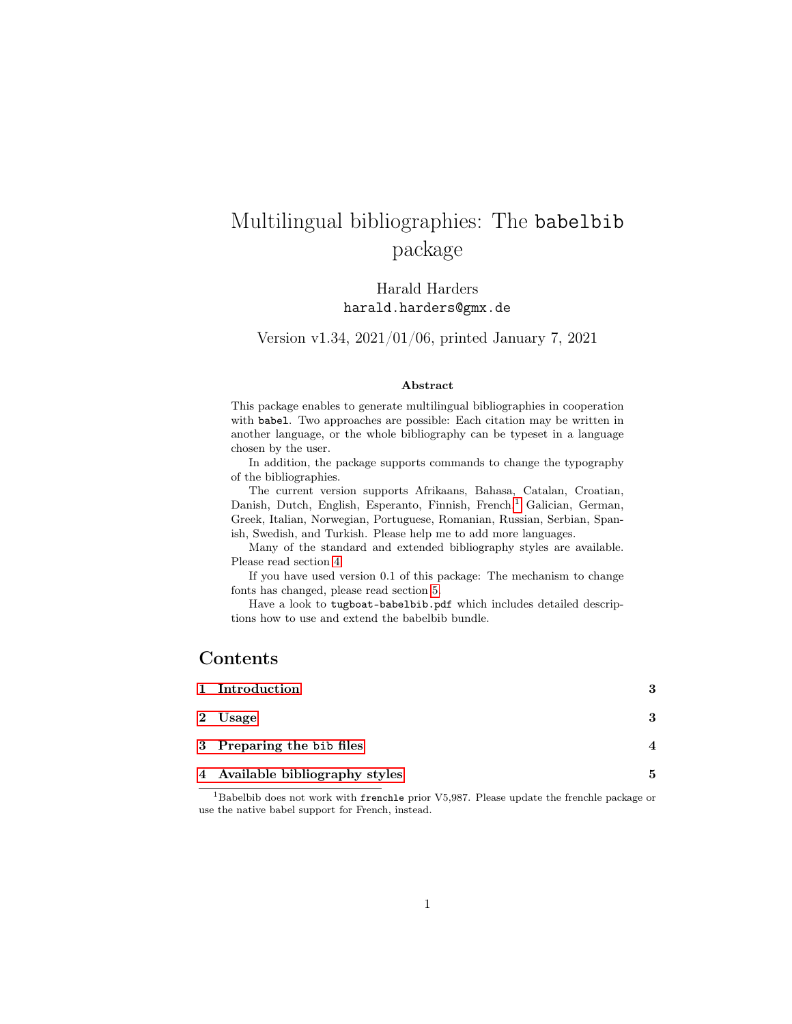# Multilingual bibliographies: The babelbib package

Harald Harders harald.harders@gmx.de

Version v1.34, 2021/01/06, printed January 7, 2021

#### Abstract

This package enables to generate multilingual bibliographies in cooperation with babel. Two approaches are possible: Each citation may be written in another language, or the whole bibliography can be typeset in a language chosen by the user.

In addition, the package supports commands to change the typography of the bibliographies.

The current version supports Afrikaans, Bahasa, Catalan, Croatian, Danish, Dutch, English, Esperanto, Finnish, French,<sup>[1](#page-0-0)</sup> Galician, German, Greek, Italian, Norwegian, Portuguese, Romanian, Russian, Serbian, Spanish, Swedish, and Turkish. Please help me to add more languages.

Many of the standard and extended bibliography styles are available. Please read section [4.](#page-4-0)

If you have used version 0.1 of this package: The mechanism to change fonts has changed, please read section [5.](#page-5-0)

Have a look to tugboat-babelbib.pdf which includes detailed descriptions how to use and extend the babelbib bundle.

### Contents

| 1 Introduction                  | 3 |
|---------------------------------|---|
| 2 Usage                         | 3 |
| 3 Preparing the bib files       | ◢ |
| 4 Available bibliography styles | 5 |

<span id="page-0-0"></span><sup>1</sup>Babelbib does not work with frenchle prior V5,987. Please update the frenchle package or use the native babel support for French, instead.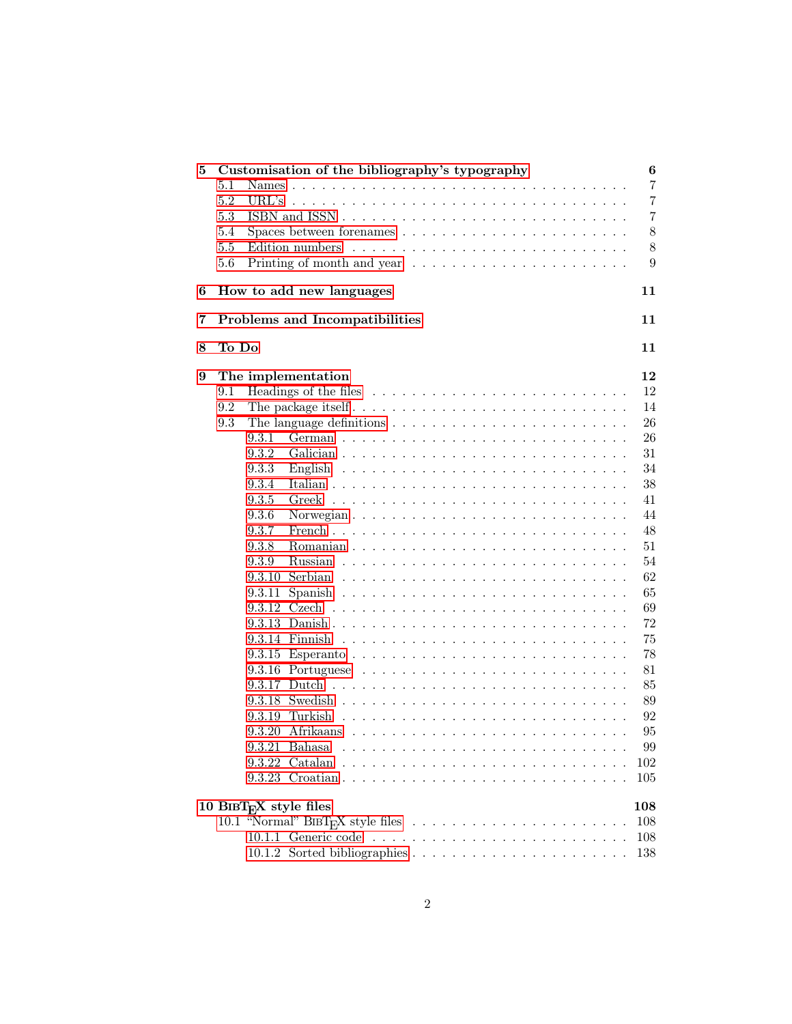| 5 |                | Customisation of the bibliography's typography                                       | 6              |
|---|----------------|--------------------------------------------------------------------------------------|----------------|
|   | 5.1            |                                                                                      | $\overline{7}$ |
|   | 5.2            | URL's $\ldots$                                                                       | 7              |
|   | 5.3            |                                                                                      | 7              |
|   | 5.4            |                                                                                      | 8              |
|   | 5.5            |                                                                                      | 8              |
|   | 5.6            | Printing of month and year $\ldots \ldots \ldots \ldots \ldots \ldots \ldots \ldots$ | 9              |
| 6 |                | How to add new languages                                                             | 11             |
| 7 |                | Problems and Incompatibilities                                                       | 11             |
| 8 | To Do          |                                                                                      | 11             |
|   |                |                                                                                      |                |
| 9 |                | The implementation                                                                   | 12<br>12       |
|   | 9.1            |                                                                                      |                |
|   | 9.2            |                                                                                      | 14             |
|   | 9.3            | The language definitions $\ldots \ldots \ldots \ldots \ldots \ldots \ldots \ldots$   | 26             |
|   | 9.3.1          |                                                                                      | 26             |
|   | 9.3.2          |                                                                                      | 31             |
|   | 9.3.3          |                                                                                      | 34             |
|   | 9.3.4          |                                                                                      | 38             |
|   | 9.3.5          |                                                                                      | 41             |
|   | 9.3.6<br>9.3.7 |                                                                                      | 44<br>48       |
|   | 9.3.8          |                                                                                      | 51             |
|   | 9.3.9          |                                                                                      | 54             |
|   | 9.3.10         | Serbian                                                                              | 62             |
|   |                |                                                                                      | 65             |
|   | 9.3.11         |                                                                                      | 69             |
|   |                |                                                                                      | 72             |
|   |                |                                                                                      | 75             |
|   |                |                                                                                      | 78             |
|   |                |                                                                                      | 81             |
|   |                |                                                                                      | 85             |
|   |                |                                                                                      | 89             |
|   |                | 9.3.19 Turkish                                                                       | 92             |
|   |                |                                                                                      |                |
|   |                |                                                                                      | 95             |
|   |                | $9.3.21$ Bahasa                                                                      | 99             |
|   |                | 9.3.22 Catalan                                                                       | 102            |
|   |                |                                                                                      | 105            |
|   |                | 10 BIBT $_{E}X$ style files                                                          | 108            |
|   |                |                                                                                      | 108            |
|   |                |                                                                                      | 108            |
|   |                |                                                                                      | 138            |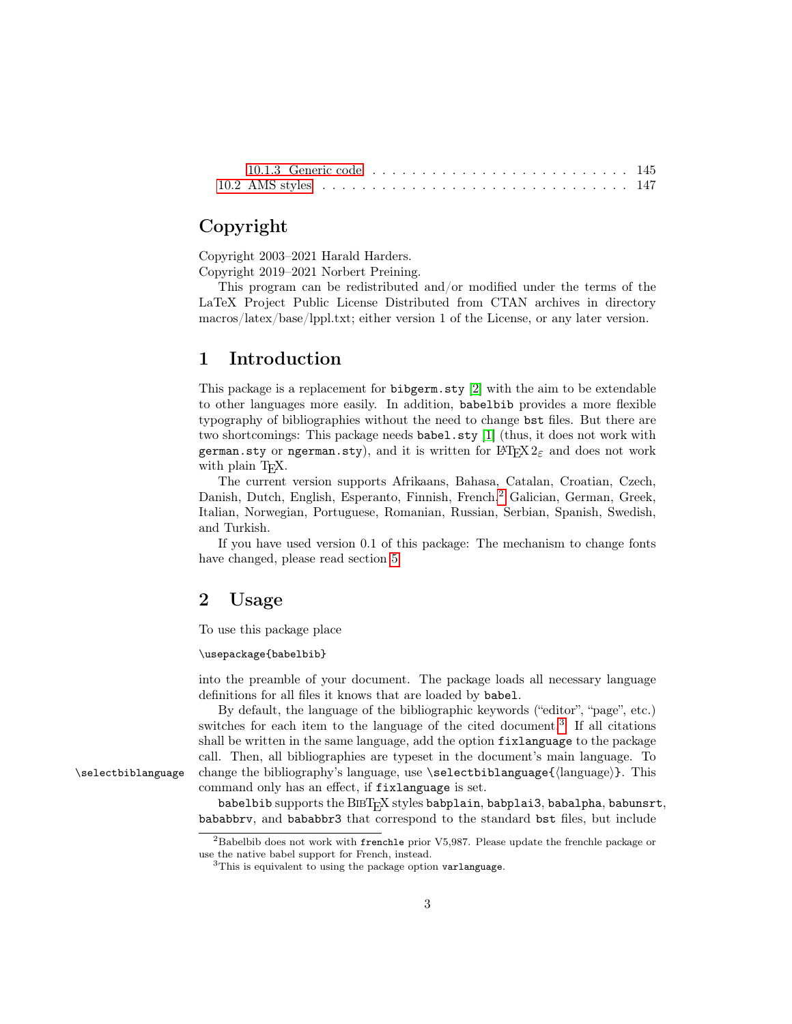## Copyright

Copyright 2003–2021 Harald Harders.

Copyright 2019–2021 Norbert Preining.

This program can be redistributed and/or modified under the terms of the LaTeX Project Public License Distributed from CTAN archives in directory macros/latex/base/lppl.txt; either version 1 of the License, or any later version.

### <span id="page-2-0"></span>1 Introduction

This package is a replacement for bibgerm.sty [\[2\]](#page-11-2) with the aim to be extendable to other languages more easily. In addition, babelbib provides a more flexible typography of bibliographies without the need to change bst files. But there are two shortcomings: This package needs babel.sty [\[1\]](#page-11-3) (thus, it does not work with german.sty or ngerman.sty), and it is written for  $L^2E^X$  and does not work with plain T<sub>EX</sub>.

The current version supports Afrikaans, Bahasa, Catalan, Croatian, Czech, Danish, Dutch, English, Esperanto, Finnish, French,<sup>[2](#page-2-2)</sup> Galician, German, Greek, Italian, Norwegian, Portuguese, Romanian, Russian, Serbian, Spanish, Swedish, and Turkish.

If you have used version 0.1 of this package: The mechanism to change fonts have changed, please read section [5.](#page-5-0)

### <span id="page-2-1"></span>2 Usage

To use this package place

#### \usepackage{babelbib}

into the preamble of your document. The package loads all necessary language definitions for all files it knows that are loaded by babel.

By default, the language of the bibliographic keywords ("editor", "page", etc.) switches for each item to the language of the cited document.<sup>[3](#page-2-3)</sup> If all citations shall be written in the same language, add the option fixlanguage to the package call. Then, all bibliographies are typeset in the document's main language. To \selectbiblanguage change the bibliography's language, use \selectbiblanguage{ $\langle$ language}. This command only has an effect, if fixlanguage is set.

> babelbib supports the BIBT<sub>E</sub>X styles babplain, babplai3, babalpha, babunsrt, bababbrv, and bababbr3 that correspond to the standard bst files, but include

<span id="page-2-2"></span> ${}^{2}$ Babelbib does not work with frenchle prior V5,987. Please update the frenchle package or use the native babel support for French, instead.

<span id="page-2-3"></span><sup>&</sup>lt;sup>3</sup>This is equivalent to using the package option varlanguage.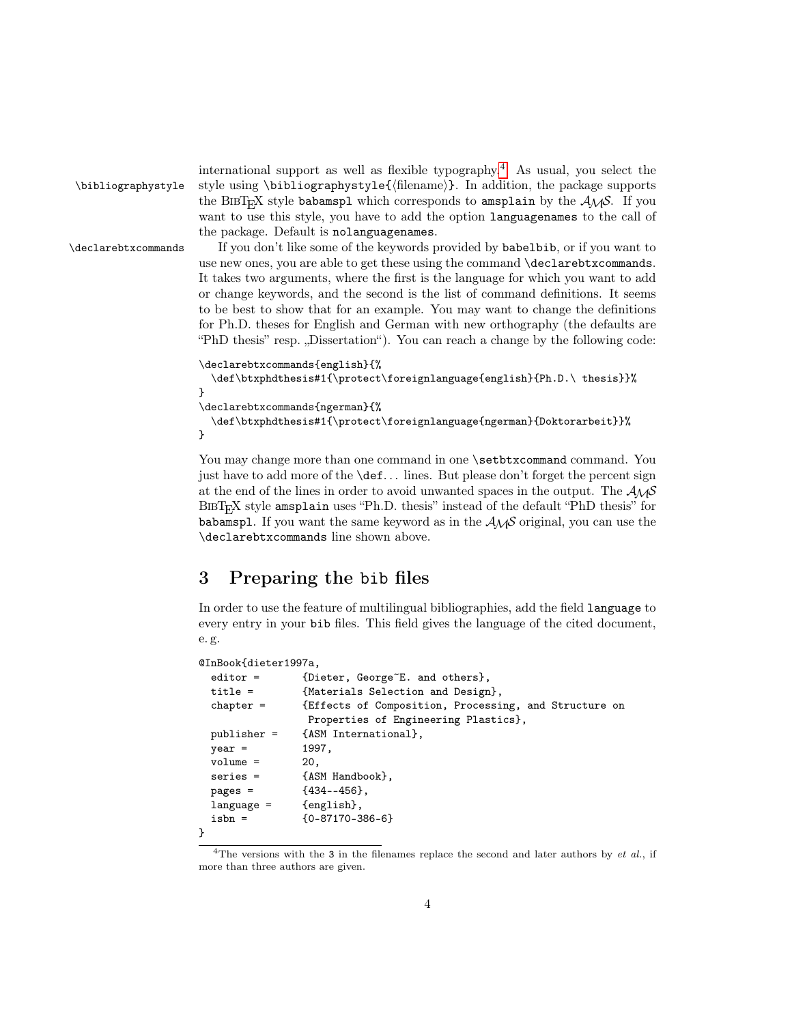```
\bibliographystyle style using \bibliographystyle({filename)}. In addition, the package supports
                      the BIBT<sub>E</sub>X style babamspl which corresponds to amsplain by the A_{\mathcal{M}}S. If you
                      want to use this style, you have to add the option languagenames to the call of
                      the package. Default is nolanguagenames.
\declarebtxcommands If you don't like some of the keywords provided by babelbib, or if you want to
                      use new ones, you are able to get these using the command \declarebtxcommands.
                      It takes two arguments, where the first is the language for which you want to add
                      or change keywords, and the second is the list of command definitions. It seems
                      to be best to show that for an example. You may want to change the definitions
                      for Ph.D. theses for English and German with new orthography (the defaults are
                      "PhD thesis" resp. "Dissertation"). You can reach a change by the following code:
                      \declarebtxcommands{english}{%
                        \def\btxphdthesis#1{\protect\foreignlanguage{english}{Ph.D.\ thesis}}%
                      }
                      \declarebtxcommands{ngerman}{%
                        \def\btxphdthesis#1{\protect\foreignlanguage{ngerman}{Doktorarbeit}}%
```
You may change more than one command in one  $\setminus$  setbtxcommand command. You just have to add more of the **\def...** lines. But please don't forget the percent sign at the end of the lines in order to avoid unwanted spaces in the output. The  $A_{\mathcal{M}}S$ <sup>B</sup>ibTEX style amsplain uses "Ph.D. thesis" instead of the default "PhD thesis" for babamspl. If you want the same keyword as in the  $\mathcal{A}_{\mathcal{M}}\mathcal{S}$  original, you can use the \declarebtxcommands line shown above.

international support as well as flexible typography.[4](#page-3-1) As usual, you select the

## <span id="page-3-0"></span>3 Preparing the bib files

In order to use the feature of multilingual bibliographies, add the field language to every entry in your bib files. This field gives the language of the cited document, e. g.

```
@InBook{dieter1997a,
```
}

```
editor = {Dieter, George<sup>E</sup>. and others},
 title = {Materials Selection and Design},
 chapter = {Effects of Composition, Processing, and Structure on
               Properties of Engineering Plastics},
 publisher = {ASM International},
 year = 1997,
 volume = 20.series = {ASM Handbook},
 pages = {434--456},
 language = {english},
 isbn = \{0-87170-386-6\}}
```
<span id="page-3-1"></span><sup>&</sup>lt;sup>4</sup>The versions with the 3 in the filenames replace the second and later authors by *et al.*, if more than three authors are given.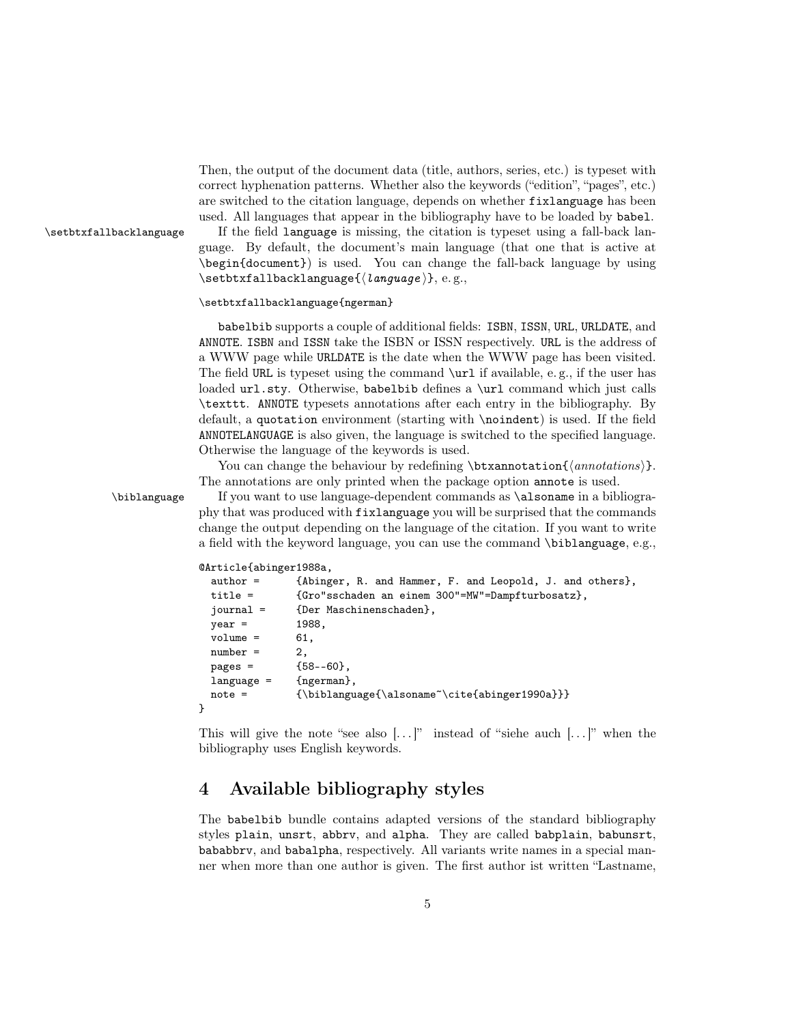Then, the output of the document data (title, authors, series, etc.) is typeset with correct hyphenation patterns. Whether also the keywords ("edition", "pages", etc.) are switched to the citation language, depends on whether fixlanguage has been used. All languages that appear in the bibliography have to be loaded by babel.

\setbtxfallbacklanguage If the field language is missing, the citation is typeset using a fall-back language. By default, the document's main language (that one that is active at \begin{document}) is used. You can change the fall-back language by using  $\setminus$ setbtxfallbacklanguage $\{$  $\langle$ language $\rangle$ }, e.g.,

#### \setbtxfallbacklanguage{ngerman}

babelbib supports a couple of additional fields: ISBN, ISSN, URL, URLDATE, and ANNOTE. ISBN and ISSN take the ISBN or ISSN respectively. URL is the address of a WWW page while URLDATE is the date when the WWW page has been visited. The field URL is typeset using the command \url if available, e. g., if the user has loaded url.sty. Otherwise, babelbib defines a \url command which just calls \texttt. ANNOTE typesets annotations after each entry in the bibliography. By default, a quotation environment (starting with \noindent) is used. If the field ANNOTELANGUAGE is also given, the language is switched to the specified language. Otherwise the language of the keywords is used.

You can change the behaviour by redefining  $\text{trans}(\text{an notations})$ . The annotations are only printed when the package option annote is used.

\biblanguage If you want to use language-dependent commands as \alsoname in a bibliography that was produced with fixlanguage you will be surprised that the commands change the output depending on the language of the citation. If you want to write a field with the keyword language, you can use the command \biblanguage, e.g.,

#### @Article{abinger1988a,

```
author = {Abinger, R. and Hammer, F. and Leopold, J. and others},
 title = {Gro"sschaden an einem 300"=MW"=Dampfturbosatz},
 journal = {Der Maschinenschaden},
 year = 1988,
 volume = 61,number = 2,pages = {58--60},
 language = {ngerman},
 note = {\biblanguage{\alsoname~\cite{abinger1990a}}}
}
```
This will give the note "see also  $[\ldots]$ " instead of "siehe auch  $[\ldots]$ " when the bibliography uses English keywords.

### <span id="page-4-0"></span>4 Available bibliography styles

The babelbib bundle contains adapted versions of the standard bibliography styles plain, unsrt, abbrv, and alpha. They are called babplain, babunsrt, bababbrv, and babalpha, respectively. All variants write names in a special manner when more than one author is given. The first author ist written "Lastname,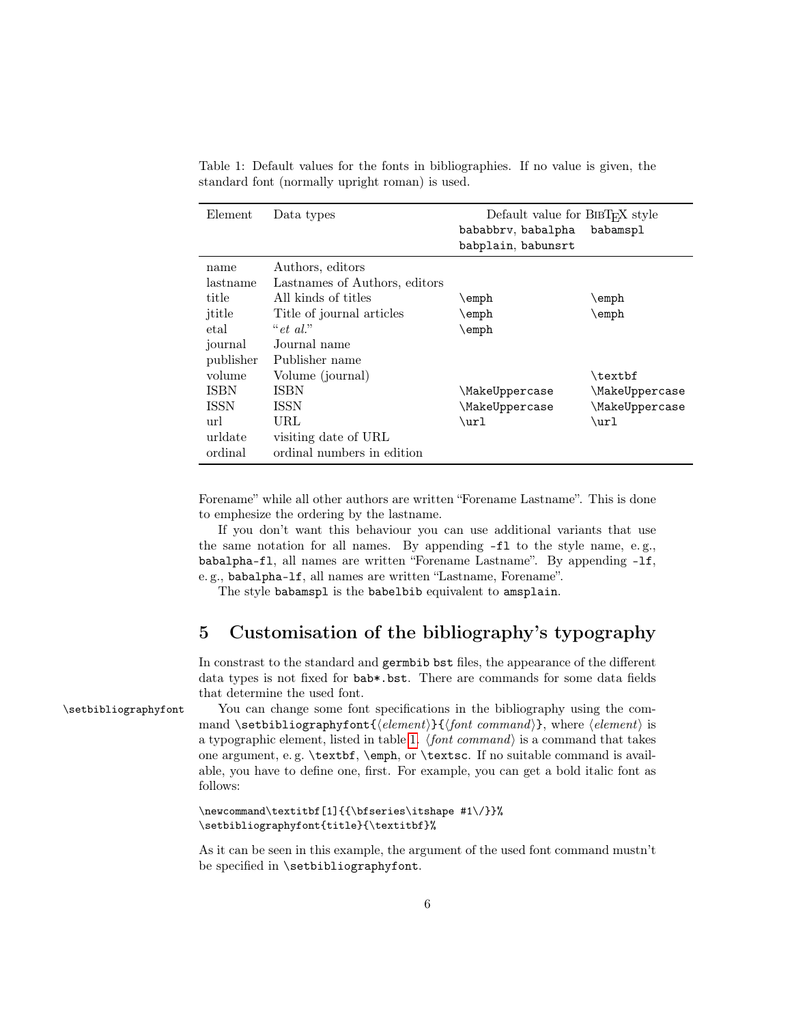| Element     | Data types                    | Default value for $BIBT_FX$ style<br>bababbrv, babalpha | babamspl                    |
|-------------|-------------------------------|---------------------------------------------------------|-----------------------------|
|             |                               | babplain, babunsrt                                      |                             |
| name        | Authors, editors              |                                                         |                             |
| lastname    | Lastnames of Authors, editors |                                                         |                             |
| title       | All kinds of titles           | \emph                                                   | \emph                       |
| ititle      | Title of journal articles     | $\text{\scriptsize\char'4}$                             | $\text{\scriptsize\char'4}$ |
| etal        | " $et \ al."$                 | $\text{\scriptsize\verb empty }$                        |                             |
| journal     | Journal name                  |                                                         |                             |
| publisher   | Publisher name                |                                                         |                             |
| volume      | Volume (journal)              |                                                         | \textbf                     |
| ISBN        | <b>ISBN</b>                   | \MakeUppercase                                          | \MakeUppercase              |
| <b>ISSN</b> | <b>ISSN</b>                   | \MakeUppercase                                          | \MakeUppercase              |
| url         | URL                           | \url                                                    | \url                        |
| urldate     | visiting date of URL          |                                                         |                             |
| ordinal     | ordinal numbers in edition    |                                                         |                             |

<span id="page-5-1"></span>Table 1: Default values for the fonts in bibliographies. If no value is given, the standard font (normally upright roman) is used.

Forename" while all other authors are written "Forename Lastname". This is done to emphesize the ordering by the lastname.

If you don't want this behaviour you can use additional variants that use the same notation for all names. By appending -fl to the style name, e. g., babalpha-fl, all names are written "Forename Lastname". By appending -lf, e. g., babalpha-lf, all names are written "Lastname, Forename".

The style babamspl is the babelbib equivalent to amsplain.

## <span id="page-5-0"></span>5 Customisation of the bibliography's typography

In constrast to the standard and germbib bst files, the appearance of the different data types is not fixed for bab\*.bst. There are commands for some data fields that determine the used font.

\setbibliographyfont You can change some font specifications in the bibliography using the command \setbibliographyfont{ $\{element\}$ }{ $\{font command\}$ , where  $\{element\}$  is a typographic element, listed in table [1.](#page-5-1)  $\{font command\}$  is a command that takes one argument, e. g. \textbf, \emph, or \textsc. If no suitable command is available, you have to define one, first. For example, you can get a bold italic font as follows:

### \newcommand\textitbf[1]{{\bfseries\itshape #1\/}}% \setbibliographyfont{title}{\textitbf}%

As it can be seen in this example, the argument of the used font command mustn't be specified in \setbibliographyfont.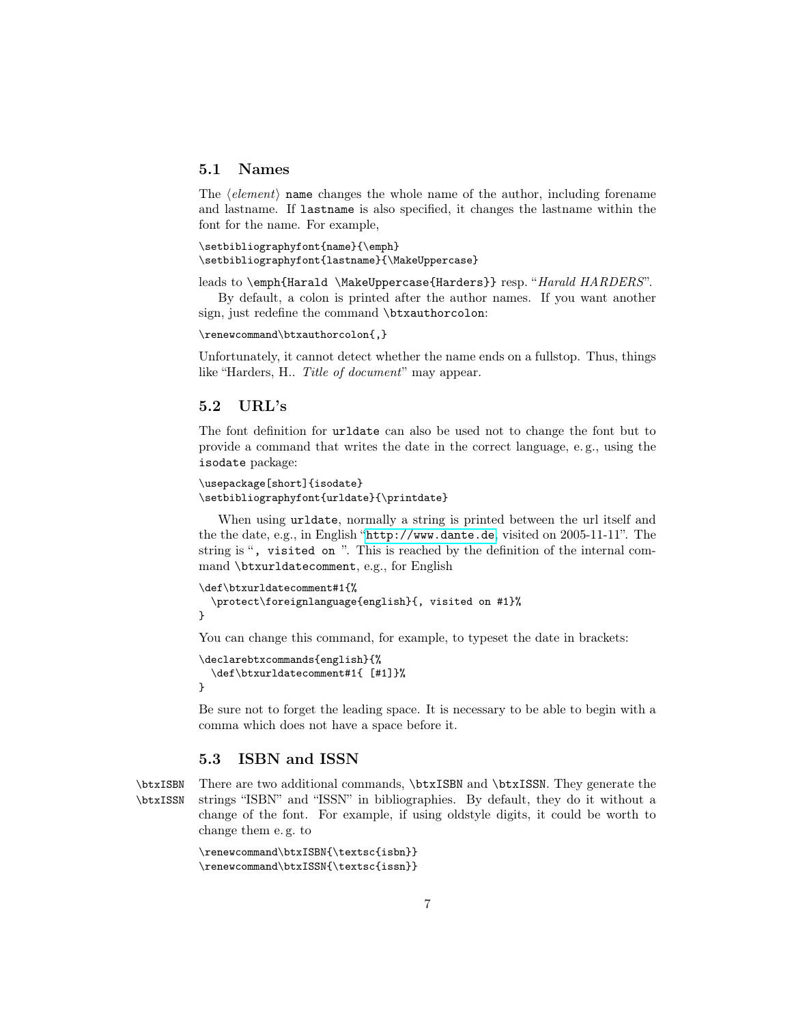### <span id="page-6-0"></span>5.1 Names

The  $\langle element \rangle$  name changes the whole name of the author, including forename and lastname. If lastname is also specified, it changes the lastname within the font for the name. For example,

```
\setbibliographyfont{name}{\emph}
\setbibliographyfont{lastname}{\MakeUppercase}
```
leads to \emph{Harald \MakeUppercase{Harders}} resp. "Harald HARDERS".

By default, a colon is printed after the author names. If you want another sign, just redefine the command \btxauthorcolon:

```
\renewcommand\btxauthorcolon{,}
```
Unfortunately, it cannot detect whether the name ends on a fullstop. Thus, things like "Harders, H.. Title of document" may appear.

### <span id="page-6-1"></span>5.2 URL's

The font definition for urldate can also be used not to change the font but to provide a command that writes the date in the correct language, e. g., using the isodate package:

```
\usepackage[short]{isodate}
\setbibliographyfont{urldate}{\printdate}
```
When using urldate, normally a string is printed between the url itself and the the date, e.g., in English "<http://www.dante.de>, visited on 2005-11-11". The string is ", visited on ". This is reached by the definition of the internal command \btxurldatecomment, e.g., for English

```
\def\btxurldatecomment#1{%
  \protect\foreignlanguage{english}{, visited on #1}%
}
```
You can change this command, for example, to typeset the date in brackets:

```
\declarebtxcommands{english}{%
  \def\btxurldatecomment#1{ [#1]}%
}
```
Be sure not to forget the leading space. It is necessary to be able to begin with a comma which does not have a space before it.

### <span id="page-6-2"></span>5.3 ISBN and ISSN

\btxISBN There are two additional commands, \btxISBN and \btxISSN. They generate the \btxISSN strings "ISBN" and "ISSN" in bibliographies. By default, they do it without a change of the font. For example, if using oldstyle digits, it could be worth to change them e. g. to

```
\renewcommand\btxISBN{\textsc{isbn}}
\renewcommand\btxISSN{\textsc{issn}}
```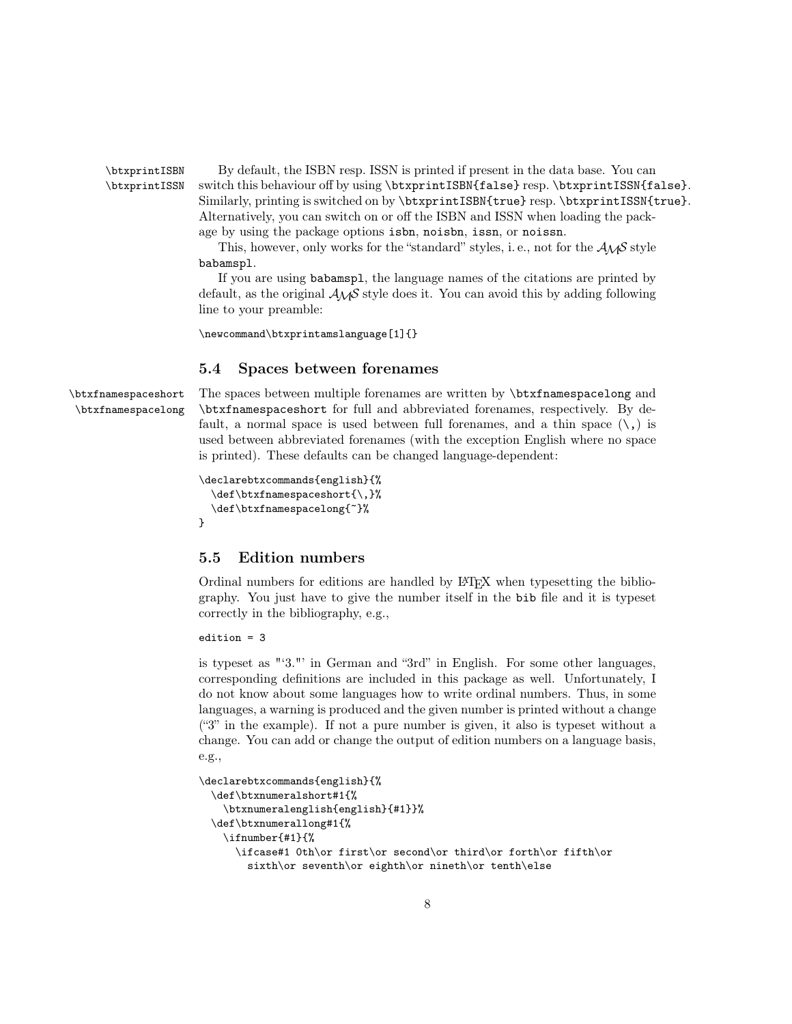\btxprintISBN By default, the ISBN resp. ISSN is printed if present in the data base. You can \btxprintISSN switch this behaviour off by using \btxprintISBN{false} resp. \btxprintISSN{false}. Similarly, printing is switched on by \btxprintISBN{true} resp. \btxprintISSN{true}. Alternatively, you can switch on or off the ISBN and ISSN when loading the package by using the package options isbn, noisbn, issn, or noissn.

> This, however, only works for the "standard" styles, i.e., not for the  $A\mathcal{M}S$  style babamspl.

> If you are using babamspl, the language names of the citations are printed by default, as the original  $\mathcal{A}_{\mathcal{M}}\mathcal{S}$  style does it. You can avoid this by adding following line to your preamble:

\newcommand\btxprintamslanguage[1]{}

### <span id="page-7-0"></span>5.4 Spaces between forenames

\btxfnamespaceshort The spaces between multiple forenames are written by \btxfnamespacelong and \btxfnamespacelong \btxfnamespaceshort for full and abbreviated forenames, respectively. By default, a normal space is used between full forenames, and a thin space  $(\lambda)$  is used between abbreviated forenames (with the exception English where no space is printed). These defaults can be changed language-dependent:

```
\declarebtxcommands{english}{%
  \def\btxfnamespaceshort{\,}%
  \def\btxfnamespacelong{~}%
}
```
### <span id="page-7-1"></span>5.5 Edition numbers

Ordinal numbers for editions are handled by LATEX when typesetting the bibliography. You just have to give the number itself in the bib file and it is typeset correctly in the bibliography, e.g.,

edition = 3

is typeset as "'3."' in German and "3rd" in English. For some other languages, corresponding definitions are included in this package as well. Unfortunately, I do not know about some languages how to write ordinal numbers. Thus, in some languages, a warning is produced and the given number is printed without a change ("3" in the example). If not a pure number is given, it also is typeset without a change. You can add or change the output of edition numbers on a language basis, e.g.,

```
\declarebtxcommands{english}{%
  \def\btxnumeralshort#1{%
    \btxnumeralenglish{english}{#1}}%
  \def\btxnumerallong#1{%
    \ifnumber{#1}{%
      \ifcase#1 0th\or first\or second\or third\or forth\or fifth\or
        sixth\or seventh\or eighth\or nineth\or tenth\else
```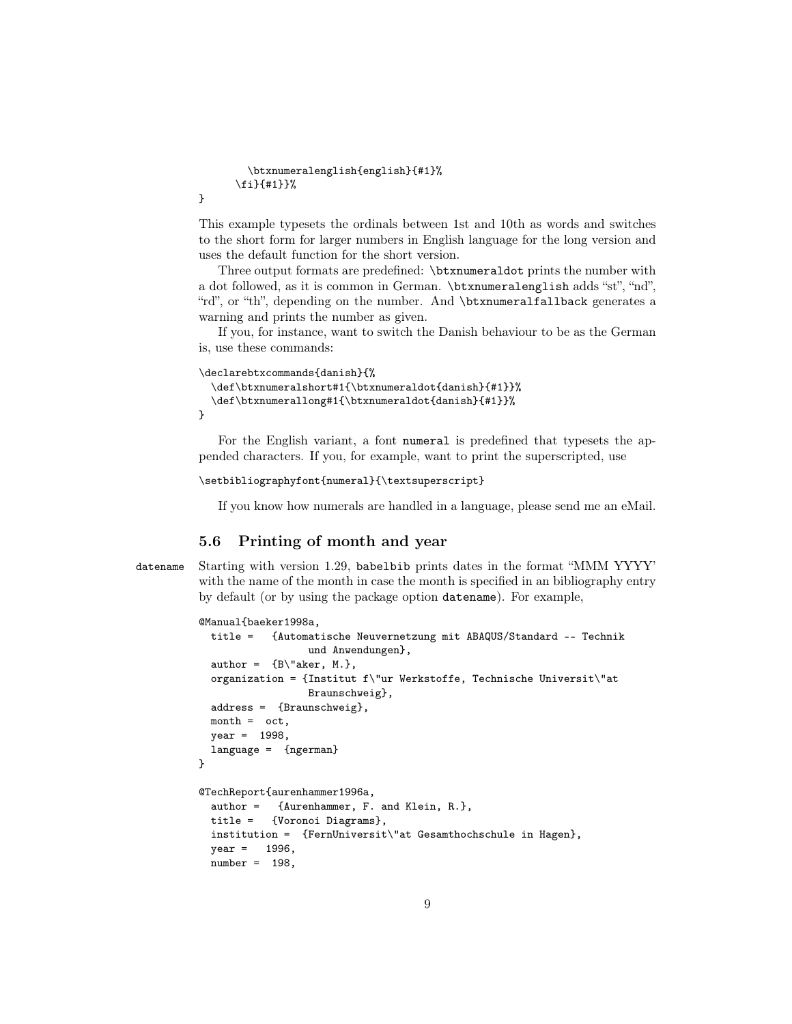```
\btxnumeralenglish{english}{#1}%
\fi}{#1}}%
```
This example typesets the ordinals between 1st and 10th as words and switches to the short form for larger numbers in English language for the long version and uses the default function for the short version.

Three output formats are predefined: \btxnumeraldot prints the number with a dot followed, as it is common in German. \btxnumeralenglish adds "st", "nd", "rd", or "th", depending on the number. And \btxnumeralfallback generates a warning and prints the number as given.

If you, for instance, want to switch the Danish behaviour to be as the German is, use these commands:

```
\declarebtxcommands{danish}{%
  \def\btxnumeralshort#1{\btxnumeraldot{danish}{#1}}%
  \def\btxnumerallong#1{\btxnumeraldot{danish}{#1}}%
}
```
For the English variant, a font numeral is predefined that typesets the appended characters. If you, for example, want to print the superscripted, use

```
\setbibliographyfont{numeral}{\textsuperscript}
```
If you know how numerals are handled in a language, please send me an eMail.

### <span id="page-8-0"></span>5.6 Printing of month and year

}

datename Starting with version 1.29, babelbib prints dates in the format "MMM YYYY' with the name of the month in case the month is specified in an bibliography entry by default (or by using the package option datename). For example,

```
@Manual{baeker1998a,
  title = {Automatische Neuvernetzung mit ABAQUS/Standard -- Technik
                  und Anwendungen},
  author = {B\text{}}^\text{l}aker, M.},
  organization = {Institut f\"ur Werkstoffe, Technische Universit\"at
                  Braunschweig},
  address = {Braunschweig},
 month = oct,year = 1998,
  language = {ngerman}
}
@TechReport{aurenhammer1996a,
  author = {Aurenhammer, F. and Klein, R.},
  title = {Voronoi Diagrams},
  institution = {FernUniversit\"at Gesamthochschule in Hagen},
 year = 1996,number = 198,
```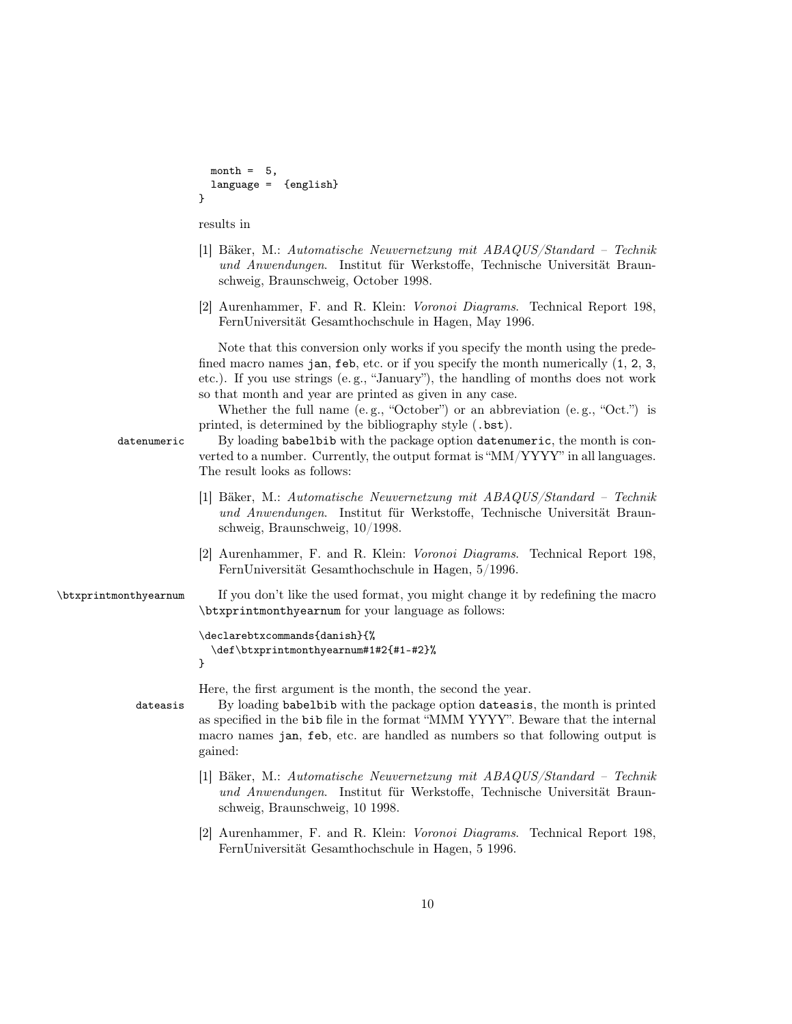```
month = 5,
                          language = {english}
                        }
                        results in
                        [1] Bäker, M.: Automatische Neuvernetzung mit ABAQUS/Standard – Technik
                           und Anwendungen. Institut für Werkstoffe, Technische Universität Braun-
                           schweig, Braunschweig, October 1998.
                        [2] Aurenhammer, F. and R. Klein: Voronoi Diagrams. Technical Report 198,
                           FernUniversität Gesamthochschule in Hagen, May 1996.
                           Note that this conversion only works if you specify the month using the prede-
                        fined macro names jan, feb, etc. or if you specify the month numerically (1, 2, 3, ...)etc.). If you use strings (e. g., "January"), the handling of months does not work
                        so that month and year are printed as given in any case.
                           Whether the full name (e. g., "October") or an abbreviation (e. g., "Oct.") is
                        printed, is determined by the bibliography style (.bst).
          datenumeric By loading babelbib with the package option datenumeric, the month is con-
                        verted to a number. Currently, the output format is "MM/YYYY" in all languages.
                        The result looks as follows:
                        [1] Bäker, M.: Automatische Neuvernetzung mit ABAQUS/Standard – Technik
                           und Anwendungen. Institut für Werkstoffe, Technische Universität Braun-
                           schweig, Braunschweig, 10/1998.
                        [2] Aurenhammer, F. and R. Klein: Voronoi Diagrams. Technical Report 198,
                           FernUniversität Gesamthochschule in Hagen, 5/1996.
\btxprintmonthyearnum If you don't like the used format, you might change it by redefining the macro
                        \btxprintmonthyearnum for your language as follows:
                        \declarebtxcommands{danish}{%
                          \def\btxprintmonthyearnum#1#2{#1-#2}%
                        }
                        Here, the first argument is the month, the second the year.
             dateasis By loading babelbib with the package option dateasis, the month is printed
                        as specified in the bib file in the format "MMM YYYY". Beware that the internal
                        macro names jan, feb, etc. are handled as numbers so that following output is
                        gained:
                        [1] Bäker, M.: Automatische Neuvernetzung mit ABAQUS/Standard – Technik
                           und Anwendungen. Institut für Werkstoffe, Technische Universität Braun-
                           schweig, Braunschweig, 10 1998.
                        [2] Aurenhammer, F. and R. Klein: Voronoi Diagrams. Technical Report 198,
                           FernUniversität Gesamthochschule in Hagen, 5 1996.
```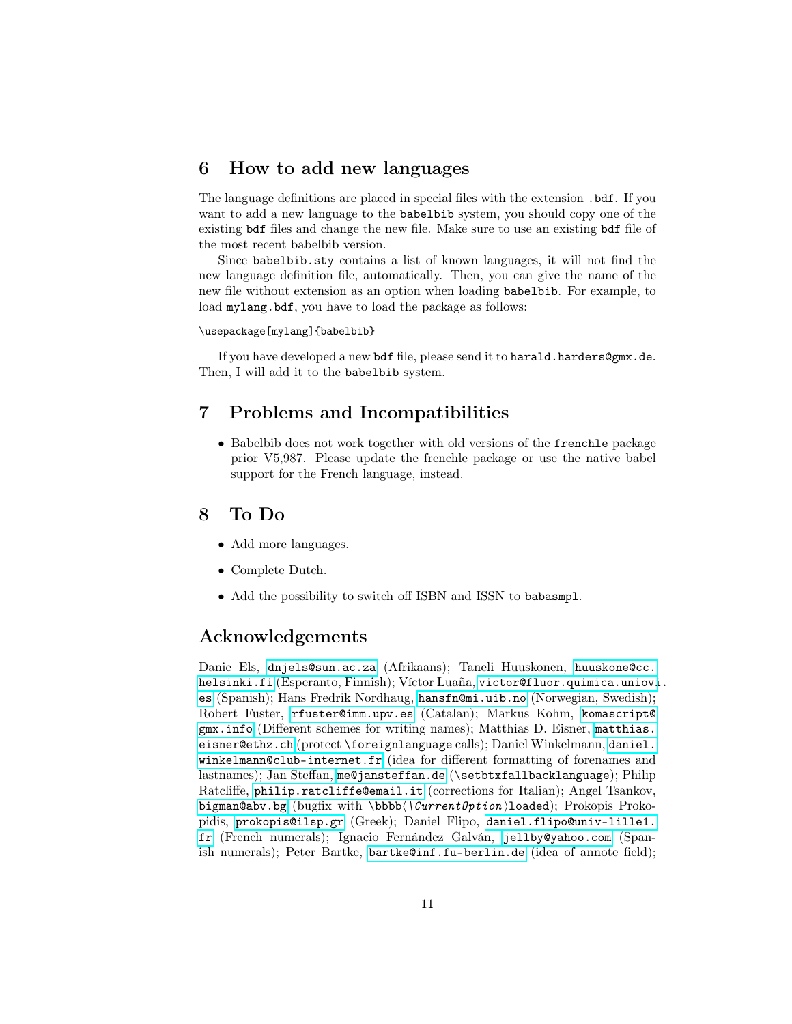### <span id="page-10-0"></span>6 How to add new languages

The language definitions are placed in special files with the extension .bdf. If you want to add a new language to the babelbib system, you should copy one of the existing bdf files and change the new file. Make sure to use an existing bdf file of the most recent babelbib version.

Since babelbib.sty contains a list of known languages, it will not find the new language definition file, automatically. Then, you can give the name of the new file without extension as an option when loading babelbib. For example, to load mylang.bdf, you have to load the package as follows:

#### \usepackage[mylang]{babelbib}

If you have developed a new bdf file, please send it to harald.harders@gmx.de. Then, I will add it to the babelbib system.

### <span id="page-10-1"></span>7 Problems and Incompatibilities

• Babelbib does not work together with old versions of the **frenchle** package prior V5,987. Please update the frenchle package or use the native babel support for the French language, instead.

### <span id="page-10-2"></span>8 To Do

- Add more languages.
- Complete Dutch.
- Add the possibility to switch off ISBN and ISSN to babasmpl.

### Acknowledgements

Danie Els, <dnjels@sun.ac.za> (Afrikaans); Taneli Huuskonen, [huuskone@cc.](huuskone@cc.helsinki.fi) [helsinki.fi](huuskone@cc.helsinki.fi) (Esperanto, Finnish); Víctor Luaña, [victor@fluor.quimica.uniovi](victor@fluor.quimica.uniovi.es). [es](victor@fluor.quimica.uniovi.es) (Spanish); Hans Fredrik Nordhaug, <hansfn@mi.uib.no> (Norwegian, Swedish); Robert Fuster, <rfuster@imm.upv.es> (Catalan); Markus Kohm, [komascript@](komascript@gmx.info) [gmx.info](komascript@gmx.info) (Different schemes for writing names); Matthias D. Eisner, [matthias.](matthias.eisner@ethz.ch) [eisner@ethz.ch](matthias.eisner@ethz.ch) (protect \foreignlanguage calls); Daniel Winkelmann, [daniel.](daniel.winkelmann@club-internet.fr) [winkelmann@club-internet.fr](daniel.winkelmann@club-internet.fr) (idea for different formatting of forenames and lastnames); Jan Steffan, <me@jansteffan.de> (\setbtxfallbacklanguage); Philip Ratcliffe, <philip.ratcliffe@email.it> (corrections for Italian); Angel Tsankov, <bigman@abv.bg> (bugfix with \bbbb\ $\langle \text{CurrentOption}\rangle$ loaded); Prokopis Prokopidis, <prokopis@ilsp.gr> (Greek); Daniel Flipo, [daniel.flipo@univ-lille1.](daniel.flipo@univ-lille1.fr) [fr](daniel.flipo@univ-lille1.fr) (French numerals); Ignacio Fernández Galván, <jellby@yahoo.com> (Spanish numerals); Peter Bartke, <bartke@inf.fu-berlin.de> (idea of annote field);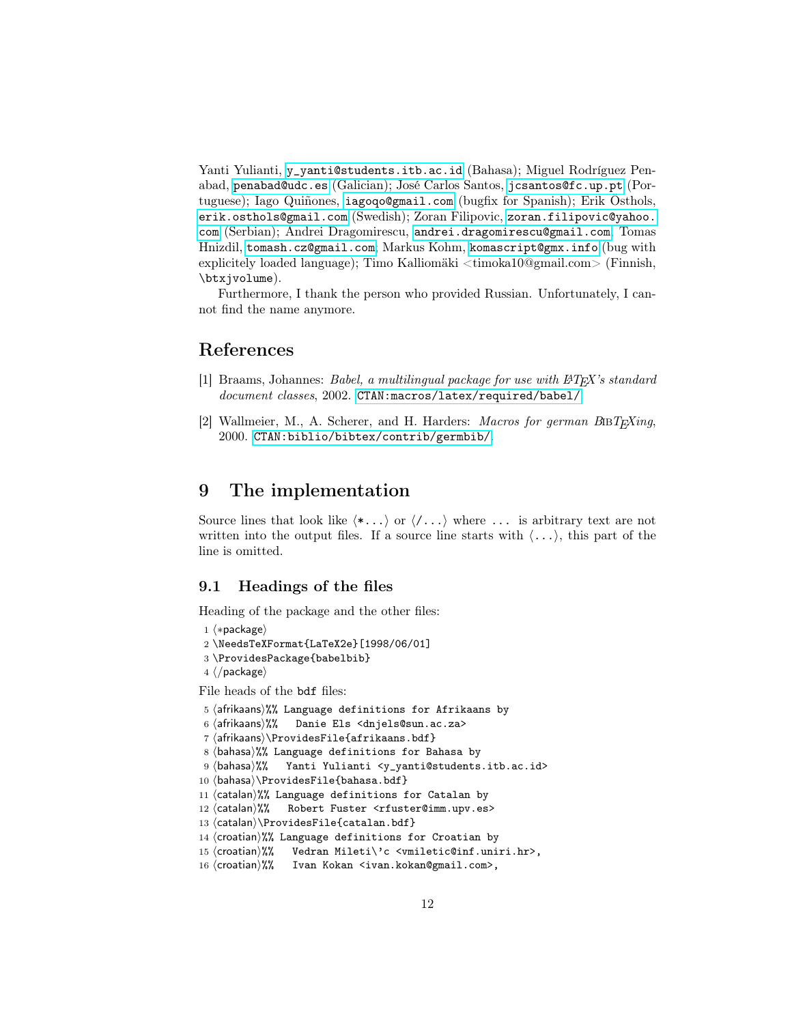Yanti Yulianti, [y\\_yanti@students.itb.ac.id](y_yanti@students.itb.ac.id) (Bahasa); Miguel Rodríguez Penabad, <penabad@udc.es> (Galician); José Carlos Santos, <jcsantos@fc.up.pt> (Portuguese); Iago Quiñones, <iagoqo@gmail.com> (bugfix for Spanish); Erik Östhols, <erik.osthols@gmail.com> (Swedish); Zoran Filipovic, [zoran.filipovic@yahoo.](zoran.filipovic@yahoo.com) [com](zoran.filipovic@yahoo.com) (Serbian); Andrei Dragomirescu, <andrei.dragomirescu@gmail.com>; Tomas Hnizdil, <tomash.cz@gmail.com>; Markus Kohm, <komascript@gmx.info> (bug with explicitely loaded language); Timo Kalliomäki <timoka10@gmail.com> (Finnish, \btxjvolume).

Furthermore, I thank the person who provided Russian. Unfortunately, I cannot find the name anymore.

## References

- <span id="page-11-3"></span>[1] Braams, Johannes: Babel, a multilingual package for use with LATEX's standard document classes, 2002. <CTAN:macros/latex/required/babel/>.
- <span id="page-11-2"></span>[2] Wallmeier, M., A. Scherer, and H. Harders: *Macros for german B*IBT<sub>E</sub>Xing, 2000. <CTAN:biblio/bibtex/contrib/germbib/>.

### <span id="page-11-0"></span>9 The implementation

Source lines that look like  $\langle *... \rangle$  or  $\langle \ldots \rangle$  where  $\ldots$  is arbitrary text are not written into the output files. If a source line starts with  $\langle \ldots \rangle$ , this part of the line is omitted.

### <span id="page-11-1"></span>9.1 Headings of the files

Heading of the package and the other files:

```
1 \langle *package \rangle
```

```
2 \NeedsTeXFormat{LaTeX2e}[1998/06/01]
```

```
3 \ProvidesPackage{babelbib}
```

```
4 \langle/package\rangle
```
File heads of the bdf files:

```
5 (afrikaans)%% Language definitions for Afrikaans by
```

```
6 (afrikaans)%% Danie Els <dnjels@sun.ac.za>
```

```
7 (afrikaans)\ProvidesFile{afrikaans.bdf}
```

```
8 \langlebahasa\rangle%% Language definitions for Bahasa by
```

```
9 (bahasa)%% Yanti Yulianti <y_yanti@students.itb.ac.id>
```
- 10 (bahasa)\ProvidesFile{bahasa.bdf}
- 11  $\langle$ catalan $\rangle$ %% Language definitions for Catalan by
- 12 (catalan)%% Robert Fuster <rfuster@imm.upv.es>
- 13 (catalan)\ProvidesFile{catalan.bdf}

```
14 \langlecroatian\rangle%% Language definitions for Croatian by
```

```
15 (croatian)%% Vedran Mileti\'c <vmiletic@inf.uniri.hr>,
```

```
16 (croatian)%% Ivan Kokan <ivan.kokan@gmail.com>,
```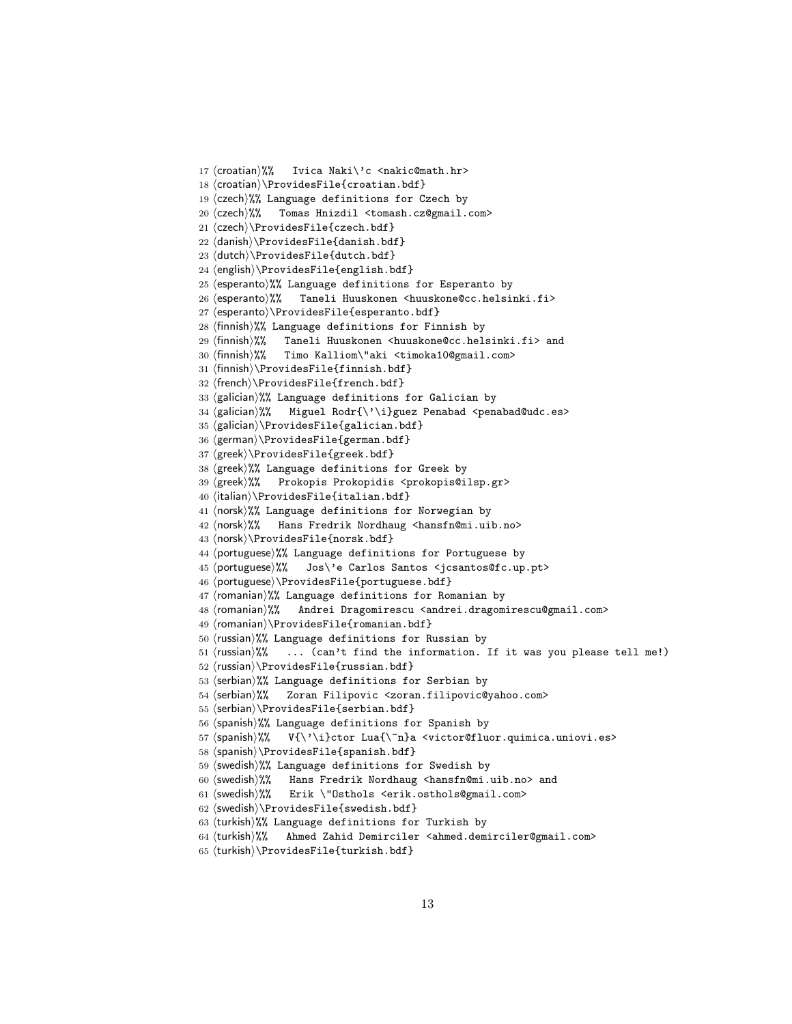```
17 (croatian)%% Ivica Naki\'c <nakic@math.hr>
18 \langlecroatian\rangle\ProvidesFile{croatian.bdf}
19 \langleczech\rangle%% Language definitions for Czech by
20 (czech)%% Tomas Hnizdil <tomash.cz@gmail.com>
21 \langleczech\rangle\ProvidesFile{czech.bdf}
22 (danish)\ProvidesFile{danish.bdf}
23 (dutch)\ProvidesFile{dutch.bdf}
24 (english)\ProvidesFile{english.bdf}
25 (esperanto)%% Language definitions for Esperanto by
26 (esperanto)%% Taneli Huuskonen <huuskone@cc.helsinki.fi>
27 (esperanto)\ProvidesFile{esperanto.bdf}
28 \text{ (finnish)}%% Language definitions for Finnish by
29 (finnish)%% Taneli Huuskonen <huuskone@cc.helsinki.fi> and
30 (finnish)%% Timo Kalliom\"aki <timoka10@gmail.com>
31 (finnish)\ProvidesFile{finnish.bdf}
32 (french)\ProvidesFile{french.bdf}
33 \langlegalician\rangle%% Language definitions for Galician by
34 (galician)%% Miguel Rodr{\'\i}guez Penabad <penabad@udc.es>
35 (galician)\ProvidesFile{galician.bdf}
36 (german)\ProvidesFile{german.bdf}
37 (greek)\ProvidesFile{greek.bdf}
38 (greek)%% Language definitions for Greek by
39 (greek)%% Prokopis Prokopidis <prokopis@ilsp.gr>
40 (italian)\ProvidesFile{italian.bdf}
41 (norsk)%% Language definitions for Norwegian by
42 (norsk)%% Hans Fredrik Nordhaug <hansfn@mi.uib.no>
43 (norsk)\ProvidesFile{norsk.bdf}
44 (portuguese)%% Language definitions for Portuguese by
45 (portuguese)%% Jos\'e Carlos Santos <jcsantos@fc.up.pt>
46 (portuguese)\ProvidesFile{portuguese.bdf}
47 (romanian)%% Language definitions for Romanian by
48 (romanian)%% Andrei Dragomirescu <andrei.dragomirescu@gmail.com>
49 (romanian)\ProvidesFile{romanian.bdf}
50 (russian)%% Language definitions for Russian by
51 (russian)%% ... (can't find the information. If it was you please tell me!)
52 (russian)\ProvidesFile{russian.bdf}
53 (serbian)%% Language definitions for Serbian by
54 (serbian)%% Zoran Filipovic <zoran.filipovic@yahoo.com>
55 (serbian)\ProvidesFile{serbian.bdf}
56 \langlespanish\rangle%% Language definitions for Spanish by
57 \(spanish)%% V{\'\i}ctor Lua{\~n}a <victor@fluor.quimica.uniovi.es>
58 (spanish)\ProvidesFile{spanish.bdf}
59 \langleswedish\rangle%% Language definitions for Swedish by
60 (swedish)%% Hans Fredrik Nordhaug <hansfn@mi.uib.no> and
61 (swedish)%% Erik \"Osthols <erik.osthols@gmail.com>
62 \langleswedish\rangle\ProvidesFile{swedish.bdf}
63 (turkish)%% Language definitions for Turkish by
64 (turkish)%% Ahmed Zahid Demirciler <ahmed.demirciler@gmail.com>
65 (turkish)\ProvidesFile{turkish.bdf}
```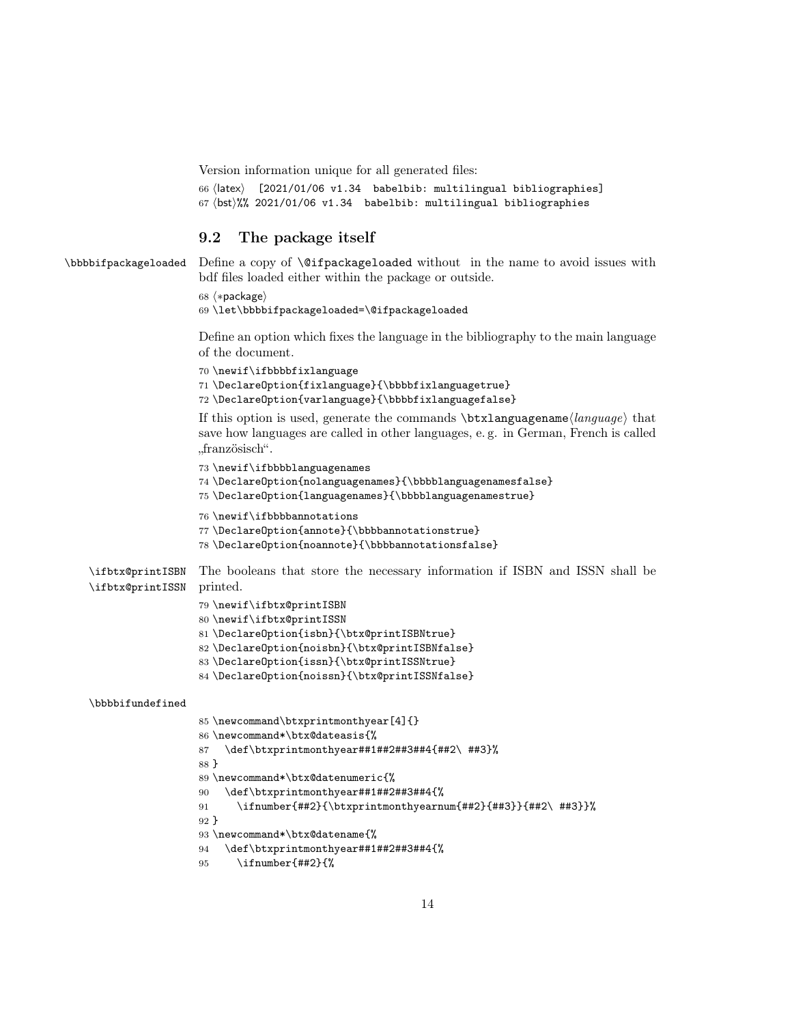Version information unique for all generated files:

```
66 (latex) [2021/01/06 v1.34 babelbib: multilingual bibliographies]
67 \b0t)%% 2021/01/06 v1.34 babelbib: multilingual bibliographies
```
### <span id="page-13-0"></span>9.2 The package itself

```
\bbbbifpackageloaded Define a copy of \@ifpackageloaded without in the name to avoid issues with
                       bdf files loaded either within the package or outside.
                       68 (*package)
                       69 \let\bbbbifpackageloaded=\@ifpackageloaded
                       Define an option which fixes the language in the bibliography to the main language
                       of the document.
                       70 \newif\ifbbbbfixlanguage
                       71 \DeclareOption{fixlanguage}{\bbbbfixlanguagetrue}
                       72 \DeclareOption{varlanguage}{\bbbbfixlanguagefalse}
                       If this option is used, generate the commands \text{btxlanguagename}\langle language\rangle that
                       save how languages are called in other languages, e. g. in German, French is called
                       "französisch".
                       73 \newif\ifbbbblanguagenames
                       74 \DeclareOption{nolanguagenames}{\bbbblanguagenamesfalse}
                       75 \DeclareOption{languagenames}{\bbbblanguagenamestrue}
                       76 \newif\ifbbbbannotations
                       77 \DeclareOption{annote}{\bbbbannotationstrue}
                       78 \DeclareOption{noannote}{\bbbbannotationsfalse}
    \ifbtx@printISBN
    \ifbtx@printISSN
                      The booleans that store the necessary information if ISBN and ISSN shall be
                       printed.
                       79 \newif\ifbtx@printISBN
                       80 \newif\ifbtx@printISSN
                       81 \DeclareOption{isbn}{\btx@printISBNtrue}
                       82 \DeclareOption{noisbn}{\btx@printISBNfalse}
                       83 \DeclareOption{issn}{\btx@printISSNtrue}
                       84 \DeclareOption{noissn}{\btx@printISSNfalse}
    \bbbbifundefined
                       85 \newcommand\btxprintmonthyear[4]{}
                       86 \newcommand*\btx@dateasis{%
                       87 \def\btxprintmonthyear##1##2##3##4{##2\ ##3}%
                       88 }
                       89 \newcommand*\btx@datenumeric{%
                       90 \def\btxprintmonthyear##1##2##3##4{%
                       91 \ifnumber{##2}{\btxprintmonthyearnum{##2}{##3}}{##2\ ##3}}%
                       92 }
                       93 \newcommand*\btx@datename{%
                       94 \def\btxprintmonthyear##1##2##3##4{%
                       95 \ifnumber{##2}{%
```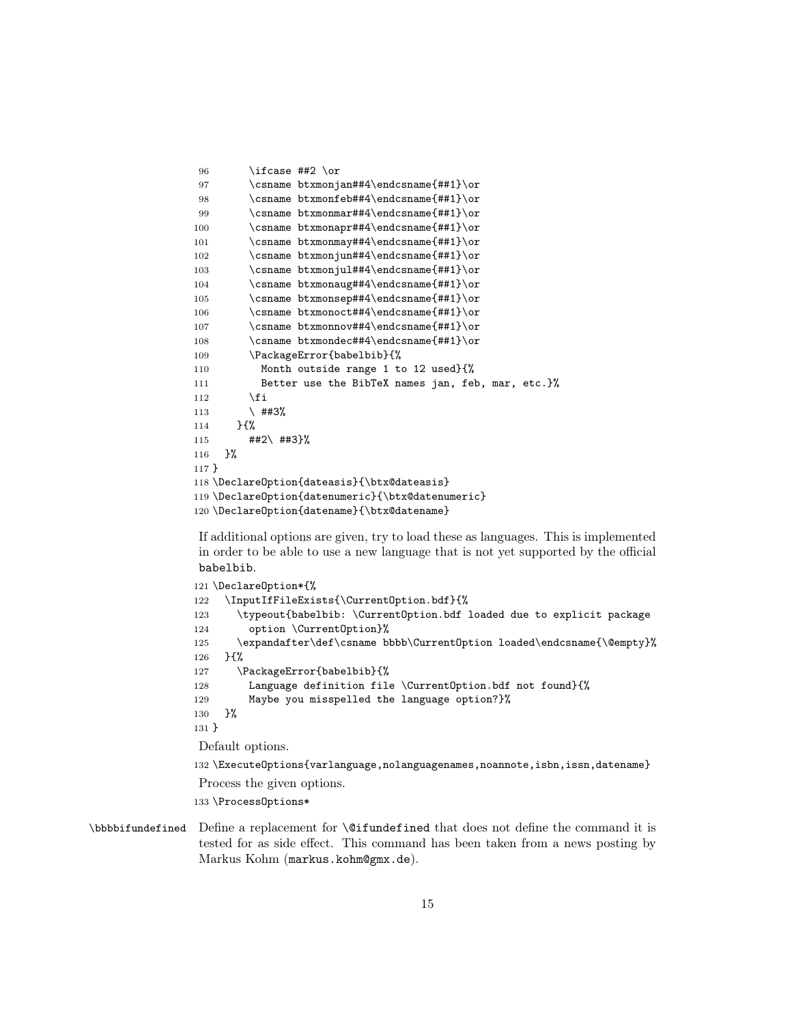```
96 \ifcase ##2 \or
97 \csname btxmonjan##4\endcsname{##1}\or
98 \csname btxmonfeb##4\endcsname{##1}\or
99 \csname btxmonmar##4\endcsname{##1}\or
100 \csname btxmonapr##4\endcsname{##1}\or
101 \csname btxmonmay##4\endcsname{##1}\or
102 \csname btxmonjun##4\endcsname{##1}\or
103 \csname btxmonjul##4\endcsname{##1}\or
104 \csname btxmonaug##4\endcsname{##1}\or
105 \csname btxmonsep##4\endcsname{##1}\or
106 \csname btxmonoct##4\endcsname{##1}\or
107 \csname btxmonnov##4\endcsname{##1}\or
108 \csname btxmondec##4\endcsname{##1}\or
109 \PackageError{babelbib}{%
110 Month outside range 1 to 12 used}{%
111 Better use the BibTeX names jan, feb, mar, etc.}%
112 \fi
113 \uparrow ##3%
114 }{%
115 ##2\ ##3}%
116 }%
117 }
118 \DeclareOption{dateasis}{\btx@dateasis}
119 \DeclareOption{datenumeric}{\btx@datenumeric}
120 \DeclareOption{datename}{\btx@datename}
```
If additional options are given, try to load these as languages. This is implemented in order to be able to use a new language that is not yet supported by the official babelbib.

```
121 \DeclareOption*{%
122 \InputIfFileExists{\CurrentOption.bdf}{%
123 \typeout{babelbib: \CurrentOption.bdf loaded due to explicit package
124 option \CurrentOption}%
125 \expandafter\def\csname bbbb\CurrentOption loaded\endcsname{\@empty}%
126 } {%
127 \PackageError{babelbib}{%
128 Language definition file \CurrentOption.bdf not found}{%
129 Maybe you misspelled the language option?}%
130 }%
131 }
Default options.
132 \ExecuteOptions{varlanguage,nolanguagenames,noannote,isbn,issn,datename}
Process the given options.
```
\ProcessOptions\*

```
\bbbbifundefined Define a replacement for \@ifundefined that does not define the command it is
                 tested for as side effect. This command has been taken from a news posting by
                 Markus Kohm (markus.kohm@gmx.de).
```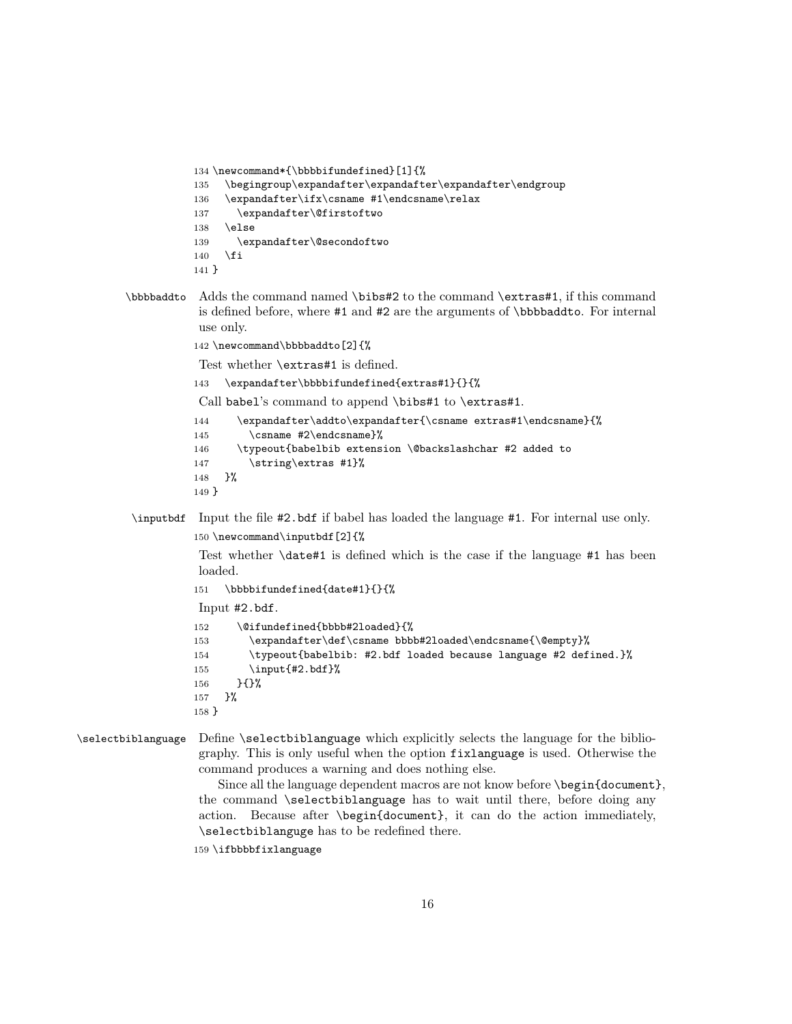```
134 \newcommand*{\bbbbifundefined}[1]{%
135 \begingroup\expandafter\expandafter\expandafter\endgroup
136 \expandafter\ifx\csname #1\endcsname\relax
137 \expandafter\@firstoftwo
138 \else
139 \expandafter\@secondoftwo
140 \fi
141 }
```
- \bbbbaddto Adds the command named \bibs#2 to the command \extras#1, if this command is defined before, where #1 and #2 are the arguments of \bbbbaddto. For internal use only.
	- 142 \newcommand\bbbbaddto[2]{%

Test whether \extras#1 is defined.

```
143 \expandafter\bbbbifundefined{extras#1}{}{%
```

```
Call babel's command to append \bibs#1 to \extras#1.
144 \expandafter\addto\expandafter{\csname extras#1\endcsname}{%
145 \csname #2\endcsname}%
146 \typeout{babelbib extension \@backslashchar #2 added to
147 \string\extras #1}%
```

```
148 }%
149 }
```
\inputbdf Input the file #2.bdf if babel has loaded the language #1. For internal use only. 150 \newcommand\inputbdf[2]{%

> Test whether \date#1 is defined which is the case if the language #1 has been loaded.

```
151 \bbbbifundefined{date#1}{}{%
```
Input #2.bdf.

```
152 \@ifundefined{bbbb#2loaded}{%
153 \expandafter\def\csname bbbb#2loaded\endcsname{\@empty}%
154 \typeout{babelbib: #2.bdf loaded because language #2 defined.}%
155 \input{#2.bdf}%
156 }{}%
157 }%
158 }
```
\selectbiblanguage Define \selectbiblanguage which explicitly selects the language for the bibliography. This is only useful when the option fixlanguage is used. Otherwise the command produces a warning and does nothing else.

> Since all the language dependent macros are not know before \begin{document}, the command \selectbiblanguage has to wait until there, before doing any action. Because after \begin{document}, it can do the action immediately, \selectbiblanguge has to be redefined there.

159 \ifbbbbfixlanguage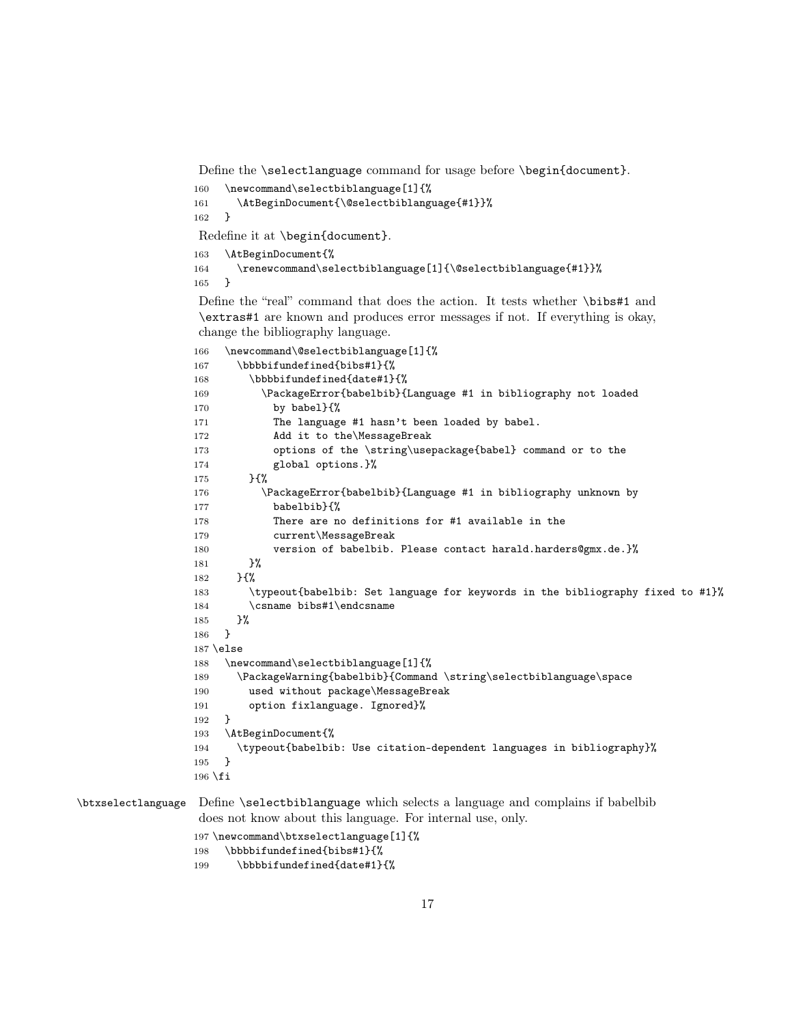Define the \selectlanguage command for usage before \begin{document}.

```
160 \newcommand\selectbiblanguage[1]{%
161 \AtBeginDocument{\@selectbiblanguage{#1}}%
162 }
```
Redefine it at \begin{document}.

\AtBeginDocument{%

 \renewcommand\selectbiblanguage[1]{\@selectbiblanguage{#1}}% }

Define the "real" command that does the action. It tests whether \bibs#1 and \extras#1 are known and produces error messages if not. If everything is okay, change the bibliography language.

```
166 \newcommand\@selectbiblanguage[1]{%
                 167 \bbbbifundefined{bibs#1}{%
                 168 \bbbbifundefined{date#1}{%
                 169 \PackageError{babelbib}{Language #1 in bibliography not loaded
                 170 by babel}{%
                 171 The language #1 hasn't been loaded by babel.
                 172 Add it to the\MessageBreak
                 173 options of the \string\usepackage{babel} command or to the
                 174 global options.}%
                 175 }{%
                 176 \PackageError{babelbib}{Language #1 in bibliography unknown by
                 177 babelbib}{%
                 178 There are no definitions for #1 available in the
                 179 current\MessageBreak
                 180 version of babelbib. Please contact harald.harders@gmx.de.}%
                 181    }%
                 182 }{%
                 183 \typeout{babelbib: Set language for keywords in the bibliography fixed to #1}%
                 184 \csname bibs#1\endcsname
                 185 }%
                 186 }
                 187 \else
                 188 \newcommand\selectbiblanguage[1]{%
                 189 \PackageWarning{babelbib}{Command \string\selectbiblanguage\space
                 190 used without package\MessageBreak
                 191 option fixlanguage. Ignored}%
                 192 }
                 193 \AtBeginDocument{%
                 194 \typeout{babelbib: Use citation-dependent languages in bibliography}%
                 195 }
                 196 \overline{1}\btxselectlanguage Define \selectbiblanguage which selects a language and complains if babelbib
```
does not know about this language. For internal use, only.

```
197 \newcommand\btxselectlanguage[1]{%
198 \bbbbifundefined{bibs#1}{%
```

```
199 \bbbbifundefined{date#1}{%
```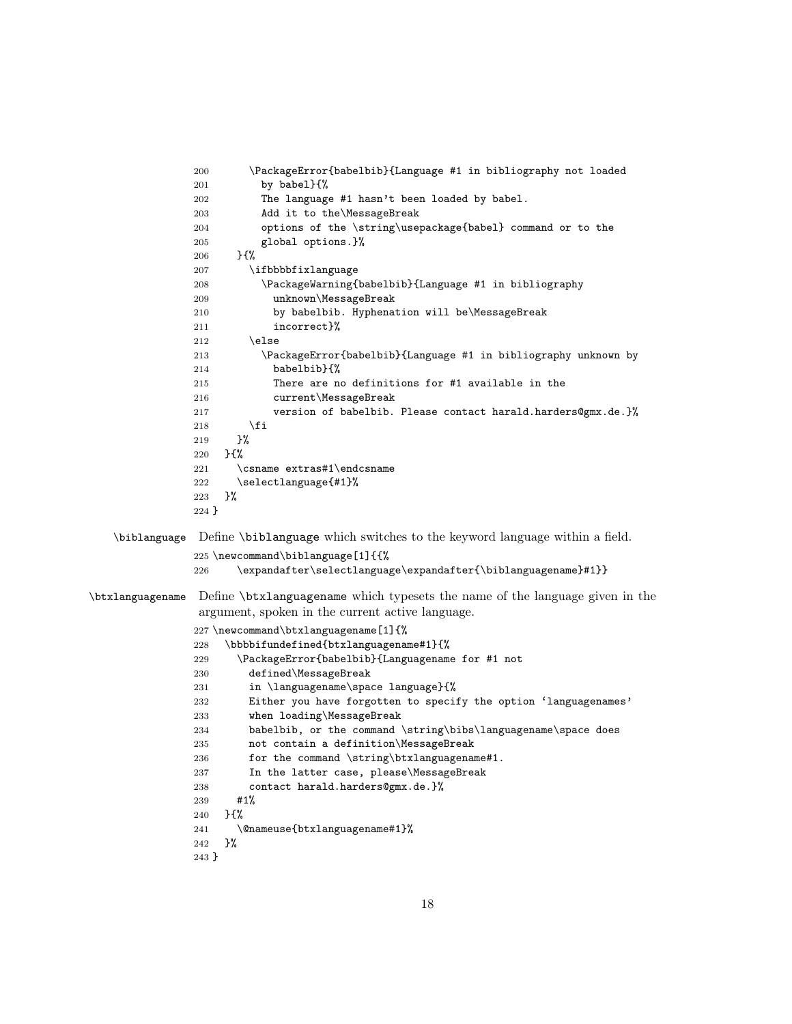```
200 \PackageError{babelbib}{Language #1 in bibliography not loaded
               201 by babel}\{\%202 The language #1 hasn't been loaded by babel.
               203 Add it to the\MessageBreak
               204 options of the \string\usepackage{babel} command or to the
               205 global options.}%
               206 }{%
               207 \ifbbbbfixlanguage
               208 \PackageWarning{babelbib}{Language #1 in bibliography
               209 unknown\MessageBreak
               210 by babelbib. Hyphenation will be\MessageBreak
               211 incorrect}%
               212 \else
               213 \PackageError{babelbib}{Language #1 in bibliography unknown by
               214 babelbib}{%
               215 There are no definitions for #1 available in the
               216 current\MessageBreak
               217 version of babelbib. Please contact harald.harders@gmx.de.}%
               218 \forallfi
               219 }%
               220 }{%
               221 \csname extras#1\endcsname
               222 \selectlanguage{#1}%
               223 }%
               224 }
   \biblanguage Define \biblanguage which switches to the keyword language within a field.
               225 \newcommand\biblanguage[1]{{%
               226 \expandafter\selectlanguage\expandafter{\biblanguagename}#1}}
\btxlanguagename Define \btxlanguagename which typesets the name of the language given in the
                argument, spoken in the current active language.
               227 \newcommand\btxlanguagename[1]{%
               228 \bbbbifundefined{btxlanguagename#1}{%
               229 \PackageError{babelbib}{Languagename for #1 not
               230 defined\MessageBreak
               231 in \languagename\space language}{%
               232 Either you have forgotten to specify the option 'languagenames'
               233 when loading\MessageBreak
               234 babelbib, or the command \string\bibs\languagename\space does
               235 not contain a definition\MessageBreak
               236 for the command \string\btxlanguagename#1.
               237 In the latter case, please\MessageBreak
               238 contact harald.harders@gmx.de.}%
               239 #1%
               240 }{%
               241 \@nameuse{btxlanguagename#1}%
               242 }%
               243 }
```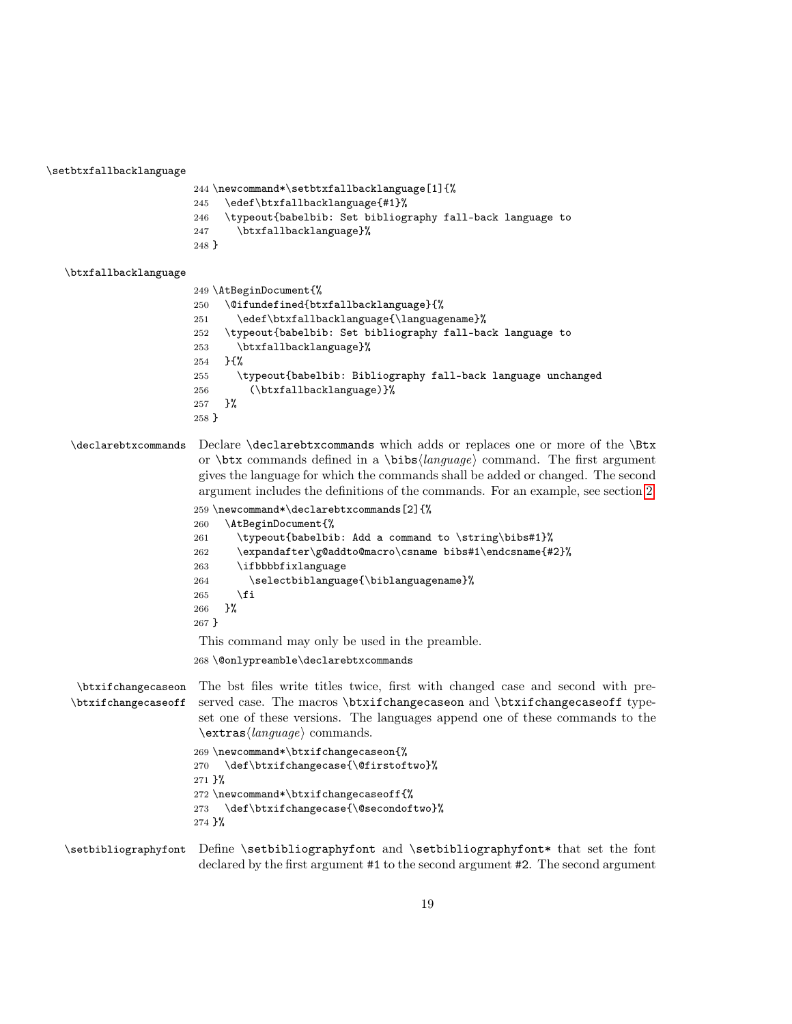\setbtxfallbacklanguage

```
244 \newcommand*\setbtxfallbacklanguage[1]{%
245 \edef\btxfallbacklanguage{#1}%
246 \typeout{babelbib: Set bibliography fall-back language to
247 \btxfallbacklanguage}%
248 }
```
#### \btxfallbacklanguage

```
249 \AtBeginDocument{%
250 \@ifundefined{btxfallbacklanguage}{%
251 \edef\btxfallbacklanguage{\languagename}%
252 \typeout{babelbib: Set bibliography fall-back language to
253 \btxfallbacklanguage}%
254 }{%
255 \typeout{babelbib: Bibliography fall-back language unchanged
256 (\btxfallbacklanguage)}%
257 }%
258 }
```
\declarebtxcommands Declare \declarebtxcommands which adds or replaces one or more of the \Btx or  $\beta$  commands defined in a  $\bigcirc$  language) command. The first argument gives the language for which the commands shall be added or changed. The second argument includes the definitions of the commands. For an example, see section [2.](#page-2-1)

```
259 \newcommand*\declarebtxcommands[2]{%
260 \AtBeginDocument{%
261 \typeout{babelbib: Add a command to \string\bibs#1}%
262 \expandafter\g@addto@macro\csname bibs#1\endcsname{#2}%
263 \ifbbbbfixlanguage
264 \selectbiblanguage{\biblanguagename}%
265 \fi
266 }%
267 }
This command may only be used in the preamble.
268 \@onlypreamble\declarebtxcommands
```
\btxifchangecaseon \btxifchangecaseoff The bst files write titles twice, first with changed case and second with preserved case. The macros \btxifchangecaseon and \btxifchangecaseoff typeset one of these versions. The languages append one of these commands to the  $\text{trans}\langle language\rangle$  commands.

```
269 \newcommand*\btxifchangecaseon{%
270 \def\btxifchangecase{\@firstoftwo}%
271 }%
272 \newcommand*\btxifchangecaseoff{%
273 \def\btxifchangecase{\@secondoftwo}%
274 }%
```
### \setbibliographyfont Define \setbibliographyfont and \setbibliographyfont\* that set the font declared by the first argument #1 to the second argument #2. The second argument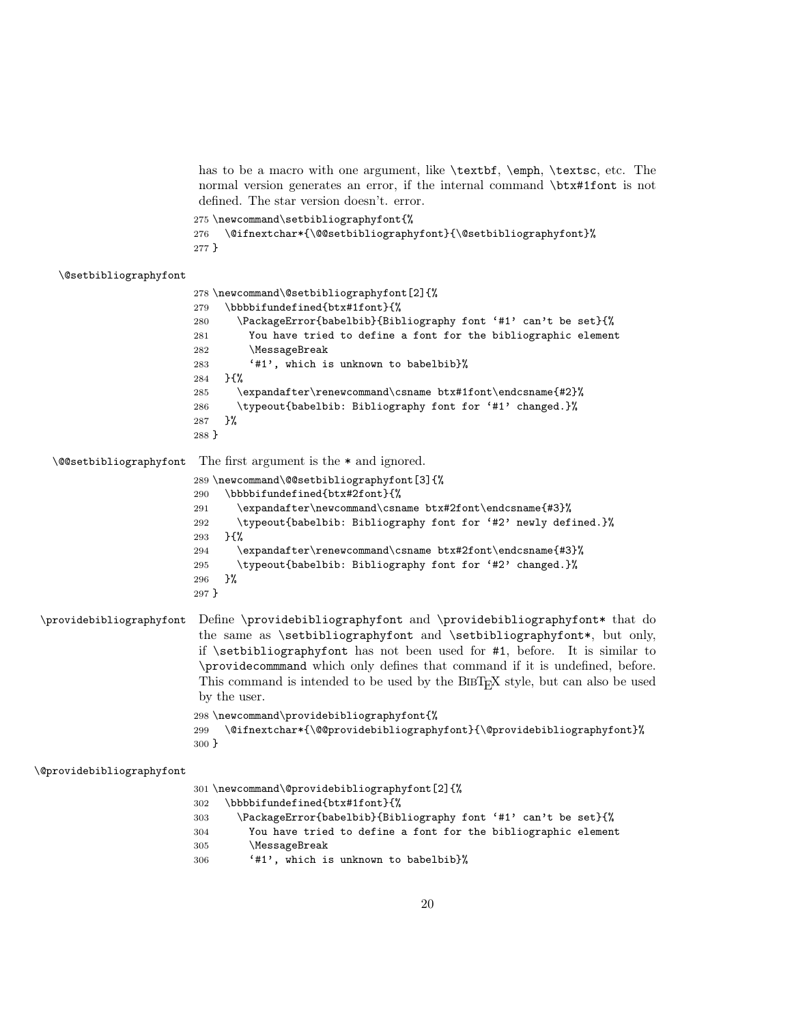has to be a macro with one argument, like  $\textbf{k}, \emptyset$ ,  $\textbf{k}$ ,  $\textbf{k}$ ,  $\textbf{k}$ normal version generates an error, if the internal command \btx#1font is not defined. The star version doesn't. error.

 \newcommand\setbibliographyfont{% \@ifnextchar\*{\@@setbibliographyfont}{\@setbibliographyfont}% }

#### \@setbibliographyfont

```
278 \newcommand\@setbibliographyfont[2]{%
                         279 \bbbbifundefined{btx#1font}{%
                         280 \PackageError{babelbib}{Bibliography font '#1' can't be set}{%
                         281 You have tried to define a font for the bibliographic element
                         282 \MessageBreak
                         283 '#1', which is unknown to babelbib}%
                         284 }{%
                         285 \expandafter\renewcommand\csname btx#1font\endcsname{#2}%
                         286 \typeout{babelbib: Bibliography font for '#1' changed.}%
                         287 }%
                         288 }
   \@@setbibliographyfont The first argument is the * and ignored.
                         289 \newcommand\@@setbibliographyfont[3]{%
                         290 \bbbbifundefined{btx#2font}{%
                         291 \expandafter\newcommand\csname btx#2font\endcsname{#3}%
                         292 \typeout{babelbib: Bibliography font for '#2' newly defined.}%
                         293 }{%
                         294 \expandafter\renewcommand\csname btx#2font\endcsname{#3}%
                         295 \typeout{babelbib: Bibliography font for '#2' changed.}%
                         296 }%
                         297 }
\providebibliographyfont Define \providebibliographyfont and \providebibliographyfont* that do
                          the same as \setbibliographyfont and \setbibliographyfont*, but only,
                          if \setminus setbibliographyfont has not been used for #1, before. It is similar to
                          \providecommmand which only defines that command if it is undefined, before.
                          This command is intended to be used by the BIBT<sub>E</sub>X style, but can also be used
                          by the user.
                         298 \newcommand\providebibliographyfont{%
                         299 \@ifnextchar*{\@@providebibliographyfont}{\@providebibliographyfont}%
                         300 }
\@providebibliographyfont
                         301 \newcommand\@providebibliographyfont[2]{%
                         302 \bbbbifundefined{btx#1font}{%
                         303 \PackageError{babelbib}{Bibliography font '#1' can't be set}{%
```
 You have tried to define a font for the bibliographic element \MessageBreak

'#1', which is unknown to babelbib}%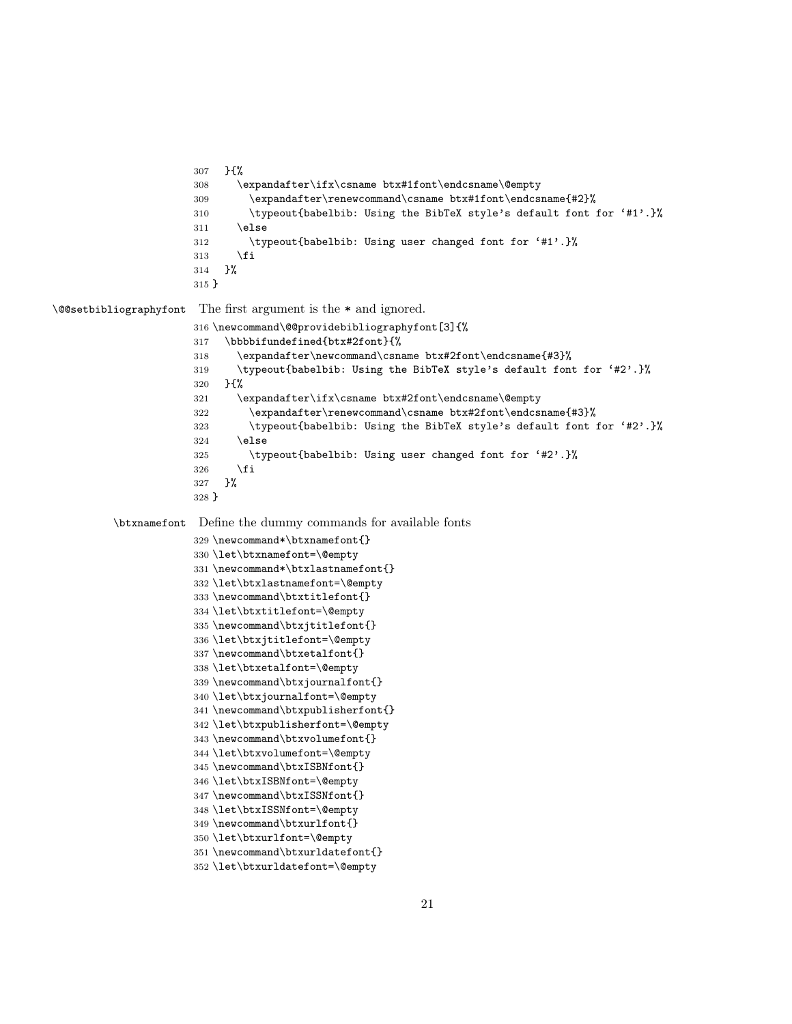```
307 }{%
                      308 \expandafter\ifx\csname btx#1font\endcsname\@empty
                      309 \expandafter\renewcommand\csname btx#1font\endcsname{#2}%
                      310 \typeout{babelbib: Using the BibTeX style's default font for '#1'.}%
                      311 \else
                      312 \typeout{babelbib: Using user changed font for '#1'.}%
                      313 \fi
                      314 }%
                      315 }
\@@setbibliographyfont The first argument is the * and ignored.
                      316 \newcommand\@@providebibliographyfont[3]{%
                      317 \bbbbifundefined{btx#2font}{%
                      318 \expandafter\newcommand\csname btx#2font\endcsname{#3}%
                      319 \typeout{babelbib: Using the BibTeX style's default font for '#2'.}%
                      320 }{%
                      321 \expandafter\ifx\csname btx#2font\endcsname\@empty
                      322 \expandafter\renewcommand\csname btx#2font\endcsname{#3}%
                      323 \typeout{babelbib: Using the BibTeX style's default font for '#2'.}%
                      324 \else
                      325 \typeout{babelbib: Using user changed font for '#2'.}%
                      326 \fi
                      327 }%
                      328 }
         \btxnamefont Define the dummy commands for available fonts
                      329 \newcommand*\btxnamefont{}
                      330 \let\btxnamefont=\@empty
                      331 \newcommand*\btxlastnamefont{}
                      332 \let\btxlastnamefont=\@empty
                      333 \newcommand\btxtitlefont{}
                      334 \let\btxtitlefont=\@empty
                      335 \newcommand\btxjtitlefont{}
                      336 \let\btxjtitlefont=\@empty
                      337 \newcommand\btxetalfont{}
                      338 \let\btxetalfont=\@empty
                      339 \newcommand\btxjournalfont{}
                      340 \let\btxjournalfont=\@empty
                      341 \newcommand\btxpublisherfont{}
                      342 \let\btxpublisherfont=\@empty
                      343 \newcommand\btxvolumefont{}
                      344 \let\btxvolumefont=\@empty
                      345 \newcommand\btxISBNfont{}
                      346 \let\btxISBNfont=\@empty
                      347 \newcommand\btxISSNfont{}
                      348 \let\btxISSNfont=\@empty
                      349 \newcommand\btxurlfont{}
                      350 \let\btxurlfont=\@empty
                      351 \newcommand\btxurldatefont{}
```

```
352 \let\btxurldatefont=\@empty
```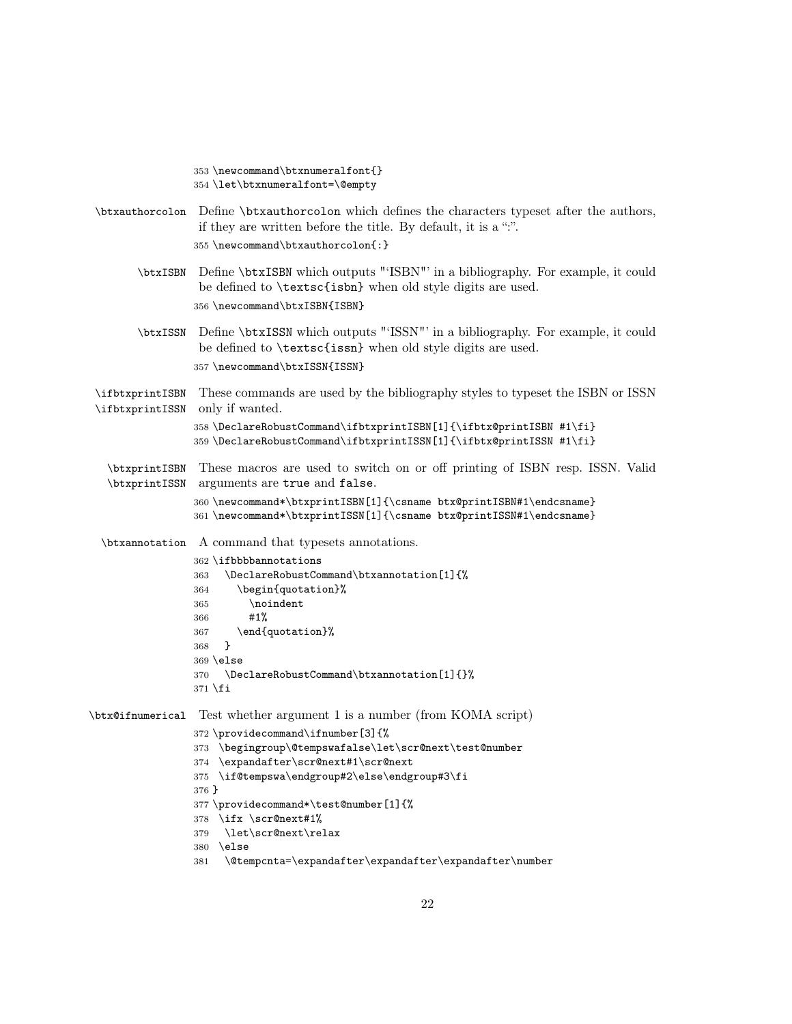\newcommand\btxnumeralfont{} \let\btxnumeralfont=\@empty \btxauthorcolon Define \btxauthorcolon which defines the characters typeset after the authors, if they are written before the title. By default, it is a ":". \newcommand\btxauthorcolon{:} \btxISBN Define \btxISBN which outputs "'ISBN"' in a bibliography. For example, it could be defined to \textsc{isbn} when old style digits are used. \newcommand\btxISBN{ISBN} \btxISSN Define \btxISSN which outputs "'ISSN"' in a bibliography. For example, it could be defined to \textsc{issn} when old style digits are used. \newcommand\btxISSN{ISSN} \ifbtxprintISBN \ifbtxprintISSN only if wanted. These commands are used by the bibliography styles to typeset the ISBN or ISSN \DeclareRobustCommand\ifbtxprintISBN[1]{\ifbtx@printISBN #1\fi}  $359 \ \DeclareRobustCommand\ifbtxprintISSN[1]{\ifbtx@printISSN #1\fi}$ \btxprintISBN \btxprintISSN These macros are used to switch on or off printing of ISBN resp. ISSN. Valid arguments are true and false. \newcommand\*\btxprintISBN[1]{\csname btx@printISBN#1\endcsname} \newcommand\*\btxprintISSN[1]{\csname btx@printISSN#1\endcsname} \btxannotation A command that typesets annotations. \ifbbbbannotations \DeclareRobustCommand\btxannotation[1]{% \begin{quotation}% \noindent #1% \end{quotation}% } \else \DeclareRobustCommand\btxannotation[1]{}% \fi \btx@ifnumerical Test whether argument 1 is a number (from KOMA script) \providecommand\ifnumber[3]{% \begingroup\@tempswafalse\let\scr@next\test@number \expandafter\scr@next#1\scr@next \if@tempswa\endgroup#2\else\endgroup#3\fi } \providecommand\*\test@number[1]{% \ifx \scr@next#1% \let\scr@next\relax \else \@tempcnta=\expandafter\expandafter\expandafter\number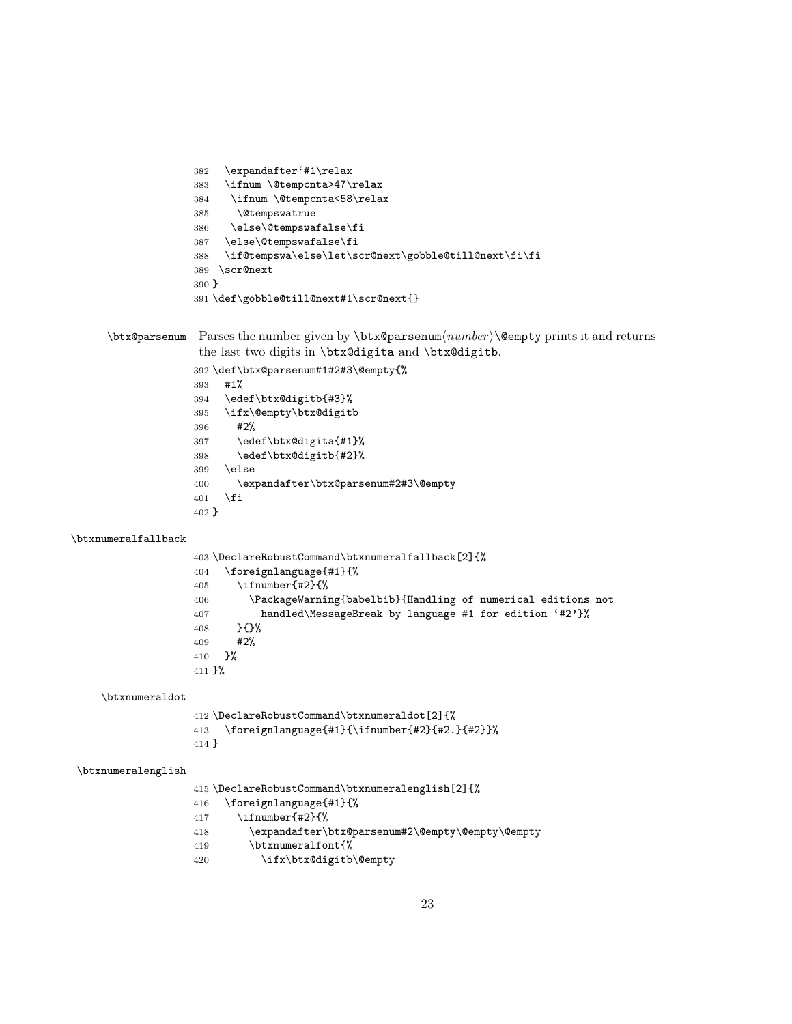```
382 \expandafter'#1\relax
383 \ifnum \@tempcnta>47\relax
384 \ifnum \@tempcnta<58\relax
385 \@tempswatrue
386 \else\@tempswafalse\fi
387 \else\@tempswafalse\fi
388 \if@tempswa\else\let\scr@next\gobble@till@next\fi\fi
389 \scr@next
390 }
391 \def\gobble@till@next#1\scr@next{}
```

```
\text{Coker} Parses the number given by \text{Coker} \alpha(number) \text{Cempty prints it and returns}the last two digits in \btx@digita and \btx@digitb.
```

```
392 \def\btx@parsenum#1#2#3\@empty{%
393 #1%
394 \edef\btx@digitb{#3}%
395 \ifx\@empty\btx@digitb
396 #2%
397 \edef\btx@digita{#1}%
398 \edef\btx@digitb{#2}%
399 \else
400 \expandafter\btx@parsenum#2#3\@empty
401 \fi
402 }
```

```
\btxnumeralfallback
```

```
403 \DeclareRobustCommand\btxnumeralfallback[2]{%
404 \foreignlanguage{#1}{%
405 \iint number{#2}{%406 \PackageWarning{babelbib}{Handling of numerical editions not
407 handled\MessageBreak by language #1 for edition '#2'}%
408 }{}%
409 #2%
410
411 }%
```

```
\btxnumeraldot
```

```
412 \DeclareRobustCommand\btxnumeraldot[2]{%
413 \foreignlanguage{#1}{\ifnumber{#2}{#2.}{#2}}%
414 }
```
#### \btxnumeralenglish

\DeclareRobustCommand\btxnumeralenglish[2]{%

- \foreignlanguage{#1}{%
- \ifnumber{#2}{%
- \expandafter\btx@parsenum#2\@empty\@empty\@empty
- \btxnumeralfont{%
- \ifx\btx@digitb\@empty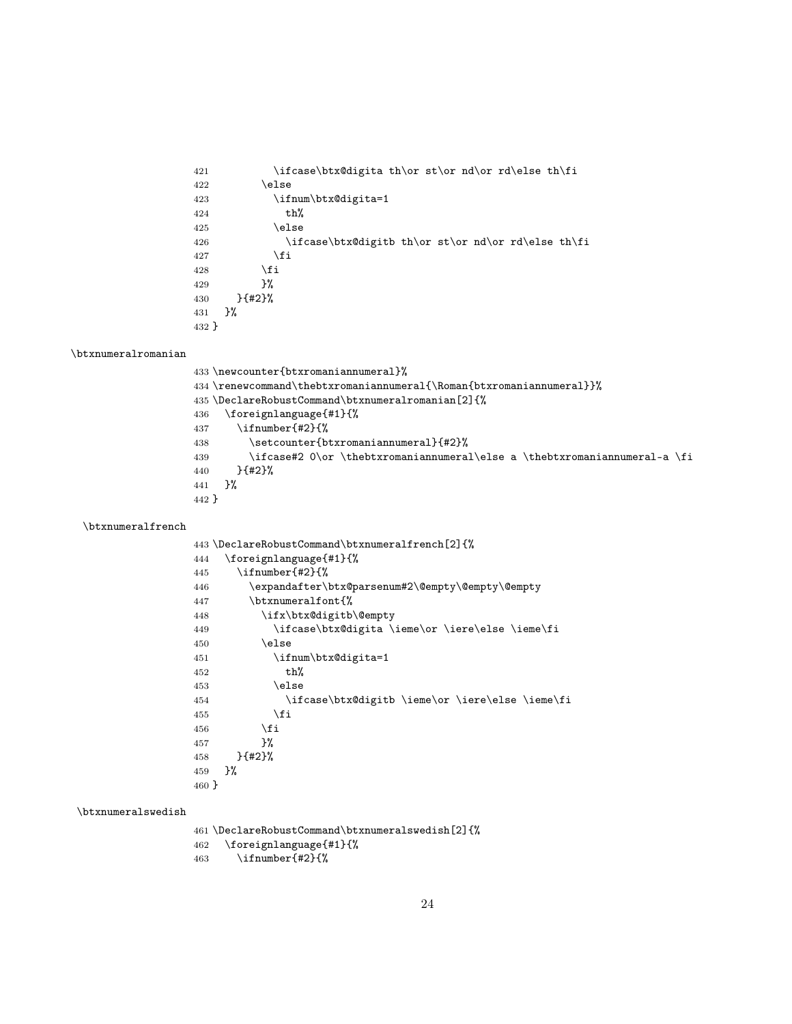```
421 \ifcase\btx@digita th\or st\or nd\or rd\else th\fi
422 \else
423 \ifnum\btx@digita=1
424 th%
425 \else
426 \ifcase\btx@digitb th\or st\or nd\or rd\else th\fi
427 \fi
428 \setminusfi
429 }%
430 }{#2}%
431 }%
432 }
```
#### \btxnumeralromanian

|       | 433 \newcounter{btxromaniannumeral}%                                         |
|-------|------------------------------------------------------------------------------|
|       | 434 \renewcommand\thebtxromaniannumeral{\Roman{btxromaniannumeral}}%         |
|       | 435 \DeclareRobustCommand\btxnumeralromanian[2]{%                            |
|       | 436 \foreignlanguage{#1}{%                                                   |
|       | $437$ \ifnumber{#2}{%                                                        |
| 438   | \setcounter{btxromaniannumeral}{#2}%                                         |
| 439   | \ifcase#2 $0\or \the$ btxromaniannumeral\else a \thebtxromaniannumeral-a \fi |
| 440   | }{#2}%                                                                       |
|       | 441 P <sub>6</sub>                                                           |
| 442 } |                                                                              |
|       |                                                                              |

### \btxnumeralfrench

|       | 443 \DeclareRobustCommand\btxnumeralfrench[2]{%  |
|-------|--------------------------------------------------|
| 444   | \foreignlanguage{#1}{%                           |
| 445   | \ifnumber{#2}{%                                  |
| 446   | \expandafter\btx@parsenum#2\@empty\@empty\@empty |
| 447   | \btxnumeralfont{%                                |
| 448   | \ifx\btx@digitb\@empty                           |
| 449   | \ifcase\btx@digita \ieme\or \iere\else \ieme\fi  |
| 450   | \else                                            |
| 451   | \ifnum\btx@digita=1                              |
| 452   | th%                                              |
| 453   | \else                                            |
| 454   | \ifcase\btx@digitb \ieme\or \iere\else \ieme\fi  |
| 455   | \fi                                              |
| 456   | \fi                                              |
| 457   | }‰                                               |
| 458   | $}$ {#2}%                                        |
| 459   | ጉ%                                               |
| 460 } |                                                  |

#### \btxnumeralswedish

 \DeclareRobustCommand\btxnumeralswedish[2]{% \foreignlanguage{#1}{% \ifnumber{#2}{%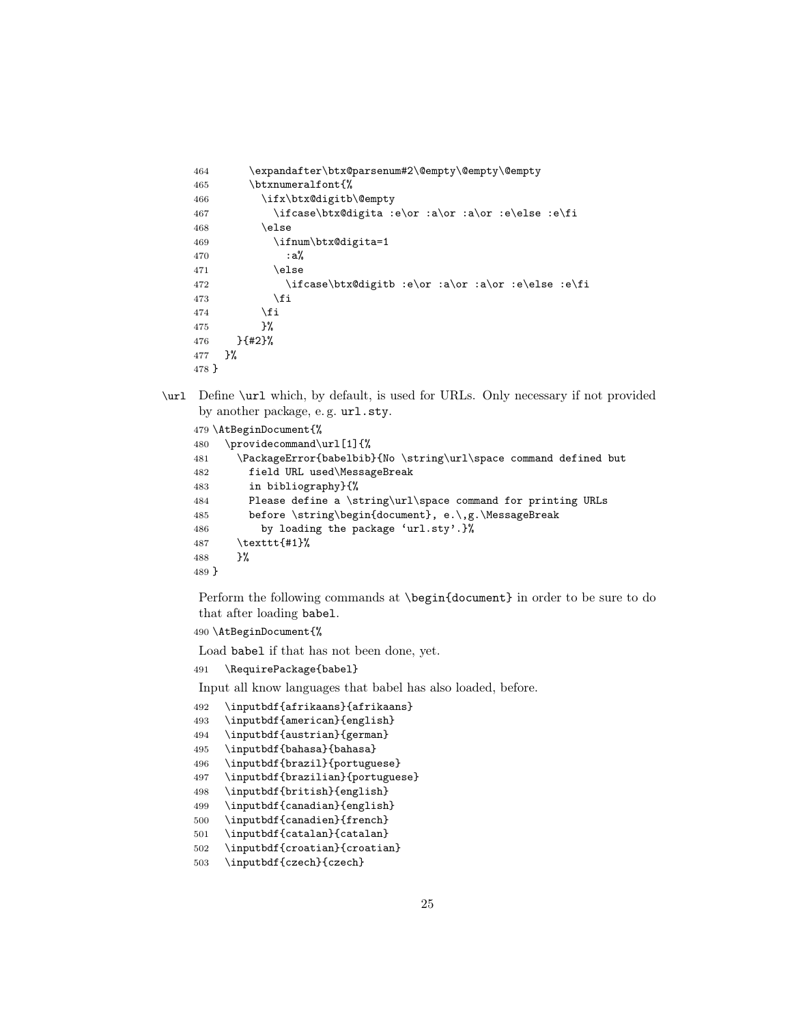```
464 \expandafter\btx@parsenum#2\@empty\@empty\@empty
465 \btxnumeralfont{%
466 \ifx\btx@digitb\@empty
467 \ifcase\btx@digita :e\or :a\or :a\or :e\else :e\fi
468 \else
469 \ifnum\btx@digita=1
470 : a%
471 \else
472 \ifcase\btx@digitb :e\or :a\or :a\or :e\else :e\fi
473 \overline{\phantom{a}} \fi
474 \fi
475 }%
476 }{#2}%
477 }%
478 }
```
\url Define \url which, by default, is used for URLs. Only necessary if not provided by another package, e. g. url.sty.

```
479 \AtBeginDocument{%
480 \providecommand\url[1]{%
481 \PackageError{babelbib}{No \string\url\space command defined but
482 field URL used\MessageBreak
483 in bibliography}{%
484 Please define a \string\url\space command for printing URLs
485 before \string\begin{document}, e.\,g.\MessageBreak
486 by loading the package 'url.sty'.}%
487 \texttt{#1}%
488 }%
489 }
```
Perform the following commands at \begin{document} in order to be sure to do that after loading babel.

```
490 \AtBeginDocument{%
```
Load babel if that has not been done, yet.

\RequirePackage{babel}

Input all know languages that babel has also loaded, before.

- \inputbdf{afrikaans}{afrikaans}
- \inputbdf{american}{english}
- \inputbdf{austrian}{german}
- \inputbdf{bahasa}{bahasa}
- \inputbdf{brazil}{portuguese}
- \inputbdf{brazilian}{portuguese}
- \inputbdf{british}{english}
- \inputbdf{canadian}{english}
- \inputbdf{canadien}{french}
- \inputbdf{catalan}{catalan}
- \inputbdf{croatian}{croatian}
- \inputbdf{czech}{czech}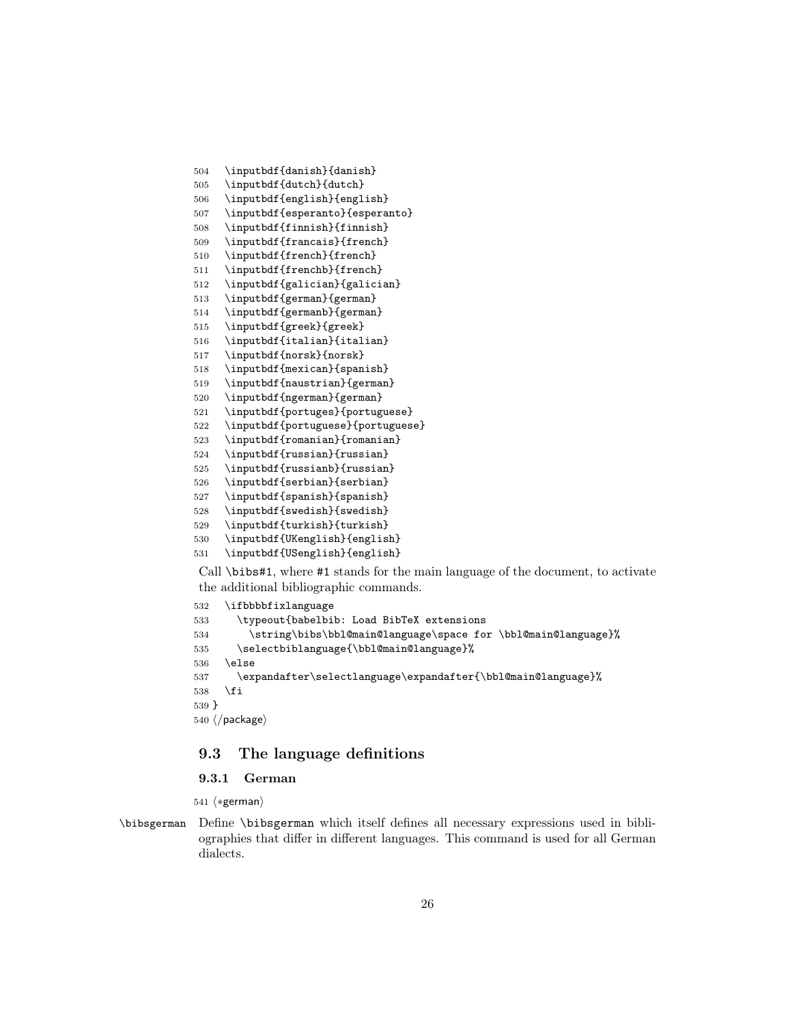- \inputbdf{danish}{danish}
- \inputbdf{dutch}{dutch}
- \inputbdf{english}{english}
- \inputbdf{esperanto}{esperanto}
- \inputbdf{finnish}{finnish}
- \inputbdf{francais}{french}
- \inputbdf{french}{french}
- 511 \inputbdf{frenchb}{french}
- \inputbdf{galician}{galician}
- \inputbdf{german}{german}
- \inputbdf{germanb}{german}
- \inputbdf{greek}{greek}
- \inputbdf{italian}{italian}
- \inputbdf{norsk}{norsk}
- \inputbdf{mexican}{spanish}
- \inputbdf{naustrian}{german}
- \inputbdf{ngerman}{german}
- \inputbdf{portuges}{portuguese}
- \inputbdf{portuguese}{portuguese}
- \inputbdf{romanian}{romanian}
- \inputbdf{russian}{russian}
- \inputbdf{russianb}{russian}
- \inputbdf{serbian}{serbian}
- \inputbdf{spanish}{spanish}
- \inputbdf{swedish}{swedish}
- \inputbdf{turkish}{turkish}
- \inputbdf{UKenglish}{english}
- \inputbdf{USenglish}{english}

Call \bibs#1, where #1 stands for the main language of the document, to activate the additional bibliographic commands.

```
532 \ifbbbbfixlanguage
533 \typeout{babelbib: Load BibTeX extensions
534 \string\bibs\bbl@main@language\space for \bbl@main@language}%
535 \selectbiblanguage{\bbl@main@language}%
536 \else
537 \expandafter\selectlanguage\expandafter{\bbl@main@language}%
538 \fi
539 }
540 \langle/package\rangle
```
### <span id="page-25-0"></span>9.3 The language definitions

### <span id="page-25-1"></span>9.3.1 German

541  $\langle *german \rangle$ 

\bibsgerman Define \bibsgerman which itself defines all necessary expressions used in bibliographies that differ in different languages. This command is used for all German dialects.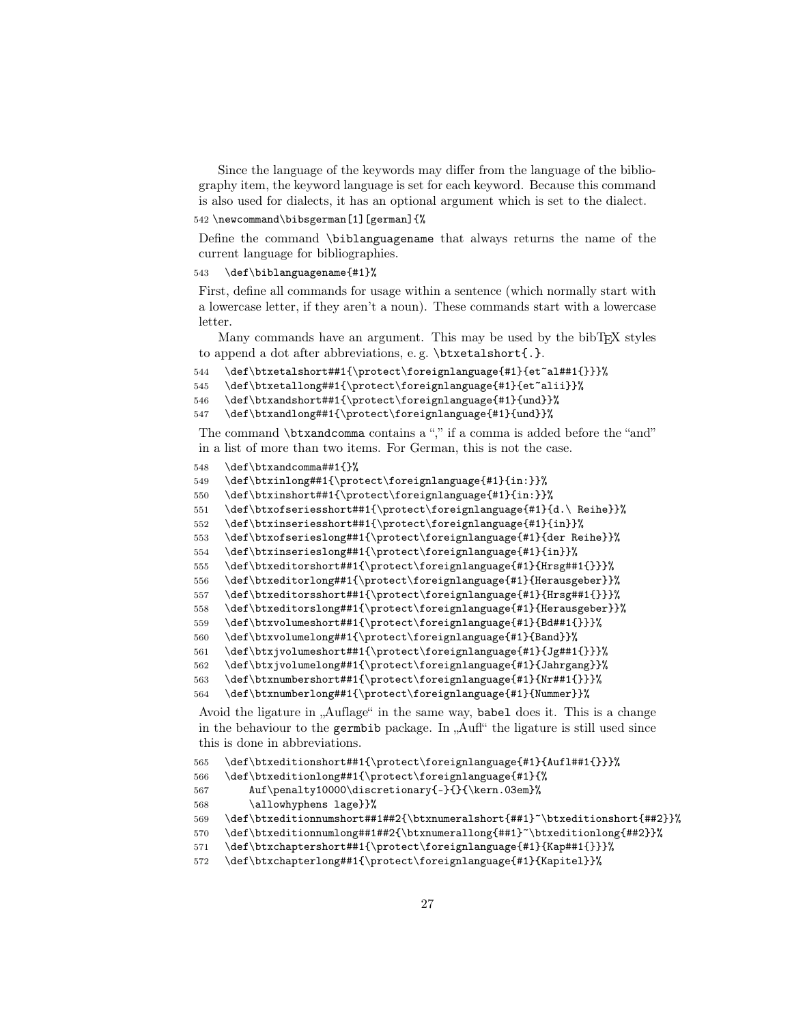Since the language of the keywords may differ from the language of the bibliography item, the keyword language is set for each keyword. Because this command is also used for dialects, it has an optional argument which is set to the dialect.

```
542 \newcommand\bibsgerman[1][german]{%
```
Define the command \biblanguagename that always returns the name of the current language for bibliographies.

```
543 \def\biblanguagename{#1}%
```
First, define all commands for usage within a sentence (which normally start with a lowercase letter, if they aren't a noun). These commands start with a lowercase **letter** 

Many commands have an argument. This may be used by the bibT<sub>EX</sub> styles to append a dot after abbreviations, e. g. \btxetalshort{.}.

```
544 \def\btxetalshort##1{\protect\foreignlanguage{#1}{et~al##1{}}}%
```

```
545 \def\btxetallong##1{\protect\foreignlanguage{#1}{et~alii}}%
```

```
546 \def\btxandshort##1{\protect\foreignlanguage{#1}{und}}%
```

```
547 \def\btxandlong##1{\protect\foreignlanguage{#1}{und}}%
```
The command \btxandcomma contains a "," if a comma is added before the "and" in a list of more than two items. For German, this is not the case.

```
548 \def\btxandcomma##1{}%
```

```
549 \def\btxinlong##1{\protect\foreignlanguage{#1}{in:}}%
```

```
550 \def\btxinshort##1{\protect\foreignlanguage{#1}{in:}}%
```

```
551 \def\btxofseriesshort##1{\protect\foreignlanguage{#1}{d.\ Reihe}}%
```

```
552 \def\btxinseriesshort##1{\protect\foreignlanguage{#1}{in}}%
```

```
553 \def\btxofserieslong##1{\protect\foreignlanguage{#1}{der Reihe}}%
```

```
554 \def\btxinserieslong##1{\protect\foreignlanguage{#1}{in}}%
```

```
555 \def\btxeditorshort##1{\protect\foreignlanguage{#1}{Hrsg##1{}}}%
```

```
556 \def\btxeditorlong##1{\protect\foreignlanguage{#1}{Herausgeber}}%
```

```
557 \def\btxeditorsshort##1{\protect\foreignlanguage{#1}{Hrsg##1{}}}%
```

```
558 \def\btxeditorslong##1{\protect\foreignlanguage{#1}{Herausgeber}}%
```

```
559 \def\btxvolumeshort##1{\protect\foreignlanguage{#1}{Bd##1{}}}%
```

```
560 \def\btxvolumelong##1{\protect\foreignlanguage{#1}{Band}}%
```

```
561 \def\btxjvolumeshort##1{\protect\foreignlanguage{#1}{Jg##1{}}}%
```

```
562 \def\btxjvolumelong##1{\protect\foreignlanguage{#1}{Jahrgang}}%
563 \def\btxnumbershort##1{\protect\foreignlanguage{#1}{Nr##1{}}}%
```

```
564 \def\btxnumberlong##1{\protect\foreignlanguage{#1}{Nummer}}%
```
Avoid the ligature in "Auflage" in the same way, babel does it. This is a change in the behaviour to the germbib package. In  $\Lambda$ ufl" the ligature is still used since this is done in abbreviations.

```
565 \def\btxeditionshort##1{\protect\foreignlanguage{#1}{Aufl##1{}}}%
```

```
566 \def\btxeditionlong##1{\protect\foreignlanguage{#1}{%
```

```
567 Auf\penalty10000\discretionary{-}{}{\kern.03em}%
```

```
568 \allowhyphens lage}}%
```

```
569 \def\btxeditionnumshort##1##2{\btxnumeralshort{##1}~\btxeditionshort{##2}}%
```

```
570 \def\btxeditionnumlong##1##2{\btxnumerallong{##1}~\btxeditionlong{##2}}%
```

```
571 \def\btxchaptershort##1{\protect\foreignlanguage{#1}{Kap##1{}}}%
```

```
572 \def\btxchapterlong##1{\protect\foreignlanguage{#1}{Kapitel}}%
```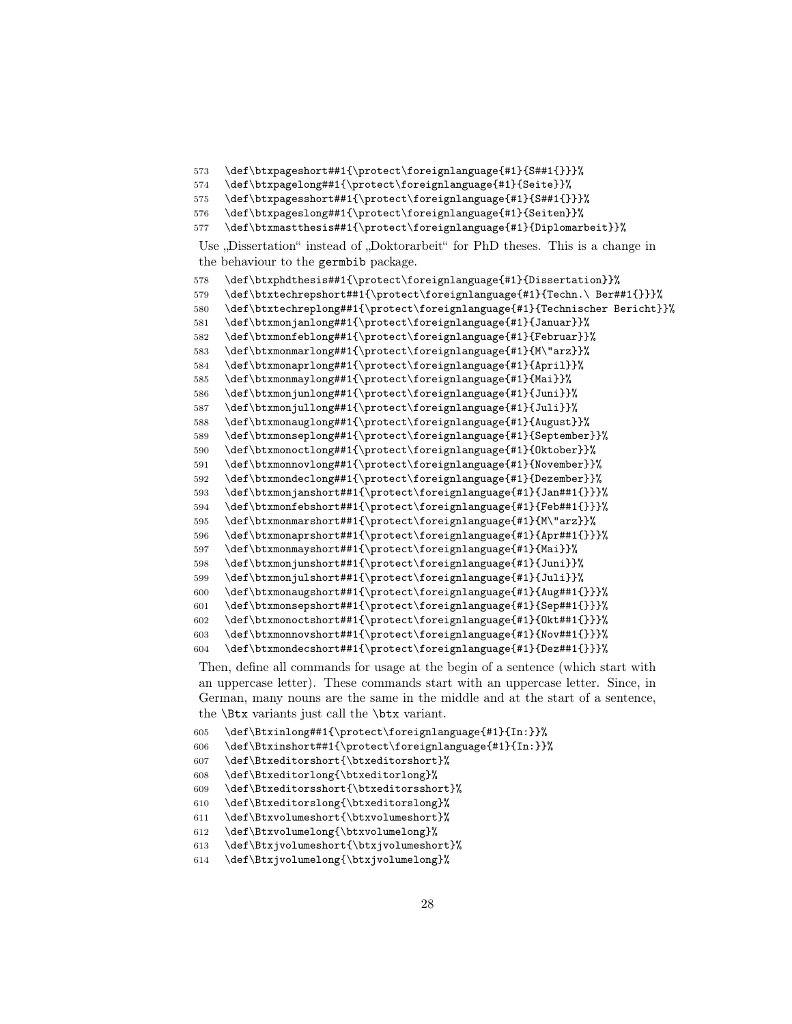```
573 \def\btxpageshort##1{\protect\foreignlanguage{#1}{S##1{}}}%
```

```
574 \def\btxpagelong##1{\protect\foreignlanguage{#1}{Seite}}%
```

```
575 \def\btxpagesshort##1{\protect\foreignlanguage{#1}{S##1{}}}%
```

```
576 \def\btxpageslong##1{\protect\foreignlanguage{#1}{Seiten}}%
```

```
577 \def\btxmastthesis##1{\protect\foreignlanguage{#1}{Diplomarbeit}}%
```
Use "Dissertation" instead of "Doktorarbeit" for PhD theses. This is a change in the behaviour to the germbib package.

```
578 \def\btxphdthesis##1{\protect\foreignlanguage{#1}{Dissertation}}%
579 \def\btxtechrepshort##1{\protect\foreignlanguage{#1}{Techn.\ Ber##1{}}}%
580 \def\btxtechreplong##1{\protect\foreignlanguage{#1}{Technischer Bericht}}%
581 \def\btxmonjanlong##1{\protect\foreignlanguage{#1}{Januar}}%
582 \def\btxmonfeblong##1{\protect\foreignlanguage{#1}{Februar}}%
583 \def\btxmonmarlong##1{\protect\foreignlanguage{#1}{M\"arz}}%
584 \def\btxmonaprlong##1{\protect\foreignlanguage{#1}{April}}%
585 \def\btxmonmaylong##1{\protect\foreignlanguage{#1}{Mai}}%
586 \def\btxmonjunlong##1{\protect\foreignlanguage{#1}{Juni}}%
587 \def\btxmonjullong##1{\protect\foreignlanguage{#1}{Juli}}%
588 \def\btxmonauglong##1{\protect\foreignlanguage{#1}{August}}%
589 \def\btxmonseplong##1{\protect\foreignlanguage{#1}{September}}%
590 \def\btxmonoctlong##1{\protect\foreignlanguage{#1}{Oktober}}%
591 \def\btxmonnovlong##1{\protect\foreignlanguage{#1}{November}}%
592 \def\btxmondeclong##1{\protect\foreignlanguage{#1}{Dezember}}%
593 \def\btxmonjanshort##1{\protect\foreignlanguage{#1}{Jan##1{}}}%
594 \def\btxmonfebshort##1{\protect\foreignlanguage{#1}{Feb##1{}}}%
595 \def\btxmonmarshort##1{\protect\foreignlanguage{#1}{M\"arz}}%
596 \def\btxmonaprshort##1{\protect\foreignlanguage{#1}{Apr##1{}}}%
597 \def\btxmonmayshort##1{\protect\foreignlanguage{#1}{Mai}}%
598 \def\btxmonjunshort##1{\protect\foreignlanguage{#1}{Juni}}%
599 \def\btxmonjulshort##1{\protect\foreignlanguage{#1}{Juli}}%
600 \def\btxmonaugshort##1{\protect\foreignlanguage{#1}{Aug##1{}}}%
601 \def\btxmonsepshort##1{\protect\foreignlanguage{#1}{Sep##1{}}}%
602 \def\btxmonoctshort##1{\protect\foreignlanguage{#1}{Okt##1{}}}%
603 \def\btxmonnovshort##1{\protect\foreignlanguage{#1}{Nov##1{}}}%
604 \def\btxmondecshort##1{\protect\foreignlanguage{#1}{Dez##1{}}}%
```
Then, define all commands for usage at the begin of a sentence (which start with an uppercase letter). These commands start with an uppercase letter. Since, in German, many nouns are the same in the middle and at the start of a sentence, the \Btx variants just call the \btx variant.

```
605 \def\Btxinlong##1{\protect\foreignlanguage{#1}{In:}}%
```

```
606 \def\Btxinshort##1{\protect\foreignlanguage{#1}{In:}}%
```

```
607 \def\Btxeditorshort{\btxeditorshort}%
```

```
608 \def\Btxeditorlong{\btxeditorlong}%
```

```
609 \def\Btxeditorsshort{\btxeditorsshort}%
```

```
610 \def\Btxeditorslong{\btxeditorslong}%
```

```
611 \def\Btxvolumeshort{\btxvolumeshort}%
```

```
612 \def\Btxvolumelong{\btxvolumelong}%
```

```
613 \def\Btxjvolumeshort{\btxjvolumeshort}%
```

```
614 \def\Btxjvolumelong{\btxjvolumelong}%
```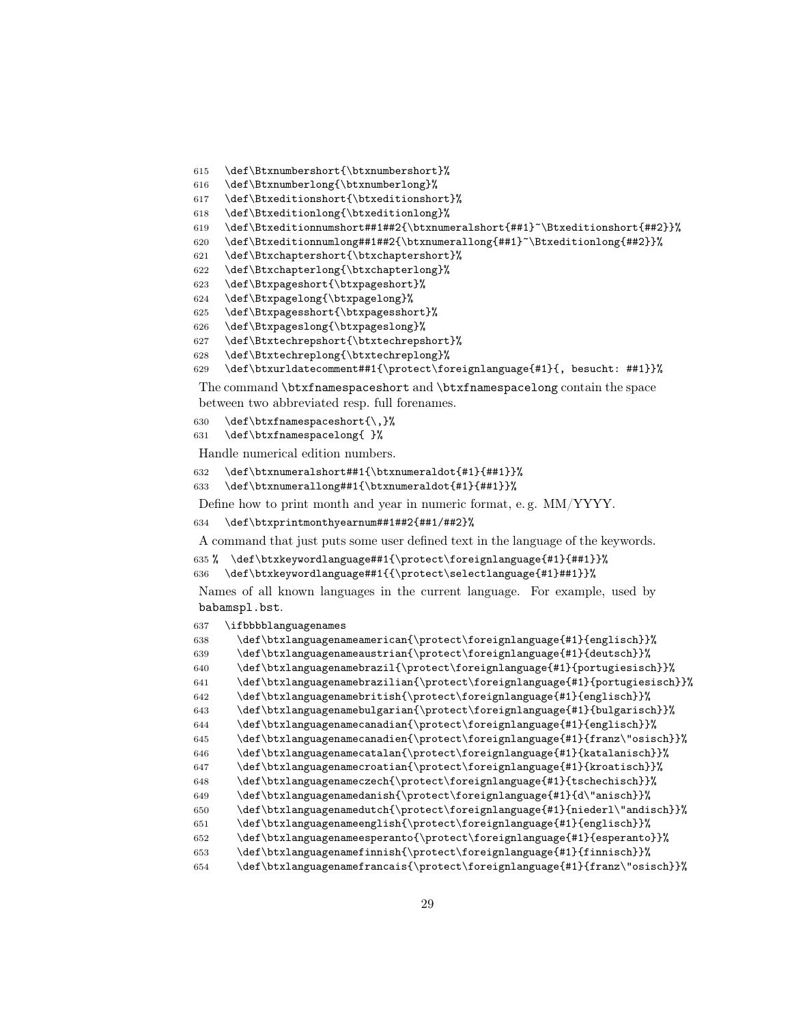- \def\Btxnumbershort{\btxnumbershort}%
- \def\Btxnumberlong{\btxnumberlong}%
- \def\Btxeditionshort{\btxeditionshort}%
- \def\Btxeditionlong{\btxeditionlong}%
- 619 \def\Btxeditionnumshort##1##2{\btxnumeralshort{##1}~\Btxeditionshort{##2}}%
- \def\Btxeditionnumlong##1##2{\btxnumerallong{##1}~\Btxeditionlong{##2}}%
- \def\Btxchaptershort{\btxchaptershort}%
- \def\Btxchapterlong{\btxchapterlong}%
- \def\Btxpageshort{\btxpageshort}%
- \def\Btxpagelong{\btxpagelong}%
- \def\Btxpagesshort{\btxpagesshort}%
- \def\Btxpageslong{\btxpageslong}%
- \def\Btxtechrepshort{\btxtechrepshort}%
- \def\Btxtechreplong{\btxtechreplong}%
- \def\btxurldatecomment##1{\protect\foreignlanguage{#1}{, besucht: ##1}}%

The command \btxfnamespaceshort and \btxfnamespacelong contain the space between two abbreviated resp. full forenames.

- 630 \def\btxfnamespaceshort{\,}%
- \def\btxfnamespacelong{ }%

Handle numerical edition numbers.

```
632 \def\btxnumeralshort##1{\btxnumeraldot{#1}{##1}}%
```
\def\btxnumerallong##1{\btxnumeraldot{#1}{##1}}%

Define how to print month and year in numeric format, e. g. MM/YYYY.

```
634 \def\btxprintmonthyearnum##1##2{##1/##2}%
```
A command that just puts some user defined text in the language of the keywords.

```
635 % \def\btxkeywordlanguage##1{\protect\foreignlanguage{#1}{##1}}%
```

```
636 \def\btxkeywordlanguage##1{{\protect\selectlanguage{#1}##1}}%
```
Names of all known languages in the current language. For example, used by babamspl.bst.

```
637 \ifbbbblanguagenames
```

```
638 \def\btxlanguagenameamerican{\protect\foreignlanguage{#1}{englisch}}%
639 \def\btxlanguagenameaustrian{\protect\foreignlanguage{#1}{deutsch}}%
640 \def\btxlanguagenamebrazil{\protect\foreignlanguage{#1}{portugiesisch}}%
641 \def\btxlanguagenamebrazilian{\protect\foreignlanguage{#1}{portugiesisch}}%
642 \def\btxlanguagenamebritish{\protect\foreignlanguage{#1}{englisch}}%
643 \def\btxlanguagenamebulgarian{\protect\foreignlanguage{#1}{bulgarisch}}%
644 \def\btxlanguagenamecanadian{\protect\foreignlanguage{#1}{englisch}}%
645 \def\btxlanguagenamecanadien{\protect\foreignlanguage{#1}{franz\"osisch}}%
646 \def\btxlanguagenamecatalan{\protect\foreignlanguage{#1}{katalanisch}}%
647 \def\btxlanguagenamecroatian{\protect\foreignlanguage{#1}{kroatisch}}%
648 \def\btxlanguagenameczech{\protect\foreignlanguage{#1}{tschechisch}}%
649 \def\btxlanguagenamedanish{\protect\foreignlanguage{#1}{d\"anisch}}%
650 \def\btxlanguagenamedutch{\protect\foreignlanguage{#1}{niederl\"andisch}}%
651 \def\btxlanguagenameenglish{\protect\foreignlanguage{#1}{englisch}}%
652 \def\btxlanguagenameesperanto{\protect\foreignlanguage{#1}{esperanto}}%
653 \def\btxlanguagenamefinnish{\protect\foreignlanguage{#1}{finnisch}}%
654 \def\btxlanguagenamefrancais{\protect\foreignlanguage{#1}{franz\"osisch}}%
```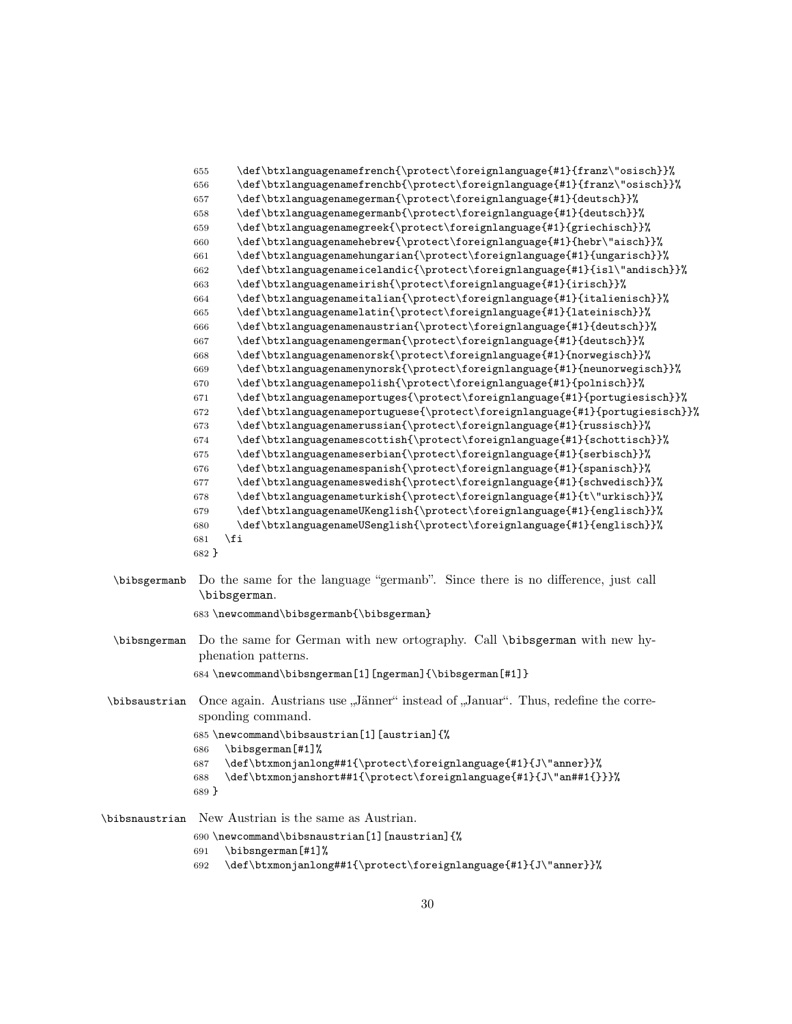| 655   | \def\btxlanguagenamefrench{\protect\foreignlanguage{#1}{franz\"osisch}}%     |
|-------|------------------------------------------------------------------------------|
| 656   | \def\btxlanguagenamefrenchb{\protect\foreignlanguage{#1}{franz\"osisch}}%    |
| 657   | \def\btxlanguagenamegerman{\protect\foreignlanguage{#1}{deutsch}}%           |
| 658   | \def\btxlanguagenamegermanb{\protect\foreignlanguage{#1}{deutsch}}%          |
| 659   | \def\btxlanguagenamegreek{\protect\foreignlanguage{#1}{griechisch}}%         |
| 660   | \def\btxlanguagenamehebrew{\protect\foreignlanguage{#1}{hebr\"aisch}}%       |
| 661   | \def\btxlanguagenamehungarian{\protect\foreignlanguage{#1}{ungarisch}}%      |
| 662   | \def\btxlanguagenameicelandic{\protect\foreignlanguage{#1}{isl\"andisch}}%   |
| 663   | \def\btxlanguagenameirish{\protect\foreignlanguage{#1}{irisch}}%             |
| 664   | \def\btxlanguagenameitalian{\protect\foreignlanguage{#1}{italienisch}}%      |
| 665   | \def\btxlanguagenamelatin{\protect\foreignlanguage{#1}{lateinisch}}%         |
| 666   | \def\btxlanguagenamenaustrian{\protect\foreignlanguage{#1}{deutsch}}%        |
| 667   | \def\btxlanguagenamengerman{\protect\foreignlanguage{#1}{deutsch}}%          |
| 668   | \def\btxlanguagenamenorsk{\protect\foreignlanguage{#1}{norwegisch}}%         |
| 669   | \def\btxlanguagenamenynorsk{\protect\foreignlanguage{#1}{neunorwegisch}}%    |
| 670   | \def\btxlanguagenamepolish{\protect\foreignlanguage{#1}{polnisch}}%          |
| 671   | \def\btxlanguagenameportuges{\protect\foreignlanguage{#1}{portugiesisch}}%   |
| 672   | \def\btxlanguagenameportuguese{\protect\foreignlanguage{#1}{portugiesisch}}% |
| 673   | \def\btxlanguagenamerussian{\protect\foreignlanguage{#1}{russisch}}%         |
| 674   | \def\btxlanguagenamescottish{\protect\foreignlanguage{#1}{schottisch}}%      |
| 675   | \def\btxlanguagenameserbian{\protect\foreignlanguage{#1}{serbisch}}%         |
| 676   | \def\btxlanguagenamespanish{\protect\foreignlanguage{#1}{spanisch}}%         |
| 677   | \def\btxlanguagenameswedish{\protect\foreignlanguage{#1}{schwedisch}}%       |
| 678   | \def\btxlanguagenameturkish{\protect\foreignlanguage{#1}{t\"urkisch}}%       |
| 679   | \def\btxlanguagenameUKenglish{\protect\foreignlanguage{#1}{englisch}}%       |
| 680   | \def\btxlanguagenameUSenglish{\protect\foreignlanguage{#1}{englisch}}%       |
| 681   | \fi                                                                          |
| 682 } |                                                                              |
|       |                                                                              |

\bibsgermanb Do the same for the language "germanb". Since there is no difference, just call \bibsgerman.

\newcommand\bibsgermanb{\bibsgerman}

- \bibsngerman Do the same for German with new ortography. Call \bibsgerman with new hyphenation patterns. \newcommand\bibsngerman[1][ngerman]{\bibsgerman[#1]}
- \bibsaustrian Once again. Austrians use "Jänner" instead of "Januar". Thus, redefine the corresponding command.

```
685 \newcommand\bibsaustrian[1][austrian]{%
686 \bibsgerman[#1]%
```
- \def\btxmonjanlong##1{\protect\foreignlanguage{#1}{J\"anner}}%
- \def\btxmonjanshort##1{\protect\foreignlanguage{#1}{J\"an##1{}}}%
- }

\bibsnaustrian New Austrian is the same as Austrian.

- \newcommand\bibsnaustrian[1][naustrian]{%
- \bibsngerman[#1]%
- \def\btxmonjanlong##1{\protect\foreignlanguage{#1}{J\"anner}}%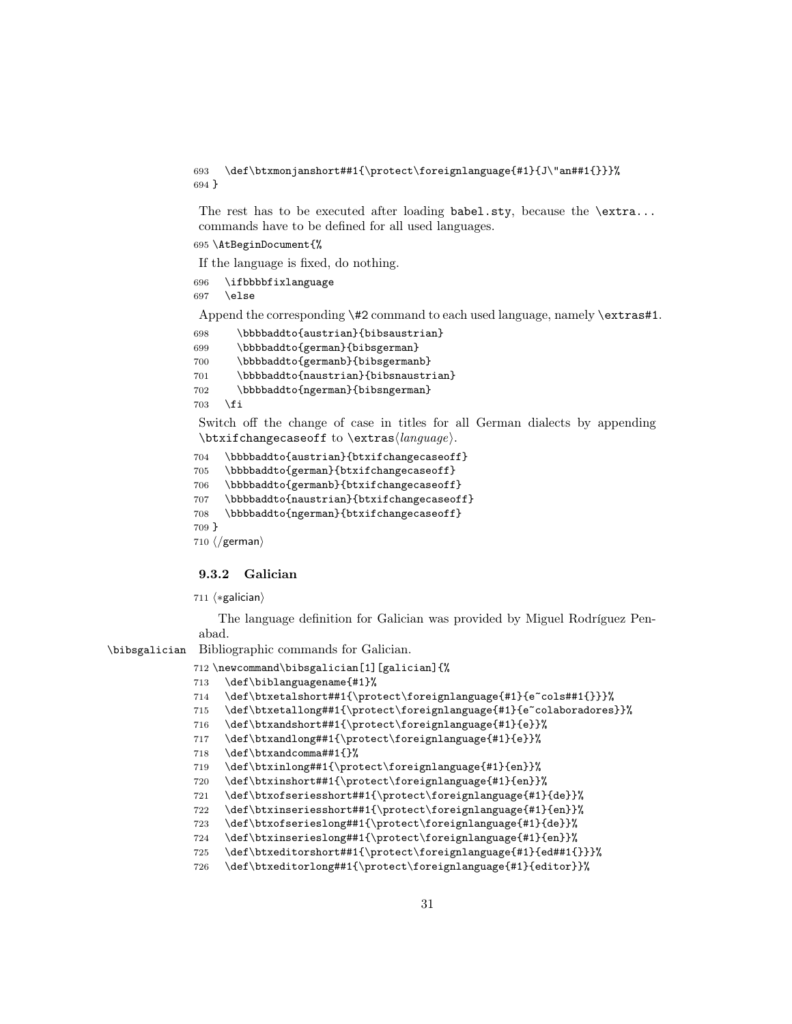\def\btxmonjanshort##1{\protect\foreignlanguage{#1}{J\"an##1{}}}% }

The rest has to be executed after loading  $\mathtt{babel.sty}$ , because the  $\mathtt{extra...}$ commands have to be defined for all used languages.

\AtBeginDocument{%

If the language is fixed, do nothing.

```
696 \ifbbbbfixlanguage
697 \else
```
Append the corresponding \#2 command to each used language, namely \extras#1.

```
698 \bbbbaddto{austrian}{bibsaustrian}
699 \bbbbaddto{german}{bibsgerman}
700 \bbbbaddto{germanb}{bibsgermanb}
701 \bbbbaddto{naustrian}{bibsnaustrian}
702 \bbbbaddto{ngerman}{bibsngerman}
703 \quad \text{If}
```
Switch off the change of case in titles for all German dialects by appending  $\text{changecase}$  to  $\text{change}$ .

```
704 \bbbbaddto{austrian}{btxifchangecaseoff}
```

```
705 \bbbbaddto{german}{btxifchangecaseoff}
```

```
706 \bbbbaddto{germanb}{btxifchangecaseoff}
```

```
707 \bbbbaddto{naustrian}{btxifchangecaseoff}
```

```
708 \bbbbaddto{ngerman}{btxifchangecaseoff}
```

```
709 }
```
 $710 \ \langle$  german $\rangle$ 

### <span id="page-30-0"></span>9.3.2 Galician

711 (\*galician)

The language definition for Galician was provided by Miguel Rodríguez Penabad.

\bibsgalician Bibliographic commands for Galician.

```
712 \newcommand\bibsgalician[1][galician]{%
```

```
713 \def\biblanguagename{#1}%
```

```
714 \def\btxetalshort##1{\protect\foreignlanguage{#1}{e~cols##1{}}}%
```
\def\btxetallong##1{\protect\foreignlanguage{#1}{e~colaboradores}}%

```
716 \def\btxandshort##1{\protect\foreignlanguage{#1}{e}}%
```

```
717 \def\btxandlong##1{\protect\foreignlanguage{#1}{e}}%
```

```
718 \def\btxandcomma##1{}%
```

```
719 \def\btxinlong##1{\protect\foreignlanguage{#1}{en}}%
```
\def\btxinshort##1{\protect\foreignlanguage{#1}{en}}%

\def\btxofseriesshort##1{\protect\foreignlanguage{#1}{de}}%

```
722 \def\btxinseriesshort##1{\protect\foreignlanguage{#1}{en}}%
```

```
723 \def\btxofserieslong##1{\protect\foreignlanguage{#1}{de}}%
```

```
724 \def\btxinserieslong##1{\protect\foreignlanguage{#1}{en}}%
```
\def\btxeditorshort##1{\protect\foreignlanguage{#1}{ed##1{}}}%

```
726 \def\btxeditorlong##1{\protect\foreignlanguage{#1}{editor}}%
```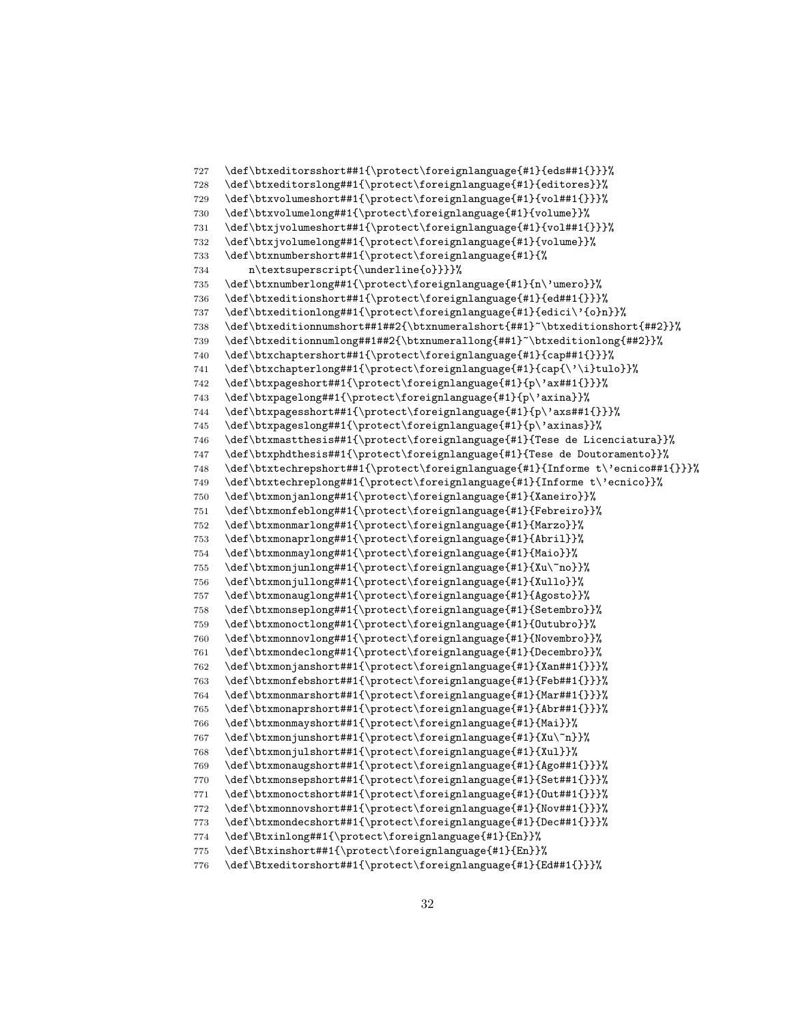```
727 \def\btxeditorsshort##1{\protect\foreignlanguage{#1}{eds##1{}}}%
728 \def\btxeditorslong##1{\protect\foreignlanguage{#1}{editores}}%
729 \def\btxvolumeshort##1{\protect\foreignlanguage{#1}{vol##1{}}}%
730 \def\btxvolumelong##1{\protect\foreignlanguage{#1}{volume}}%
731 \def\btxjvolumeshort##1{\protect\foreignlanguage{#1}{vol##1{}}}%
732 \def\btxjvolumelong##1{\protect\foreignlanguage{#1}{volume}}%
733 \def\btxnumbershort##1{\protect\foreignlanguage{#1}{%
734 n\textsuperscript{\underline{o}}}}%
735 \def\btxnumberlong##1{\protect\foreignlanguage{#1}{n\'umero}}%
736 \def\btxeditionshort##1{\protect\foreignlanguage{#1}{ed##1{}}}%
737 \def\btxeditionlong##1{\protect\foreignlanguage{#1}{edici\'{o}n}}%
738 \def\btxeditionnumshort##1##2{\btxnumeralshort{##1}~\btxeditionshort{##2}}%
739 \def\btxeditionnumlong##1##2{\btxnumerallong{##1}~\btxeditionlong{##2}}%
740 \def\btxchaptershort##1{\protect\foreignlanguage{#1}{cap##1{}}}%
741 \def\btxchapterlong##1{\protect\foreignlanguage{#1}{cap{\'\i}tulo}}%
742 \def\btxpageshort##1{\protect\foreignlanguage{#1}{p\'ax##1{}}}%
743 \def\btxpagelong##1{\protect\foreignlanguage{#1}{p\'axina}}%
744 \def\btxpagesshort##1{\protect\foreignlanguage{#1}{p\'axs##1{}}}%
745 \def\btxpageslong##1{\protect\foreignlanguage{#1}{p\'axinas}}%
746 \def\btxmastthesis##1{\protect\foreignlanguage{#1}{Tese de Licenciatura}}%
747 \def\btxphdthesis##1{\protect\foreignlanguage{#1}{Tese de Doutoramento}}%
748 \def\btxtechrepshort##1{\protect\foreignlanguage{#1}{Informe t\'ecnico##1{}}}%
749 \def\btxtechreplong##1{\protect\foreignlanguage{#1}{Informe t\'ecnico}}%
750 \def\btxmonjanlong##1{\protect\foreignlanguage{#1}{Xaneiro}}%
751 \def\btxmonfeblong##1{\protect\foreignlanguage{#1}{Febreiro}}%
752 \def\btxmonmarlong##1{\protect\foreignlanguage{#1}{Marzo}}%
753 \def\btxmonaprlong##1{\protect\foreignlanguage{#1}{Abril}}%
754 \def\btxmonmaylong##1{\protect\foreignlanguage{#1}{Maio}}%
755 \def\btxmonjunlong##1{\protect\foreignlanguage{#1}{Xu\~no}}%
756 \def\btxmonjullong##1{\protect\foreignlanguage{#1}{Xullo}}%
757 \def\btxmonauglong##1{\protect\foreignlanguage{#1}{Agosto}}%
758 \def\btxmonseplong##1{\protect\foreignlanguage{#1}{Setembro}}%
759 \def\btxmonoctlong##1{\protect\foreignlanguage{#1}{Outubro}}%
760 \def\btxmonnovlong##1{\protect\foreignlanguage{#1}{Novembro}}%
761 \def\btxmondeclong##1{\protect\foreignlanguage{#1}{Decembro}}%
762 \def\btxmonjanshort##1{\protect\foreignlanguage{#1}{Xan##1{}}}%
763 \def\btxmonfebshort##1{\protect\foreignlanguage{#1}{Feb##1{}}}%
764 \def\btxmonmarshort##1{\protect\foreignlanguage{#1}{Mar##1{}}}%
765 \def\btxmonaprshort##1{\protect\foreignlanguage{#1}{Abr##1{}}}%
766 \def\btxmonmayshort##1{\protect\foreignlanguage{#1}{Mai}}%
767 \def\btxmonjunshort##1{\protect\foreignlanguage{#1}{Xu\~n}}%
768 \def\btxmonjulshort##1{\protect\foreignlanguage{#1}{Xul}}%
769 \def\btxmonaugshort##1{\protect\foreignlanguage{#1}{Ago##1{}}}%
770 \def\btxmonsepshort##1{\protect\foreignlanguage{#1}{Set##1{}}}%
771 \def\btxmonoctshort##1{\protect\foreignlanguage{#1}{Out##1{}}}%
772 \def\btxmonnovshort##1{\protect\foreignlanguage{#1}{Nov##1{}}}%
773 \def\btxmondecshort##1{\protect\foreignlanguage{#1}{Dec##1{}}}%
774 \def\Btxinlong##1{\protect\foreignlanguage{#1}{En}}%
775 \def\Btxinshort##1{\protect\foreignlanguage{#1}{En}}%
776 \def\Btxeditorshort##1{\protect\foreignlanguage{#1}{Ed##1{}}}%
```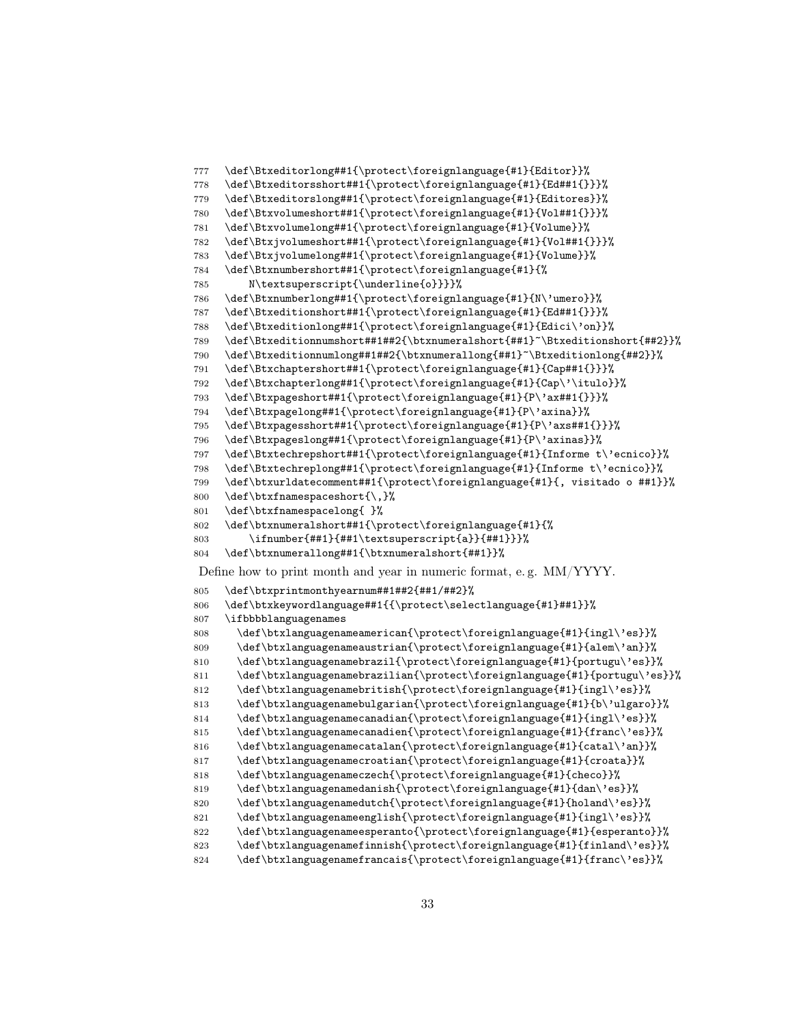```
777 \def\Btxeditorlong##1{\protect\foreignlanguage{#1}{Editor}}%
778 \def\Btxeditorsshort##1{\protect\foreignlanguage{#1}{Ed##1{}}}%
779 \def\Btxeditorslong##1{\protect\foreignlanguage{#1}{Editores}}%
780 \def\Btxvolumeshort##1{\protect\foreignlanguage{#1}{Vol##1{}}}%
781 \def\Btxvolumelong##1{\protect\foreignlanguage{#1}{Volume}}%
782 \def\Btxjvolumeshort##1{\protect\foreignlanguage{#1}{Vol##1{}}}%
783 \def\Btxjvolumelong##1{\protect\foreignlanguage{#1}{Volume}}%
784 \def\Btxnumbershort##1{\protect\foreignlanguage{#1}{%
785 N\textsuperscript{\underline{o}}}}%
786 \def\Btxnumberlong##1{\protect\foreignlanguage{#1}{N\'umero}}%
787 \def\Btxeditionshort##1{\protect\foreignlanguage{#1}{Ed##1{}}}%
788 \def\Btxeditionlong##1{\protect\foreignlanguage{#1}{Edici\'on}}%
789 \def\Btxeditionnumshort##1##2{\btxnumeralshort{##1}~\Btxeditionshort{##2}}%
790 \def\Btxeditionnumlong##1##2{\btxnumerallong{##1}~\Btxeditionlong{##2}}%
791 \def\Btxchaptershort##1{\protect\foreignlanguage{#1}{Cap##1{}}}%
792 \def\Btxchapterlong##1{\protect\foreignlanguage{#1}{Cap\'\itulo}}%
793 \def\Btxpageshort##1{\protect\foreignlanguage{#1}{P\'ax##1{}}}%
794 \def\Btxpagelong##1{\protect\foreignlanguage{#1}{P\'axina}}%
795 \def\Btxpagesshort##1{\protect\foreignlanguage{#1}{P\'axs##1{}}}%
796 \def\Btxpageslong##1{\protect\foreignlanguage{#1}{P\'axinas}}%
797 \def\Btxtechrepshort##1{\protect\foreignlanguage{#1}{Informe t\'ecnico}}%
798 \def\Btxtechreplong##1{\protect\foreignlanguage{#1}{Informe t\'ecnico}}%
799 \def\btxurldatecomment##1{\protect\foreignlanguage{#1}{, visitado o ##1}}%
800 \def\btxfnamespaceshort{\,}%
801 \def\btxfnamespacelong{ }%
802 \def\btxnumeralshort##1{\protect\foreignlanguage{#1}{%
803 \ifnumber{##1}{##1\textsuperscript{a}}{##1}}}%
804 \def\btxnumerallong##1{\btxnumeralshort{##1}}%
Define how to print month and year in numeric format, e. g. MM/YYYY.
805 \def\btxprintmonthyearnum##1##2{##1/##2}%
806 \def\btxkeywordlanguage##1{{\protect\selectlanguage{#1}##1}}%
807 \ifbbbblanguagenames
808 \def\btxlanguagenameamerican{\protect\foreignlanguage{#1}{ingl\'es}}%
809 \def\btxlanguagenameaustrian{\protect\foreignlanguage{#1}{alem\'an}}%
810 \def\btxlanguagenamebrazil{\protect\foreignlanguage{#1}{portugu\'es}}%
811 \def\btxlanguagenamebrazilian{\protect\foreignlanguage{#1}{portugu\'es}}%
812 \def\btxlanguagenamebritish{\protect\foreignlanguage{#1}{ingl\'es}}%
813 \def\btxlanguagenamebulgarian{\protect\foreignlanguage{#1}{b\'ulgaro}}%
814 \def\btxlanguagenamecanadian{\protect\foreignlanguage{#1}{ingl\'es}}%
815 \def\btxlanguagenamecanadien{\protect\foreignlanguage{#1}{franc\'es}}%
816 \def\btxlanguagenamecatalan{\protect\foreignlanguage{#1}{catal\'an}}%
817 \def\btxlanguagenamecroatian{\protect\foreignlanguage{#1}{croata}}%
818 \def\btxlanguagenameczech{\protect\foreignlanguage{#1}{checo}}%
819 \def\btxlanguagenamedanish{\protect\foreignlanguage{#1}{dan\'es}}%
820 \def\btxlanguagenamedutch{\protect\foreignlanguage{#1}{holand\'es}}%
821 \def\btxlanguagenameenglish{\protect\foreignlanguage{#1}{ingl\'es}}%
822 \def\btxlanguagenameesperanto{\protect\foreignlanguage{#1}{esperanto}}%
823 \def\btxlanguagenamefinnish{\protect\foreignlanguage{#1}{finland\'es}}%
824 \def\btxlanguagenamefrancais{\protect\foreignlanguage{#1}{franc\'es}}%
```

```
33
```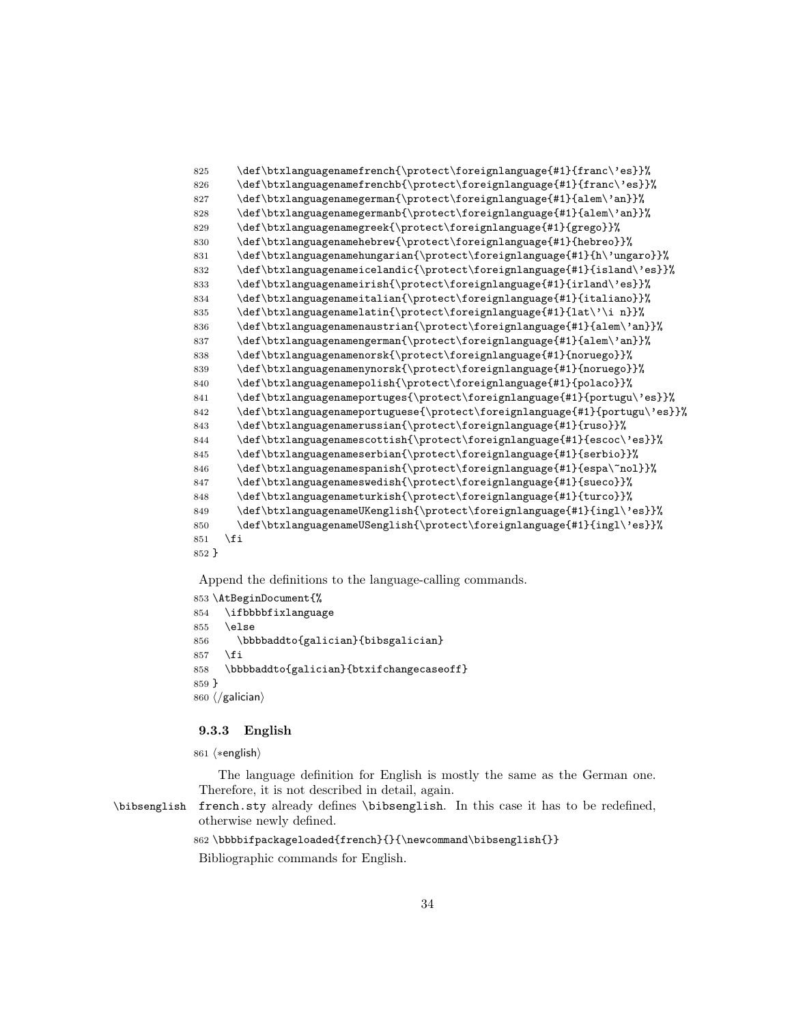\def\btxlanguagenamefrench{\protect\foreignlanguage{#1}{franc\'es}}% \def\btxlanguagenamefrenchb{\protect\foreignlanguage{#1}{franc\'es}}% \def\btxlanguagenamegerman{\protect\foreignlanguage{#1}{alem\'an}}% \def\btxlanguagenamegermanb{\protect\foreignlanguage{#1}{alem\'an}}% \def\btxlanguagenamegreek{\protect\foreignlanguage{#1}{grego}}% \def\btxlanguagenamehebrew{\protect\foreignlanguage{#1}{hebreo}}% \def\btxlanguagenamehungarian{\protect\foreignlanguage{#1}{h\'ungaro}}% \def\btxlanguagenameicelandic{\protect\foreignlanguage{#1}{island\'es}}% \def\btxlanguagenameirish{\protect\foreignlanguage{#1}{irland\'es}}% \def\btxlanguagenameitalian{\protect\foreignlanguage{#1}{italiano}}% \def\btxlanguagenamelatin{\protect\foreignlanguage{#1}{lat\'\i n}}% \def\btxlanguagenamenaustrian{\protect\foreignlanguage{#1}{alem\'an}}% \def\btxlanguagenamengerman{\protect\foreignlanguage{#1}{alem\'an}}% \def\btxlanguagenamenorsk{\protect\foreignlanguage{#1}{noruego}}% \def\btxlanguagenamenynorsk{\protect\foreignlanguage{#1}{noruego}}% \def\btxlanguagenamepolish{\protect\foreignlanguage{#1}{polaco}}% \def\btxlanguagenameportuges{\protect\foreignlanguage{#1}{portugu\'es}}% \def\btxlanguagenameportuguese{\protect\foreignlanguage{#1}{portugu\'es}}% \def\btxlanguagenamerussian{\protect\foreignlanguage{#1}{ruso}}% \def\btxlanguagenamescottish{\protect\foreignlanguage{#1}{escoc\'es}}% \def\btxlanguagenameserbian{\protect\foreignlanguage{#1}{serbio}}% \def\btxlanguagenamespanish{\protect\foreignlanguage{#1}{espa\~nol}}% \def\btxlanguagenameswedish{\protect\foreignlanguage{#1}{sueco}}% \def\btxlanguagenameturkish{\protect\foreignlanguage{#1}{turco}}% \def\btxlanguagenameUKenglish{\protect\foreignlanguage{#1}{ingl\'es}}% \def\btxlanguagenameUSenglish{\protect\foreignlanguage{#1}{ingl\'es}}% \fi }

Append the definitions to the language-calling commands.

```
853 \AtBeginDocument{%
854 \ifbbbbfixlanguage
855 \else
856 \bbbbaddto{galician}{bibsgalician}
857 \fi
858 \bbbbaddto{galician}{btxifchangecaseoff}
859 }
860 \langle /galician\rangle
```
### <span id="page-33-0"></span>9.3.3 English

861  $\langle *$ english $\rangle$ 

The language definition for English is mostly the same as the German one. Therefore, it is not described in detail, again.

\bibsenglish french.sty already defines \bibsenglish. In this case it has to be redefined, otherwise newly defined.

\bbbbifpackageloaded{french}{}{\newcommand\bibsenglish{}}

Bibliographic commands for English.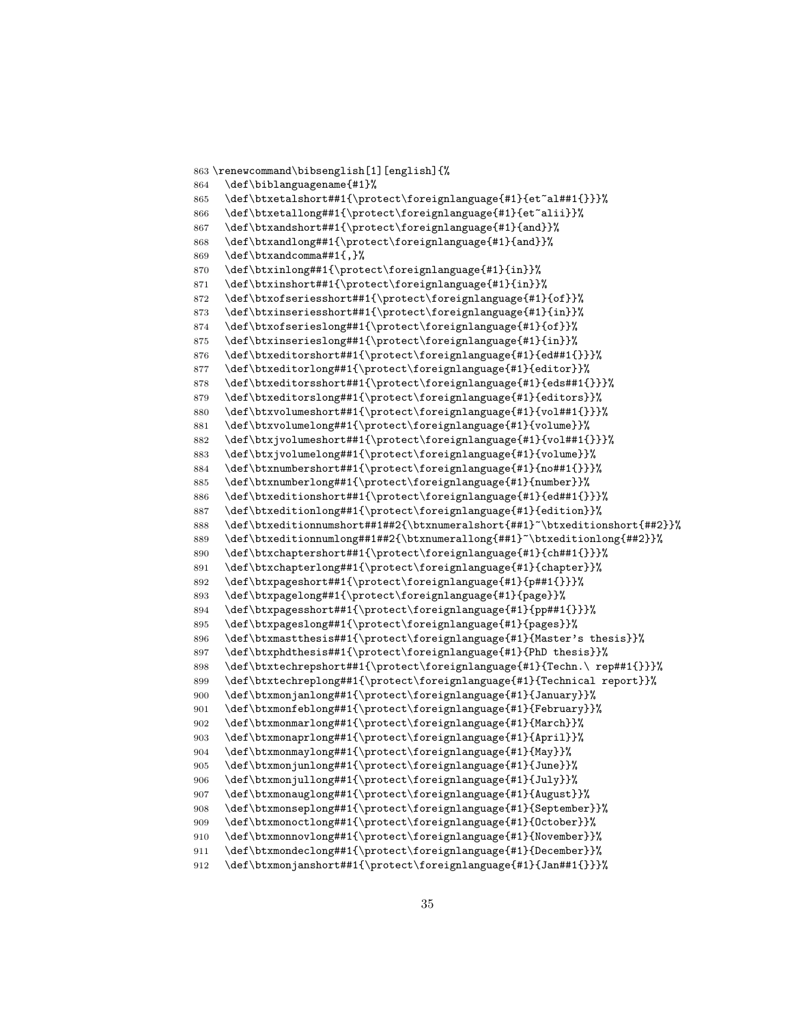```
863 \renewcommand\bibsenglish[1][english]{%
864 \def\biblanguagename{#1}%
865 \def\btxetalshort##1{\protect\foreignlanguage{#1}{et~al##1{}}}%
866 \def\btxetallong##1{\protect\foreignlanguage{#1}{et~alii}}%
867 \def\btxandshort##1{\protect\foreignlanguage{#1}{and}}%
868 \def\btxandlong##1{\protect\foreignlanguage{#1}{and}}%
869 \def\btxandcomma##1{,}%
870 \def\btxinlong##1{\protect\foreignlanguage{#1}{in}}%
871 \def\btxinshort##1{\protect\foreignlanguage{#1}{in}}%
872 \def\btxofseriesshort##1{\protect\foreignlanguage{#1}{of}}%
873 \def\btxinseriesshort##1{\protect\foreignlanguage{#1}{in}}%
874 \def\btxofserieslong##1{\protect\foreignlanguage{#1}{of}}%
875 \def\btxinserieslong##1{\protect\foreignlanguage{#1}{in}}%
876 \def\btxeditorshort##1{\protect\foreignlanguage{#1}{ed##1{}}}%
877 \def\btxeditorlong##1{\protect\foreignlanguage{#1}{editor}}%
878 \def\btxeditorsshort##1{\protect\foreignlanguage{#1}{eds##1{}}}%
879 \def\btxeditorslong##1{\protect\foreignlanguage{#1}{editors}}%
880 \def\btxvolumeshort##1{\protect\foreignlanguage{#1}{vol##1{}}}%
881 \def\btxvolumelong##1{\protect\foreignlanguage{#1}{volume}}%
882 \def\btxjvolumeshort##1{\protect\foreignlanguage{#1}{vol##1{}}}%
883 \def\btxjvolumelong##1{\protect\foreignlanguage{#1}{volume}}%
884 \def\btxnumbershort##1{\protect\foreignlanguage{#1}{no##1{}}}%
885 \def\btxnumberlong##1{\protect\foreignlanguage{#1}{number}}%
886 \def\btxeditionshort##1{\protect\foreignlanguage{#1}{ed##1{}}}%
887 \def\btxeditionlong##1{\protect\foreignlanguage{#1}{edition}}%
888 \def\btxeditionnumshort##1##2{\btxnumeralshort{##1}~\btxeditionshort{##2}}%
889 \def\btxeditionnumlong##1##2{\btxnumerallong{##1}~\btxeditionlong{##2}}%
890 \def\btxchaptershort##1{\protect\foreignlanguage{#1}{ch##1{}}}%
891 \def\btxchapterlong##1{\protect\foreignlanguage{#1}{chapter}}%
892 \def\btxpageshort##1{\protect\foreignlanguage{#1}{p##1{}}}%
893 \def\btxpagelong##1{\protect\foreignlanguage{#1}{page}}%
894 \def\btxpagesshort##1{\protect\foreignlanguage{#1}{pp##1{}}}%
895 \def\btxpageslong##1{\protect\foreignlanguage{#1}{pages}}%
896 \def\btxmastthesis##1{\protect\foreignlanguage{#1}{Master's thesis}}%
897 \def\btxphdthesis##1{\protect\foreignlanguage{#1}{PhD thesis}}%
898 \def\btxtechrepshort##1{\protect\foreignlanguage{#1}{Techn.\ rep##1{}}}%
899 \def\btxtechreplong##1{\protect\foreignlanguage{#1}{Technical report}}%
900 \def\btxmonjanlong##1{\protect\foreignlanguage{#1}{January}}%
901 \def\btxmonfeblong##1{\protect\foreignlanguage{#1}{February}}%
902 \def\btxmonmarlong##1{\protect\foreignlanguage{#1}{March}}%
903 \def\btxmonaprlong##1{\protect\foreignlanguage{#1}{April}}%
904 \def\btxmonmaylong##1{\protect\foreignlanguage{#1}{May}}%
905 \def\btxmonjunlong##1{\protect\foreignlanguage{#1}{June}}%
906 \def\btxmonjullong##1{\protect\foreignlanguage{#1}{July}}%
907 \def\btxmonauglong##1{\protect\foreignlanguage{#1}{August}}%
908 \def\btxmonseplong##1{\protect\foreignlanguage{#1}{September}}%
909 \def\btxmonoctlong##1{\protect\foreignlanguage{#1}{October}}%
910 \def\btxmonnovlong##1{\protect\foreignlanguage{#1}{November}}%
911 \def\btxmondeclong##1{\protect\foreignlanguage{#1}{December}}%
912 \def\btxmonjanshort##1{\protect\foreignlanguage{#1}{Jan##1{}}}%
```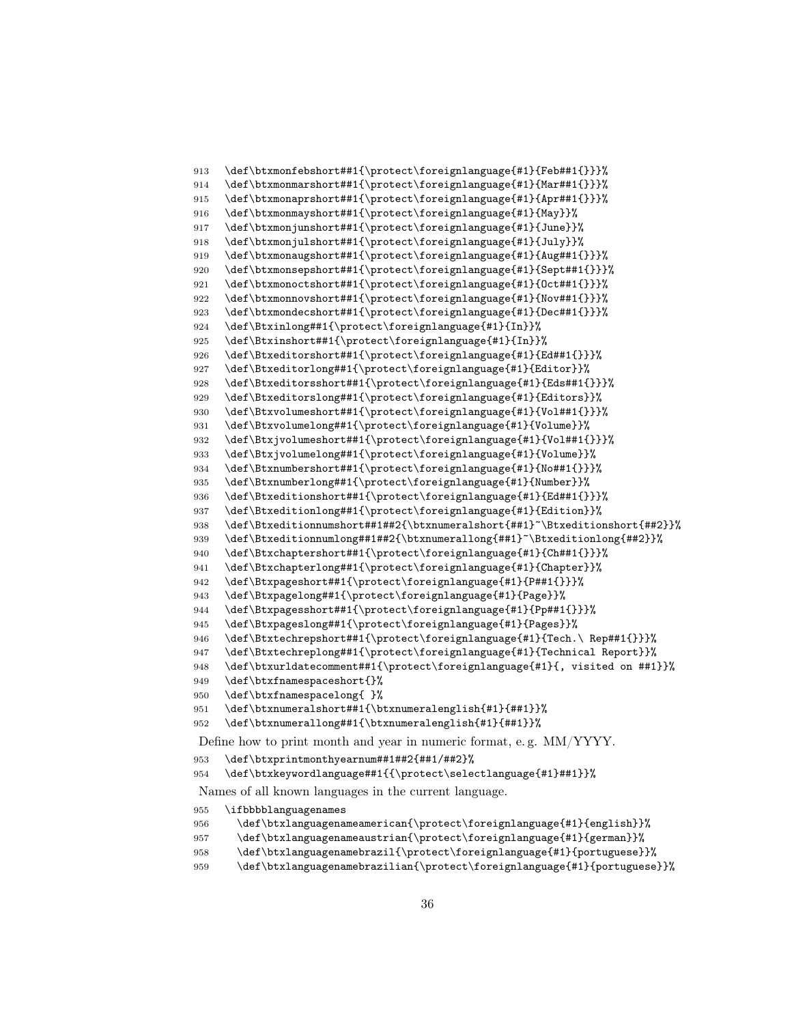```
913 \def\btxmonfebshort##1{\protect\foreignlanguage{#1}{Feb##1{}}}%
914 \def\btxmonmarshort##1{\protect\foreignlanguage{#1}{Mar##1{}}}%
915 \def\btxmonaprshort##1{\protect\foreignlanguage{#1}{Apr##1{}}}%
916 \def\btxmonmayshort##1{\protect\foreignlanguage{#1}{May}}%
917 \def\btxmonjunshort##1{\protect\foreignlanguage{#1}{June}}%
918 \def\btxmonjulshort##1{\protect\foreignlanguage{#1}{July}}%
919 \def\btxmonaugshort##1{\protect\foreignlanguage{#1}{Aug##1{}}}%
920 \def\btxmonsepshort##1{\protect\foreignlanguage{#1}{Sept##1{}}}%
921 \def\btxmonoctshort##1{\protect\foreignlanguage{#1}{Oct##1{}}}%
922 \def\btxmonnovshort##1{\protect\foreignlanguage{#1}{Nov##1{}}}%
923 \def\btxmondecshort##1{\protect\foreignlanguage{#1}{Dec##1{}}}%
924 \def\Btxinlong##1{\protect\foreignlanguage{#1}{In}}%
925 \def\Btxinshort##1{\protect\foreignlanguage{#1}{In}}%
926 \def\Btxeditorshort##1{\protect\foreignlanguage{#1}{Ed##1{}}}%
927 \def\Btxeditorlong##1{\protect\foreignlanguage{#1}{Editor}}%
928 \def\Btxeditorsshort##1{\protect\foreignlanguage{#1}{Eds##1{}}}%
929 \def\Btxeditorslong##1{\protect\foreignlanguage{#1}{Editors}}%
930 \def\Btxvolumeshort##1{\protect\foreignlanguage{#1}{Vol##1{}}}%
931 \def\Btxvolumelong##1{\protect\foreignlanguage{#1}{Volume}}%
932 \def\Btxjvolumeshort##1{\protect\foreignlanguage{#1}{Vol##1{}}}%
933 \def\Btxjvolumelong##1{\protect\foreignlanguage{#1}{Volume}}%
934 \def\Btxnumbershort##1{\protect\foreignlanguage{#1}{No##1{}}}%
935 \def\Btxnumberlong##1{\protect\foreignlanguage{#1}{Number}}%
936 \def\Btxeditionshort##1{\protect\foreignlanguage{#1}{Ed##1{}}}%
937 \def\Btxeditionlong##1{\protect\foreignlanguage{#1}{Edition}}%
938 \def\Btxeditionnumshort##1##2{\btxnumeralshort{##1}~\Btxeditionshort{##2}}%
939 \def\Btxeditionnumlong##1##2{\btxnumerallong{##1}~\Btxeditionlong{##2}}%
940 \def\Btxchaptershort##1{\protect\foreignlanguage{#1}{Ch##1{}}}%
941 \def\Btxchapterlong##1{\protect\foreignlanguage{#1}{Chapter}}%
942 \def\Btxpageshort##1{\protect\foreignlanguage{#1}{P##1{}}}%
943 \def\Btxpagelong##1{\protect\foreignlanguage{#1}{Page}}%
944 \def\Btxpagesshort##1{\protect\foreignlanguage{#1}{Pp##1{}}}%
945 \def\Btxpageslong##1{\protect\foreignlanguage{#1}{Pages}}%
946 \def\Btxtechrepshort##1{\protect\foreignlanguage{#1}{Tech.\ Rep##1{}}}%
947 \def\Btxtechreplong##1{\protect\foreignlanguage{#1}{Technical Report}}%
948 \def\btxurldatecomment##1{\protect\foreignlanguage{#1}{, visited on ##1}}%
949 \def\btxfnamespaceshort{}%
950 \def\btxfnamespacelong{ }%
951 \def\btxnumeralshort##1{\btxnumeralenglish{#1}{##1}}%
952 \def\btxnumerallong##1{\btxnumeralenglish{#1}{##1}}%
Define how to print month and year in numeric format, e. g. MM/YYYY.
953 \def\btxprintmonthyearnum##1##2{##1/##2}%
954 \def\btxkeywordlanguage##1{{\protect\selectlanguage{#1}##1}}%
Names of all known languages in the current language.
955 \ifbbbblanguagenames
```

```
956 \def\btxlanguagenameamerican{\protect\foreignlanguage{#1}{english}}%
```

```
957 \def\btxlanguagenameaustrian{\protect\foreignlanguage{#1}{german}}%
```

```
958 \def\btxlanguagenamebrazil{\protect\foreignlanguage{#1}{portuguese}}%
```

```
959 \def\btxlanguagenamebrazilian{\protect\foreignlanguage{#1}{portuguese}}%
```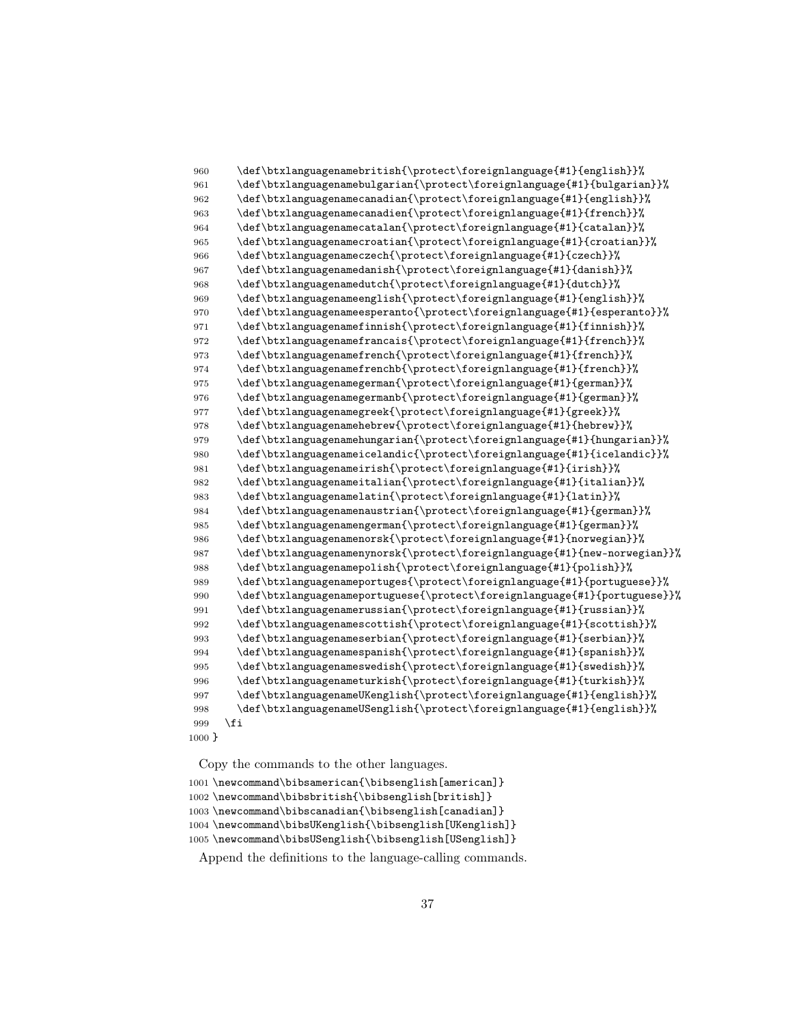```
960 \def\btxlanguagenamebritish{\protect\foreignlanguage{#1}{english}}%
961 \def\btxlanguagenamebulgarian{\protect\foreignlanguage{#1}{bulgarian}}%
962 \def\btxlanguagenamecanadian{\protect\foreignlanguage{#1}{english}}%
963 \def\btxlanguagenamecanadien{\protect\foreignlanguage{#1}{french}}%
964 \def\btxlanguagenamecatalan{\protect\foreignlanguage{#1}{catalan}}%
965 \def\btxlanguagenamecroatian{\protect\foreignlanguage{#1}{croatian}}%
966 \def\btxlanguagenameczech{\protect\foreignlanguage{#1}{czech}}%
967 \def\btxlanguagenamedanish{\protect\foreignlanguage{#1}{danish}}%
968 \def\btxlanguagenamedutch{\protect\foreignlanguage{#1}{dutch}}%
969 \def\btxlanguagenameenglish{\protect\foreignlanguage{#1}{english}}%
970 \def\btxlanguagenameesperanto{\protect\foreignlanguage{#1}{esperanto}}%
971 \def\btxlanguagenamefinnish{\protect\foreignlanguage{#1}{finnish}}%
972 \def\btxlanguagenamefrancais{\protect\foreignlanguage{#1}{french}}%
973 \def\btxlanguagenamefrench{\protect\foreignlanguage{#1}{french}}%
974 \def\btxlanguagenamefrenchb{\protect\foreignlanguage{#1}{french}}%
975 \def\btxlanguagenamegerman{\protect\foreignlanguage{#1}{german}}%
976 \def\btxlanguagenamegermanb{\protect\foreignlanguage{#1}{german}}%
977 \def\btxlanguagenamegreek{\protect\foreignlanguage{#1}{greek}}%
978 \def\btxlanguagenamehebrew{\protect\foreignlanguage{#1}{hebrew}}%
979 \def\btxlanguagenamehungarian{\protect\foreignlanguage{#1}{hungarian}}%
980 \def\btxlanguagenameicelandic{\protect\foreignlanguage{#1}{icelandic}}%
981 \def\btxlanguagenameirish{\protect\foreignlanguage{#1}{irish}}%
982 \def\btxlanguagenameitalian{\protect\foreignlanguage{#1}{italian}}%
983 \def\btxlanguagenamelatin{\protect\foreignlanguage{#1}{latin}}%
984 \def\btxlanguagenamenaustrian{\protect\foreignlanguage{#1}{german}}%
985 \def\btxlanguagenamengerman{\protect\foreignlanguage{#1}{german}}%
986 \def\btxlanguagenamenorsk{\protect\foreignlanguage{#1}{norwegian}}%
987 \def\btxlanguagenamenynorsk{\protect\foreignlanguage{#1}{new-norwegian}}%
988 \def\btxlanguagenamepolish{\protect\foreignlanguage{#1}{polish}}%
989 \def\btxlanguagenameportuges{\protect\foreignlanguage{#1}{portuguese}}%
990 \def\btxlanguagenameportuguese{\protect\foreignlanguage{#1}{portuguese}}%
991 \def\btxlanguagenamerussian{\protect\foreignlanguage{#1}{russian}}%
992 \def\btxlanguagenamescottish{\protect\foreignlanguage{#1}{scottish}}%
993 \def\btxlanguagenameserbian{\protect\foreignlanguage{#1}{serbian}}%
994 \def\btxlanguagenamespanish{\protect\foreignlanguage{#1}{spanish}}%
995 \def\btxlanguagenameswedish{\protect\foreignlanguage{#1}{swedish}}%
996 \def\btxlanguagenameturkish{\protect\foreignlanguage{#1}{turkish}}%
997 \def\btxlanguagenameUKenglish{\protect\foreignlanguage{#1}{english}}%
998 \def\btxlanguagenameUSenglish{\protect\foreignlanguage{#1}{english}}%
999 \fi
1000 }
```

```
1001 \newcommand\bibsamerican{\bibsenglish[american]}
1002 \newcommand\bibsbritish{\bibsenglish[british]}
1003 \newcommand\bibscanadian{\bibsenglish[canadian]}
1004 \newcommand\bibsUKenglish{\bibsenglish[UKenglish]}
1005 \newcommand\bibsUSenglish{\bibsenglish[USenglish]}
```
Append the definitions to the language-calling commands.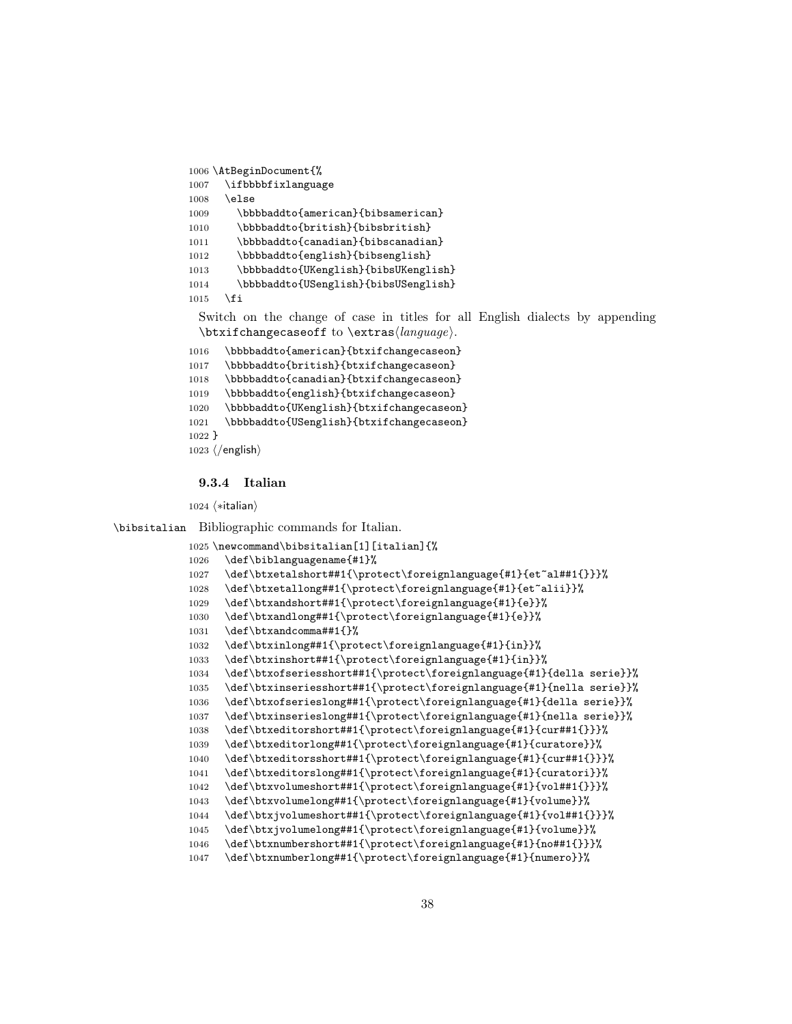```
1006 \AtBeginDocument{%
1007 \ifbbbbfixlanguage
1008 \else
1009 \bbbbaddto{american}{bibsamerican}
1010 \bbbbaddto{british}{bibsbritish}
1011 \bbbbaddto{canadian}{bibscanadian}
1012 \bbbbaddto{english}{bibsenglish}
1013 \bbbbaddto{UKenglish}{bibsUKenglish}
1014 \bbbbaddto{USenglish}{bibsUSenglish}
1015 \fi
```
Switch on the change of case in titles for all English dialects by appending  $\text{changecase}$  to  $\text{change}$ .

```
1016 \bbbbaddto{american}{btxifchangecaseon}
1017 \bbbbaddto{british}{btxifchangecaseon}
1018 \bbbbaddto{canadian}{btxifchangecaseon}
1019 \bbbbaddto{english}{btxifchangecaseon}
1020 \bbbbaddto{UKenglish}{btxifchangecaseon}
1021 \bbbbaddto{USenglish}{btxifchangecaseon}
1022 }
1023 \; \langle/english\rangle
```
#### 9.3.4 Italian

 $\langle *$ italian $\rangle$ 

\bibsitalian Bibliographic commands for Italian.

```
1025 \newcommand\bibsitalian[1][italian]{%
1026 \def\biblanguagename{#1}%
1027 \def\btxetalshort##1{\protect\foreignlanguage{#1}{et~al##1{}}}%
1028 \def\btxetallong##1{\protect\foreignlanguage{#1}{et~alii}}%
1029 \def\btxandshort##1{\protect\foreignlanguage{#1}{e}}%
1030 \def\btxandlong##1{\protect\foreignlanguage{#1}{e}}%
1031 \def\btxandcomma##1{}%
1032 \def\btxinlong##1{\protect\foreignlanguage{#1}{in}}%
1033 \def\btxinshort##1{\protect\foreignlanguage{#1}{in}}%
1034 \def\btxofseriesshort##1{\protect\foreignlanguage{#1}{della serie}}%
1035 \def\btxinseriesshort##1{\protect\foreignlanguage{#1}{nella serie}}%
1036 \def\btxofserieslong##1{\protect\foreignlanguage{#1}{della serie}}%
1037 \def\btxinserieslong##1{\protect\foreignlanguage{#1}{nella serie}}%
1038 \def\btxeditorshort##1{\protect\foreignlanguage{#1}{cur##1{}}}%
1039 \def\btxeditorlong##1{\protect\foreignlanguage{#1}{curatore}}%
1040 \def\btxeditorsshort##1{\protect\foreignlanguage{#1}{cur##1{}}}%
1041 \def\btxeditorslong##1{\protect\foreignlanguage{#1}{curatori}}%
1042 \def\btxvolumeshort##1{\protect\foreignlanguage{#1}{vol##1{}}}%
1043 \def\btxvolumelong##1{\protect\foreignlanguage{#1}{volume}}%
1044 \def\btxjvolumeshort##1{\protect\foreignlanguage{#1}{vol##1{}}}%
1045 \def\btxjvolumelong##1{\protect\foreignlanguage{#1}{volume}}%
1046 \def\btxnumbershort##1{\protect\foreignlanguage{#1}{no##1{}}}%
1047 \def\btxnumberlong##1{\protect\foreignlanguage{#1}{numero}}%
```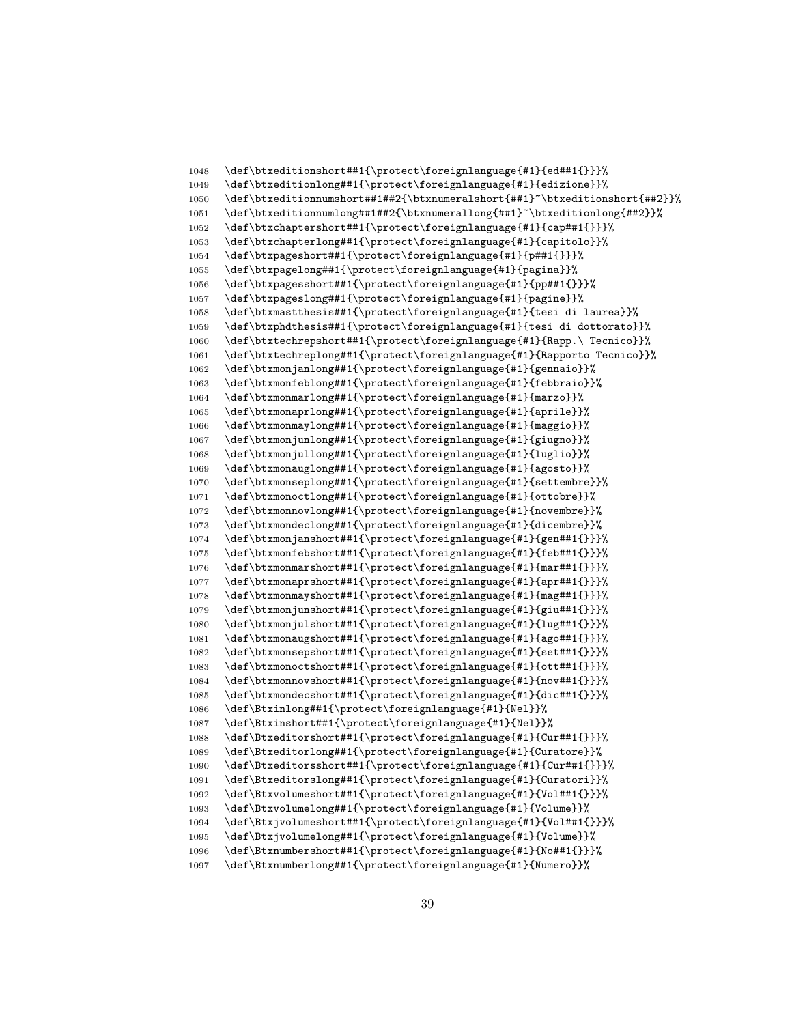```
1048 \def\btxeditionshort##1{\protect\foreignlanguage{#1}{ed##1{}}}%
1049 \def\btxeditionlong##1{\protect\foreignlanguage{#1}{edizione}}%
1050 \def\btxeditionnumshort##1##2{\btxnumeralshort{##1}~\btxeditionshort{##2}}%
1051 \def\btxeditionnumlong##1##2{\btxnumerallong{##1}~\btxeditionlong{##2}}%
1052 \def\btxchaptershort##1{\protect\foreignlanguage{#1}{cap##1{}}}%
1053 \def\btxchapterlong##1{\protect\foreignlanguage{#1}{capitolo}}%
1054 \def\btxpageshort##1{\protect\foreignlanguage{#1}{p##1{}}}%
1055 \def\btxpagelong##1{\protect\foreignlanguage{#1}{pagina}}%
1056 \def\btxpagesshort##1{\protect\foreignlanguage{#1}{pp##1{}}}%
1057 \def\btxpageslong##1{\protect\foreignlanguage{#1}{pagine}}%
1058 \def\btxmastthesis##1{\protect\foreignlanguage{#1}{tesi di laurea}}%
1059 \def\btxphdthesis##1{\protect\foreignlanguage{#1}{tesi di dottorato}}%
1060 \def\btxtechrepshort##1{\protect\foreignlanguage{#1}{Rapp.\ Tecnico}}%
1061 \def\btxtechreplong##1{\protect\foreignlanguage{#1}{Rapporto Tecnico}}%
1062 \def\btxmonjanlong##1{\protect\foreignlanguage{#1}{gennaio}}%
1063 \def\btxmonfeblong##1{\protect\foreignlanguage{#1}{febbraio}}%
1064 \def\btxmonmarlong##1{\protect\foreignlanguage{#1}{marzo}}%
1065 \def\btxmonaprlong##1{\protect\foreignlanguage{#1}{aprile}}%
1066 \def\btxmonmaylong##1{\protect\foreignlanguage{#1}{maggio}}%
1067 \def\btxmonjunlong##1{\protect\foreignlanguage{#1}{giugno}}%
1068 \def\btxmonjullong##1{\protect\foreignlanguage{#1}{luglio}}%
1069 \def\btxmonauglong##1{\protect\foreignlanguage{#1}{agosto}}%
1070 \def\btxmonseplong##1{\protect\foreignlanguage{#1}{settembre}}%
1071 \def\btxmonoctlong##1{\protect\foreignlanguage{#1}{ottobre}}%
1072 \def\btxmonnovlong##1{\protect\foreignlanguage{#1}{novembre}}%
1073 \def\btxmondeclong##1{\protect\foreignlanguage{#1}{dicembre}}%
1074 \def\btxmonjanshort##1{\protect\foreignlanguage{#1}{gen##1{}}}%
1075 \def\btxmonfebshort##1{\protect\foreignlanguage{#1}{feb##1{}}}%
1076 \def\btxmonmarshort##1{\protect\foreignlanguage{#1}{mar##1{}}}%
1077 \def\btxmonaprshort##1{\protect\foreignlanguage{#1}{apr##1{}}}%
1078 \def\btxmonmayshort##1{\protect\foreignlanguage{#1}{mag##1{}}}%
1079 \def\btxmonjunshort##1{\protect\foreignlanguage{#1}{giu##1{}}}%
1080 \def\btxmonjulshort##1{\protect\foreignlanguage{#1}{lug##1{}}}%
1081 \def\btxmonaugshort##1{\protect\foreignlanguage{#1}{ago##1{}}}%
1082 \def\btxmonsepshort##1{\protect\foreignlanguage{#1}{set##1{}}}%
1083 \def\btxmonoctshort##1{\protect\foreignlanguage{#1}{ott##1{}}}%
1084 \def\btxmonnovshort##1{\protect\foreignlanguage{#1}{nov##1{}}}%
1085 \def\btxmondecshort##1{\protect\foreignlanguage{#1}{dic##1{}}}%
1086 \def\Btxinlong##1{\protect\foreignlanguage{#1}{Nel}}%
1087 \def\Btxinshort##1{\protect\foreignlanguage{#1}{Nel}}%
1088 \def\Btxeditorshort##1{\protect\foreignlanguage{#1}{Cur##1{}}}%
1089 \def\Btxeditorlong##1{\protect\foreignlanguage{#1}{Curatore}}%
1090 \def\Btxeditorsshort##1{\protect\foreignlanguage{#1}{Cur##1{}}}%
1091 \def\Btxeditorslong##1{\protect\foreignlanguage{#1}{Curatori}}%
1092 \def\Btxvolumeshort##1{\protect\foreignlanguage{#1}{Vol##1{}}}%
1093 \def\Btxvolumelong##1{\protect\foreignlanguage{#1}{Volume}}%
1094 \def\Btxjvolumeshort##1{\protect\foreignlanguage{#1}{Vol##1{}}}%
1095 \def\Btxjvolumelong##1{\protect\foreignlanguage{#1}{Volume}}%
1096 \def\Btxnumbershort##1{\protect\foreignlanguage{#1}{No##1{}}}%
1097 \def\Btxnumberlong##1{\protect\foreignlanguage{#1}{Numero}}%
```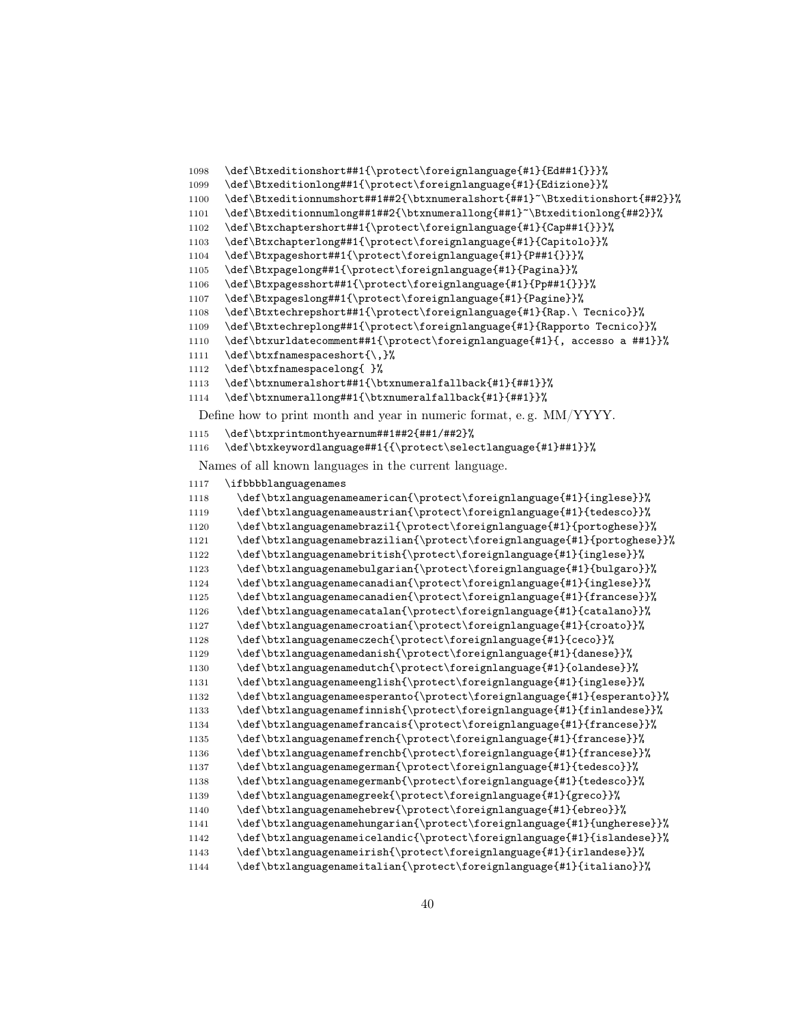```
1098 \def\Btxeditionshort##1{\protect\foreignlanguage{#1}{Ed##1{}}}%
1099 \def\Btxeditionlong##1{\protect\foreignlanguage{#1}{Edizione}}%
1100 \def\Btxeditionnumshort##1##2{\btxnumeralshort{##1}~\Btxeditionshort{##2}}%
1101 \def\Btxeditionnumlong##1##2{\btxnumerallong{##1}~\Btxeditionlong{##2}}%
1102 \def\Btxchaptershort##1{\protect\foreignlanguage{#1}{Cap##1{}}}%
1103 \def\Btxchapterlong##1{\protect\foreignlanguage{#1}{Capitolo}}%
1104 \def\Btxpageshort##1{\protect\foreignlanguage{#1}{P##1{}}}%
1105 \def\Btxpagelong##1{\protect\foreignlanguage{#1}{Pagina}}%
1106 \def\Btxpagesshort##1{\protect\foreignlanguage{#1}{Pp##1{}}}%
1107 \def\Btxpageslong##1{\protect\foreignlanguage{#1}{Pagine}}%
1108 \def\Btxtechrepshort##1{\protect\foreignlanguage{#1}{Rap.\ Tecnico}}%
1109 \def\Btxtechreplong##1{\protect\foreignlanguage{#1}{Rapporto Tecnico}}%
1110 \def\btxurldatecomment##1{\protect\foreignlanguage{#1}{, accesso a ##1}}%
1111 \def\btxfnamespaceshort{\,}%
```
\def\btxfnamespacelong{ }%

```
1113 \def\btxnumeralshort##1{\btxnumeralfallback{#1}{##1}}%
```

```
1114 \def\btxnumerallong##1{\btxnumeralfallback{#1}{##1}}%
```
Define how to print month and year in numeric format, e. g. MM/YYYY.

```
1115 \def\btxprintmonthyearnum##1##2{##1/##2}%
```
\def\btxkeywordlanguage##1{{\protect\selectlanguage{#1}##1}}%

Names of all known languages in the current language.

```
1117 \ifbbbblanguagenames
```

```
1118 \def\btxlanguagenameamerican{\protect\foreignlanguage{#1}{inglese}}%
1119 \def\btxlanguagenameaustrian{\protect\foreignlanguage{#1}{tedesco}}%
1120 \def\btxlanguagenamebrazil{\protect\foreignlanguage{#1}{portoghese}}%
1121 \def\btxlanguagenamebrazilian{\protect\foreignlanguage{#1}{portoghese}}%
1122 \def\btxlanguagenamebritish{\protect\foreignlanguage{#1}{inglese}}%
1123 \def\btxlanguagenamebulgarian{\protect\foreignlanguage{#1}{bulgaro}}%
1124 \def\btxlanguagenamecanadian{\protect\foreignlanguage{#1}{inglese}}%
1125 \def\btxlanguagenamecanadien{\protect\foreignlanguage{#1}{francese}}%
1126 \def\btxlanguagenamecatalan{\protect\foreignlanguage{#1}{catalano}}%
1127 \def\btxlanguagenamecroatian{\protect\foreignlanguage{#1}{croato}}%
1128 \def\btxlanguagenameczech{\protect\foreignlanguage{#1}{ceco}}%
1129 \def\btxlanguagenamedanish{\protect\foreignlanguage{#1}{danese}}%
1130 \def\btxlanguagenamedutch{\protect\foreignlanguage{#1}{olandese}}%
1131 \def\btxlanguagenameenglish{\protect\foreignlanguage{#1}{inglese}}%
1132 \def\btxlanguagenameesperanto{\protect\foreignlanguage{#1}{esperanto}}%
1133 \def\btxlanguagenamefinnish{\protect\foreignlanguage{#1}{finlandese}}%
1134 \def\btxlanguagenamefrancais{\protect\foreignlanguage{#1}{francese}}%
1135 \def\btxlanguagenamefrench{\protect\foreignlanguage{#1}{francese}}%
1136 \def\btxlanguagenamefrenchb{\protect\foreignlanguage{#1}{francese}}%
1137 \def\btxlanguagenamegerman{\protect\foreignlanguage{#1}{tedesco}}%
1138 \def\btxlanguagenamegermanb{\protect\foreignlanguage{#1}{tedesco}}%
1139 \def\btxlanguagenamegreek{\protect\foreignlanguage{#1}{greco}}%
1140 \def\btxlanguagenamehebrew{\protect\foreignlanguage{#1}{ebreo}}%
1141 \def\btxlanguagenamehungarian{\protect\foreignlanguage{#1}{ungherese}}%
1142 \def\btxlanguagenameicelandic{\protect\foreignlanguage{#1}{islandese}}%
1143 \def\btxlanguagenameirish{\protect\foreignlanguage{#1}{irlandese}}%
1144 \def\btxlanguagenameitalian{\protect\foreignlanguage{#1}{italiano}}%
```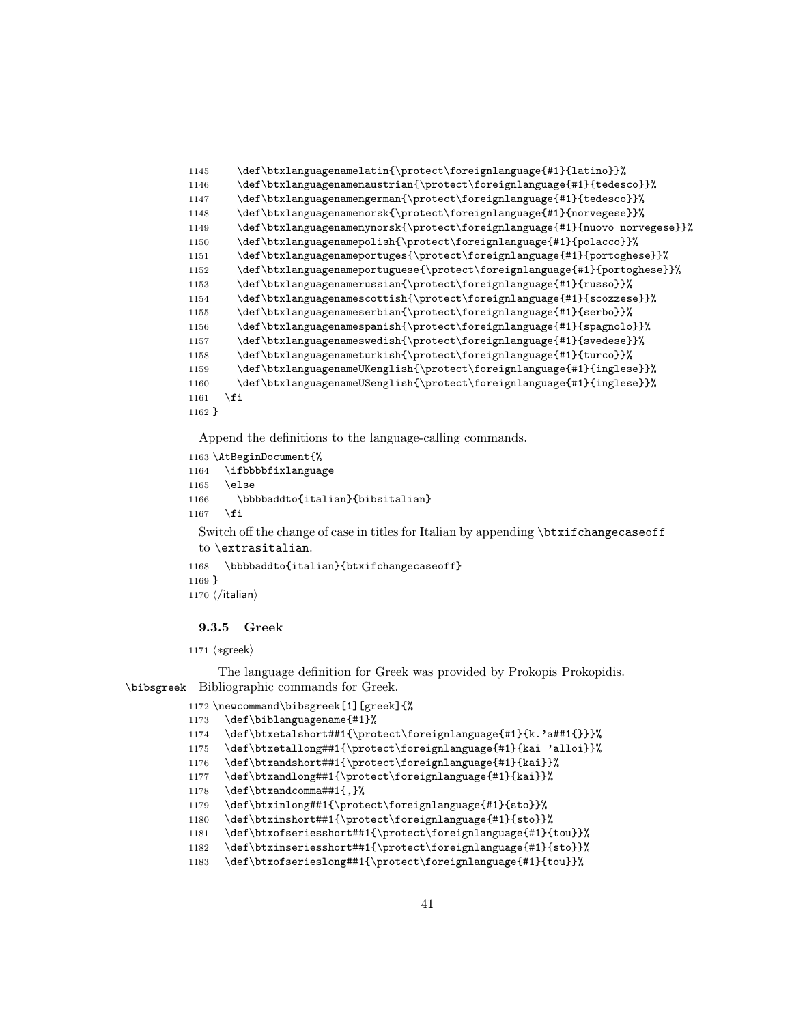```
1145 \def\btxlanguagenamelatin{\protect\foreignlanguage{#1}{latino}}%
1146 \def\btxlanguagenamenaustrian{\protect\foreignlanguage{#1}{tedesco}}%
1147 \def\btxlanguagenamengerman{\protect\foreignlanguage{#1}{tedesco}}%
1148 \def\btxlanguagenamenorsk{\protect\foreignlanguage{#1}{norvegese}}%
1149 \def\btxlanguagenamenynorsk{\protect\foreignlanguage{#1}{nuovo norvegese}}%
1150 \def\btxlanguagenamepolish{\protect\foreignlanguage{#1}{polacco}}%
1151 \def\btxlanguagenameportuges{\protect\foreignlanguage{#1}{portoghese}}%
1152 \def\btxlanguagenameportuguese{\protect\foreignlanguage{#1}{portoghese}}%
1153 \def\btxlanguagenamerussian{\protect\foreignlanguage{#1}{russo}}%
1154 \def\btxlanguagenamescottish{\protect\foreignlanguage{#1}{scozzese}}%
1155 \def\btxlanguagenameserbian{\protect\foreignlanguage{#1}{serbo}}%
1156 \def\btxlanguagenamespanish{\protect\foreignlanguage{#1}{spagnolo}}%
1157 \def\btxlanguagenameswedish{\protect\foreignlanguage{#1}{svedese}}%
1158 \def\btxlanguagenameturkish{\protect\foreignlanguage{#1}{turco}}%
1159 \def\btxlanguagenameUKenglish{\protect\foreignlanguage{#1}{inglese}}%
1160 \def\btxlanguagenameUSenglish{\protect\foreignlanguage{#1}{inglese}}%
1161 \overrightarrow{fi}1162 }
```

```
1163 \AtBeginDocument{%
1164 \ifbbbbfixlanguage
1165 \else
1166 \bbbbaddto{italian}{bibsitalian}
1167 \fi
 Switch off the change of case in titles for Italian by appending \btxifchangecaseoff
 to \extrasitalian.
1168 \bbbbaddto{italian}{btxifchangecaseoff}
1169 }
1170 \langle/italian\rangle
```
# 9.3.5 Greek

1171 (\*greek)

The language definition for Greek was provided by Prokopis Prokopidis. \bibsgreek Bibliographic commands for Greek.

```
1172 \newcommand\bibsgreek[1][greek]{%
1173 \def\biblanguagename{#1}%
1174 \def\btxetalshort##1{\protect\foreignlanguage{#1}{k.'a##1{}}}%
1175 \def\btxetallong##1{\protect\foreignlanguage{#1}{kai 'alloi}}%
1176 \def\btxandshort##1{\protect\foreignlanguage{#1}{kai}}%
1177 \def\btxandlong##1{\protect\foreignlanguage{#1}{kai}}%
1178 \def\btxandcomma##1{,}%
1179 \def\btxinlong##1{\protect\foreignlanguage{#1}{sto}}%
1180 \def\btxinshort##1{\protect\foreignlanguage{#1}{sto}}%
1181 \def\btxofseriesshort##1{\protect\foreignlanguage{#1}{tou}}%
1182 \def\btxinseriesshort##1{\protect\foreignlanguage{#1}{sto}}%
```
\def\btxofserieslong##1{\protect\foreignlanguage{#1}{tou}}%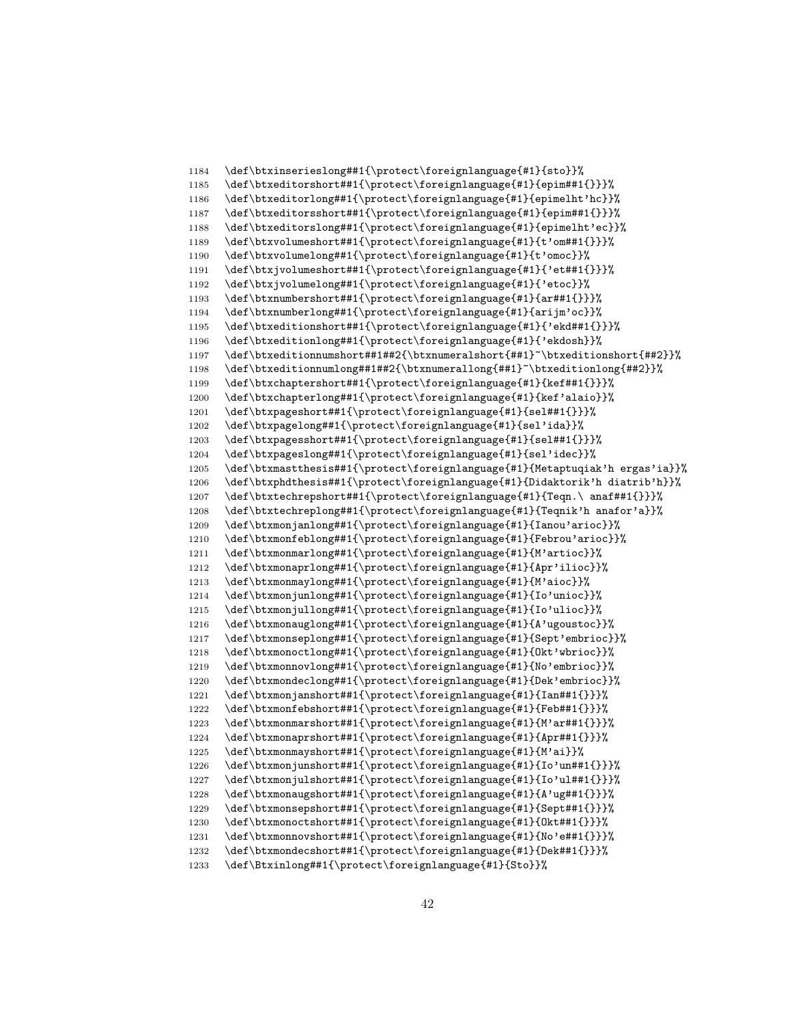```
1184 \def\btxinserieslong##1{\protect\foreignlanguage{#1}{sto}}%
1185 \def\btxeditorshort##1{\protect\foreignlanguage{#1}{epim##1{}}}%
1186 \def\btxeditorlong##1{\protect\foreignlanguage{#1}{epimelht'hc}}%
1187 \def\btxeditorsshort##1{\protect\foreignlanguage{#1}{epim##1{}}}%
1188 \def\btxeditorslong##1{\protect\foreignlanguage{#1}{epimelht'ec}}%
1189 \def\btxvolumeshort##1{\protect\foreignlanguage{#1}{t'om##1{}}}%
1190 \def\btxvolumelong##1{\protect\foreignlanguage{#1}{t'omoc}}%
1191 \def\btxjvolumeshort##1{\protect\foreignlanguage{#1}{'et##1{}}}%
1192 \def\btxjvolumelong##1{\protect\foreignlanguage{#1}{'etoc}}%
1193 \def\btxnumbershort##1{\protect\foreignlanguage{#1}{ar##1{}}}%
1194 \def\btxnumberlong##1{\protect\foreignlanguage{#1}{arijm'oc}}%
1195 \def\btxeditionshort##1{\protect\foreignlanguage{#1}{'ekd##1{}}}%
1196 \def\btxeditionlong##1{\protect\foreignlanguage{#1}{'ekdosh}}%
1197 \def\btxeditionnumshort##1##2{\btxnumeralshort{##1}~\btxeditionshort{##2}}%
1198 \def\btxeditionnumlong##1##2{\btxnumerallong{##1}~\btxeditionlong{##2}}%
1199 \def\btxchaptershort##1{\protect\foreignlanguage{#1}{kef##1{}}}%
1200 \def\btxchapterlong##1{\protect\foreignlanguage{#1}{kef'alaio}}%
1201 \def\btxpageshort##1{\protect\foreignlanguage{#1}{sel##1{}}}%
1202 \def\btxpagelong##1{\protect\foreignlanguage{#1}{sel'ida}}%
1203 \def\btxpagesshort##1{\protect\foreignlanguage{#1}{sel##1{}}}%
1204 \def\btxpageslong##1{\protect\foreignlanguage{#1}{sel'idec}}%
1205 \def\btxmastthesis##1{\protect\foreignlanguage{#1}{Metaptuqiak'h ergas'ia}}%
1206 \def\btxphdthesis##1{\protect\foreignlanguage{#1}{Didaktorik'h diatrib'h}}%
1207 \def\btxtechrepshort##1{\protect\foreignlanguage{#1}{Teqn.\ anaf##1{}}}%
1208 \def\btxtechreplong##1{\protect\foreignlanguage{#1}{Teqnik'h anafor'a}}%
1209 \def\btxmonjanlong##1{\protect\foreignlanguage{#1}{Ianou'arioc}}%
1210 \def\btxmonfeblong##1{\protect\foreignlanguage{#1}{Febrou'arioc}}%
1211 \def\btxmonmarlong##1{\protect\foreignlanguage{#1}{M'artioc}}%
1212 \def\btxmonaprlong##1{\protect\foreignlanguage{#1}{Apr'ilioc}}%
1213 \def\btxmonmaylong##1{\protect\foreignlanguage{#1}{M'aioc}}%
1214 \def\btxmonjunlong##1{\protect\foreignlanguage{#1}{Io'unioc}}%
1215 \def\btxmonjullong##1{\protect\foreignlanguage{#1}{Io'ulioc}}%
1216 \def\btxmonauglong##1{\protect\foreignlanguage{#1}{A'ugoustoc}}%
1217 \def\btxmonseplong##1{\protect\foreignlanguage{#1}{Sept'embrioc}}%
1218 \def\btxmonoctlong##1{\protect\foreignlanguage{#1}{Okt'wbrioc}}%
1219 \def\btxmonnovlong##1{\protect\foreignlanguage{#1}{No'embrioc}}%
1220 \def\btxmondeclong##1{\protect\foreignlanguage{#1}{Dek'embrioc}}%
1221 \def\btxmonjanshort##1{\protect\foreignlanguage{#1}{Ian##1{}}}%
1222 \def\btxmonfebshort##1{\protect\foreignlanguage{#1}{Feb##1{}}}%
1223 \def\btxmonmarshort##1{\protect\foreignlanguage{#1}{M'ar##1{}}}%
1224 \def\btxmonaprshort##1{\protect\foreignlanguage{#1}{Apr##1{}}}%
1225 \def\btxmonmayshort##1{\protect\foreignlanguage{#1}{M'ai}}%
1226 \def\btxmonjunshort##1{\protect\foreignlanguage{#1}{Io'un##1{}}}%
1227 \def\btxmonjulshort##1{\protect\foreignlanguage{#1}{Io'ul##1{}}}%
1228 \def\btxmonaugshort##1{\protect\foreignlanguage{#1}{A'ug##1{}}}%
1229 \def\btxmonsepshort##1{\protect\foreignlanguage{#1}{Sept##1{}}}%
1230 \def\btxmonoctshort##1{\protect\foreignlanguage{#1}{Okt##1{}}}%
1231 \def\btxmonnovshort##1{\protect\foreignlanguage{#1}{No'e##1{}}}%
1232 \def\btxmondecshort##1{\protect\foreignlanguage{#1}{Dek##1{}}}%
1233 \def\Btxinlong##1{\protect\foreignlanguage{#1}{Sto}}%
```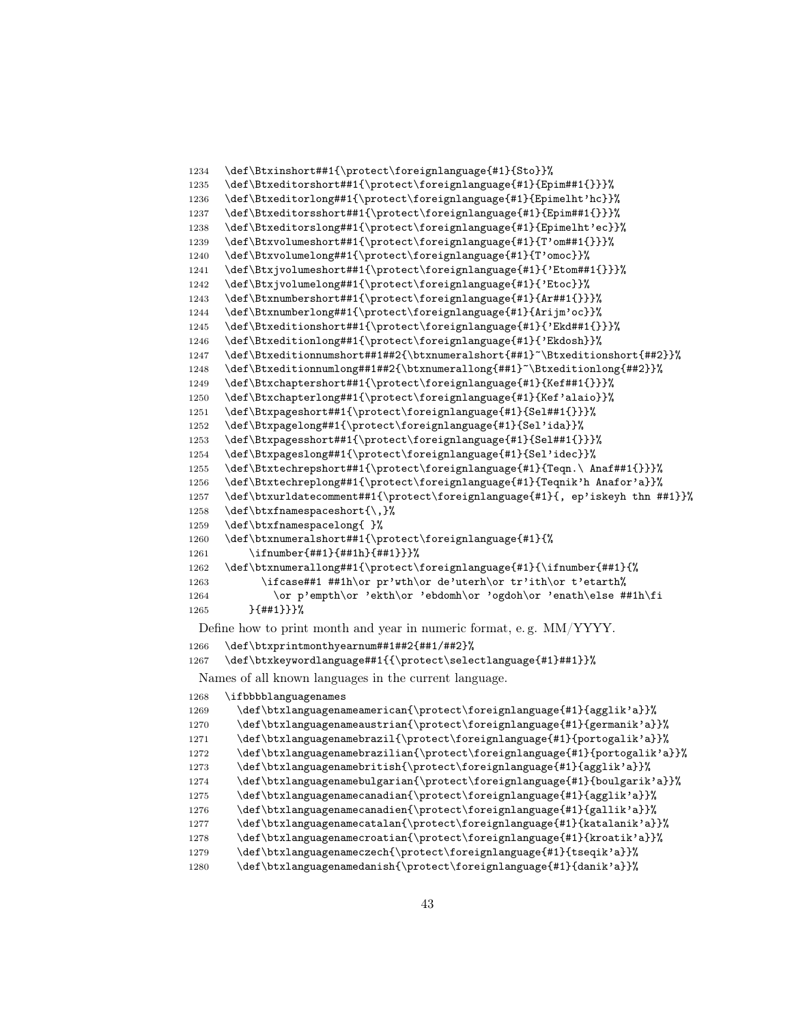```
1234 \def\Btxinshort##1{\protect\foreignlanguage{#1}{Sto}}%
1235 \def\Btxeditorshort##1{\protect\foreignlanguage{#1}{Epim##1{}}}%
1236 \def\Btxeditorlong##1{\protect\foreignlanguage{#1}{Epimelht'hc}}%
1237 \def\Btxeditorsshort##1{\protect\foreignlanguage{#1}{Epim##1{}}}%
1238 \def\Btxeditorslong##1{\protect\foreignlanguage{#1}{Epimelht'ec}}%
1239 \def\Btxvolumeshort##1{\protect\foreignlanguage{#1}{T'om##1{}}}%
1240 \def\Btxvolumelong##1{\protect\foreignlanguage{#1}{T'omoc}}%
1241 \def\Btxjvolumeshort##1{\protect\foreignlanguage{#1}{'Etom##1{}}}%
1242 \def\Btxjvolumelong##1{\protect\foreignlanguage{#1}{'Etoc}}%
1243 \def\Btxnumbershort##1{\protect\foreignlanguage{#1}{Ar##1{}}}%
1244 \def\Btxnumberlong##1{\protect\foreignlanguage{#1}{Arijm'oc}}%
1245 \def\Btxeditionshort##1{\protect\foreignlanguage{#1}{'Ekd##1{}}}%
1246 \def\Btxeditionlong##1{\protect\foreignlanguage{#1}{'Ekdosh}}%
1247 \def\Btxeditionnumshort##1##2{\btxnumeralshort{##1}~\Btxeditionshort{##2}}%
1248 \def\Btxeditionnumlong##1##2{\btxnumerallong{##1}~\Btxeditionlong{##2}}%
1249 \def\Btxchaptershort##1{\protect\foreignlanguage{#1}{Kef##1{}}}%<br>1250 \def\Btxchapterlong##1{\protect\foreignlanguage{#1}{Kef'alaio}}%
      \def\Btxchapterlong##1{\protect\foreignlanguage{#1}{Kef'alaio}}%
1251 \def\Btxpageshort##1{\protect\foreignlanguage{#1}{Sel##1{}}}%
1252 \def\Btxpagelong##1{\protect\foreignlanguage{#1}{Sel'ida}}%
1253 \def\Btxpagesshort##1{\protect\foreignlanguage{#1}{Sel##1{}}}%
1254 \def\Btxpageslong##1{\protect\foreignlanguage{#1}{Sel'idec}}%
1255 \def\Btxtechrepshort##1{\protect\foreignlanguage{#1}{Teqn.\ Anaf##1{}}}%
1256 \def\Btxtechreplong##1{\protect\foreignlanguage{#1}{Teqnik'h Anafor'a}}%
1257 \def\btxurldatecomment##1{\protect\foreignlanguage{#1}{, ep'iskeyh thn ##1}}%
1258 \def\btxfnamespaceshort{\,}%
1259 \def\btxfnamespacelong{ }%
1260 \def\btxnumeralshort##1{\protect\foreignlanguage{#1}{%
1261 \ifnumber{##1}{##1h}{##1}}}%
1262 \def\btxnumerallong##1{\protect\foreignlanguage{#1}{\ifnumber{##1}{%
1263 \ifcase##1 ##1h\or pr'wth\or de'uterh\or tr'ith\or t'etarth%
1264 \or p'empth\or 'ekth\or 'ebdomh\or 'ogdoh\or 'enath\else ##1h\fi
1265 }{##1}}}%
 Define how to print month and year in numeric format, e. g. MM/YYYY.
```

```
1266 \def\btxprintmonthyearnum##1##2{##1/##2}%
```
\def\btxkeywordlanguage##1{{\protect\selectlanguage{#1}##1}}%

Names of all known languages in the current language.

```
1268 \ifbbbblanguagenames
1269 \def\btxlanguagenameamerican{\protect\foreignlanguage{#1}{agglik'a}}%
1270 \def\btxlanguagenameaustrian{\protect\foreignlanguage{#1}{germanik'a}}%
1271 \def\btxlanguagenamebrazil{\protect\foreignlanguage{#1}{portogalik'a}}%
1272 \def\btxlanguagenamebrazilian{\protect\foreignlanguage{#1}{portogalik'a}}%
1273 \def\btxlanguagenamebritish{\protect\foreignlanguage{#1}{agglik'a}}%
1274 \def\btxlanguagenamebulgarian{\protect\foreignlanguage{#1}{boulgarik'a}}%
1275 \def\btxlanguagenamecanadian{\protect\foreignlanguage{#1}{agglik'a}}%
1276 \def\btxlanguagenamecanadien{\protect\foreignlanguage{#1}{gallik'a}}%
1277 \def\btxlanguagenamecatalan{\protect\foreignlanguage{#1}{katalanik'a}}%
1278 \def\btxlanguagenamecroatian{\protect\foreignlanguage{#1}{kroatik'a}}%
1279 \def\btxlanguagenameczech{\protect\foreignlanguage{#1}{tseqik'a}}%
1280 \def\btxlanguagenamedanish{\protect\foreignlanguage{#1}{danik'a}}%
```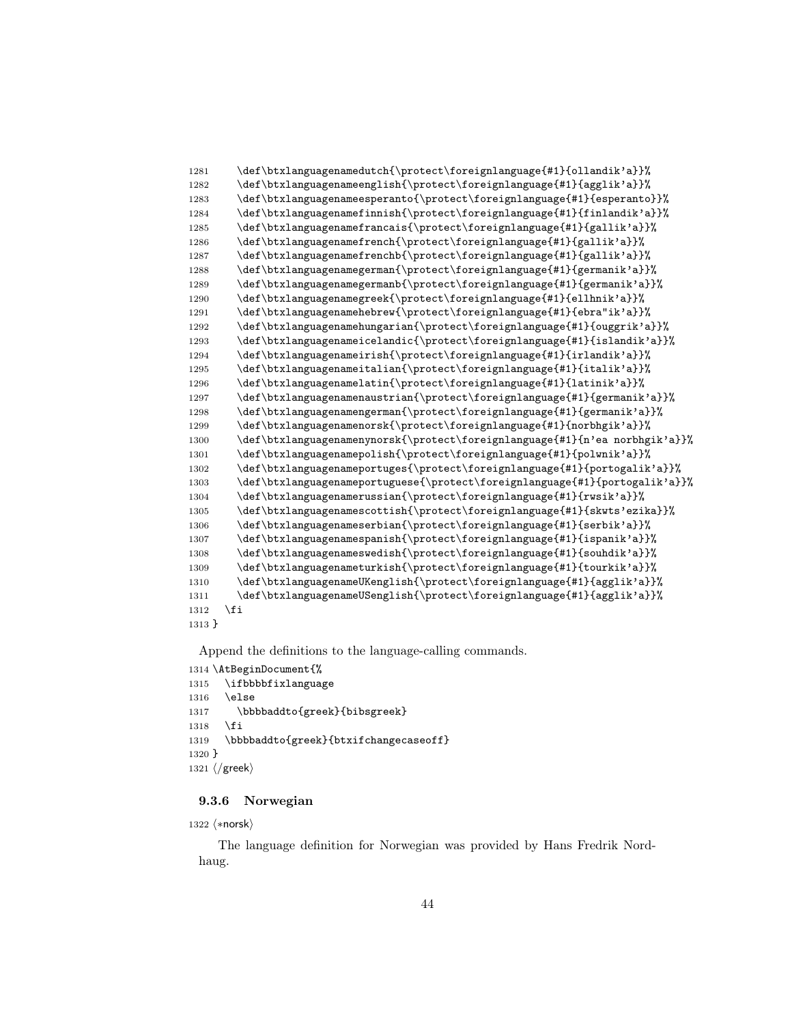```
1281 \def\btxlanguagenamedutch{\protect\foreignlanguage{#1}{ollandik'a}}%
1282 \def\btxlanguagenameenglish{\protect\foreignlanguage{#1}{agglik'a}}%
1283 \def\btxlanguagenameesperanto{\protect\foreignlanguage{#1}{esperanto}}%
1284 \def\btxlanguagenamefinnish{\protect\foreignlanguage{#1}{finlandik'a}}%
1285 \def\btxlanguagenamefrancais{\protect\foreignlanguage{#1}{gallik'a}}%
1286 \def\btxlanguagenamefrench{\protect\foreignlanguage{#1}{gallik'a}}%
1287 \def\btxlanguagenamefrenchb{\protect\foreignlanguage{#1}{gallik'a}}%
1288 \def\btxlanguagenamegerman{\protect\foreignlanguage{#1}{germanik'a}}%
1289 \def\btxlanguagenamegermanb{\protect\foreignlanguage{#1}{germanik'a}}%
1290 \def\btxlanguagenamegreek{\protect\foreignlanguage{#1}{ellhnik'a}}%
1291 \def\btxlanguagenamehebrew{\protect\foreignlanguage{#1}{ebra"ik'a}}%
1292 \def\btxlanguagenamehungarian{\protect\foreignlanguage{#1}{ouggrik'a}}%
1293 \def\btxlanguagenameicelandic{\protect\foreignlanguage{#1}{islandik'a}}%
1294 \def\btxlanguagenameirish{\protect\foreignlanguage{#1}{irlandik'a}}%
1295 \def\btxlanguagenameitalian{\protect\foreignlanguage{#1}{italik'a}}%
1296 \def\btxlanguagenamelatin{\protect\foreignlanguage{#1}{latinik'a}}%
1297 \def\btxlanguagenamenaustrian{\protect\foreignlanguage{#1}{germanik'a}}%
1298 \def\btxlanguagenamengerman{\protect\foreignlanguage{#1}{germanik'a}}%
1299 \def\btxlanguagenamenorsk{\protect\foreignlanguage{#1}{norbhgik'a}}%
1300 \def\btxlanguagenamenynorsk{\protect\foreignlanguage{#1}{n'ea norbhgik'a}}%
1301 \def\btxlanguagenamepolish{\protect\foreignlanguage{#1}{polwnik'a}}%
1302 \def\btxlanguagenameportuges{\protect\foreignlanguage{#1}{portogalik'a}}%
1303 \def\btxlanguagenameportuguese{\protect\foreignlanguage{#1}{portogalik'a}}%
1304 \def\btxlanguagenamerussian{\protect\foreignlanguage{#1}{rwsik'a}}%
1305 \def\btxlanguagenamescottish{\protect\foreignlanguage{#1}{skwts'ezika}}%
1306 \def\btxlanguagenameserbian{\protect\foreignlanguage{#1}{serbik'a}}%
1307 \def\btxlanguagenamespanish{\protect\foreignlanguage{#1}{ispanik'a}}%
1308 \def\btxlanguagenameswedish{\protect\foreignlanguage{#1}{souhdik'a}}%
1309 \def\btxlanguagenameturkish{\protect\foreignlanguage{#1}{tourkik'a}}%
1310 \def\btxlanguagenameUKenglish{\protect\foreignlanguage{#1}{agglik'a}}%
1311 \def\btxlanguagenameUSenglish{\protect\foreignlanguage{#1}{agglik'a}}%
1312 \fi
1313 }
```

```
1314 \AtBeginDocument{%
1315 \ifbbbbfixlanguage
1316 \else
1317 \bbbbaddto{greek}{bibsgreek}
1318 \fi
1319 \bbbbaddto{greek}{btxifchangecaseoff}
1320 }
1321 \langle/greek\rangle
```
# 9.3.6 Norwegian

1322 (\*norsk)

The language definition for Norwegian was provided by Hans Fredrik Nordhaug.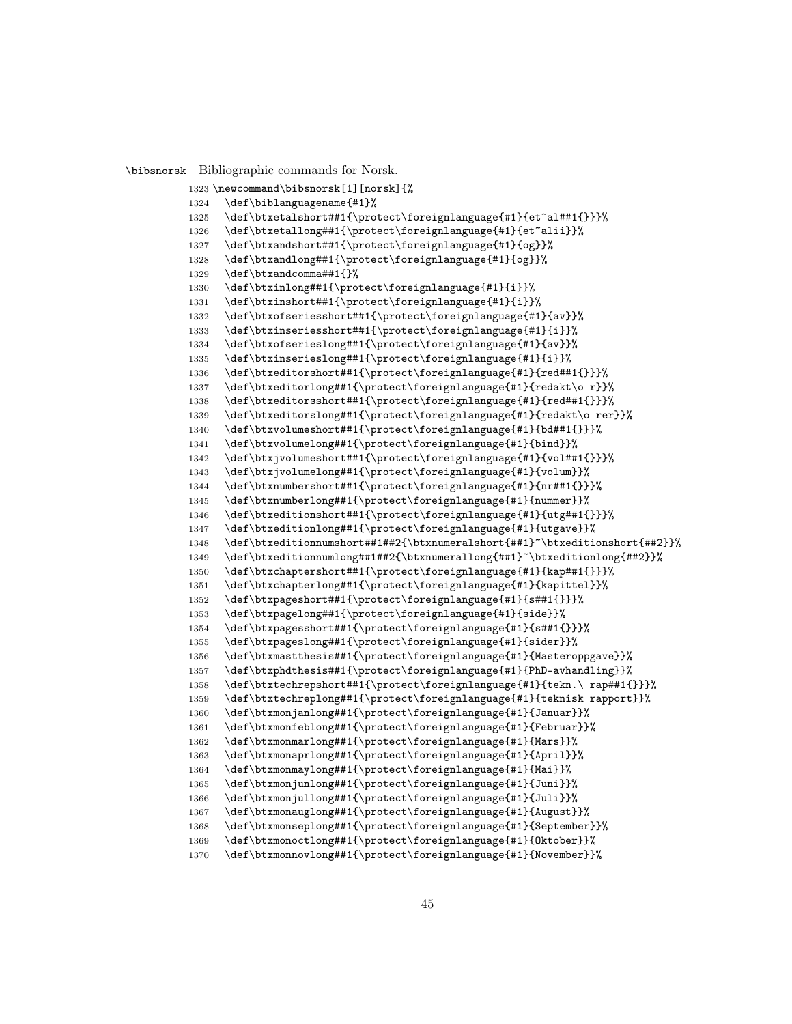\bibsnorsk Bibliographic commands for Norsk.

```
1323 \newcommand\bibsnorsk[1][norsk]{%
1324 \def\biblanguagename{#1}%
1325 \def\btxetalshort##1{\protect\foreignlanguage{#1}{et~al##1{}}}%
1326 \def\btxetallong##1{\protect\foreignlanguage{#1}{et~alii}}%
1327 \def\btxandshort##1{\protect\foreignlanguage{#1}{og}}%
1328 \def\btxandlong##1{\protect\foreignlanguage{#1}{og}}%
1329 \def\btxandcomma##1{}%
1330 \def\btxinlong##1{\protect\foreignlanguage{#1}{i}}%
1331 \def\btxinshort##1{\protect\foreignlanguage{#1}{i}}%
1332 \def\btxofseriesshort##1{\protect\foreignlanguage{#1}{av}}%
1333 \def\btxinseriesshort##1{\protect\foreignlanguage{#1}{i}}%
1334 \def\btxofserieslong##1{\protect\foreignlanguage{#1}{av}}%
1335 \def\btxinserieslong##1{\protect\foreignlanguage{#1}{i}}%
1336 \def\btxeditorshort##1{\protect\foreignlanguage{#1}{red##1{}}}%
1337 \def\btxeditorlong##1{\protect\foreignlanguage{#1}{redakt\o r}}%
1338 \def\btxeditorsshort##1{\protect\foreignlanguage{#1}{red##1{}}}%
1339 \def\btxeditorslong##1{\protect\foreignlanguage{#1}{redakt\o rer}}%
1340 \def\btxvolumeshort##1{\protect\foreignlanguage{#1}{bd##1{}}}%
1341 \def\btxvolumelong##1{\protect\foreignlanguage{#1}{bind}}%
1342 \def\btxjvolumeshort##1{\protect\foreignlanguage{#1}{vol##1{}}}%
1343 \def\btxjvolumelong##1{\protect\foreignlanguage{#1}{volum}}%
1344 \def\btxnumbershort##1{\protect\foreignlanguage{#1}{nr##1{}}}%
1345 \def\btxnumberlong##1{\protect\foreignlanguage{#1}{nummer}}%
1346 \def\btxeditionshort##1{\protect\foreignlanguage{#1}{utg##1{}}}%
1347 \def\btxeditionlong##1{\protect\foreignlanguage{#1}{utgave}}%
1348 \def\btxeditionnumshort##1##2{\btxnumeralshort{##1}~\btxeditionshort{##2}}%
1349 \def\btxeditionnumlong##1##2{\btxnumerallong{##1}~\btxeditionlong{##2}}%
1350 \def\btxchaptershort##1{\protect\foreignlanguage{#1}{kap##1{}}}%
1351 \def\btxchapterlong##1{\protect\foreignlanguage{#1}{kapittel}}%
1352 \def\btxpageshort##1{\protect\foreignlanguage{#1}{s##1{}}}%
1353 \def\btxpagelong##1{\protect\foreignlanguage{#1}{side}}%
1354 \def\btxpagesshort##1{\protect\foreignlanguage{#1}{s##1{}}}%
1355 \def\btxpageslong##1{\protect\foreignlanguage{#1}{sider}}%
1356 \def\btxmastthesis##1{\protect\foreignlanguage{#1}{Masteroppgave}}%
1357 \def\btxphdthesis##1{\protect\foreignlanguage{#1}{PhD-avhandling}}%
1358 \def\btxtechrepshort##1{\protect\foreignlanguage{#1}{tekn.\ rap##1{}}}%
1359 \def\btxtechreplong##1{\protect\foreignlanguage{#1}{teknisk rapport}}%
1360 \def\btxmonjanlong##1{\protect\foreignlanguage{#1}{Januar}}%
1361 \def\btxmonfeblong##1{\protect\foreignlanguage{#1}{Februar}}%
1362 \def\btxmonmarlong##1{\protect\foreignlanguage{#1}{Mars}}%
1363 \def\btxmonaprlong##1{\protect\foreignlanguage{#1}{April}}%
1364 \def\btxmonmaylong##1{\protect\foreignlanguage{#1}{Mai}}%
1365 \def\btxmonjunlong##1{\protect\foreignlanguage{#1}{Juni}}%
1366 \def\btxmonjullong##1{\protect\foreignlanguage{#1}{Juli}}%
1367 \def\btxmonauglong##1{\protect\foreignlanguage{#1}{August}}%
1368 \def\btxmonseplong##1{\protect\foreignlanguage{#1}{September}}%
1369 \def\btxmonoctlong##1{\protect\foreignlanguage{#1}{Oktober}}%
1370 \def\btxmonnovlong##1{\protect\foreignlanguage{#1}{November}}%
```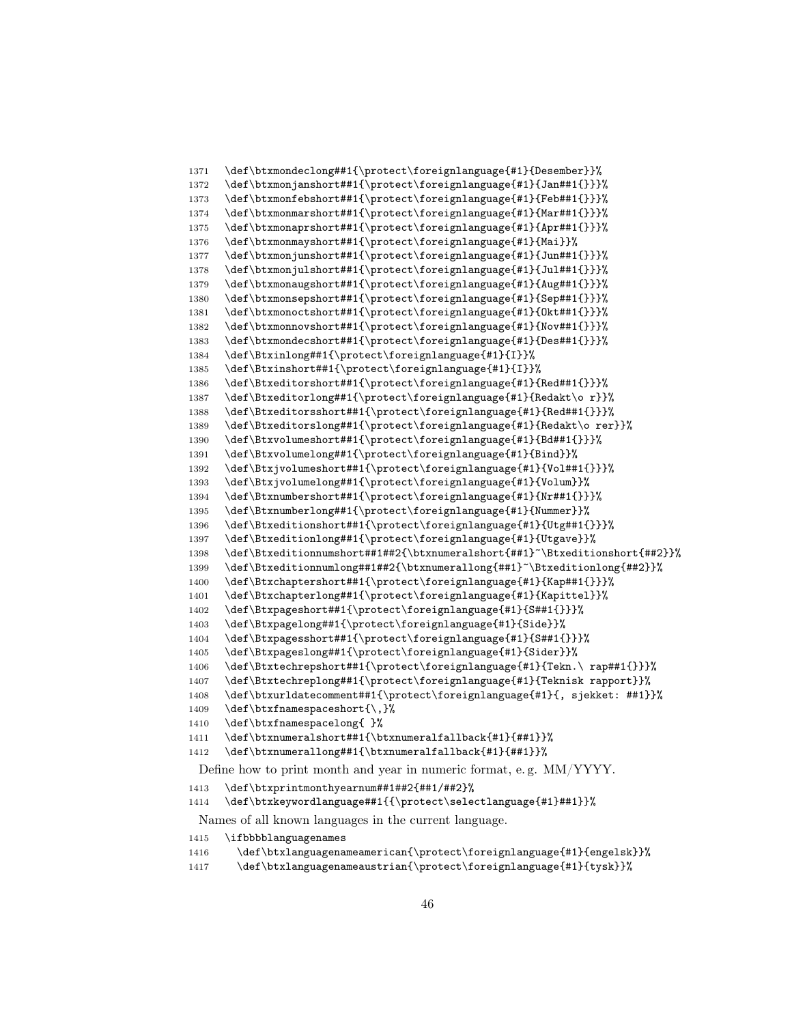```
1371 \def\btxmondeclong##1{\protect\foreignlanguage{#1}{Desember}}%
1372 \def\btxmonjanshort##1{\protect\foreignlanguage{#1}{Jan##1{}}}%
1373 \def\btxmonfebshort##1{\protect\foreignlanguage{#1}{Feb##1{}}}%
1374 \def\btxmonmarshort##1{\protect\foreignlanguage{#1}{Mar##1{}}}%
1375 \def\btxmonaprshort##1{\protect\foreignlanguage{#1}{Apr##1{}}}%
1376 \def\btxmonmayshort##1{\protect\foreignlanguage{#1}{Mai}}%
1377 \def\btxmonjunshort##1{\protect\foreignlanguage{#1}{Jun##1{}}}%
1378 \def\btxmonjulshort##1{\protect\foreignlanguage{#1}{Jul##1{}}}%
1379 \def\btxmonaugshort##1{\protect\foreignlanguage{#1}{Aug##1{}}}%
1380 \def\btxmonsepshort##1{\protect\foreignlanguage{#1}{Sep##1{}}}%
1381 \def\btxmonoctshort##1{\protect\foreignlanguage{#1}{Okt##1{}}}%
1382 \def\btxmonnovshort##1{\protect\foreignlanguage{#1}{Nov##1{}}}%
1383 \def\btxmondecshort##1{\protect\foreignlanguage{#1}{Des##1{}}}%
1384 \def\Btxinlong##1{\protect\foreignlanguage{#1}{I}}%
1385 \def\Btxinshort##1{\protect\foreignlanguage{#1}{I}}%
1386 \def\Btxeditorshort##1{\protect\foreignlanguage{#1}{Red##1{}}}%
1387 \def\Btxeditorlong##1{\protect\foreignlanguage{#1}{Redakt\o r}}%
1388 \def\Btxeditorsshort##1{\protect\foreignlanguage{#1}{Red##1{}}}%
1389 \def\Btxeditorslong##1{\protect\foreignlanguage{#1}{Redakt\o rer}}%
1390 \def\Btxvolumeshort##1{\protect\foreignlanguage{#1}{Bd##1{}}}%
1391 \def\Btxvolumelong##1{\protect\foreignlanguage{#1}{Bind}}%
1392 \def\Btxjvolumeshort##1{\protect\foreignlanguage{#1}{Vol##1{}}}%
1393 \def\Btxjvolumelong##1{\protect\foreignlanguage{#1}{Volum}}%
1394 \def\Btxnumbershort##1{\protect\foreignlanguage{#1}{Nr##1{}}}%
1395 \def\Btxnumberlong##1{\protect\foreignlanguage{#1}{Nummer}}%
1396 \def\Btxeditionshort##1{\protect\foreignlanguage{#1}{Utg##1{}}}%
1397 \def\Btxeditionlong##1{\protect\foreignlanguage{#1}{Utgave}}%
1398 \def\Btxeditionnumshort##1##2{\btxnumeralshort{##1}~\Btxeditionshort{##2}}%
1399 \def\Btxeditionnumlong##1##2{\btxnumerallong{##1}~\Btxeditionlong{##2}}%
1400 \def\Btxchaptershort##1{\protect\foreignlanguage{#1}{Kap##1{}}}%
1401 \def\Btxchapterlong##1{\protect\foreignlanguage{#1}{Kapittel}}%
1402 \def\Btxpageshort##1{\protect\foreignlanguage{#1}{S##1{}}}%
1403 \def\Btxpagelong##1{\protect\foreignlanguage{#1}{Side}}%
1404 \def\Btxpagesshort##1{\protect\foreignlanguage{#1}{S##1{}}}%
1405 \def\Btxpageslong##1{\protect\foreignlanguage{#1}{Sider}}%
1406 \def\Btxtechrepshort##1{\protect\foreignlanguage{#1}{Tekn.\ rap##1{}}}%
1407 \def\Btxtechreplong##1{\protect\foreignlanguage{#1}{Teknisk rapport}}%
1408 \def\btxurldatecomment##1{\protect\foreignlanguage{#1}{, sjekket: ##1}}%
1409 \def\btxfnamespaceshort{\,}%
1410 \def\btxfnamespacelong{ }%
1411 \def\btxnumeralshort##1{\btxnumeralfallback{#1}{##1}}%
1412 \def\btxnumerallong##1{\btxnumeralfallback{#1}{##1}}%
 Define how to print month and year in numeric format, e. g. MM/YYYY.
1413 \def\btxprintmonthyearnum##1##2{##1/##2}%
1414 \def\btxkeywordlanguage##1{{\protect\selectlanguage{#1}##1}}%
 Names of all known languages in the current language.
1415 \ifbbbblanguagenames
```

```
1416 \def\btxlanguagenameamerican{\protect\foreignlanguage{#1}{engelsk}}%
```

```
1417 \def\btxlanguagenameaustrian{\protect\foreignlanguage{#1}{tysk}}%
```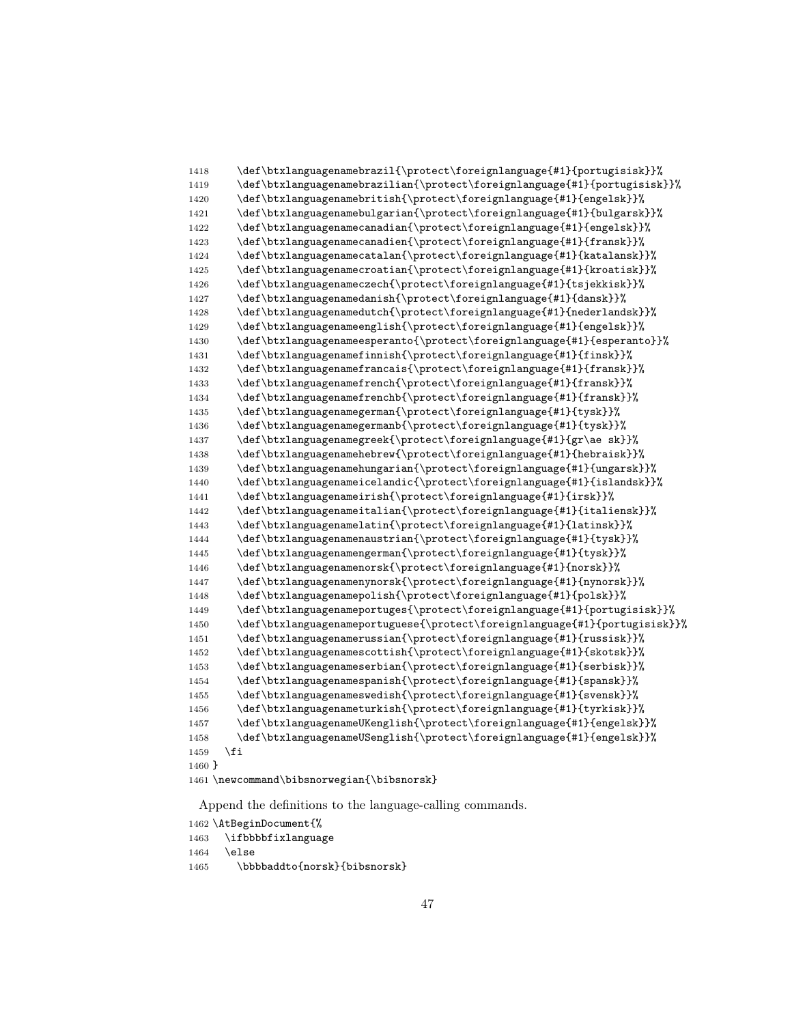```
1418 \def\btxlanguagenamebrazil{\protect\foreignlanguage{#1}{portugisisk}}%
1419 \def\btxlanguagenamebrazilian{\protect\foreignlanguage{#1}{portugisisk}}%
1420 \def\btxlanguagenamebritish{\protect\foreignlanguage{#1}{engelsk}}%
1421 \def\btxlanguagenamebulgarian{\protect\foreignlanguage{#1}{bulgarsk}}%
1422 \def\btxlanguagenamecanadian{\protect\foreignlanguage{#1}{engelsk}}%
1423 \def\btxlanguagenamecanadien{\protect\foreignlanguage{#1}{fransk}}%
1424 \def\btxlanguagenamecatalan{\protect\foreignlanguage{#1}{katalansk}}%
1425 \def\btxlanguagenamecroatian{\protect\foreignlanguage{#1}{kroatisk}}%
1426 \def\btxlanguagenameczech{\protect\foreignlanguage{#1}{tsjekkisk}}%
1427 \def\btxlanguagenamedanish{\protect\foreignlanguage{#1}{dansk}}%
1428 \def\btxlanguagenamedutch{\protect\foreignlanguage{#1}{nederlandsk}}%
1429 \def\btxlanguagenameenglish{\protect\foreignlanguage{#1}{engelsk}}%
1430 \def\btxlanguagenameesperanto{\protect\foreignlanguage{#1}{esperanto}}%
1431 \def\btxlanguagenamefinnish{\protect\foreignlanguage{#1}{finsk}}%
1432 \def\btxlanguagenamefrancais{\protect\foreignlanguage{#1}{fransk}}%
1433 \def\btxlanguagenamefrench{\protect\foreignlanguage{#1}{fransk}}%
1434 \def\btxlanguagenamefrenchb{\protect\foreignlanguage{#1}{fransk}}%
1435 \def\btxlanguagenamegerman{\protect\foreignlanguage{#1}{tysk}}%
1436 \def\btxlanguagenamegermanb{\protect\foreignlanguage{#1}{tysk}}%
1437 \def\btxlanguagenamegreek{\protect\foreignlanguage{#1}{gr\ae sk}}%
1438 \def\btxlanguagenamehebrew{\protect\foreignlanguage{#1}{hebraisk}}%
1439 \def\btxlanguagenamehungarian{\protect\foreignlanguage{#1}{ungarsk}}%
1440 \def\btxlanguagenameicelandic{\protect\foreignlanguage{#1}{islandsk}}%
1441 \def\btxlanguagenameirish{\protect\foreignlanguage{#1}{irsk}}%
1442 \def\btxlanguagenameitalian{\protect\foreignlanguage{#1}{italiensk}}%
1443 \def\btxlanguagenamelatin{\protect\foreignlanguage{#1}{latinsk}}%
1444 \def\btxlanguagenamenaustrian{\protect\foreignlanguage{#1}{tysk}}%
1445 \def\btxlanguagenamengerman{\protect\foreignlanguage{#1}{tysk}}%
1446 \def\btxlanguagenamenorsk{\protect\foreignlanguage{#1}{norsk}}%
1447 \def\btxlanguagenamenynorsk{\protect\foreignlanguage{#1}{nynorsk}}%
1448 \def\btxlanguagenamepolish{\protect\foreignlanguage{#1}{polsk}}%
1449 \def\btxlanguagenameportuges{\protect\foreignlanguage{#1}{portugisisk}}%
1450 \def\btxlanguagenameportuguese{\protect\foreignlanguage{#1}{portugisisk}}%
1451 \def\btxlanguagenamerussian{\protect\foreignlanguage{#1}{russisk}}%
1452 \def\btxlanguagenamescottish{\protect\foreignlanguage{#1}{skotsk}}%
1453 \def\btxlanguagenameserbian{\protect\foreignlanguage{#1}{serbisk}}%
1454 \def\btxlanguagenamespanish{\protect\foreignlanguage{#1}{spansk}}%
1455 \def\btxlanguagenameswedish{\protect\foreignlanguage{#1}{svensk}}%
1456 \def\btxlanguagenameturkish{\protect\foreignlanguage{#1}{tyrkisk}}%
1457 \def\btxlanguagenameUKenglish{\protect\foreignlanguage{#1}{engelsk}}%
1458 \def\btxlanguagenameUSenglish{\protect\foreignlanguage{#1}{engelsk}}%
1459 \fi
1460 }
1461 \newcommand\bibsnorwegian{\bibsnorsk}
```
1462 \AtBeginDocument{%

```
1463 \ifbbbbfixlanguage
1464 \lambdaelse
1465 \bbbbaddto{norsk}{bibsnorsk}
```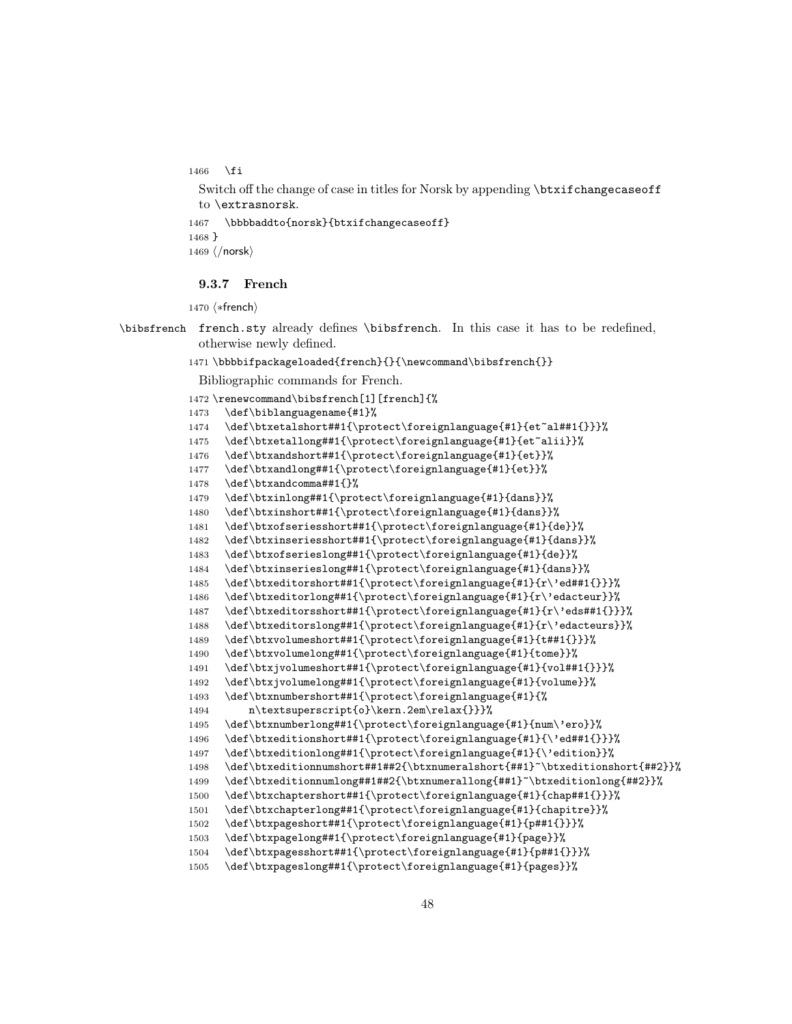```
1466 \fi
```

```
Switch off the change of case in titles for Norsk by appending \btxifchangecaseoff
 to \extrasnorsk.
1467 \bbbbaddto{norsk}{btxifchangecaseoff}
1468 }
1469 \langle/norsk\rangle
```
# 9.3.7 French

```
1470 (*french)
```

```
\bibsfrench french.sty already defines \bibsfrench. In this case it has to be redefined,
             otherwise newly defined.
```
# 1471\bbbbifpackageloaded{french}{}{\newcommand\bibsfrench{}}

```
Bibliographic commands for French.
```

```
1472 \renewcommand\bibsfrench[1][french]{%
```

```
1473 \def\biblanguagename{#1}%
```

```
1474 \def\btxetalshort##1{\protect\foreignlanguage{#1}{et~al##1{}}}%
```

```
1475 \def\btxetallong##1{\protect\foreignlanguage{#1}{et~alii}}%
```

```
1476 \def\btxandshort##1{\protect\foreignlanguage{#1}{et}}%
```

```
1477 \def\btxandlong##1{\protect\foreignlanguage{#1}{et}}%
```

```
1478 \def\btxandcomma##1{}%
```

```
1479 \def\btxinlong##1{\protect\foreignlanguage{#1}{dans}}%
```

```
1480 \def\btxinshort##1{\protect\foreignlanguage{#1}{dans}}%
```

```
1481 \def\btxofseriesshort##1{\protect\foreignlanguage{#1}{de}}%
```

```
1482 \def\btxinseriesshort##1{\protect\foreignlanguage{#1}{dans}}%
```

```
1483 \def\btxofserieslong##1{\protect\foreignlanguage{#1}{de}}%
```

```
1484 \def\btxinserieslong##1{\protect\foreignlanguage{#1}{dans}}%
```

```
1485 \def\btxeditorshort##1{\protect\foreignlanguage{#1}{r\'ed##1{}}}%
```

```
1486 \def\btxeditorlong##1{\protect\foreignlanguage{#1}{r\'edacteur}}%
1487 \def\btxeditorsshort##1{\protect\foreignlanguage{#1}{r\'eds##1{}}}%
```

```
1488 \def\btxeditorslong##1{\protect\foreignlanguage{#1}{r\'edacteurs}}%
```

```
1489 \def\btxvolumeshort##1{\protect\foreignlanguage{#1}{t##1{}}}%
```

```
1490 \def\btxvolumelong##1{\protect\foreignlanguage{#1}{tome}}%
```

```
1491 \def\btxjvolumeshort##1{\protect\foreignlanguage{#1}{vol##1{}}}%
```

```
1492 \def\btxjvolumelong##1{\protect\foreignlanguage{#1}{volume}}%
```

```
1493 \def\btxnumbershort##1{\protect\foreignlanguage{#1}{%
```

```
1494 n\textsuperscript{o}\kern.2em\relax{}}}%
```

```
1495 \def\btxnumberlong##1{\protect\foreignlanguage{#1}{num\'ero}}%
```

```
1496 \def\btxeditionshort##1{\protect\foreignlanguage{#1}{\'ed##1{}}}%
```

```
1497 \def\btxeditionlong##1{\protect\foreignlanguage{#1}{\'edition}}%
```

```
1498 \def\btxeditionnumshort##1##2{\btxnumeralshort{##1}~\btxeditionshort{##2}}%
```

```
1499 \def\btxeditionnumlong##1##2{\btxnumerallong{##1}~\btxeditionlong{##2}}%
```

```
1500 \def\btxchaptershort##1{\protect\foreignlanguage{#1}{chap##1{}}}%
```

```
1501 \def\btxchapterlong##1{\protect\foreignlanguage{#1}{chapitre}}%
```

```
1502 \def\btxpageshort##1{\protect\foreignlanguage{#1}{p##1{}}}%
```

```
1503 \def\btxpagelong##1{\protect\foreignlanguage{#1}{page}}%
```

```
1504 \def\btxpagesshort##1{\protect\foreignlanguage{#1}{p##1{}}}%
```

```
1505 \def\btxpageslong##1{\protect\foreignlanguage{#1}{pages}}%
```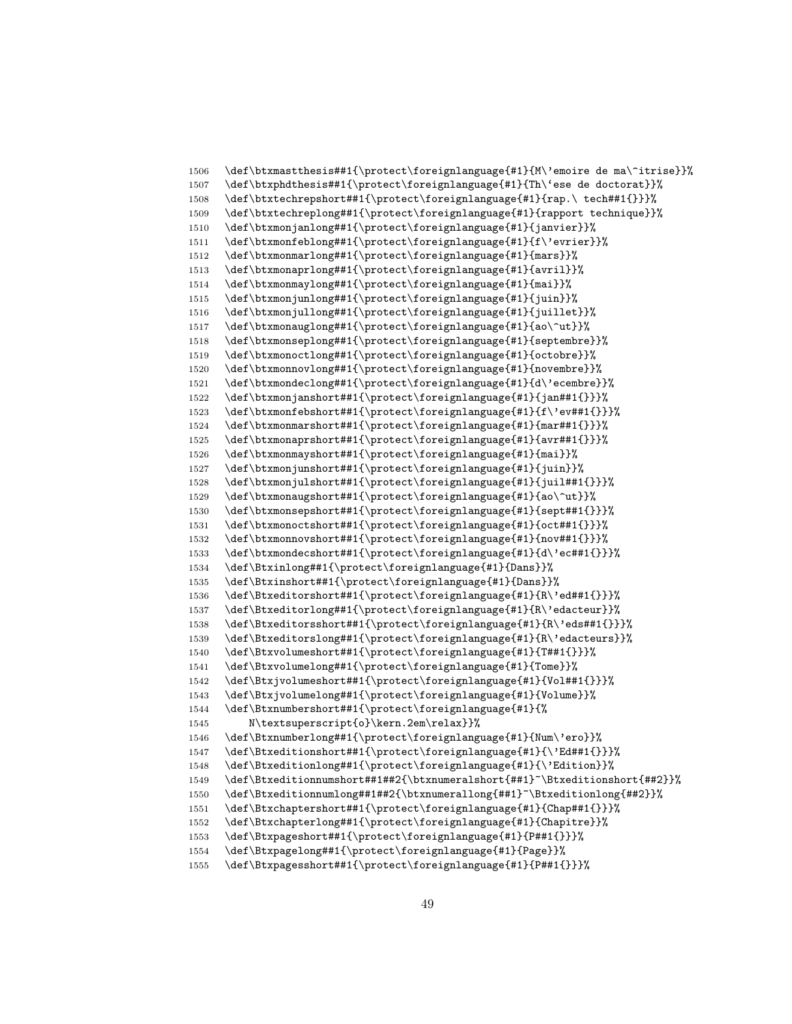```
1506 \def\btxmastthesis##1{\protect\foreignlanguage{#1}{M\'emoire de ma\^itrise}}%
1507 \def\btxphdthesis##1{\protect\foreignlanguage{#1}{Th\'ese de doctorat}}%
1508 \def\btxtechrepshort##1{\protect\foreignlanguage{#1}{rap.\ tech##1{}}}%
1509 \def\btxtechreplong##1{\protect\foreignlanguage{#1}{rapport technique}}%
1510 \def\btxmonjanlong##1{\protect\foreignlanguage{#1}{janvier}}%
1511 \def\btxmonfeblong##1{\protect\foreignlanguage{#1}{f\'evrier}}%
1512 \def\btxmonmarlong##1{\protect\foreignlanguage{#1}{mars}}%
1513 \def\btxmonaprlong##1{\protect\foreignlanguage{#1}{avril}}%
1514 \def\btxmonmaylong##1{\protect\foreignlanguage{#1}{mai}}%
1515 \def\btxmonjunlong##1{\protect\foreignlanguage{#1}{juin}}%
1516 \def\btxmonjullong##1{\protect\foreignlanguage{#1}{juillet}}%
1517 \def\btxmonauglong##1{\protect\foreignlanguage{#1}{ao\^ut}}%
1518 \def\btxmonseplong##1{\protect\foreignlanguage{#1}{septembre}}%
1519 \def\btxmonoctlong##1{\protect\foreignlanguage{#1}{octobre}}%
1520 \def\btxmonnovlong##1{\protect\foreignlanguage{#1}{novembre}}%
1521 \def\btxmondeclong##1{\protect\foreignlanguage{#1}{d\'ecembre}}%<br>1522 \def\btxmonjanshort##1{\protect\foreignlanguage{#1}{jan##1{}}}%
      \def\btxmonjanshort##1{\protect\foreignlanguage{#1}{jan##1{}}}%
1523 \def\btxmonfebshort##1{\protect\foreignlanguage{#1}{f\'ev##1{}}}%
1524 \def\btxmonmarshort##1{\protect\foreignlanguage{#1}{mar##1{}}}%
1525 \def\btxmonaprshort##1{\protect\foreignlanguage{#1}{avr##1{}}}%
1526 \def\btxmonmayshort##1{\protect\foreignlanguage{#1}{mai}}%
1527 \def\btxmonjunshort##1{\protect\foreignlanguage{#1}{juin}}%
1528 \def\btxmonjulshort##1{\protect\foreignlanguage{#1}{juil##1{}}}%
1529 \def\btxmonaugshort##1{\protect\foreignlanguage{#1}{ao\^ut}}%
1530 \def\btxmonsepshort##1{\protect\foreignlanguage{#1}{sept##1{}}}%
1531 \def\btxmonoctshort##1{\protect\foreignlanguage{#1}{oct##1{}}}%
1532 \def\btxmonnovshort##1{\protect\foreignlanguage{#1}{nov##1{}}}%
1533 \def\btxmondecshort##1{\protect\foreignlanguage{#1}{d\'ec##1{}}}%
1534 \def\Btxinlong##1{\protect\foreignlanguage{#1}{Dans}}%
1535 \def\Btxinshort##1{\protect\foreignlanguage{#1}{Dans}}%
1536 \def\Btxeditorshort##1{\protect\foreignlanguage{#1}{R\'ed##1{}}}%
1537 \def\Btxeditorlong##1{\protect\foreignlanguage{#1}{R\'edacteur}}%
1538 \def\Btxeditorsshort##1{\protect\foreignlanguage{#1}{R\'eds##1{}}}%
1539 \def\Btxeditorslong##1{\protect\foreignlanguage{#1}{R\'edacteurs}}%
1540 \def\Btxvolumeshort##1{\protect\foreignlanguage{#1}{T##1{}}}%
1541 \def\Btxvolumelong##1{\protect\foreignlanguage{#1}{Tome}}%
1542 \def\Btxjvolumeshort##1{\protect\foreignlanguage{#1}{Vol##1{}}}%
1543 \def\Btxjvolumelong##1{\protect\foreignlanguage{#1}{Volume}}%
1544 \def\Btxnumbershort##1{\protect\foreignlanguage{#1}{%
1545 N\textsuperscript{o}\kern.2em\relax}}%
1546 \def\Btxnumberlong##1{\protect\foreignlanguage{#1}{Num\'ero}}%
1547 \def\Btxeditionshort##1{\protect\foreignlanguage{#1}{\'Ed##1{}}}%
1548 \def\Btxeditionlong##1{\protect\foreignlanguage{#1}{\'Edition}}%
1549 \def\Btxeditionnumshort##1##2{\btxnumeralshort{##1}~\Btxeditionshort{##2}}%
1550 \def\Btxeditionnumlong##1##2{\btxnumerallong{##1}~\Btxeditionlong{##2}}%
1551 \def\Btxchaptershort##1{\protect\foreignlanguage{#1}{Chap##1{}}}%
1552 \def\Btxchapterlong##1{\protect\foreignlanguage{#1}{Chapitre}}%
1553 \def\Btxpageshort##1{\protect\foreignlanguage{#1}{P##1{}}}%
1554 \def\Btxpagelong##1{\protect\foreignlanguage{#1}{Page}}%
1555 \def\Btxpagesshort##1{\protect\foreignlanguage{#1}{P##1{}}}%
```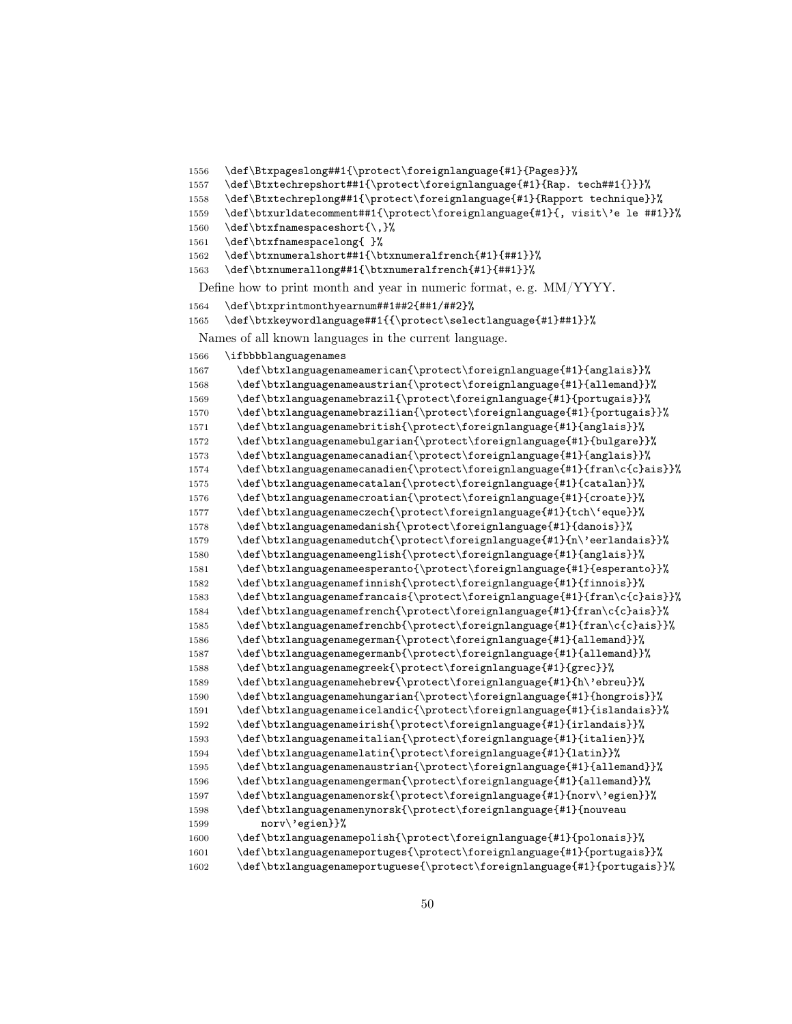```
1556 \def\Btxpageslong##1{\protect\foreignlanguage{#1}{Pages}}%
1557 \def\Btxtechrepshort##1{\protect\foreignlanguage{#1}{Rap. tech##1{}}}%
1558 \def\Btxtechreplong##1{\protect\foreignlanguage{#1}{Rapport technique}}%
1559 \def\btxurldatecomment##1{\protect\foreignlanguage{#1}{, visit\'e le ##1}}%
1560 \def\btxfnamespaceshort{\,}%
1561 \def\btxfnamespacelong{ }%
1562 \def\btxnumeralshort##1{\btxnumeralfrench{#1}{##1}}%
1563 \def\btxnumerallong##1{\btxnumeralfrench{#1}{##1}}%
 Define how to print month and year in numeric format, e. g. MM/YYYY.
1564 \def\btxprintmonthyearnum##1##2{##1/##2}%
1565 \def\btxkeywordlanguage##1{{\protect\selectlanguage{#1}##1}}%
 Names of all known languages in the current language.
1566 \ifbbbblanguagenames
```

```
1567 \def\btxlanguagenameamerican{\protect\foreignlanguage{#1}{anglais}}%
1568 \def\btxlanguagenameaustrian{\protect\foreignlanguage{#1}{allemand}}%
1569 \def\btxlanguagenamebrazil{\protect\foreignlanguage{#1}{portugais}}%
1570 \def\btxlanguagenamebrazilian{\protect\foreignlanguage{#1}{portugais}}%
1571 \def\btxlanguagenamebritish{\protect\foreignlanguage{#1}{anglais}}%
1572 \def\btxlanguagenamebulgarian{\protect\foreignlanguage{#1}{bulgare}}%
1573 \def\btxlanguagenamecanadian{\protect\foreignlanguage{#1}{anglais}}%
1574 \def\btxlanguagenamecanadien{\protect\foreignlanguage{#1}{fran\c{c}ais}}%
1575 \def\btxlanguagenamecatalan{\protect\foreignlanguage{#1}{catalan}}%
1576 \def\btxlanguagenamecroatian{\protect\foreignlanguage{#1}{croate}}%
1577 \def\btxlanguagenameczech{\protect\foreignlanguage{#1}{tch\'eque}}%
1578 \def\btxlanguagenamedanish{\protect\foreignlanguage{#1}{danois}}%
1579 \def\btxlanguagenamedutch{\protect\foreignlanguage{#1}{n\'eerlandais}}%
1580 \def\btxlanguagenameenglish{\protect\foreignlanguage{#1}{anglais}}%
1581 \def\btxlanguagenameesperanto{\protect\foreignlanguage{#1}{esperanto}}%
1582 \def\btxlanguagenamefinnish{\protect\foreignlanguage{#1}{finnois}}%
1583 \def\btxlanguagenamefrancais{\protect\foreignlanguage{#1}{fran\c{c}ais}}%
1584 \def\btxlanguagenamefrench{\protect\foreignlanguage{#1}{fran\c{c}ais}}%
1585 \def\btxlanguagenamefrenchb{\protect\foreignlanguage{#1}{fran\c{c}ais}}%
1586 \def\btxlanguagenamegerman{\protect\foreignlanguage{#1}{allemand}}%
1587 \def\btxlanguagenamegermanb{\protect\foreignlanguage{#1}{allemand}}%
1588 \def\btxlanguagenamegreek{\protect\foreignlanguage{#1}{grec}}%
1589 \def\btxlanguagenamehebrew{\protect\foreignlanguage{#1}{h\'ebreu}}%
1590 \def\btxlanguagenamehungarian{\protect\foreignlanguage{#1}{hongrois}}%
1591 \def\btxlanguagenameicelandic{\protect\foreignlanguage{#1}{islandais}}%
1592 \def\btxlanguagenameirish{\protect\foreignlanguage{#1}{irlandais}}%
1593 \def\btxlanguagenameitalian{\protect\foreignlanguage{#1}{italien}}%
1594 \def\btxlanguagenamelatin{\protect\foreignlanguage{#1}{latin}}%
1595 \def\btxlanguagenamenaustrian{\protect\foreignlanguage{#1}{allemand}}%
1596 \def\btxlanguagenamengerman{\protect\foreignlanguage{#1}{allemand}}%
1597 \def\btxlanguagenamenorsk{\protect\foreignlanguage{#1}{norv\'egien}}%
1598 \def\btxlanguagenamenynorsk{\protect\foreignlanguage{#1}{nouveau
1599 norv\'egien}}%
1600 \def\btxlanguagenamepolish{\protect\foreignlanguage{#1}{polonais}}%
1601 \def\btxlanguagenameportuges{\protect\foreignlanguage{#1}{portugais}}%
1602 \def\btxlanguagenameportuguese{\protect\foreignlanguage{#1}{portugais}}%
```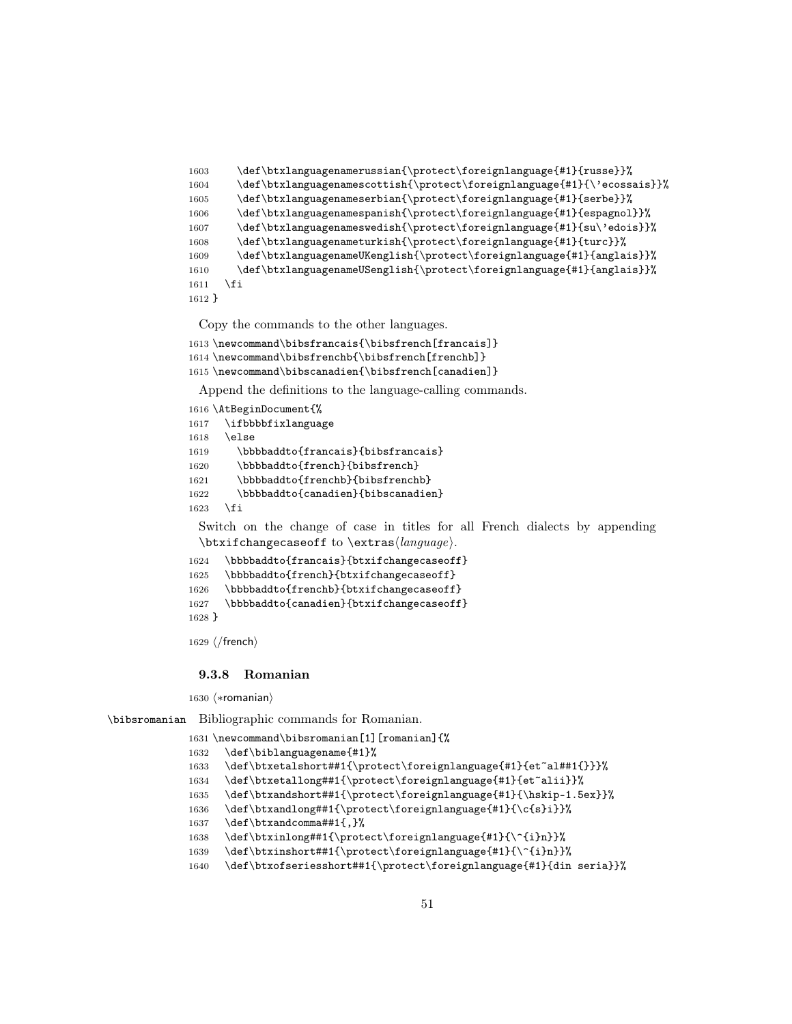```
1603 \def\btxlanguagenamerussian{\protect\foreignlanguage{#1}{russe}}%
1604 \def\btxlanguagenamescottish{\protect\foreignlanguage{#1}{\'ecossais}}%
1605 \def\btxlanguagenameserbian{\protect\foreignlanguage{#1}{serbe}}%
1606 \def\btxlanguagenamespanish{\protect\foreignlanguage{#1}{espagnol}}%
1607 \def\btxlanguagenameswedish{\protect\foreignlanguage{#1}{su\'edois}}%
1608 \def\btxlanguagenameturkish{\protect\foreignlanguage{#1}{turc}}%
1609 \def\btxlanguagenameUKenglish{\protect\foreignlanguage{#1}{anglais}}%
1610 \def\btxlanguagenameUSenglish{\protect\foreignlanguage{#1}{anglais}}%
1611 \fi
1612 }
```

```
1613 \newcommand\bibsfrancais{\bibsfrench[francais]}
1614 \newcommand\bibsfrenchb{\bibsfrench[frenchb]}
1615 \newcommand\bibscanadien{\bibsfrench[canadien]}
```
Append the definitions to the language-calling commands.

```
1616 \AtBeginDocument{%
1617 \ifbbbbfixlanguage
1618 \else
1619 \bbbbaddto{francais}{bibsfrancais}
1620 \bbbbaddto{french}{bibsfrench}
1621 \bbbbaddto{frenchb}{bibsfrenchb}
1622 \bbbbaddto{canadien}{bibscanadien}
1623 \fi
```
Switch on the change of case in titles for all French dialects by appending  $\text{changecase}$  to  $\text{change}$ .

```
1624 \bbbbaddto{francais}{btxifchangecaseoff}
1625 \bbbbaddto{french}{btxifchangecaseoff}
1626 \bbbbaddto{frenchb}{btxifchangecaseoff}
1627 \bbbbaddto{canadien}{btxifchangecaseoff}
1628 }
```
 $1629 \; \langle /$ french $\rangle$ 

#### 9.3.8 Romanian

1630  $\langle *$ romanian $\rangle$ 

\bibsromanian Bibliographic commands for Romanian.

```
1631 \newcommand\bibsromanian[1][romanian]{%
1632 \def\biblanguagename{#1}%
1633 \def\btxetalshort##1{\protect\foreignlanguage{#1}{et~al##1{}}}%
1634 \def\btxetallong##1{\protect\foreignlanguage{#1}{et~alii}}%
1635 \def\btxandshort##1{\protect\foreignlanguage{#1}{\hskip-1.5ex}}%
1636 \def\btxandlong##1{\protect\foreignlanguage{#1}{\c{s}i}}%
1637 \def\btxandcomma##1{,}%
1638 \def\btxinlong##1{\protect\foreignlanguage{#1}{\^{i}n}}%
1639 \def\btxinshort##1{\protect\foreignlanguage{#1}{\^{i}n}}%
1640 \def\btxofseriesshort##1{\protect\foreignlanguage{#1}{din seria}}%
```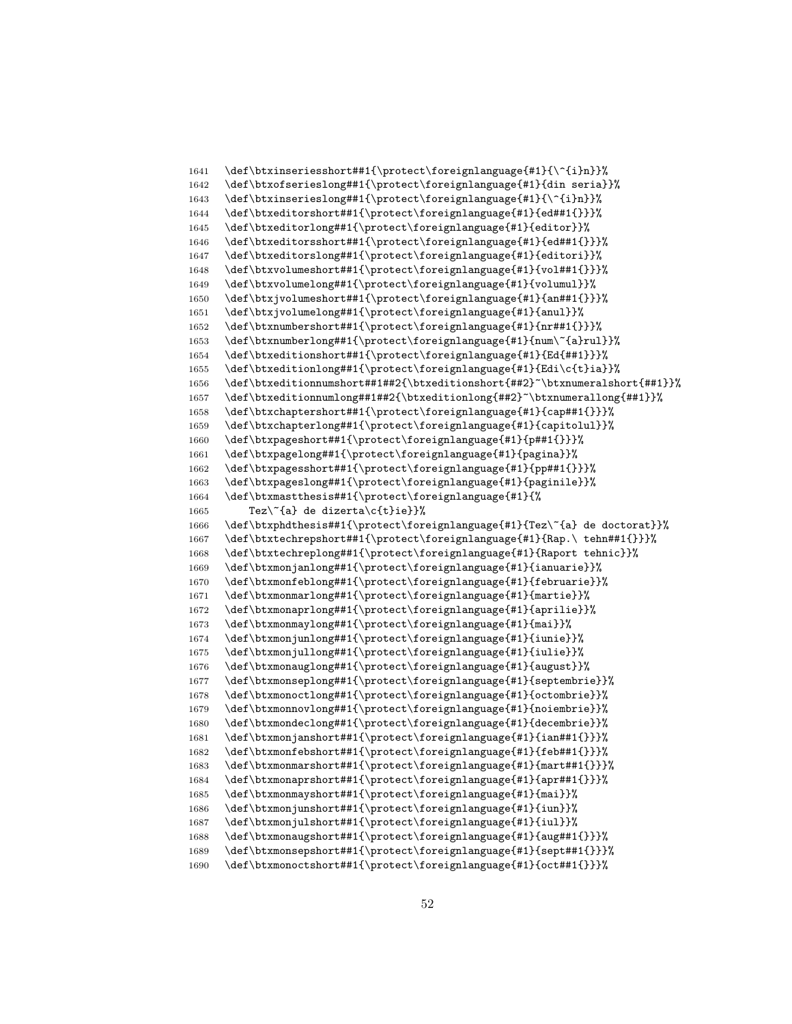```
1641 \def\btxinseriesshort##1{\protect\foreignlanguage{#1}{\^{i}n}}%
1642 \def\btxofserieslong##1{\protect\foreignlanguage{#1}{din seria}}%
1643 \def\btxinserieslong##1{\protect\foreignlanguage{#1}{\^{i}n}}%
1644 \def\btxeditorshort##1{\protect\foreignlanguage{#1}{ed##1{}}}%
1645 \def\btxeditorlong##1{\protect\foreignlanguage{#1}{editor}}%
1646 \def\btxeditorsshort##1{\protect\foreignlanguage{#1}{ed##1{}}}%
1647 \def\btxeditorslong##1{\protect\foreignlanguage{#1}{editori}}%
1648 \def\btxvolumeshort##1{\protect\foreignlanguage{#1}{vol##1{}}}%
1649 \def\btxvolumelong##1{\protect\foreignlanguage{#1}{volumul}}%
1650 \def\btxjvolumeshort##1{\protect\foreignlanguage{#1}{an##1{}}}%
1651 \def\btxjvolumelong##1{\protect\foreignlanguage{#1}{anul}}%
1652 \def\btxnumbershort##1{\protect\foreignlanguage{#1}{nr##1{}}}%
1653 \def\btxnumberlong##1{\protect\foreignlanguage{#1}{num\~{a}rul}}%
1654 \def\btxeditionshort##1{\protect\foreignlanguage{#1}{Ed{##1}}}%
1655 \def\btxeditionlong##1{\protect\foreignlanguage{#1}{Edi\c{t}ia}}%
1656 \def\btxeditionnumshort##1##2{\btxeditionshort{##2}~\btxnumeralshort{##1}}%
1657 \def\btxeditionnumlong##1##2{\btxeditionlong{##2}~\btxnumerallong{##1}}%
1658 \def\btxchaptershort##1{\protect\foreignlanguage{#1}{cap##1{}}}%
1659 \def\btxchapterlong##1{\protect\foreignlanguage{#1}{capitolul}}%
1660 \def\btxpageshort##1{\protect\foreignlanguage{#1}{p##1{}}}%
1661 \def\btxpagelong##1{\protect\foreignlanguage{#1}{pagina}}%
1662 \def\btxpagesshort##1{\protect\foreignlanguage{#1}{pp##1{}}}%
1663 \def\btxpageslong##1{\protect\foreignlanguage{#1}{paginile}}%
1664 \def\btxmastthesis##1{\protect\foreignlanguage{#1}{%
1665 Tez\{a\} de dizerta\{c\}ie}}%
1666 \def\btxphdthesis##1{\protect\foreignlanguage{#1}{Tez\~{a} de doctorat}}%
1667 \def\btxtechrepshort##1{\protect\foreignlanguage{#1}{Rap.\ tehn##1{}}}%
1668 \def\btxtechreplong##1{\protect\foreignlanguage{#1}{Raport tehnic}}%
1669 \def\btxmonjanlong##1{\protect\foreignlanguage{#1}{ianuarie}}%
1670 \def\btxmonfeblong##1{\protect\foreignlanguage{#1}{februarie}}%
1671 \def\btxmonmarlong##1{\protect\foreignlanguage{#1}{martie}}%
1672 \def\btxmonaprlong##1{\protect\foreignlanguage{#1}{aprilie}}%
1673 \def\btxmonmaylong##1{\protect\foreignlanguage{#1}{mai}}%
1674 \def\btxmonjunlong##1{\protect\foreignlanguage{#1}{iunie}}%
1675 \def\btxmonjullong##1{\protect\foreignlanguage{#1}{iulie}}%
1676 \def\btxmonauglong##1{\protect\foreignlanguage{#1}{august}}%
1677 \def\btxmonseplong##1{\protect\foreignlanguage{#1}{septembrie}}%
1678 \def\btxmonoctlong##1{\protect\foreignlanguage{#1}{octombrie}}%
1679 \def\btxmonnovlong##1{\protect\foreignlanguage{#1}{noiembrie}}%
1680 \def\btxmondeclong##1{\protect\foreignlanguage{#1}{decembrie}}%
1681 \def\btxmonjanshort##1{\protect\foreignlanguage{#1}{ian##1{}}}%
1682 \def\btxmonfebshort##1{\protect\foreignlanguage{#1}{feb##1{}}}%
1683 \def\btxmonmarshort##1{\protect\foreignlanguage{#1}{mart##1{}}}%
1684 \def\btxmonaprshort##1{\protect\foreignlanguage{#1}{apr##1{}}}%
1685 \def\btxmonmayshort##1{\protect\foreignlanguage{#1}{mai}}%
1686 \def\btxmonjunshort##1{\protect\foreignlanguage{#1}{iun}}%
1687 \def\btxmonjulshort##1{\protect\foreignlanguage{#1}{iul}}%
1688 \def\btxmonaugshort##1{\protect\foreignlanguage{#1}{aug##1{}}}%
1689 \def\btxmonsepshort##1{\protect\foreignlanguage{#1}{sept##1{}}}%
1690 \def\btxmonoctshort##1{\protect\foreignlanguage{#1}{oct##1{}}}%
```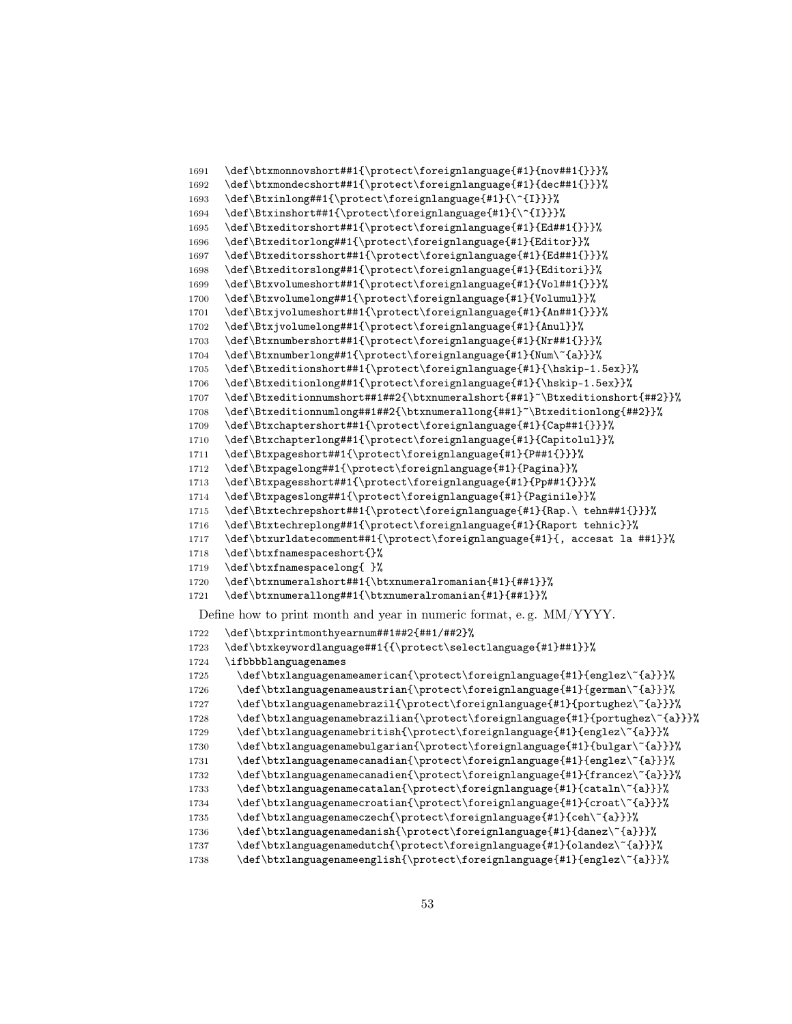```
1691 \def\btxmonnovshort##1{\protect\foreignlanguage{#1}{nov##1{}}}%
1692 \def\btxmondecshort##1{\protect\foreignlanguage{#1}{dec##1{}}}%
1693 \def\Btxinlong##1{\protect\foreignlanguage{#1}{\^{I}}}%
1694 \def\Btxinshort##1{\protect\foreignlanguage{#1}{\^{I}}}%
1695 \def\Btxeditorshort##1{\protect\foreignlanguage{#1}{Ed##1{}}}%
1696 \def\Btxeditorlong##1{\protect\foreignlanguage{#1}{Editor}}%
1697 \def\Btxeditorsshort##1{\protect\foreignlanguage{#1}{Ed##1{}}}%
1698 \def\Btxeditorslong##1{\protect\foreignlanguage{#1}{Editori}}%
1699 \def\Btxvolumeshort##1{\protect\foreignlanguage{#1}{Vol##1{}}}%
1700 \def\Btxvolumelong##1{\protect\foreignlanguage{#1}{Volumul}}%
1701 \def\Btxjvolumeshort##1{\protect\foreignlanguage{#1}{An##1{}}}%
1702 \def\Btxjvolumelong##1{\protect\foreignlanguage{#1}{Anul}}%
1703 \def\Btxnumbershort##1{\protect\foreignlanguage{#1}{Nr##1{}}}%
1704 \def\Btxnumberlong##1{\protect\foreignlanguage{#1}{Num\~{a}}}%
1705 \def\Btxeditionshort##1{\protect\foreignlanguage{#1}{\hskip-1.5ex}}%
1706 \def\Btxeditionlong##1{\protect\foreignlanguage{#1}{\hskip-1.5ex}}%
1707 \def\Btxeditionnumshort##1##2{\btxnumeralshort{##1}~\Btxeditionshort{##2}}%
1708 \def\Btxeditionnumlong##1##2{\btxnumerallong{##1}~\Btxeditionlong{##2}}%
1709 \def\Btxchaptershort##1{\protect\foreignlanguage{#1}{Cap##1{}}}%
1710 \def\Btxchapterlong##1{\protect\foreignlanguage{#1}{Capitolul}}%
1711 \def\Btxpageshort##1{\protect\foreignlanguage{#1}{P##1{}}}%
1712 \def\Btxpagelong##1{\protect\foreignlanguage{#1}{Pagina}}%
1713 \def\Btxpagesshort##1{\protect\foreignlanguage{#1}{Pp##1{}}}%
1714 \def\Btxpageslong##1{\protect\foreignlanguage{#1}{Paginile}}%
1715 \def\Btxtechrepshort##1{\protect\foreignlanguage{#1}{Rap.\ tehn##1{}}}%
1716 \def\Btxtechreplong##1{\protect\foreignlanguage{#1}{Raport tehnic}}%
1717 \def\btxurldatecomment##1{\protect\foreignlanguage{#1}{, accesat la ##1}}%
1718 \def\btxfnamespaceshort{}%
1719 \def\btxfnamespacelong{ }%
1720 \def\btxnumeralshort##1{\btxnumeralromanian{#1}{##1}}%
1721 \def\btxnumerallong##1{\btxnumeralromanian{#1}{##1}}%
 Define how to print month and year in numeric format, e. g. MM/YYYY.
1722 \def\btxprintmonthyearnum##1##2{##1/##2}%
1723 \def\btxkeywordlanguage##1{{\protect\selectlanguage{#1}##1}}%
1724 \ifbbbblanguagenames
1725 \def\btxlanguagenameamerican{\protect\foreignlanguage{#1}{englez\~{a}}}%
1726 \def\btxlanguagenameaustrian{\protect\foreignlanguage{#1}{german\~{a}}}%
1727 \def\btxlanguagenamebrazil{\protect\foreignlanguage{#1}{portughez\~{a}}}%
1728 \def\btxlanguagenamebrazilian{\protect\foreignlanguage{#1}{portughez\~{a}}}%
1729 \def\btxlanguagenamebritish{\protect\foreignlanguage{#1}{englez\~{a}}}%
1730 \def\btxlanguagenamebulgarian{\protect\foreignlanguage{#1}{bulgar\~{a}}}%
1731 \def\btxlanguagenamecanadian{\protect\foreignlanguage{#1}{englez\~{a}}}%
1732 \def\btxlanguagenamecanadien{\protect\foreignlanguage{#1}{francez\~{a}}}%
1733 \def\btxlanguagenamecatalan{\protect\foreignlanguage{#1}{cataln\~{a}}}%
1734 \def\btxlanguagenamecroatian{\protect\foreignlanguage{#1}{croat\~{a}}}%
1735 \def\btxlanguagenameczech{\protect\foreignlanguage{#1}{ceh\~{a}}}%
1736 \def\btxlanguagenamedanish{\protect\foreignlanguage{#1}{danez\~{a}}}%
1737 \def\btxlanguagenamedutch{\protect\foreignlanguage{#1}{olandez\~{a}}}%
1738 \def\btxlanguagenameenglish{\protect\foreignlanguage{#1}{englez\~{a}}}%
```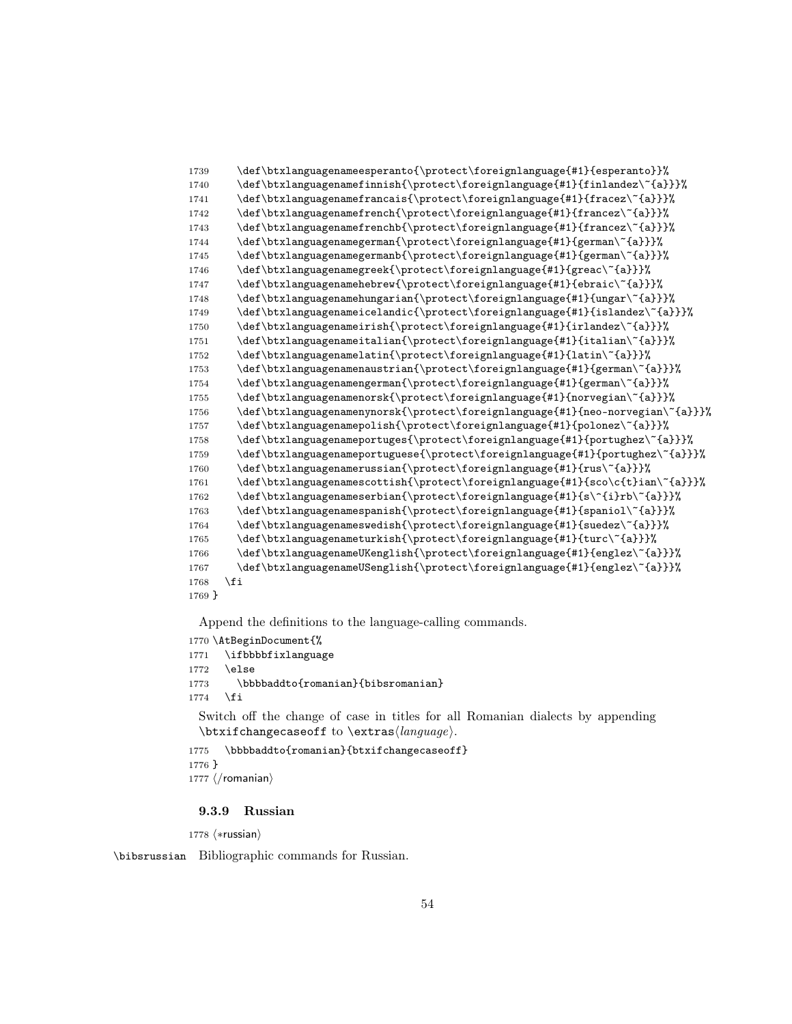```
1739 \def\btxlanguagenameesperanto{\protect\foreignlanguage{#1}{esperanto}}%
1740 \def\btxlanguagenamefinnish{\protect\foreignlanguage{#1}{finlandez\~{a}}}%
1741 \def\btxlanguagenamefrancais{\protect\foreignlanguage{#1}{fracez\~{a}}}%
1742 \def\btxlanguagenamefrench{\protect\foreignlanguage{#1}{francez\~{a}}}%
1743 \def\btxlanguagenamefrenchb{\protect\foreignlanguage{#1}{francez\~{a}}}%
1744 \def\btxlanguagenamegerman{\protect\foreignlanguage{#1}{german\~{a}}}%
1745 \def\btxlanguagenamegermanb{\protect\foreignlanguage{#1}{german\~{a}}}%
1746 \def\btxlanguagenamegreek{\protect\foreignlanguage{#1}{greac\~{a}}}%
1747 \def\btxlanguagenamehebrew{\protect\foreignlanguage{#1}{ebraic\~{a}}}%
1748 \def\btxlanguagenamehungarian{\protect\foreignlanguage{#1}{ungar\~{a}}}%
1749 \def\btxlanguagenameicelandic{\protect\foreignlanguage{#1}{islandez\~{a}}}%
1750 \def\btxlanguagenameirish{\protect\foreignlanguage{#1}{irlandez\~{a}}}%
1751 \def\btxlanguagenameitalian{\protect\foreignlanguage{#1}{italian\~{a}}}%
1752 \def\btxlanguagenamelatin{\protect\foreignlanguage{#1}{latin\~{a}}}%
1753 \def\btxlanguagenamenaustrian{\protect\foreignlanguage{#1}{german\~{a}}}%
1754 \def\btxlanguagenamengerman{\protect\foreignlanguage{#1}{german\~{a}}}%
1755 \def\btxlanguagenamenorsk{\protect\foreignlanguage{#1}{norvegian\~{a}}}%
1756 \def\btxlanguagenamenynorsk{\protect\foreignlanguage{#1}{neo-norvegian\~{a}}}%
1757 \def\btxlanguagenamepolish{\protect\foreignlanguage{#1}{polonez\~{a}}}%
1758 \def\btxlanguagenameportuges{\protect\foreignlanguage{#1}{portughez\~{a}}}%
1759 \def\btxlanguagenameportuguese{\protect\foreignlanguage{#1}{portughez\~{a}}}%
1760 \def\btxlanguagenamerussian{\protect\foreignlanguage{#1}{rus\~{a}}}%
1761 \qquad \texttt{\verb+\dof\btxlanguagenamescottish{protect\foreqngnlanguage{#1}{sco\cft}ian\``{a}}\1762 \def\btxlanguagenameserbian{\protect\foreignlanguage{#1}{s\^{i}rb\~{a}}}%
1763 \def\btxlanguagenamespanish{\protect\foreignlanguage{#1}{spaniol\~{a}}}%
1764 \def\btxlanguagenameswedish{\protect\foreignlanguage{#1}{suedez\~{a}}}%
1765 \def\btxlanguagenameturkish{\protect\foreignlanguage{#1}{turc\~{a}}}%
1766 \def\btxlanguagenameUKenglish{\protect\foreignlanguage{#1}{englez\~{a}}}%
1767 \def\btxlanguagenameUSenglish{\protect\foreignlanguage{#1}{englez\~{a}}}%
1768 \fi
1769 }
```

```
1770 \AtBeginDocument{%
1771 \ifbbbbfixlanguage
1772 \else
1773 \bbbbaddto{romanian}{bibsromanian}
1774 \fi
 Switch off the change of case in titles for all Romanian dialects by appending
```

```
\text{changecase} to \text{change}.
1775 \bbbbaddto{romanian}{btxifchangecaseoff}
```

```
1776 }
```

```
1777 \langle/romanian\rangle
```
#### 9.3.9 Russian

1778 (\*russian)

\bibsrussian Bibliographic commands for Russian.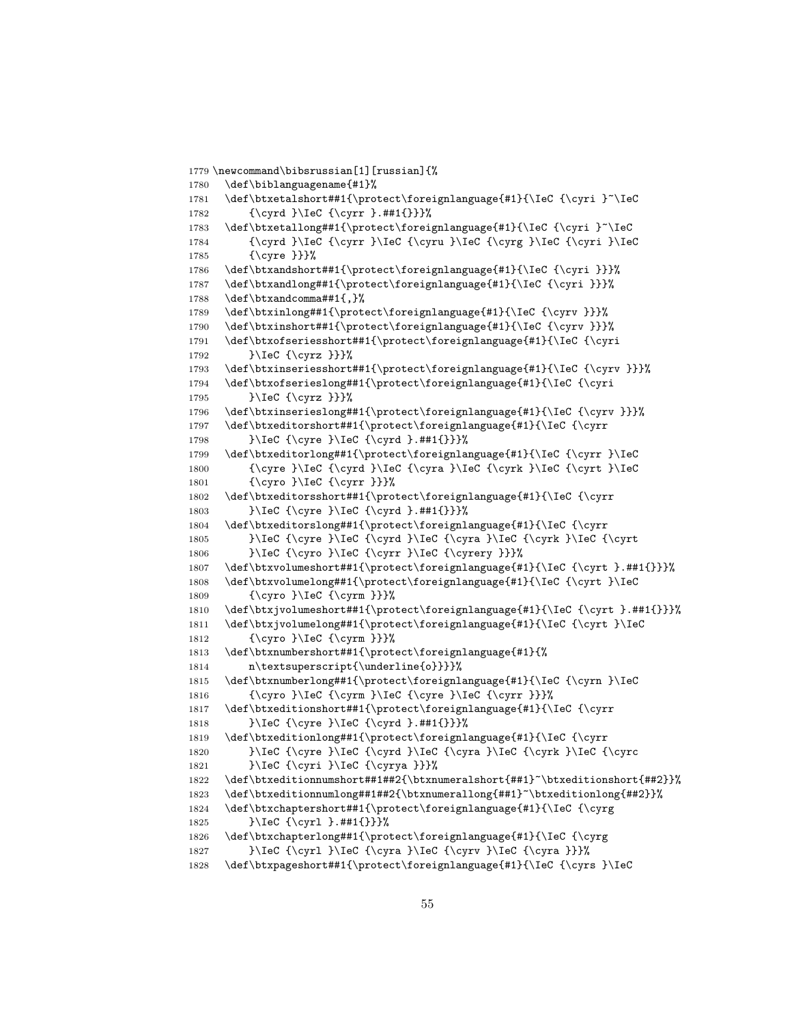```
1779 \newcommand\bibsrussian[1][russian]{%
1780 \def\biblanguagename{#1}%
1781 \def\btxetalshort##1{\protect\foreignlanguage{#1}{\IeC {\cyri }~\IeC
1782 {\cyrd }\IeC {\cyrr }.##1{}}}%
1783 \def\btxetallong##1{\protect\foreignlanguage{#1}{\IeC {\cyri }~\IeC
1784 {\cyrd }\IeC {\cyrr }\IeC {\cyru }\IeC {\cyrg }\IeC {\cyri }\IeC
1785 {\cyre }}}%
1786 \def\btxandshort##1{\protect\foreignlanguage{#1}{\IeC {\cyri }}}%
1787 \def\btxandlong##1{\protect\foreignlanguage{#1}{\IeC {\cyri }}}%
1788 \def\btxandcomma##1{,}%
1789 \def\btxinlong##1{\protect\foreignlanguage{#1}{\IeC {\cyrv }}}%
1790 \def\btxinshort##1{\protect\foreignlanguage{#1}{\IeC {\cyrv }}}%
1791 \def\btxofseriesshort##1{\protect\foreignlanguage{#1}{\IeC {\cyri
1792 }\IeC {\cyrz }}}%
1793 \def\btxinseriesshort##1{\protect\foreignlanguage{#1}{\IeC {\cyrv }}}%
1794 \def\btxofserieslong##1{\protect\foreignlanguage{#1}{\IeC {\cyri
1795 }\IeC {\cyrz }}}%
1796 \def\btxinserieslong##1{\protect\foreignlanguage{#1}{\IeC {\cyrv }}}%
1797 \def\btxeditorshort##1{\protect\foreignlanguage{#1}{\IeC {\cyrr
1798 }\IeC {\cyre }\IeC {\cyrd }.##1{}}}%
1799 \def\btxeditorlong##1{\protect\foreignlanguage{#1}{\IeC {\cyrr }\IeC
1800 {\cyre }\IeC {\cyrd }\IeC {\cyra }\IeC {\cyrk }\IeC {\cyrt }\IeC
1801 {\cyro }\IeC {\cyrr }}}%
1802 \def\btxeditorsshort##1{\protect\foreignlanguage{#1}{\IeC {\cyrr
1803 }\IeC {\cyre }\IeC {\cyrd }.##1{}}}%
1804 \def\btxeditorslong##1{\protect\foreignlanguage{#1}{\IeC {\cyrr
1805 }\IeC {\cyre }\IeC {\cyrd }\IeC {\cyra }\IeC {\cyrk }\IeC {\cyrt
1806 }\IeC {\cyro }\IeC {\cyrr }\IeC {\cyrery }}}%
1807 \def\btxvolumeshort##1{\protect\foreignlanguage{#1}{\IeC {\cyrt }.##1{}}}%
1808 \def\btxvolumelong##1{\protect\foreignlanguage{#1}{\IeC {\cyrt }\IeC
1809 {\cyro }\IeC {\cyrm }}}%
1810 \def\btxjvolumeshort##1{\protect\foreignlanguage{#1}{\IeC {\cyrt }.##1{}}}%
1811 \def\btxjvolumelong##1{\protect\foreignlanguage{#1}{\IeC {\cyrt }\IeC
1812 {\cyro }\IeC {\cyrm }}}%
1813 \def\btxnumbershort##1{\protect\foreignlanguage{#1}{%
1814 n\textsuperscript{\underline{o}}}}%
1815 \def\btxnumberlong##1{\protect\foreignlanguage{#1}{\IeC {\cyrn }\IeC
1816 {\cyro }\IeC {\cyrm }\IeC {\cyre }\IeC {\cyrr }}}%
1817 \def\btxeditionshort##1{\protect\foreignlanguage{#1}{\IeC {\cyrr
1818 }\IeC {\cyre }\IeC {\cyrd }.##1{}}}%
1819 \def\btxeditionlong##1{\protect\foreignlanguage{#1}{\IeC {\cyrr
1820 }\IeC {\cyre }\IeC {\cyrd }\IeC {\cyra }\IeC {\cyrk }\IeC {\cyrc
1821 }\IeC {\cyri }\IeC {\cyrya }}}%
1822 \def\btxeditionnumshort##1##2{\btxnumeralshort{##1}~\btxeditionshort{##2}}%
1823 \def\btxeditionnumlong##1##2{\btxnumerallong{##1}~\btxeditionlong{##2}}%
1824 \def\btxchaptershort##1{\protect\foreignlanguage{#1}{\IeC {\cyrg
1825 }\IeC {\cyrl }.##1{}}}%
1826 \def\btxchapterlong##1{\protect\foreignlanguage{#1}{\IeC {\cyrg
1827 }\IeC {\cyrl }\IeC {\cyra }\IeC {\cyrv }\IeC {\cyra }}}%
1828 \def\btxpageshort##1{\protect\foreignlanguage{#1}{\IeC {\cyrs }\IeC
```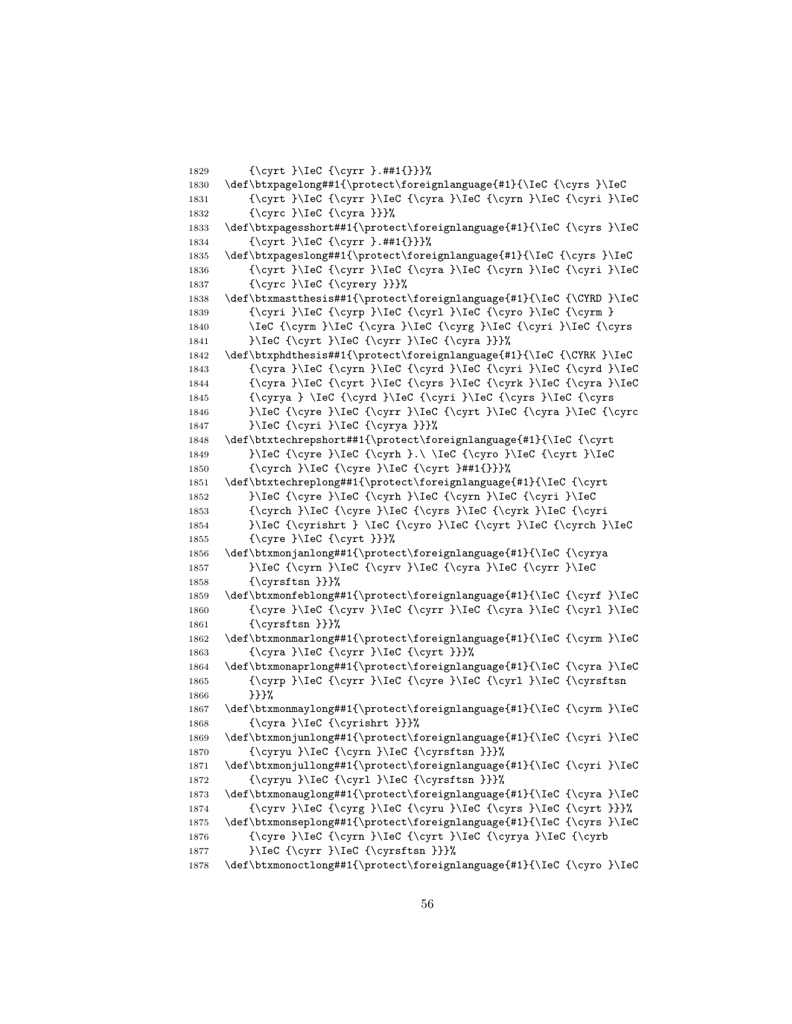```
1829 {\cyrt }\IeC {\cyrr }.##1{}}}%
1830 \def\btxpagelong##1{\protect\foreignlanguage{#1}{\IeC {\cyrs }\IeC
1831 {\\cyrt }\Iec {\cyrr }\Iec {\cyra }\Iec {\cyrn }\Iec {\cyri }\Iec1832 {\cyrc }\IeC {\cyra }}}%
1833 \def\btxpagesshort##1{\protect\foreignlanguage{#1}{\IeC {\cyrs }\IeC
1834 {\cyrt }\IeC {\cyrr }.##1{}}}%
1835 \def\btxpageslong##1{\protect\foreignlanguage{#1}{\IeC {\cyrs }\IeC
1836 {\cyrt }\IeC {\cyrr }\IeC {\cyra }\IeC {\cyrn }\IeC {\cyri }\IeC
1837 {\cyrc }\IeC {\cyrery }}}%
1838 \def\btxmastthesis##1{\protect\foreignlanguage{#1}{\IeC {\CYRD }\IeC
1839 {\cyri }\IeC {\cyrp }\IeC {\cyrl }\IeC {\cyro }\IeC {\cyrm }
1840 \IeC {\cyrm }\IeC {\cyra }\IeC {\cyrg }\IeC {\cyri }\IeC {\cyrs
1841 }\IeC {\cyrt }\IeC {\cyrr }\IeC {\cyra }}}%
1842 \def\btxphdthesis##1{\protect\foreignlanguage{#1}{\IeC {\CYRK }\IeC
1843 {\cyra }\IeC {\cyrn }\IeC {\cyrd }\IeC {\cyri }\IeC {\cyrd }\IeC
1844 \{\cyra\}\Iec \{\cyrt\}\Iec \{\cyrs\}\Iec \{\cyrk\} \Iec \{\cyra\}\Iec1845 {\cyrya } \IeC {\cyrd }\IeC {\cyri }\IeC {\cyrs }\IeC {\cyrs
1846 }\IeC {\cyre }\IeC {\cyrr }\IeC {\cyrt }\IeC {\cyra }\IeC {\cyrc
1847 }\IeC {\cyri }\IeC {\cyrya }}}%
1848 \def\btxtechrepshort##1{\protect\foreignlanguage{#1}{\IeC {\cyrt
1849 }} }\IeC {\cyre }\IeC {\cyrh }.\ \IeC {\cyro }\IeC {\cyrt }\IeC
1850 {\cyrch }\IeC {\cyre }\IeC {\cyrt }##1{}}}%
1851 \def\btxtechreplong##1{\protect\foreignlanguage{#1}{\IeC {\cyrt
1852 }\IeC {\cyre }\IeC {\cyrh }\IeC {\cyrn }\IeC {\cyri }\IeC
1853 {\cyrch }\IeC {\cyre }\IeC {\cyrs }\IeC {\cyrk }\IeC {\cyri
1854 }\IeC {\cyrishrt } \IeC {\cyro }\IeC {\cyrt }\IeC {\cyrch }\IeC
1855 {\cyre }\IeC {\cyrt }}}%
1856 \def\btxmonjanlong##1{\protect\foreignlanguage{#1}{\IeC {\cyrya
1857 }\IeC {\cyrn }\IeC {\cyrv }\IeC {\cyra }\IeC {\cyrr }\IeC
1858 {\cyrsftsn }}}%
1859 \def\btxmonfeblong##1{\protect\foreignlanguage{#1}{\IeC {\cyrf }\IeC
1860 {\cyre }\IeC {\cyrv }\IeC {\cyrr }\IeC {\cyra }\IeC {\cyrl }\IeC
1861 {\cyrsftsn }}}%
1862 \def\btxmonmarlong##1{\protect\foreignlanguage{#1}{\IeC {\cyrm }\IeC
1863 {\cyra }\IeC {\cyrr }\IeC {\cyrt }}}%
1864 \def\btxmonaprlong##1{\protect\foreignlanguage{#1}{\IeC {\cyra }\IeC
1865 {\cyrp }\IeC {\cyrr }\IeC {\cyre }\IeC {\cyrl }\IeC {\cyrsftsn
1866 }}}%
1867 \def\btxmonmaylong##1{\protect\foreignlanguage{#1}{\IeC {\cyrm }\IeC
1868 {\cyra }\IeC {\cyrishrt }}}%
1869 \def\btxmonjunlong##1{\protect\foreignlanguage{#1}{\IeC {\cyri }\IeC
1870 {\cyryu }\IeC {\cyrn }\IeC {\cyrsftsn }}}%
1871 \def\btxmonjullong##1{\protect\foreignlanguage{#1}{\IeC {\cyri }\IeC
1872 {\cyryu }\IeC {\cyrl }\IeC {\cyrsftsn }}}%
1873 \def\btxmonauglong##1{\protect\foreignlanguage{#1}{\IeC {\cyra }\IeC
1874 {\cyrv }\IeC {\cyrg }\IeC {\cyru }\IeC {\cyrs }\IeC {\cyrt }}}%
1875 \def\btxmonseplong##1{\protect\foreignlanguage{#1}{\IeC {\cyrs }\IeC
1876 {\cyre }\IeC {\cyrn }\IeC {\cyrt }\IeC {\cyrya }\IeC {\cyrb
1877    }\IeC {\cyrr }\IeC {\cyrsftsn }}}%
1878 \def\btxmonoctlong##1{\protect\foreignlanguage{#1}{\IeC {\cyro }\IeC
```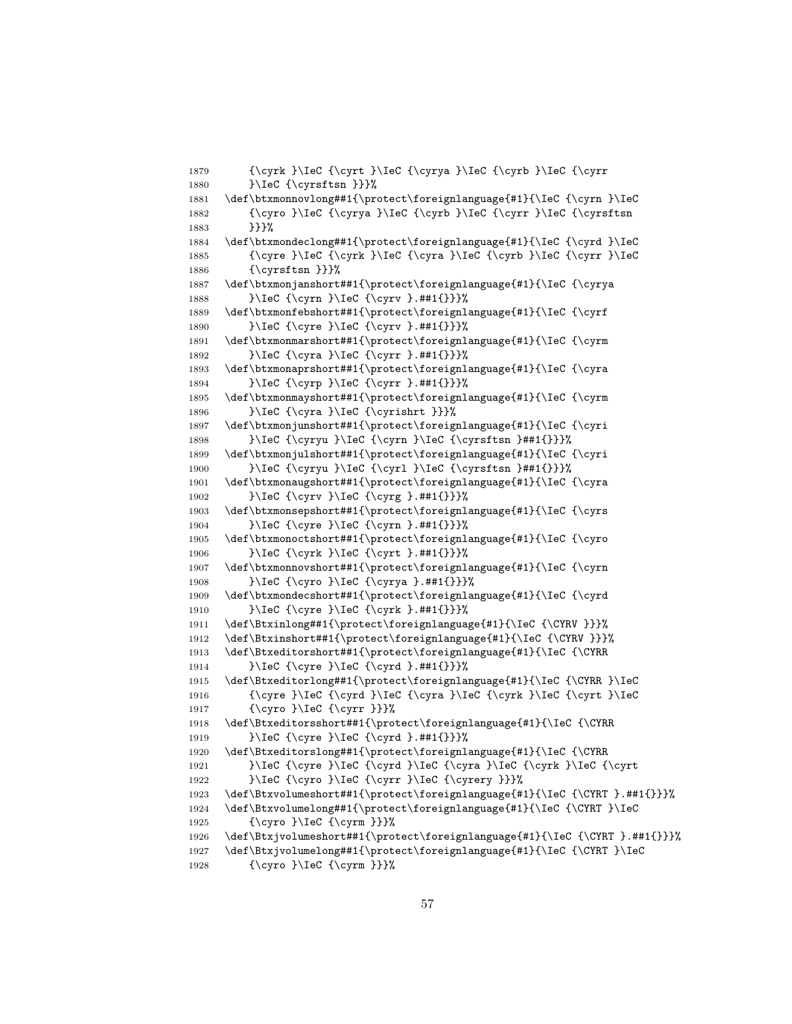```
1879 {\cyrk }\IeC {\cyrt }\IeC {\cyrya }\IeC {\cyrb }\IeC {\cyrr
1880 }\IeC {\cyrsftsn }}}%
1881 \def\btxmonnovlong##1{\protect\foreignlanguage{#1}{\IeC {\cyrn }\IeC
1882 {\cyro }\IeC {\cyrya }\IeC {\cyrb }\IeC {\cyrr }\IeC {\cyrsftsn
1883 }}}}%
1884 \def\btxmondeclong##1{\protect\foreignlanguage{#1}{\IeC {\cyrd }\IeC
1885 {\cyre }\IeC {\cyrk }\IeC {\cyra }\IeC {\cyrb }\IeC {\cyrr }\IeC
1886 {\cyrsftsn }}}%
1887 \def\btxmonjanshort##1{\protect\foreignlanguage{#1}{\IeC {\cyrya
1888 }\IeC {\cyrn }\IeC {\cyrv }.##1{}}}%
1889 \def\btxmonfebshort##1{\protect\foreignlanguage{#1}{\IeC {\cyrf
1890 }\IeC {\cyre }\IeC {\cyrv }.##1{}}}%
1891 \def\btxmonmarshort##1{\protect\foreignlanguage{#1}{\IeC {\cyrm
1892 }\IeC {\cyra }\IeC {\cyrr }.##1{}}}%
1893 \def\btxmonaprshort##1{\protect\foreignlanguage{#1}{\IeC {\cyra
1894 }\IeC {\cyrp }\IeC {\cyrr }.##1{}}}%
1895 \def\btxmonmayshort##1{\protect\foreignlanguage{#1}{\IeC {\cyrm
1896 }\IeC {\cyra }\IeC {\cyrishrt }}}%
1897 \def\btxmonjunshort##1{\protect\foreignlanguage{#1}{\IeC {\cyri
1898 }\IeC {\cyryu }\IeC {\cyrn }\IeC {\cyrsftsn }##1{}}}%
1899 \def\btxmonjulshort##1{\protect\foreignlanguage{#1}{\IeC {\cyri
1900 }\IeC {\cyryu }\IeC {\cyrl }\IeC {\cyrsftsn }##1{}}}%
1901 \def\btxmonaugshort##1{\protect\foreignlanguage{#1}{\IeC {\cyra
1902 }\IeC {\cyrv }\IeC {\cyrg }.##1{}}}%
1903 \def\btxmonsepshort##1{\protect\foreignlanguage{#1}{\IeC {\cyrs
1904 }\IeC {\cyre }\IeC {\cyrn }.##1{}}}%
1905 \def\btxmonoctshort##1{\protect\foreignlanguage{#1}{\IeC {\cyro
1906 }\IeC {\cyrk }\IeC {\cyrt }.##1{}}}%
1907 \def\btxmonnovshort##1{\protect\foreignlanguage{#1}{\IeC {\cyrn
1908 }\IeC {\cyro }\IeC {\cyrya }.##1{}}}%
1909 \def\btxmondecshort##1{\protect\foreignlanguage{#1}{\IeC {\cyrd
1910 }\IeC {\cyre }\IeC {\cyrk }.##1{}}}%
1911 \def\Btxinlong##1{\protect\foreignlanguage{#1}{\IeC {\CYRV }}}%
1912 \def\Btxinshort##1{\protect\foreignlanguage{#1}{\IeC {\CYRV }}}%
1913 \def\Btxeditorshort##1{\protect\foreignlanguage{#1}{\IeC {\CYRR
1914 }\IeC {\cyre }\IeC {\cyrd }.##1{}}}%
1915 \def\Btxeditorlong##1{\protect\foreignlanguage{#1}{\IeC {\CYRR }\IeC
1916 {\cyre }\IeC {\cyrd }\IeC {\cyra }\IeC {\cyrk }\IeC {\cyrt }\IeC
1917 {\cyro }\IeC {\cyrr }}}%
1918 \def\Btxeditorsshort##1{\protect\foreignlanguage{#1}{\IeC {\CYRR
1919 }\IeC {\cyre }\IeC {\cyrd }.##1{}}}%
1920 \def\Btxeditorslong##1{\protect\foreignlanguage{#1}{\IeC {\CYRR
1921 }\IeC {\cyre }\IeC {\cyrd }\IeC {\cyra }\IeC {\cyrk }\IeC {\cyrt
1922 }\IeC {\cyro }\IeC {\cyrr }\IeC {\cyrery }}}%
1923 \def\Btxvolumeshort##1{\protect\foreignlanguage{#1}{\IeC {\CYRT }.##1{}}}%
1924 \def\Btxvolumelong##1{\protect\foreignlanguage{#1}{\IeC {\CYRT }\IeC
1925 {\cyro }\IeC {\cyrm }}}%
1926 \def\Btxjvolumeshort##1{\protect\foreignlanguage{#1}{\IeC {\CYRT }.##1{}}}%
1927 \def\Btxjvolumelong##1{\protect\foreignlanguage{#1}{\IeC {\CYRT }\IeC
1928 {\cyro }\IeC {\cyrm }}}%
```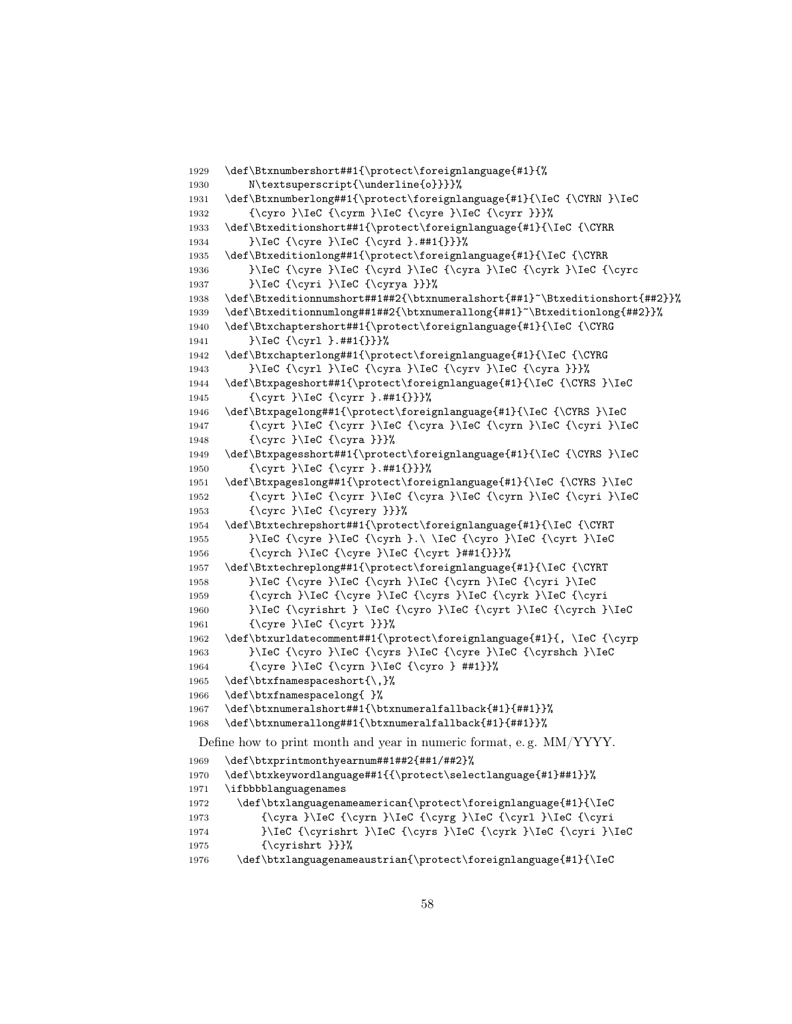```
1929 \def\Btxnumbershort##1{\protect\foreignlanguage{#1}{%
1930 N\textsuperscript{\underline{o}}}}%
1931 \def\Btxnumberlong##1{\protect\foreignlanguage{#1}{\IeC {\CYRN }\IeC
1932 {\cyro }\IeC {\cyrm }\IeC {\cyre }\IeC {\cyrr }}}%
1933 \def\Btxeditionshort##1{\protect\foreignlanguage{#1}{\IeC {\CYRR
1934 }\IeC {\cyre }\IeC {\cyrd }.##1{}}}%
1935 \def\Btxeditionlong##1{\protect\foreignlanguage{#1}{\IeC {\CYRR
1936 }\IeC {\cyre }\IeC {\cyrd }\IeC {\cyra }\IeC {\cyrk }\IeC {\cyrc
1937 }\IeC {\cyri }\IeC {\cyrya }}}%
1938 \def\Btxeditionnumshort##1##2{\btxnumeralshort{##1}~\Btxeditionshort{##2}}%
1939 \def\Btxeditionnumlong##1##2{\btxnumerallong{##1}~\Btxeditionlong{##2}}%
1940 \def\Btxchaptershort##1{\protect\foreignlanguage{#1}{\IeC {\CYRG
1941 }\IeC {\cyrl }.##1{}}}%
1942 \def\Btxchapterlong##1{\protect\foreignlanguage{#1}{\IeC {\CYRG
1943 }\IeC {\cyrl }\IeC {\cyra }\IeC {\cyrv }\IeC {\cyra }}}%
1944 \def\Btxpageshort##1{\protect\foreignlanguage{#1}{\IeC {\CYRS }\IeC
1945 {\cyrt }\IeC {\cyrr }.##1{}}}%
1946 \def\Btxpagelong##1{\protect\foreignlanguage{#1}{\IeC {\CYRS }\IeC
1947 {\cyrt }\IeC {\cyrr }\IeC {\cyra }\IeC {\cyrn }\IeC {\cyri }\IeC
1948 {\cyrc }\IeC {\cyra }}}%
1949 \def\Btxpagesshort##1{\protect\foreignlanguage{#1}{\IeC {\CYRS }\IeC
1950 {\cyrt }\IeC {\cyrr }.##1{}}}%
1951 \def\Btxpageslong##1{\protect\foreignlanguage{#1}{\IeC {\CYRS }\IeC
1952 {\cyrt }\IeC {\cyrr }\IeC {\cyra }\IeC {\cyrn }\IeC {\cyri }\IeC
1953 {\cyrc }\IeC {\cyrery }}}%
1954 \def\Btxtechrepshort##1{\protect\foreignlanguage{#1}{\IeC {\CYRT
1955 }\IeC {\cyre }\IeC {\cyrh }.\ \IeC {\cyro }\IeC {\cyrt }\IeC
1956 {\cyrch }\IeC {\cyre }\IeC {\cyrt }##1{}}}%
1957 \def\Btxtechreplong##1{\protect\foreignlanguage{#1}{\IeC {\CYRT
1958 }\IeC {\cyre }\IeC {\cyrh }\IeC {\cyrn }\IeC {\cyri }\IeC
1959 {\cyrch }\IeC {\cyre }\IeC {\cyrs }\IeC {\cyrk }\IeC {\cyri
1960 }\IeC {\cyrishrt } \IeC {\cyro }\IeC {\cyrt }\IeC {\cyrch }\IeC
1961 {\cyre }\IeC {\cyrt }}}%
1962 \def\btxurldatecomment##1{\protect\foreignlanguage{#1}{, \IeC {\cyrp
1963 }\IeC {\cyro }\IeC {\cyrs }\IeC {\cyre }\IeC {\cyrshch }\IeC
1964 {\cyre }\IeC {\cyrn }\IeC {\cyro } ##1}}%
1965 \def\btxfnamespaceshort{\,}%
1966 \def\btxfnamespacelong{ }%
1967 \def\btxnumeralshort##1{\btxnumeralfallback{#1}{##1}}%
1968 \def\btxnumerallong##1{\btxnumeralfallback{#1}{##1}}%
 Define how to print month and year in numeric format, e. g. MM/YYYY.
1969 \def\btxprintmonthyearnum##1##2{##1/##2}%
1970 \def\btxkeywordlanguage##1{{\protect\selectlanguage{#1}##1}}%
1971 \ifbbbblanguagenames
1972 \def\btxlanguagenameamerican{\protect\foreignlanguage{#1}{\IeC
1973 {\cyra }\IeC {\cyrn }\IeC {\cyrg }\IeC {\cyrl }\IeC {\cyri
1974 }\IeC {\cyrishrt }\IeC {\cyrs }\IeC {\cyrk }\IeC {\cyri }\IeC
1975 {\cyrishrt }}}%
1976 \def\btxlanguagenameaustrian{\protect\foreignlanguage{#1}{\IeC
```

```
58
```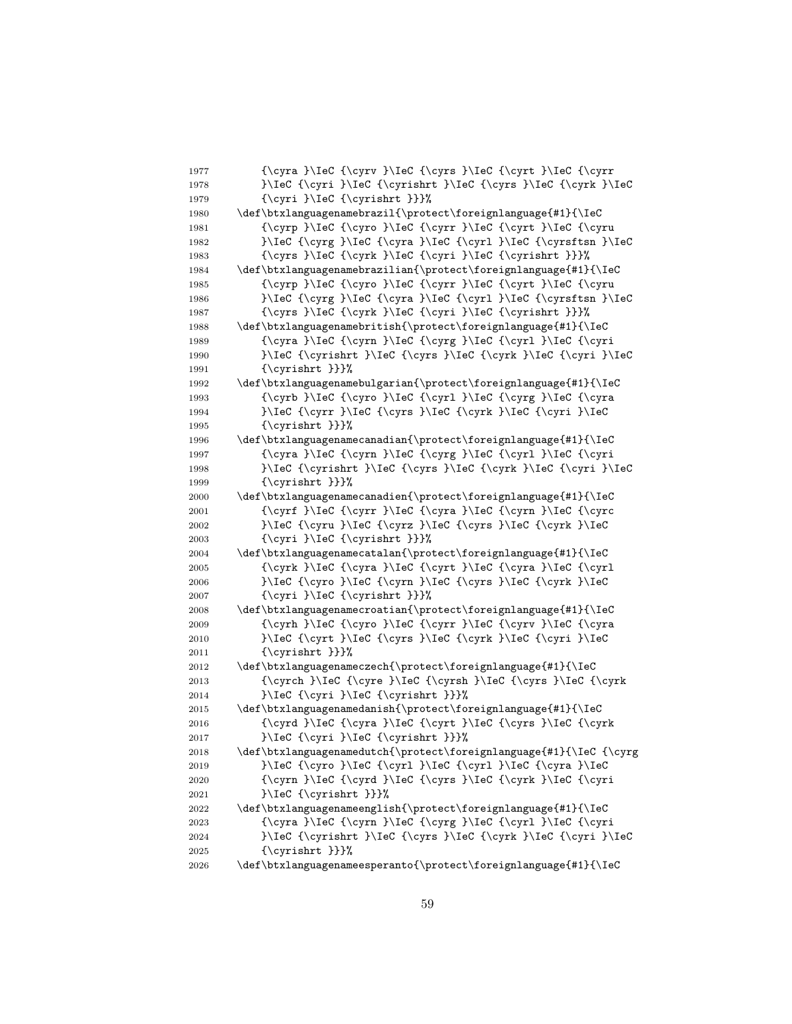| 1977 | {\cyra }\IeC {\cyrv }\IeC {\cyrs }\IeC {\cyrt }\IeC {\cyrr         |
|------|--------------------------------------------------------------------|
| 1978 | }\IeC {\cyri }\IeC {\cyrishrt }\IeC {\cyrs }\IeC {\cyrk }\IeC      |
| 1979 | {\cyri }\IeC {\cyrishrt }}}%                                       |
| 1980 | \def\btxlanguagenamebrazil{\protect\foreignlanguage{#1}{\IeC       |
| 1981 | {\cyrp }\IeC {\cyro }\IeC {\cyrr }\IeC {\cyrt }\IeC {\cyru         |
| 1982 | }\IeC {\cyrg }\IeC {\cyra }\IeC {\cyr1 }\IeC {\cyrsftsn }\IeC      |
| 1983 | {\cyrs }\IeC {\cyrk }\IeC {\cyri }\IeC {\cyrishrt }}}%             |
| 1984 | \def\btxlanguagenamebrazilian{\protect\foreignlanguage{#1}{\IeC    |
| 1985 | {\cyrp }\IeC {\cyro }\IeC {\cyrr }\IeC {\cyrt }\IeC {\cyru         |
| 1986 | }\IeC {\cyrg }\IeC {\cyra }\IeC {\cyr1 }\IeC {\cyrsftsn }\IeC      |
| 1987 | {\cyrs }\IeC {\cyrk }\IeC {\cyri }\IeC {\cyrishrt }}}%             |
| 1988 | \def\btxlanguagenamebritish{\protect\foreignlanguage{#1}{\IeC      |
| 1989 | {\cyra }\IeC {\cyrn }\IeC {\cyrg }\IeC {\cyrl }\IeC {\cyri         |
| 1990 | }\IeC {\cyrishrt }\IeC {\cyrs }\IeC {\cyrk }\IeC {\cyri }\IeC      |
| 1991 | {\cyrishrt }}}%                                                    |
| 1992 | \def\btxlanguagenamebulgarian{\protect\foreignlanguage{#1}{\IeC    |
| 1993 | {\cyrb }\IeC {\cyro }\IeC {\cyr1 }\IeC {\cyrg }\IeC {\cyra         |
| 1994 | }\IeC {\cyrr }\IeC {\cyrs }\IeC {\cyrk }\IeC {\cyri }\IeC          |
| 1995 | {\cyrishrt }}}%                                                    |
| 1996 | \def\btxlanguagenamecanadian{\protect\foreignlanguage{#1}{\IeC     |
| 1997 | {\cyra }\IeC {\cyrn }\IeC {\cyrg }\IeC {\cyrl }\IeC {\cyri         |
| 1998 | }\IeC {\cyrishrt }\IeC {\cyrs }\IeC {\cyrk }\IeC {\cyri }\IeC      |
| 1999 | {\cyrishrt }}}%                                                    |
| 2000 | \def\btxlanguagenamecanadien{\protect\foreignlanguage{#1}{\IeC     |
| 2001 | {\cyrf }\IeC {\cyrr }\IeC {\cyra }\IeC {\cyrn }\IeC {\cyrc         |
| 2002 | }\IeC {\cyru }\IeC {\cyrz }\IeC {\cyrs }\IeC {\cyrk }\IeC          |
| 2003 | {\cyri }\IeC {\cyrishrt }}}%                                       |
| 2004 | \def\btxlanguagenamecatalan{\protect\foreignlanguage{#1}{\IeC      |
| 2005 | {\cyrk }\IeC {\cyra }\IeC {\cyrt }\IeC {\cyra }\IeC {\cyrl         |
| 2006 | }\IeC {\cyro }\IeC {\cyrn }\IeC {\cyrs }\IeC {\cyrk }\IeC          |
| 2007 | {\cyri }\IeC {\cyrishrt }}}%                                       |
| 2008 | \def\btxlanguagenamecroatian{\protect\foreignlanguage{#1}{\IeC     |
| 2009 | {\cyrh }\IeC {\cyro }\IeC {\cyrr }\IeC {\cyrv }\IeC {\cyra         |
| 2010 | }\IeC {\cyrt }\IeC {\cyrs }\IeC {\cyrk }\IeC {\cyri }\IeC          |
| 2011 | {\cyrishrt }}}%                                                    |
| 2012 | \def\btxlanguagenameczech{\protect\foreignlanguage{#1}{\IeC        |
| 2013 | {\cyrch }\IeC {\cyre }\IeC {\cyrsh }\IeC {\cyrs }\IeC {\cyrk       |
| 2014 | }\IeC {\cyri }\IeC {\cyrishrt }}}%                                 |
| 2015 | \def\btxlanguagenamedanish{\protect\foreignlanguage{#1}{\IeC       |
| 2016 | {\cyrd }\IeC {\cyra }\IeC {\cyrt }\IeC {\cyrs }\IeC {\cyrk         |
| 2017 | }\IeC {\cyri }\IeC {\cyrishrt }}}%                                 |
| 2018 | \def\btxlanguagenamedutch{\protect\foreignlanguage{#1}{\IeC {\cyrg |
| 2019 | }\IeC {\cyro }\IeC {\cyr1 }\IeC {\cyr1 }\IeC {\cyra }\IeC          |
| 2020 | {\cyrn }\IeC {\cyrd }\IeC {\cyrs }\IeC {\cyrk }\IeC {\cyri         |
| 2021 | }\IeC {\cyrishrt }}}%                                              |
| 2022 | \def\btxlanguagenameenglish{\protect\foreignlanguage{#1}{\IeC      |
| 2023 | {\cyra }\IeC {\cyrn }\IeC {\cyrg }\IeC {\cyr1 }\IeC {\cyri         |
| 2024 | }\IeC {\cyrishrt }\IeC {\cyrs }\IeC {\cyrk }\IeC {\cyri }\IeC      |
| 2025 | {\cyrishrt }}}%                                                    |
| 2026 | \def\btxlanguagenameesperanto{\protect\foreignlanguage{#1}{\IeC    |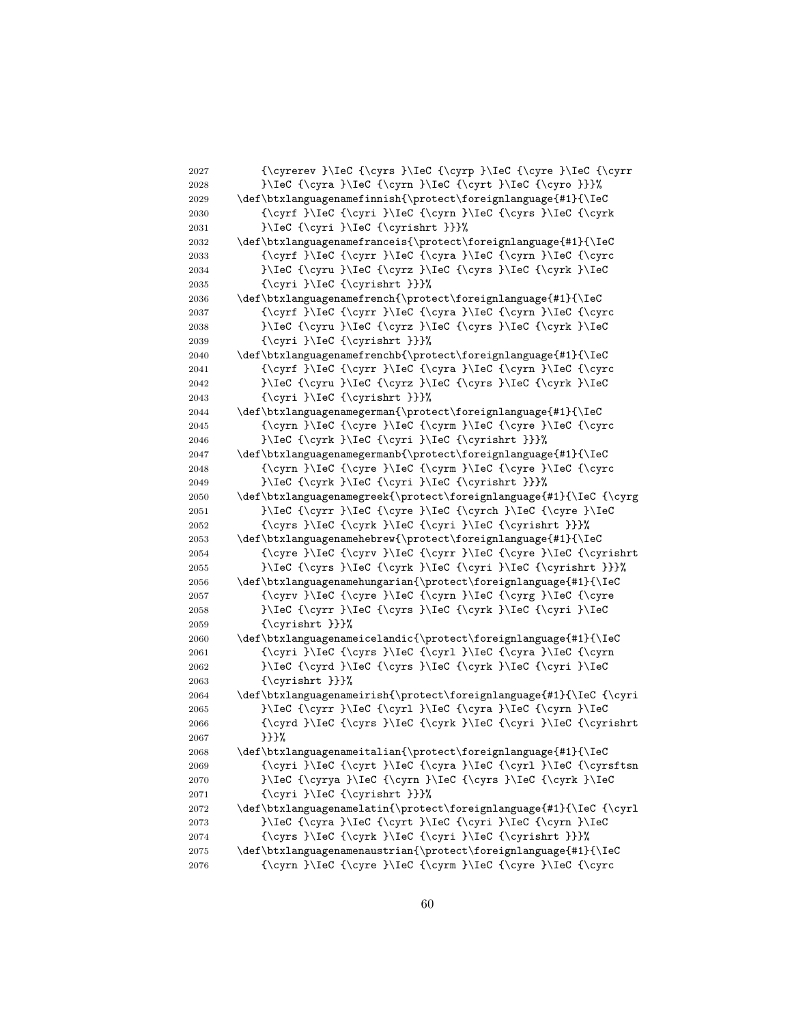2027  ${\\cprev }\leC {\\cyr} \leC {\\cyr} \leC {\\cyr}$ 2028 }\IeC {\cyra }\IeC {\cyrn }\IeC {\cyrt }\IeC {\cyro }}}% 2029 \def\btxlanguagenamefinnish{\protect\foreignlanguage{#1}{\IeC 2030 {\cyrf }\IeC {\cyri }\IeC {\cyrn }\IeC {\cyrs }\IeC {\cyrk 2031 }\IeC {\cyri }\IeC {\cyrishrt }}}% 2032 \def\btxlanguagenamefranceis{\protect\foreignlanguage{#1}{\IeC 2033 {\cyrf }\IeC {\cyrr }\IeC {\cyra }\IeC {\cyrn }\IeC {\cyrc 2034 }}\IeC {\cyru }\IeC {\cyrz }\IeC {\cyrs }\IeC {\cyrk }\IeC 2035 {\cyri }\IeC {\cyrishrt }}}% 2036 \def\btxlanguagenamefrench{\protect\foreignlanguage{#1}{\IeC 2037 {\cyrf }\IeC {\cyrr }\IeC {\cyra }\IeC {\cyrn }\IeC {\cyrc 2038 }\IeC {\cyru }\IeC {\cyrz }\IeC {\cyrs }\IeC {\cyrk }\IeC 2039 {\cyri }\IeC {\cyrishrt }}}% 2040 \def\btxlanguagenamefrenchb{\protect\foreignlanguage{#1}{\IeC 2041  ${\\cyrf }\\leC {\\cyrr }\Iec {\cyrr }\Iec {\cyrr }$ 2042 <br> }\IeC {\cyru }\IeC {\cyrz }\IeC {\cyrs }\IeC {\cyrk }\IeC 2043 {\cyri }\IeC {\cyrishrt }}}% 2044 \def\btxlanguagenamegerman{\protect\foreignlanguage{#1}{\IeC 2045 {\cyrn }\IeC {\cyre }\IeC {\cyrm }\IeC {\cyre }\IeC {\cyrc 2046 }\IeC {\cyrk }\IeC {\cyri }\IeC {\cyrishrt }}}% 2047 \def\btxlanguagenamegermanb{\protect\foreignlanguage{#1}{\IeC 2048 {\cyrn }\IeC {\cyre }\IeC {\cyrm }\IeC {\cyre }\IeC {\cyrc 2049 }\IeC {\cyrk }\IeC {\cyri }\IeC {\cyrishrt }}}% 2050 \def\btxlanguagenamegreek{\protect\foreignlanguage{#1}{\IeC {\cyrg 2051 }\IeC {\cyrr }\IeC {\cyre }\IeC {\cyrch }\IeC {\cyre }\IeC 2052 {\cyrs }\IeC {\cyrk }\IeC {\cyri }\IeC {\cyrishrt }}}% 2053 \def\btxlanguagenamehebrew{\protect\foreignlanguage{#1}{\IeC 2054 {\cyre }\IeC {\cyrv }\IeC {\cyrr }\IeC {\cyre }\IeC {\cyrishrt 2055 }\IeC {\cyrs }\IeC {\cyrk }\IeC {\cyri }\IeC {\cyrishrt }}}% 2056 \def\btxlanguagenamehungarian{\protect\foreignlanguage{#1}{\IeC 2057  ${\\cyrv \}\IEC {\cyre }\IEC {\cyrn }\IEC {\cyrg }\IEC {\cyre$ 2058 }}\IeC {\cyrr }\IeC {\cyrs }\IeC {\cyrk }\IeC {\cyri }\IeC 2059 {\cyrishrt }}}% 2060 \def\btxlanguagenameicelandic{\protect\foreignlanguage{#1}{\IeC 2061 {\cyri }\IeC {\cyrs }\IeC {\cyrl }\IeC {\cyra }\IeC {\cyrn 2062 <br>}\IeC {\cyrd }\IeC {\cyrs }\IeC {\cyrk }\IeC {\cyri }\IeC 2063 {\cyrishrt }}}% 2064 \def\btxlanguagenameirish{\protect\foreignlanguage{#1}{\IeC {\cyri 2065 }}\IeC {\cyrr }\IeC {\cyrl }\IeC {\cyra }\IeC {\cyrn }\IeC 2066 {\cyrd }\IeC {\cyrs }\IeC {\cyrk }\IeC {\cyri }\IeC {\cyrishrt 2067 }}}%  $2068 \qquad \text{obxlanguagenameitalian{protect{\fore}} for eigenlanguage{#1}{\leq}$ 2069  ${\\cyri }\I\clap{\cyrt }\I\clap{\cyri }\I\clap{\cyri }\I\clap{\cyri }\I\clap{\cyri\v\r\r}$ 2070 }\IeC {\cyrya }\IeC {\cyrn }\IeC {\cyrs }\IeC {\cyrk }\IeC 2071 {\cyri }\IeC {\cyrishrt }}}% 2072 \def\btxlanguagenamelatin{\protect\foreignlanguage{#1}{\IeC {\cyrl 2073 }\IeC {\cyra }\IeC {\cyrt }\IeC {\cyri }\IeC {\cyrn }\IeC 2074 {\cyrs }\IeC {\cyrk }\IeC {\cyri }\IeC {\cyrishrt }}}% 2075 \def\btxlanguagenamenaustrian{\protect\foreignlanguage{#1}{\IeC 2076 {\cyrn }\IeC {\cyre }\IeC {\cyrm }\IeC {\cyre }\IeC {\cyrc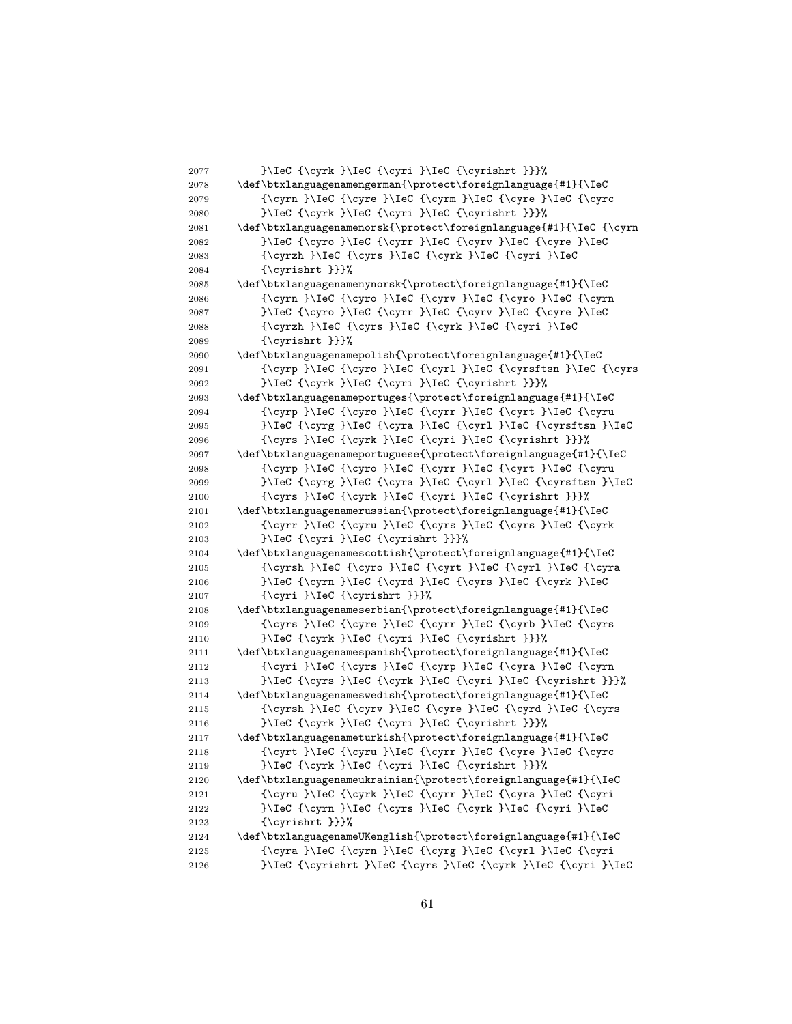}\IeC {\cyrk }\IeC {\cyri }\IeC {\cyrishrt }}}% \def\btxlanguagenamengerman{\protect\foreignlanguage{#1}{\IeC 2079 {\cyrn }\IeC {\cyre }\IeC {\cyrm }\IeC {\cyre }\IeC {\cyrc }\IeC {\cyrk }\IeC {\cyri }\IeC {\cyrishrt }}}%  $2081 \text{def\}txlanguagenamenorsk{\protect/foreignlanguage{#1}{\IEC {\cyrn}}$ 2082 }}\IeC {\cyro }\IeC {\cyrr }\IeC {\cyrv }\IeC {\cyre }\IeC {\cyrzh }\IeC {\cyrs }\IeC {\cyrk }\IeC {\cyri }\IeC {\cyrishrt }}}%  $2085 \text{def\}bxlanguagenamenynorsk{\protect}{\n 700120201441}$  $\{\cyrn \l\le \{\cyro \l\le \{ \cyrv \}\le C \l\le \{\cyrn \l\le \} \lceil C \rceil \}$ 2087 }\IeC {\cyro }\IeC {\cyrr }\IeC {\cyrv }\IeC {\cyre }\IeC {\cyrzh }\IeC {\cyrs }\IeC {\cyrk }\IeC {\cyri }\IeC {\cyrishrt }}}% \def\btxlanguagenamepolish{\protect\foreignlanguage{#1}{\IeC 2091 {\cyrp }\IeC {\cyro }\IeC {\cyrl }\IeC {\cyrsftsn }\IeC {\cyrs }\IeC {\cyrk }\IeC {\cyri }\IeC {\cyrishrt }}}% \def\btxlanguagenameportuges{\protect\foreignlanguage{#1}{\IeC {\cyrp }\IeC {\cyro }\IeC {\cyrr }\IeC {\cyrt }\IeC {\cyru }\IeC {\cyrg }\IeC {\cyra }\IeC {\cyrl }\IeC {\cyrsftsn }\IeC 2096 {\cyrs }\IeC {\cyrk }\IeC {\cyri }\IeC {\cyrishrt }}}% \def\btxlanguagenameportuguese{\protect\foreignlanguage{#1}{\IeC 2098 {\cyrp }\IeC {\cyro }\IeC {\cyrr }\IeC {\cyrt }\IeC {\cyru }\IeC {\cyrg }\IeC {\cyra }\IeC {\cyrl }\IeC {\cyrsftsn }\IeC {\cyrs }\IeC {\cyrk }\IeC {\cyri }\IeC {\cyrishrt }}}% \def\btxlanguagenamerussian{\protect\foreignlanguage{#1}{\IeC {\cyrr }\IeC {\cyru }\IeC {\cyrs }\IeC {\cyrs }\IeC {\cyrk }\IeC {\cyri }\IeC {\cyrishrt }}}% 2104 \def\btxlanguagenamescottish{\protect\foreignlanguage{#1}{\IeC  ${\cysh }\IeC {\cysh }IeC {\cyst }IeC {\cyr1 }IeC {\cyr1 }$ 2106 }\IeC {\cyrn }\IeC {\cyrd }\IeC {\cyrs }\IeC {\cyrk }\IeC 2107 {\cyri }\IeC {\cyrishrt }}}% \def\btxlanguagenameserbian{\protect\foreignlanguage{#1}{\IeC  ${\cys }\Iec {\cys } \Iec {\cys } \Iec {\cys }$  }\IeC {\cyrk }\IeC {\cyri }\IeC {\cyrishrt }}}% \def\btxlanguagenamespanish{\protect\foreignlanguage{#1}{\IeC  ${\\cyri }\Iec \{\cyrs }\Iec \{\cyrp }\Iec \{\cyrn\} \Iec \{\cyrn\} \Iec \S\cyrn\}$  }\IeC {\cyrs }\IeC {\cyrk }\IeC {\cyri }\IeC {\cyrishrt }}}% \def\btxlanguagenameswedish{\protect\foreignlanguage{#1}{\IeC {\cyrsh }\IeC {\cyrv }\IeC {\cyre }\IeC {\cyrd }\IeC {\cyrs }\IeC {\cyrk }\IeC {\cyri }\IeC {\cyrishrt }}}% \def\btxlanguagenameturkish{\protect\foreignlanguage{#1}{\IeC 2118 {\cyrt }\IeC {\cyru }\IeC {\cyrr }\IeC {\cyre }\IeC {\cyrc }\IeC {\cyrk }\IeC {\cyri }\IeC {\cyrishrt }}}% \def\btxlanguagenameukrainian{\protect\foreignlanguage{#1}{\IeC  ${\\cyru }\Ic \{\cyrk }\Iec {\cyrr }\Iec {\cyra }\Iec {\cyri}$ 2122 }\IeC {\cyrn }\IeC {\cyrs }\IeC {\cyrk }\IeC {\cyri }\IeC {\cyrishrt }}}% \def\btxlanguagenameUKenglish{\protect\foreignlanguage{#1}{\IeC {\cyra }\IeC {\cyrn }\IeC {\cyrg }\IeC {\cyrl }\IeC {\cyri }\IeC {\cyrishrt }\IeC {\cyrs }\IeC {\cyrk }\IeC {\cyri }\IeC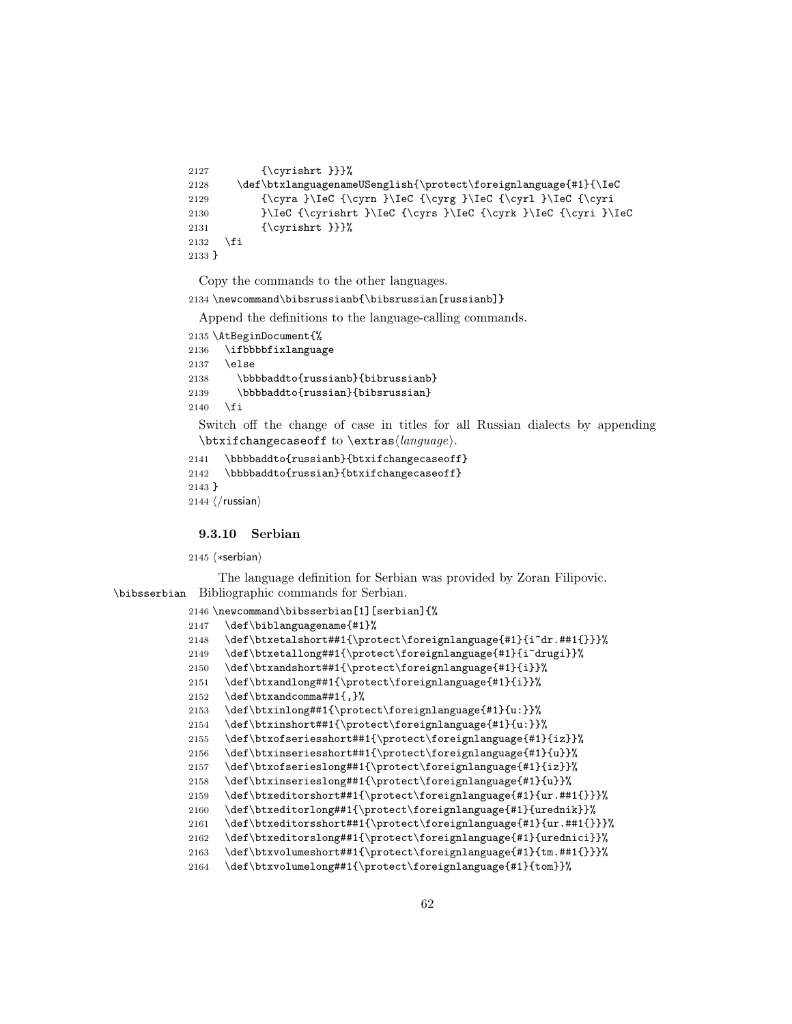```
2127 {\cyrishrt }}}%
2128 \def\btxlanguagenameUSenglish{\protect\foreignlanguage{#1}{\IeC
2129 {\c{yra }\leC {\c{yra }\leC {\c{yrd }\leC {\c{yrl }\leC {\c{yrd}\leC \c{yrd}\leC {\c{yrd}\leC \c{yrd}\leC \c{yrd}\leC \c{yrd}\leC \c{yrd}\leC \c{yrd}\leC \c{yrd}\leC \c{yrd}\leC \c{yrd}\leC \c{yrd}\leC \c{yrd}\leC \c{yrd}\leC \c{yrd}\leC \c{yrd}\leC \c{yrd}\leC \c{yrd}\leC \c{yrd}\leC \c{yrd}\leC \c{yrd}\leC \c{yrd}\leC \c{yrd}\le2130 }\IeC {\cyrishrt }\IeC {\cyrs }\IeC {\cyrk }\IeC {\cyri }\IeC
2131 {\cyrishrt }}}%
2132 \fi
2133 }
```
\newcommand\bibsrussianb{\bibsrussian[russianb]}

Append the definitions to the language-calling commands.

```
2135 \AtBeginDocument{%
2136 \ifbbbbfixlanguage
2137 \else
2138 \bbbbaddto{russianb}{bibrussianb}
2139 \bbbbaddto{russian}{bibsrussian}
2140 \fi
 Switch off the change of case in titles for all Russian dialects by appending
 \text{changecase} to \text{change}.
```

```
2141 \bbbbaddto{russianb}{btxifchangecaseoff}
2142 \bbbbaddto{russian}{btxifchangecaseoff}
2143 }
2144 \; \langle/russian\rangle
```
9.3.10 Serbian

 $\langle$ \*serbian $\rangle$ 

The language definition for Serbian was provided by Zoran Filipovic. \bibsserbian Bibliographic commands for Serbian.

```
2146 \newcommand\bibsserbian[1][serbian]{%
2147 \def\biblanguagename{#1}%
2148 \def\btxetalshort##1{\protect\foreignlanguage{#1}{i~dr.##1{}}}%
2149 \def\btxetallong##1{\protect\foreignlanguage{#1}{i~drugi}}%
2150 \def\btxandshort##1{\protect\foreignlanguage{#1}{i}}%
2151 \def\btxandlong##1{\protect\foreignlanguage{#1}{i}}%
2152 \def\btxandcomma##1{,}%
2153 \def\btxinlong##1{\protect\foreignlanguage{#1}{u:}}%
2154 \def\btxinshort##1{\protect\foreignlanguage{#1}{u:}}%
2155 \def\btxofseriesshort##1{\protect\foreignlanguage{#1}{iz}}%
2156 \def\btxinseriesshort##1{\protect\foreignlanguage{#1}{u}}%
2157 \def\btxofserieslong##1{\protect\foreignlanguage{#1}{iz}}%
2158 \def\btxinserieslong##1{\protect\foreignlanguage{#1}{u}}%
2159 \def\btxeditorshort##1{\protect\foreignlanguage{#1}{ur.##1{}}}%
2160 \def\btxeditorlong##1{\protect\foreignlanguage{#1}{urednik}}%
2161 \def\btxeditorsshort##1{\protect\foreignlanguage{#1}{ur.##1{}}}%
2162 \def\btxeditorslong##1{\protect\foreignlanguage{#1}{urednici}}%
2163 \def\btxvolumeshort##1{\protect\foreignlanguage{#1}{tm.##1{}}}%
2164 \def\btxvolumelong##1{\protect\foreignlanguage{#1}{tom}}%
```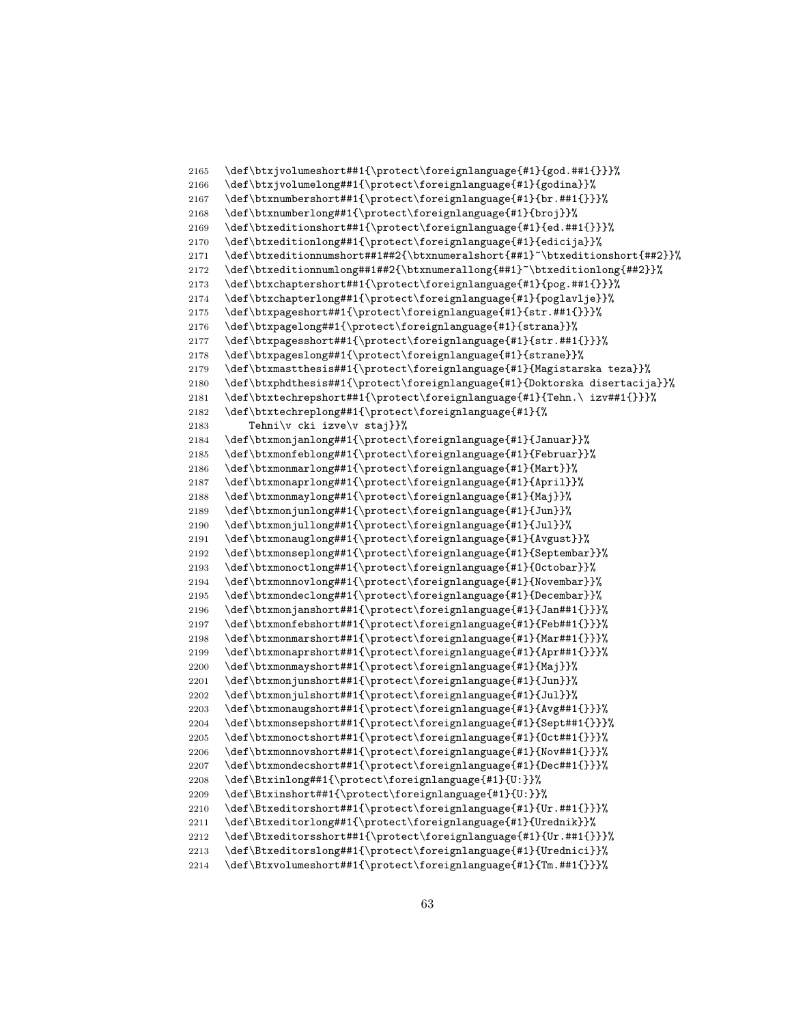```
2165 \def\btxjvolumeshort##1{\protect\foreignlanguage{#1}{god.##1{}}}%
2166 \def\btxjvolumelong##1{\protect\foreignlanguage{#1}{godina}}%
2167 \def\btxnumbershort##1{\protect\foreignlanguage{#1}{br.##1{}}}%
2168 \def\btxnumberlong##1{\protect\foreignlanguage{#1}{broj}}%
2169 \def\btxeditionshort##1{\protect\foreignlanguage{#1}{ed.##1{}}}%
2170 \def\btxeditionlong##1{\protect\foreignlanguage{#1}{edicija}}%
2171 \def\btxeditionnumshort##1##2{\btxnumeralshort{##1}~\btxeditionshort{##2}}%
2172 \def\btxeditionnumlong##1##2{\btxnumerallong{##1}~\btxeditionlong{##2}}%
2173 \def\btxchaptershort##1{\protect\foreignlanguage{#1}{pog.##1{}}}%
2174 \def\btxchapterlong##1{\protect\foreignlanguage{#1}{poglavlje}}%
2175 \def\btxpageshort##1{\protect\foreignlanguage{#1}{str.##1{}}}%
2176 \def\btxpagelong##1{\protect\foreignlanguage{#1}{strana}}%
2177 \def\btxpagesshort##1{\protect\foreignlanguage{#1}{str.##1{}}}%
2178 \def\btxpageslong##1{\protect\foreignlanguage{#1}{strane}}%
2179 \def\btxmastthesis##1{\protect\foreignlanguage{#1}{Magistarska teza}}%
2180 \def\btxphdthesis##1{\protect\foreignlanguage{#1}{Doktorska disertacija}}%
2181 \def\btxtechrepshort##1{\protect\foreignlanguage{#1}{Tehn.\ izv##1{}}}%
2182 \def\btxtechreplong##1{\protect\foreignlanguage{#1}{%
2183 Tehni\v cki izve\v staj}}%
2184 \def\btxmonjanlong##1{\protect\foreignlanguage{#1}{Januar}}%
2185 \def\btxmonfeblong##1{\protect\foreignlanguage{#1}{Februar}}%
2186 \def\btxmonmarlong##1{\protect\foreignlanguage{#1}{Mart}}%
2187 \def\btxmonaprlong##1{\protect\foreignlanguage{#1}{April}}%
2188 \def\btxmonmaylong##1{\protect\foreignlanguage{#1}{Maj}}%
2189 \def\btxmonjunlong##1{\protect\foreignlanguage{#1}{Jun}}%
2190 \def\btxmonjullong##1{\protect\foreignlanguage{#1}{Jul}}%
2191 \def\btxmonauglong##1{\protect\foreignlanguage{#1}{Avgust}}%
2192 \def\btxmonseplong##1{\protect\foreignlanguage{#1}{Septembar}}%
2193 \def\btxmonoctlong##1{\protect\foreignlanguage{#1}{Octobar}}%
2194 \def\btxmonnovlong##1{\protect\foreignlanguage{#1}{Novembar}}%
2195 \def\btxmondeclong##1{\protect\foreignlanguage{#1}{Decembar}}%
2196 \def\btxmonjanshort##1{\protect\foreignlanguage{#1}{Jan##1{}}}%
2197 \def\btxmonfebshort##1{\protect\foreignlanguage{#1}{Feb##1{}}}%
2198 \def\btxmonmarshort##1{\protect\foreignlanguage{#1}{Mar##1{}}}%
2199 \def\btxmonaprshort##1{\protect\foreignlanguage{#1}{Apr##1{}}}%
2200 \def\btxmonmayshort##1{\protect\foreignlanguage{#1}{Maj}}%
2201 \def\btxmonjunshort##1{\protect\foreignlanguage{#1}{Jun}}%
2202 \def\btxmonjulshort##1{\protect\foreignlanguage{#1}{Jul}}%
2203 \def\btxmonaugshort##1{\protect\foreignlanguage{#1}{Avg##1{}}}%
2204 \def\btxmonsepshort##1{\protect\foreignlanguage{#1}{Sept##1{}}}%
2205 \def\btxmonoctshort##1{\protect\foreignlanguage{#1}{Oct##1{}}}%
2206 \def\btxmonnovshort##1{\protect\foreignlanguage{#1}{Nov##1{}}}%
2207 \def\btxmondecshort##1{\protect\foreignlanguage{#1}{Dec##1{}}}%
2208 \def\Btxinlong##1{\protect\foreignlanguage{#1}{U:}}%
2209 \def\Btxinshort##1{\protect\foreignlanguage{#1}{U:}}%
2210 \def\Btxeditorshort##1{\protect\foreignlanguage{#1}{Ur.##1{}}}%
2211 \def\Btxeditorlong##1{\protect\foreignlanguage{#1}{Urednik}}%
2212 \def\Btxeditorsshort##1{\protect\foreignlanguage{#1}{Ur.##1{}}}%
2213 \def\Btxeditorslong##1{\protect\foreignlanguage{#1}{Urednici}}%
2214 \def\Btxvolumeshort##1{\protect\foreignlanguage{#1}{Tm.##1{}}}%
```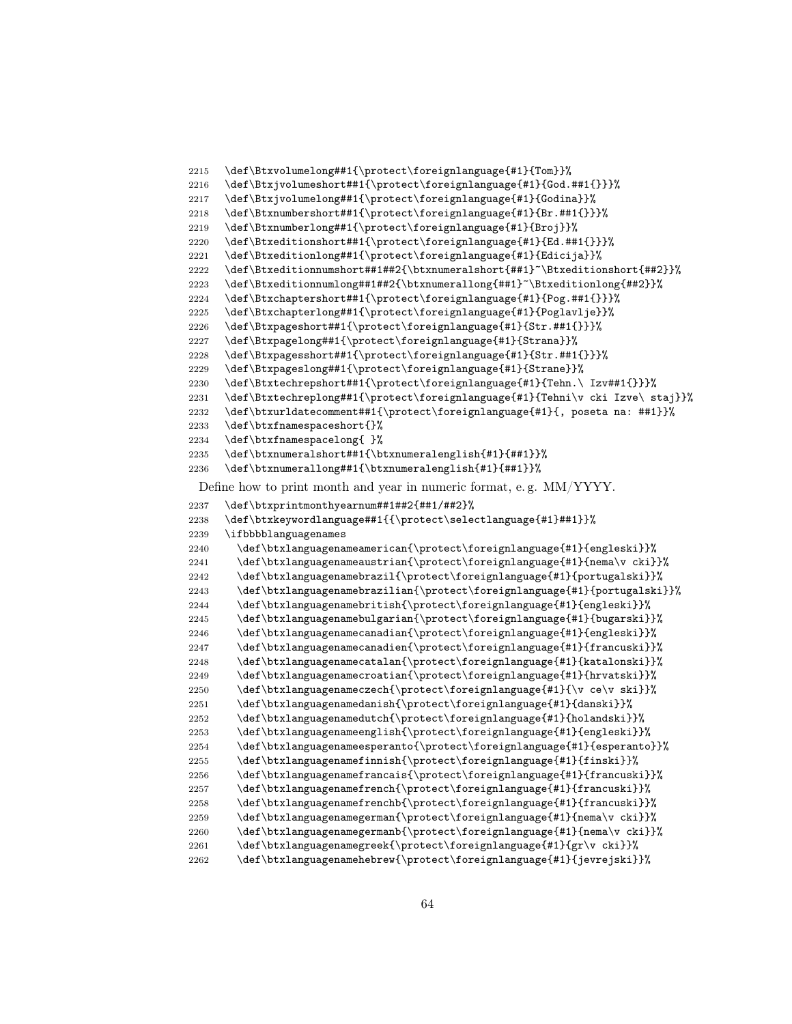```
2215 \def\Btxvolumelong##1{\protect\foreignlanguage{#1}{Tom}}%
2216 \def\Btxjvolumeshort##1{\protect\foreignlanguage{#1}{God.##1{}}}%
2217 \def\Btxjvolumelong##1{\protect\foreignlanguage{#1}{Godina}}%
2218 \def\Btxnumbershort##1{\protect\foreignlanguage{#1}{Br.##1{}}}%
2219 \def\Btxnumberlong##1{\protect\foreignlanguage{#1}{Broj}}%
2220 \def\Btxeditionshort##1{\protect\foreignlanguage{#1}{Ed.##1{}}}%
2221 \def\Btxeditionlong##1{\protect\foreignlanguage{#1}{Edicija}}%
2222 \def\Btxeditionnumshort##1##2{\btxnumeralshort{##1}~\Btxeditionshort{##2}}%
2223 \def\Btxeditionnumlong##1##2{\btxnumerallong{##1}~\Btxeditionlong{##2}}%
2224 \def\Btxchaptershort##1{\protect\foreignlanguage{#1}{Pog.##1{}}}%
2225 \def\Btxchapterlong##1{\protect\foreignlanguage{#1}{Poglavlje}}%
2226 \def\Btxpageshort##1{\protect\foreignlanguage{#1}{Str.##1{}}}%
2227 \def\Btxpagelong##1{\protect\foreignlanguage{#1}{Strana}}%
2228 \def\Btxpagesshort##1{\protect\foreignlanguage{#1}{Str.##1{}}}%
2229 \def\Btxpageslong##1{\protect\foreignlanguage{#1}{Strane}}%
2230 \def\Btxtechrepshort##1{\protect\foreignlanguage{#1}{Tehn.\ Izv##1{}}}%<br>2231 \def\Btxtechreplong##1{\protect\foreignlanguage{#1}{Tehni\v cki Izve\ s
      2231 \def\Btxtechreplong##1{\protect\foreignlanguage{#1}{Tehni\v cki Izve\ staj}}%
2232 \def\btxurldatecomment##1{\protect\foreignlanguage{#1}{, poseta na: ##1}}%
2233 \def\btxfnamespaceshort{}%
2234 \def\btxfnamespacelong{ }%
2235 \def\btxnumeralshort##1{\btxnumeralenglish{#1}{##1}}%
2236 \def\btxnumerallong##1{\btxnumeralenglish{#1}{##1}}%
 Define how to print month and year in numeric format, e. g. MM/YYYY.
2237 \def\btxprintmonthyearnum##1##2{##1/##2}%
2238 \def\btxkeywordlanguage##1{{\protect\selectlanguage{#1}##1}}%
2239 \ifbbbblanguagenames
2240 \def\btxlanguagenameamerican{\protect\foreignlanguage{#1}{engleski}}%
2241 \def\btxlanguagenameaustrian{\protect\foreignlanguage{#1}{nema\v cki}}%
2242 \def\btxlanguagenamebrazil{\protect\foreignlanguage{#1}{portugalski}}%
2243 \def\btxlanguagenamebrazilian{\protect\foreignlanguage{#1}{portugalski}}%
2244 \def\btxlanguagenamebritish{\protect\foreignlanguage{#1}{engleski}}%
2245 \def\btxlanguagenamebulgarian{\protect\foreignlanguage{#1}{bugarski}}%
2246 \def\btxlanguagenamecanadian{\protect\foreignlanguage{#1}{engleski}}%
2247 \def\btxlanguagenamecanadien{\protect\foreignlanguage{#1}{francuski}}%
2248 \def\btxlanguagenamecatalan{\protect\foreignlanguage{#1}{katalonski}}%
2249 \def\btxlanguagenamecroatian{\protect\foreignlanguage{#1}{hrvatski}}%
2250 \def\btxlanguagenameczech{\protect\foreignlanguage{#1}{\v ce\v ski}}%
2251 \def\btxlanguagenamedanish{\protect\foreignlanguage{#1}{danski}}%
2252 \def\btxlanguagenamedutch{\protect\foreignlanguage{#1}{holandski}}%
2253 \def\btxlanguagenameenglish{\protect\foreignlanguage{#1}{engleski}}%
2254 \def\btxlanguagenameesperanto{\protect\foreignlanguage{#1}{esperanto}}%
2255 \def\btxlanguagenamefinnish{\protect\foreignlanguage{#1}{finski}}%
2256 \def\btxlanguagenamefrancais{\protect\foreignlanguage{#1}{francuski}}%
2257 \def\btxlanguagenamefrench{\protect\foreignlanguage{#1}{francuski}}%
2258 \def\btxlanguagenamefrenchb{\protect\foreignlanguage{#1}{francuski}}%
2259 \def\btxlanguagenamegerman{\protect\foreignlanguage{#1}{nema\v cki}}%
2260 \def\btxlanguagenamegermanb{\protect\foreignlanguage{#1}{nema\v cki}}%
2261 \def\btxlanguagenamegreek{\protect\foreignlanguage{#1}{gr\v cki}}%
2262 \def\btxlanguagenamehebrew{\protect\foreignlanguage{#1}{jevrejski}}%
```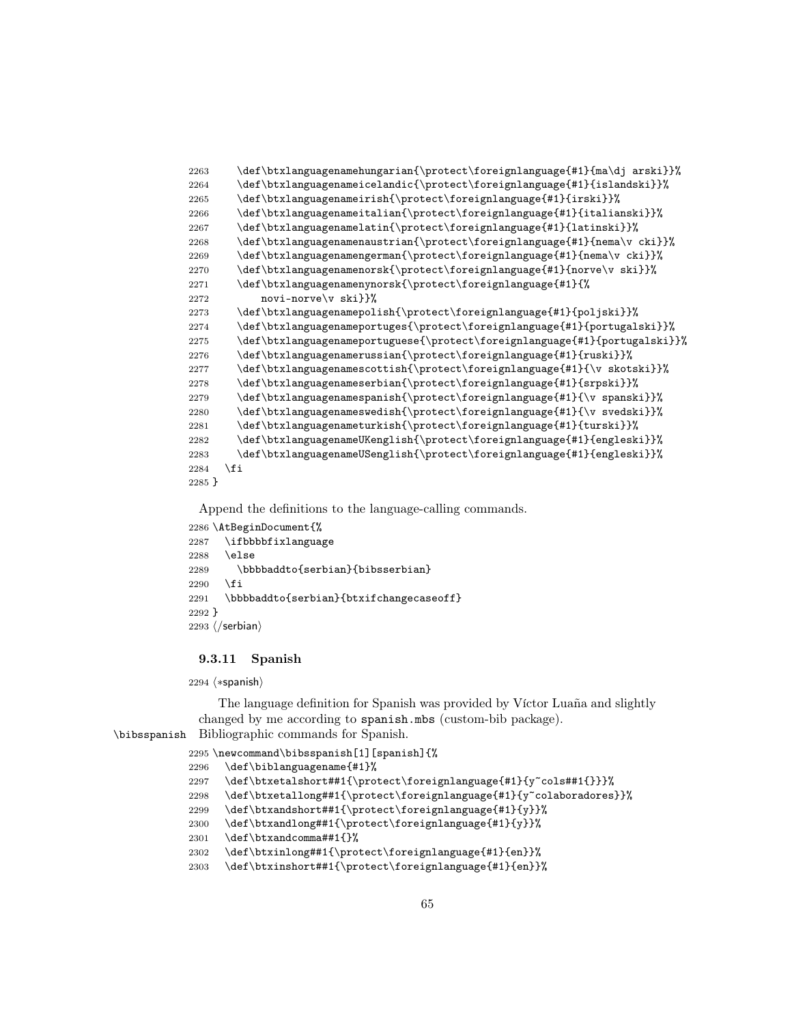```
2263 \def\btxlanguagenamehungarian{\protect\foreignlanguage{#1}{ma\dj arski}}%
2264 \def\btxlanguagenameicelandic{\protect\foreignlanguage{#1}{islandski}}%
2265 \def\btxlanguagenameirish{\protect\foreignlanguage{#1}{irski}}%
2266 \def\btxlanguagenameitalian{\protect\foreignlanguage{#1}{italianski}}%
2267 \def\btxlanguagenamelatin{\protect\foreignlanguage{#1}{latinski}}%
2268 \def\btxlanguagenamenaustrian{\protect\foreignlanguage{#1}{nema\v cki}}%
2269 \def\btxlanguagenamengerman{\protect\foreignlanguage{#1}{nema\v cki}}%
2270 \def\btxlanguagenamenorsk{\protect\foreignlanguage{#1}{norve\v ski}}%
2271 \def\btxlanguagenamenynorsk{\protect\foreignlanguage{#1}{%
2272 novi-norve\v ski}}%
2273 \def\btxlanguagenamepolish{\protect\foreignlanguage{#1}{poljski}}%
2274 \def\btxlanguagenameportuges{\protect\foreignlanguage{#1}{portugalski}}%
2275 \def\btxlanguagenameportuguese{\protect\foreignlanguage{#1}{portugalski}}%
2276 \def\btxlanguagenamerussian{\protect\foreignlanguage{#1}{ruski}}%
2277 \def\btxlanguagenamescottish{\protect\foreignlanguage{#1}{\v skotski}}%
2278 \def\btxlanguagenameserbian{\protect\foreignlanguage{#1}{srpski}}%
2279 \def\btxlanguagenamespanish{\protect\foreignlanguage{#1}{\v spanski}}%
2280 \def\btxlanguagenameswedish{\protect\foreignlanguage{#1}{\v svedski}}%
2281 \def\btxlanguagenameturkish{\protect\foreignlanguage{#1}{turski}}%
2282 \def\btxlanguagenameUKenglish{\protect\foreignlanguage{#1}{engleski}}%
2283 \def\btxlanguagenameUSenglish{\protect\foreignlanguage{#1}{engleski}}%
2284 \fi
2285 }
```

```
2286 \AtBeginDocument{%
2287 \ifbbbbfixlanguage
2288 \else
2289 \bbbbaddto{serbian}{bibsserbian}
2290 \, \text{Vfi}2291 \bbbbaddto{serbian}{btxifchangecaseoff}
2292 }
2293 \langle/serbian\rangle
```
# 9.3.11 Spanish

2294 (\*spanish)

The language definition for Spanish was provided by Víctor Luaña and slightly changed by me according to spanish.mbs (custom-bib package).

```
\bibsspanish Bibliographic commands for Spanish.
```

```
2295 \newcommand\bibsspanish[1][spanish]{%
2296 \def\biblanguagename{#1}%
2297 \def\btxetalshort##1{\protect\foreignlanguage{#1}{y~cols##1{}}}%
2298 \def\btxetallong##1{\protect\foreignlanguage{#1}{y~colaboradores}}%
2299 \def\btxandshort##1{\protect\foreignlanguage{#1}{y}}%
2300 \def\btxandlong##1{\protect\foreignlanguage{#1}{y}}%
2301 \def\btxandcomma##1{}%
2302 \def\btxinlong##1{\protect\foreignlanguage{#1}{en}}%
2303 \def\btxinshort##1{\protect\foreignlanguage{#1}{en}}%
```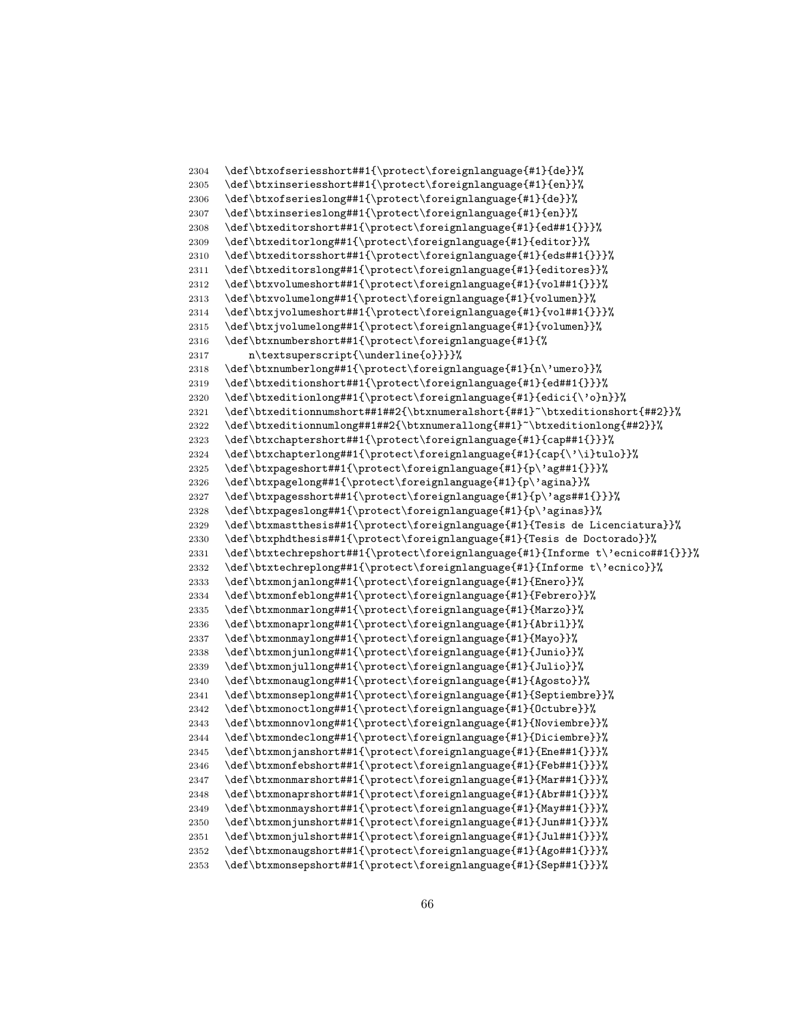```
2304 \def\btxofseriesshort##1{\protect\foreignlanguage{#1}{de}}%
2305 \def\btxinseriesshort##1{\protect\foreignlanguage{#1}{en}}%
2306 \def\btxofserieslong##1{\protect\foreignlanguage{#1}{de}}%
2307 \def\btxinserieslong##1{\protect\foreignlanguage{#1}{en}}%
2308 \def\btxeditorshort##1{\protect\foreignlanguage{#1}{ed##1{}}}%
2309 \def\btxeditorlong##1{\protect\foreignlanguage{#1}{editor}}%
2310 \def\btxeditorsshort##1{\protect\foreignlanguage{#1}{eds##1{}}}%
2311 \def\btxeditorslong##1{\protect\foreignlanguage{#1}{editores}}%
2312 \def\btxvolumeshort##1{\protect\foreignlanguage{#1}{vol##1{}}}%
2313 \def\btxvolumelong##1{\protect\foreignlanguage{#1}{volumen}}%
2314 \def\btxjvolumeshort##1{\protect\foreignlanguage{#1}{vol##1{}}}%
2315 \def\btxjvolumelong##1{\protect\foreignlanguage{#1}{volumen}}%
2316 \def\btxnumbershort##1{\protect\foreignlanguage{#1}{%
2317 n\textsuperscript{\underline{o}}}}%
2318 \def\btxnumberlong##1{\protect\foreignlanguage{#1}{n\'umero}}%
2319 \def\btxeditionshort##1{\protect\foreignlanguage{#1}{ed##1{}}}%<br>2320 \def\btxeditionlong##1{\protect\foreignlanguage{#1}{edici{\'o}n
      \def\btxeditionlong##1{\protect\foreignlanguage{#1}{edici{\'o}n}}%
2321 \def\btxeditionnumshort##1##2{\btxnumeralshort{##1}~\btxeditionshort{##2}}%
2322 \def\btxeditionnumlong##1##2{\btxnumerallong{##1}~\btxeditionlong{##2}}%
2323 \def\btxchaptershort##1{\protect\foreignlanguage{#1}{cap##1{}}}%
2324 \def\btxchapterlong##1{\protect\foreignlanguage{#1}{cap{\'\i}tulo}}%
2325 \def\btxpageshort##1{\protect\foreignlanguage{#1}{p\'ag##1{}}}%
2326 \def\btxpagelong##1{\protect\foreignlanguage{#1}{p\'agina}}%
2327 \def\btxpagesshort##1{\protect\foreignlanguage{#1}{p\'ags##1{}}}%
2328 \def\btxpageslong##1{\protect\foreignlanguage{#1}{p\'aginas}}%
2329 \def\btxmastthesis##1{\protect\foreignlanguage{#1}{Tesis de Licenciatura}}%
2330 \def\btxphdthesis##1{\protect\foreignlanguage{#1}{Tesis de Doctorado}}%
2331 \def\btxtechrepshort##1{\protect\foreignlanguage{#1}{Informe t\'ecnico##1{}}}%
2332 \def\btxtechreplong##1{\protect\foreignlanguage{#1}{Informe t\'ecnico}}%
2333 \def\btxmonjanlong##1{\protect\foreignlanguage{#1}{Enero}}%
2334 \def\btxmonfeblong##1{\protect\foreignlanguage{#1}{Febrero}}%
2335 \def\btxmonmarlong##1{\protect\foreignlanguage{#1}{Marzo}}%
2336 \def\btxmonaprlong##1{\protect\foreignlanguage{#1}{Abril}}%
2337 \def\btxmonmaylong##1{\protect\foreignlanguage{#1}{Mayo}}%
2338 \def\btxmonjunlong##1{\protect\foreignlanguage{#1}{Junio}}%
2339 \def\btxmonjullong##1{\protect\foreignlanguage{#1}{Julio}}%
2340 \def\btxmonauglong##1{\protect\foreignlanguage{#1}{Agosto}}%
2341 \def\btxmonseplong##1{\protect\foreignlanguage{#1}{Septiembre}}%
2342 \def\btxmonoctlong##1{\protect\foreignlanguage{#1}{Octubre}}%
2343 \def\btxmonnovlong##1{\protect\foreignlanguage{#1}{Noviembre}}%
2344 \def\btxmondeclong##1{\protect\foreignlanguage{#1}{Diciembre}}%
2345 \def\btxmonjanshort##1{\protect\foreignlanguage{#1}{Ene##1{}}}%
2346 \def\btxmonfebshort##1{\protect\foreignlanguage{#1}{Feb##1{}}}%
2347 \def\btxmonmarshort##1{\protect\foreignlanguage{#1}{Mar##1{}}}%
2348 \def\btxmonaprshort##1{\protect\foreignlanguage{#1}{Abr##1{}}}%
2349 \def\btxmonmayshort##1{\protect\foreignlanguage{#1}{May##1{}}}%
2350 \def\btxmonjunshort##1{\protect\foreignlanguage{#1}{Jun##1{}}}%
2351 \def\btxmonjulshort##1{\protect\foreignlanguage{#1}{Jul##1{}}}%
2352 \def\btxmonaugshort##1{\protect\foreignlanguage{#1}{Ago##1{}}}%
2353 \def\btxmonsepshort##1{\protect\foreignlanguage{#1}{Sep##1{}}}%
```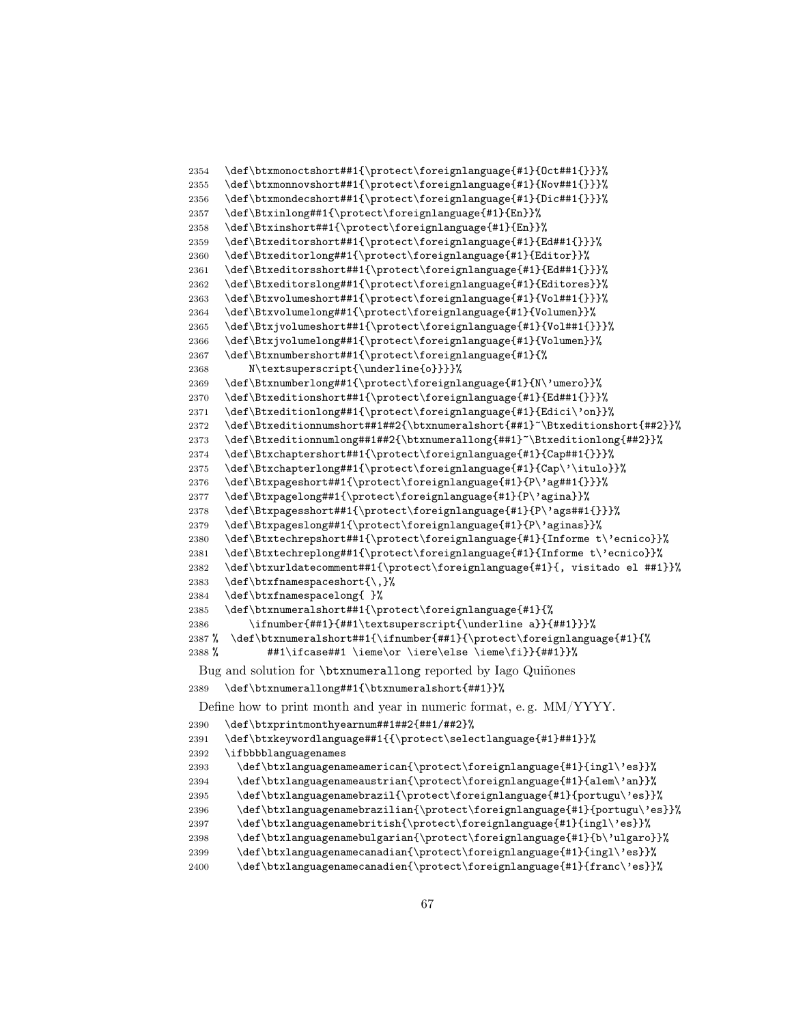```
2354 \def\btxmonoctshort##1{\protect\foreignlanguage{#1}{Oct##1{}}}%
2355 \def\btxmonnovshort##1{\protect\foreignlanguage{#1}{Nov##1{}}}%
2356 \def\btxmondecshort##1{\protect\foreignlanguage{#1}{Dic##1{}}}%
2357 \def\Btxinlong##1{\protect\foreignlanguage{#1}{En}}%
2358 \def\Btxinshort##1{\protect\foreignlanguage{#1}{En}}%
2359 \def\Btxeditorshort##1{\protect\foreignlanguage{#1}{Ed##1{}}}%
2360 \def\Btxeditorlong##1{\protect\foreignlanguage{#1}{Editor}}%
2361 \def\Btxeditorsshort##1{\protect\foreignlanguage{#1}{Ed##1{}}}%
2362 \def\Btxeditorslong##1{\protect\foreignlanguage{#1}{Editores}}%
2363 \def\Btxvolumeshort##1{\protect\foreignlanguage{#1}{Vol##1{}}}%
2364 \def\Btxvolumelong##1{\protect\foreignlanguage{#1}{Volumen}}%
2365 \def\Btxjvolumeshort##1{\protect\foreignlanguage{#1}{Vol##1{}}}%
2366 \def\Btxjvolumelong##1{\protect\foreignlanguage{#1}{Volumen}}%
2367 \def\Btxnumbershort##1{\protect\foreignlanguage{#1}{%
2368 N\textsuperscript{\underline{o}}}}%
2369 \def\Btxnumberlong##1{\protect\foreignlanguage{#1}{N\'umero}}%
2370 \def\Btxeditionshort##1{\protect\foreignlanguage{#1}{Ed##1{}}}%
2371 \def\Btxeditionlong##1{\protect\foreignlanguage{#1}{Edici\'on}}%
2372 \def\Btxeditionnumshort##1##2{\btxnumeralshort{##1}~\Btxeditionshort{##2}}%
2373 \def\Btxeditionnumlong##1##2{\btxnumerallong{##1}~\Btxeditionlong{##2}}%
2374 \def\Btxchaptershort##1{\protect\foreignlanguage{#1}{Cap##1{}}}%
2375 \def\Btxchapterlong##1{\protect\foreignlanguage{#1}{Cap\'\itulo}}%
2376 \def\Btxpageshort##1{\protect\foreignlanguage{#1}{P\'ag##1{}}}%
2377 \def\Btxpagelong##1{\protect\foreignlanguage{#1}{P\'agina}}%
2378 \def\Btxpagesshort##1{\protect\foreignlanguage{#1}{P\'ags##1{}}}%
2379 \def\Btxpageslong##1{\protect\foreignlanguage{#1}{P\'aginas}}%
2380 \def\Btxtechrepshort##1{\protect\foreignlanguage{#1}{Informe t\'ecnico}}%
2381 \def\Btxtechreplong##1{\protect\foreignlanguage{#1}{Informe t\'ecnico}}%
2382 \def\btxurldatecomment##1{\protect\foreignlanguage{#1}{, visitado el ##1}}%
2383 \def\btxfnamespaceshort{\,}%
2384 \def\btxfnamespacelong{ }%
2385 \def\btxnumeralshort##1{\protect\foreignlanguage{#1}{%
2386 \ifnumber{##1}{##1\textsuperscript{\underline a}}{##1}}}%
2387 % \def\btxnumeralshort##1{\ifnumber{##1}{\protect\foreignlanguage{#1}{%
2388 % \#41\ifccase\#41 \item\or \ier\else\fi\; \ifccos\; \ifccos\; \ifccos\; \ifccos\; \ifccos\; \ifccos\; \ifccos\; \ifccos\; \ifccos\; \ifccos\; \ifccos\; \ifccos\; \ifccos\; \ifccos\; \ifccos\; \ifccos\; \ifccos\; \ifccos\; \ifccos\; \ifccos\; \ifccos\; \ifccos\; \ifccos\; \ifccos\; \ifccos\; \ifccos\; \ifccos\; \ifccos\; \ifccos\; \ifccos\; \ifccos\; \ifccBug and solution for \btxnumerallong reported by Iago Quiñones
2389 \def\btxnumerallong##1{\btxnumeralshort{##1}}%
 Define how to print month and year in numeric format, e. g. MM/YYYY.
2390 \def\btxprintmonthyearnum##1##2{##1/##2}%
2391 \def\btxkeywordlanguage##1{{\protect\selectlanguage{#1}##1}}%
2392 \ifbbbblanguagenames
```

```
2393 \def\btxlanguagenameamerican{\protect\foreignlanguage{#1}{ingl\'es}}%
2394 \def\btxlanguagenameaustrian{\protect\foreignlanguage{#1}{alem\'an}}%
2395 \def\btxlanguagenamebrazil{\protect\foreignlanguage{#1}{portugu\'es}}%
2396 \def\btxlanguagenamebrazilian{\protect\foreignlanguage{#1}{portugu\'es}}%
2397 \def\btxlanguagenamebritish{\protect\foreignlanguage{#1}{ingl\'es}}%
2398 \def\btxlanguagenamebulgarian{\protect\foreignlanguage{#1}{b\'ulgaro}}%
2399 \def\btxlanguagenamecanadian{\protect\foreignlanguage{#1}{ingl\'es}}%
2400 \def\btxlanguagenamecanadien{\protect\foreignlanguage{#1}{franc\'es}}%
```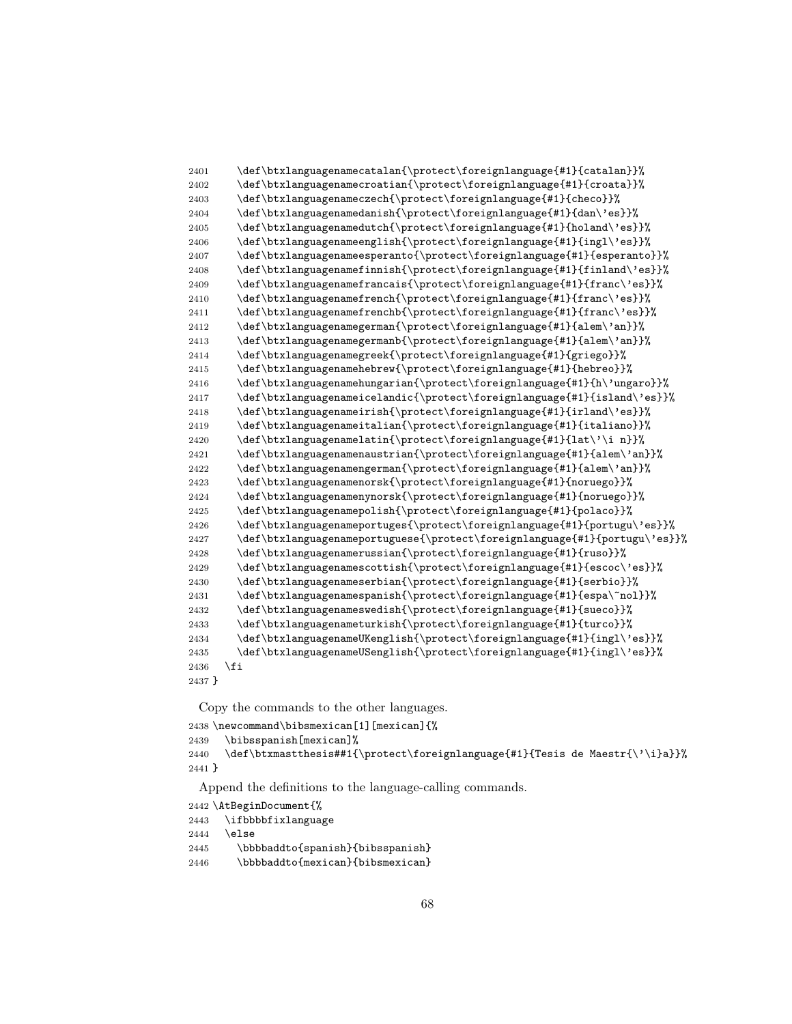```
2401 \def\btxlanguagenamecatalan{\protect\foreignlanguage{#1}{catalan}}%
2402 \def\btxlanguagenamecroatian{\protect\foreignlanguage{#1}{croata}}%
2403 \def\btxlanguagenameczech{\protect\foreignlanguage{#1}{checo}}%
2404 \def\btxlanguagenamedanish{\protect\foreignlanguage{#1}{dan\'es}}%
2405 \def\btxlanguagenamedutch{\protect\foreignlanguage{#1}{holand\'es}}%
2406 \def\btxlanguagenameenglish{\protect\foreignlanguage{#1}{ingl\'es}}%
2407 \def\btxlanguagenameesperanto{\protect\foreignlanguage{#1}{esperanto}}%
2408 \def\btxlanguagenamefinnish{\protect\foreignlanguage{#1}{finland\'es}}%
2409 \def\btxlanguagenamefrancais{\protect\foreignlanguage{#1}{franc\'es}}%
2410 \def\btxlanguagenamefrench{\protect\foreignlanguage{#1}{franc\'es}}%
2411 \def\btxlanguagenamefrenchb{\protect\foreignlanguage{#1}{franc\'es}}%
2412 \def\btxlanguagenamegerman{\protect\foreignlanguage{#1}{alem\'an}}%
2413 \def\btxlanguagenamegermanb{\protect\foreignlanguage{#1}{alem\'an}}%
2414 \def\btxlanguagenamegreek{\protect\foreignlanguage{#1}{griego}}%
2415 \def\btxlanguagenamehebrew{\protect\foreignlanguage{#1}{hebreo}}%
2416 \def\btxlanguagenamehungarian{\protect\foreignlanguage{#1}{h\'ungaro}}%<br>2417 \def\btxlanguagenameicelandic{\protect\foreignlanguage{#1}{island\'es}}
        \def\btxlanguagenameicelandic{\protect\foreignlanguage{#1}{island\'es}}%
2418 \def\btxlanguagenameirish{\protect\foreignlanguage{#1}{irland\'es}}%
2419 \def\btxlanguagenameitalian{\protect\foreignlanguage{#1}{italiano}}%
2420 \def\btxlanguagenamelatin{\protect\foreignlanguage{#1}{lat\'\i n}}%
2421 \def\btxlanguagenamenaustrian{\protect\foreignlanguage{#1}{alem\'an}}%
2422 \def\btxlanguagenamengerman{\protect\foreignlanguage{#1}{alem\'an}}%
2423 \def\btxlanguagenamenorsk{\protect\foreignlanguage{#1}{noruego}}%
2424 \def\btxlanguagenamenynorsk{\protect\foreignlanguage{#1}{noruego}}%
2425 \def\btxlanguagenamepolish{\protect\foreignlanguage{#1}{polaco}}%
2426 \def\btxlanguagenameportuges{\protect\foreignlanguage{#1}{portugu\'es}}%
2427 \def\btxlanguagenameportuguese{\protect\foreignlanguage{#1}{portugu\'es}}%
2428 \def\btxlanguagenamerussian{\protect\foreignlanguage{#1}{ruso}}%
2429 \def\btxlanguagenamescottish{\protect\foreignlanguage{#1}{escoc\'es}}%
2430 \def\btxlanguagenameserbian{\protect\foreignlanguage{#1}{serbio}}%
2431 \def\btxlanguagenamespanish{\protect\foreignlanguage{#1}{espa\~nol}}%
2432 \def\btxlanguagenameswedish{\protect\foreignlanguage{#1}{sueco}}%
2433 \def\btxlanguagenameturkish{\protect\foreignlanguage{#1}{turco}}%
2434 \def\btxlanguagenameUKenglish{\protect\foreignlanguage{#1}{ingl\'es}}%
2435 \def\btxlanguagenameUSenglish{\protect\foreignlanguage{#1}{ingl\'es}}%
2436 \fi
2437 }
```

```
2438 \newcommand\bibsmexican[1][mexican]{%
2439 \bibsspanish[mexican]%
2440 \def\btxmastthesis##1{\protect\foreignlanguage{#1}{Tesis de Maestr{\'\i}a}}%
2441 }
```
Append the definitions to the language-calling commands.

```
2442 \AtBeginDocument{%
```

```
2443 \ifbbbbfixlanguage
```
 $2444$  \else

```
2445 \bbbbaddto{spanish}{bibsspanish}
```

```
2446 \bbbbaddto{mexican}{bibsmexican}
```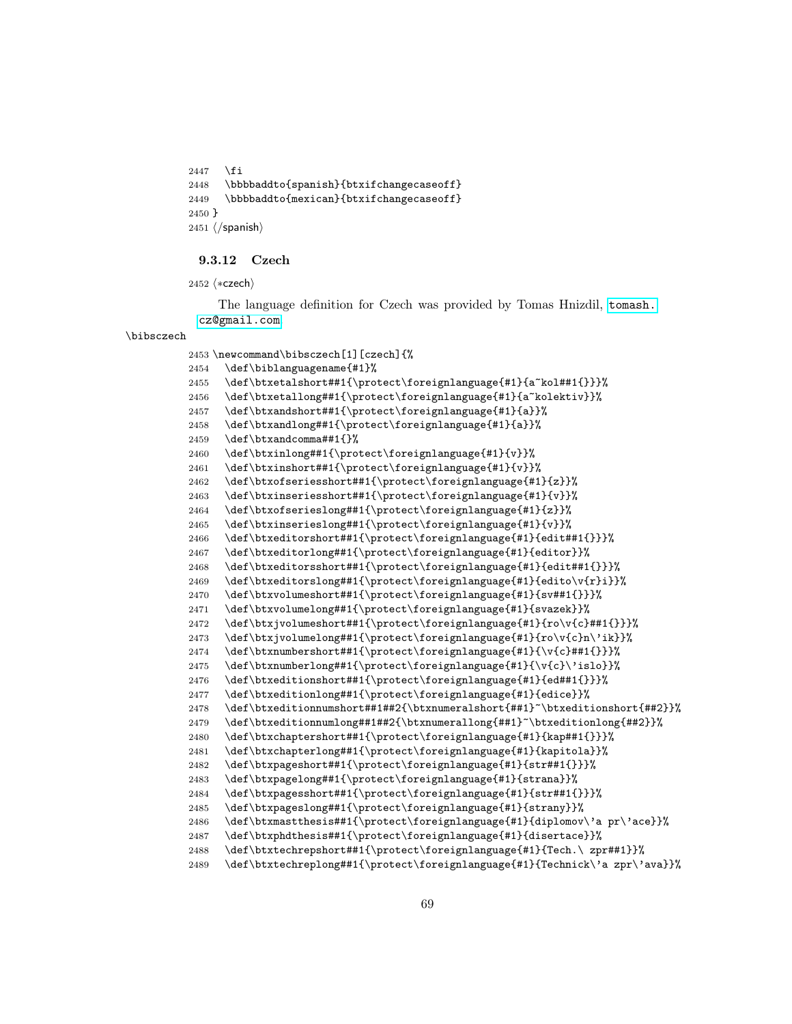```
2447 \fi
2448 \bbbbaddto{spanish}{btxifchangecaseoff}
2449 \bbbbaddto{mexican}{btxifchangecaseoff}
2450 }
2451 \langle/spanish\rangle
```
#### 9.3.12 Czech

```
2452 \langle *czech \rangle
```
The language definition for Czech was provided by Tomas Hnizdil, [tomash.](tomash.cz@gmail.com) [cz@gmail.com](tomash.cz@gmail.com).

#### \bibsczech

\newcommand\bibsczech[1][czech]{%

```
2454 \def\biblanguagename{#1}%
2455 \def\btxetalshort##1{\protect\foreignlanguage{#1}{a~kol##1{}}}%
2456 \def\btxetallong##1{\protect\foreignlanguage{#1}{a~kolektiv}}%
2457 \def\btxandshort##1{\protect\foreignlanguage{#1}{a}}%
2458 \def\btxandlong##1{\protect\foreignlanguage{#1}{a}}%
2459 \def\btxandcomma##1{}%
2460 \def\btxinlong##1{\protect\foreignlanguage{#1}{v}}%
2461 \def\btxinshort##1{\protect\foreignlanguage{#1}{v}}%
2462 \def\btxofseriesshort##1{\protect\foreignlanguage{#1}{z}}%
2463 \def\btxinseriesshort##1{\protect\foreignlanguage{#1}{v}}%
2464 \def\btxofserieslong##1{\protect\foreignlanguage{#1}{z}}%
2465 \def\btxinserieslong##1{\protect\foreignlanguage{#1}{v}}%
2466 \def\btxeditorshort##1{\protect\foreignlanguage{#1}{edit##1{}}}%
2467 \def\btxeditorlong##1{\protect\foreignlanguage{#1}{editor}}%
2468 \def\btxeditorsshort##1{\protect\foreignlanguage{#1}{edit##1{}}}%
2469 \def\btxeditorslong##1{\protect\foreignlanguage{#1}{edito\v{r}i}}%
2470 \def\btxvolumeshort##1{\protect\foreignlanguage{#1}{sv##1{}}}%
2471 \def\btxvolumelong##1{\protect\foreignlanguage{#1}{svazek}}%
2472 \def\btxjvolumeshort##1{\protect\foreignlanguage{#1}{ro\v{c}##1{}}}%
2473 \def\btxjvolumelong##1{\protect\foreignlanguage{#1}{ro\v{c}n\'ik}}%
2474 \def\btxnumbershort##1{\protect\foreignlanguage{#1}{\v{c}##1{}}}%
2475 \def\btxnumberlong##1{\protect\foreignlanguage{#1}{\v{c}\'islo}}%
2476 \def\btxeditionshort##1{\protect\foreignlanguage{#1}{ed##1{}}}%
2477 \def\btxeditionlong##1{\protect\foreignlanguage{#1}{edice}}%
2478 \def\btxeditionnumshort##1##2{\btxnumeralshort{##1}~\btxeditionshort{##2}}%
2479 \def\btxeditionnumlong##1##2{\btxnumerallong{##1}~\btxeditionlong{##2}}%
2480 \def\btxchaptershort##1{\protect\foreignlanguage{#1}{kap##1{}}}%
2481 \def\btxchapterlong##1{\protect\foreignlanguage{#1}{kapitola}}%
2482 \def\btxpageshort##1{\protect\foreignlanguage{#1}{str##1{}}}%
2483 \def\btxpagelong##1{\protect\foreignlanguage{#1}{strana}}%
2484 \def\btxpagesshort##1{\protect\foreignlanguage{#1}{str##1{}}}%
2485 \def\btxpageslong##1{\protect\foreignlanguage{#1}{strany}}%
2486 \def\btxmastthesis##1{\protect\foreignlanguage{#1}{diplomov\'a pr\'ace}}%
2487 \def\btxphdthesis##1{\protect\foreignlanguage{#1}{disertace}}%
2488 \def\btxtechrepshort##1{\protect\foreignlanguage{#1}{Tech.\ zpr##1}}%
2489 \def\btxtechreplong##1{\protect\foreignlanguage{#1}{Technick\'a zpr\'ava}}%
```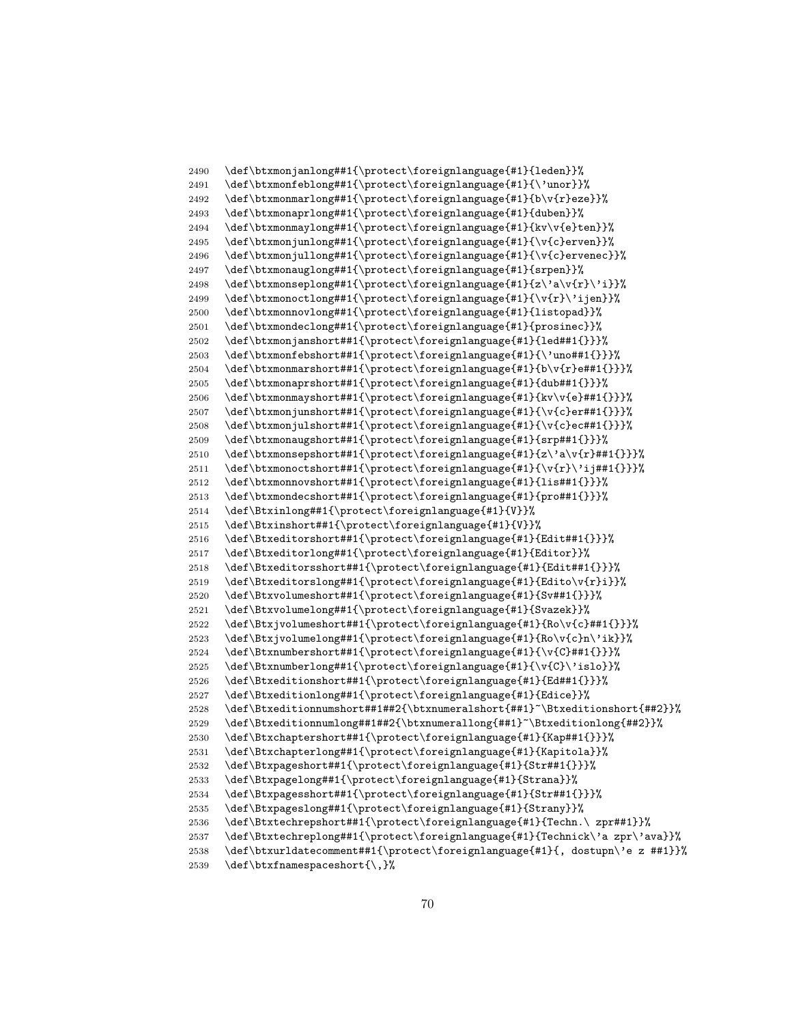```
2490 \def\btxmonjanlong##1{\protect\foreignlanguage{#1}{leden}}%
2491 \def\btxmonfeblong##1{\protect\foreignlanguage{#1}{\'unor}}%
2492 \def\btxmonmarlong##1{\protect\foreignlanguage{#1}{b\v{r}eze}}%
2493 \def\btxmonaprlong##1{\protect\foreignlanguage{#1}{duben}}%
2494 \def\btxmonmaylong##1{\protect\foreignlanguage{#1}{kv\v{e}ten}}%
2495 \def\btxmonjunlong##1{\protect\foreignlanguage{#1}{\v{c}erven}}%
2496 \def\btxmonjullong##1{\protect\foreignlanguage{#1}{\v{c}ervenec}}%
2497 \def\btxmonauglong##1{\protect\foreignlanguage{#1}{srpen}}%
2498 \def\btxmonseplong##1{\protect\foreignlanguage{#1}{z\'a\v{r}\'i}}%
2499 \def\btxmonoctlong##1{\protect\foreignlanguage{#1}{\v{r}\'ijen}}%
2500 \def\btxmonnovlong##1{\protect\foreignlanguage{#1}{listopad}}%
2501 \def\btxmondeclong##1{\protect\foreignlanguage{#1}{prosinec}}%
2502 \def\btxmonjanshort##1{\protect\foreignlanguage{#1}{led##1{}}}%
2503 \def\btxmonfebshort##1{\protect\foreignlanguage{#1}{\'uno##1{}}}%
2504 \def\btxmonmarshort##1{\protect\foreignlanguage{#1}{b\v{r}e##1{}}}%
2505 \def\btxmonaprshort##1{\protect\foreignlanguage{#1}{dub##1{}}}%<br>2506 \def\btxmonmayshort##1{\protect\foreignlanguage{#1}{ky\y{e}##1{
      \def\btxmonmayshort##1{\protect\foreignlanguage{#1}{kv\v{e}##1{}}}%
2507 \def\btxmonjunshort##1{\protect\foreignlanguage{#1}{\v{c}er##1{}}}%
2508 \def\btxmonjulshort##1{\protect\foreignlanguage{#1}{\v{c}ec##1{}}}%
2509 \def\btxmonaugshort##1{\protect\foreignlanguage{#1}{srp##1{}}}%
2510 \def\btxmonsepshort##1{\protect\foreignlanguage{#1}{z\'a\v{r}##1{}}}%
2511 \def\btxmonoctshort##1{\protect\foreignlanguage{#1}{\v{r}\'ij##1{}}}%
2512 \def\btxmonnovshort##1{\protect\foreignlanguage{#1}{lis##1{}}}%
2513 \def\btxmondecshort##1{\protect\foreignlanguage{#1}{pro##1{}}}%
2514 \def\Btxinlong##1{\protect\foreignlanguage{#1}{V}}%
2515 \def\Btxinshort##1{\protect\foreignlanguage{#1}{V}}%
2516 \def\Btxeditorshort##1{\protect\foreignlanguage{#1}{Edit##1{}}}%
2517 \def\Btxeditorlong##1{\protect\foreignlanguage{#1}{Editor}}%
2518 \def\Btxeditorsshort##1{\protect\foreignlanguage{#1}{Edit##1{}}}%
2519 \def\Btxeditorslong##1{\protect\foreignlanguage{#1}{Edito\v{r}i}}%
2520 \def\Btxvolumeshort##1{\protect\foreignlanguage{#1}{Sv##1{}}}%
2521 \def\Btxvolumelong##1{\protect\foreignlanguage{#1}{Svazek}}%
2522 \def\Btxjvolumeshort##1{\protect\foreignlanguage{#1}{Ro\v{c}##1{}}}%
2523 \def\Btxjvolumelong##1{\protect\foreignlanguage{#1}{Ro\v{c}n\'ik}}%
2524 \def\Btxnumbershort##1{\protect\foreignlanguage{#1}{\v{C}##1{}}}%
2525 \def\Btxnumberlong##1{\protect\foreignlanguage{#1}{\v{C}\'islo}}%
2526 \def\Btxeditionshort##1{\protect\foreignlanguage{#1}{Ed##1{}}}%
2527 \def\Btxeditionlong##1{\protect\foreignlanguage{#1}{Edice}}%
2528 \def\Btxeditionnumshort##1##2{\btxnumeralshort{##1}~\Btxeditionshort{##2}}%
2529 \def\Btxeditionnumlong##1##2{\btxnumerallong{##1}~\Btxeditionlong{##2}}%
2530 \def\Btxchaptershort##1{\protect\foreignlanguage{#1}{Kap##1{}}}%
2531 \def\Btxchapterlong##1{\protect\foreignlanguage{#1}{Kapitola}}%
2532 \def\Btxpageshort##1{\protect\foreignlanguage{#1}{Str##1{}}}%
2533 \def\Btxpagelong##1{\protect\foreignlanguage{#1}{Strana}}%
2534 \def\Btxpagesshort##1{\protect\foreignlanguage{#1}{Str##1{}}}%
2535 \def\Btxpageslong##1{\protect\foreignlanguage{#1}{Strany}}%
2536 \def\Btxtechrepshort##1{\protect\foreignlanguage{#1}{Techn.\ zpr##1}}%
2537 \def\Btxtechreplong##1{\protect\foreignlanguage{#1}{Technick\'a zpr\'ava}}%
2538 \def\btxurldatecomment##1{\protect\foreignlanguage{#1}{, dostupn\'e z ##1}}%
2539 \def\btxfnamespaceshort{\,}%
```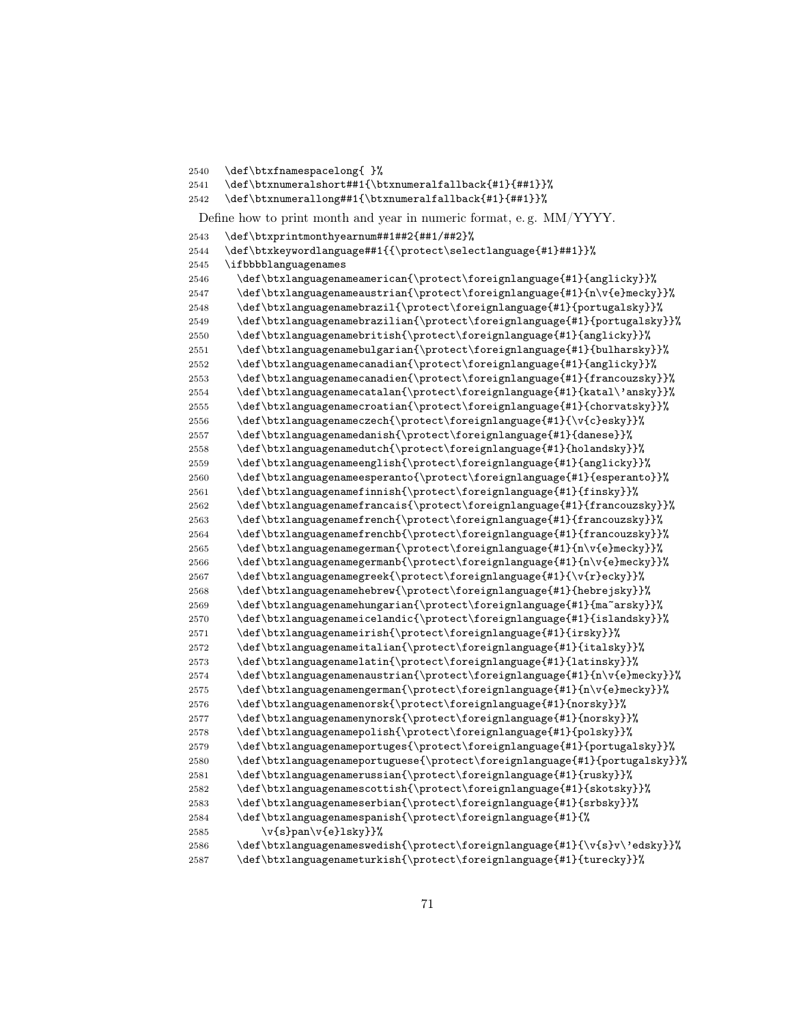```
2540 \def\btxfnamespacelong{ }%
```

```
2541 \def\btxnumeralshort##1{\btxnumeralfallback{#1}{##1}}%
2542 \def\btxnumerallong##1{\btxnumeralfallback{#1}{##1}}%
```
Define how to print month and year in numeric format, e. g. MM/YYYY.

```
2543 \def\btxprintmonthyearnum##1##2{##1/##2}%
```
\def\btxkeywordlanguage##1{{\protect\selectlanguage{#1}##1}}%

```
2545 \ifbbbblanguagenames
2546 \def\btxlanguagenameamerican{\protect\foreignlanguage{#1}{anglicky}}%
2547 \def\btxlanguagenameaustrian{\protect\foreignlanguage{#1}{n\v{e}mecky}}%
2548 \def\btxlanguagenamebrazil{\protect\foreignlanguage{#1}{portugalsky}}%
2549 \def\btxlanguagenamebrazilian{\protect\foreignlanguage{#1}{portugalsky}}%
2550 \def\btxlanguagenamebritish{\protect\foreignlanguage{#1}{anglicky}}%
2551 \def\btxlanguagenamebulgarian{\protect\foreignlanguage{#1}{bulharsky}}%
2552 \def\btxlanguagenamecanadian{\protect\foreignlanguage{#1}{anglicky}}%
2553 \def\btxlanguagenamecanadien{\protect\foreignlanguage{#1}{francouzsky}}%
2554 \def\btxlanguagenamecatalan{\protect\foreignlanguage{#1}{katal\'ansky}}%
2555 \def\btxlanguagenamecroatian{\protect\foreignlanguage{#1}{chorvatsky}}%
2556 \def\btxlanguagenameczech{\protect\foreignlanguage{#1}{\v{c}esky}}%
2557 \def\btxlanguagenamedanish{\protect\foreignlanguage{#1}{danese}}%
2558 \def\btxlanguagenamedutch{\protect\foreignlanguage{#1}{holandsky}}%
2559 \def\btxlanguagenameenglish{\protect\foreignlanguage{#1}{anglicky}}%
2560 \def\btxlanguagenameesperanto{\protect\foreignlanguage{#1}{esperanto}}%
2561 \def\btxlanguagenamefinnish{\protect\foreignlanguage{#1}{finsky}}%
2562 \def\btxlanguagenamefrancais{\protect\foreignlanguage{#1}{francouzsky}}%
2563 \def\btxlanguagenamefrench{\protect\foreignlanguage{#1}{francouzsky}}%
2564 \def\btxlanguagenamefrenchb{\protect\foreignlanguage{#1}{francouzsky}}%
2565 \def\btxlanguagenamegerman{\protect\foreignlanguage{#1}{n\v{e}mecky}}%
2566 \def\btxlanguagenamegermanb{\protect\foreignlanguage{#1}{n\v{e}mecky}}%
2567 \def\btxlanguagenamegreek{\protect\foreignlanguage{#1}{\v{r}ecky}}%
2568 \def\btxlanguagenamehebrew{\protect\foreignlanguage{#1}{hebrejsky}}%
2569 \def\btxlanguagenamehungarian{\protect\foreignlanguage{#1}{ma~arsky}}%
2570 \def\btxlanguagenameicelandic{\protect\foreignlanguage{#1}{islandsky}}%
2571 \def\btxlanguagenameirish{\protect\foreignlanguage{#1}{irsky}}%
2572 \def\btxlanguagenameitalian{\protect\foreignlanguage{#1}{italsky}}%
2573 \def\btxlanguagenamelatin{\protect\foreignlanguage{#1}{latinsky}}%
2574 \def\btxlanguagenamenaustrian{\protect\foreignlanguage{#1}{n\v{e}mecky}}%
2575 \def\btxlanguagenamengerman{\protect\foreignlanguage{#1}{n\v{e}mecky}}%
2576 \def\btxlanguagenamenorsk{\protect\foreignlanguage{#1}{norsky}}%
2577 \def\btxlanguagenamenynorsk{\protect\foreignlanguage{#1}{norsky}}%
2578 \def\btxlanguagenamepolish{\protect\foreignlanguage{#1}{polsky}}%
2579 \def\btxlanguagenameportuges{\protect\foreignlanguage{#1}{portugalsky}}%
2580 \def\btxlanguagenameportuguese{\protect\foreignlanguage{#1}{portugalsky}}%
2581 \def\btxlanguagenamerussian{\protect\foreignlanguage{#1}{rusky}}%
```

```
2582 \def\btxlanguagenamescottish{\protect\foreignlanguage{#1}{skotsky}}%
2583 \def\btxlanguagenameserbian{\protect\foreignlanguage{#1}{srbsky}}%
```
\def\btxlanguagenamespanish{\protect\foreignlanguage{#1}{%

```
2585 \quad \forall v \{s\}pan\v{e}lsky}}%
2586 \def\btxlanguagenameswedish{\protect\foreignlanguage{#1}{\v{s}v\'edsky}}%
2587 \def\btxlanguagenameturkish{\protect\foreignlanguage{#1}{turecky}}%
```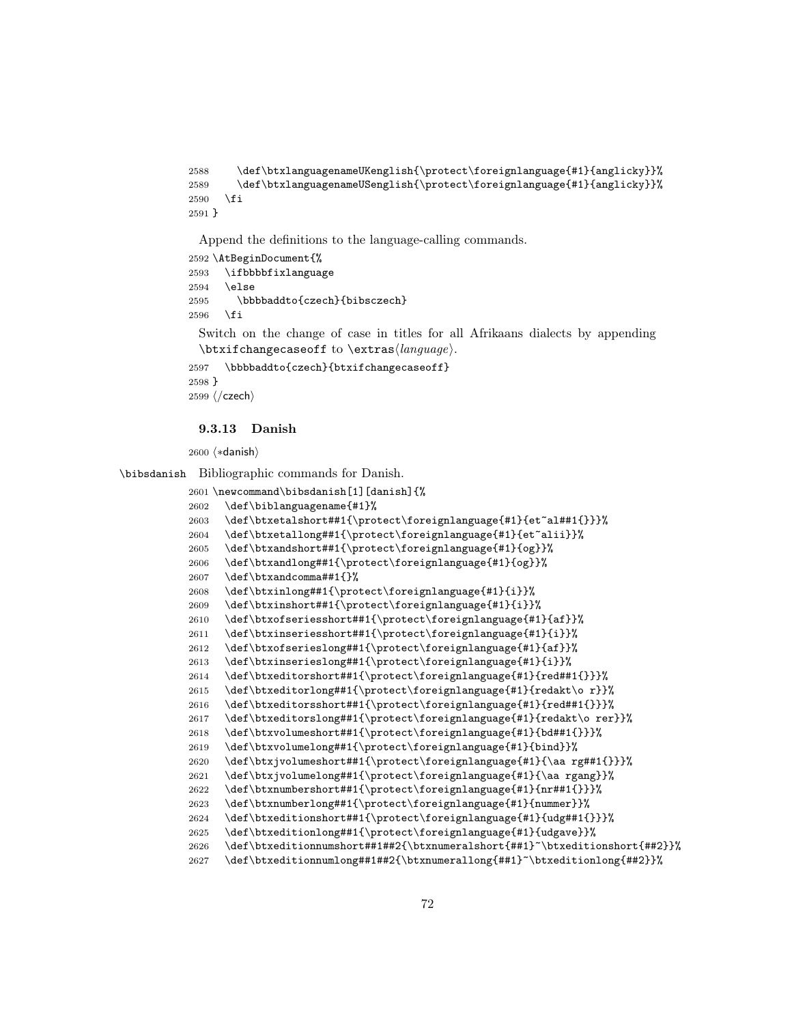```
2588 \def\btxlanguagenameUKenglish{\protect\foreignlanguage{#1}{anglicky}}%
2589 \def\btxlanguagenameUSenglish{\protect\foreignlanguage{#1}{anglicky}}%
2590 \fi
2591 }
```

```
2592 \AtBeginDocument{%
2593 \ifbbbbfixlanguage
2594 \else
2595 \bbbbaddto{czech}{bibsczech}
2596 \fi
```
Switch on the change of case in titles for all Afrikaans dialects by appending  $\text{changecase}$  to  $\text{change}$ .

```
2597 \bbbbaddto{czech}{btxifchangecaseoff}
2598 }
2599 \; \langle/czech\rangle
```
#### 9.3.13 Danish

2600 (\*danish)

\bibsdanish Bibliographic commands for Danish.

```
2601 \newcommand\bibsdanish[1][danish]{%
2602 \def\biblanguagename{#1}%
2603 \def\btxetalshort##1{\protect\foreignlanguage{#1}{et~al##1{}}}%
2604 \def\btxetallong##1{\protect\foreignlanguage{#1}{et~alii}}%
2605 \def\btxandshort##1{\protect\foreignlanguage{#1}{og}}%
2606 \def\btxandlong##1{\protect\foreignlanguage{#1}{og}}%
2607 \def\btxandcomma##1{}%
2608 \def\btxinlong##1{\protect\foreignlanguage{#1}{i}}%
2609 \def\btxinshort##1{\protect\foreignlanguage{#1}{i}}%
2610 \def\btxofseriesshort##1{\protect\foreignlanguage{#1}{af}}%
2611 \def\btxinseriesshort##1{\protect\foreignlanguage{#1}{i}}%
2612 \def\btxofserieslong##1{\protect\foreignlanguage{#1}{af}}%
2613 \def\btxinserieslong##1{\protect\foreignlanguage{#1}{i}}%
2614 \def\btxeditorshort##1{\protect\foreignlanguage{#1}{red##1{}}}%
2615 \def\btxeditorlong##1{\protect\foreignlanguage{#1}{redakt\o r}}%
2616 \def\btxeditorsshort##1{\protect\foreignlanguage{#1}{red##1{}}}%
2617 \def\btxeditorslong##1{\protect\foreignlanguage{#1}{redakt\o rer}}%
2618 \def\btxvolumeshort##1{\protect\foreignlanguage{#1}{bd##1{}}}%
2619 \def\btxvolumelong##1{\protect\foreignlanguage{#1}{bind}}%
2620 \def\btxjvolumeshort##1{\protect\foreignlanguage{#1}{\aa rg##1{}}}%
2621 \def\btxjvolumelong##1{\protect\foreignlanguage{#1}{\aa rgang}}%
2622 \def\btxnumbershort##1{\protect\foreignlanguage{#1}{nr##1{}}}%
2623 \def\btxnumberlong##1{\protect\foreignlanguage{#1}{nummer}}%
2624 \def\btxeditionshort##1{\protect\foreignlanguage{#1}{udg##1{}}}%
2625 \def\btxeditionlong##1{\protect\foreignlanguage{#1}{udgave}}%
2626 \def\btxeditionnumshort##1##2{\btxnumeralshort{##1}~\btxeditionshort{##2}}%
2627 \def\btxeditionnumlong##1##2{\btxnumerallong{##1}~\btxeditionlong{##2}}%
```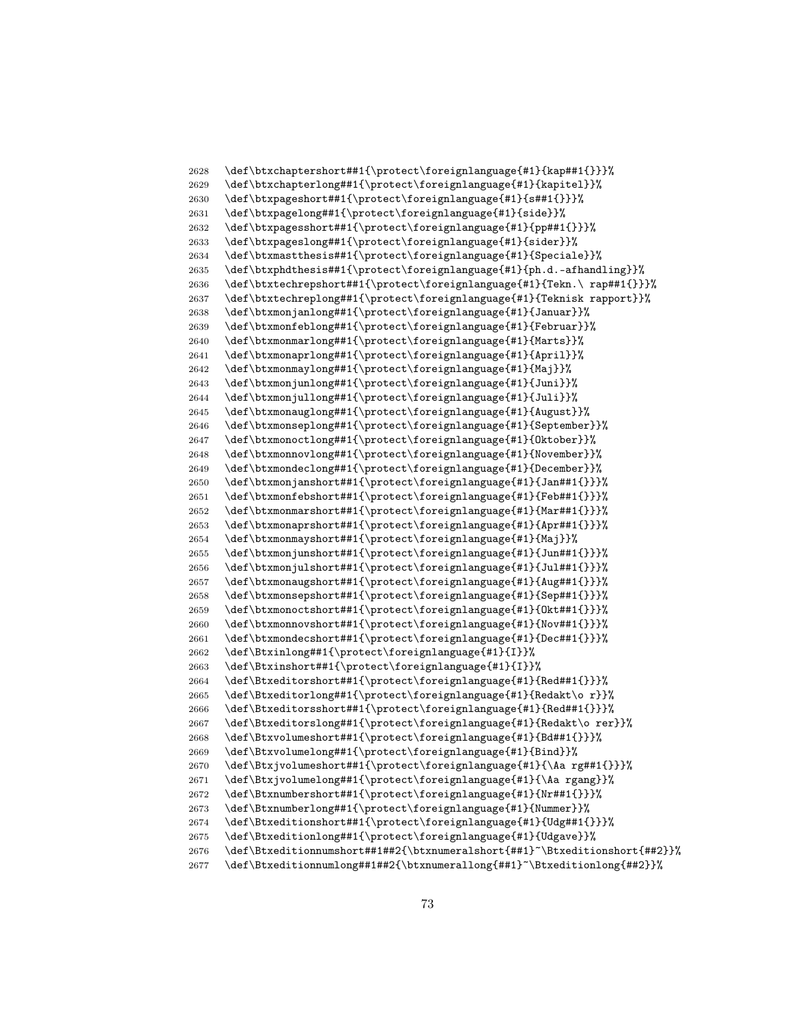```
2628 \def\btxchaptershort##1{\protect\foreignlanguage{#1}{kap##1{}}}%
2629 \def\btxchapterlong##1{\protect\foreignlanguage{#1}{kapitel}}%
2630 \def\btxpageshort##1{\protect\foreignlanguage{#1}{s##1{}}}%
2631 \def\btxpagelong##1{\protect\foreignlanguage{#1}{side}}%
2632 \def\btxpagesshort##1{\protect\foreignlanguage{#1}{pp##1{}}}%
2633 \def\btxpageslong##1{\protect\foreignlanguage{#1}{sider}}%
2634 \def\btxmastthesis##1{\protect\foreignlanguage{#1}{Speciale}}%
2635 \def\btxphdthesis##1{\protect\foreignlanguage{#1}{ph.d.-afhandling}}%
2636 \def\btxtechrepshort##1{\protect\foreignlanguage{#1}{Tekn.\ rap##1{}}}%
2637 \def\btxtechreplong##1{\protect\foreignlanguage{#1}{Teknisk rapport}}%
2638 \def\btxmonjanlong##1{\protect\foreignlanguage{#1}{Januar}}%
2639 \def\btxmonfeblong##1{\protect\foreignlanguage{#1}{Februar}}%
2640 \def\btxmonmarlong##1{\protect\foreignlanguage{#1}{Marts}}%
2641 \def\btxmonaprlong##1{\protect\foreignlanguage{#1}{April}}%
2642 \def\btxmonmaylong##1{\protect\foreignlanguage{#1}{Maj}}%
2643 \def\btxmonjunlong##1{\protect\foreignlanguage{#1}{Juni}}%<br>2644 \def\btxmonjullong##1{\protect\foreignlanguage{#1}{Juli}}%
      \def\btxmonjullong##1{\protect\foreignlanguage{#1}{Juli}}%
2645 \def\btxmonauglong##1{\protect\foreignlanguage{#1}{August}}%
2646 \def\btxmonseplong##1{\protect\foreignlanguage{#1}{September}}%
2647 \def\btxmonoctlong##1{\protect\foreignlanguage{#1}{Oktober}}%
2648 \def\btxmonnovlong##1{\protect\foreignlanguage{#1}{November}}%
2649 \def\btxmondeclong##1{\protect\foreignlanguage{#1}{December}}%
2650 \def\btxmonjanshort##1{\protect\foreignlanguage{#1}{Jan##1{}}}%
2651 \def\btxmonfebshort##1{\protect\foreignlanguage{#1}{Feb##1{}}}%
2652 \def\btxmonmarshort##1{\protect\foreignlanguage{#1}{Mar##1{}}}%
2653 \def\btxmonaprshort##1{\protect\foreignlanguage{#1}{Apr##1{}}}%
2654 \def\btxmonmayshort##1{\protect\foreignlanguage{#1}{Maj}}%
2655 \def\btxmonjunshort##1{\protect\foreignlanguage{#1}{Jun##1{}}}%
2656 \def\btxmonjulshort##1{\protect\foreignlanguage{#1}{Jul##1{}}}%
2657 \def\btxmonaugshort##1{\protect\foreignlanguage{#1}{Aug##1{}}}%
2658 \def\btxmonsepshort##1{\protect\foreignlanguage{#1}{Sep##1{}}}%
2659 \def\btxmonoctshort##1{\protect\foreignlanguage{#1}{Okt##1{}}}%
2660 \def\btxmonnovshort##1{\protect\foreignlanguage{#1}{Nov##1{}}}%
2661 \def\btxmondecshort##1{\protect\foreignlanguage{#1}{Dec##1{}}}%
2662 \def\Btxinlong##1{\protect\foreignlanguage{#1}{I}}%
2663 \def\Btxinshort##1{\protect\foreignlanguage{#1}{I}}%
2664 \def\Btxeditorshort##1{\protect\foreignlanguage{#1}{Red##1{}}}%
2665 \def\Btxeditorlong##1{\protect\foreignlanguage{#1}{Redakt\o r}}%
2666 \def\Btxeditorsshort##1{\protect\foreignlanguage{#1}{Red##1{}}}%
2667 \def\Btxeditorslong##1{\protect\foreignlanguage{#1}{Redakt\o rer}}%
2668 \def\Btxvolumeshort##1{\protect\foreignlanguage{#1}{Bd##1{}}}%
2669 \def\Btxvolumelong##1{\protect\foreignlanguage{#1}{Bind}}%
2670 \def\Btxjvolumeshort##1{\protect\foreignlanguage{#1}{\Aa rg##1{}}}%
2671 \def\Btxjvolumelong##1{\protect\foreignlanguage{#1}{\Aa rgang}}%
2672 \def\Btxnumbershort##1{\protect\foreignlanguage{#1}{Nr##1{}}}%
2673 \def\Btxnumberlong##1{\protect\foreignlanguage{#1}{Nummer}}%
2674 \def\Btxeditionshort##1{\protect\foreignlanguage{#1}{Udg##1{}}}%
2675 \def\Btxeditionlong##1{\protect\foreignlanguage{#1}{Udgave}}%
2676 \def\Btxeditionnumshort##1##2{\btxnumeralshort{##1}~\Btxeditionshort{##2}}%
2677 \def\Btxeditionnumlong##1##2{\btxnumerallong{##1}~\Btxeditionlong{##2}}%
```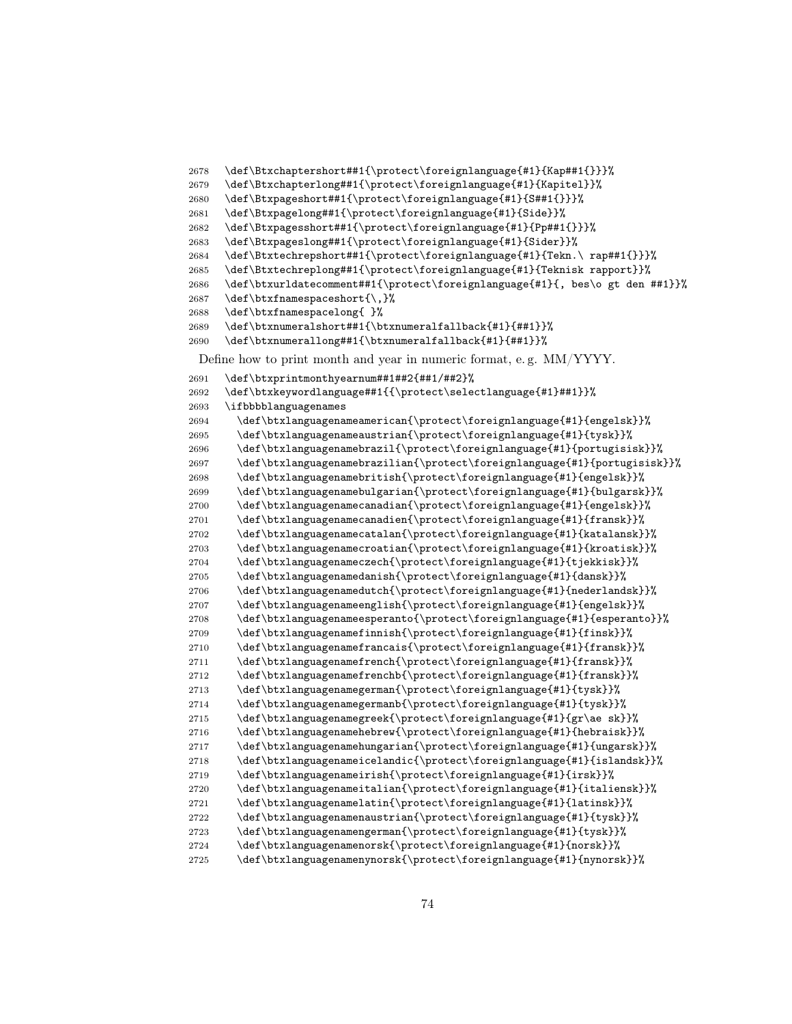```
2678 \def\Btxchaptershort##1{\protect\foreignlanguage{#1}{Kap##1{}}}%
2679 \def\Btxchapterlong##1{\protect\foreignlanguage{#1}{Kapitel}}%
2680 \def\Btxpageshort##1{\protect\foreignlanguage{#1}{S##1{}}}%
2681 \def\Btxpagelong##1{\protect\foreignlanguage{#1}{Side}}%
2682 \def\Btxpagesshort##1{\protect\foreignlanguage{#1}{Pp##1{}}}%
2683 \def\Btxpageslong##1{\protect\foreignlanguage{#1}{Sider}}%
2684 \def\Btxtechrepshort##1{\protect\foreignlanguage{#1}{Tekn.\ rap##1{}}}%
2685 \def\Btxtechreplong##1{\protect\foreignlanguage{#1}{Teknisk rapport}}%
2686 \def\btxurldatecomment##1{\protect\foreignlanguage{#1}{, bes\o gt den ##1}}%
2687 \def\btxfnamespaceshort{\,}%
2688 \def\btxfnamespacelong{ }%
2689 \def\btxnumeralshort##1{\btxnumeralfallback{#1}{##1}}%
2690 \def\btxnumerallong##1{\btxnumeralfallback{#1}{##1}}%
 Define how to print month and year in numeric format, e. g. MM/YYYY.
2691 \def\btxprintmonthyearnum##1##2{##1/##2}%
2692 \def\btxkeywordlanguage##1{{\protect\selectlanguage{#1}##1}}%
2693 \ifbbbblanguagenames
2694 \def\btxlanguagenameamerican{\protect\foreignlanguage{#1}{engelsk}}%
2695 \def\btxlanguagenameaustrian{\protect\foreignlanguage{#1}{tysk}}%
2696 \def\btxlanguagenamebrazil{\protect\foreignlanguage{#1}{portugisisk}}%
2697 \def\btxlanguagenamebrazilian{\protect\foreignlanguage{#1}{portugisisk}}%
2698 \def\btxlanguagenamebritish{\protect\foreignlanguage{#1}{engelsk}}%
2699 \def\btxlanguagenamebulgarian{\protect\foreignlanguage{#1}{bulgarsk}}%
2700 \def\btxlanguagenamecanadian{\protect\foreignlanguage{#1}{engelsk}}%
2701 \def\btxlanguagenamecanadien{\protect\foreignlanguage{#1}{fransk}}%
2702 \def\btxlanguagenamecatalan{\protect\foreignlanguage{#1}{katalansk}}%
2703 \def\btxlanguagenamecroatian{\protect\foreignlanguage{#1}{kroatisk}}%
2704 \def\btxlanguagenameczech{\protect\foreignlanguage{#1}{tjekkisk}}%
2705 \def\btxlanguagenamedanish{\protect\foreignlanguage{#1}{dansk}}%
2706 \def\btxlanguagenamedutch{\protect\foreignlanguage{#1}{nederlandsk}}%
2707 \def\btxlanguagenameenglish{\protect\foreignlanguage{#1}{engelsk}}%
2708 \def\btxlanguagenameesperanto{\protect\foreignlanguage{#1}{esperanto}}%
2709 \def\btxlanguagenamefinnish{\protect\foreignlanguage{#1}{finsk}}%
2710 \def\btxlanguagenamefrancais{\protect\foreignlanguage{#1}{fransk}}%
2711 \def\btxlanguagenamefrench{\protect\foreignlanguage{#1}{fransk}}%
2712 \def\btxlanguagenamefrenchb{\protect\foreignlanguage{#1}{fransk}}%
2713 \def\btxlanguagenamegerman{\protect\foreignlanguage{#1}{tysk}}%
2714 \qquad \quad \texttt{\v{t}'}2715 \def\btxlanguagenamegreek{\protect\foreignlanguage{#1}{gr\ae sk}}%
2716 \def\btxlanguagenamehebrew{\protect\foreignlanguage{#1}{hebraisk}}%
2717 \def\btxlanguagenamehungarian{\protect\foreignlanguage{#1}{ungarsk}}%
2718 \def\btxlanguagenameicelandic{\protect\foreignlanguage{#1}{islandsk}}%
2719 \def\btxlanguagenameirish{\protect\foreignlanguage{#1}{irsk}}%
2720 \def\btxlanguagenameitalian{\protect\foreignlanguage{#1}{italiensk}}%
2721 \def\btxlanguagenamelatin{\protect\foreignlanguage{#1}{latinsk}}%
2722 \def\btxlanguagenamenaustrian{\protect\foreignlanguage{#1}{tysk}}%
2723 \def\btxlanguagenamengerman{\protect\foreignlanguage{#1}{tysk}}%
2724 \def\btxlanguagenamenorsk{\protect\foreignlanguage{#1}{norsk}}%
2725 \def\btxlanguagenamenynorsk{\protect\foreignlanguage{#1}{nynorsk}}%
```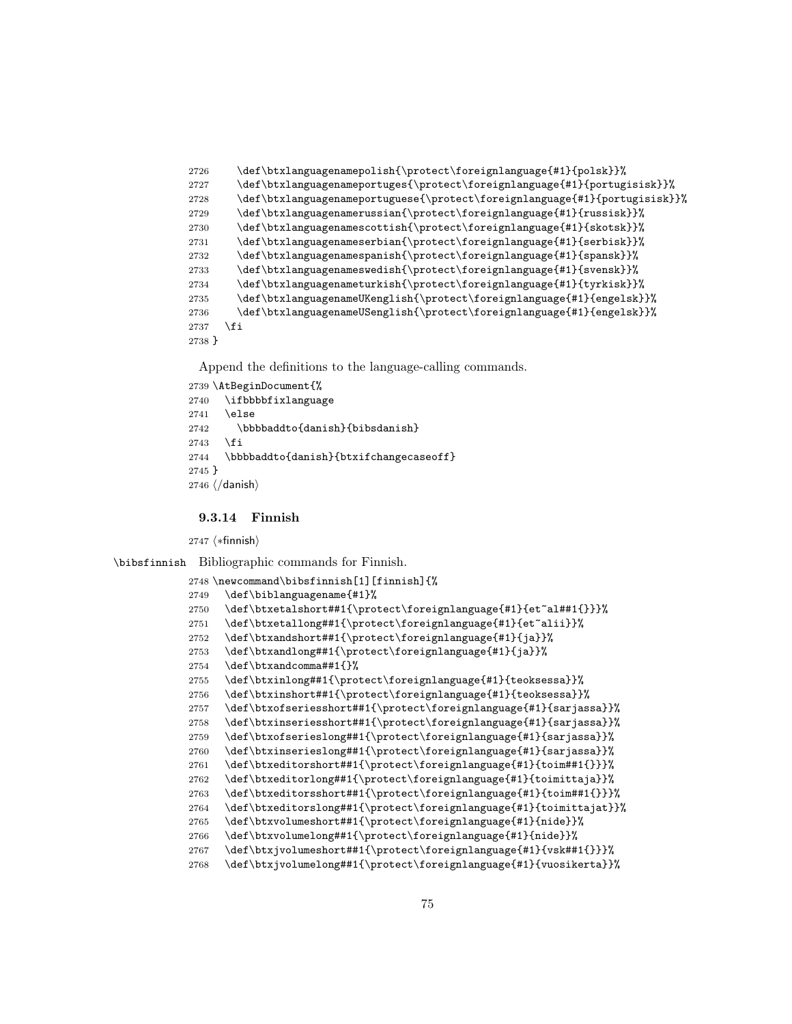```
2726 \def\btxlanguagenamepolish{\protect\foreignlanguage{#1}{polsk}}%
2727 \def\btxlanguagenameportuges{\protect\foreignlanguage{#1}{portugisisk}}%
2728 \def\btxlanguagenameportuguese{\protect\foreignlanguage{#1}{portugisisk}}%
2729 \def\btxlanguagenamerussian{\protect\foreignlanguage{#1}{russisk}}%
2730 \def\btxlanguagenamescottish{\protect\foreignlanguage{#1}{skotsk}}%
2731 \def\btxlanguagenameserbian{\protect\foreignlanguage{#1}{serbisk}}%
2732 \def\btxlanguagenamespanish{\protect\foreignlanguage{#1}{spansk}}%
2733 \def\btxlanguagenameswedish{\protect\foreignlanguage{#1}{svensk}}%
2734 \def\btxlanguagenameturkish{\protect\foreignlanguage{#1}{tyrkisk}}%
2735 \def\btxlanguagenameUKenglish{\protect\foreignlanguage{#1}{engelsk}}%
2736 \def\btxlanguagenameUSenglish{\protect\foreignlanguage{#1}{engelsk}}%
2737 \fi
2738 }
```

```
2739 \AtBeginDocument{%
2740 \ifbbbbfixlanguage
2741 \else
2742 \bbbbaddto{danish}{bibsdanish}
2743 \fi
2744 \bbbbaddto{danish}{btxifchangecaseoff}
2745 }
2746 \; \langle /danish\rangle
```
## 9.3.14 Finnish

 $\langle *finnish \rangle$ 

\bibsfinnish Bibliographic commands for Finnish.

```
2748 \newcommand\bibsfinnish[1][finnish]{%
2749 \def\biblanguagename{#1}%
2750 \def\btxetalshort##1{\protect\foreignlanguage{#1}{et~al##1{}}}%
2751 \def\btxetallong##1{\protect\foreignlanguage{#1}{et~alii}}%
2752 \def\btxandshort##1{\protect\foreignlanguage{#1}{ja}}%
2753 \def\btxandlong##1{\protect\foreignlanguage{#1}{ja}}%
2754 \def\btxandcomma##1{}%
2755 \def\btxinlong##1{\protect\foreignlanguage{#1}{teoksessa}}%
2756 \def\btxinshort##1{\protect\foreignlanguage{#1}{teoksessa}}%
2757 \def\btxofseriesshort##1{\protect\foreignlanguage{#1}{sarjassa}}%
2758 \def\btxinseriesshort##1{\protect\foreignlanguage{#1}{sarjassa}}%
2759 \def\btxofserieslong##1{\protect\foreignlanguage{#1}{sarjassa}}%
2760 \def\btxinserieslong##1{\protect\foreignlanguage{#1}{sarjassa}}%
2761 \def\btxeditorshort##1{\protect\foreignlanguage{#1}{toim##1{}}}%
2762 \def\btxeditorlong##1{\protect\foreignlanguage{#1}{toimittaja}}%
2763 \def\btxeditorsshort##1{\protect\foreignlanguage{#1}{toim##1{}}}%
2764 \def\btxeditorslong##1{\protect\foreignlanguage{#1}{toimittajat}}%
2765 \def\btxvolumeshort##1{\protect\foreignlanguage{#1}{nide}}%
2766 \def\btxvolumelong##1{\protect\foreignlanguage{#1}{nide}}%
2767 \def\btxjvolumeshort##1{\protect\foreignlanguage{#1}{vsk##1{}}}%
2768 \def\btxjvolumelong##1{\protect\foreignlanguage{#1}{vuosikerta}}%
```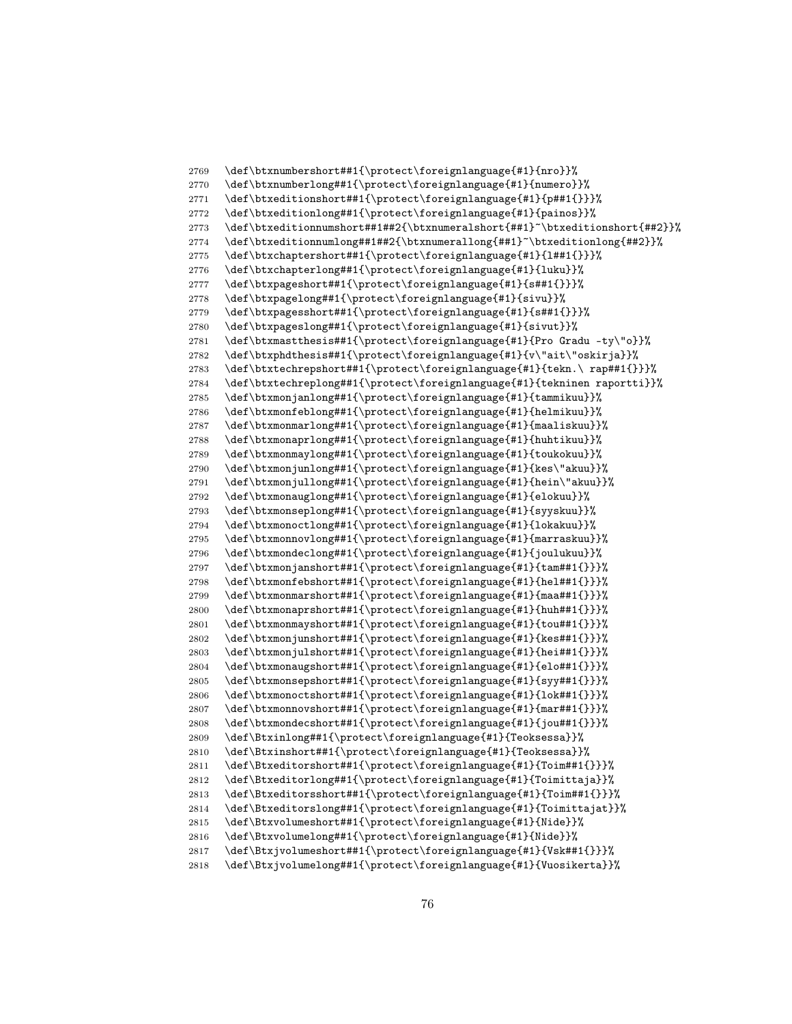```
2769 \def\btxnumbershort##1{\protect\foreignlanguage{#1}{nro}}%
2770 \def\btxnumberlong##1{\protect\foreignlanguage{#1}{numero}}%
2771 \def\btxeditionshort##1{\protect\foreignlanguage{#1}{p##1{}}}%
2772 \def\btxeditionlong##1{\protect\foreignlanguage{#1}{painos}}%
2773 \def\btxeditionnumshort##1##2{\btxnumeralshort{##1}~\btxeditionshort{##2}}%
2774 \def\btxeditionnumlong##1##2{\btxnumerallong{##1}~\btxeditionlong{##2}}%
2775 \def\btxchaptershort##1{\protect\foreignlanguage{#1}{l##1{}}}%
2776 \def\btxchapterlong##1{\protect\foreignlanguage{#1}{luku}}%
2777 \def\btxpageshort##1{\protect\foreignlanguage{#1}{s##1{}}}%
2778 \def\btxpagelong##1{\protect\foreignlanguage{#1}{sivu}}%
2779 \def\btxpagesshort##1{\protect\foreignlanguage{#1}{s##1{}}}%
2780 \def\btxpageslong##1{\protect\foreignlanguage{#1}{sivut}}%
2781 \def\btxmastthesis##1{\protect\foreignlanguage{#1}{Pro Gradu -ty\"o}}%
2782 \def\btxphdthesis##1{\protect\foreignlanguage{#1}{v\"ait\"oskirja}}%
2783 \def\btxtechrepshort##1{\protect\foreignlanguage{#1}{tekn.\ rap##1{}}}%
2784 \def\btxtechreplong##1{\protect\foreignlanguage{#1}{tekninen raportti}}%<br>2785 \def\btxmonjanlong##1{\protect\foreignlanguage{#1}{tammikuu}}%
      \def\btxmonjanlong##1{\protect\foreignlanguage{#1}{tammikuu}}%
2786 \def\btxmonfeblong##1{\protect\foreignlanguage{#1}{helmikuu}}%
2787 \def\btxmonmarlong##1{\protect\foreignlanguage{#1}{maaliskuu}}%
2788 \def\btxmonaprlong##1{\protect\foreignlanguage{#1}{huhtikuu}}%
2789 \def\btxmonmaylong##1{\protect\foreignlanguage{#1}{toukokuu}}%
2790 \def\btxmonjunlong##1{\protect\foreignlanguage{#1}{kes\"akuu}}%
2791 \def\btxmonjullong##1{\protect\foreignlanguage{#1}{hein\"akuu}}%
2792 \def\btxmonauglong##1{\protect\foreignlanguage{#1}{elokuu}}%
2793 \def\btxmonseplong##1{\protect\foreignlanguage{#1}{syyskuu}}%
2794 \def\btxmonoctlong##1{\protect\foreignlanguage{#1}{lokakuu}}%
2795 \def\btxmonnovlong##1{\protect\foreignlanguage{#1}{marraskuu}}%
2796 \def\btxmondeclong##1{\protect\foreignlanguage{#1}{joulukuu}}%
2797 \def\btxmonjanshort##1{\protect\foreignlanguage{#1}{tam##1{}}}%
2798 \def\btxmonfebshort##1{\protect\foreignlanguage{#1}{hel##1{}}}%
2799 \def\btxmonmarshort##1{\protect\foreignlanguage{#1}{maa##1{}}}%
2800 \def\btxmonaprshort##1{\protect\foreignlanguage{#1}{huh##1{}}}%
2801 \def\btxmonmayshort##1{\protect\foreignlanguage{#1}{tou##1{}}}%
2802 \def\btxmonjunshort##1{\protect\foreignlanguage{#1}{kes##1{}}}%
2803 \def\btxmonjulshort##1{\protect\foreignlanguage{#1}{hei##1{}}}%
2804 \def\btxmonaugshort##1{\protect\foreignlanguage{#1}{elo##1{}}}%
2805 \def\btxmonsepshort##1{\protect\foreignlanguage{#1}{syy##1{}}}%
2806 \def\btxmonoctshort##1{\protect\foreignlanguage{#1}{lok##1{}}}%
2807 \def\btxmonnovshort##1{\protect\foreignlanguage{#1}{mar##1{}}}%
2808 \def\btxmondecshort##1{\protect\foreignlanguage{#1}{jou##1{}}}%
2809 \def\Btxinlong##1{\protect\foreignlanguage{#1}{Teoksessa}}%
2810 \def\Btxinshort##1{\protect\foreignlanguage{#1}{Teoksessa}}%
2811 \def\Btxeditorshort##1{\protect\foreignlanguage{#1}{Toim##1{}}}%
2812 \def\Btxeditorlong##1{\protect\foreignlanguage{#1}{Toimittaja}}%
2813 \def\Btxeditorsshort##1{\protect\foreignlanguage{#1}{Toim##1{}}}%
2814 \def\Btxeditorslong##1{\protect\foreignlanguage{#1}{Toimittajat}}%
2815 \def\Btxvolumeshort##1{\protect\foreignlanguage{#1}{Nide}}%
2816 \def\Btxvolumelong##1{\protect\foreignlanguage{#1}{Nide}}%
2817 \def\Btxjvolumeshort##1{\protect\foreignlanguage{#1}{Vsk##1{}}}%
2818 \def\Btxjvolumelong##1{\protect\foreignlanguage{#1}{Vuosikerta}}%
```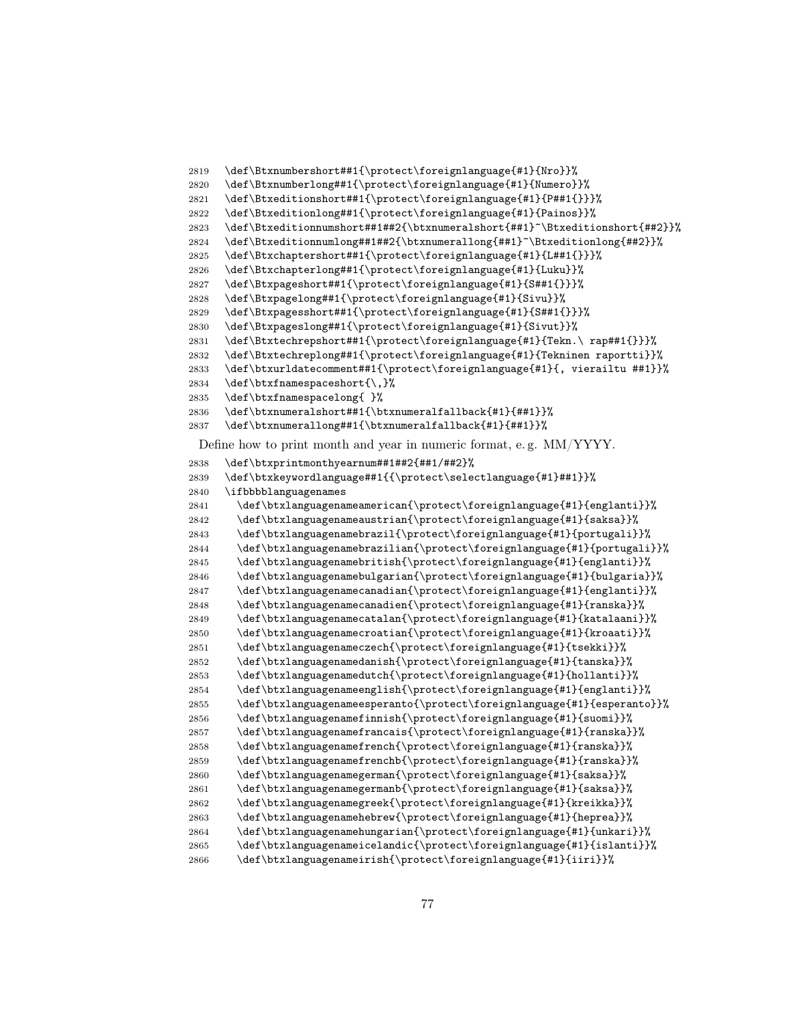```
2819 \def\Btxnumbershort##1{\protect\foreignlanguage{#1}{Nro}}%
2820 \def\Btxnumberlong##1{\protect\foreignlanguage{#1}{Numero}}%
2821 \def\Btxeditionshort##1{\protect\foreignlanguage{#1}{P##1{}}}%
2822 \def\Btxeditionlong##1{\protect\foreignlanguage{#1}{Painos}}%
2823 \def\Btxeditionnumshort##1##2{\btxnumeralshort{##1}~\Btxeditionshort{##2}}%
2824 \def\Btxeditionnumlong##1##2{\btxnumerallong{##1}~\Btxeditionlong{##2}}%
2825 \def\Btxchaptershort##1{\protect\foreignlanguage{#1}{L##1{}}}%
2826 \def\Btxchapterlong##1{\protect\foreignlanguage{#1}{Luku}}%
2827 \def\Btxpageshort##1{\protect\foreignlanguage{#1}{S##1{}}}%
2828 \def\Btxpagelong##1{\protect\foreignlanguage{#1}{Sivu}}%
2829 \def\Btxpagesshort##1{\protect\foreignlanguage{#1}{S##1{}}}%
2830 \def\Btxpageslong##1{\protect\foreignlanguage{#1}{Sivut}}%
2831 \def\Btxtechrepshort##1{\protect\foreignlanguage{#1}{Tekn.\ rap##1{}}}%
2832 \def\Btxtechreplong##1{\protect\foreignlanguage{#1}{Tekninen raportti}}%
2833 \def\btxurldatecomment##1{\protect\foreignlanguage{#1}{, vierailtu ##1}}%
2834 \def\btxfnamespaceshort{\,}%
2835 \def\btxfnamespacelong{ }%
2836 \def\btxnumeralshort##1{\btxnumeralfallback{#1}{##1}}%
2837 \def\btxnumerallong##1{\btxnumeralfallback{#1}{##1}}%
 Define how to print month and year in numeric format, e. g. MM/YYYY.
2838 \def\btxprintmonthyearnum##1##2{##1/##2}%
2839 \def\btxkeywordlanguage##1{{\protect\selectlanguage{#1}##1}}%
2840 \ifbbbblanguagenames
2841 \def\btxlanguagenameamerican{\protect\foreignlanguage{#1}{englanti}}%
2842 \def\btxlanguagenameaustrian{\protect\foreignlanguage{#1}{saksa}}%
2843 \def\btxlanguagenamebrazil{\protect\foreignlanguage{#1}{portugali}}%
2844 \def\btxlanguagenamebrazilian{\protect\foreignlanguage{#1}{portugali}}%
2845 \def\btxlanguagenamebritish{\protect\foreignlanguage{#1}{englanti}}%
2846 \def\btxlanguagenamebulgarian{\protect\foreignlanguage{#1}{bulgaria}}%
2847 \def\btxlanguagenamecanadian{\protect\foreignlanguage{#1}{englanti}}%
2848 \def\btxlanguagenamecanadien{\protect\foreignlanguage{#1}{ranska}}%
2849 \def\btxlanguagenamecatalan{\protect\foreignlanguage{#1}{katalaani}}%
2850 \def\btxlanguagenamecroatian{\protect\foreignlanguage{#1}{kroaati}}%
2851 \def\btxlanguagenameczech{\protect\foreignlanguage{#1}{tsekki}}%
2852 \def\btxlanguagenamedanish{\protect\foreignlanguage{#1}{tanska}}%
2853 \def\btxlanguagenamedutch{\protect\foreignlanguage{#1}{hollanti}}%
2854 \def\btxlanguagenameenglish{\protect\foreignlanguage{#1}{englanti}}%
2855 \def\btxlanguagenameesperanto{\protect\foreignlanguage{#1}{esperanto}}%
2856 \def\btxlanguagenamefinnish{\protect\foreignlanguage{#1}{suomi}}%
2857 \def\btxlanguagenamefrancais{\protect\foreignlanguage{#1}{ranska}}%
2858 \def\btxlanguagenamefrench{\protect\foreignlanguage{#1}{ranska}}%
2859 \def\btxlanguagenamefrenchb{\protect\foreignlanguage{#1}{ranska}}%
2860 \def\btxlanguagenamegerman{\protect\foreignlanguage{#1}{saksa}}%
2861 \def\btxlanguagenamegermanb{\protect\foreignlanguage{#1}{saksa}}%
2862 \def\btxlanguagenamegreek{\protect\foreignlanguage{#1}{kreikka}}%
2863 \def\btxlanguagenamehebrew{\protect\foreignlanguage{#1}{heprea}}%
2864 \def\btxlanguagenamehungarian{\protect\foreignlanguage{#1}{unkari}}%
2865 \def\btxlanguagenameicelandic{\protect\foreignlanguage{#1}{islanti}}%
2866 \def\btxlanguagenameirish{\protect\foreignlanguage{#1}{iiri}}%
```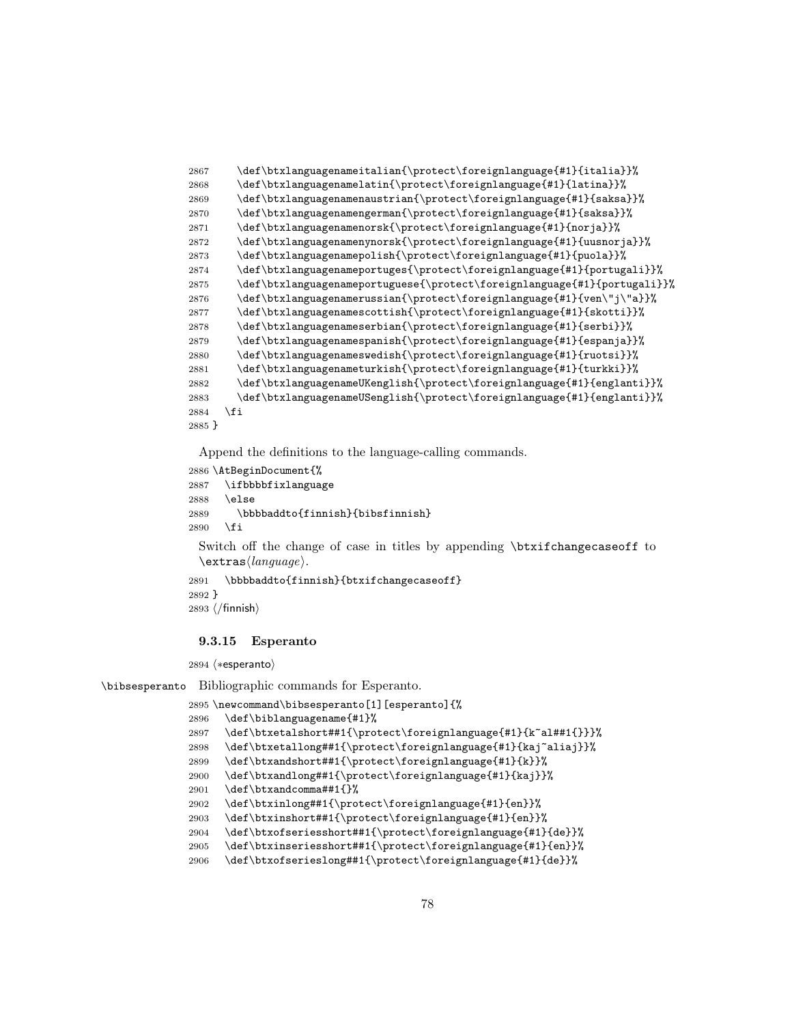```
2867 \def\btxlanguagenameitalian{\protect\foreignlanguage{#1}{italia}}%
2868 \def\btxlanguagenamelatin{\protect\foreignlanguage{#1}{latina}}%
2869 \def\btxlanguagenamenaustrian{\protect\foreignlanguage{#1}{saksa}}%
2870 \def\btxlanguagenamengerman{\protect\foreignlanguage{#1}{saksa}}%
2871 \def\btxlanguagenamenorsk{\protect\foreignlanguage{#1}{norja}}%
2872 \def\btxlanguagenamenynorsk{\protect\foreignlanguage{#1}{uusnorja}}%
2873 \def\btxlanguagenamepolish{\protect\foreignlanguage{#1}{puola}}%
2874 \def\btxlanguagenameportuges{\protect\foreignlanguage{#1}{portugali}}%
2875 \def\btxlanguagenameportuguese{\protect\foreignlanguage{#1}{portugali}}%
2876 \label{thm:1} $$2876 \def\b{xlanguagenamerussian{\protect}{\n 2876} f41}{\n 2976 \def\t{1}f\end{math}2877 \def\btxlanguagenamescottish{\protect\foreignlanguage{#1}{skotti}}%
2878 \def\btxlanguagenameserbian{\protect\foreignlanguage{#1}{serbi}}%
2879 \def\btxlanguagenamespanish{\protect\foreignlanguage{#1}{espanja}}%
2880 \def\btxlanguagenameswedish{\protect\foreignlanguage{#1}{ruotsi}}%
2881 \def\btxlanguagenameturkish{\protect\foreignlanguage{#1}{turkki}}%
2882 \def\btxlanguagenameUKenglish{\protect\foreignlanguage{#1}{englanti}}%
2883 \def\btxlanguagenameUSenglish{\protect\foreignlanguage{#1}{englanti}}%
2884 \fi
2885 }
```

```
2886 \AtBeginDocument{%
2887 \ifbbbbfixlanguage
2888 \else
2889 \bbbbaddto{finnish}{bibsfinnish}
2890 \fi
```
Switch off the change of case in titles by appending \btxifchangecaseoff to  $\text{trans}\langle language\rangle$ .

```
2891 \bbbbaddto{finnish}{btxifchangecaseoff}
2892 }
```

```
2893 \; \langle / \text{finnish} \rangle
```
## 9.3.15 Esperanto

2894 (\*esperanto)

\bibsesperanto Bibliographic commands for Esperanto.

```
2895 \newcommand\bibsesperanto[1][esperanto]{%
2896 \def\biblanguagename{#1}%
2897 \def\btxetalshort##1{\protect\foreignlanguage{#1}{k~al##1{}}}%
2898 \def\btxetallong##1{\protect\foreignlanguage{#1}{kaj~aliaj}}%
2899 \def\btxandshort##1{\protect\foreignlanguage{#1}{k}}%
2900 \def\btxandlong##1{\protect\foreignlanguage{#1}{kaj}}%
2901 \def\btxandcomma##1{}%
2902 \def\btxinlong##1{\protect\foreignlanguage{#1}{en}}%
2903 \def\btxinshort##1{\protect\foreignlanguage{#1}{en}}%
2904 \def\btxofseriesshort##1{\protect\foreignlanguage{#1}{de}}%
2905 \def\btxinseriesshort##1{\protect\foreignlanguage{#1}{en}}%
2906 \def\btxofserieslong##1{\protect\foreignlanguage{#1}{de}}%
```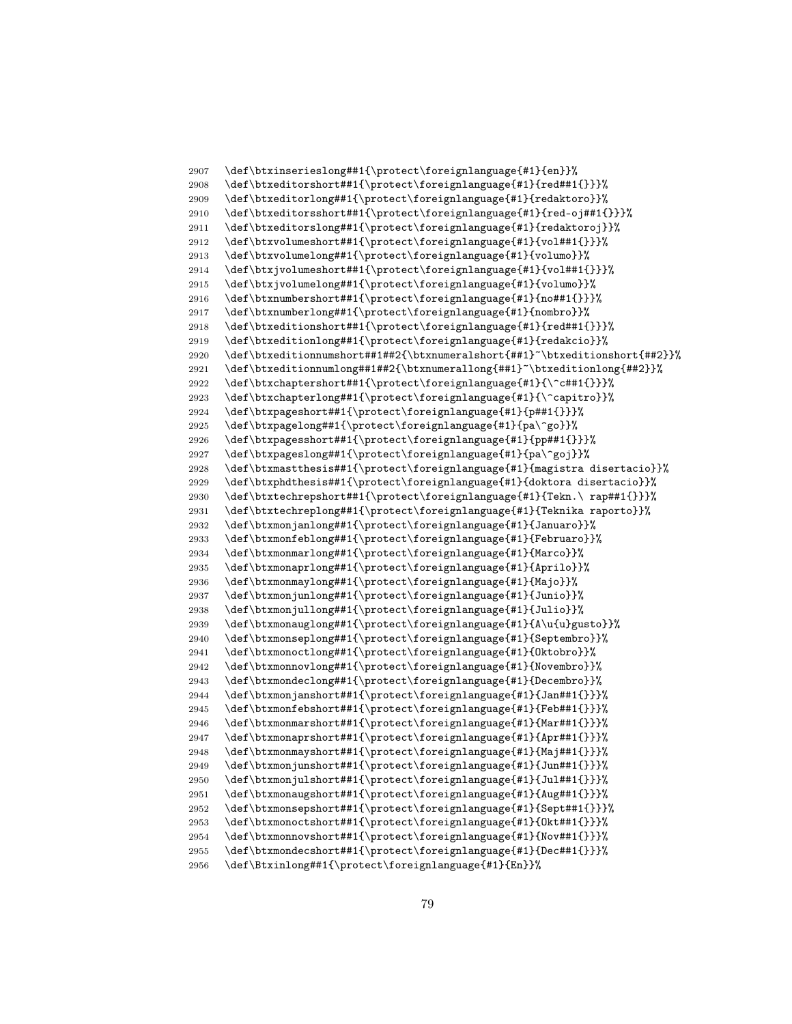```
2907 \def\btxinserieslong##1{\protect\foreignlanguage{#1}{en}}%
2908 \def\btxeditorshort##1{\protect\foreignlanguage{#1}{red##1{}}}%
2909 \def\btxeditorlong##1{\protect\foreignlanguage{#1}{redaktoro}}%
2910 \def\btxeditorsshort##1{\protect\foreignlanguage{#1}{red-oj##1{}}}%
2911 \def\btxeditorslong##1{\protect\foreignlanguage{#1}{redaktoroj}}%
2912 \def\btxvolumeshort##1{\protect\foreignlanguage{#1}{vol##1{}}}%
2913 \def\btxvolumelong##1{\protect\foreignlanguage{#1}{volumo}}%
2914 \def\btxjvolumeshort##1{\protect\foreignlanguage{#1}{vol##1{}}}%
2915 \def\btxjvolumelong##1{\protect\foreignlanguage{#1}{volumo}}%
2916 \def\btxnumbershort##1{\protect\foreignlanguage{#1}{no##1{}}}%
2917 \def\btxnumberlong##1{\protect\foreignlanguage{#1}{nombro}}%
2918 \def\btxeditionshort##1{\protect\foreignlanguage{#1}{red##1{}}}%
2919 \def\btxeditionlong##1{\protect\foreignlanguage{#1}{redakcio}}%
2920 \def\btxeditionnumshort##1##2{\btxnumeralshort{##1}~\btxeditionshort{##2}}%
2921 \def\btxeditionnumlong##1##2{\btxnumerallong{##1}~\btxeditionlong{##2}}%
2922 \def\btxchaptershort##1{\protect\foreignlanguage{#1}{\^c##1{}}}%<br>2923 \def\btxchapterlong##1{\protect\foreignlanguage{#1}{\^capitro}}%
      \def\btxchapterlong##1{\protect\foreignlanguage{#1}{\^capitro}}%
2924 \def\btxpageshort##1{\protect\foreignlanguage{#1}{p##1{}}}%
2925 \def\btxpagelong##1{\protect\foreignlanguage{#1}{pa\^go}}%
2926 \def\btxpagesshort##1{\protect\foreignlanguage{#1}{pp##1{}}}%
2927 \def\btxpageslong##1{\protect\foreignlanguage{#1}{pa\^goj}}%
2928 \def\btxmastthesis##1{\protect\foreignlanguage{#1}{magistra disertacio}}%
2929 \def\btxphdthesis##1{\protect\foreignlanguage{#1}{doktora disertacio}}%
2930 \def\btxtechrepshort##1{\protect\foreignlanguage{#1}{Tekn.\ rap##1{}}}%
2931 \def\btxtechreplong##1{\protect\foreignlanguage{#1}{Teknika raporto}}%
2932 \def\btxmonjanlong##1{\protect\foreignlanguage{#1}{Januaro}}%
2933 \def\btxmonfeblong##1{\protect\foreignlanguage{#1}{Februaro}}%
2934 \def\btxmonmarlong##1{\protect\foreignlanguage{#1}{Marco}}%
2935 \def\btxmonaprlong##1{\protect\foreignlanguage{#1}{Aprilo}}%
2936 \def\btxmonmaylong##1{\protect\foreignlanguage{#1}{Majo}}%
2937 \def\btxmonjunlong##1{\protect\foreignlanguage{#1}{Junio}}%
2938 \def\btxmonjullong##1{\protect\foreignlanguage{#1}{Julio}}%
2939 \def\btxmonauglong##1{\protect\foreignlanguage{#1}{A\u{u}gusto}}%
2940 \def\btxmonseplong##1{\protect\foreignlanguage{#1}{Septembro}}%
2941 \def\btxmonoctlong##1{\protect\foreignlanguage{#1}{Oktobro}}%
2942 \def\btxmonnovlong##1{\protect\foreignlanguage{#1}{Novembro}}%
2943 \def\btxmondeclong##1{\protect\foreignlanguage{#1}{Decembro}}%
2944 \def\btxmonjanshort##1{\protect\foreignlanguage{#1}{Jan##1{}}}%
2945 \def\btxmonfebshort##1{\protect\foreignlanguage{#1}{Feb##1{}}}%
2946 \def\btxmonmarshort##1{\protect\foreignlanguage{#1}{Mar##1{}}}%
2947 \def\btxmonaprshort##1{\protect\foreignlanguage{#1}{Apr##1{}}}%
2948 \def\btxmonmayshort##1{\protect\foreignlanguage{#1}{Maj##1{}}}%
2949 \def\btxmonjunshort##1{\protect\foreignlanguage{#1}{Jun##1{}}}%
2950 \def\btxmonjulshort##1{\protect\foreignlanguage{#1}{Jul##1{}}}%
2951 \def\btxmonaugshort##1{\protect\foreignlanguage{#1}{Aug##1{}}}%
2952 \def\btxmonsepshort##1{\protect\foreignlanguage{#1}{Sept##1{}}}%
2953 \def\btxmonoctshort##1{\protect\foreignlanguage{#1}{Okt##1{}}}%
2954 \def\btxmonnovshort##1{\protect\foreignlanguage{#1}{Nov##1{}}}%
2955 \def\btxmondecshort##1{\protect\foreignlanguage{#1}{Dec##1{}}}%
2956 \def\Btxinlong##1{\protect\foreignlanguage{#1}{En}}%
```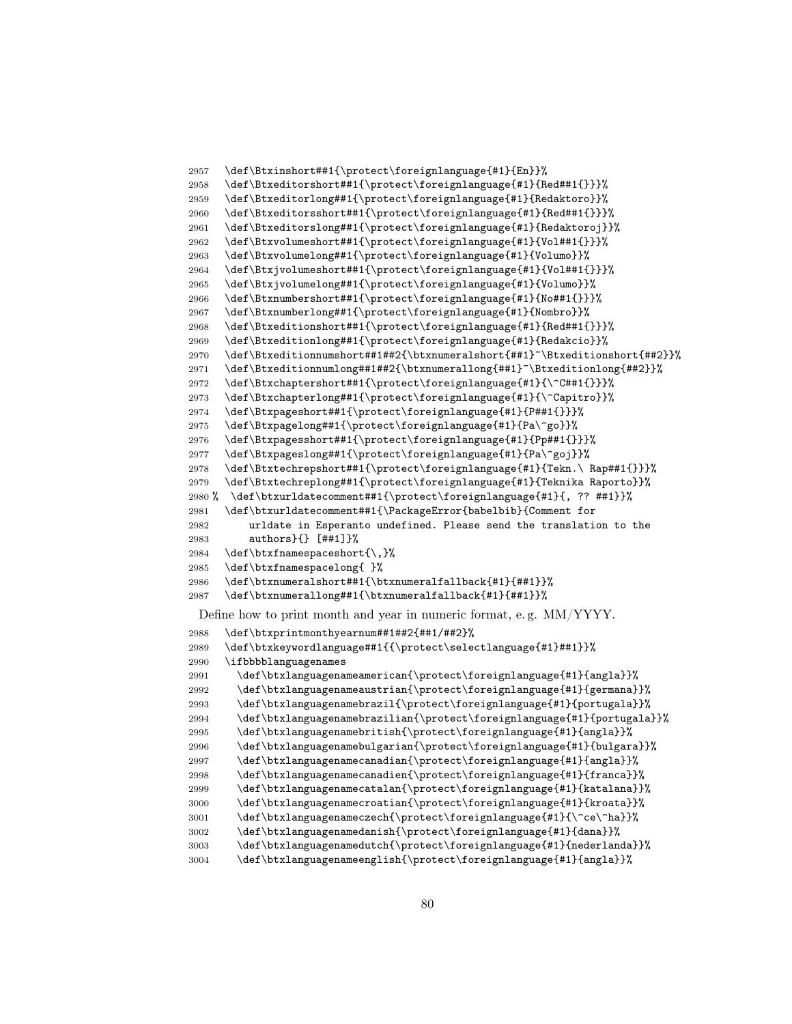```
2957 \def\Btxinshort##1{\protect\foreignlanguage{#1}{En}}%
2958 \def\Btxeditorshort##1{\protect\foreignlanguage{#1}{Red##1{}}}%
2959 \def\Btxeditorlong##1{\protect\foreignlanguage{#1}{Redaktoro}}%
2960 \def\Btxeditorsshort##1{\protect\foreignlanguage{#1}{Red##1{}}}%
2961 \def\Btxeditorslong##1{\protect\foreignlanguage{#1}{Redaktoroj}}%
2962 \def\Btxvolumeshort##1{\protect\foreignlanguage{#1}{Vol##1{}}}%
2963 \def\Btxvolumelong##1{\protect\foreignlanguage{#1}{Volumo}}%
2964 \def\Btxjvolumeshort##1{\protect\foreignlanguage{#1}{Vol##1{}}}%
2965 \def\Btxjvolumelong##1{\protect\foreignlanguage{#1}{Volumo}}%
2966 \def\Btxnumbershort##1{\protect\foreignlanguage{#1}{No##1{}}}%
2967 \def\Btxnumberlong##1{\protect\foreignlanguage{#1}{Nombro}}%
2968 \def\Btxeditionshort##1{\protect\foreignlanguage{#1}{Red##1{}}}%
2969 \def\Btxeditionlong##1{\protect\foreignlanguage{#1}{Redakcio}}%
2970 \def\Btxeditionnumshort##1##2{\btxnumeralshort{##1}~\Btxeditionshort{##2}}%
2971 \def\Btxeditionnumlong##1##2{\btxnumerallong{##1}~\Btxeditionlong{##2}}%
2972 \def\Btxchaptershort##1{\protect\foreignlanguage{#1}{\^C##1{}}}%
2973 \def\Btxchapterlong##1{\protect\foreignlanguage{#1}{\^Capitro}}%
2974 \def\Btxpageshort##1{\protect\foreignlanguage{#1}{P##1{}}}%
2975 \def\Btxpagelong##1{\protect\foreignlanguage{#1}{Pa\^go}}%
2976 \def\Btxpagesshort##1{\protect\foreignlanguage{#1}{Pp##1{}}}%
2977 \def\Btxpageslong##1{\protect\foreignlanguage{#1}{Pa\^goj}}%
2978 \def\Btxtechrepshort##1{\protect\foreignlanguage{#1}{Tekn.\ Rap##1{}}}%
2979 \def\Btxtechreplong##1{\protect\foreignlanguage{#1}{Teknika Raporto}}%
2980 % \def\btxurldatecomment##1{\protect\foreignlanguage{#1}{, ?? ##1}}%
2981 \def\btxurldatecomment##1{\PackageError{babelbib}{Comment for
2982 urldate in Esperanto undefined. Please send the translation to the
2983 authors}{} [##1]}%
2984 \def\btxfnamespaceshort{\,}%
2985 \def\btxfnamespacelong{ }%
2986 \def\btxnumeralshort##1{\btxnumeralfallback{#1}{##1}}%
2987 \def\btxnumerallong##1{\btxnumeralfallback{#1}{##1}}%
 Define how to print month and year in numeric format, e. g. MM/YYYY.
2988 \def\btxprintmonthyearnum##1##2{##1/##2}%
2989 \def\btxkeywordlanguage##1{{\protect\selectlanguage{#1}##1}}%
2990 \ifbbbblanguagenames
2991 \def\btxlanguagenameamerican{\protect\foreignlanguage{#1}{angla}}%
2992 \def\btxlanguagenameaustrian{\protect\foreignlanguage{#1}{germana}}%
2993 \def\btxlanguagenamebrazil{\protect\foreignlanguage{#1}{portugala}}%
2994 \def\btxlanguagenamebrazilian{\protect\foreignlanguage{#1}{portugala}}%
2995 \def\btxlanguagenamebritish{\protect\foreignlanguage{#1}{angla}}%
2996 \def\btxlanguagenamebulgarian{\protect\foreignlanguage{#1}{bulgara}}%
2997 \def\btxlanguagenamecanadian{\protect\foreignlanguage{#1}{angla}}%
2998 \def\btxlanguagenamecanadien{\protect\foreignlanguage{#1}{franca}}%
2999 \def\btxlanguagenamecatalan{\protect\foreignlanguage{#1}{katalana}}%
3000 \def\btxlanguagenamecroatian{\protect\foreignlanguage{#1}{kroata}}%
3001 \def\btxlanguagenameczech{\protect\foreignlanguage{#1}{\^ce\^ha}}%
3002 \def\btxlanguagenamedanish{\protect\foreignlanguage{#1}{dana}}%
3003 \def\btxlanguagenamedutch{\protect\foreignlanguage{#1}{nederlanda}}%
3004 \def\btxlanguagenameenglish{\protect\foreignlanguage{#1}{angla}}%
```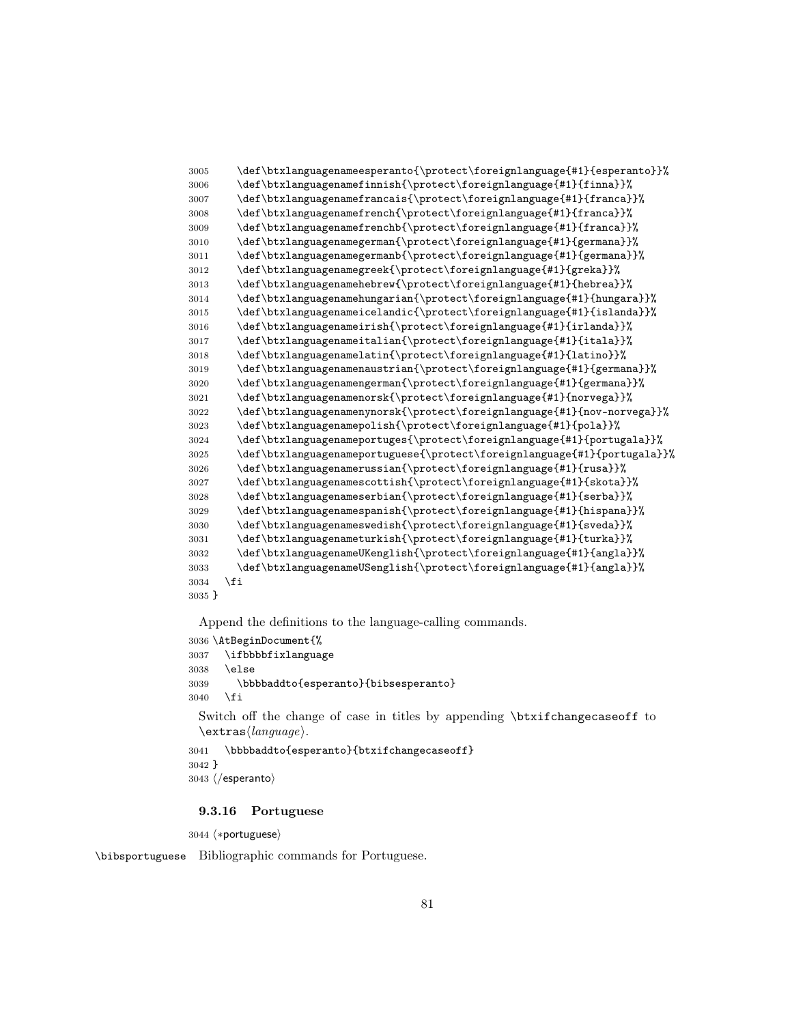```
3005 \def\btxlanguagenameesperanto{\protect\foreignlanguage{#1}{esperanto}}%
3006 \def\btxlanguagenamefinnish{\protect\foreignlanguage{#1}{finna}}%
3007 \def\btxlanguagenamefrancais{\protect\foreignlanguage{#1}{franca}}%
3008 \def\btxlanguagenamefrench{\protect\foreignlanguage{#1}{franca}}%
3009 \def\btxlanguagenamefrenchb{\protect\foreignlanguage{#1}{franca}}%
3010 \def\btxlanguagenamegerman{\protect\foreignlanguage{#1}{germana}}%
3011 \def\btxlanguagenamegermanb{\protect\foreignlanguage{#1}{germana}}%
3012 \def\btxlanguagenamegreek{\protect\foreignlanguage{#1}{greka}}%
3013 \def\btxlanguagenamehebrew{\protect\foreignlanguage{#1}{hebrea}}%
3014 \def\btxlanguagenamehungarian{\protect\foreignlanguage{#1}{hungara}}%
3015 \def\btxlanguagenameicelandic{\protect\foreignlanguage{#1}{islanda}}%
3016 \def\btxlanguagenameirish{\protect\foreignlanguage{#1}{irlanda}}%
3017 \def\btxlanguagenameitalian{\protect\foreignlanguage{#1}{itala}}%
3018 \def\btxlanguagenamelatin{\protect\foreignlanguage{#1}{latino}}%
3019 \def\btxlanguagenamenaustrian{\protect\foreignlanguage{#1}{germana}}%
3020 \def\btxlanguagenamengerman{\protect\foreignlanguage{#1}{germana}}%
3021 \def\btxlanguagenamenorsk{\protect\foreignlanguage{#1}{norvega}}%
3022 \def\btxlanguagenamenynorsk{\protect\foreignlanguage{#1}{nov-norvega}}%
3023 \def\btxlanguagenamepolish{\protect\foreignlanguage{#1}{pola}}%
3024 \def\btxlanguagenameportuges{\protect\foreignlanguage{#1}{portugala}}%
3025 \def\btxlanguagenameportuguese{\protect\foreignlanguage{#1}{portugala}}%
3026 \def\btxlanguagenamerussian{\protect\foreignlanguage{#1}{rusa}}%
3027 \text{def\btxlanguagenamescottish}\propto\tforeighlanguage{#1}{skota}}\text{%3028 \def\btxlanguagenameserbian{\protect\foreignlanguage{#1}{serba}}%
3029 \def\btxlanguagenamespanish{\protect\foreignlanguage{#1}{hispana}}%
3030 \def\btxlanguagenameswedish{\protect\foreignlanguage{#1}{sveda}}%
3031 \def\btxlanguagenameturkish{\protect\foreignlanguage{#1}{turka}}%
3032 \def\btxlanguagenameUKenglish{\protect\foreignlanguage{#1}{angla}}%
3033 \def\btxlanguagenameUSenglish{\protect\foreignlanguage{#1}{angla}}%
3034 \fi
3035 }
```

```
3036 \AtBeginDocument{%
3037 \ifbbbbfixlanguage
3038 \else
3039 \bbbbaddto{esperanto}{bibsesperanto}
3040 \fi
```
Switch off the change of case in titles by appending \btxifchangecaseoff to  $\text{lextras}\langle language\rangle.$ 

```
3041 \bbbbaddto{esperanto}{btxifchangecaseoff}
3042 }
```

```
3043 \; \langle /esperanto\rangle
```
## 9.3.16 Portuguese

3044 (\*portuguese)

\bibsportuguese Bibliographic commands for Portuguese.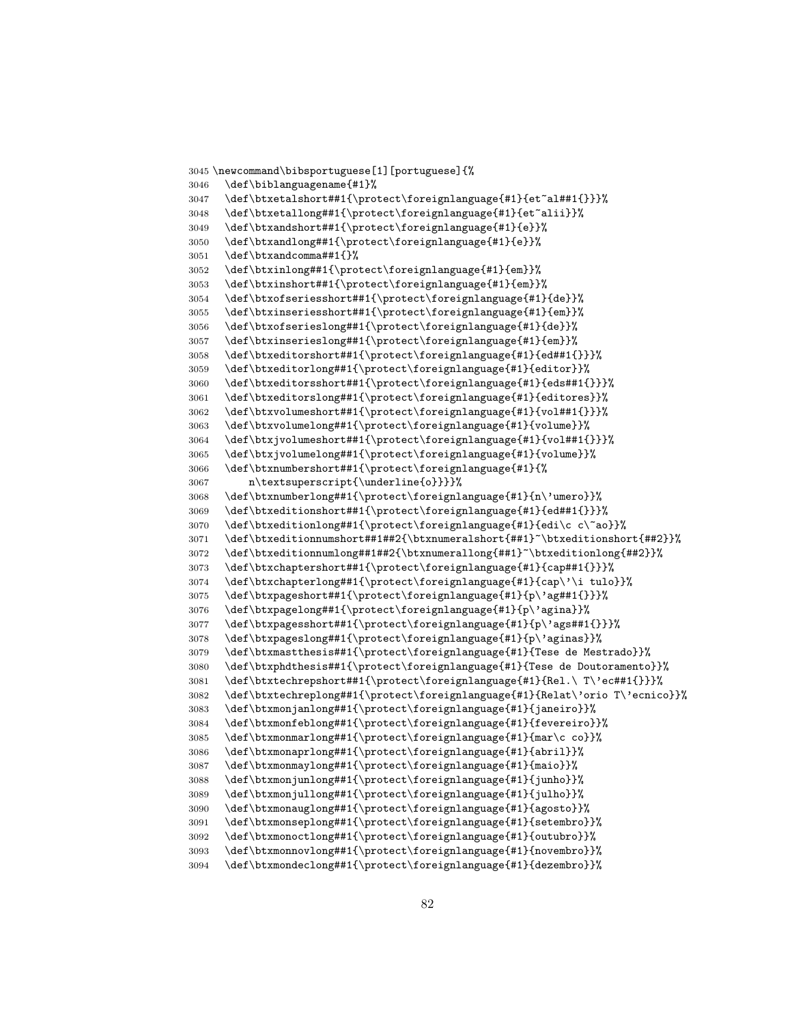```
3045 \newcommand\bibsportuguese[1][portuguese]{%
3046 \def\biblanguagename{#1}%
3047 \def\btxetalshort##1{\protect\foreignlanguage{#1}{et~al##1{}}}%
3048 \def\btxetallong##1{\protect\foreignlanguage{#1}{et~alii}}%
3049 \def\btxandshort##1{\protect\foreignlanguage{#1}{e}}%
3050 \def\btxandlong##1{\protect\foreignlanguage{#1}{e}}%
3051 \def\btxandcomma##1{}%
3052 \def\btxinlong##1{\protect\foreignlanguage{#1}{em}}%
3053 \def\btxinshort##1{\protect\foreignlanguage{#1}{em}}%
3054 \def\btxofseriesshort##1{\protect\foreignlanguage{#1}{de}}%
3055 \def\btxinseriesshort##1{\protect\foreignlanguage{#1}{em}}%
3056 \def\btxofserieslong##1{\protect\foreignlanguage{#1}{de}}%
3057 \def\btxinserieslong##1{\protect\foreignlanguage{#1}{em}}%
3058 \def\btxeditorshort##1{\protect\foreignlanguage{#1}{ed##1{}}}%
3059 \def\btxeditorlong##1{\protect\foreignlanguage{#1}{editor}}%
3060 \def\btxeditorsshort##1{\protect\foreignlanguage{#1}{eds##1{}}}%
3061 \def\btxeditorslong##1{\protect\foreignlanguage{#1}{editores}}%
3062 \def\btxvolumeshort##1{\protect\foreignlanguage{#1}{vol##1{}}}%
3063 \def\btxvolumelong##1{\protect\foreignlanguage{#1}{volume}}%
3064 \def\btxjvolumeshort##1{\protect\foreignlanguage{#1}{vol##1{}}}%
3065 \def\btxjvolumelong##1{\protect\foreignlanguage{#1}{volume}}%
3066 \def\btxnumbershort##1{\protect\foreignlanguage{#1}{%
3067 n\textsuperscript{\underline{o}}}}%
3068 \def\btxnumberlong##1{\protect\foreignlanguage{#1}{n\'umero}}%
3069 \def\btxeditionshort##1{\protect\foreignlanguage{#1}{ed##1{}}}%
3070 \def\btxeditionlong##1{\protect\foreignlanguage{#1}{edi\c c\~ao}}%
3071 \def\btxeditionnumshort##1##2{\btxnumeralshort{##1}~\btxeditionshort{##2}}%
3072 \def\btxeditionnumlong##1##2{\btxnumerallong{##1}~\btxeditionlong{##2}}%
3073 \def\btxchaptershort##1{\protect\foreignlanguage{#1}{cap##1{}}}%
3074 \def\btxchapterlong##1{\protect\foreignlanguage{#1}{cap\'\i tulo}}%
3075 \def\btxpageshort##1{\protect\foreignlanguage{#1}{p\'ag##1{}}}%
3076 \def\btxpagelong##1{\protect\foreignlanguage{#1}{p\'agina}}%
3077 \def\btxpagesshort##1{\protect\foreignlanguage{#1}{p\'ags##1{}}}%
3078 \def\btxpageslong##1{\protect\foreignlanguage{#1}{p\'aginas}}%
3079 \def\btxmastthesis##1{\protect\foreignlanguage{#1}{Tese de Mestrado}}%
3080 \def\btxphdthesis##1{\protect\foreignlanguage{#1}{Tese de Doutoramento}}%
3081 \def\btxtechrepshort##1{\protect\foreignlanguage{#1}{Rel.\ T\'ec##1{}}}%
3082 \def\btxtechreplong##1{\protect\foreignlanguage{#1}{Relat\'orio T\'ecnico}}%
3083 \def\btxmonjanlong##1{\protect\foreignlanguage{#1}{janeiro}}%
3084 \def\btxmonfeblong##1{\protect\foreignlanguage{#1}{fevereiro}}%
3085 \def\btxmonmarlong##1{\protect\foreignlanguage{#1}{mar\c co}}%
3086 \def\btxmonaprlong##1{\protect\foreignlanguage{#1}{abril}}%
3087 \def\btxmonmaylong##1{\protect\foreignlanguage{#1}{maio}}%
3088 \def\btxmonjunlong##1{\protect\foreignlanguage{#1}{junho}}%
3089 \def\btxmonjullong##1{\protect\foreignlanguage{#1}{julho}}%
3090 \def\btxmonauglong##1{\protect\foreignlanguage{#1}{agosto}}%
3091 \def\btxmonseplong##1{\protect\foreignlanguage{#1}{setembro}}%
3092 \def\btxmonoctlong##1{\protect\foreignlanguage{#1}{outubro}}%
3093 \def\btxmonnovlong##1{\protect\foreignlanguage{#1}{novembro}}%
3094 \def\btxmondeclong##1{\protect\foreignlanguage{#1}{dezembro}}%
```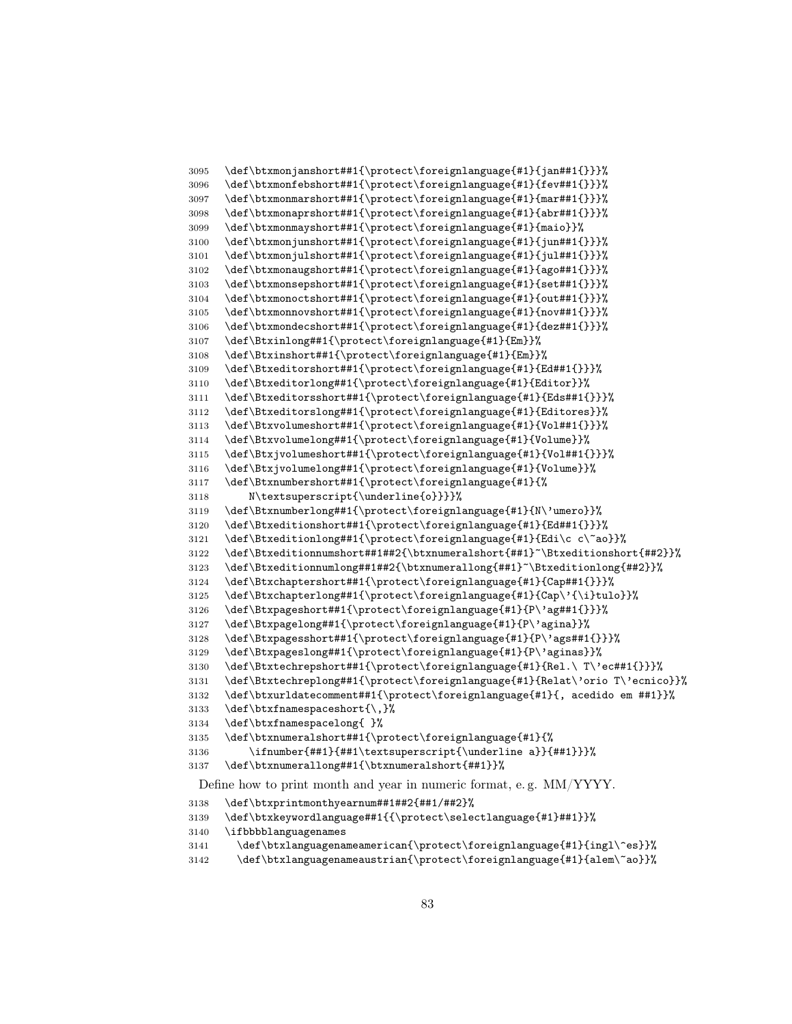```
3095 \def\btxmonjanshort##1{\protect\foreignlanguage{#1}{jan##1{}}}%
3096 \def\btxmonfebshort##1{\protect\foreignlanguage{#1}{fev##1{}}}%
3097 \def\btxmonmarshort##1{\protect\foreignlanguage{#1}{mar##1{}}}%
3098 \def\btxmonaprshort##1{\protect\foreignlanguage{#1}{abr##1{}}}%
3099 \def\btxmonmayshort##1{\protect\foreignlanguage{#1}{maio}}%
3100 \def\btxmonjunshort##1{\protect\foreignlanguage{#1}{jun##1{}}}%
3101 \def\btxmonjulshort##1{\protect\foreignlanguage{#1}{jul##1{}}}%
3102 \def\btxmonaugshort##1{\protect\foreignlanguage{#1}{ago##1{}}}%
3103 \def\btxmonsepshort##1{\protect\foreignlanguage{#1}{set##1{}}}%
3104 \def\btxmonoctshort##1{\protect\foreignlanguage{#1}{out##1{}}}%
3105 \def\btxmonnovshort##1{\protect\foreignlanguage{#1}{nov##1{}}}%
3106 \def\btxmondecshort##1{\protect\foreignlanguage{#1}{dez##1{}}}%
3107 \def\Btxinlong##1{\protect\foreignlanguage{#1}{Em}}%
3108 \def\Btxinshort##1{\protect\foreignlanguage{#1}{Em}}%
3109 \def\Btxeditorshort##1{\protect\foreignlanguage{#1}{Ed##1{}}}%
3110 \def\Btxeditorlong##1{\protect\foreignlanguage{#1}{Editor}}%
3111 \def\Btxeditorsshort##1{\protect\foreignlanguage{#1}{Eds##1{}}}%
3112 \def\Btxeditorslong##1{\protect\foreignlanguage{#1}{Editores}}%
3113 \def\Btxvolumeshort##1{\protect\foreignlanguage{#1}{Vol##1{}}}%
3114 \def\Btxvolumelong##1{\protect\foreignlanguage{#1}{Volume}}%
3115 \def\Btxjvolumeshort##1{\protect\foreignlanguage{#1}{Vol##1{}}}%
3116 \def\Btxjvolumelong##1{\protect\foreignlanguage{#1}{Volume}}%
3117 \def\Btxnumbershort##1{\protect\foreignlanguage{#1}{%
3118 N\textsuperscript{\underline{o}}}}%
3119 \def\Btxnumberlong##1{\protect\foreignlanguage{#1}{N\'umero}}%
3120 \def\Btxeditionshort##1{\protect\foreignlanguage{#1}{Ed##1{}}}%
3121 \def\Btxeditionlong##1{\protect\foreignlanguage{#1}{Edi\c c\~ao}}%
3122 \def\Btxeditionnumshort##1##2{\btxnumeralshort{##1}~\Btxeditionshort{##2}}%
3123 \def\Btxeditionnumlong##1##2{\btxnumerallong{##1}~\Btxeditionlong{##2}}%
3124 \def\Btxchaptershort##1{\protect\foreignlanguage{#1}{Cap##1{}}}%
3125 \def\Btxchapterlong##1{\protect\foreignlanguage{#1}{Cap\'{\i}tulo}}%
3126 \def\Btxpageshort##1{\protect\foreignlanguage{#1}{P\'ag##1{}}}%
3127 \def\Btxpagelong##1{\protect\foreignlanguage{#1}{P\'agina}}%
3128 \def\Btxpagesshort##1{\protect\foreignlanguage{#1}{P\'ags##1{}}}%
3129 \def\Btxpageslong##1{\protect\foreignlanguage{#1}{P\'aginas}}%
3130 \def\Btxtechrepshort##1{\protect\foreignlanguage{#1}{Rel.\ T\'ec##1{}}}%
3131 \def\Btxtechreplong##1{\protect\foreignlanguage{#1}{Relat\'orio T\'ecnico}}%
3132 \def\btxurldatecomment##1{\protect\foreignlanguage{#1}{, acedido em ##1}}%
3133 \def\btxfnamespaceshort{\,}%
3134 \def\btxfnamespacelong{ }%
3135 \def\btxnumeralshort##1{\protect\foreignlanguage{#1}{%
3136 \ifnumber{##1}{##1\textsuperscript{\underline a}}{##1}}}%
3137 \def\btxnumerallong##1{\btxnumeralshort{##1}}%
 Define how to print month and year in numeric format, e. g. MM/YYYY.
3138 \def\btxprintmonthyearnum##1##2{##1/##2}%
3139 \def\btxkeywordlanguage##1{{\protect\selectlanguage{#1}##1}}%
3140 \ifbbbblanguagenames
3141 \def\btxlanguagenameamerican{\protect\foreignlanguage{#1}{ingl\^es}}%
```

```
3142 \def\btxlanguagenameaustrian{\protect\foreignlanguage{#1}{alem\~ao}}%
```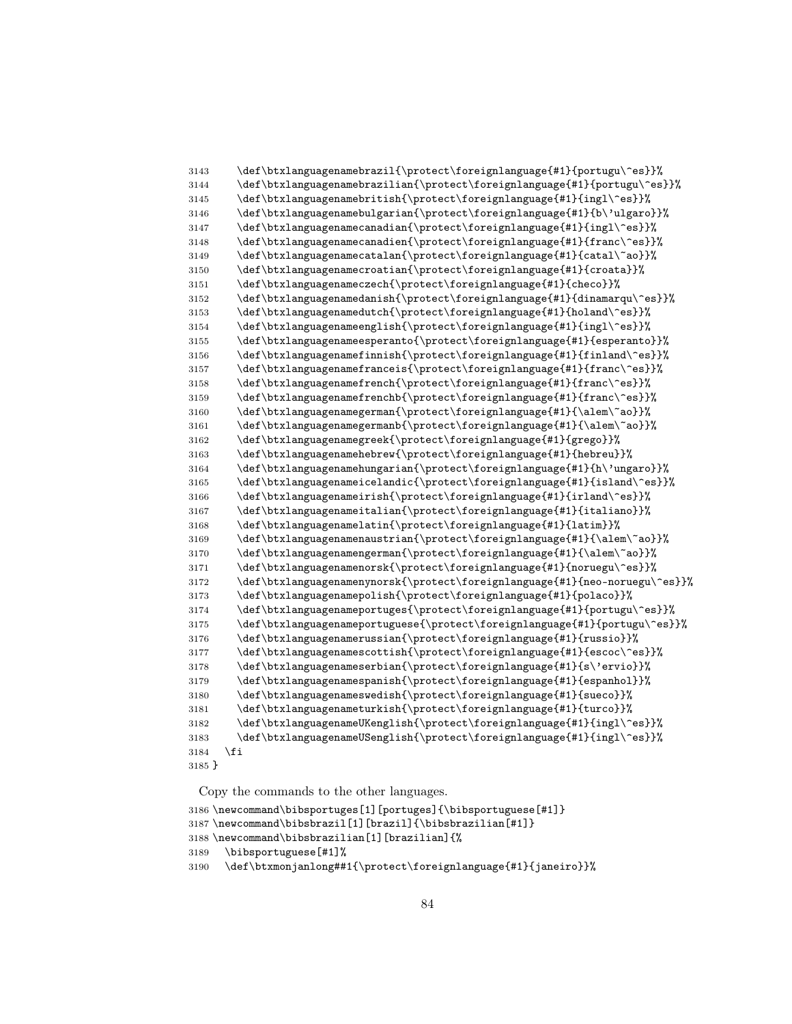```
3143 \def\btxlanguagenamebrazil{\protect\foreignlanguage{#1}{portugu\^es}}%
3144 \def\btxlanguagenamebrazilian{\protect\foreignlanguage{#1}{portugu\^es}}%
3145 \def\btxlanguagenamebritish{\protect\foreignlanguage{#1}{ingl\^es}}%
3146 \def\btxlanguagenamebulgarian{\protect\foreignlanguage{#1}{b\'ulgaro}}%
3147 \def\btxlanguagenamecanadian{\protect\foreignlanguage{#1}{ingl\^es}}%
3148 \def\btxlanguagenamecanadien{\protect\foreignlanguage{#1}{franc\^es}}%
3149 \def\btxlanguagenamecatalan{\protect\foreignlanguage{#1}{catal\~ao}}%
3150 \def\btxlanguagenamecroatian{\protect\foreignlanguage{#1}{croata}}%
3151 \def\btxlanguagenameczech{\protect\foreignlanguage{#1}{checo}}%
3152 \def\btxlanguagenamedanish{\protect\foreignlanguage{#1}{dinamarqu\^es}}%
3153 \def\btxlanguagenamedutch{\protect\foreignlanguage{#1}{holand\^es}}%
3154 \def\btxlanguagenameenglish{\protect\foreignlanguage{#1}{ingl\^es}}%
3155 \def\btxlanguagenameesperanto{\protect\foreignlanguage{#1}{esperanto}}%
3156 \def\btxlanguagenamefinnish{\protect\foreignlanguage{#1}{finland\^es}}%
3157 \def\btxlanguagenamefranceis{\protect\foreignlanguage{#1}{franc\^es}}%
3158 \def\btxlanguagenamefrench{\protect\foreignlanguage{#1}{franc\^es}}%
3159 \def\btxlanguagenamefrenchb{\protect\foreignlanguage{#1}{franc\^es}}%
3160 \def\btxlanguagenamegerman{\protect\foreignlanguage{#1}{\alem\~ao}}%
3161 \def\btxlanguagenamegermanb{\protect\foreignlanguage{#1}{\alem\~ao}}%
3162 \def\btxlanguagenamegreek{\protect\foreignlanguage{#1}{grego}}%
3163 \def\btxlanguagenamehebrew{\protect\foreignlanguage{#1}{hebreu}}%
3164 \def\btxlanguagenamehungarian{\protect\foreignlanguage{#1}{h\'ungaro}}%
3165 \def\btxlanguagenameicelandic{\protect\foreignlanguage{#1}{island\^es}}%
3166 \def\btxlanguagenameirish{\protect\foreignlanguage{#1}{irland\^es}}%
3167 \def\btxlanguagenameitalian{\protect\foreignlanguage{#1}{italiano}}%
3168 \def\btxlanguagenamelatin{\protect\foreignlanguage{#1}{latim}}%
3169 \def\btxlanguagenamenaustrian{\protect\foreignlanguage{#1}{\alem\~ao}}%
3170 \def\btxlanguagenamengerman{\protect\foreignlanguage{#1}{\alem\~ao}}%
3171 \def\btxlanguagenamenorsk{\protect\foreignlanguage{#1}{noruegu\^es}}%
3172 \def\btxlanguagenamenynorsk{\protect\foreignlanguage{#1}{neo-noruegu\^es}}%
3173 \def\btxlanguagenamepolish{\protect\foreignlanguage{#1}{polaco}}%
3174 \def\btxlanguagenameportuges{\protect\foreignlanguage{#1}{portugu\^es}}%
3175 \def\btxlanguagenameportuguese{\protect\foreignlanguage{#1}{portugu\^es}}%
3176 \def\btxlanguagenamerussian{\protect\foreignlanguage{#1}{russio}}%
3177 \def\btxlanguagenamescottish{\protect\foreignlanguage{#1}{escoc\^es}}%
3178 \def\btxlanguagenameserbian{\protect\foreignlanguage{#1}{s\'ervio}}%
3179 \def\btxlanguagenamespanish{\protect\foreignlanguage{#1}{espanhol}}%
3180 \def\btxlanguagenameswedish{\protect\foreignlanguage{#1}{sueco}}%
3181 \def\btxlanguagenameturkish{\protect\foreignlanguage{#1}{turco}}%
3182 \def\btxlanguagenameUKenglish{\protect\foreignlanguage{#1}{ingl\^es}}%
3183 \def\btxlanguagenameUSenglish{\protect\foreignlanguage{#1}{ingl\^es}}%
3184 \fi
3185 }
```
Copy the commands to the other languages.

```
3186 \newcommand\bibsportuges[1][portuges]{\bibsportuguese[#1]}
3187 \newcommand\bibsbrazil[1][brazil]{\bibsbrazilian[#1]}
3188 \newcommand\bibsbrazilian[1][brazilian]{%
3189 \bibsportuguese[#1]%
3190 \def\btxmonjanlong##1{\protect\foreignlanguage{#1}{janeiro}}%
```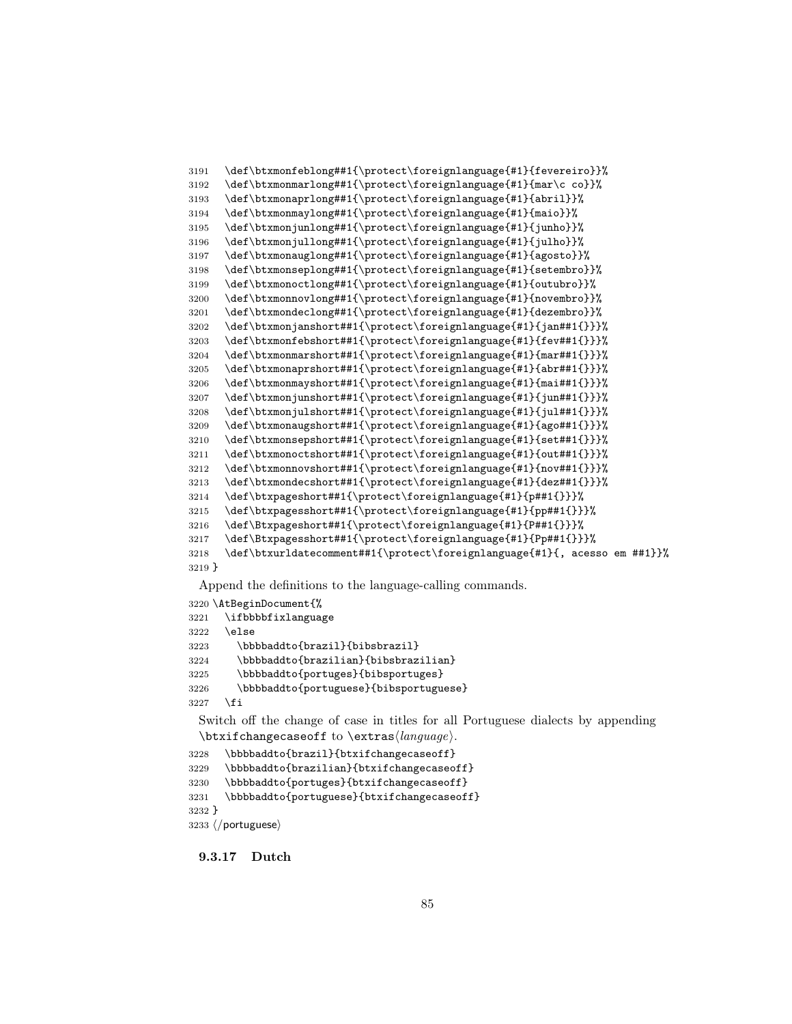```
3191 \def\btxmonfeblong##1{\protect\foreignlanguage{#1}{fevereiro}}%
3192 \def\btxmonmarlong##1{\protect\foreignlanguage{#1}{mar\c co}}%
3193 \def\btxmonaprlong##1{\protect\foreignlanguage{#1}{abril}}%
3194 \def\btxmonmaylong##1{\protect\foreignlanguage{#1}{maio}}%
3195 \def\btxmonjunlong##1{\protect\foreignlanguage{#1}{junho}}%
3196 \def\btxmonjullong##1{\protect\foreignlanguage{#1}{julho}}%
3197 \def\btxmonauglong##1{\protect\foreignlanguage{#1}{agosto}}%
3198 \def\btxmonseplong##1{\protect\foreignlanguage{#1}{setembro}}%
3199 \def\btxmonoctlong##1{\protect\foreignlanguage{#1}{outubro}}%
3200 \def\btxmonnovlong##1{\protect\foreignlanguage{#1}{novembro}}%
3201 \def\btxmondeclong##1{\protect\foreignlanguage{#1}{dezembro}}%
3202 \def\btxmonjanshort##1{\protect\foreignlanguage{#1}{jan##1{}}}%
3203 \def\btxmonfebshort##1{\protect\foreignlanguage{#1}{fev##1{}}}%
3204 \def\btxmonmarshort##1{\protect\foreignlanguage{#1}{mar##1{}}}%
3205 \def\btxmonaprshort##1{\protect\foreignlanguage{#1}{abr##1{}}}%
3206 \def\btxmonmayshort##1{\protect\foreignlanguage{#1}{mai##1{}}}%
3207 \def\btxmonjunshort##1{\protect\foreignlanguage{#1}{jun##1{}}}%
3208 \def\btxmonjulshort##1{\protect\foreignlanguage{#1}{jul##1{}}}%
3209 \def\btxmonaugshort##1{\protect\foreignlanguage{#1}{ago##1{}}}%
3210 \def\btxmonsepshort##1{\protect\foreignlanguage{#1}{set##1{}}}%
3211 \def\btxmonoctshort##1{\protect\foreignlanguage{#1}{out##1{}}}%
3212 \def\btxmonnovshort##1{\protect\foreignlanguage{#1}{nov##1{}}}%
3213 \def\btxmondecshort##1{\protect\foreignlanguage{#1}{dez##1{}}}%
3214 \def\btxpageshort##1{\protect\foreignlanguage{#1}{p##1{}}}%
3215 \def\btxpagesshort##1{\protect\foreignlanguage{#1}{pp##1{}}}%
3216 \def\Btxpageshort##1{\protect\foreignlanguage{#1}{P##1{}}}%
3217 \def\Btxpagesshort##1{\protect\foreignlanguage{#1}{Pp##1{}}}%
3218 \def\btxurldatecomment##1{\protect\foreignlanguage{#1}{, acesso em ##1}}%
3219 }
```

```
3220 \AtBeginDocument{%
3221 \ifbbbbfixlanguage
3222 \else
3223 \bbbbaddto{brazil}{bibsbrazil}
3224 \bbbbaddto{brazilian}{bibsbrazilian}
3225 \bbbbaddto{portuges}{bibsportuges}
3226 \bbbbaddto{portuguese}{bibsportuguese}
3227 \fi
```
Switch off the change of case in titles for all Portuguese dialects by appending  $\text{changecase}$  to  $\text{change}$ .

```
3228 \bbbbaddto{brazil}{btxifchangecaseoff}
3229 \bbbbaddto{brazilian}{btxifchangecaseoff}
3230 \bbbbaddto{portuges}{btxifchangecaseoff}
3231 \bbbbaddto{portuguese}{btxifchangecaseoff}
3232 }
3233 \langle/portuguese\rangle
```
9.3.17 Dutch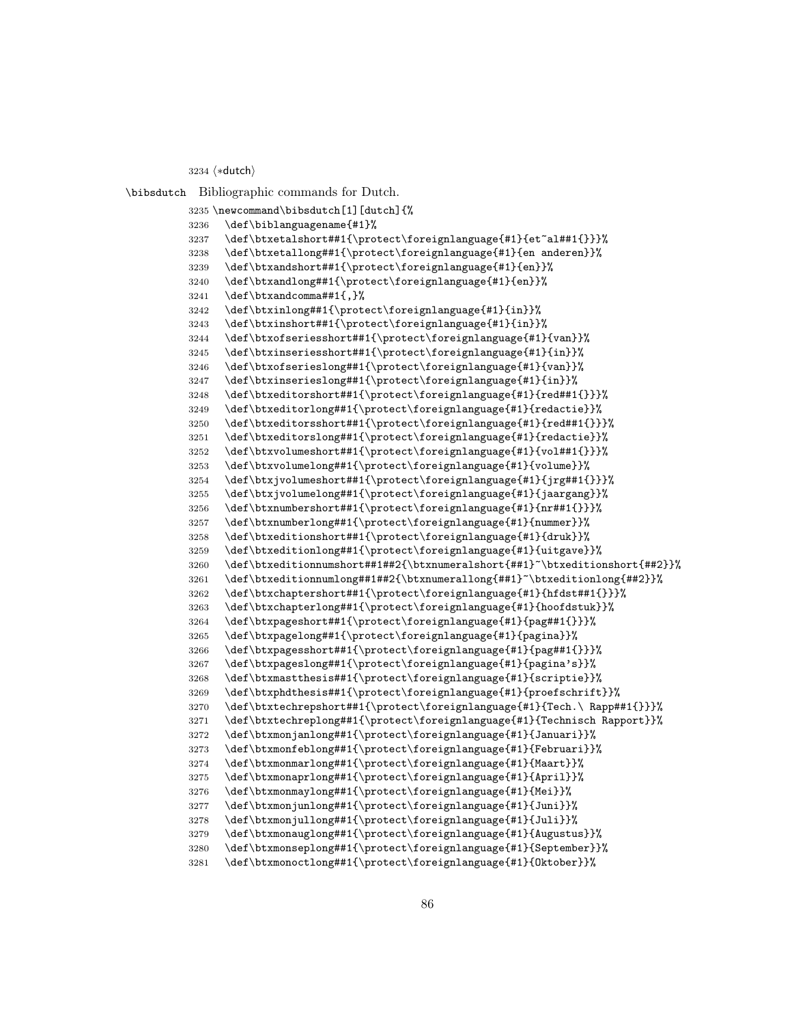3234 (\*dutch)

\bibsdutch Bibliographic commands for Dutch.

```
3235 \newcommand\bibsdutch[1][dutch]{%
3236 \def\biblanguagename{#1}%
3237 \def\btxetalshort##1{\protect\foreignlanguage{#1}{et~al##1{}}}%
3238 \def\btxetallong##1{\protect\foreignlanguage{#1}{en anderen}}%
3239 \def\btxandshort##1{\protect\foreignlanguage{#1}{en}}%
3240 \def\btxandlong##1{\protect\foreignlanguage{#1}{en}}%
3241 \def\btxandcomma##1{,}%
3242 \def\btxinlong##1{\protect\foreignlanguage{#1}{in}}%
3243 \def\btxinshort##1{\protect\foreignlanguage{#1}{in}}%
3244 \def\btxofseriesshort##1{\protect\foreignlanguage{#1}{van}}%
3245 \def\btxinseriesshort##1{\protect\foreignlanguage{#1}{in}}%
3246 \def\btxofserieslong##1{\protect\foreignlanguage{#1}{van}}%
3247 \def\btxinserieslong##1{\protect\foreignlanguage{#1}{in}}%
3248 \def\btxeditorshort##1{\protect\foreignlanguage{#1}{red##1{}}}%
3249 \def\btxeditorlong##1{\protect\foreignlanguage{#1}{redactie}}%
3250 \def\btxeditorsshort##1{\protect\foreignlanguage{#1}{red##1{}}}%
3251 \def\btxeditorslong##1{\protect\foreignlanguage{#1}{redactie}}%
3252 \def\btxvolumeshort##1{\protect\foreignlanguage{#1}{vol##1{}}}%
3253 \def\btxvolumelong##1{\protect\foreignlanguage{#1}{volume}}%
3254 \def\btxjvolumeshort##1{\protect\foreignlanguage{#1}{jrg##1{}}}%
3255 \def\btxjvolumelong##1{\protect\foreignlanguage{#1}{jaargang}}%
3256 \def\btxnumbershort##1{\protect\foreignlanguage{#1}{nr##1{}}}%
3257 \def\btxnumberlong##1{\protect\foreignlanguage{#1}{nummer}}%
3258 \def\btxeditionshort##1{\protect\foreignlanguage{#1}{druk}}%
3259 \def\btxeditionlong##1{\protect\foreignlanguage{#1}{uitgave}}%
3260 \def\btxeditionnumshort##1##2{\btxnumeralshort{##1}~\btxeditionshort{##2}}%
3261 \def\btxeditionnumlong##1##2{\btxnumerallong{##1}~\btxeditionlong{##2}}%
3262 \def\btxchaptershort##1{\protect\foreignlanguage{#1}{hfdst##1{}}}%
3263 \def\btxchapterlong##1{\protect\foreignlanguage{#1}{hoofdstuk}}%
3264 \def\btxpageshort##1{\protect\foreignlanguage{#1}{pag##1{}}}%
3265 \def\btxpagelong##1{\protect\foreignlanguage{#1}{pagina}}%
3266 \def\btxpagesshort##1{\protect\foreignlanguage{#1}{pag##1{}}}%
3267 \def\btxpageslong##1{\protect\foreignlanguage{#1}{pagina's}}%
3268 \def\btxmastthesis##1{\protect\foreignlanguage{#1}{scriptie}}%
3269 \def\btxphdthesis##1{\protect\foreignlanguage{#1}{proefschrift}}%
3270 \def\btxtechrepshort##1{\protect\foreignlanguage{#1}{Tech.\ Rapp##1{}}}%
3271 \def\btxtechreplong##1{\protect\foreignlanguage{#1}{Technisch Rapport}}%
3272 \def\btxmonjanlong##1{\protect\foreignlanguage{#1}{Januari}}%
3273 \def\btxmonfeblong##1{\protect\foreignlanguage{#1}{Februari}}%
3274 \def\btxmonmarlong##1{\protect\foreignlanguage{#1}{Maart}}%
3275 \def\btxmonaprlong##1{\protect\foreignlanguage{#1}{April}}%
3276 \def\btxmonmaylong##1{\protect\foreignlanguage{#1}{Mei}}%
3277 \def\btxmonjunlong##1{\protect\foreignlanguage{#1}{Juni}}%
3278 \def\btxmonjullong##1{\protect\foreignlanguage{#1}{Juli}}%
3279 \def\btxmonauglong##1{\protect\foreignlanguage{#1}{Augustus}}%
3280 \def\btxmonseplong##1{\protect\foreignlanguage{#1}{September}}%
3281 \def\btxmonoctlong##1{\protect\foreignlanguage{#1}{Oktober}}%
```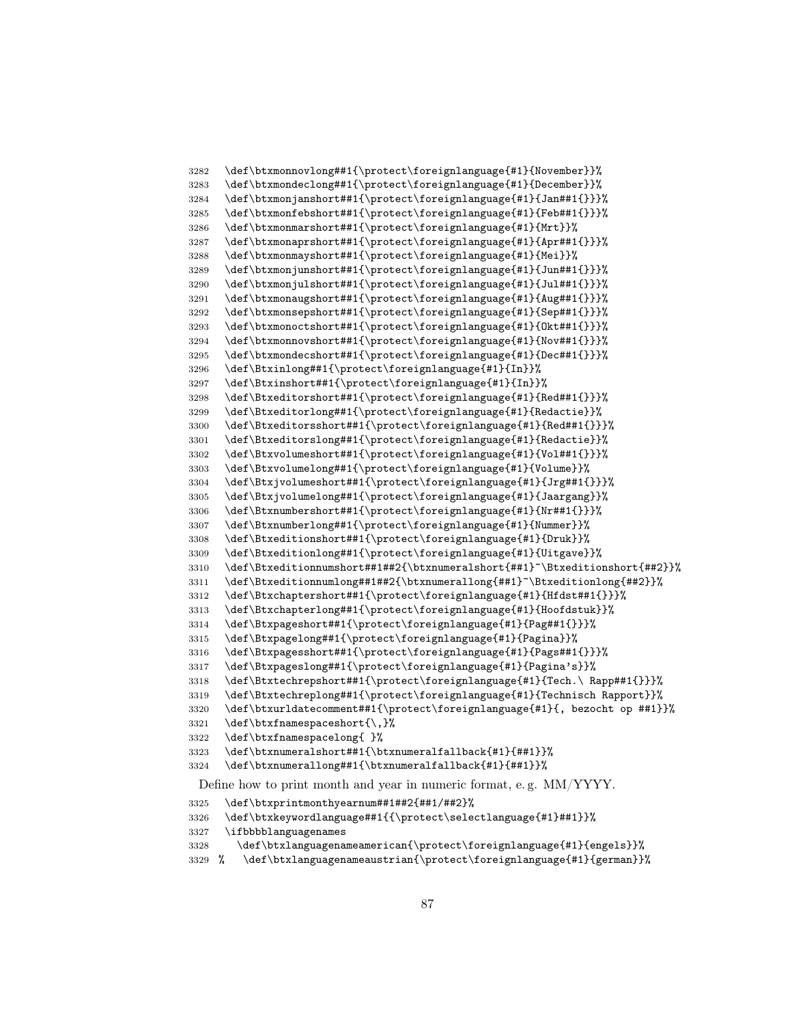```
3282 \def\btxmonnovlong##1{\protect\foreignlanguage{#1}{November}}%
3283 \def\btxmondeclong##1{\protect\foreignlanguage{#1}{December}}%
3284 \def\btxmonjanshort##1{\protect\foreignlanguage{#1}{Jan##1{}}}%
3285 \def\btxmonfebshort##1{\protect\foreignlanguage{#1}{Feb##1{}}}%
3286 \def\btxmonmarshort##1{\protect\foreignlanguage{#1}{Mrt}}%
3287 \def\btxmonaprshort##1{\protect\foreignlanguage{#1}{Apr##1{}}}%
3288 \def\btxmonmayshort##1{\protect\foreignlanguage{#1}{Mei}}%
3289 \def\btxmonjunshort##1{\protect\foreignlanguage{#1}{Jun##1{}}}%
3290 \def\btxmonjulshort##1{\protect\foreignlanguage{#1}{Jul##1{}}}%
3291 \def\btxmonaugshort##1{\protect\foreignlanguage{#1}{Aug##1{}}}%
3292 \def\btxmonsepshort##1{\protect\foreignlanguage{#1}{Sep##1{}}}%
3293 \def\btxmonoctshort##1{\protect\foreignlanguage{#1}{Okt##1{}}}%
3294 \def\btxmonnovshort##1{\protect\foreignlanguage{#1}{Nov##1{}}}%
3295 \def\btxmondecshort##1{\protect\foreignlanguage{#1}{Dec##1{}}}%
3296 \def\Btxinlong##1{\protect\foreignlanguage{#1}{In}}%
3297 \def\Btxinshort##1{\protect\foreignlanguage{#1}{In}}%
      \def\Btxeditorshort##1{\protect\foreignlanguage{#1}{Red##1{}}}%
3299 \def\Btxeditorlong##1{\protect\foreignlanguage{#1}{Redactie}}%
3300 \def\Btxeditorsshort##1{\protect\foreignlanguage{#1}{Red##1{}}}%
3301 \def\Btxeditorslong##1{\protect\foreignlanguage{#1}{Redactie}}%
3302 \def\Btxvolumeshort##1{\protect\foreignlanguage{#1}{Vol##1{}}}%
3303 \def\Btxvolumelong##1{\protect\foreignlanguage{#1}{Volume}}%
3304 \def\Btxjvolumeshort##1{\protect\foreignlanguage{#1}{Jrg##1{}}}%
3305 \def\Btxjvolumelong##1{\protect\foreignlanguage{#1}{Jaargang}}%
3306 \def\Btxnumbershort##1{\protect\foreignlanguage{#1}{Nr##1{}}}%
3307 \def\Btxnumberlong##1{\protect\foreignlanguage{#1}{Nummer}}%
3308 \def\Btxeditionshort##1{\protect\foreignlanguage{#1}{Druk}}%
3309 \def\Btxeditionlong##1{\protect\foreignlanguage{#1}{Uitgave}}%
3310 \def\Btxeditionnumshort##1##2{\btxnumeralshort{##1}~\Btxeditionshort{##2}}%
3311 \def\Btxeditionnumlong##1##2{\btxnumerallong{##1}~\Btxeditionlong{##2}}%
3312 \def\Btxchaptershort##1{\protect\foreignlanguage{#1}{Hfdst##1{}}}%
3313 \def\Btxchapterlong##1{\protect\foreignlanguage{#1}{Hoofdstuk}}%
3314 \def\Btxpageshort##1{\protect\foreignlanguage{#1}{Pag##1{}}}%
3315 \def\Btxpagelong##1{\protect\foreignlanguage{#1}{Pagina}}%
3316 \def\Btxpagesshort##1{\protect\foreignlanguage{#1}{Pags##1{}}}%
3317 \def\Btxpageslong##1{\protect\foreignlanguage{#1}{Pagina's}}%
3318 \def\Btxtechrepshort##1{\protect\foreignlanguage{#1}{Tech.\ Rapp##1{}}}%
3319 \def\Btxtechreplong##1{\protect\foreignlanguage{#1}{Technisch Rapport}}%
3320 \def\btxurldatecomment##1{\protect\foreignlanguage{#1}{, bezocht op ##1}}%
3321 \def\btxfnamespaceshort{\,}%
3322 \def\btxfnamespacelong{ }%
3323 \def\btxnumeralshort##1{\btxnumeralfallback{#1}{##1}}%
3324 \def\btxnumerallong##1{\btxnumeralfallback{#1}{##1}}%
 Define how to print month and year in numeric format, e. g. MM/YYYY.
3325 \def\btxprintmonthyearnum##1##2{##1/##2}%
3326 \def\btxkeywordlanguage##1{{\protect\selectlanguage{#1}##1}}%
3327 \ifbbbblanguagenames
```

```
3328 \def\btxlanguagenameamerican{\protect\foreignlanguage{#1}{engels}}%
```

```
3329 % \def\btxlanguagenameaustrian{\protect\foreignlanguage{#1}{german}}%
```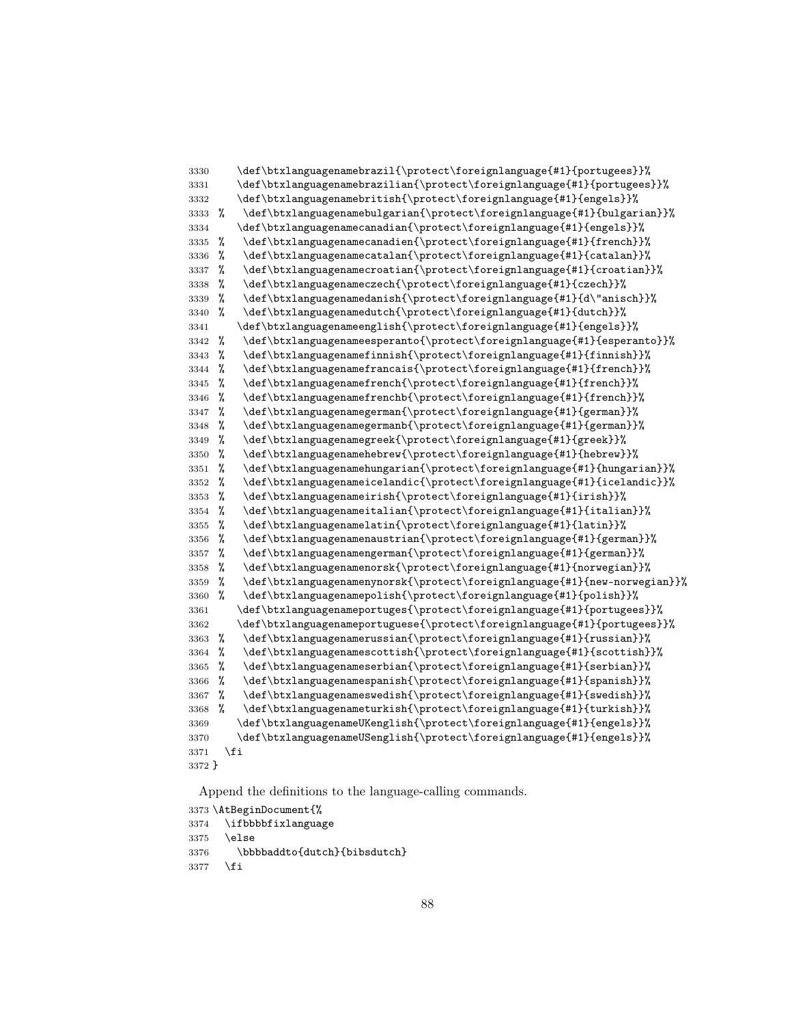```
3330 \def\btxlanguagenamebrazil{\protect\foreignlanguage{#1}{portugees}}%
3331 \def\btxlanguagenamebrazilian{\protect\foreignlanguage{#1}{portugees}}%
3332 \def\btxlanguagenamebritish{\protect\foreignlanguage{#1}{engels}}%
3333 % \def\btxlanguagenamebulgarian{\protect\foreignlanguage{#1}{bulgarian}}%
3334 \def\btxlanguagenamecanadian{\protect\foreignlanguage{#1}{engels}}%
3335 % \def\btxlanguagenamecanadien{\protect\foreignlanguage{#1}{french}}%
3336 % \def\btxlanguagenamecatalan{\protect\foreignlanguage{#1}{catalan}}%
3337 % \def\btxlanguagenamecroatian{\protect\foreignlanguage{#1}{croatian}}%
3338 % \def\btxlanguagenameczech{\protect\foreignlanguage{#1}{czech}}%
3339 % \def\btxlanguagenamedanish{\protect\foreignlanguage{#1}{d\"anisch}}%
3340 % \def\btxlanguagenamedutch{\protect\foreignlanguage{#1}{dutch}}%
3341 \def\btxlanguagenameenglish{\protect\foreignlanguage{#1}{engels}}%
3342 % \def\btxlanguagenameesperanto{\protect\foreignlanguage{#1}{esperanto}}%
3343 % \def\btxlanguagenamefinnish{\protect\foreignlanguage{#1}{finnish}}%
3344 % \def\btxlanguagenamefrancais{\protect\foreignlanguage{#1}{french}}%
3345 % \def\btxlanguagenamefrench{\protect\foreignlanguage{#1}{french}}%
3346 % \def\btxlanguagenamefrenchb{\protect\foreignlanguage{#1}{french}}%
3347 % \def\btxlanguagenamegerman{\protect\foreignlanguage{#1}{german}}%
3348 % \def\btxlanguagenamegermanb{\protect\foreignlanguage{#1}{german}}%
3349 % \def\btxlanguagenamegreek{\protect\foreignlanguage{#1}{greek}}%
3350 % \def\btxlanguagenamehebrew{\protect\foreignlanguage{#1}{hebrew}}%
3351 % \def\btxlanguagenamehungarian{\protect\foreignlanguage{#1}{hungarian}}%
3352 % \def\btxlanguagenameicelandic{\protect\foreignlanguage{#1}{icelandic}}%
3353 % \def\btxlanguagenameirish{\protect\foreignlanguage{#1}{irish}}%
3354 % \def\btxlanguagenameitalian{\protect\foreignlanguage{#1}{italian}}%
3355 % \def\btxlanguagenamelatin{\protect\foreignlanguage{#1}{latin}}%
3356 % \def\btxlanguagenamenaustrian{\protect\foreignlanguage{#1}{german}}%
3357 % \def\btxlanguagenamengerman{\protect\foreignlanguage{#1}{german}}%
3358 % \def\btxlanguagenamenorsk{\protect\foreignlanguage{#1}{norwegian}}%
3359 % \def\btxlanguagenamenynorsk{\protect\foreignlanguage{#1}{new-norwegian}}%
3360 % \def\btxlanguagenamepolish{\protect\foreignlanguage{#1}{polish}}%
3361 \def\btxlanguagenameportuges{\protect\foreignlanguage{#1}{portugees}}%
3362 \def\btxlanguagenameportuguese{\protect\foreignlanguage{#1}{portugees}}%
3363 % \def\btxlanguagenamerussian{\protect\foreignlanguage{#1}{russian}}%
3364 % \def\btxlanguagenamescottish{\protect\foreignlanguage{#1}{scottish}}%
3365 % \def\btxlanguagenameserbian{\protect\foreignlanguage{#1}{serbian}}%
3366 % \def\btxlanguagenamespanish{\protect\foreignlanguage{#1}{spanish}}%
3367 % \def\btxlanguagenameswedish{\protect\foreignlanguage{#1}{swedish}}%
3368 % \def\btxlanguagenameturkish{\protect\foreignlanguage{#1}{turkish}}%
3369 \def\btxlanguagenameUKenglish{\protect\foreignlanguage{#1}{engels}}%
3370 \def\btxlanguagenameUSenglish{\protect\foreignlanguage{#1}{engels}}%
3371 \fi
3372 }
```
\AtBeginDocument{%

```
3374 \ifbbbbfixlanguage
```
- \else
- \bbbbaddto{dutch}{bibsdutch}
- \fi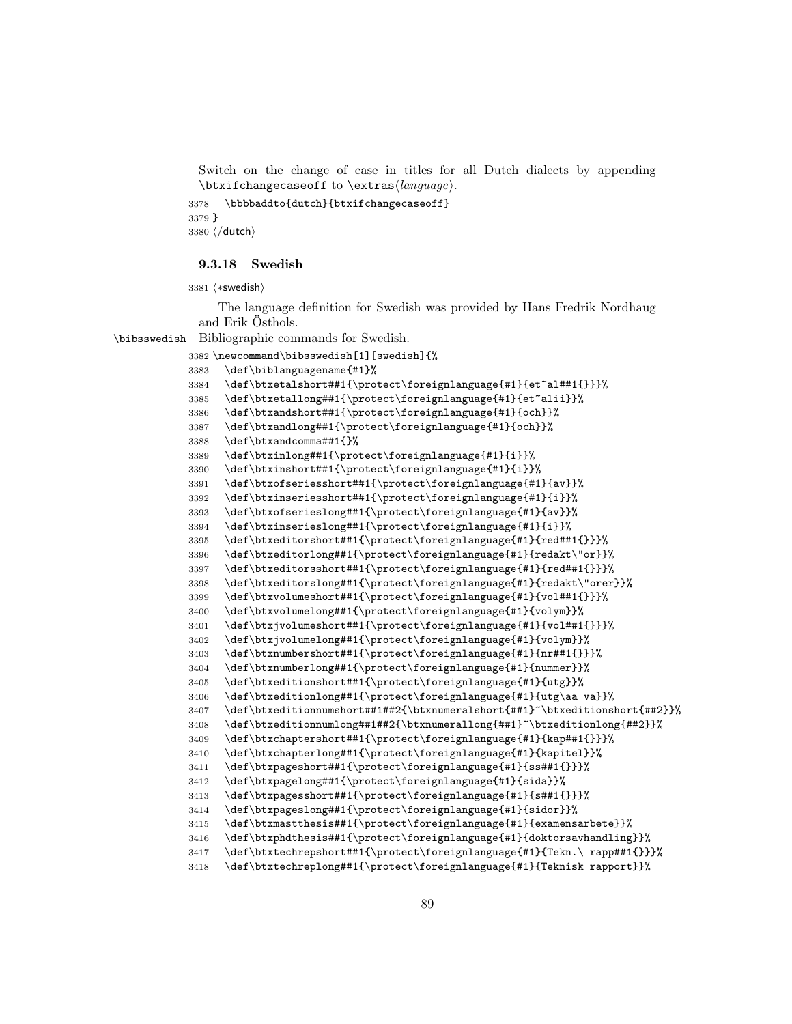Switch on the change of case in titles for all Dutch dialects by appending  $\text{changecase}$  to  $\text{change}$ .

 \bbbbaddto{dutch}{btxifchangecaseoff} } 3380 (/dutch)

## 9.3.18 Swedish

3381 (\*swedish)

The language definition for Swedish was provided by Hans Fredrik Nordhaug and Erik Östhols.

\bibsswedish Bibliographic commands for Swedish.

```
3382 \newcommand\bibsswedish[1][swedish]{%
3383 \def\biblanguagename{#1}%
3384 \def\btxetalshort##1{\protect\foreignlanguage{#1}{et~al##1{}}}%
3385 \def\btxetallong##1{\protect\foreignlanguage{#1}{et~alii}}%
3386 \def\btxandshort##1{\protect\foreignlanguage{#1}{och}}%
3387 \def\btxandlong##1{\protect\foreignlanguage{#1}{och}}%
3388 \def\btxandcomma##1{}%
3389 \def\btxinlong##1{\protect\foreignlanguage{#1}{i}}%
3390 \def\btxinshort##1{\protect\foreignlanguage{#1}{i}}%
3391 \def\btxofseriesshort##1{\protect\foreignlanguage{#1}{av}}%
3392 \def\btxinseriesshort##1{\protect\foreignlanguage{#1}{i}}%
3393 \def\btxofserieslong##1{\protect\foreignlanguage{#1}{av}}%
3394 \def\btxinserieslong##1{\protect\foreignlanguage{#1}{i}}%
3395 \def\btxeditorshort##1{\protect\foreignlanguage{#1}{red##1{}}}%
3396 \def\btxeditorlong##1{\protect\foreignlanguage{#1}{redakt\"or}}%
3397 \def\btxeditorsshort##1{\protect\foreignlanguage{#1}{red##1{}}}%
3398 \def\btxeditorslong##1{\protect\foreignlanguage{#1}{redakt\"orer}}%
3399 \def\btxvolumeshort##1{\protect\foreignlanguage{#1}{vol##1{}}}%
3400 \def\btxvolumelong##1{\protect\foreignlanguage{#1}{volym}}%
3401 \def\btxjvolumeshort##1{\protect\foreignlanguage{#1}{vol##1{}}}%
3402 \def\btxjvolumelong##1{\protect\foreignlanguage{#1}{volym}}%
3403 \def\btxnumbershort##1{\protect\foreignlanguage{#1}{nr##1{}}}%
3404 \def\btxnumberlong##1{\protect\foreignlanguage{#1}{nummer}}%
3405 \def\btxeditionshort##1{\protect\foreignlanguage{#1}{utg}}%
3406 \def\btxeditionlong##1{\protect\foreignlanguage{#1}{utg\aa va}}%
3407 \def\btxeditionnumshort##1##2{\btxnumeralshort{##1}~\btxeditionshort{##2}}%
3408 \def\btxeditionnumlong##1##2{\btxnumerallong{##1}~\btxeditionlong{##2}}%
3409 \def\btxchaptershort##1{\protect\foreignlanguage{#1}{kap##1{}}}%
3410 \def\btxchapterlong##1{\protect\foreignlanguage{#1}{kapitel}}%
3411 \def\btxpageshort##1{\protect\foreignlanguage{#1}{ss##1{}}}%
3412 \def\btxpagelong##1{\protect\foreignlanguage{#1}{sida}}%
3413 \def\btxpagesshort##1{\protect\foreignlanguage{#1}{s##1{}}}%
3414 \def\btxpageslong##1{\protect\foreignlanguage{#1}{sidor}}%
3415 \def\btxmastthesis##1{\protect\foreignlanguage{#1}{examensarbete}}%
3416 \def\btxphdthesis##1{\protect\foreignlanguage{#1}{doktorsavhandling}}%
3417 \def\btxtechrepshort##1{\protect\foreignlanguage{#1}{Tekn.\ rapp##1{}}}%
3418 \def\btxtechreplong##1{\protect\foreignlanguage{#1}{Teknisk rapport}}%
```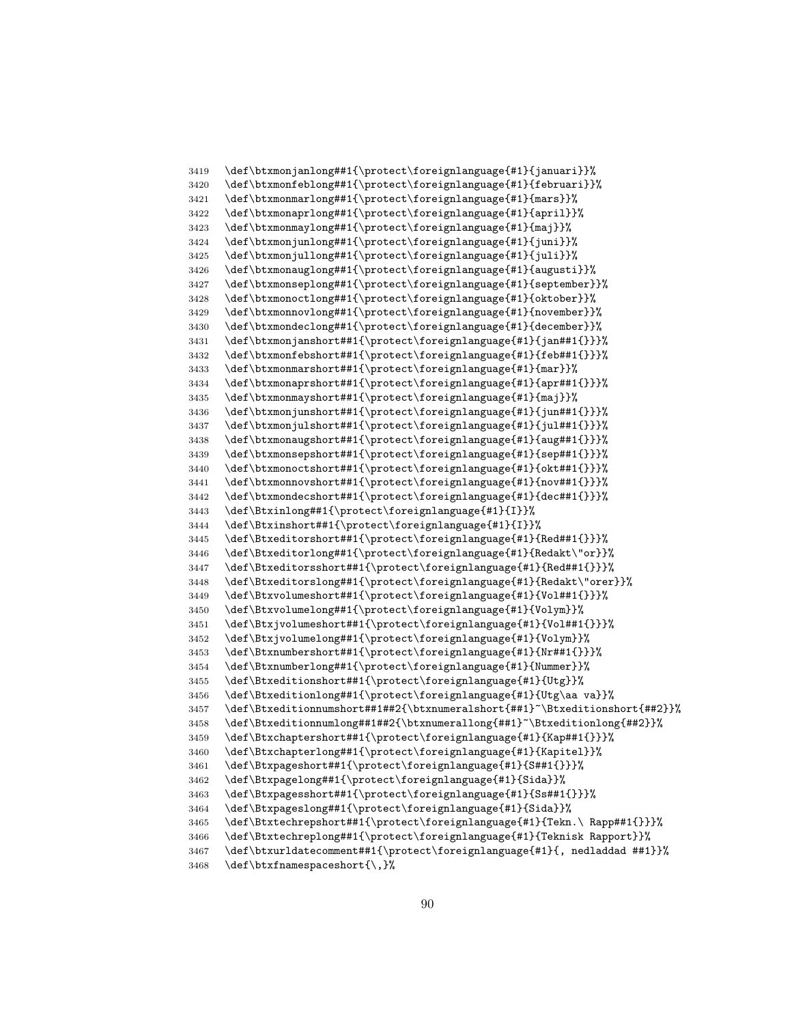```
3419 \def\btxmonjanlong##1{\protect\foreignlanguage{#1}{januari}}%
3420 \def\btxmonfeblong##1{\protect\foreignlanguage{#1}{februari}}%
3421 \def\btxmonmarlong##1{\protect\foreignlanguage{#1}{mars}}%
3422 \def\btxmonaprlong##1{\protect\foreignlanguage{#1}{april}}%
3423 \def\btxmonmaylong##1{\protect\foreignlanguage{#1}{maj}}%
3424 \def\btxmonjunlong##1{\protect\foreignlanguage{#1}{juni}}%
3425 \def\btxmonjullong##1{\protect\foreignlanguage{#1}{juli}}%
3426 \def\btxmonauglong##1{\protect\foreignlanguage{#1}{augusti}}%
3427 \def\btxmonseplong##1{\protect\foreignlanguage{#1}{september}}%
3428 \def\btxmonoctlong##1{\protect\foreignlanguage{#1}{oktober}}%
3429 \def\btxmonnovlong##1{\protect\foreignlanguage{#1}{november}}%
3430 \def\btxmondeclong##1{\protect\foreignlanguage{#1}{december}}%
3431 \def\btxmonjanshort##1{\protect\foreignlanguage{#1}{jan##1{}}}%
3432 \def\btxmonfebshort##1{\protect\foreignlanguage{#1}{feb##1{}}}%
3433 \def\btxmonmarshort##1{\protect\foreignlanguage{#1}{mar}}%
3434 \def\btxmonaprshort##1{\protect\foreignlanguage{#1}{apr##1{}}}%
      \def\btxmonmayshort##1{\protect\foreignlanguage{#1}{maj}}%
3436 \def\btxmonjunshort##1{\protect\foreignlanguage{#1}{jun##1{}}}%
3437 \def\btxmonjulshort##1{\protect\foreignlanguage{#1}{jul##1{}}}%
3438 \def\btxmonaugshort##1{\protect\foreignlanguage{#1}{aug##1{}}}%
3439 \def\btxmonsepshort##1{\protect\foreignlanguage{#1}{sep##1{}}}%
3440 \def\btxmonoctshort##1{\protect\foreignlanguage{#1}{okt##1{}}}%
3441 \def\btxmonnovshort##1{\protect\foreignlanguage{#1}{nov##1{}}}%
3442 \def\btxmondecshort##1{\protect\foreignlanguage{#1}{dec##1{}}}%
3443 \def\Btxinlong##1{\protect\foreignlanguage{#1}{I}}%
3444 \def\Btxinshort##1{\protect\foreignlanguage{#1}{I}}%
3445 \def\Btxeditorshort##1{\protect\foreignlanguage{#1}{Red##1{}}}%
3446 \def\Btxeditorlong##1{\protect\foreignlanguage{#1}{Redakt\"or}}%
3447 \def\Btxeditorsshort##1{\protect\foreignlanguage{#1}{Red##1{}}}%
3448 \def\Btxeditorslong##1{\protect\foreignlanguage{#1}{Redakt\"orer}}%
3449 \def\Btxvolumeshort##1{\protect\foreignlanguage{#1}{Vol##1{}}}%
3450 \def\Btxvolumelong##1{\protect\foreignlanguage{#1}{Volym}}%
3451 \def\Btxjvolumeshort##1{\protect\foreignlanguage{#1}{Vol##1{}}}%
3452 \def\Btxjvolumelong##1{\protect\foreignlanguage{#1}{Volym}}%
3453 \def\Btxnumbershort##1{\protect\foreignlanguage{#1}{Nr##1{}}}%
3454 \def\Btxnumberlong##1{\protect\foreignlanguage{#1}{Nummer}}%
3455 \def\Btxeditionshort##1{\protect\foreignlanguage{#1}{Utg}}%
3456 \def\Btxeditionlong##1{\protect\foreignlanguage{#1}{Utg\aa va}}%
3457 \def\Btxeditionnumshort##1##2{\btxnumeralshort{##1}~\Btxeditionshort{##2}}%
3458 \def\Btxeditionnumlong##1##2{\btxnumerallong{##1}~\Btxeditionlong{##2}}%
3459 \def\Btxchaptershort##1{\protect\foreignlanguage{#1}{Kap##1{}}}%
3460 \def\Btxchapterlong##1{\protect\foreignlanguage{#1}{Kapitel}}%
3461 \def\Btxpageshort##1{\protect\foreignlanguage{#1}{S##1{}}}%
3462 \def\Btxpagelong##1{\protect\foreignlanguage{#1}{Sida}}%
3463 \def\Btxpagesshort##1{\protect\foreignlanguage{#1}{Ss##1{}}}%
3464 \def\Btxpageslong##1{\protect\foreignlanguage{#1}{Sida}}%
3465 \def\Btxtechrepshort##1{\protect\foreignlanguage{#1}{Tekn.\ Rapp##1{}}}%
3466 \def\Btxtechreplong##1{\protect\foreignlanguage{#1}{Teknisk Rapport}}%
3467 \def\btxurldatecomment##1{\protect\foreignlanguage{#1}{, nedladdad ##1}}%
3468 \def\btxfnamespaceshort{\,}%
```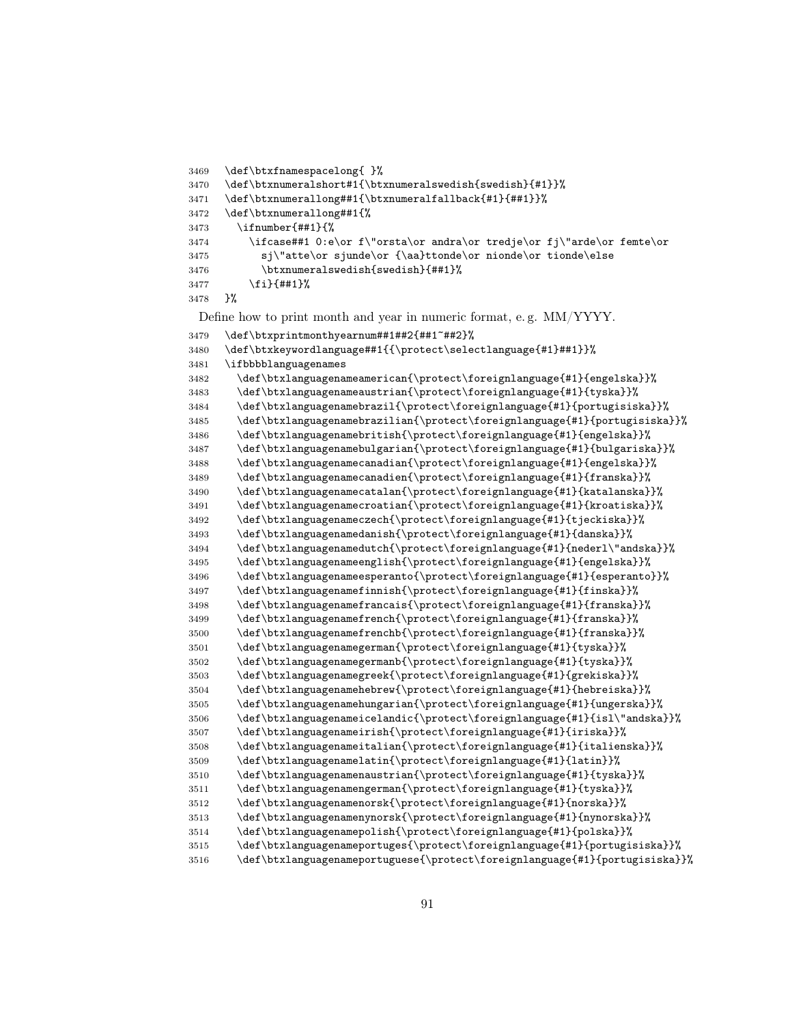```
3473 \ifnumber{##1}{%
3474 \ifcase##1 0:e\or f\"orsta\or andra\or tredje\or fj\"arde\or femte\or
3475 sj\"atte\or sjunde\or {\aa}ttonde\or nionde\or tionde\else
3476 \btxnumeralswedish{swedish}{##1}%
3477 \fi}{##1}%
3478 }%
 Define how to print month and year in numeric format, e. g. MM/YYYY.
3479 \def\btxprintmonthyearnum##1##2{##1~##2}%
3480 \def\btxkeywordlanguage##1{{\protect\selectlanguage{#1}##1}}%
3481 \ifbbbblanguagenames
3482 \def\btxlanguagenameamerican{\protect\foreignlanguage{#1}{engelska}}%
3483 \def\btxlanguagenameaustrian{\protect\foreignlanguage{#1}{tyska}}%
3484 \def\btxlanguagenamebrazil{\protect\foreignlanguage{#1}{portugisiska}}%
3485 \def\btxlanguagenamebrazilian{\protect\foreignlanguage{#1}{portugisiska}}%
3486 \def\btxlanguagenamebritish{\protect\foreignlanguage{#1}{engelska}}%
3487 \def\btxlanguagenamebulgarian{\protect\foreignlanguage{#1}{bulgariska}}%
3488 \def\btxlanguagenamecanadian{\protect\foreignlanguage{#1}{engelska}}%
3489 \def\btxlanguagenamecanadien{\protect\foreignlanguage{#1}{franska}}%
3490 \def\btxlanguagenamecatalan{\protect\foreignlanguage{#1}{katalanska}}%
3491 \def\btxlanguagenamecroatian{\protect\foreignlanguage{#1}{kroatiska}}%
3492 \def\btxlanguagenameczech{\protect\foreignlanguage{#1}{tjeckiska}}%
3493 \def\btxlanguagenamedanish{\protect\foreignlanguage{#1}{danska}}%
3494 \def\btxlanguagenamedutch{\protect\foreignlanguage{#1}{nederl\"andska}}%
3495 \def\btxlanguagenameenglish{\protect\foreignlanguage{#1}{engelska}}%
3496 \def\btxlanguagenameesperanto{\protect\foreignlanguage{#1}{esperanto}}%
3497 \def\btxlanguagenamefinnish{\protect\foreignlanguage{#1}{finska}}%
3498 \def\btxlanguagenamefrancais{\protect\foreignlanguage{#1}{franska}}%
3499 \def\btxlanguagenamefrench{\protect\foreignlanguage{#1}{franska}}%
3500 \def\btxlanguagenamefrenchb{\protect\foreignlanguage{#1}{franska}}%
3501 \def\btxlanguagenamegerman{\protect\foreignlanguage{#1}{tyska}}%
3502 \def\btxlanguagenamegermanb{\protect\foreignlanguage{#1}{tyska}}%
3503 \def\btxlanguagenamegreek{\protect\foreignlanguage{#1}{grekiska}}%
3504 \def\btxlanguagenamehebrew{\protect\foreignlanguage{#1}{hebreiska}}%
3505 \def\btxlanguagenamehungarian{\protect\foreignlanguage{#1}{ungerska}}%
3506 \def\btxlanguagenameicelandic{\protect\foreignlanguage{#1}{isl\"andska}}%
3507 \def\btxlanguagenameirish{\protect\foreignlanguage{#1}{iriska}}%
3508 \def\btxlanguagenameitalian{\protect\foreignlanguage{#1}{italienska}}%
3509 \def\btxlanguagenamelatin{\protect\foreignlanguage{#1}{latin}}%
3510 \def\btxlanguagenamenaustrian{\protect\foreignlanguage{#1}{tyska}}%
3511 \def\btxlanguagenamengerman{\protect\foreignlanguage{#1}{tyska}}%
3512 \def\btxlanguagenamenorsk{\protect\foreignlanguage{#1}{norska}}%
3513 \def\btxlanguagenamenynorsk{\protect\foreignlanguage{#1}{nynorska}}%
3514 \def\btxlanguagenamepolish{\protect\foreignlanguage{#1}{polska}}%
3515 \def\btxlanguagenameportuges{\protect\foreignlanguage{#1}{portugisiska}}%
3516 \def\btxlanguagenameportuguese{\protect\foreignlanguage{#1}{portugisiska}}%
```
\def\btxfnamespacelong{ }%

\def\btxnumerallong##1{%

 \def\btxnumeralshort#1{\btxnumeralswedish{swedish}{#1}}% \def\btxnumerallong##1{\btxnumeralfallback{#1}{##1}}%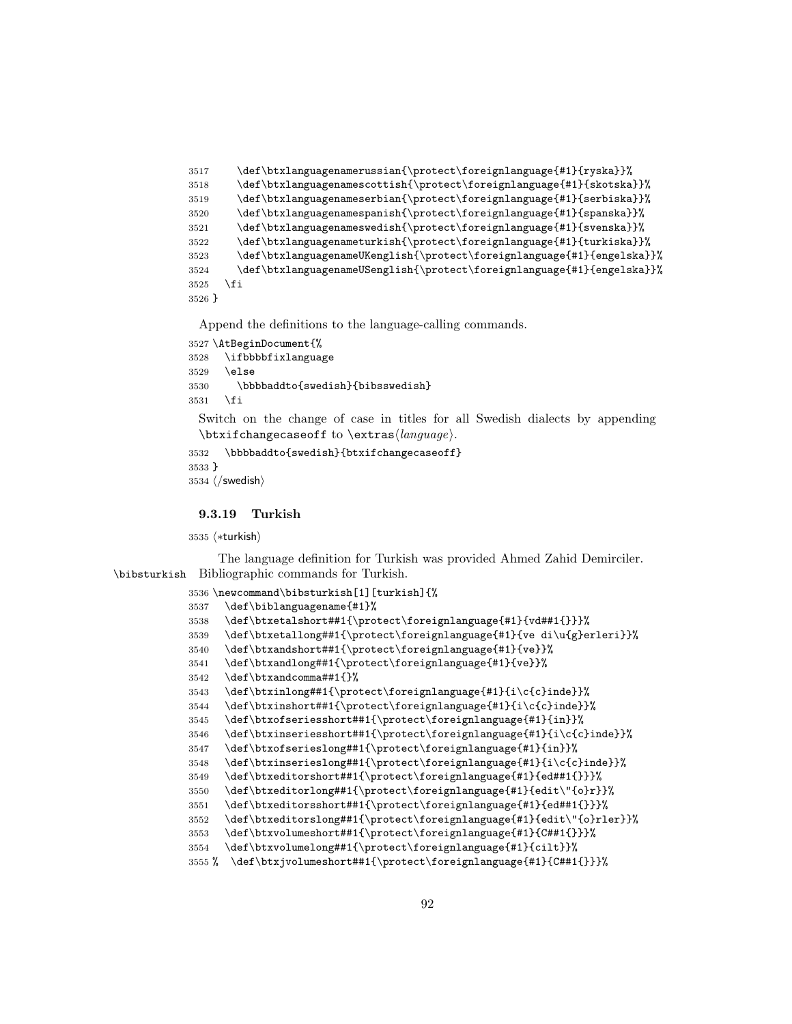```
3517 \def\btxlanguagenamerussian{\protect\foreignlanguage{#1}{ryska}}%
3518 \def\btxlanguagenamescottish{\protect\foreignlanguage{#1}{skotska}}%
3519 \def\btxlanguagenameserbian{\protect\foreignlanguage{#1}{serbiska}}%
3520 \def\btxlanguagenamespanish{\protect\foreignlanguage{#1}{spanska}}%
3521 \def\btxlanguagenameswedish{\protect\foreignlanguage{#1}{svenska}}%
3522 \def\btxlanguagenameturkish{\protect\foreignlanguage{#1}{turkiska}}%
3523 \def\btxlanguagenameUKenglish{\protect\foreignlanguage{#1}{engelska}}%
3524 \def\btxlanguagenameUSenglish{\protect\foreignlanguage{#1}{engelska}}%
3525 \fi
3526 }
```

```
3527 \AtBeginDocument{%
3528 \ifbbbbfixlanguage
3529 \else
3530 \bbbbaddto{swedish}{bibsswedish}
3531 \fi
 Switch on the change of case in titles for all Swedish dialects by appending
 \text{changecase} to \text{change}.
```

```
3532 \bbbbaddto{swedish}{btxifchangecaseoff}
3533 }
3534 \; \langle/swedish\rangle
```
9.3.19 Turkish

3535 (\*turkish)

The language definition for Turkish was provided Ahmed Zahid Demirciler. \bibsturkish Bibliographic commands for Turkish.

```
3536 \newcommand\bibsturkish[1][turkish]{%
3537 \def\biblanguagename{#1}%
3538 \def\btxetalshort##1{\protect\foreignlanguage{#1}{vd##1{}}}%
3539 \def\btxetallong##1{\protect\foreignlanguage{#1}{ve di\u{g}erleri}}%
3540 \def\btxandshort##1{\protect\foreignlanguage{#1}{ve}}%
3541 \def\btxandlong##1{\protect\foreignlanguage{#1}{ve}}%
3542 \def\btxandcomma##1{}%
3543 \def\btxinlong##1{\protect\foreignlanguage{#1}{i\c{c}inde}}%
3544 \def\btxinshort##1{\protect\foreignlanguage{#1}{i\c{c}inde}}%
3545 \def\btxofseriesshort##1{\protect\foreignlanguage{#1}{in}}%
3546 \def\btxinseriesshort##1{\protect\foreignlanguage{#1}{i\c{c}inde}}%
3547 \def\btxofserieslong##1{\protect\foreignlanguage{#1}{in}}%
3548 \def\btxinserieslong##1{\protect\foreignlanguage{#1}{i\c{c}inde}}%
3549 \def\btxeditorshort##1{\protect\foreignlanguage{#1}{ed##1{}}}%
3550 \def\btxeditorlong##1{\protect\foreignlanguage{#1}{edit\"{o}r}}%
3551 \def\btxeditorsshort##1{\protect\foreignlanguage{#1}{ed##1{}}}%
3552 \def\btxeditorslong##1{\protect\foreignlanguage{#1}{edit\"{o}rler}}%
3553 \def\btxvolumeshort##1{\protect\foreignlanguage{#1}{C##1{}}}%
3554 \def\btxvolumelong##1{\protect\foreignlanguage{#1}{cilt}}%
3555 % \def\btxjvolumeshort##1{\protect\foreignlanguage{#1}{C##1{}}}%
```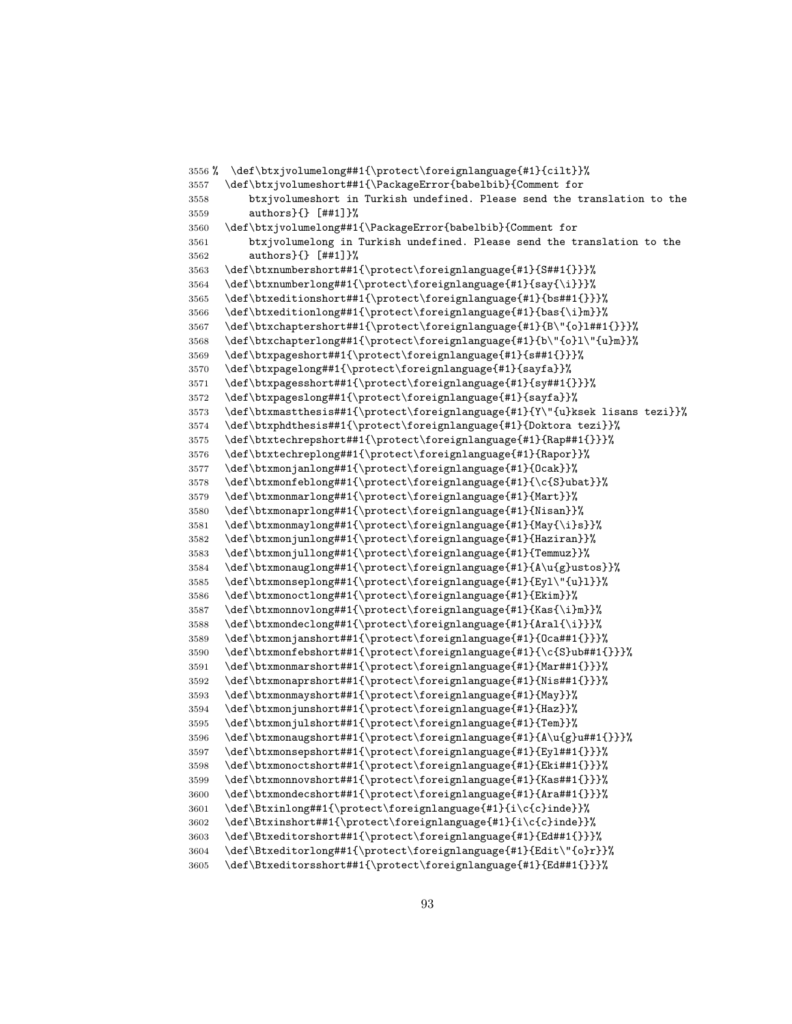```
3556 % \def\btxjvolumelong##1{\protect\foreignlanguage{#1}{cilt}}%
3557 \def\btxjvolumeshort##1{\PackageError{babelbib}{Comment for
3558 btxjvolumeshort in Turkish undefined. Please send the translation to the
3559 authors}{} [##1]}%
3560 \def\btxjvolumelong##1{\PackageError{babelbib}{Comment for
3561 btxjvolumelong in Turkish undefined. Please send the translation to the
3562 authors}{} [##1]}%
3563 \def\btxnumbershort##1{\protect\foreignlanguage{#1}{S##1{}}}%
3564 \def\btxnumberlong##1{\protect\foreignlanguage{#1}{say{\i}}}%
3565 \def\btxeditionshort##1{\protect\foreignlanguage{#1}{bs##1{}}}%
3566 \def\btxeditionlong##1{\protect\foreignlanguage{#1}{bas{\i}m}}%
3567 \def\btxchaptershort##1{\protect\foreignlanguage{#1}{B\"{o}l##1{}}}%
3568 \def\btxchapterlong##1{\protect\foreignlanguage{#1}{b\"{o}l\"{u}m}}%
3569 \def\btxpageshort##1{\protect\foreignlanguage{#1}{s##1{}}}%
3570 \def\btxpagelong##1{\protect\foreignlanguage{#1}{sayfa}}%
3571 \def\btxpagesshort##1{\protect\foreignlanguage{#1}{sy##1{}}}%
3572 \def\btxpageslong##1{\protect\foreignlanguage{#1}{sayfa}}%
3573 \def\btxmastthesis##1{\protect\foreignlanguage{#1}{Y\"{u}ksek lisans tezi}}%
3574 \def\btxphdthesis##1{\protect\foreignlanguage{#1}{Doktora tezi}}%
3575 \def\btxtechrepshort##1{\protect\foreignlanguage{#1}{Rap##1{}}}%
3576 \def\btxtechreplong##1{\protect\foreignlanguage{#1}{Rapor}}%
3577 \def\btxmonjanlong##1{\protect\foreignlanguage{#1}{Ocak}}%
3578 \def\btxmonfeblong##1{\protect\foreignlanguage{#1}{\c{S}ubat}}%
3579 \def\btxmonmarlong##1{\protect\foreignlanguage{#1}{Mart}}%
3580 \def\btxmonaprlong##1{\protect\foreignlanguage{#1}{Nisan}}%
3581 \def\btxmonmaylong##1{\protect\foreignlanguage{#1}{May{\i}s}}%
3582 \def\btxmonjunlong##1{\protect\foreignlanguage{#1}{Haziran}}%
3583 \def\btxmonjullong##1{\protect\foreignlanguage{#1}{Temmuz}}%
3584 \def\btxmonauglong##1{\protect\foreignlanguage{#1}{A\u{g}ustos}}%
3585 \def\btxmonseplong##1{\protect\foreignlanguage{#1}{Eyl\"{u}l}}%
3586 \def\btxmonoctlong##1{\protect\foreignlanguage{#1}{Ekim}}%
3587 \def\btxmonnovlong##1{\protect\foreignlanguage{#1}{Kas{\i}m}}%
3588 \def\btxmondeclong##1{\protect\foreignlanguage{#1}{Aral{\i}}}%
3589 \def\btxmonjanshort##1{\protect\foreignlanguage{#1}{Oca##1{}}}%
3590 \def\btxmonfebshort##1{\protect\foreignlanguage{#1}{\c{S}ub##1{}}}%
3591 \def\btxmonmarshort##1{\protect\foreignlanguage{#1}{Mar##1{}}}%
3592 \def\btxmonaprshort##1{\protect\foreignlanguage{#1}{Nis##1{}}}%
3593 \def\btxmonmayshort##1{\protect\foreignlanguage{#1}{May}}%
3594 \def\btxmonjunshort##1{\protect\foreignlanguage{#1}{Haz}}%
3595 \def\btxmonjulshort##1{\protect\foreignlanguage{#1}{Tem}}%
3596 \def\btxmonaugshort##1{\protect\foreignlanguage{#1}{A\u{g}u##1{}}}%
3597 \def\btxmonsepshort##1{\protect\foreignlanguage{#1}{Eyl##1{}}}%
3598 \def\btxmonoctshort##1{\protect\foreignlanguage{#1}{Eki##1{}}}%
3599 \def\btxmonnovshort##1{\protect\foreignlanguage{#1}{Kas##1{}}}%
3600 \def\btxmondecshort##1{\protect\foreignlanguage{#1}{Ara##1{}}}%
3601 \def\Btxinlong##1{\protect\foreignlanguage{#1}{i\c{c}inde}}%
3602 \def\Btxinshort##1{\protect\foreignlanguage{#1}{i\c{c}inde}}%
3603 \def\Btxeditorshort##1{\protect\foreignlanguage{#1}{Ed##1{}}}%
3604 \def\Btxeditorlong##1{\protect\foreignlanguage{#1}{Edit\"{o}r}}%
3605 \def\Btxeditorsshort##1{\protect\foreignlanguage{#1}{Ed##1{}}}%
```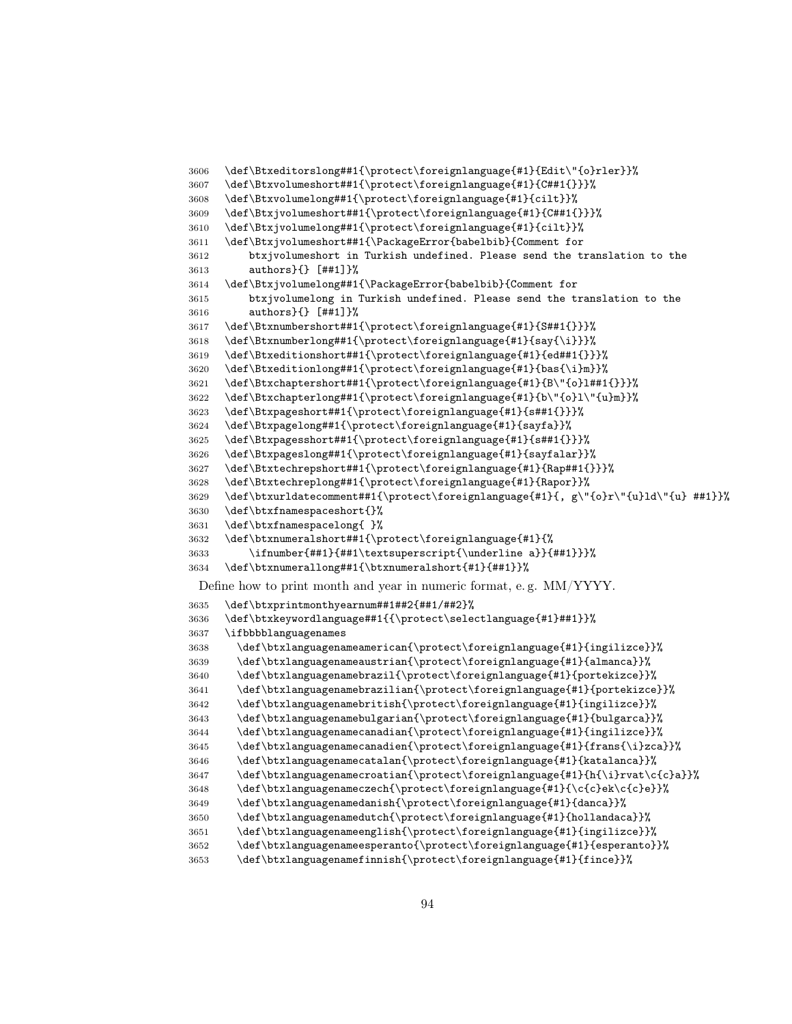```
3606 \def\Btxeditorslong##1{\protect\foreignlanguage{#1}{Edit\"{o}rler}}%
3607 \def\Btxvolumeshort##1{\protect\foreignlanguage{#1}{C##1{}}}%
3608 \def\Btxvolumelong##1{\protect\foreignlanguage{#1}{cilt}}%
3609 \def\Btxjvolumeshort##1{\protect\foreignlanguage{#1}{C##1{}}}%
3610 \def\Btxjvolumelong##1{\protect\foreignlanguage{#1}{cilt}}%
3611 \def\Btxjvolumeshort##1{\PackageError{babelbib}{Comment for
3612 btxjvolumeshort in Turkish undefined. Please send the translation to the
3613 authors}{} [##1]}%
3614 \def\Btxjvolumelong##1{\PackageError{babelbib}{Comment for
3615 btxjvolumelong in Turkish undefined. Please send the translation to the
3616 authors}{} [##1]}%
3617 \def\Btxnumbershort##1{\protect\foreignlanguage{#1}{S##1{}}}%
3618 \def\Btxnumberlong##1{\protect\foreignlanguage{#1}{say{\i}}}%
3619 \def\Btxeditionshort##1{\protect\foreignlanguage{#1}{ed##1{}}}%
3620 \def\Btxeditionlong##1{\protect\foreignlanguage{#1}{bas{\i}m}}%
3621 \def\Btxchaptershort##1{\protect\foreignlanguage{#1}{B\"{o}l##1{}}}%
3622 \def\Btxchapterlong##1{\protect\foreignlanguage{#1}{b\"{o}l\"{u}m}}%
3623 \def\Btxpageshort##1{\protect\foreignlanguage{#1}{s##1{}}}%
3624 \def\Btxpagelong##1{\protect\foreignlanguage{#1}{sayfa}}%
3625 \def\Btxpagesshort##1{\protect\foreignlanguage{#1}{s##1{}}}%
3626 \def\Btxpageslong##1{\protect\foreignlanguage{#1}{sayfalar}}%
3627 \def\Btxtechrepshort##1{\protect\foreignlanguage{#1}{Rap##1{}}}%
3628 \def\Btxtechreplong##1{\protect\foreignlanguage{#1}{Rapor}}%
3629 \def\btxurldatecomment##1{\protect\foreignlanguage{#1}{, g\"{o}r\"{u}ld\"{u} ##1}}%
3630 \def\btxfnamespaceshort{}%
3631 \def\btxfnamespacelong{ }%
3632 \def\btxnumeralshort##1{\protect\foreignlanguage{#1}{%
3633 \ifnumber{##1}{##1\textsuperscript{\underline a}}{##1}}}%
3634 \def\btxnumerallong##1{\btxnumeralshort{#1}{##1}}%
 Define how to print month and year in numeric format, e. g. MM/YYYY.
3635 \def\btxprintmonthyearnum##1##2{##1/##2}%
3636 \def\btxkeywordlanguage##1{{\protect\selectlanguage{#1}##1}}%
3637 \ifbbbblanguagenames
3638 \def\btxlanguagenameamerican{\protect\foreignlanguage{#1}{ingilizce}}%
3639 \def\btxlanguagenameaustrian{\protect\foreignlanguage{#1}{almanca}}%
3640 \def\btxlanguagenamebrazil{\protect\foreignlanguage{#1}{portekizce}}%
3641 \def\btxlanguagenamebrazilian{\protect\foreignlanguage{#1}{portekizce}}%
3642 \def\btxlanguagenamebritish{\protect\foreignlanguage{#1}{ingilizce}}%
3643 \def\btxlanguagenamebulgarian{\protect\foreignlanguage{#1}{bulgarca}}%
3644 \def\btxlanguagenamecanadian{\protect\foreignlanguage{#1}{ingilizce}}%
3645 \def\btxlanguagenamecanadien{\protect\foreignlanguage{#1}{frans{\i}zca}}%
3646 \def\btxlanguagenamecatalan{\protect\foreignlanguage{#1}{katalanca}}%
3647 \def\btxlanguagenamecroatian{\protect\foreignlanguage{#1}{h{\i}rvat\c{c}a}}%
3648 \def\btxlanguagenameczech{\protect\foreignlanguage{#1}{\c{c}ek\c{c}e}}%
3649 \def\btxlanguagenamedanish{\protect\foreignlanguage{#1}{danca}}%
3650 \def\btxlanguagenamedutch{\protect\foreignlanguage{#1}{hollandaca}}%
3651 \def\btxlanguagenameenglish{\protect\foreignlanguage{#1}{ingilizce}}%
3652 \def\btxlanguagenameesperanto{\protect\foreignlanguage{#1}{esperanto}}%
3653 \def\btxlanguagenamefinnish{\protect\foreignlanguage{#1}{fince}}%
```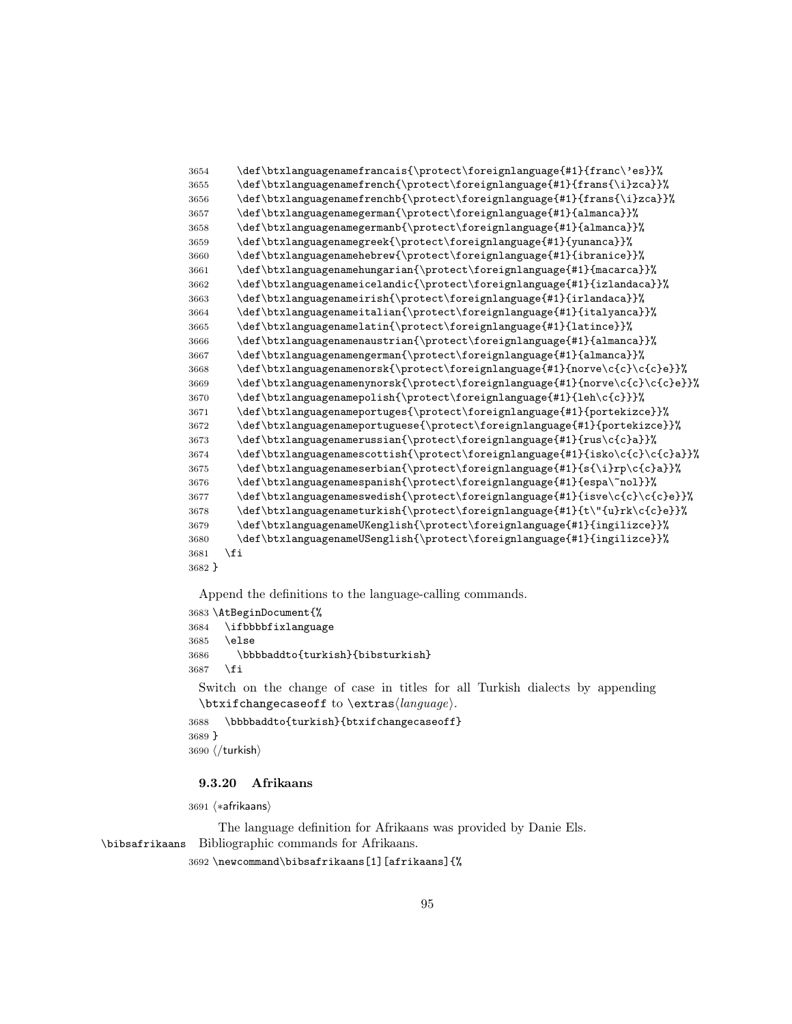```
3654 \def\btxlanguagenamefrancais{\protect\foreignlanguage{#1}{franc\'es}}%
3655 \def\btxlanguagenamefrench{\protect\foreignlanguage{#1}{frans{\i}zca}}%
3656 \def\btxlanguagenamefrenchb{\protect\foreignlanguage{#1}{frans{\i}zca}}%
3657 \def\btxlanguagenamegerman{\protect\foreignlanguage{#1}{almanca}}%
3658 \def\btxlanguagenamegermanb{\protect\foreignlanguage{#1}{almanca}}%
3659 \def\btxlanguagenamegreek{\protect\foreignlanguage{#1}{yunanca}}%
3660 \def\btxlanguagenamehebrew{\protect\foreignlanguage{#1}{ibranice}}%
3661 \def\btxlanguagenamehungarian{\protect\foreignlanguage{#1}{macarca}}%
3662 \def\btxlanguagenameicelandic{\protect\foreignlanguage{#1}{izlandaca}}%
3663 \def\btxlanguagenameirish{\protect\foreignlanguage{#1}{irlandaca}}%
3664 \def\btxlanguagenameitalian{\protect\foreignlanguage{#1}{italyanca}}%
3665 \def\btxlanguagenamelatin{\protect\foreignlanguage{#1}{latince}}%
3666 \def\btxlanguagenamenaustrian{\protect\foreignlanguage{#1}{almanca}}%
3667 \def\btxlanguagenamengerman{\protect\foreignlanguage{#1}{almanca}}%
3668 \def\btxlanguagenamenorsk{\protect\foreignlanguage{#1}{norve\c{c}\c{c}e}}%
3669 \def\btxlanguagenamenynorsk{\protect\foreignlanguage{#1}{norve\c{c}\c{c}e}}%
3670 \def\btxlanguagenamepolish{\protect\foreignlanguage{#1}{leh\c{c}}}%
3671 \def\btxlanguagenameportuges{\protect\foreignlanguage{#1}{portekizce}}%
3672 \def\btxlanguagenameportuguese{\protect\foreignlanguage{#1}{portekizce}}%
3673 \def\btxlanguagenamerussian{\protect\foreignlanguage{#1}{rus\c{c}a}}%
3674 \def\btxlanguagenamescottish{\protect\foreignlanguage{#1}{isko\c{c}\c{c}a}}%
3675 \def\btxlanguagenameserbian{\protect\foreignlanguage{#1}{s{\i}rp\c{c}a}}%
3676 \def\btxlanguagenamespanish{\protect\foreignlanguage{#1}{espa\~nol}}%
3677 \def\btxlanguagenameswedish{\protect\foreignlanguage{#1}{isve\c{c}\c{c}e}}%
3678 \def\btxlanguagenameturkish{\protect\foreignlanguage{#1}{t\"{u}rk\c{c}e}}%
3679 \def\btxlanguagenameUKenglish{\protect\foreignlanguage{#1}{ingilizce}}%
3680 \def\btxlanguagenameUSenglish{\protect\foreignlanguage{#1}{ingilizce}}%
3681 \fi
3682 }
```

```
3683 \AtBeginDocument{%
3684 \ifbbbbfixlanguage
3685 \else
3686 \bbbbaddto{turkish}{bibsturkish}
3687 \fi
```
Switch on the change of case in titles for all Turkish dialects by appending  $\text{changecase}$  to  $\text{change}$ .

```
3688 \bbbbaddto{turkish}{btxifchangecaseoff}
3689 }
3690 \; \langle/turkish\rangle
```
## 9.3.20 Afrikaans

3691 (\*afrikaans)

The language definition for Afrikaans was provided by Danie Els. \bibsafrikaans Bibliographic commands for Afrikaans.

\newcommand\bibsafrikaans[1][afrikaans]{%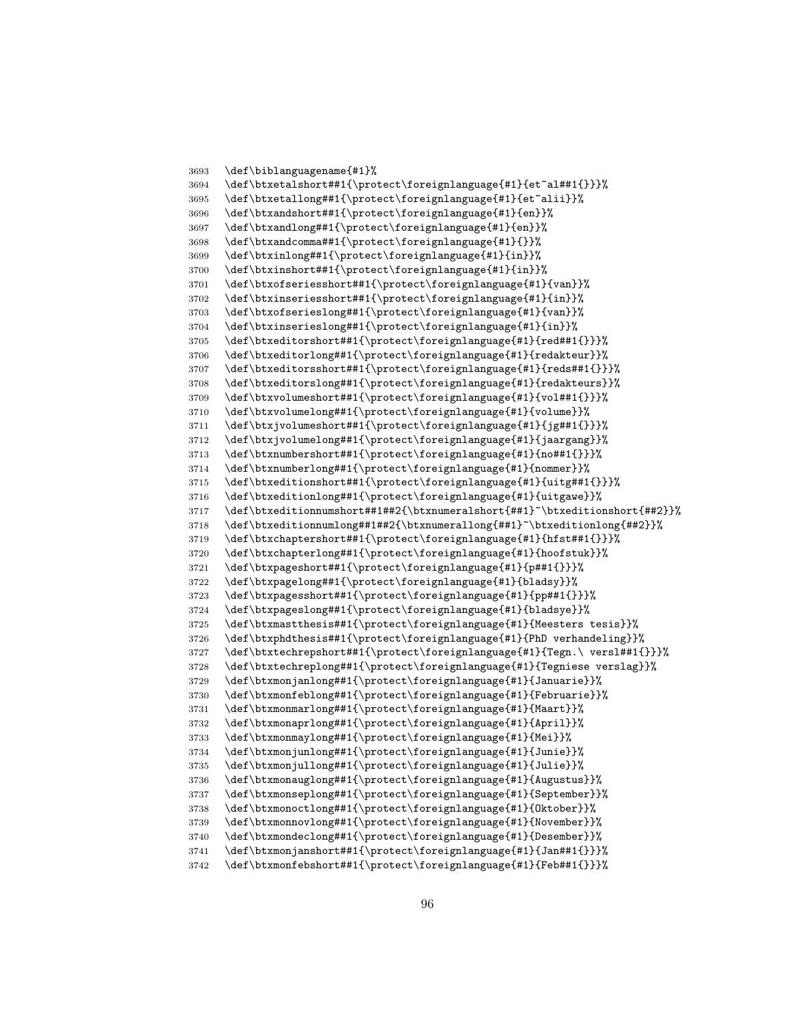```
3693 \def\biblanguagename{#1}%
3694 \def\btxetalshort##1{\protect\foreignlanguage{#1}{et~al##1{}}}%
3695 \def\btxetallong##1{\protect\foreignlanguage{#1}{et~alii}}%
3696 \def\btxandshort##1{\protect\foreignlanguage{#1}{en}}%
3697 \def\btxandlong##1{\protect\foreignlanguage{#1}{en}}%
3698 \def\btxandcomma##1{\protect\foreignlanguage{#1}{}}%
3699 \def\btxinlong##1{\protect\foreignlanguage{#1}{in}}%
3700 \def\btxinshort##1{\protect\foreignlanguage{#1}{in}}%
3701 \def\btxofseriesshort##1{\protect\foreignlanguage{#1}{van}}%
3702 \def\btxinseriesshort##1{\protect\foreignlanguage{#1}{in}}%
3703 \def\btxofserieslong##1{\protect\foreignlanguage{#1}{van}}%
3704 \def\btxinserieslong##1{\protect\foreignlanguage{#1}{in}}%
3705 \def\btxeditorshort##1{\protect\foreignlanguage{#1}{red##1{}}}%
3706 \def\btxeditorlong##1{\protect\foreignlanguage{#1}{redakteur}}%
3707 \def\btxeditorsshort##1{\protect\foreignlanguage{#1}{reds##1{}}}%
3708 \def\btxeditorslong##1{\protect\foreignlanguage{#1}{redakteurs}}%
3709 \def\btxvolumeshort##1{\protect\foreignlanguage{#1}{vol##1{}}}%
3710 \def\btxvolumelong##1{\protect\foreignlanguage{#1}{volume}}%
3711 \def\btxjvolumeshort##1{\protect\foreignlanguage{#1}{jg##1{}}}%
3712 \def\btxjvolumelong##1{\protect\foreignlanguage{#1}{jaargang}}%
3713 \def\btxnumbershort##1{\protect\foreignlanguage{#1}{no##1{}}}%
3714 \def\btxnumberlong##1{\protect\foreignlanguage{#1}{nommer}}%
3715 \def\btxeditionshort##1{\protect\foreignlanguage{#1}{uitg##1{}}}%
3716 \def\btxeditionlong##1{\protect\foreignlanguage{#1}{uitgawe}}%
3717 \def\btxeditionnumshort##1##2{\btxnumeralshort{##1}~\btxeditionshort{##2}}%
3718 \def\btxeditionnumlong##1##2{\btxnumerallong{##1}~\btxeditionlong{##2}}%
3719 \def\btxchaptershort##1{\protect\foreignlanguage{#1}{hfst##1{}}}%
3720 \def\btxchapterlong##1{\protect\foreignlanguage{#1}{hoofstuk}}%
3721 \def\btxpageshort##1{\protect\foreignlanguage{#1}{p##1{}}}%
3722 \def\btxpagelong##1{\protect\foreignlanguage{#1}{bladsy}}%
3723 \def\btxpagesshort##1{\protect\foreignlanguage{#1}{pp##1{}}}%
3724 \def\btxpageslong##1{\protect\foreignlanguage{#1}{bladsye}}%
3725 \def\btxmastthesis##1{\protect\foreignlanguage{#1}{Meesters tesis}}%
3726 \def\btxphdthesis##1{\protect\foreignlanguage{#1}{PhD verhandeling}}%
3727 \def\btxtechrepshort##1{\protect\foreignlanguage{#1}{Tegn.\ versl##1{}}}%
3728 \def\btxtechreplong##1{\protect\foreignlanguage{#1}{Tegniese verslag}}%
3729 \def\btxmonjanlong##1{\protect\foreignlanguage{#1}{Januarie}}%
3730 \def\btxmonfeblong##1{\protect\foreignlanguage{#1}{Februarie}}%
3731 \def\btxmonmarlong##1{\protect\foreignlanguage{#1}{Maart}}%
3732 \def\btxmonaprlong##1{\protect\foreignlanguage{#1}{April}}%
3733 \def\btxmonmaylong##1{\protect\foreignlanguage{#1}{Mei}}%
3734 \def\btxmonjunlong##1{\protect\foreignlanguage{#1}{Junie}}%
3735 \def\btxmonjullong##1{\protect\foreignlanguage{#1}{Julie}}%
3736 \def\btxmonauglong##1{\protect\foreignlanguage{#1}{Augustus}}%
3737 \def\btxmonseplong##1{\protect\foreignlanguage{#1}{September}}%
3738 \def\btxmonoctlong##1{\protect\foreignlanguage{#1}{Oktober}}%
3739 \def\btxmonnovlong##1{\protect\foreignlanguage{#1}{November}}%
3740 \def\btxmondeclong##1{\protect\foreignlanguage{#1}{Desember}}%
3741 \def\btxmonjanshort##1{\protect\foreignlanguage{#1}{Jan##1{}}}%
3742 \def\btxmonfebshort##1{\protect\foreignlanguage{#1}{Feb##1{}}}%
```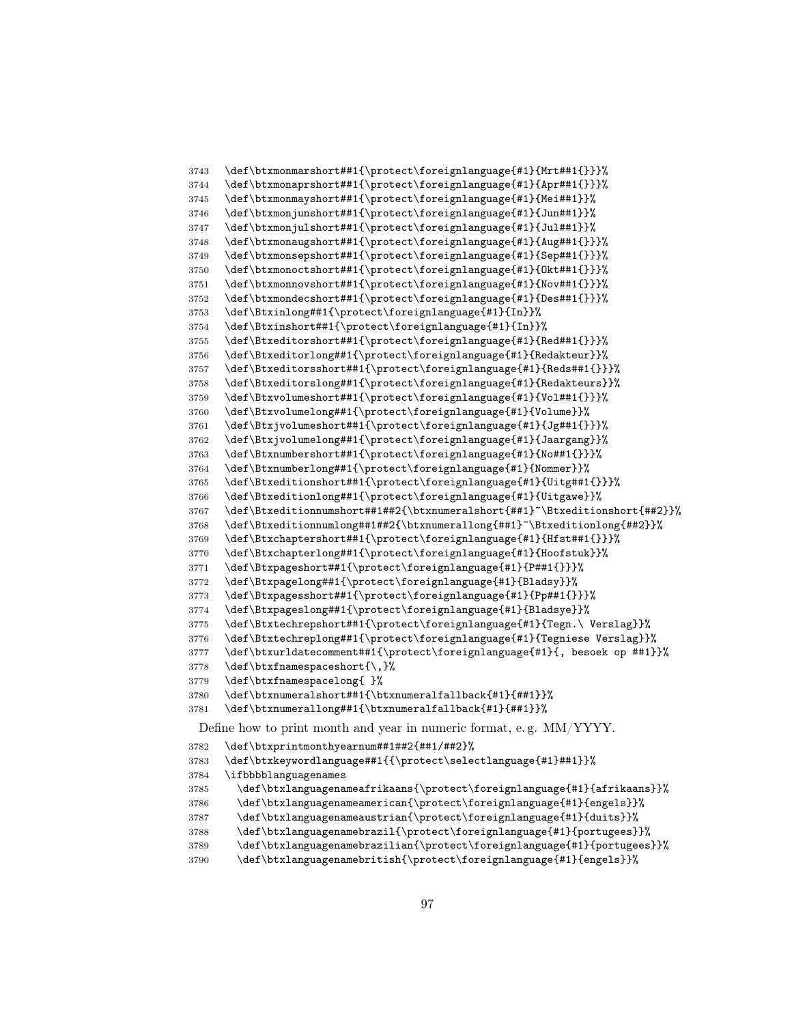```
3743 \def\btxmonmarshort##1{\protect\foreignlanguage{#1}{Mrt##1{}}}%
3744 \def\btxmonaprshort##1{\protect\foreignlanguage{#1}{Apr##1{}}}%
3745 \def\btxmonmayshort##1{\protect\foreignlanguage{#1}{Mei##1}}%
3746 \def\btxmonjunshort##1{\protect\foreignlanguage{#1}{Jun##1}}%
3747 \def\btxmonjulshort##1{\protect\foreignlanguage{#1}{Jul##1}}%
3748 \def\btxmonaugshort##1{\protect\foreignlanguage{#1}{Aug##1{}}}%
3749 \def\btxmonsepshort##1{\protect\foreignlanguage{#1}{Sep##1{}}}%
3750 \def\btxmonoctshort##1{\protect\foreignlanguage{#1}{Okt##1{}}}%
3751 \def\btxmonnovshort##1{\protect\foreignlanguage{#1}{Nov##1{}}}%
3752 \def\btxmondecshort##1{\protect\foreignlanguage{#1}{Des##1{}}}%
3753 \def\Btxinlong##1{\protect\foreignlanguage{#1}{In}}%
3754 \def\Btxinshort##1{\protect\foreignlanguage{#1}{In}}%
3755 \def\Btxeditorshort##1{\protect\foreignlanguage{#1}{Red##1{}}}%
3756 \def\Btxeditorlong##1{\protect\foreignlanguage{#1}{Redakteur}}%
3757 \def\Btxeditorsshort##1{\protect\foreignlanguage{#1}{Reds##1{}}}%
3758 \def\Btxeditorslong##1{\protect\foreignlanguage{#1}{Redakteurs}}%
3759 \def\Btxvolumeshort##1{\protect\foreignlanguage{#1}{Vol##1{}}}%
3760 \def\Btxvolumelong##1{\protect\foreignlanguage{#1}{Volume}}%
3761 \def\Btxjvolumeshort##1{\protect\foreignlanguage{#1}{Jg##1{}}}%
3762 \def\Btxjvolumelong##1{\protect\foreignlanguage{#1}{Jaargang}}%
3763 \def\Btxnumbershort##1{\protect\foreignlanguage{#1}{No##1{}}}%
3764 \def\Btxnumberlong##1{\protect\foreignlanguage{#1}{Nommer}}%
3765 \def\Btxeditionshort##1{\protect\foreignlanguage{#1}{Uitg##1{}}}%
3766 \def\Btxeditionlong##1{\protect\foreignlanguage{#1}{Uitgawe}}%
3767 \def\Btxeditionnumshort##1##2{\btxnumeralshort{##1}~\Btxeditionshort{##2}}%
3768 \def\Btxeditionnumlong##1##2{\btxnumerallong{##1}~\Btxeditionlong{##2}}%
3769 \def\Btxchaptershort##1{\protect\foreignlanguage{#1}{Hfst##1{}}}%
3770 \def\Btxchapterlong##1{\protect\foreignlanguage{#1}{Hoofstuk}}%
3771 \def\Btxpageshort##1{\protect\foreignlanguage{#1}{P##1{}}}%
3772 \def\Btxpagelong##1{\protect\foreignlanguage{#1}{Bladsy}}%
3773 \def\Btxpagesshort##1{\protect\foreignlanguage{#1}{Pp##1{}}}%
3774 \def\Btxpageslong##1{\protect\foreignlanguage{#1}{Bladsye}}%
3775 \def\Btxtechrepshort##1{\protect\foreignlanguage{#1}{Tegn.\ Verslag}}%
3776 \def\Btxtechreplong##1{\protect\foreignlanguage{#1}{Tegniese Verslag}}%
3777 \def\btxurldatecomment##1{\protect\foreignlanguage{#1}{, besoek op ##1}}%
3778 \def\btxfnamespaceshort{\,}%
3779 \def\btxfnamespacelong{ }%
3780 \def\btxnumeralshort##1{\btxnumeralfallback{#1}{##1}}%
3781 \def\btxnumerallong##1{\btxnumeralfallback{#1}{##1}}%
 Define how to print month and year in numeric format, e. g. MM/YYYY.
3782 \def\btxprintmonthyearnum##1##2{##1/##2}%
3783 \def\btxkeywordlanguage##1{{\protect\selectlanguage{#1}##1}}%
3784 \ifbbbblanguagenames
3785 \def\btxlanguagenameafrikaans{\protect\foreignlanguage{#1}{afrikaans}}%
3786 \def\btxlanguagenameamerican{\protect\foreignlanguage{#1}{engels}}%
3787 \def\btxlanguagenameaustrian{\protect\foreignlanguage{#1}{duits}}%
3788 \def\btxlanguagenamebrazil{\protect\foreignlanguage{#1}{portugees}}%
3789 \def\btxlanguagenamebrazilian{\protect\foreignlanguage{#1}{portugees}}%
```

```
3790 \def\btxlanguagenamebritish{\protect\foreignlanguage{#1}{engels}}%
```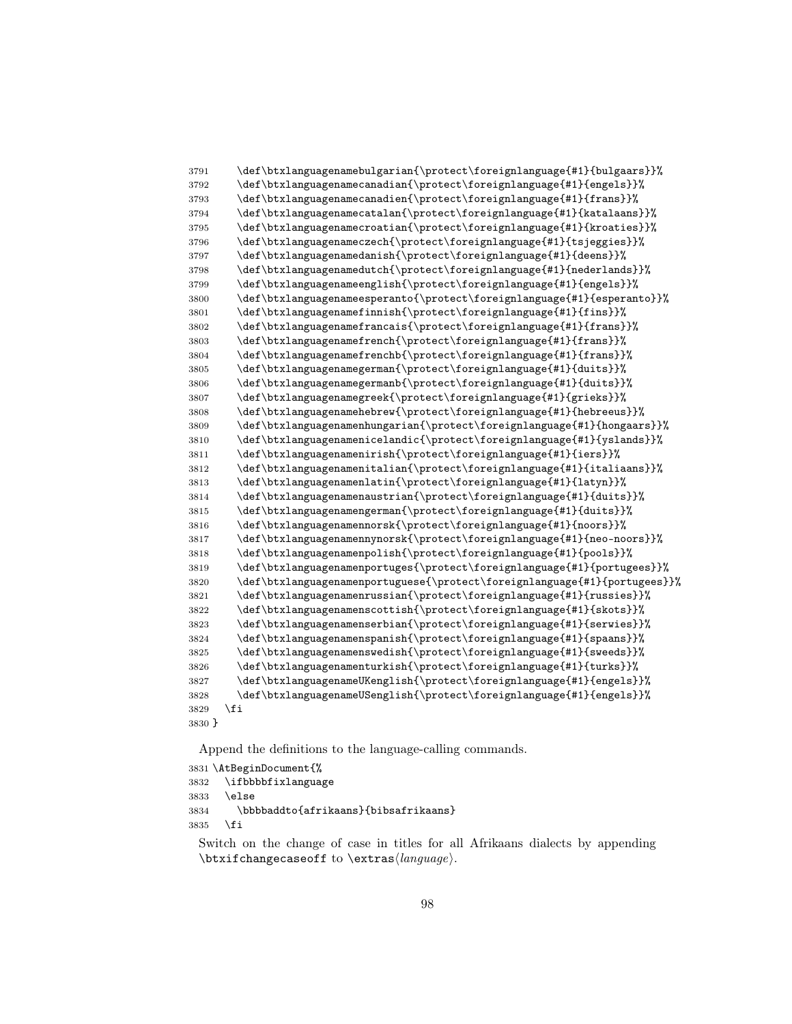```
3791 \def\btxlanguagenamebulgarian{\protect\foreignlanguage{#1}{bulgaars}}%
3792 \def\btxlanguagenamecanadian{\protect\foreignlanguage{#1}{engels}}%
3793 \def\btxlanguagenamecanadien{\protect\foreignlanguage{#1}{frans}}%
3794 \def\btxlanguagenamecatalan{\protect\foreignlanguage{#1}{katalaans}}%
3795 \def\btxlanguagenamecroatian{\protect\foreignlanguage{#1}{kroaties}}%
3796 \def\btxlanguagenameczech{\protect\foreignlanguage{#1}{tsjeggies}}%
3797 \def\btxlanguagenamedanish{\protect\foreignlanguage{#1}{deens}}%
3798 \def\btxlanguagenamedutch{\protect\foreignlanguage{#1}{nederlands}}%
3799 \def\btxlanguagenameenglish{\protect\foreignlanguage{#1}{engels}}%
3800 \def\btxlanguagenameesperanto{\protect\foreignlanguage{#1}{esperanto}}%
3801 \def\btxlanguagenamefinnish{\protect\foreignlanguage{#1}{fins}}%
3802 \def\btxlanguagenamefrancais{\protect\foreignlanguage{#1}{frans}}%
3803 \def\btxlanguagenamefrench{\protect\foreignlanguage{#1}{frans}}%
3804 \def\btxlanguagenamefrenchb{\protect\foreignlanguage{#1}{frans}}%
3805 \def\btxlanguagenamegerman{\protect\foreignlanguage{#1}{duits}}%
3806 \def\btxlanguagenamegermanb{\protect\foreignlanguage{#1}{duits}}%
3807 \def\btxlanguagenamegreek{\protect\foreignlanguage{#1}{grieks}}%
3808 \def\btxlanguagenamehebrew{\protect\foreignlanguage{#1}{hebreeus}}%
3809 \def\btxlanguagenamenhungarian{\protect\foreignlanguage{#1}{hongaars}}%
3810 \def\btxlanguagenamenicelandic{\protect\foreignlanguage{#1}{yslands}}%
3811 \def\btxlanguagenamenirish{\protect\foreignlanguage{#1}{iers}}%
3812 \def\btxlanguagenamenitalian{\protect\foreignlanguage{#1}{italiaans}}%
3813 \def\btxlanguagenamenlatin{\protect\foreignlanguage{#1}{latyn}}%
3814 \def\btxlanguagenamenaustrian{\protect\foreignlanguage{#1}{duits}}%
3815 \def\btxlanguagenamengerman{\protect\foreignlanguage{#1}{duits}}%
3816 \def\btxlanguagenamennorsk{\protect\foreignlanguage{#1}{noors}}%
3817 \def\btxlanguagenamennynorsk{\protect\foreignlanguage{#1}{neo-noors}}%
3818 \def\btxlanguagenamenpolish{\protect\foreignlanguage{#1}{pools}}%
3819 \def\btxlanguagenamenportuges{\protect\foreignlanguage{#1}{portugees}}%
3820 \def\btxlanguagenamenportuguese{\protect\foreignlanguage{#1}{portugees}}%
3821 \def\btxlanguagenamenrussian{\protect\foreignlanguage{#1}{russies}}%
3822 \def\btxlanguagenamenscottish{\protect\foreignlanguage{#1}{skots}}%
3823 \def\btxlanguagenamenserbian{\protect\foreignlanguage{#1}{serwies}}%
3824 \def\btxlanguagenamenspanish{\protect\foreignlanguage{#1}{spaans}}%
3825 \def\btxlanguagenamenswedish{\protect\foreignlanguage{#1}{sweeds}}%
3826 \def\btxlanguagenamenturkish{\protect\foreignlanguage{#1}{turks}}%
3827 \def\btxlanguagenameUKenglish{\protect\foreignlanguage{#1}{engels}}%
3828 \def\btxlanguagenameUSenglish{\protect\foreignlanguage{#1}{engels}}%
3829 \fi
3830 }
```

```
3831 \AtBeginDocument{%
3832 \ifbbbbfixlanguage
3833 \else
3834 \bbbbaddto{afrikaans}{bibsafrikaans}
3835 \fi
```
Switch on the change of case in titles for all Afrikaans dialects by appending  $\text{changecase}$  to  $\text{change}$ .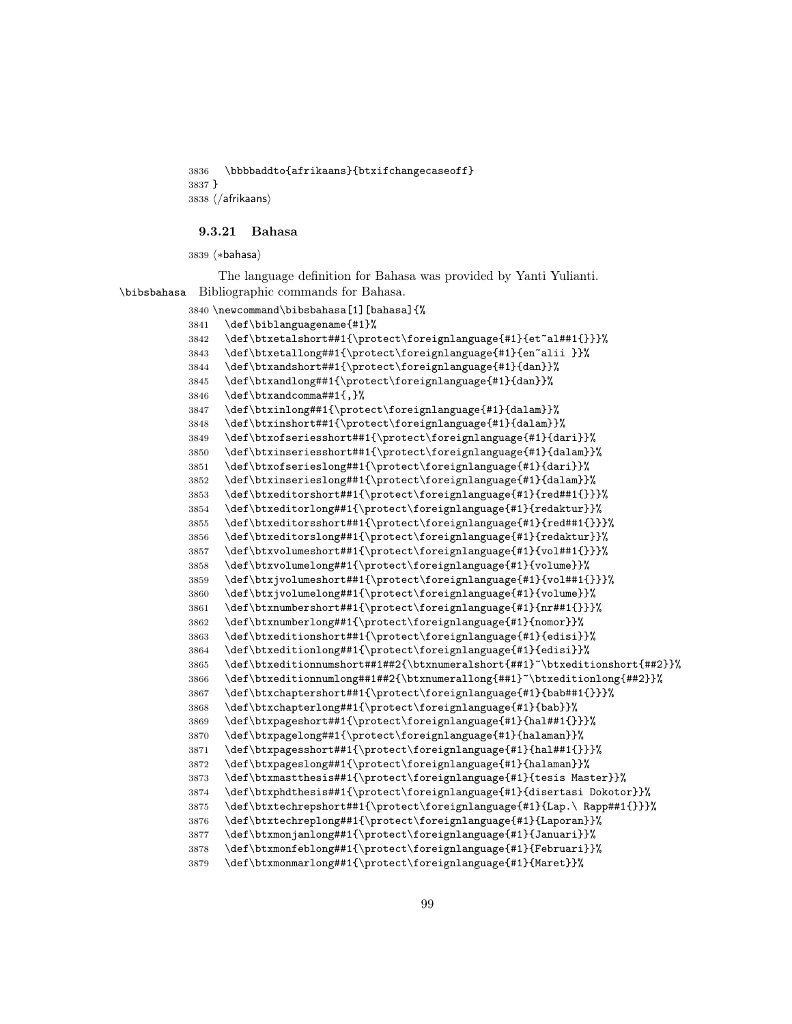\bbbbaddto{afrikaans}{btxifchangecaseoff} }  $3838 \; \langle$  /afrikaans)

#### 9.3.21 Bahasa

3839 (\*bahasa)

The language definition for Bahasa was provided by Yanti Yulianti. \bibsbahasa Bibliographic commands for Bahasa.

```
3840 \newcommand\bibsbahasa[1][bahasa]{%
3841 \def\biblanguagename{#1}%
3842 \def\btxetalshort##1{\protect\foreignlanguage{#1}{et~al##1{}}}%
3843 \def\btxetallong##1{\protect\foreignlanguage{#1}{en~alii }}%
3844 \def\btxandshort##1{\protect\foreignlanguage{#1}{dan}}%
3845 \def\btxandlong##1{\protect\foreignlanguage{#1}{dan}}%
3846 \def\btxandcomma##1{,}%
3847 \def\btxinlong##1{\protect\foreignlanguage{#1}{dalam}}%
3848 \def\btxinshort##1{\protect\foreignlanguage{#1}{dalam}}%
3849 \def\btxofseriesshort##1{\protect\foreignlanguage{#1}{dari}}%
3850 \def\btxinseriesshort##1{\protect\foreignlanguage{#1}{dalam}}%
3851 \def\btxofserieslong##1{\protect\foreignlanguage{#1}{dari}}%
3852 \def\btxinserieslong##1{\protect\foreignlanguage{#1}{dalam}}%
3853 \def\btxeditorshort##1{\protect\foreignlanguage{#1}{red##1{}}}%
3854 \def\btxeditorlong##1{\protect\foreignlanguage{#1}{redaktur}}%
3855 \def\btxeditorsshort##1{\protect\foreignlanguage{#1}{red##1{}}}%
3856 \def\btxeditorslong##1{\protect\foreignlanguage{#1}{redaktur}}%
3857 \def\btxvolumeshort##1{\protect\foreignlanguage{#1}{vol##1{}}}%
3858 \def\btxvolumelong##1{\protect\foreignlanguage{#1}{volume}}%
3859 \def\btxjvolumeshort##1{\protect\foreignlanguage{#1}{vol##1{}}}%
3860 \def\btxjvolumelong##1{\protect\foreignlanguage{#1}{volume}}%
3861 \def\btxnumbershort##1{\protect\foreignlanguage{#1}{nr##1{}}}%
3862 \def\btxnumberlong##1{\protect\foreignlanguage{#1}{nomor}}%
3863 \def\btxeditionshort##1{\protect\foreignlanguage{#1}{edisi}}%
3864 \def\btxeditionlong##1{\protect\foreignlanguage{#1}{edisi}}%
3865 \def\btxeditionnumshort##1##2{\btxnumeralshort{##1}~\btxeditionshort{##2}}%
3866 \def\btxeditionnumlong##1##2{\btxnumerallong{##1}~\btxeditionlong{##2}}%
3867 \def\btxchaptershort##1{\protect\foreignlanguage{#1}{bab##1{}}}%
3868 \def\btxchapterlong##1{\protect\foreignlanguage{#1}{bab}}%
3869 \def\btxpageshort##1{\protect\foreignlanguage{#1}{hal##1{}}}%
3870 \def\btxpagelong##1{\protect\foreignlanguage{#1}{halaman}}%
3871 \def\btxpagesshort##1{\protect\foreignlanguage{#1}{hal##1{}}}%
3872 \def\btxpageslong##1{\protect\foreignlanguage{#1}{halaman}}%
3873 \def\btxmastthesis##1{\protect\foreignlanguage{#1}{tesis Master}}%
3874 \def\btxphdthesis##1{\protect\foreignlanguage{#1}{disertasi Dokotor}}%
3875 \def\btxtechrepshort##1{\protect\foreignlanguage{#1}{Lap.\ Rapp##1{}}}%
3876 \def\btxtechreplong##1{\protect\foreignlanguage{#1}{Laporan}}%
3877 \def\btxmonjanlong##1{\protect\foreignlanguage{#1}{Januari}}%
3878 \def\btxmonfeblong##1{\protect\foreignlanguage{#1}{Februari}}%
3879 \def\btxmonmarlong##1{\protect\foreignlanguage{#1}{Maret}}%
```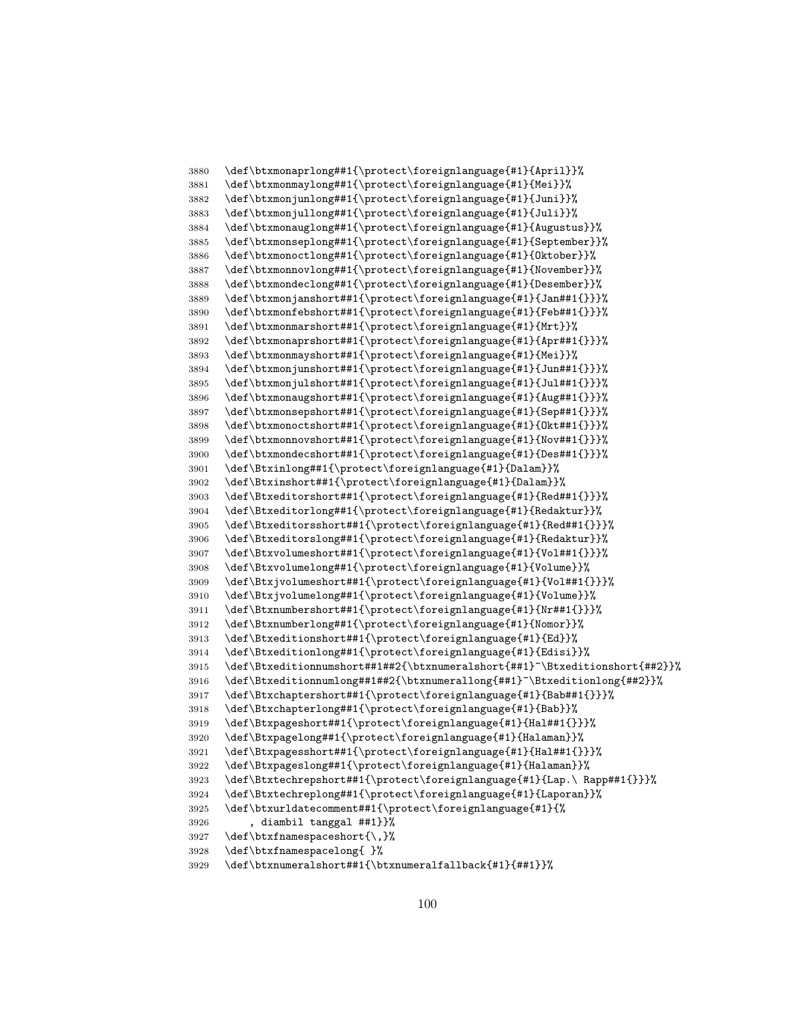```
3880 \def\btxmonaprlong##1{\protect\foreignlanguage{#1}{April}}%
3881 \def\btxmonmaylong##1{\protect\foreignlanguage{#1}{Mei}}%
3882 \def\btxmonjunlong##1{\protect\foreignlanguage{#1}{Juni}}%
3883 \def\btxmonjullong##1{\protect\foreignlanguage{#1}{Juli}}%
3884 \def\btxmonauglong##1{\protect\foreignlanguage{#1}{Augustus}}%
3885 \def\btxmonseplong##1{\protect\foreignlanguage{#1}{September}}%
3886 \def\btxmonoctlong##1{\protect\foreignlanguage{#1}{Oktober}}%
3887 \def\btxmonnovlong##1{\protect\foreignlanguage{#1}{November}}%
3888 \def\btxmondeclong##1{\protect\foreignlanguage{#1}{Desember}}%
3889 \def\btxmonjanshort##1{\protect\foreignlanguage{#1}{Jan##1{}}}%
3890 \def\btxmonfebshort##1{\protect\foreignlanguage{#1}{Feb##1{}}}%
3891 \def\btxmonmarshort##1{\protect\foreignlanguage{#1}{Mrt}}%
3892 \def\btxmonaprshort##1{\protect\foreignlanguage{#1}{Apr##1{}}}%
3893 \def\btxmonmayshort##1{\protect\foreignlanguage{#1}{Mei}}%
3894 \def\btxmonjunshort##1{\protect\foreignlanguage{#1}{Jun##1{}}}%
3895 \def\btxmonjulshort##1{\protect\foreignlanguage{#1}{Jul##1{}}}%
3896 \def\btxmonaugshort##1{\protect\foreignlanguage{#1}{Aug##1{}}}%
3897 \def\btxmonsepshort##1{\protect\foreignlanguage{#1}{Sep##1{}}}%
3898 \def\btxmonoctshort##1{\protect\foreignlanguage{#1}{Okt##1{}}}%
3899 \def\btxmonnovshort##1{\protect\foreignlanguage{#1}{Nov##1{}}}%
3900 \def\btxmondecshort##1{\protect\foreignlanguage{#1}{Des##1{}}}%
3901 \def\Btxinlong##1{\protect\foreignlanguage{#1}{Dalam}}%
3902 \def\Btxinshort##1{\protect\foreignlanguage{#1}{Dalam}}%
3903 \def\Btxeditorshort##1{\protect\foreignlanguage{#1}{Red##1{}}}%
3904 \def\Btxeditorlong##1{\protect\foreignlanguage{#1}{Redaktur}}%
3905 \def\Btxeditorsshort##1{\protect\foreignlanguage{#1}{Red##1{}}}%
3906 \def\Btxeditorslong##1{\protect\foreignlanguage{#1}{Redaktur}}%
3907 \def\Btxvolumeshort##1{\protect\foreignlanguage{#1}{Vol##1{}}}%
3908 \def\Btxvolumelong##1{\protect\foreignlanguage{#1}{Volume}}%
3909 \def\Btxjvolumeshort##1{\protect\foreignlanguage{#1}{Vol##1{}}}%
3910 \def\Btxjvolumelong##1{\protect\foreignlanguage{#1}{Volume}}%
3911 \def\Btxnumbershort##1{\protect\foreignlanguage{#1}{Nr##1{}}}%
3912 \def\Btxnumberlong##1{\protect\foreignlanguage{#1}{Nomor}}%
3913 \def\Btxeditionshort##1{\protect\foreignlanguage{#1}{Ed}}%
3914 \def\Btxeditionlong##1{\protect\foreignlanguage{#1}{Edisi}}%
3915 \def\Btxeditionnumshort##1##2{\btxnumeralshort{##1}~\Btxeditionshort{##2}}%
3916 \def\Btxeditionnumlong##1##2{\btxnumerallong{##1}~\Btxeditionlong{##2}}%
3917 \def\Btxchaptershort##1{\protect\foreignlanguage{#1}{Bab##1{}}}%
3918 \def\Btxchapterlong##1{\protect\foreignlanguage{#1}{Bab}}%
3919 \def\Btxpageshort##1{\protect\foreignlanguage{#1}{Hal##1{}}}%
3920 \def\Btxpagelong##1{\protect\foreignlanguage{#1}{Halaman}}%
3921 \def\Btxpagesshort##1{\protect\foreignlanguage{#1}{Hal##1{}}}%
3922 \def\Btxpageslong##1{\protect\foreignlanguage{#1}{Halaman}}%
3923 \def\Btxtechrepshort##1{\protect\foreignlanguage{#1}{Lap.\ Rapp##1{}}}%
3924 \def\Btxtechreplong##1{\protect\foreignlanguage{#1}{Laporan}}%
3925 \def\btxurldatecomment##1{\protect\foreignlanguage{#1}{%
3926 , diambil tanggal ##1}}%
3927 \def\btxfnamespaceshort{\,}%
3928 \def\btxfnamespacelong{ }%
3929 \def\btxnumeralshort##1{\btxnumeralfallback{#1}{##1}}%
```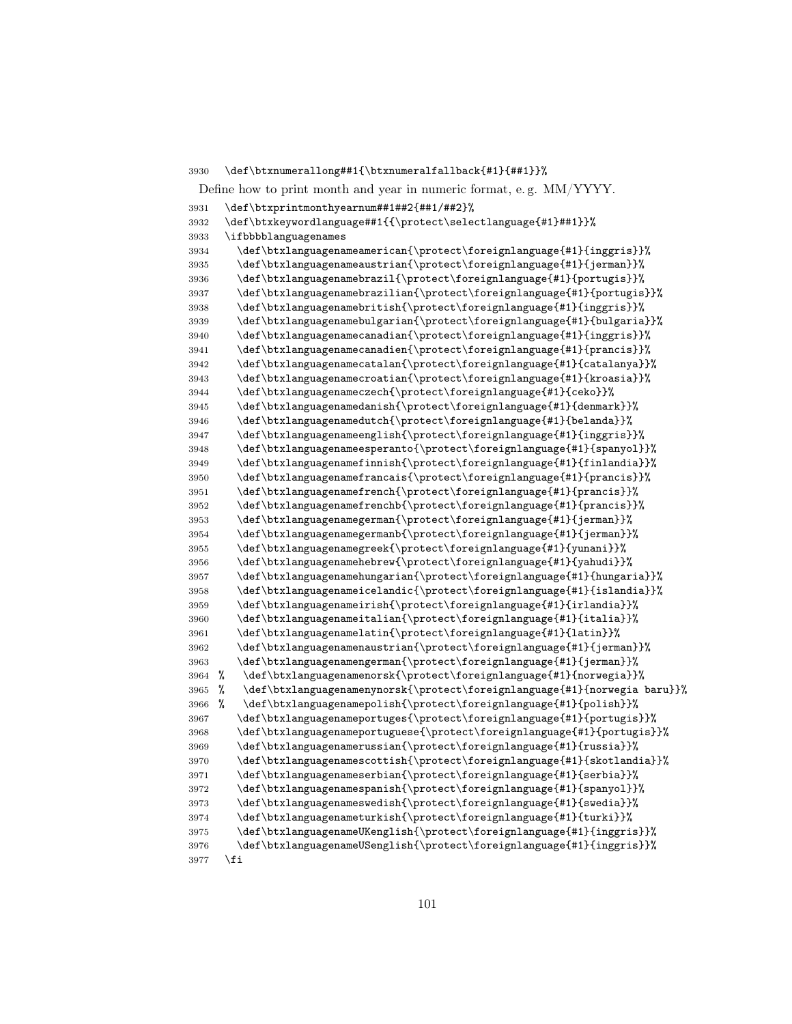Define how to print month and year in numeric format, e. g. MM/YYYY. \def\btxprintmonthyearnum##1##2{##1/##2}% \def\btxkeywordlanguage##1{{\protect\selectlanguage{#1}##1}}% \ifbbbblanguagenames \def\btxlanguagenameamerican{\protect\foreignlanguage{#1}{inggris}}% \def\btxlanguagenameaustrian{\protect\foreignlanguage{#1}{jerman}}% \def\btxlanguagenamebrazil{\protect\foreignlanguage{#1}{portugis}}% \def\btxlanguagenamebrazilian{\protect\foreignlanguage{#1}{portugis}}% \def\btxlanguagenamebritish{\protect\foreignlanguage{#1}{inggris}}% \def\btxlanguagenamebulgarian{\protect\foreignlanguage{#1}{bulgaria}}% \def\btxlanguagenamecanadian{\protect\foreignlanguage{#1}{inggris}}% \def\btxlanguagenamecanadien{\protect\foreignlanguage{#1}{prancis}}% \def\btxlanguagenamecatalan{\protect\foreignlanguage{#1}{catalanya}}% \def\btxlanguagenamecroatian{\protect\foreignlanguage{#1}{kroasia}}% \def\btxlanguagenameczech{\protect\foreignlanguage{#1}{ceko}}% \def\btxlanguagenamedanish{\protect\foreignlanguage{#1}{denmark}}% \def\btxlanguagenamedutch{\protect\foreignlanguage{#1}{belanda}}% \def\btxlanguagenameenglish{\protect\foreignlanguage{#1}{inggris}}% \def\btxlanguagenameesperanto{\protect\foreignlanguage{#1}{spanyol}}% \def\btxlanguagenamefinnish{\protect\foreignlanguage{#1}{finlandia}}% \def\btxlanguagenamefrancais{\protect\foreignlanguage{#1}{prancis}}% \def\btxlanguagenamefrench{\protect\foreignlanguage{#1}{prancis}}% \def\btxlanguagenamefrenchb{\protect\foreignlanguage{#1}{prancis}}% \def\btxlanguagenamegerman{\protect\foreignlanguage{#1}{jerman}}% \def\btxlanguagenamegermanb{\protect\foreignlanguage{#1}{jerman}}% \def\btxlanguagenamegreek{\protect\foreignlanguage{#1}{yunani}}% \def\btxlanguagenamehebrew{\protect\foreignlanguage{#1}{yahudi}}% \def\btxlanguagenamehungarian{\protect\foreignlanguage{#1}{hungaria}}% \def\btxlanguagenameicelandic{\protect\foreignlanguage{#1}{islandia}}% \def\btxlanguagenameirish{\protect\foreignlanguage{#1}{irlandia}}% \def\btxlanguagenameitalian{\protect\foreignlanguage{#1}{italia}}% \def\btxlanguagenamelatin{\protect\foreignlanguage{#1}{latin}}% \def\btxlanguagenamenaustrian{\protect\foreignlanguage{#1}{jerman}}% \def\btxlanguagenamengerman{\protect\foreignlanguage{#1}{jerman}}% % \def\btxlanguagenamenorsk{\protect\foreignlanguage{#1}{norwegia}}% % \def\btxlanguagenamenynorsk{\protect\foreignlanguage{#1}{norwegia baru}}% % \def\btxlanguagenamepolish{\protect\foreignlanguage{#1}{polish}}% \def\btxlanguagenameportuges{\protect\foreignlanguage{#1}{portugis}}% \def\btxlanguagenameportuguese{\protect\foreignlanguage{#1}{portugis}}% \def\btxlanguagenamerussian{\protect\foreignlanguage{#1}{russia}}% \def\btxlanguagenamescottish{\protect\foreignlanguage{#1}{skotlandia}}% \def\btxlanguagenameserbian{\protect\foreignlanguage{#1}{serbia}}% \def\btxlanguagenamespanish{\protect\foreignlanguage{#1}{spanyol}}% \def\btxlanguagenameswedish{\protect\foreignlanguage{#1}{swedia}}% \def\btxlanguagenameturkish{\protect\foreignlanguage{#1}{turki}}% \def\btxlanguagenameUKenglish{\protect\foreignlanguage{#1}{inggris}}% \def\btxlanguagenameUSenglish{\protect\foreignlanguage{#1}{inggris}}% \fi

\def\btxnumerallong##1{\btxnumeralfallback{#1}{##1}}%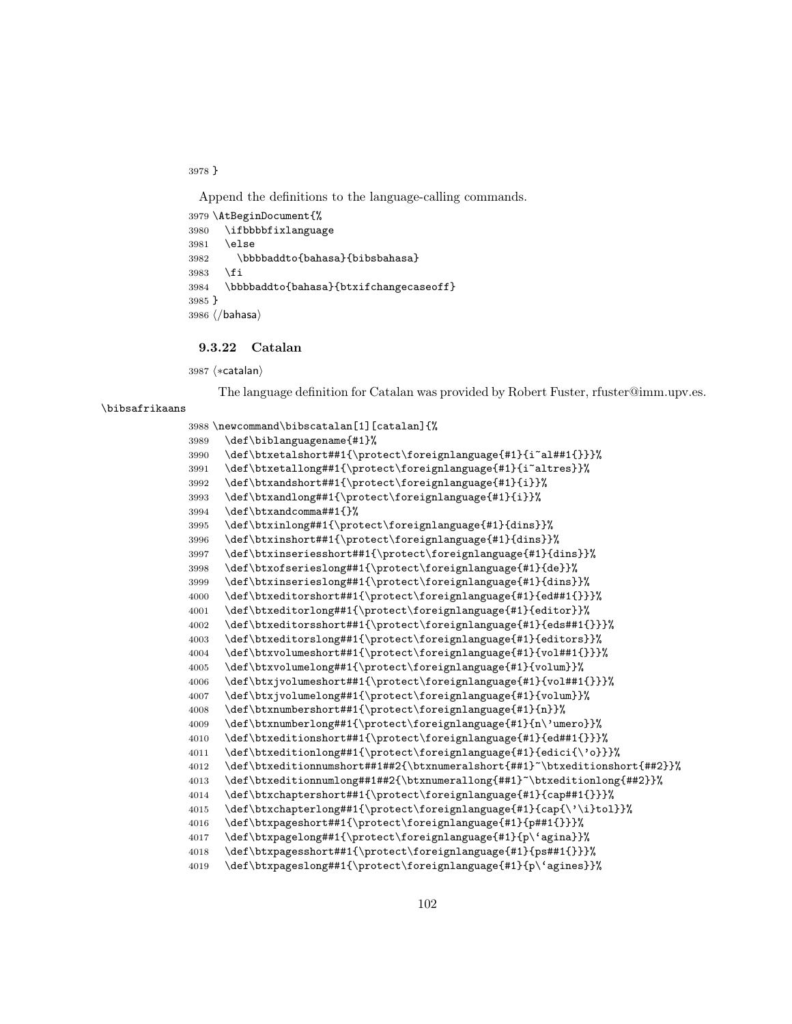}

Append the definitions to the language-calling commands.

```
3979 \AtBeginDocument{%
3980 \ifbbbbfixlanguage
3981 \else
3982 \bbbbaddto{bahasa}{bibsbahasa}
3983 \fi
3984 \bbbbaddto{bahasa}{btxifchangecaseoff}
3985 }
3986 (/bahasa)
```
## 9.3.22 Catalan

3987 (\*catalan)

The language definition for Catalan was provided by Robert Fuster, rfuster@imm.upv.es.

#### \bibsafrikaans

\newcommand\bibscatalan[1][catalan]{%

```
3989 \def\biblanguagename{#1}%
3990 \def\btxetalshort##1{\protect\foreignlanguage{#1}{i~al##1{}}}%
3991 \def\btxetallong##1{\protect\foreignlanguage{#1}{i~altres}}%
3992 \def\btxandshort##1{\protect\foreignlanguage{#1}{i}}%
3993 \def\btxandlong##1{\protect\foreignlanguage{#1}{i}}%
3994 \def\btxandcomma##1{}%
3995 \def\btxinlong##1{\protect\foreignlanguage{#1}{dins}}%
3996 \def\btxinshort##1{\protect\foreignlanguage{#1}{dins}}%
3997 \def\btxinseriesshort##1{\protect\foreignlanguage{#1}{dins}}%
3998 \def\btxofserieslong##1{\protect\foreignlanguage{#1}{de}}%
3999 \def\btxinserieslong##1{\protect\foreignlanguage{#1}{dins}}%
4000 \def\btxeditorshort##1{\protect\foreignlanguage{#1}{ed##1{}}}%
4001 \def\btxeditorlong##1{\protect\foreignlanguage{#1}{editor}}%
4002 \def\btxeditorsshort##1{\protect\foreignlanguage{#1}{eds##1{}}}%
4003 \def\btxeditorslong##1{\protect\foreignlanguage{#1}{editors}}%
4004 \def\btxvolumeshort##1{\protect\foreignlanguage{#1}{vol##1{}}}%
4005 \def\btxvolumelong##1{\protect\foreignlanguage{#1}{volum}}%
4006 \def\btxjvolumeshort##1{\protect\foreignlanguage{#1}{vol##1{}}}%
4007 \def\btxjvolumelong##1{\protect\foreignlanguage{#1}{volum}}%
4008 \def\btxnumbershort##1{\protect\foreignlanguage{#1}{n}}%
4009 \def\btxnumberlong##1{\protect\foreignlanguage{#1}{n\'umero}}%
4010 \def\btxeditionshort##1{\protect\foreignlanguage{#1}{ed##1{}}}%
4011 \def\btxeditionlong##1{\protect\foreignlanguage{#1}{edici{\'o}}}%
4012 \def\btxeditionnumshort##1##2{\btxnumeralshort{##1}~\btxeditionshort{##2}}%
4013 \def\btxeditionnumlong##1##2{\btxnumerallong{##1}~\btxeditionlong{##2}}%
4014 \def\btxchaptershort##1{\protect\foreignlanguage{#1}{cap##1{}}}%
4015 \def\btxchapterlong##1{\protect\foreignlanguage{#1}{cap{\'\i}tol}}%
4016 \def\btxpageshort##1{\protect\foreignlanguage{#1}{p##1{}}}%
4017 \def\btxpagelong##1{\protect\foreignlanguage{#1}{p\'agina}}%
4018 \def\btxpagesshort##1{\protect\foreignlanguage{#1}{ps##1{}}}%
4019 \def\btxpageslong##1{\protect\foreignlanguage{#1}{p\'agines}}%
```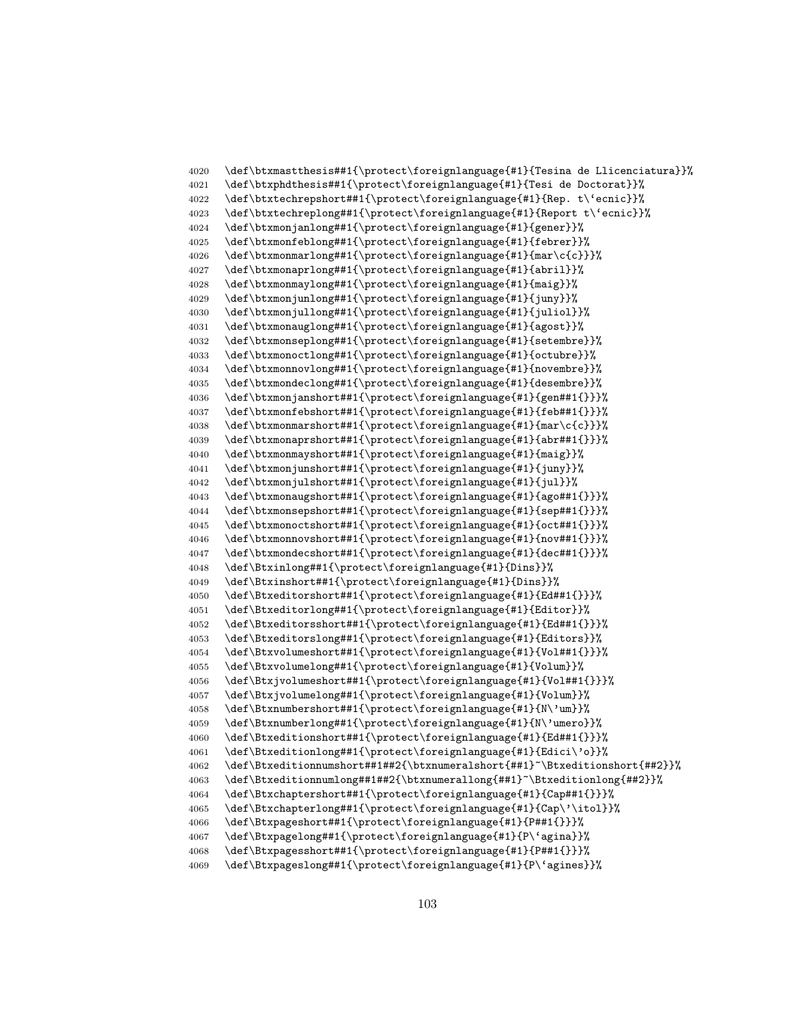```
4020 \def\btxmastthesis##1{\protect\foreignlanguage{#1}{Tesina de Llicenciatura}}%
4021 \def\btxphdthesis##1{\protect\foreignlanguage{#1}{Tesi de Doctorat}}%
4022 \def\btxtechrepshort##1{\protect\foreignlanguage{#1}{Rep. t\'ecnic}}%
4023 \def\btxtechreplong##1{\protect\foreignlanguage{#1}{Report t\'ecnic}}%
4024 \def\btxmonjanlong##1{\protect\foreignlanguage{#1}{gener}}%
4025 \def\btxmonfeblong##1{\protect\foreignlanguage{#1}{febrer}}%
4026 \def\btxmonmarlong##1{\protect\foreignlanguage{#1}{mar\c{c}}}%
4027 \def\btxmonaprlong##1{\protect\foreignlanguage{#1}{abril}}%
4028 \def\btxmonmaylong##1{\protect\foreignlanguage{#1}{maig}}%
4029 \def\btxmonjunlong##1{\protect\foreignlanguage{#1}{juny}}%
4030 \def\btxmonjullong##1{\protect\foreignlanguage{#1}{juliol}}%
4031 \def\btxmonauglong##1{\protect\foreignlanguage{#1}{agost}}%
4032 \def\btxmonseplong##1{\protect\foreignlanguage{#1}{setembre}}%
4033 \def\btxmonoctlong##1{\protect\foreignlanguage{#1}{octubre}}%
4034 \def\btxmonnovlong##1{\protect\foreignlanguage{#1}{novembre}}%
4035 \def\btxmondeclong##1{\protect\foreignlanguage{#1}{desembre}}%
4036 \def\btxmonjanshort##1{\protect\foreignlanguage{#1}{gen##1{}}}%
4037 \def\btxmonfebshort##1{\protect\foreignlanguage{#1}{feb##1{}}}%
4038 \def\btxmonmarshort##1{\protect\foreignlanguage{#1}{mar\c{c}}}%
4039 \def\btxmonaprshort##1{\protect\foreignlanguage{#1}{abr##1{}}}%
4040 \def\btxmonmayshort##1{\protect\foreignlanguage{#1}{maig}}%
4041 \def\btxmonjunshort##1{\protect\foreignlanguage{#1}{juny}}%
4042 \def\btxmonjulshort##1{\protect\foreignlanguage{#1}{jul}}%
4043 \def\btxmonaugshort##1{\protect\foreignlanguage{#1}{ago##1{}}}%
4044 \def\btxmonsepshort##1{\protect\foreignlanguage{#1}{sep##1{}}}%
4045 \def\btxmonoctshort##1{\protect\foreignlanguage{#1}{oct##1{}}}%
4046 \def\btxmonnovshort##1{\protect\foreignlanguage{#1}{nov##1{}}}%
4047 \def\btxmondecshort##1{\protect\foreignlanguage{#1}{dec##1{}}}%
4048 \def\Btxinlong##1{\protect\foreignlanguage{#1}{Dins}}%
4049 \def\Btxinshort##1{\protect\foreignlanguage{#1}{Dins}}%
4050 \def\Btxeditorshort##1{\protect\foreignlanguage{#1}{Ed##1{}}}%
4051 \def\Btxeditorlong##1{\protect\foreignlanguage{#1}{Editor}}%
4052 \def\Btxeditorsshort##1{\protect\foreignlanguage{#1}{Ed##1{}}}%
4053 \def\Btxeditorslong##1{\protect\foreignlanguage{#1}{Editors}}%
4054 \def\Btxvolumeshort##1{\protect\foreignlanguage{#1}{Vol##1{}}}%
4055 \def\Btxvolumelong##1{\protect\foreignlanguage{#1}{Volum}}%
4056 \def\Btxjvolumeshort##1{\protect\foreignlanguage{#1}{Vol##1{}}}%
4057 \def\Btxjvolumelong##1{\protect\foreignlanguage{#1}{Volum}}%
4058 \def\Btxnumbershort##1{\protect\foreignlanguage{#1}{N\'um}}%
4059 \def\Btxnumberlong##1{\protect\foreignlanguage{#1}{N\'umero}}%
4060 \def\Btxeditionshort##1{\protect\foreignlanguage{#1}{Ed##1{}}}%
4061 \def\Btxeditionlong##1{\protect\foreignlanguage{#1}{Edici\'o}}%
4062 \def\Btxeditionnumshort##1##2{\btxnumeralshort{##1}~\Btxeditionshort{##2}}%
4063 \def\Btxeditionnumlong##1##2{\btxnumerallong{##1}~\Btxeditionlong{##2}}%
4064 \def\Btxchaptershort##1{\protect\foreignlanguage{#1}{Cap##1{}}}%
4065 \def\Btxchapterlong##1{\protect\foreignlanguage{#1}{Cap\'\itol}}%
4066 \def\Btxpageshort##1{\protect\foreignlanguage{#1}{P##1{}}}%
4067 \def\Btxpagelong##1{\protect\foreignlanguage{#1}{P\'agina}}%
4068 \def\Btxpagesshort##1{\protect\foreignlanguage{#1}{P##1{}}}%
4069 \def\Btxpageslong##1{\protect\foreignlanguage{#1}{P\'agines}}%
```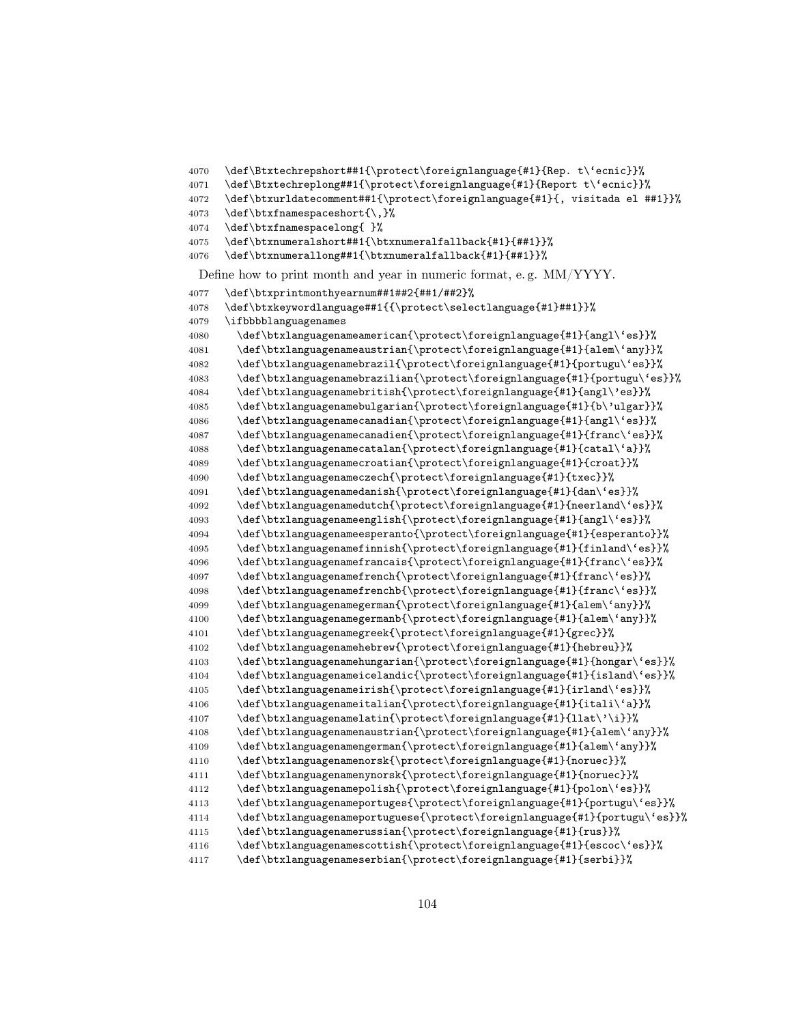```
4070 \def\Btxtechrepshort##1{\protect\foreignlanguage{#1}{Rep. t\'ecnic}}%
4071 \def\Btxtechreplong##1{\protect\foreignlanguage{#1}{Report t\'ecnic}}%
4072 \def\btxurldatecomment##1{\protect\foreignlanguage{#1}{, visitada el ##1}}%
4073 \def\btxfnamespaceshort{\,}%
4074 \def\btxfnamespacelong{ }%
4075 \def\btxnumeralshort##1{\btxnumeralfallback{#1}{##1}}%
4076 \def\btxnumerallong##1{\btxnumeralfallback{#1}{##1}}%
 Define how to print month and year in numeric format, e. g. MM/YYYY.
4077 \def\btxprintmonthyearnum##1##2{##1/##2}%
4078 \def\btxkeywordlanguage##1{{\protect\selectlanguage{#1}##1}}%
4079 \ifbbbblanguagenames
4080 \def\btxlanguagenameamerican{\protect\foreignlanguage{#1}{angl\'es}}%
4081 \def\btxlanguagenameaustrian{\protect\foreignlanguage{#1}{alem\'any}}%
4082 \def\btxlanguagenamebrazil{\protect\foreignlanguage{#1}{portugu\'es}}%
4083 \def\btxlanguagenamebrazilian{\protect\foreignlanguage{#1}{portugu\'es}}%
4084 \def\btxlanguagenamebritish{\protect\foreignlanguage{#1}{angl\'es}}%
4085 \def\btxlanguagenamebulgarian{\protect\foreignlanguage{#1}{b\'ulgar}}%
4086 \def\btxlanguagenamecanadian{\protect\foreignlanguage{#1}{angl\'es}}%
4087 \def\btxlanguagenamecanadien{\protect\foreignlanguage{#1}{franc\'es}}%
4088 \def\btxlanguagenamecatalan{\protect\foreignlanguage{#1}{catal\'a}}%
4089 \def\btxlanguagenamecroatian{\protect\foreignlanguage{#1}{croat}}%
4090 \def\btxlanguagenameczech{\protect\foreignlanguage{#1}{txec}}%
4091 \def\btxlanguagenamedanish{\protect\foreignlanguage{#1}{dan\'es}}%
4092 \def\btxlanguagenamedutch{\protect\foreignlanguage{#1}{neerland\'es}}%
4093 \def\btxlanguagenameenglish{\protect\foreignlanguage{#1}{angl\'es}}%
4094 \def\btxlanguagenameesperanto{\protect\foreignlanguage{#1}{esperanto}}%
4095 \def\btxlanguagenamefinnish{\protect\foreignlanguage{#1}{finland\'es}}%
4096 \def\btxlanguagenamefrancais{\protect\foreignlanguage{#1}{franc\'es}}%
4097 \def\btxlanguagenamefrench{\protect\foreignlanguage{#1}{franc\'es}}%
4098 \def\btxlanguagenamefrenchb{\protect\foreignlanguage{#1}{franc\'es}}%
4099 \def\btxlanguagenamegerman{\protect\foreignlanguage{#1}{alem\'any}}%
4100 \def\btxlanguagenamegermanb{\protect\foreignlanguage{#1}{alem\'any}}%
4101 \def\btxlanguagenamegreek{\protect\foreignlanguage{#1}{grec}}%
4102 \def\btxlanguagenamehebrew{\protect\foreignlanguage{#1}{hebreu}}%
4103 \def\btxlanguagenamehungarian{\protect\foreignlanguage{#1}{hongar\'es}}%
4104 \def\btxlanguagenameicelandic{\protect\foreignlanguage{#1}{island\'es}}%
4105 \def\btxlanguagenameirish{\protect\foreignlanguage{#1}{irland\'es}}%
4106 \def\btxlanguagenameitalian{\protect\foreignlanguage{#1}{itali\'a}}%
4107 \def\btxlanguagenamelatin{\protect\foreignlanguage{#1}{llat\'\i}}%
4108 \def\btxlanguagenamenaustrian{\protect\foreignlanguage{#1}{alem\'any}}%
4109 \def\btxlanguagenamengerman{\protect\foreignlanguage{#1}{alem\'any}}%
4110 \def\btxlanguagenamenorsk{\protect\foreignlanguage{#1}{noruec}}%
4111 \def\btxlanguagenamenynorsk{\protect\foreignlanguage{#1}{noruec}}%
4112 \def\btxlanguagenamepolish{\protect\foreignlanguage{#1}{polon\'es}}%
4113 \def\btxlanguagenameportuges{\protect\foreignlanguage{#1}{portugu\'es}}%
4114 \def\btxlanguagenameportuguese{\protect\foreignlanguage{#1}{portugu\'es}}%
4115 \def\btxlanguagenamerussian{\protect\foreignlanguage{#1}{rus}}%
4116 \def\btxlanguagenamescottish{\protect\foreignlanguage{#1}{escoc\'es}}%
4117 \def\btxlanguagenameserbian{\protect\foreignlanguage{#1}{serbi}}%
```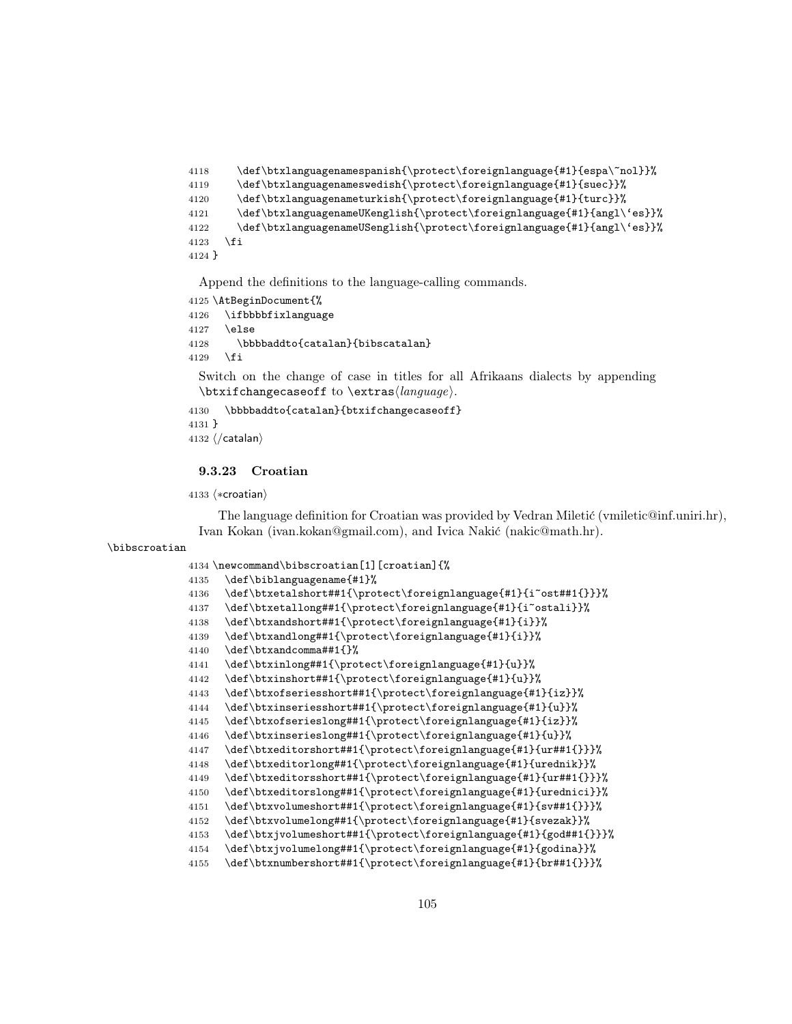```
4118 \def\btxlanguagenamespanish{\protect\foreignlanguage{#1}{espa\~nol}}%
4119 \def\btxlanguagenameswedish{\protect\foreignlanguage{#1}{suec}}%
4120 \def\btxlanguagenameturkish{\protect\fore} anguage{#1}{turc}}%
4121 \def\btxlanguagenameUKenglish{\protect\foreignlanguage{#1}{angl\'es}}%
4122 \def\btxlanguagenameUSenglish{\protect\foreignlanguage{#1}{angl\'es}}%
4123 \fi
4124 }
```

```
4125 \AtBeginDocument{%
4126 \ifbbbbfixlanguage
4127 \else
4128 \bbbbaddto{catalan}{bibscatalan}
4129 \fi
```
Switch on the change of case in titles for all Afrikaans dialects by appending  $\text{changecase}$  to  $\text{change}$ .

```
4130 \bbbbaddto{catalan}{btxifchangecaseoff}
4131 }
4132 \langle/catalan\rangle
```
## 9.3.23 Croatian

```
4133 (*croatian)
```
The language definition for Croatian was provided by Vedran Miletić (vmiletic@inf.uniri.hr), Ivan Kokan (ivan.kokan@gmail.com), and Ivica Nakić (nakic@math.hr).

## \bibscroatian

```
4134 \newcommand\bibscroatian[1][croatian]{%
4135 \def\biblanguagename{#1}%
4136 \def\btxetalshort##1{\protect\foreignlanguage{#1}{i~ost##1{}}}%
4137 \def\btxetallong##1{\protect\foreignlanguage{#1}{i~ostali}}%
4138 \def\btxandshort##1{\protect\foreignlanguage{#1}{i}}%
4139 \def\btxandlong##1{\protect\foreignlanguage{#1}{i}}%
4140 \def\btxandcomma##1{}%
4141 \def\btxinlong##1{\protect\foreignlanguage{#1}{u}}%
4142 \def\btxinshort##1{\protect\foreignlanguage{#1}{u}}%
4143 \def\btxofseriesshort##1{\protect\foreignlanguage{#1}{iz}}%
4144 \def\btxinseriesshort##1{\protect\foreignlanguage{#1}{u}}%
4145 \def\btxofserieslong##1{\protect\foreignlanguage{#1}{iz}}%
4146 \def\btxinserieslong##1{\protect\foreignlanguage{#1}{u}}%
4147 \def\btxeditorshort##1{\protect\foreignlanguage{#1}{ur##1{}}}%
4148 \def\btxeditorlong##1{\protect\foreignlanguage{#1}{urednik}}%
4149 \def\btxeditorsshort##1{\protect\foreignlanguage{#1}{ur##1{}}}%
4150 \def\btxeditorslong##1{\protect\foreignlanguage{#1}{urednici}}%
4151 \def\btxvolumeshort##1{\protect\foreignlanguage{#1}{sv##1{}}}%
4152 \def\btxvolumelong##1{\protect\foreignlanguage{#1}{svezak}}%
4153 \def\btxjvolumeshort##1{\protect\foreignlanguage{#1}{god##1{}}}%
4154 \def\btxjvolumelong##1{\protect\foreignlanguage{#1}{godina}}%
4155 \def\btxnumbershort##1{\protect\foreignlanguage{#1}{br##1{}}}%
```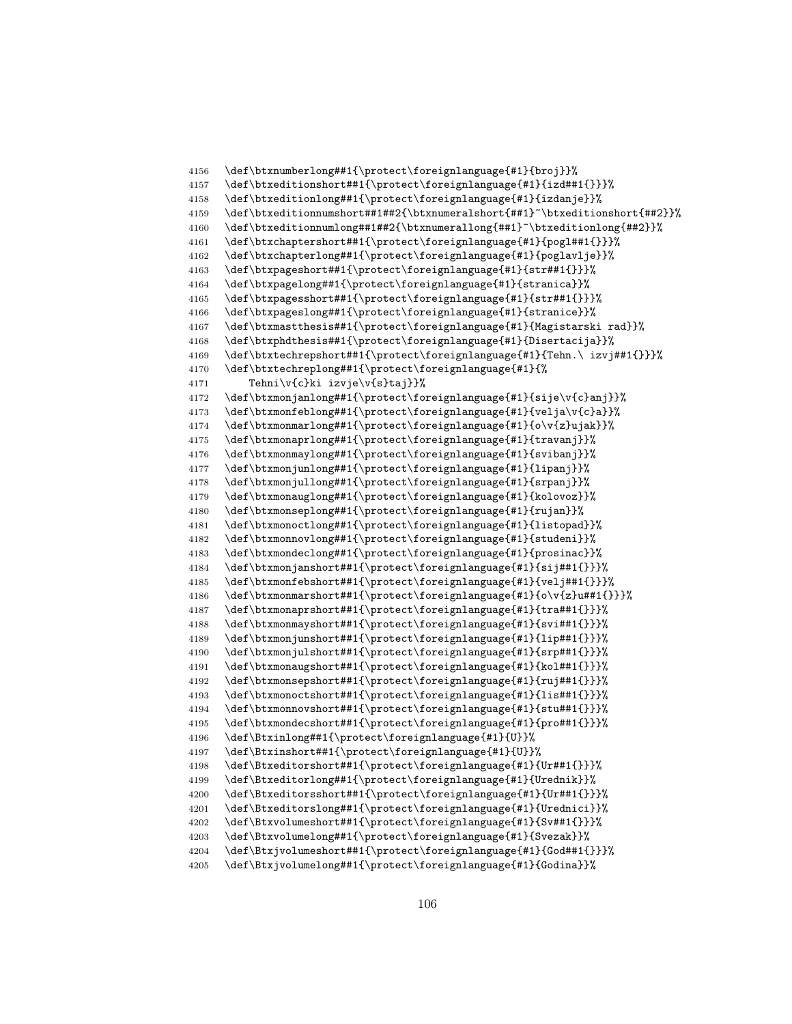```
4156 \def\btxnumberlong##1{\protect\foreignlanguage{#1}{broj}}%
4157 \def\btxeditionshort##1{\protect\foreignlanguage{#1}{izd##1{}}}%
4158 \def\btxeditionlong##1{\protect\foreignlanguage{#1}{izdanje}}%
4159 \def\btxeditionnumshort##1##2{\btxnumeralshort{##1}~\btxeditionshort{##2}}%
4160 \def\btxeditionnumlong##1##2{\btxnumerallong{##1}~\btxeditionlong{##2}}%
4161 \def\btxchaptershort##1{\protect\foreignlanguage{#1}{pogl##1{}}}%
4162 \def\btxchapterlong##1{\protect\foreignlanguage{#1}{poglavlje}}%
4163 \def\btxpageshort##1{\protect\foreignlanguage{#1}{str##1{}}}%
4164 \def\btxpagelong##1{\protect\foreignlanguage{#1}{stranica}}%
4165 \def\btxpagesshort##1{\protect\foreignlanguage{#1}{str##1{}}}%
4166 \def\btxpageslong##1{\protect\foreignlanguage{#1}{stranice}}%
4167 \def\btxmastthesis##1{\protect\foreignlanguage{#1}{Magistarski rad}}%
4168 \def\btxphdthesis##1{\protect\foreignlanguage{#1}{Disertacija}}%
4169 \def\btxtechrepshort##1{\protect\foreignlanguage{#1}{Tehn.\ izvj##1{}}}%
4170 \def\btxtechreplong##1{\protect\foreignlanguage{#1}{%
4171 Tehni\v{c}ki izvje\v{s}taj}}%<br>4172 \def\btxmonianlong##1{\protect\fo
      \def\btxmonjanlong##1{\protect\foreignlanguage{#1}{sije\v{c}anj}}%
4173 \def\btxmonfeblong##1{\protect\foreignlanguage{#1}{velja\v{c}a}}%
4174 \def\btxmonmarlong##1{\protect\foreignlanguage{#1}{o\v{z}ujak}}%
4175 \def\btxmonaprlong##1{\protect\foreignlanguage{#1}{travanj}}%
4176 \def\btxmonmaylong##1{\protect\foreignlanguage{#1}{svibanj}}%
4177 \def\btxmonjunlong##1{\protect\foreignlanguage{#1}{lipanj}}%
4178 \def\btxmonjullong##1{\protect\foreignlanguage{#1}{srpanj}}%
4179 \def\btxmonauglong##1{\protect\foreignlanguage{#1}{kolovoz}}%
4180 \def\btxmonseplong##1{\protect\foreignlanguage{#1}{rujan}}%
4181 \def\btxmonoctlong##1{\protect\foreignlanguage{#1}{listopad}}%
4182 \def\btxmonnovlong##1{\protect\foreignlanguage{#1}{studeni}}%
4183 \def\btxmondeclong##1{\protect\foreignlanguage{#1}{prosinac}}%
4184 \def\btxmonjanshort##1{\protect\foreignlanguage{#1}{sij##1{}}}%
4185 \def\btxmonfebshort##1{\protect\foreignlanguage{#1}{velj##1{}}}%
4186 \def\btxmonmarshort##1{\protect\foreignlanguage{#1}{o\v{z}u##1{}}}%
4187 \def\btxmonaprshort##1{\protect\foreignlanguage{#1}{tra##1{}}}%
4188 \def\btxmonmayshort##1{\protect\foreignlanguage{#1}{svi##1{}}}%
4189 \def\btxmonjunshort##1{\protect\foreignlanguage{#1}{lip##1{}}}%
4190 \def\btxmonjulshort##1{\protect\foreignlanguage{#1}{srp##1{}}}%
4191 \def\btxmonaugshort##1{\protect\foreignlanguage{#1}{kol##1{}}}%
4192 \def\btxmonsepshort##1{\protect\foreignlanguage{#1}{ruj##1{}}}%
4193 \def\btxmonoctshort##1{\protect\foreignlanguage{#1}{lis##1{}}}%
4194 \def\btxmonnovshort##1{\protect\foreignlanguage{#1}{stu##1{}}}%
4195 \def\btxmondecshort##1{\protect\foreignlanguage{#1}{pro##1{}}}%
4196 \def\Btxinlong##1{\protect\foreignlanguage{#1}{U}}%
4197 \def\Btxinshort##1{\protect\foreignlanguage{#1}{U}}%
4198 \def\Btxeditorshort##1{\protect\foreignlanguage{#1}{Ur##1{}}}%
4199 \def\Btxeditorlong##1{\protect\foreignlanguage{#1}{Urednik}}%
4200 \def\Btxeditorsshort##1{\protect\foreignlanguage{#1}{Ur##1{}}}%
4201 \def\Btxeditorslong##1{\protect\foreignlanguage{#1}{Urednici}}%
4202 \def\Btxvolumeshort##1{\protect\foreignlanguage{#1}{Sv##1{}}}%
4203 \def\Btxvolumelong##1{\protect\foreignlanguage{#1}{Svezak}}%
4204 \def\Btxjvolumeshort##1{\protect\foreignlanguage{#1}{God##1{}}}%
4205 \def\Btxjvolumelong##1{\protect\foreignlanguage{#1}{Godina}}%
```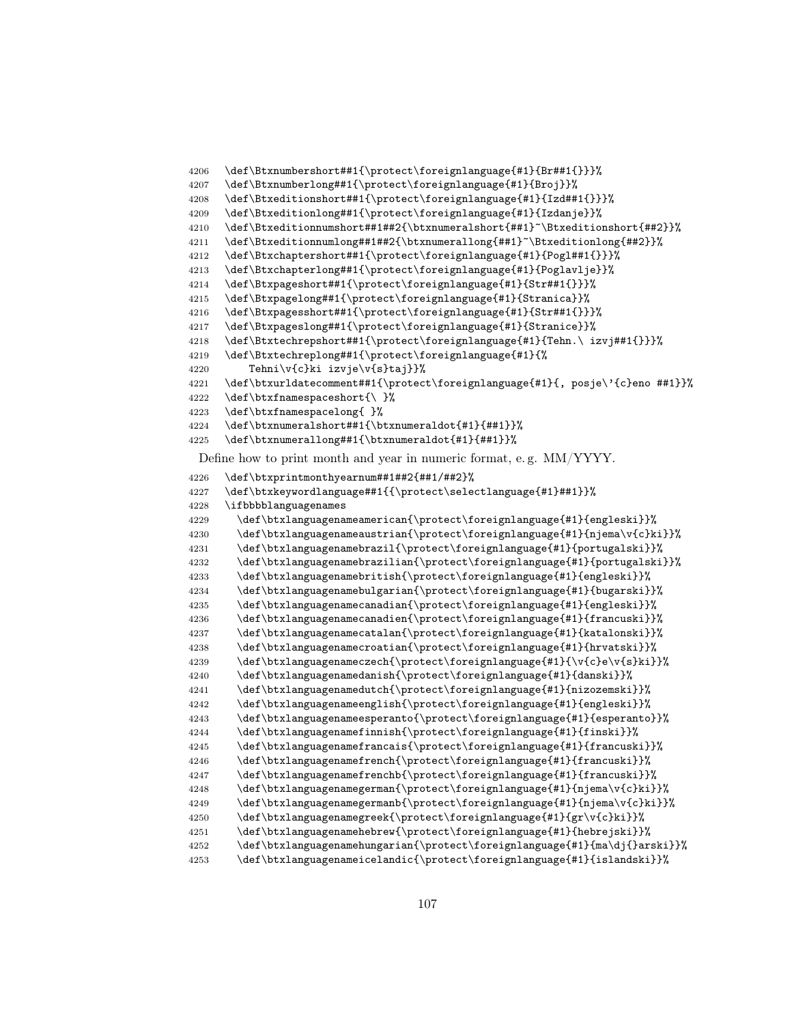```
4206 \def\Btxnumbershort##1{\protect\foreignlanguage{#1}{Br##1{}}}%
4207 \def\Btxnumberlong##1{\protect\foreignlanguage{#1}{Broj}}%
4208 \def\Btxeditionshort##1{\protect\foreignlanguage{#1}{Izd##1{}}}%
4209 \def\Btxeditionlong##1{\protect\foreignlanguage{#1}{Izdanje}}%
4210 \def\Btxeditionnumshort##1##2{\btxnumeralshort{##1}~\Btxeditionshort{##2}}%
4211 \def\Btxeditionnumlong##1##2{\btxnumerallong{##1}~\Btxeditionlong{##2}}%
4212 \def\Btxchaptershort##1{\protect\foreignlanguage{#1}{Pogl##1{}}}%
4213 \def\Btxchapterlong##1{\protect\foreignlanguage{#1}{Poglavlje}}%
4214 \def\Btxpageshort##1{\protect\foreignlanguage{#1}{Str##1{}}}%
4215 \def\Btxpagelong##1{\protect\foreignlanguage{#1}{Stranica}}%
4216 \def\Btxpagesshort##1{\protect\foreignlanguage{#1}{Str##1{}}}%
4217 \def\Btxpageslong##1{\protect\foreignlanguage{#1}{Stranice}}%
4218 \def\Btxtechrepshort##1{\protect\foreignlanguage{#1}{Tehn.\ izvj##1{}}}%
4219 \def\Btxtechreplong##1{\protect\foreignlanguage{#1}{%
4220 Tehni\v{c}ki izvje\v{s}taj}}%
4221 \def\btxurldatecomment##1{\protect\foreignlanguage{#1}{, posje\'{c}eno ##1}}%
      \def\btxfnamespaceshort{\ }%
4223 \def\btxfnamespacelong{ }%
4224 \def\btxnumeralshort##1{\btxnumeraldot{#1}{##1}}%
4225 \def\btxnumerallong##1{\btxnumeraldot{#1}{##1}}%
```
Define how to print month and year in numeric format, e. g. MM/YYYY.

```
4226 \def\btxprintmonthyearnum##1##2{##1/##2}%
4227 \def\btxkeywordlanguage##1{{\protect\selectlanguage{#1}##1}}%
4228 \ifbbbblanguagenames
4229 \def\btxlanguagenameamerican{\protect\foreignlanguage{#1}{engleski}}%
4230 \def\btxlanguagenameaustrian{\protect\foreignlanguage{#1}{njema\v{c}ki}}%
4231 \def\btxlanguagenamebrazil{\protect\foreignlanguage{#1}{portugalski}}%
4232 \def\btxlanguagenamebrazilian{\protect\foreignlanguage{#1}{portugalski}}%
4233 \def\btxlanguagenamebritish{\protect\foreignlanguage{#1}{engleski}}%
4234 \def\btxlanguagenamebulgarian{\protect\foreignlanguage{#1}{bugarski}}%
4235 \def\btxlanguagenamecanadian{\protect\foreignlanguage{#1}{engleski}}%
4236 \def\btxlanguagenamecanadien{\protect\foreignlanguage{#1}{francuski}}%
4237 \def\btxlanguagenamecatalan{\protect\foreignlanguage{#1}{katalonski}}%
4238 \def\btxlanguagenamecroatian{\protect\foreignlanguage{#1}{hrvatski}}%
4239 \def\btxlanguagenameczech{\protect\foreignlanguage{#1}{\v{c}e\v{s}ki}}%
4240 \def\btxlanguagenamedanish{\protect\foreignlanguage{#1}{danski}}%
4241 \def\btxlanguagenamedutch{\protect\foreignlanguage{#1}{nizozemski}}%
4242 \def\btxlanguagenameenglish{\protect\foreignlanguage{#1}{engleski}}%
4243 \def\btxlanguagenameesperanto{\protect\foreignlanguage{#1}{esperanto}}%
4244 \def\btxlanguagenamefinnish{\protect\foreignlanguage{#1}{finski}}%
4245 \def\btxlanguagenamefrancais{\protect\foreignlanguage{#1}{francuski}}%
4246 \def\btxlanguagenamefrench{\protect\foreignlanguage{#1}{francuski}}%
4247 \def\btxlanguagenamefrenchb{\protect\foreignlanguage{#1}{francuski}}%
4248 \def\btxlanguagenamegerman{\protect\foreignlanguage{#1}{njema\v{c}ki}}%
4249 \def\btxlanguagenamegermanb{\protect\foreignlanguage{#1}{njema\v{c}ki}}%
4250 \def\btxlanguagenamegreek{\protect\foreignlanguage{#1}{gr\v{c}ki}}%
4251 \def\btxlanguagenamehebrew{\protect\foreignlanguage{#1}{hebrejski}}%
4252 \def\btxlanguagenamehungarian{\protect\foreignlanguage{#1}{ma\dj{}arski}}%
4253 \def\btxlanguagenameicelandic{\protect\foreignlanguage{#1}{islandski}}%
```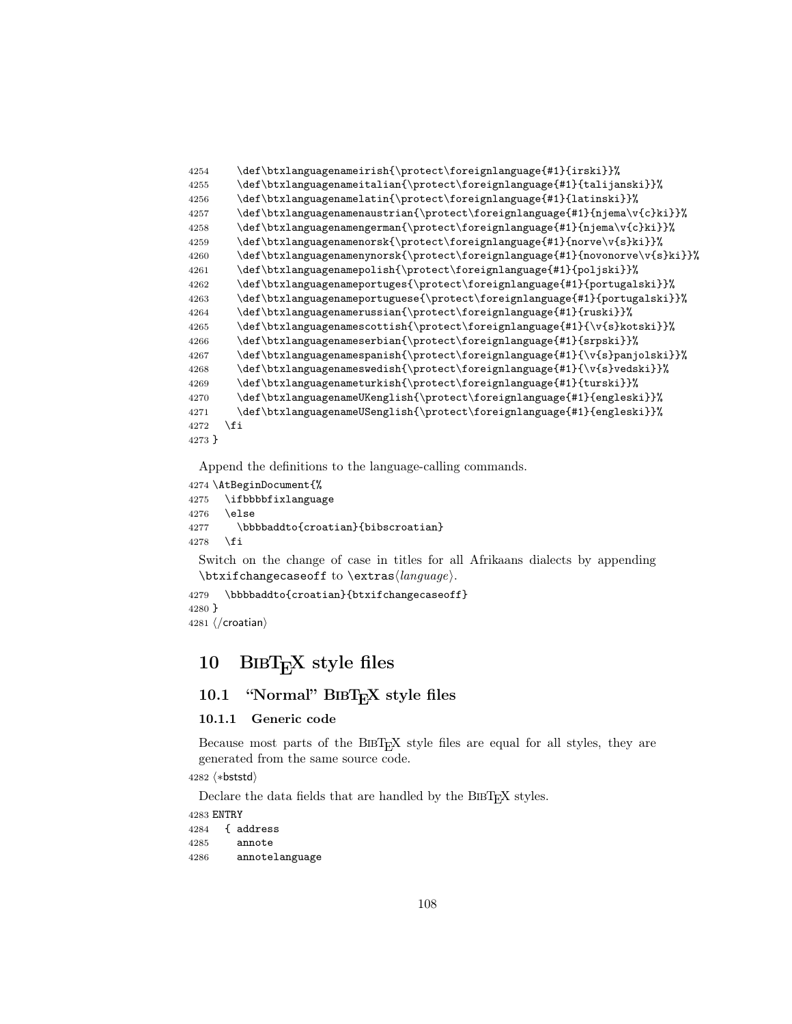| 4254   | \def\btxlanguagenameirish{\protect\foreignlanguage{#1}{irski}}%              |
|--------|------------------------------------------------------------------------------|
| 4255   | \def\btxlanguagenameitalian{\protect\foreignlanguage{#1}{talijanski}}%       |
| 4256   | \def\btxlanguagenamelatin{\protect\foreignlanguage{#1}{latinski}}%           |
| 4257   | \def\btxlanguagenamenaustrian{\protect\foreignlanguage{#1}{njema\v{c}ki}}%   |
| 4258   | \def\btxlanguagenamengerman{\protect\foreignlanguage{#1}{njema\v{c}ki}}%     |
| 4259   | \def\btxlanguagenamenorsk{\protect\foreignlanguage{#1}{norve\v{s}ki}}%       |
| 4260   | \def\btxlanguagenamenynorsk{\protect\foreignlanguage{#1}{novonorve\v{s}ki}}% |
| 4261   | \def\btxlanguagenamepolish{\protect\foreignlanguage{#1}{poljski}}%           |
| 4262   | \def\btxlanguagenameportuges{\protect\foreignlanguage{#1}{portugalski}}%     |
| 4263   | \def\btxlanguagenameportuguese{\protect\foreignlanguage{#1}{portugalski}}%   |
| 4264   | \def\btxlanguagenamerussian{\protect\foreignlanguage{#1}{ruski}}%            |
| 4265   | \def\btxlanguagenamescottish{\protect\foreignlanguage{#1}{\v{s}kotski}}%     |
| 4266   | \def\btxlanguagenameserbian{\protect\foreignlanguage{#1}{srpski}}%           |
| 4267   | \def\btxlanguagenamespanish{\protect\foreignlanguage{#1}{\v{s}panjolski}}%   |
| 4268   | \def\btxlanguagenameswedish{\protect\foreignlanguage{#1}{\v{s}vedski}}%      |
| 4269   | \def\btxlanguagenameturkish{\protect\foreignlanguage{#1}{turski}}%           |
| 4270   | \def\btxlanguagenameUKenglish{\protect\foreignlanguage{#1}{engleski}}%       |
| 4271   | \def\btxlanguagenameUSenglish{\protect\foreignlanguage{#1}{engleski}}%       |
| 4272   | \fi                                                                          |
| 4273 } |                                                                              |

```
4274 \AtBeginDocument{%
4275 \ifbbbbfixlanguage
4276 \else
4277 \bbbbaddto{croatian}{bibscroatian}
```

```
4278 \fi
```
Switch on the change of case in titles for all Afrikaans dialects by appending  $\text{changecase}$  to  $\text{change}$ .

```
4279 \bbbbaddto{croatian}{btxifchangecaseoff}
4280 }
4281 \langle/croatian\rangle
```
# 10 BIBTEX style files

## 10.1 "Normal" BIBTEX style files

## 10.1.1 Generic code

Because most parts of the BIBT<sub>E</sub>X style files are equal for all styles, they are generated from the same source code.

4282 (\*bststd)

Declare the data fields that are handled by the BIBT<sub>E</sub>X styles.

 ENTRY { address annote annotelanguage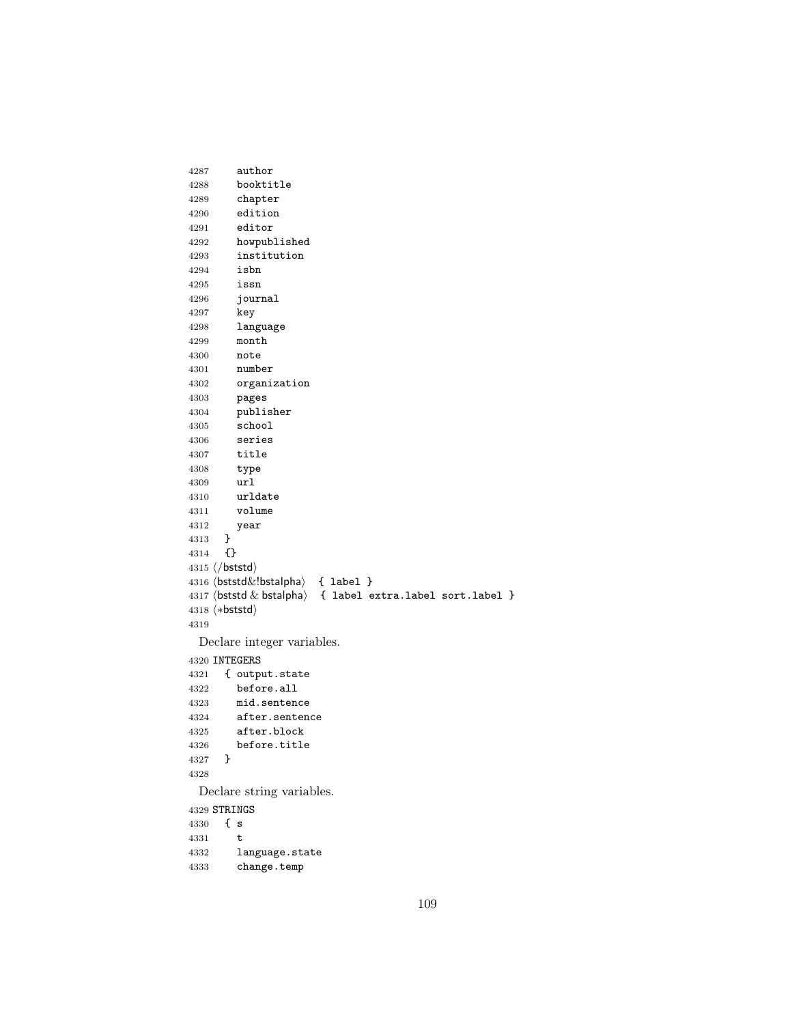```
4287 author
4288 booktitle
4289 chapter
4290 edition
4291 editor
4292 howpublished
4293 institution
4294 isbn
4295 issn
4296 journal
4297 key
4298 language
4299 month
4300 note
4301 number
4302 organization<br>4303 pages
       4303 pages
4304 publisher
4305 school
4306 series
4307 title
4308 type
4309 url
4310 urldate
4311 volume
4312 year
4313 }
4314 {}
4315 \langle/bststd\rangle4316 (bststd&!bstalpha) { label }
4317 \langlebststd \& bstalpha\rangle { label extra.label sort.label }
4318 (*bststd)
4319
 Declare integer variables.
4320 INTEGERS
4321 { output.state
4322 before.all
4323 mid.sentence
4324 after.sentence
4325 after.block
4326 before.title
4327 }
4328
 Declare string variables.
4329 STRINGS
4330 { s
4331 t
4332 language.state
4333 change.temp
```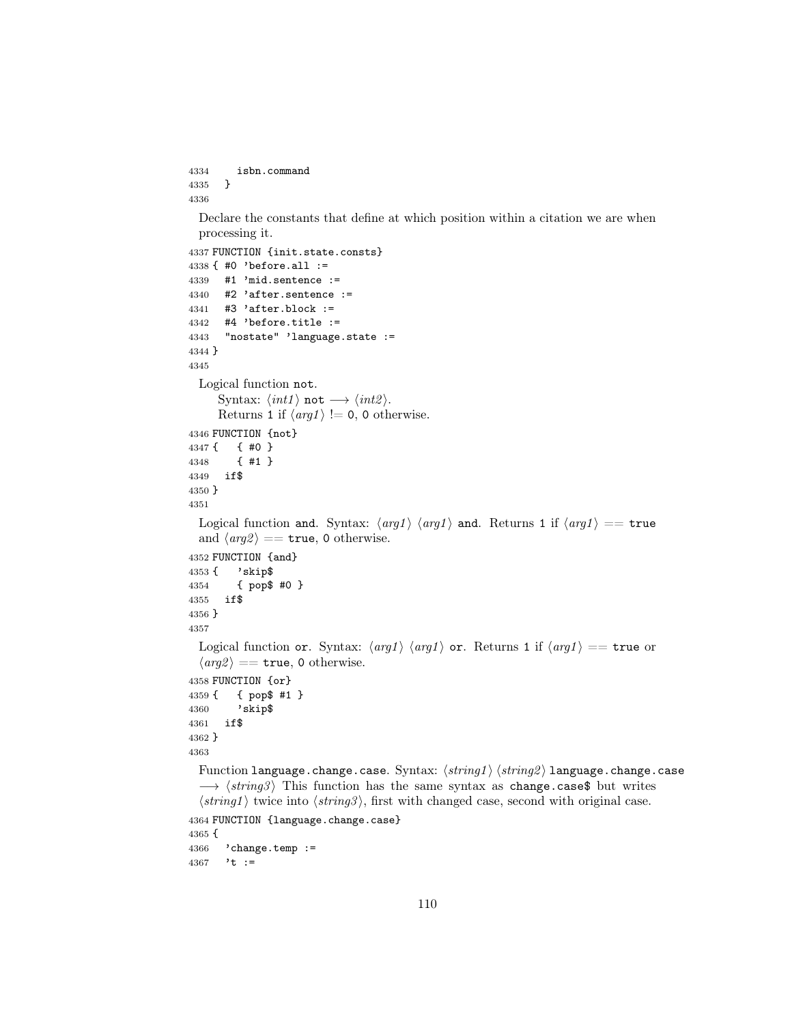```
4334 isbn.command
4335 }
4336
```
Declare the constants that define at which position within a citation we are when processing it.

```
4337 FUNCTION {init.state.consts}
4338 { #0 'before.all :=
4339 #1 'mid.sentence :=
4340 #2 'after.sentence :=
4341 #3 'after.block :=
4342 #4 'before.title :=
4343 "nostate" 'language.state :=
4344 }
4345
  Logical function not.
      Syntax: \langle int1 \rangle not \longrightarrow \langle int2 \rangle.
      Returns 1 if \langle arg1 \rangle != 0, 0 otherwise.
4346 FUNCTION {not}
4347 { { #0 }
4348 { #1 }
4349 if$
4350 }
4351
  Logical function and. Syntax: \langle arg1 \rangle \langle arg1 \rangle and. Returns 1 if \langle arg1 \rangle == true
  and \langle arg2 \rangle == true, 0 otherwise.
4352 FUNCTION {and}
4353 { 'skip$
4354 { pop$ #0 }
4355 if$
4356 }
4357
  Logical function or. Syntax: \langle arg1 \rangle \langle arg1 \rangle or. Returns 1 if \langle arg1 \rangle == true or
  \langle arg 2 \rangle == true, 0 otherwise.
4358 FUNCTION {or}
4359 { { pop$ #1 }
4360 'skip$
4361 if$
4362 }
4363
  Function language.change.case. Syntax: \langle string1 \rangle \langle string2 \rangle language.change.case
  \rightarrow \langle string3 \rangle This function has the same syntax as change.case$ but writes
  \langle string1 \rangle twice into \langle string3 \rangle, first with changed case, second with original case.
4364 FUNCTION {language.change.case}
4365 {
4366 'change.temp :=
4367 't :=
```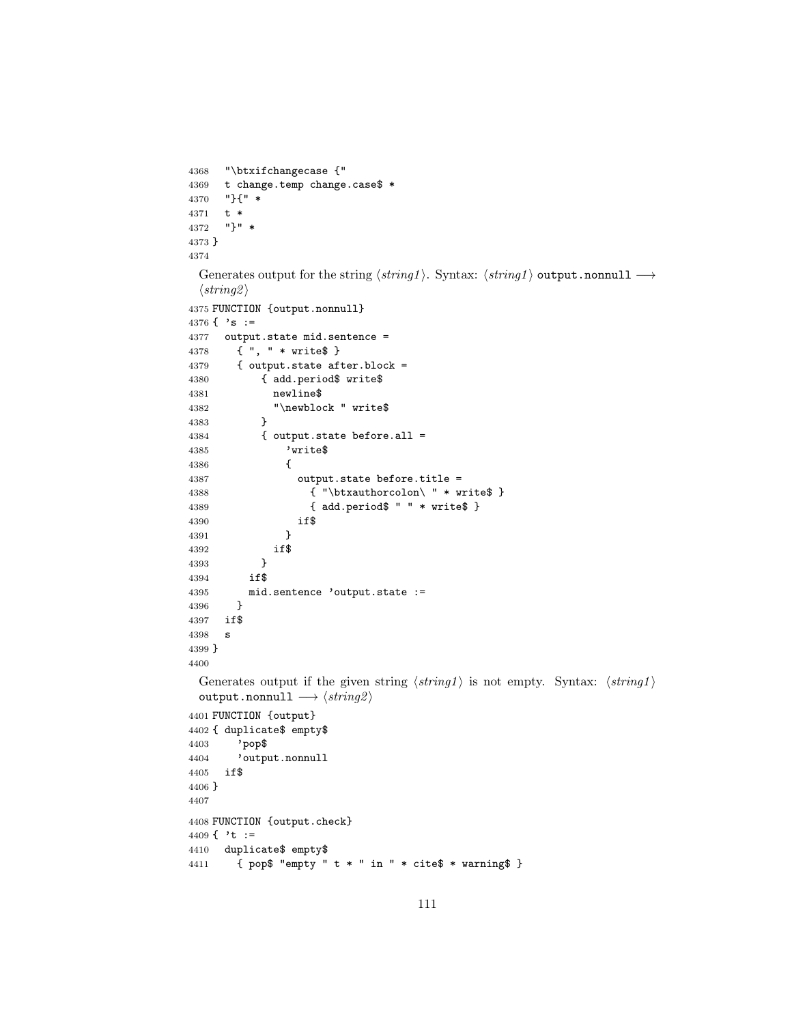```
4368 "\btxifchangecase {"
4369 t change.temp change.case$ * 4370 "}{" *
     4370 "}{" *
4371 t *
4372 "}" *
4373 }
4374
 Generates output for the string \langle string1 \rangle. Syntax: \langle string1 \rangle output.nonnull \longrightarrow\langle string2 \rangle4375 FUNCTION {output.nonnull}
4376 \{ \cdot s : =4377 output.state mid.sentence =
4378 { ", " * write$ }
4379 { output.state after.block =
4380 { add.period$ write$
4381 newline$
4382 "\newblock " write$
4383 }
4384 { output.state before.all =
4385 'write$
4386 {
4387 output.state before.title =
4388 \{ " \text{btxauthorcolon} " * write$ }4389 { add.period$ " " * write$ }
4390 if$
4391 }
4392 if$
4393 }<br>4394 if$
4394
4395 mid.sentence 'output.state :=
4396 }
4397 if$
4398 s
4399 }
4400
 Generates output if the given string \langle string1 \rangle is not empty. Syntax: \langle string1 \rangleoutput.nonnull \longrightarrow \langle string2 \rangle4401 FUNCTION {output}
4402 { duplicate$ empty$
4403 'pop$
4404 'output.nonnull
4405 if$
4406 }
4407
4408 FUNCTION {output.check}
4409 \{\cdot t :=4410 duplicate$ empty$
4411 { pop$ "empty " t * " in " * cite$ * warning$ }
```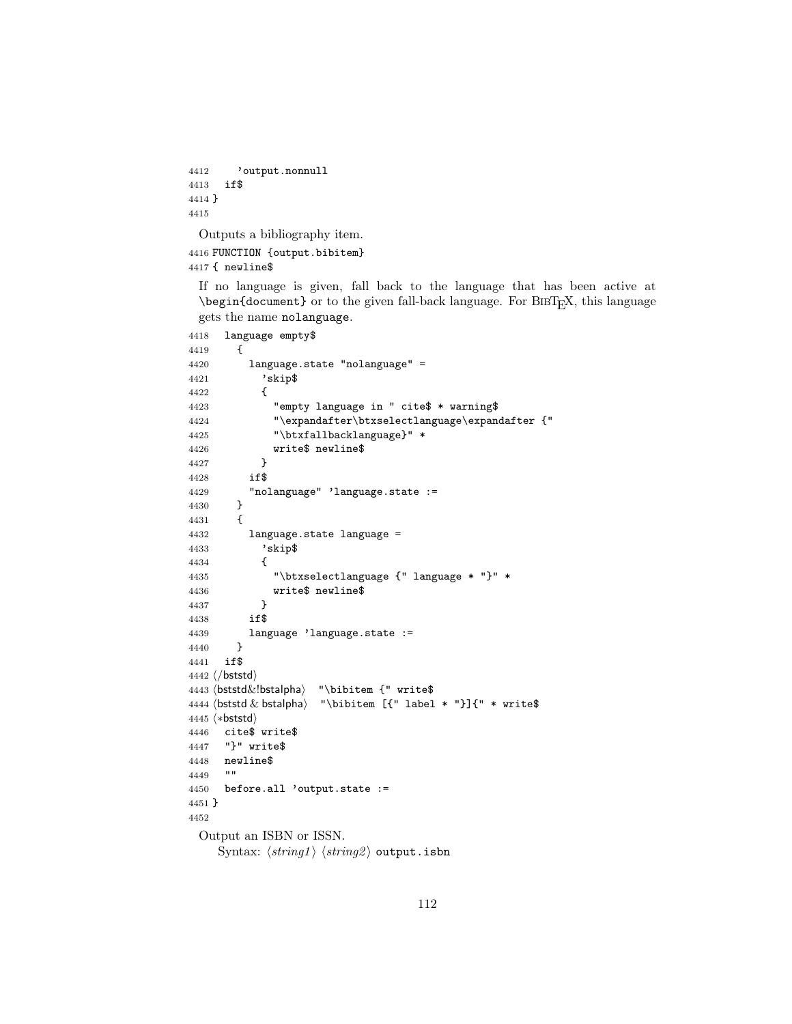```
4412 'output.nonnull
4413 if$
4414 }
4415
```
Outputs a bibliography item.

 FUNCTION {output.bibitem} { newline\$

If no language is given, fall back to the language that has been active at  $\begin{bmatrix} \begin{array}{c} \Delta \end{array}$  or to the given fall-back language. For BIBT<sub>E</sub>X, this language gets the name nolanguage.

```
4418 language empty$
4419 {
4420 language.state "nolanguage" =
4421 'skip$
4422 {
4423 "empty language in " cite$ * warning$
4424 "\expandafter\btxselectlanguage\expandafter {"
4425 "\btxfallbacklanguage}" *
4426 write$ newline$<br>4427 }
4427 }
4428 if$
4429 "nolanguage" 'language.state :=
4430 }
4431 {
4432 language.state language =
4433 'skip$
4434 {
4435 "\btxselectlanguage {" language * "}" *
4436 write$ newline$
4437 }
4438 if$
4439 language 'language.state :=
4440 }
4441 if$
4442 \langle/bststd\rangle4443 (bststd &!bstalpha) "\bibitem {" write$
4444 \boldsymbol{\&} bstalpha\rangle "\boldsymbol{\&} is interm [{" label * "}]{" * write$
4445 (*bststd)
4446 cite$ write$
4447 "}" write$
4448 newline$
4449
4450 before.all 'output.state :=
4451 }
4452
 Output an ISBN or ISSN.
    Syntax: \langle string1 \rangle \langle string2 \rangle output.isbn
```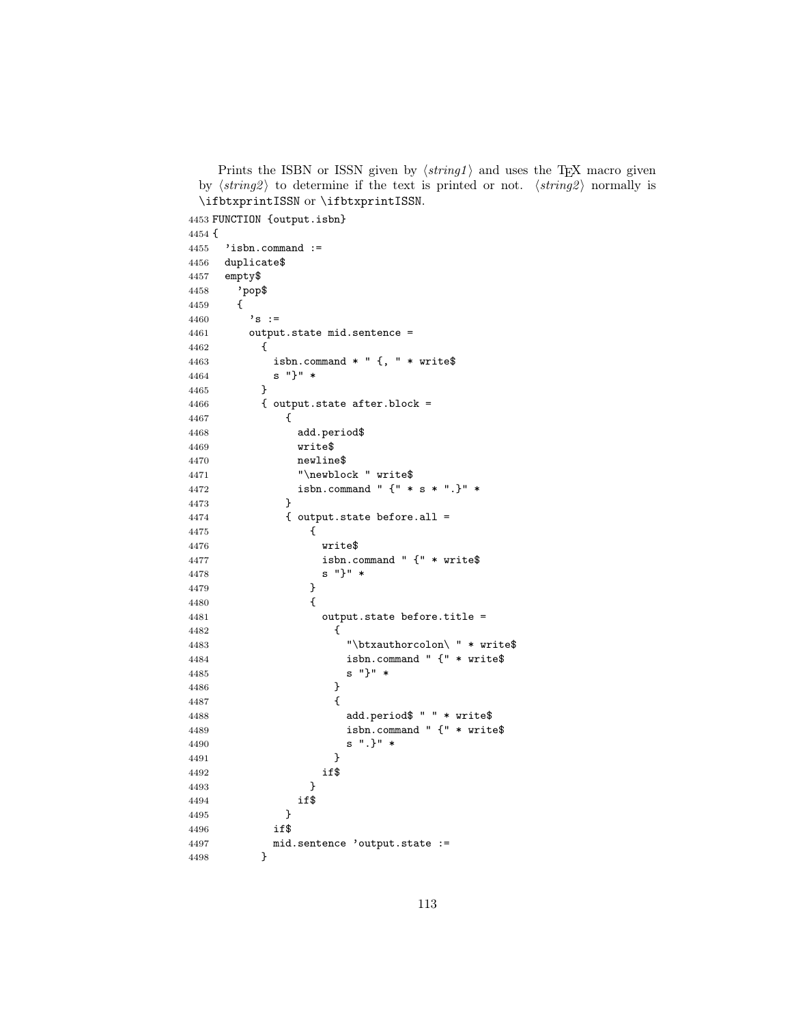Prints the ISBN or ISSN given by  $\langle string1 \rangle$  and uses the TEX macro given by  $\langle string2 \rangle$  to determine if the text is printed or not.  $\langle string2 \rangle$  normally is \ifbtxprintISSN or \ifbtxprintISSN.

```
4453 FUNCTION {output.isbn}
4454 {
4455 'isbn.command :=
4456 duplicate$
4457 empty$
4458 'pop$
4459 {
4460 \,^{\prime} s :=
4461 output.state mid.sentence =
4462 {
4463 isbn.command * " {, " * write$
4464 s "}" *
4465 }
4466 { output.state after.block =
4467 {
4468 add.period$
4469 write$
4470 newline$
4471 "\newblock " write$
4472 isbn.command " {" * s * ".}" *
4473 }
4474 { output.state before.all =
4475 {
4476 write$
4477 isbn.command " {" * write$
4478 s "}" *
4479 }
4480 {
4481 output.state before.title =
4482 {
4483 "\btxauthorcolon\ " * write$
4484 isbn.command " {" * write$
4485 s "}" *
4486 }
4487 {
4488 add.period$ " " * write$
4489 isbn.command " {" * write$
4490 s ".}" *
4491 }
4492 if$
4493 }
4494 if$
4495 }
4496 if$
4497 mid.sentence 'output.state :=
4498 }
```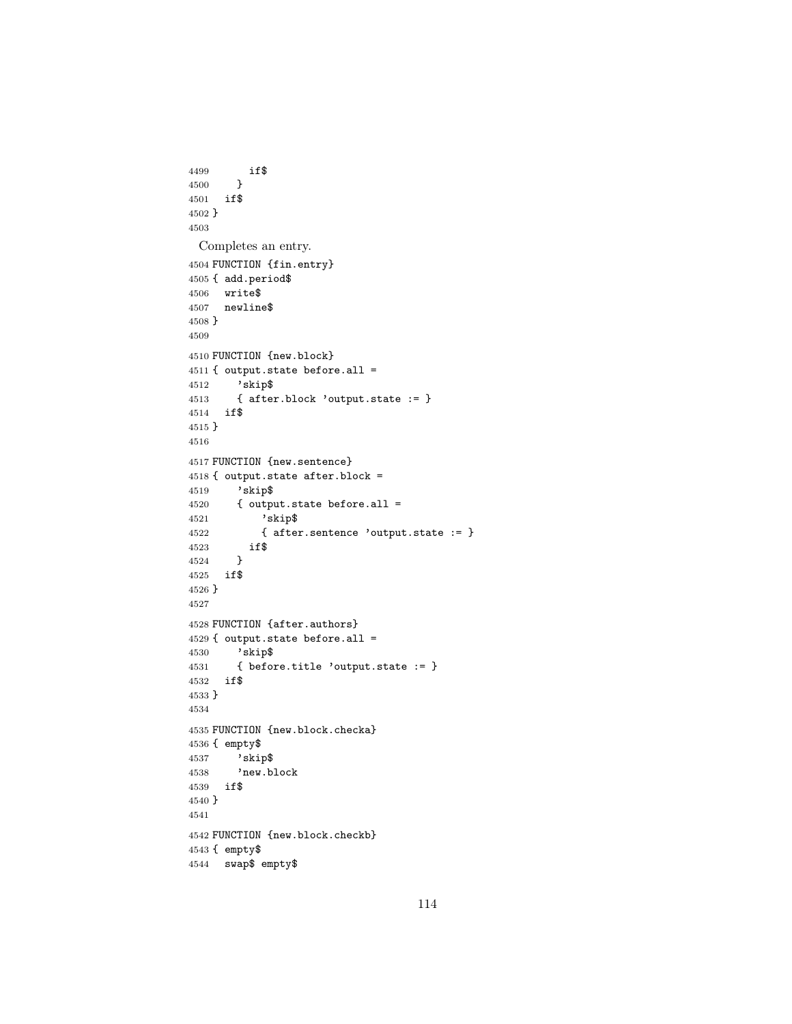```
4499 if$
4500 }
4501 if$
4502 }
4503
 Completes an entry.
4504 FUNCTION {fin.entry}
4505 { add.period$
4506 write$
4507 newline$
4508 }
4509
4510 FUNCTION {new.block}
4511 { output.state before.all =
4512 'skip$
4513 { after.block 'output.state := }
4514 if$
4515 }
4516
4517 FUNCTION {new.sentence}
4518 { output.state after.block =
4519 'skip$
4520 { output.state before.all =
4521 'skip$
4522 { after.sentence 'output.state := }
4523 if$
4524 }
4525 if$
4526 }
4527
4528 FUNCTION {after.authors}
4529 { output.state before.all =
4530 'skip$
4531 { before.title 'output.state := }
4532 if$
4533 }
4534
4535 FUNCTION {new.block.checka}
4536 { empty$
4537 'skip$
4538 'new.block
4539 if$
4540 }
4541
4542 FUNCTION {new.block.checkb}
4543 { empty$
4544 swap$ empty$
```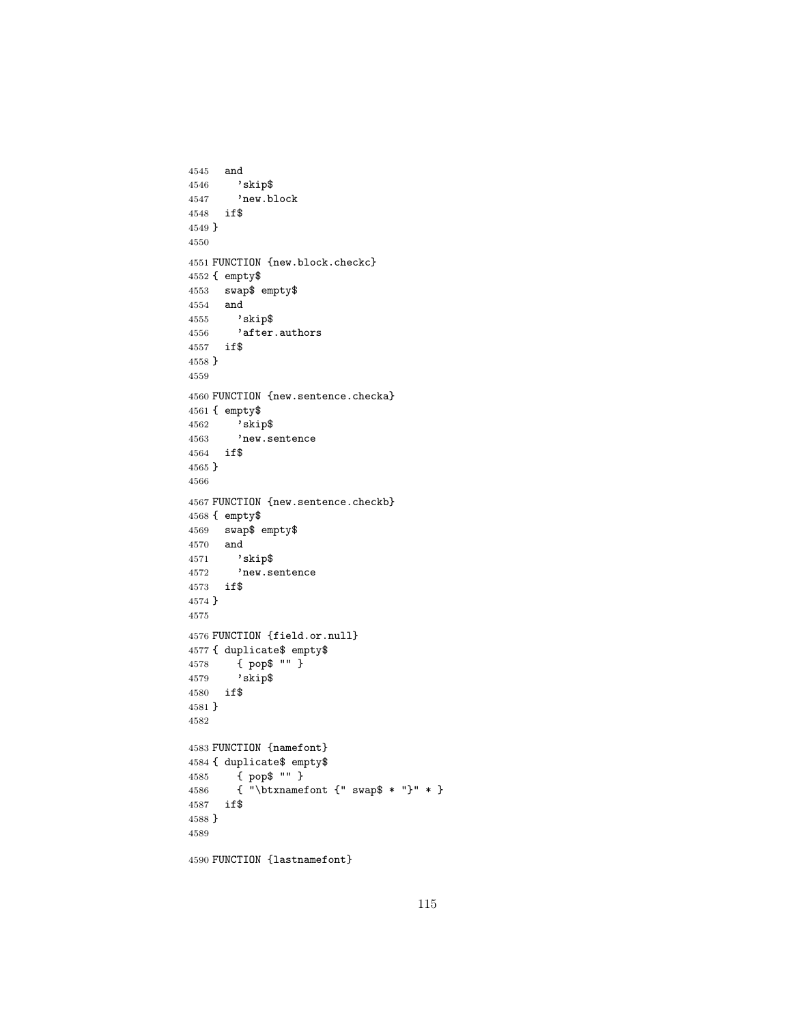```
4545 and
4546 'skip$<br>4547 'new.b
        'new.block
4548 if$
4549 }
4550
4551 FUNCTION {new.block.checkc}
4552 { empty$
4553 swap$ empty$
4554 and \frac{4555}{8} \rightarrow \frac{255}{8}'skip$
4556 'after.authors
4557 if$
4558 }
4559
4560 FUNCTION {new.sentence.checka}
4561 { empty$
4562 'skip$
4563 'new.sentence
4564 if$
4565 }
4566
4567 FUNCTION {new.sentence.checkb}
4568 { empty$
4569 swap$ empty$
4570 and
4571 'skip$
4572 'new.sentence
4573 if$
4574 }
4575
4576 FUNCTION {field.or.null}
4577 { duplicate$ empty$<br>4578 { pop$ "" }
        4578 { pop$ "" }
4579 'skip$
4580 if$
4581 }
4582
4583 FUNCTION {namefont}
4584 { duplicate$ empty$
4585 { pop$ "" }
4586 { "\btxnamefont {" swap$ * "}" * }
4587 if$
4588 }
4589
4590 FUNCTION {lastnamefont}
```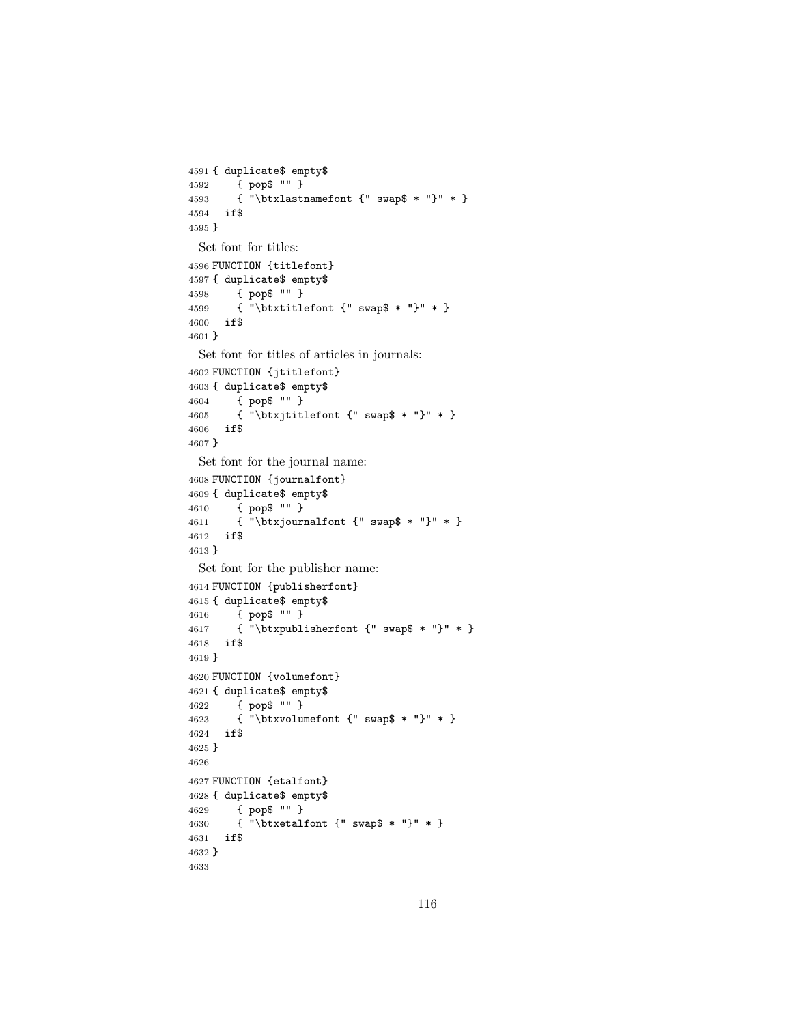```
4591 { duplicate$ empty$
4592 { pop$ "" }
4593 { "\btxlastnamefont {" swap$ * "}" * }
4594 if$
4595 }
 Set font for titles:
4596 FUNCTION {titlefont}
4597 { duplicate$ empty$
4598 { pop$ "" }
4599 { "\btxtitlefont {" swap$ * "}" * }
4600 if$
4601 }
 Set font for titles of articles in journals:
4602 FUNCTION {jtitlefont}
4603 { duplicate$ empty$
4604 { pop$ "" }
4605 { "\btxjtitlefont {" swap$ * "}" * }
4606 if$
4607 }
 Set font for the journal name:
4608 FUNCTION {journalfont}
4609 { duplicate$ empty$
4610 { pop$ "" }
4611 { "\btxjournalfont {" swap$ * "}" * }
4612 if$
4613 }
 Set font for the publisher name:
4614 FUNCTION {publisherfont}
4615 { duplicate$ empty$
4616 { pop$ "" }
4617 { "\btxpublisherfont {" swap$ * "}" * }
4618 if$
4619 }
4620 FUNCTION {volumefont}
4621 { duplicate$ empty$
4622 { pop$ "" }
4623 { "\btxvolumefont {" swap$ * "}" * }
4624 if$
4625 }
4626
4627 FUNCTION {etalfont}
4628 { duplicate$ empty$
4629 { pop$ "" }
4630 { "\btxetalfont {" swap$ * "}" * }
4631 if$
4632 }
4633
```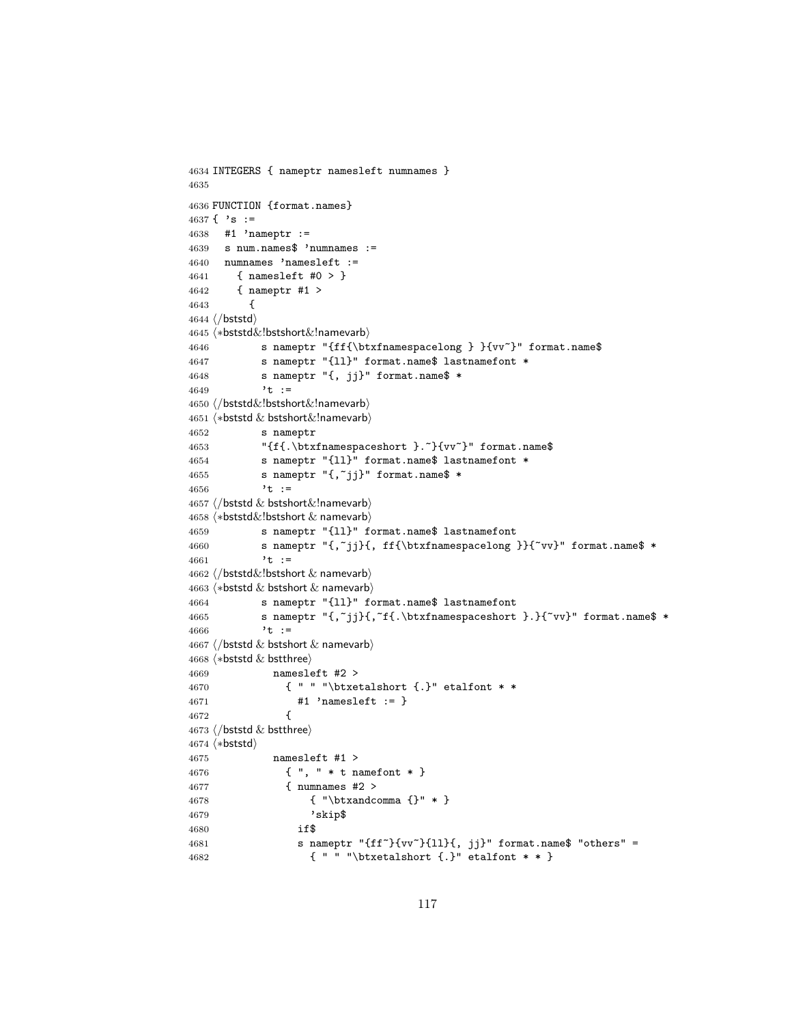```
4634 INTEGERS { nameptr namesleft numnames }
4635
4636 FUNCTION {format.names}
4637 { 's :=4638 #1 'nameptr :=
4639 s num.names$ 'numnames :=
4640 numnames 'namesleft :=
4641 { namesleft #0 > }
4642 { nameptr #1 >
4643 {
4644 \langle /bststd\rangle4645 (*bststd&!bstshort&!namevarb)
4646 s nameptr "{ff{\btxfnamespacelong } }{vv~}" format.name$
4647 s nameptr "{ll}" format.name$ lastnamefont *
4648 s nameptr "{, jj}" format.name$ *
4649 't :=
4650 (/bststd&!bstshort&!namevarb)
4651 \langle *beststd & bestshort& Inamevarb \rangle4652 s nameptr
4653 "{f{.\btxfnamespaceshort }.~}{vv~}" format.name$
4654 s nameptr "{ll}" format.name$ lastnamefont *
4655 s nameptr "{,~jj}" format.name$ *
4656 't :=
4657 \langle/bststd \& bstshort\&!namevarb\rangle4658 \langle *bststd&!bstshort & namevarb \rangle4659 s nameptr "{ll}" format.name$ lastnamefont
4660 s nameptr "{,~jj}{, ff{\btxfnamespacelong }}{~vv}" format.name$ *
4661 't :=
4662 \langle/bststd\&!bstshort \& namevarb\rangle4663 (*bststd & bstshort & namevarb)
4664 s nameptr "{ll}" format.name$ lastnamefont
4665 s nameptr "{,~jj}{,~f{.\btxfnamespaceshort }.}{~vv}" format.name$ *
4666 't :=
4667 \langle/bststd & bstshort & namevarb\rangle4668 (*bststd & bstthree)
4669 namesleft #2 >
4670 { " " "\btxetalshort {.}" etalfont * *
4671 #1 'namesleft := }
4672 {
4673 \langle/bststd & bstthree\rangle4674 (*bststd)
4675 namesleft #1 >
4676 { ", " * t namefont * }
4677 { numnames #2 >
4678 { "\btxandcomma {}" * }
4679 'skip$
4680 if$
4681 s nameptr "{ff~}{vv~}{ll}{, jj}" format.name$ "others" =
4682 { " " "\btxetalshort {.}" etalfont * * }
```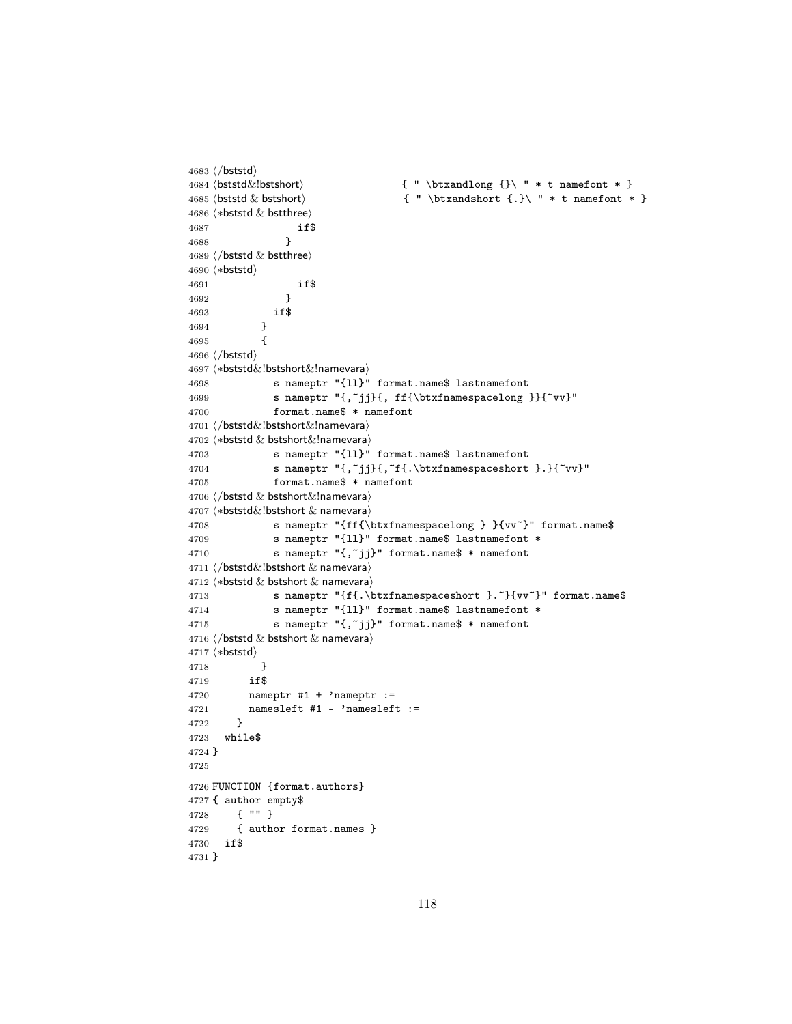```
4683 (/bststd)
4684 \boldsymbol{\&} hotstd\boldsymbol{\&}!bstshort\boldsymbol{\&} \{ " \boldsymbol{\&} thtxandlong \{\} \ " * t namefont * \}4685 (bststd & bstshort) \{ " \btxandshort { .}\n " * t namefont * }4686 \langle *beststd & bstthree \rangle4687 if$
4688 }
4689 \langle/bststd \& bstthree\rangle4690 (*bststd)
4691 if$<br>4692 }
4692
4693 if$
4694 }
4695 {
4696 \langle/bststd\rangle4697 (*bststd&!bstshort&!namevara)
4698 s nameptr "{11}" format.name$ lastnamefont<br>4699 s nameptr "f.~ii}f. ff{\btxfnamespacelong
              s nameptr "{,~jj}{, ff{\btxfnamespacelong }}{~vv}"
4700 format.name$ * namefont
4701 (/bststd&!bstshort&!namevara)
4702 (*bststd & bstshort&!namevara)
4703 s nameptr "{ll}" format.name$ lastnamefont
4704 s nameptr "{,~jj}{,~f{.\btxfnamespaceshort }.}{~vv}"
4705 format.name$ * namefont
4706 (/bststd & bstshort&!namevara)
4707 \langle *bststd&!bstshort & \text{namevara} \rangle4708 s nameptr "{ff{\btxfnamespacelong } }{vv~}" format.name$
4709 s nameptr "{ll}" format.name$ lastnamefont *
4710 s nameptr "{,~jj}" format.name$ * namefont
4711 (/bststd&!bstshort & namevara)
4712 \langle *beststd & bestshort & namevara \rangle4713 s nameptr "{f{.\btxfnamespaceshort }. "}{vv"}" format.name$
4714 s nameptr "{ll}" format.name$ lastnamefont *
4715 s nameptr "\{, "jj}" format.name$ * namefont
4716 \langle/bststd \& bstshort \& namevara\rangle4717 (*bststd)
4718 }
4719 if$
4720 nameptr #1 + 'nameptr :=
4721 namesleft #1 - 'namesleft :=
4722 }
4723 while$
4724 }
4725
4726 FUNCTION {format.authors}
4727 { author empty$
4728 { "" }
4729 { author format.names }
4730 if$
4731 }
```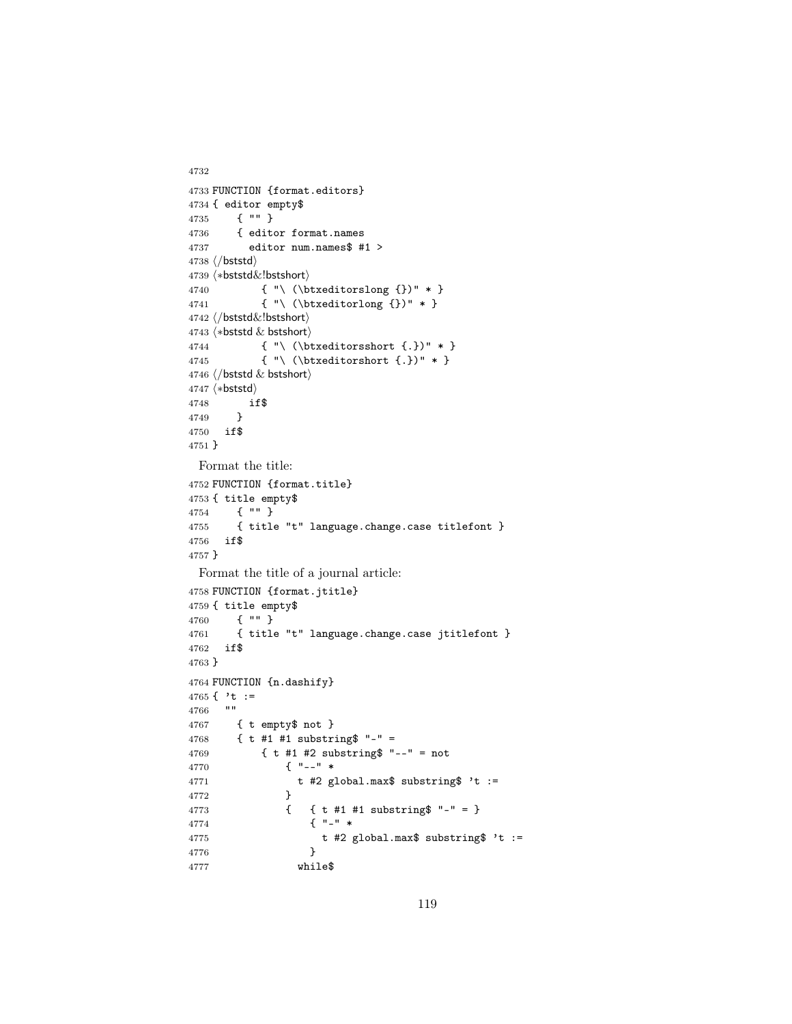```
4732
4733 FUNCTION {format.editors}
4734 { editor empty$
4735 { "" }
4736 { editor format.names
4737 editor num.names$ #1 >
4738 \langle/bststd\rangle4739 \langle *\text{bststd&!bstshort}\rangle4740 { "\ (\btxeditorslong {})" * }
4741 { "\ (\btxeditorlong {})" * }
4742 (/bststd&!bstshort)
4743 \langle *beststd & bestshort \rangle4744 { "\ (\btxeditorsshort {.})" * }
4745 { "\ (\btxeditorshort {.})" * }
4746 \langle/bststd & bstshort\rangle4747 (*bststd)
4748 if$
4749 }
4750 if$
4751 }
 Format the title:
4752 FUNCTION {format.title}
4753 { title empty$
4754 { "" }
4755 { title "t" language.change.case titlefont }
4756 if$
4757 }
 Format the title of a journal article:
4758 FUNCTION {format.jtitle}
4759 { title empty$
4760 { "" }
4761 { title "t" language.change.case jtitlefont }
4762 if$
4763 }
4764 FUNCTION {n.dashify}
4765 { 't :=
4766 ""
4767 { t empty$ not }<br>4768 { t #1 #1 substr:
        {t \ t \ #1 \ #1} substring$ "-" =
4769 { t #1 #2 substring$ "--" = not
4770 { "--" *
4771 t #2 global.max$ substring$ 't :=
4772 }
4773 { { t #1 #1 substring$ "-" = }
4774 { "-" *
4775 t #2 global.max$ substring$ 't := 4776 }
4776 }
4777 while$
```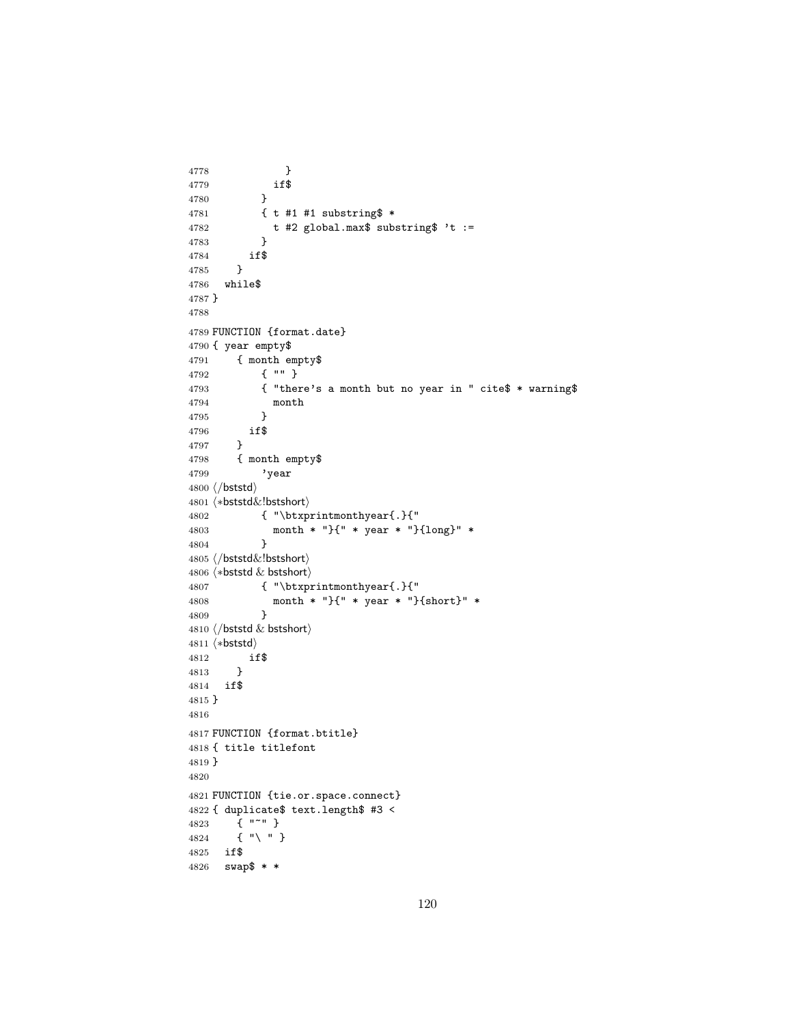```
4778 }
4779 if $
4780 }
4781 { t #1 #1 substring$ *
4782 t #2 global.max$ substring$ 't :=
4783 }
4784 if$
4785 }
4786 while$
4787 }
4788
4789 FUNCTION {format.date}
4790 { year empty$
4791 { month empty$
4792 { "" }
4793 { "there's a month but no year in " cite$ * warning$
4794 month
4795 }
4796 if$
4797 }
4798 { month empty$
4799 'year
4800 \langle/bststd\rangle4801 (*bststd&!bstshort)
4802 { "\btxprintmonthyear{.}{"
4803 month * "}{" * year * "}{long}" *
4804 }
4805 \langle /bststd\&!bstshort\rangle4806 \langle *beststd & bestshort \rangle4807 { "\btxprintmonthyear{.}{"
4808 month * "}{" * year * "}{short}" *
4809 }
4810 \langle /bststd & bstshort\rangle4811 \langle *bststd\rangle4812 if$
4813 }
4814 if$
4815 }
4816
4817 FUNCTION {format.btitle}
4818 { title titlefont
4819 }
4820
4821 FUNCTION {tie.or.space.connect}
4822 { duplicate$ text.length$ #3 <
4823 { "~" }
4824 { "\ " }
4825 if$
4826 swap$ * *
```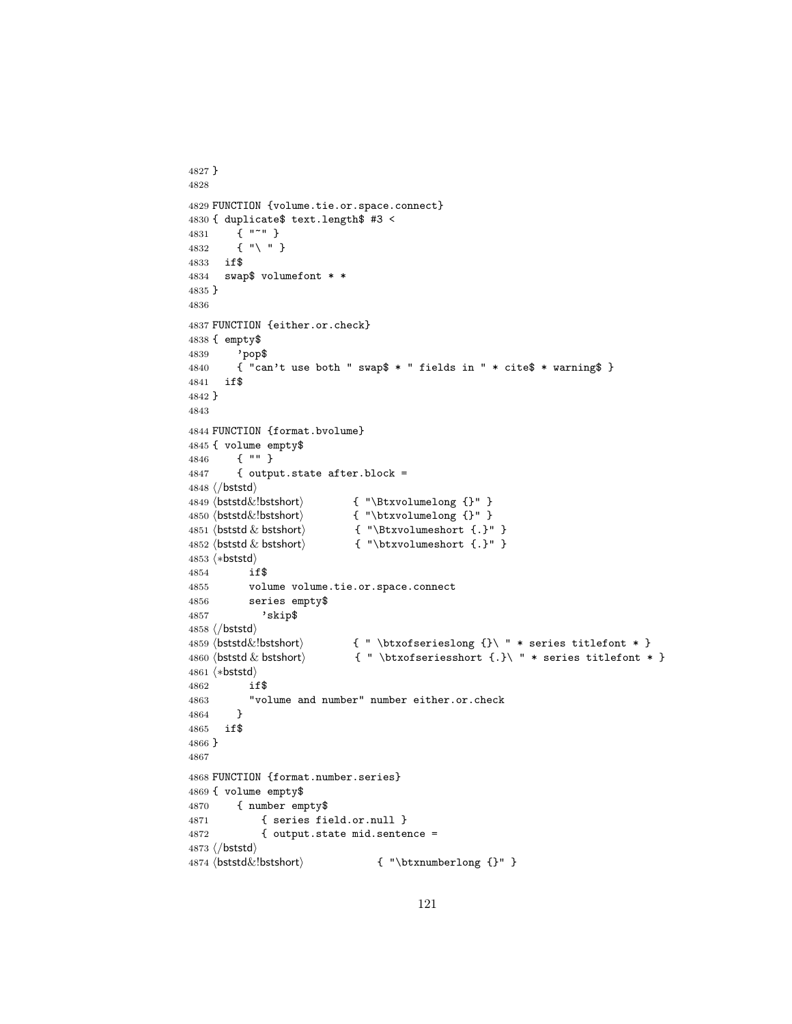```
4827 }
4828
4829 FUNCTION {volume.tie.or.space.connect}
4830 { duplicate$ text.length$ #3 <
4831 { "~" }
4832 { "\ " }
4833 if$
4834 swap$ volumefont * *
4835 }
4836
4837 FUNCTION {either.or.check}
4838 { empty$
4839 'pop$
4840 { "can't use both " swap$ * " fields in " * cite$ * warning$ }
4841 if$
4842 }
4843
4844 FUNCTION {format.bvolume}
4845 { volume empty$
4846 { "" }
4847 { output.state after.block =
4848 (/bststd)
4849 (bststd&!bstshort) { "\Btxvolumelong {}" }
4850 \langlebststd\&!bstshort\langle { "\btxvolumelong {}" }
4851 hbststd & bstshorti { "\Btxvolumeshort {.}" }
4852 (bststd & bstshort) \{ " \text{btxvolumeshort } \}.4853 (*bststd)
4854 if$
4855 volume volume.tie.or.space.connect
4856 series empty$
4857 'skip$
4858\langle/bststd\rangle4859 \boldsymbol{\&}!bststd\{\text{bstshort}\} { " \btxofserieslong {}\ " * series titlefont * }
4860 hbststd & bstshorti { " \btxofseriesshort {.}\ " * series titlefont * }
4861 (*bststd)
4862 if$
4863 "volume and number" number either.or.check
4864 }
4865 if$
4866 }
4867
4868 FUNCTION {format.number.series}
4869 { volume empty$
4870 { number empty$
4871 { series field.or.null }
4872 { output.state mid.sentence =
4873 \langle/bststd\rangle<br>4874 \langlebststd\&!bstshort\rangle{ " \bttxnumberlong } {\}
```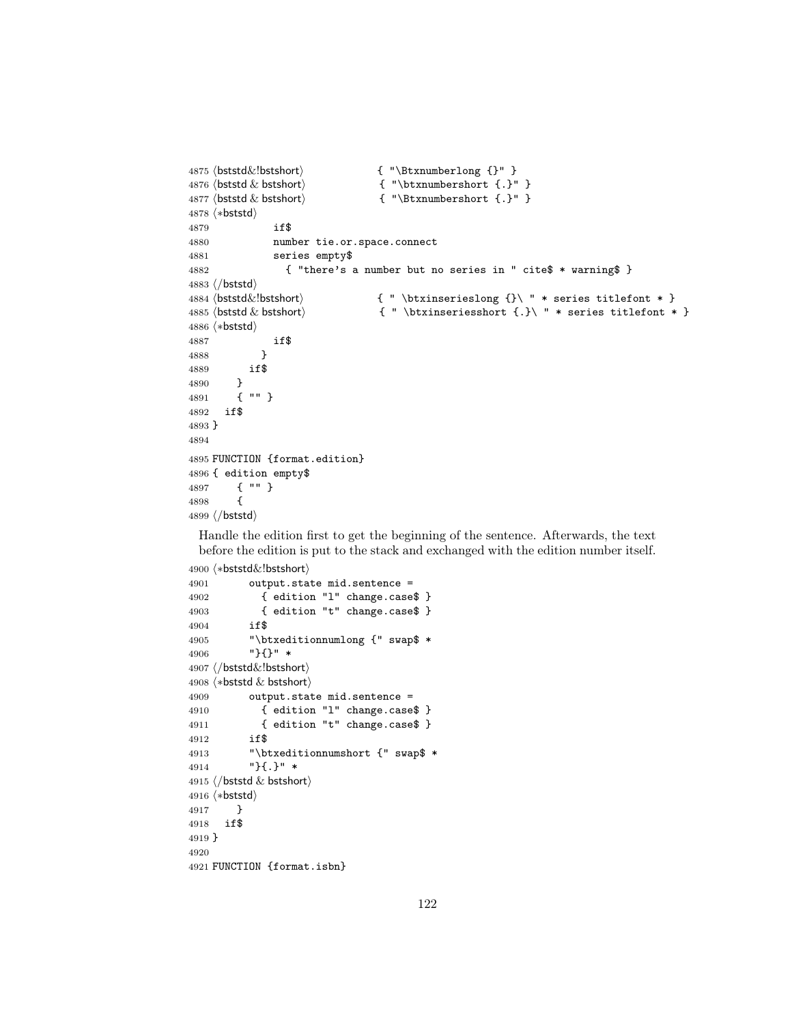```
4875 \langlebststd\&!bstshort\rangle { "\Btxnumberlong {}" }
4876 \langlebststd \& bstshort\langle \cdot \rangle { "\btxnumbershort \{.\}" }
4877 (bststd & bstshort) \{ "\Btxnumbershort \{.\}" }
4878 (*bststd)
4879 if$
4880 number tie.or.space.connect
4881 series empty$
4882 { "there's a number but no series in " cite$ * warning$ }
4883\langle/bststd\rangle4884 (bststd\&!bstshort) \{ " \btxinserieslong {} {\} " * series titlefont * }4885 hbststd & bstshorti { " \btxinseriesshort {.}\ " * series titlefont * }
4886 (*bststd)
4887 if$
4888 }
4889 if$
4890 }<br>4891 {
4891 { "" }
4892 if$
4893 }
4894
4895 FUNCTION {format.edition}
4896 { edition empty$
4897 { "" }
4898 {
4899 (/bststd)
```
Handle the edition first to get the beginning of the sentence. Afterwards, the text before the edition is put to the stack and exchanged with the edition number itself.

```
4900 (*bststd&!bstshort)
4901 output.state mid.sentence =
4902 { edition "l" change.case$ }
4903 { edition "t" change.case$ }
4904 if$
4905 "\btxeditionnumlong {" swap$ *
4906 "}{}" *
4907 (/bststd&!bstshort)
4908 \langle *beststd & bestshort \rangle4909 output.state mid.sentence =
4910 { edition "l" change.case$ }
4911 { edition "t" change.case$ }
4912 if$
4913 "\btxeditionnumshort {" swap$ *
4914 "}{.}" *
4915 \langle/bststd & bstshort\rangle4916 (*bststd)
4917 }
4918 if$
4919 }
4920
4921 FUNCTION {format.isbn}
```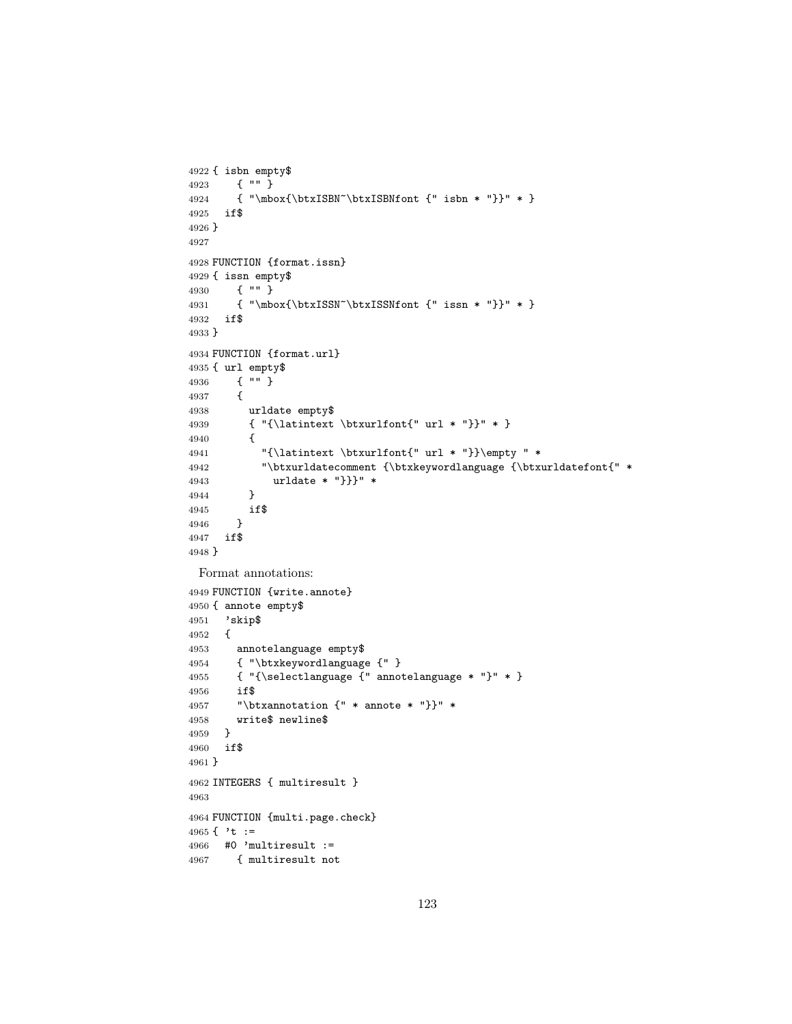```
4922 { isbn empty$
4923 { "" }
4924 { "\mbox{\btxISBN~\btxISBNfont {" isbn * "}}" * }
4925 if$
4926 }
4927
4928 FUNCTION {format.issn}
4929 { issn empty$
4930 { "" }
4931 { "\mbox{\btxISSN~\btxISSNfont {" issn * "}}" * }
4932 if$
4933 }
4934 FUNCTION {format.url}
4935 { url empty$
4936 { "" }
4937 {
4938 urldate empty$
4939 { "{\latintext \btxurlfont{" url * "}}" * }
4940 {
4941 "{\latintext \btxurlfont{" url * "}}\empty " *
4942 "\btxurldatecomment {\btxkeywordlanguage {\btxurldatefont{" *
4943 urldate * "}}}" *
4944 }
4945 if$
4946 }
4947 if$
4948 }
 Format annotations:
4949 FUNCTION {write.annote}
4950 { annote empty$
4951 'skip$
4952 {
4953 annotelanguage empty$
4954 { "\btxkeywordlanguage {" }
4955 { "{\selectlanguage {" annotelanguage * "}" * }
4956 if$
4957 "\btxannotation {" * annote * "}}" *
4958 write$ newline$
4959 }
4960 if$
4961 }
4962 INTEGERS { multiresult }
4963
4964 FUNCTION {multi.page.check}
4965 { 't :=
4966 #0 'multiresult :=
4967 { multiresult not
```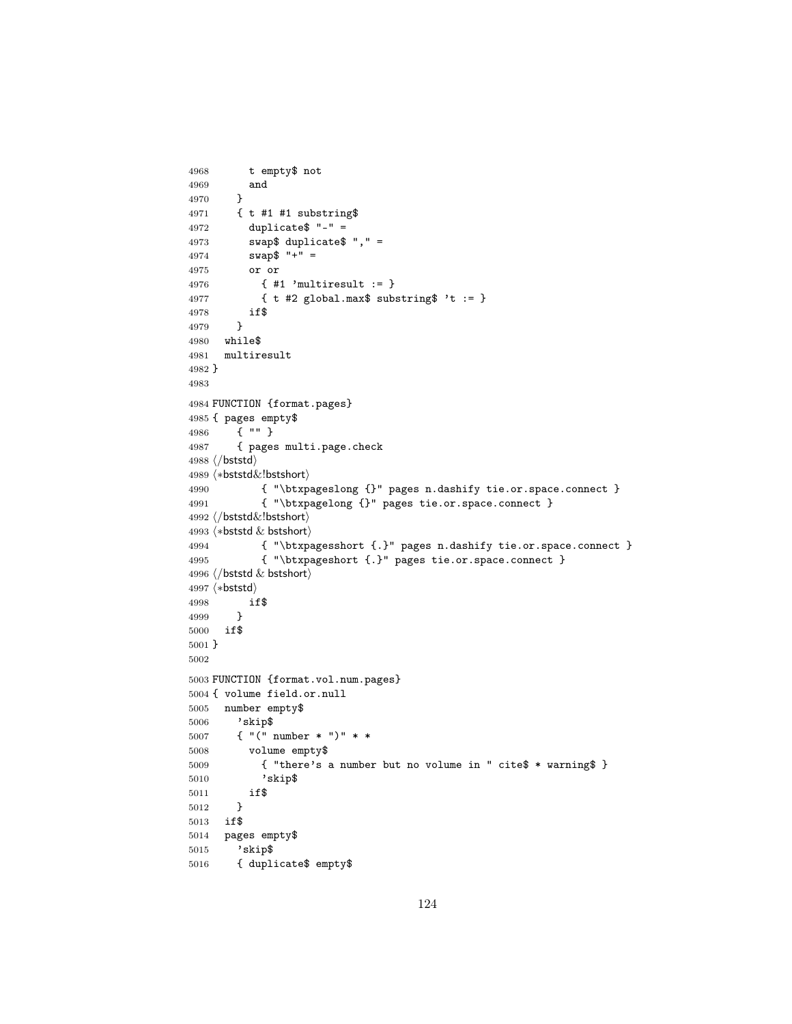```
4968 t empty$ not
4969 and
4970 }
4971 { t #1 #1 substring$
4972 duplicate$ "-" =
4973 swap$ duplicate$ "," =
4974 swap$ "+" =
4975 or or
4976 { #1 'multiresult := }
4977 { t #2 global.max$ substring$ 't := }
4978 if$
4979 }
4980 while$
4981 multiresult
4982 }
4983
4984 FUNCTION {format.pages}
4985 { pages empty$
4986 { "" }
4987 { pages multi.page.check
4988 (/bststd)
4989 (*bststd&!bstshort)
4990 { "\btxpageslong {}" pages n.dashify tie.or.space.connect }
4991 { "\btxpagelong {}" pages tie.or.space.connect }
4992 \langle /bststd\&!bstshort\rangle4993 \langle *beststd & bstshort \rangle4994 { "\btxpagesshort {.}" pages n.dashify tie.or.space.connect }
4995 { "\btxpageshort {.}" pages tie.or.space.connect }
4996 \langle/bststd & bstshort\rangle4997 (*bststd)
4998 if$
4999 }
5000 if$
5001 }
5002
5003 FUNCTION {format.vol.num.pages}
5004 { volume field.or.null
5005 number empty$
5006 'skip$
5007 { "(" number * ")" * *
5008 volume empty$
5009 { "there's a number but no volume in " cite$ * warning$ }
5010 'skip$
5011 if$
5012 }
5013 if$
5014 pages empty$
5015 'skip$
5016 { duplicate$ empty$
```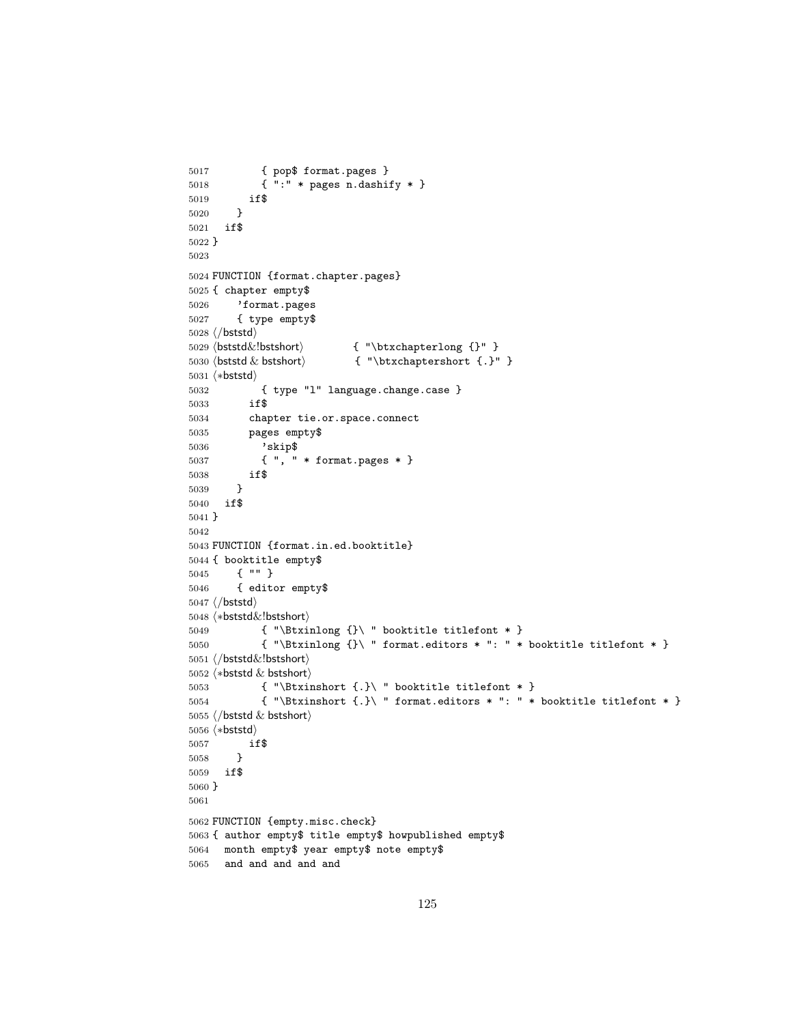```
5017 { pop$ format.pages }
5018 { ":" * pages n.dashify * }
5019 if$
5020 }
5021 if$
5022 }
5023
5024 FUNCTION {format.chapter.pages}
5025 { chapter empty$
5026 'format.pages<br>5027 { type empty$
        5027 { type empty$
5028 \langle/bststd\rangle5029 (bststd&!bstshort) { "\btxchapterlong {}" }
5030 \langle bststd & bstshort\langle \cdot \rangle { "\btxchaptershort {.}" }
5031 (*bststd)
5032 { type "l" language.change.case }
5033 if$
5034 chapter tie.or.space.connect
5035 pages empty$
5036 'skip$
5037 { ", " * format.pages * }
5038 if$
5039 }
5040 if$
5041 }
5042
5043 FUNCTION {format.in.ed.booktitle}
5044 { booktitle empty$
5045 { "" }
5046 { editor empty$
5047 \langle/bststd\rangle5048 \langle *bststd&!bstshort \rangle5049 { "\Btxinlong {}\ " booktitle titlefont * }
5050 { "\Btxinlong {}\ " format.editors * ": " * booktitle titlefont * }
5051 (/bststd&!bstshort)
5052 \langle *beststd & bestshort \rangle5053 { "\Btxinshort {.}\ " booktitle titlefont * }
5054 \{ "\Btxinshort \{.\} \ " format.editors * ": " * booktitle titlefont * }
5055 \langle/bststd & bstshort\rangle5056 (*bststd)
5057 if$
5058 }
5059 if$
5060 }
5061
5062 FUNCTION {empty.misc.check}
5063 { author empty$ title empty$ howpublished empty$
5064 month empty$ year empty$ note empty$
5065 and and and and and
```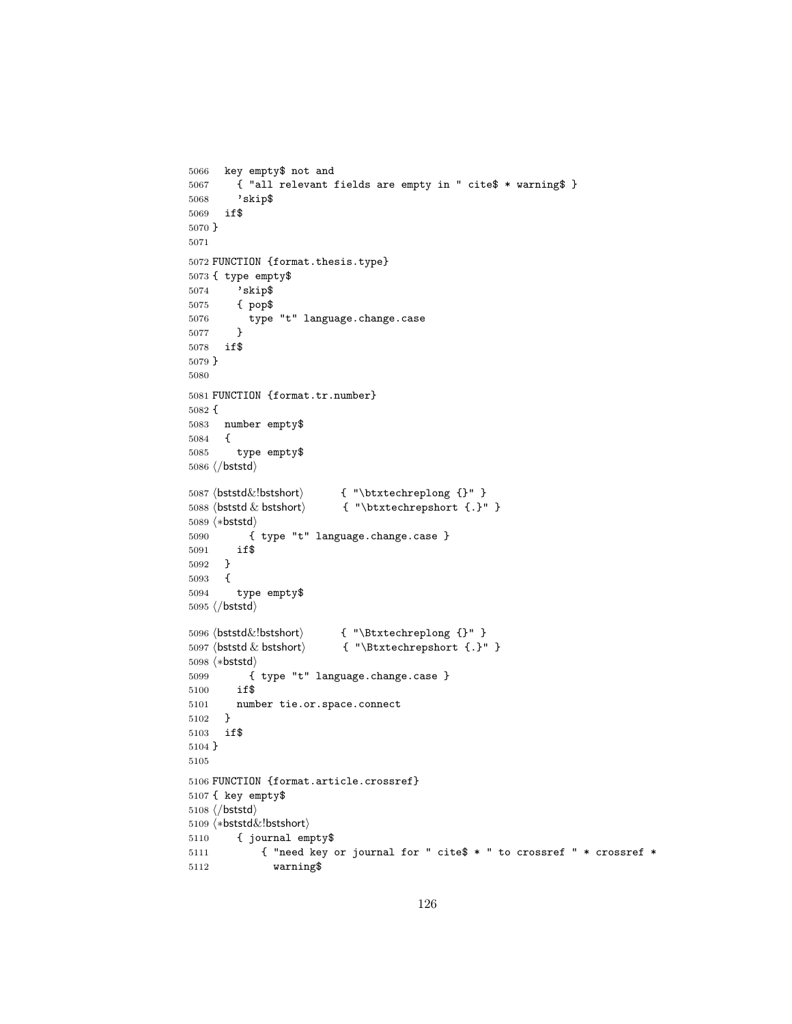```
5066 key empty$ not and
5067 { "all relevant fields are empty in " cite$ * warning$ }
5068 'skip$
5069 if$
5070 }
5071
5072 FUNCTION {format.thesis.type}
5073 { type empty$
5074 'skip$
5075 { pop$
5076 type "t" language.change.case
5077 }
5078 if$
5079 }
5080
5081 FUNCTION {format.tr.number}
5082 {
5083 number empty$
5084 {
5085 type empty$
5086 \langle/bststd\rangle5087 \b{ststd&!bstshort} { "\btxtechreplong {}" }
5088 \langlebststd & bstshort\langle \cdot \rangle { "\btxtechrepshort {.}" }
5089 (*bststd)
5090 { type "t" language.change.case }
5091 if$
5092 }
5093 {
5094 type empty$
5095 \langle/bststd\rangle5096 (bststd&!bstshort) \{ "\Btxtechreplong \}" }<br>5097 (bststd & bstshort) \{ "\Btxtechrepshort \}.}"
                           \{ "\Btxtechrepshort \{.\}" }
5098 (*bststd)
5099 { type "t" language.change.case }
5100 if$
5101 number tie.or.space.connect
5102 }
5103 if$
5104 }
5105
5106 FUNCTION {format.article.crossref}
5107 { key empty$
5108 \langle/bststd\rangle5109 (*bststd&!bstshort)
5110 { journal empty$
5111 { "need key or journal for " cite$ * " to crossref " * crossref *
5112 warning$
```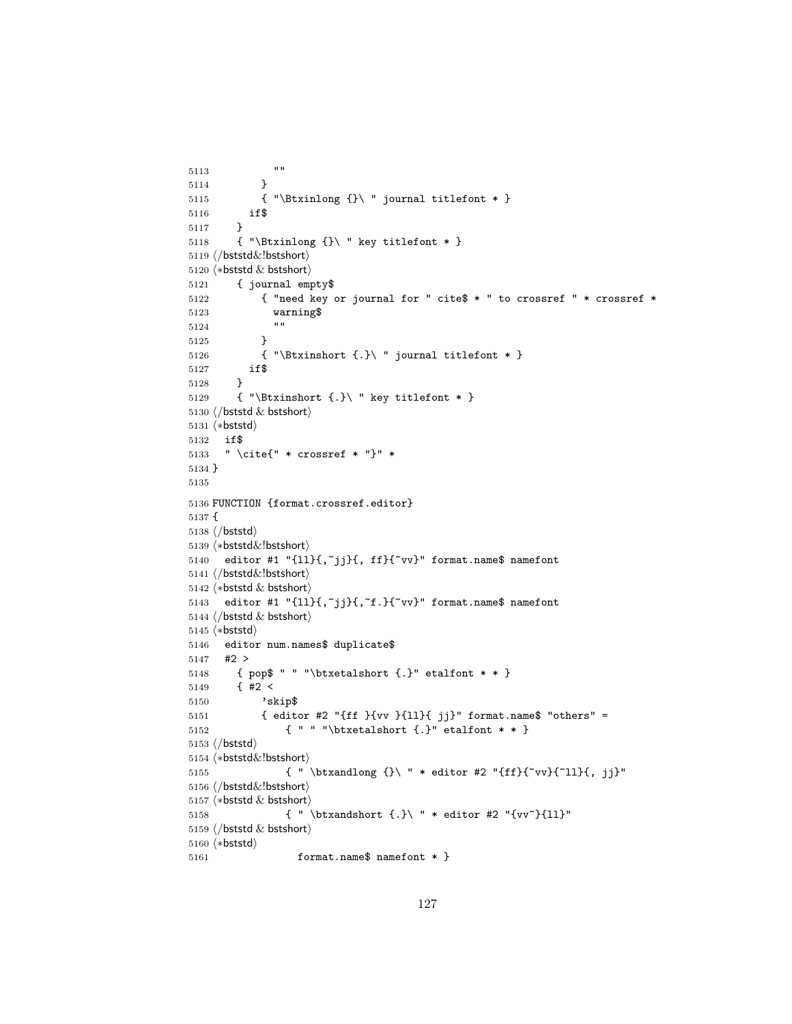```
5113 ""
5114 }
5115 { "\Btxinlong {}\ " journal titlefont * }
5116 if$
5117 }
5118 { "\Btxinlong {}\ " key titlefont * }
5119 (/bststd&!bstshort)
5120 \langle *beststd & bestshort \rangle5121 { journal empty$
5122 { "need key or journal for " cite$ * " to crossref " * crossref *
5123 warning$
5124 ""
5125 }
5126 { "\Btxinshort {.}\ " journal titlefont * }
5127 if$
5128 }
5129 { "\Btxinshort {.}\ " key titlefont * }
5130 \langle/bststd & bstshort\rangle5131 \langle *beststd \rangle5132 if$
5133 " \cite{" * crossref * "}" *
5134 }
5135
5136 FUNCTION {format.crossref.editor}
5137 {
5138 \langle/bststd\rangle5139 (*bststd&!bstshort)
5140 editor #1 "{ll}{,~jj}{, ff}{~vv}" format.name$ namefont
5141 (/bststd&!bstshort)
5142 \langle *beststd & bestshort \rangle5143 editor #1 "\{11\}{,~jj}{,~f.}{~vv}" format.name$ namefont
5144 \langle/bststd & bstshort\rangle5145 \langle *beststd \rangle5146 editor num.names$ duplicate$
5147 #2 >
5148 { pop$ " " "\btxetalshort {.}" etalfont * * }
5149 \{ 42 <5150 'skip$
5151 { editor #2 "{ff }{vv }{ll}{ jj}" format.name$ "others" =
5152 { " " "\btxetalshort {.}" etalfont * * }
5153 \langle/bststd\rangle5154 (*bststd&!bstshort)
5155 \{ " \btxandlong {}' \" * editor #2 " {ff}{'vv}{'1l}{}', jj }"5156 (/bststd&!bstshort)
5157 \langle *beststd & bestshort \rangle5158 { " \btxandshort {.}\ " * editor #2 "{vv~}{ll}"
5159 \langle/bststd & bstshort\rangle5160 \langle *beststd \rangle5161 format.name$ namefont * }
```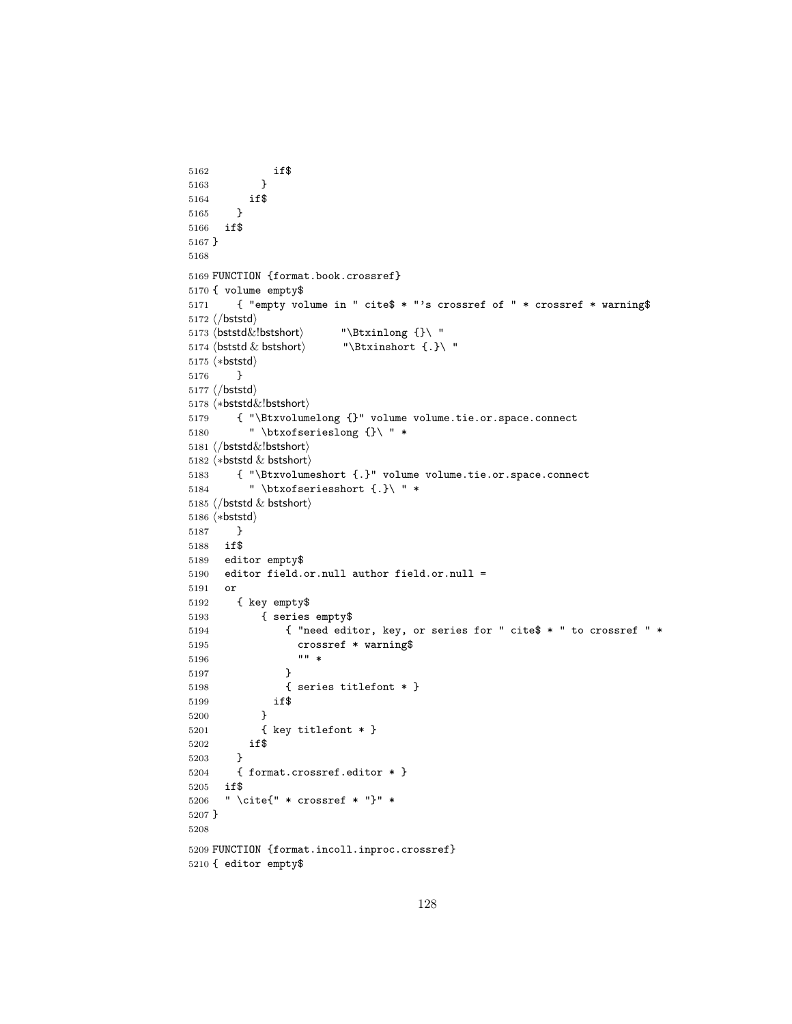```
5162 if$
5163 }
5164 if$
5165 }
5166 if$
5167 }
5168
5169 FUNCTION {format.book.crossref}
5170 { volume empty$
5171 { "empty volume in " cite$ * "'s crossref of " * crossref * warning$
5172\langle/bststd\rangle5173\mathsf{\{bststd}\{l\}} "\Btxinlong {}\ "
5174 \beta \& bstshort "\Btxinshort {.}\ "
5175 (*bststd)
5176 }
5177 \langle/bststd\rangle5178 (*bststd&!bstshort)
5179 { "\Btxvolumelong {}" volume volume.tie.or.space.connect
5180 " \btxofserieslong {}\ " *
5181 (/bststd&!bstshort)
5182 \langle *beststd & bestshort \rangle5183 { "\Btxvolumeshort {.}" volume volume.tie.or.space.connect
5184 " \btxofseriesshort {.}\ " *
5185 \langle/bststd & bstshort\rangle5186 (*bststd)
5187 }
5188 if$
5189 editor empty$
5190 editor field.or.null author field.or.null =
5191 or
5192 { key empty$
5193 { series empty$
5194 { "need editor, key, or series for " cite$ * " to crossref " *
5195 crossref * warning$
5196 "" *
5197 }
5198 { series titlefont * }
5199 if$
5200 }
5201 { key titlefont * }
5202 if$
5203 }
5204 { format.crossref.editor * }
5205 if$
5206 " \cite{" * crossref * "}" *
5207 }
5208
5209 FUNCTION {format.incoll.inproc.crossref}
5210 { editor empty$
```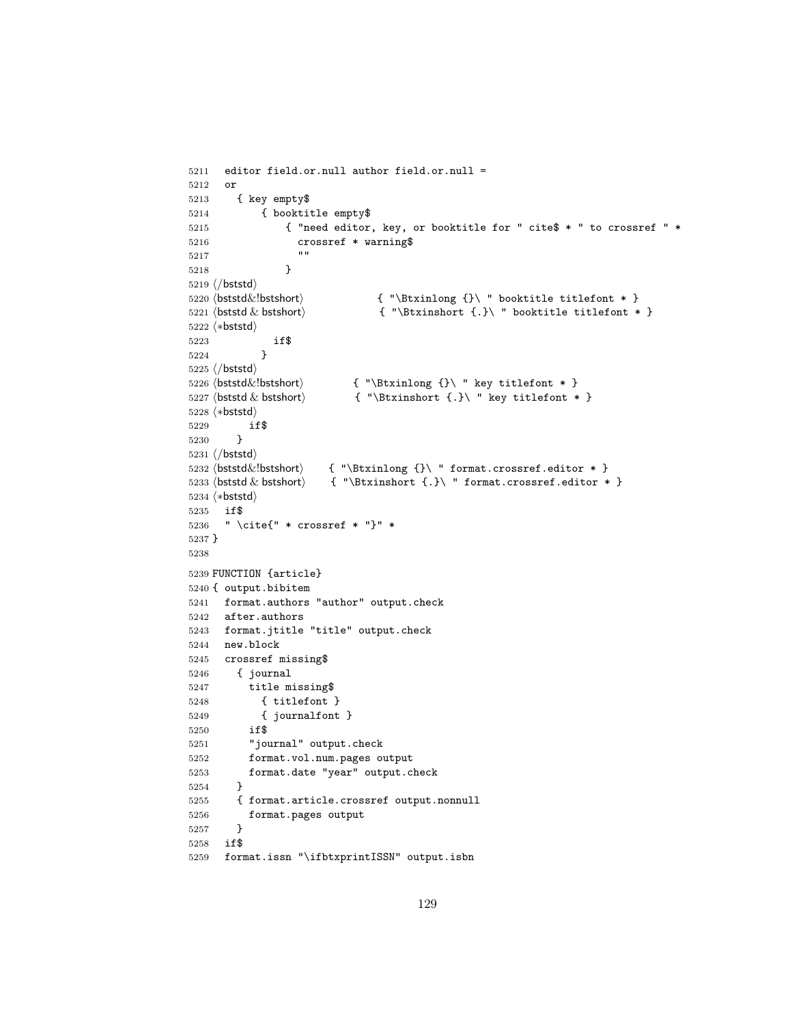```
5211 editor field.or.null author field.or.null =
5212 or
5213 { key empty$
5214 { booktitle empty$
5215 { "need editor, key, or booktitle for " cite$ * " to crossref " *
5216 crossref * warning$
5217
5218 }
5219 \langle/bststd\rangle5220 \langlebststd\&!bstshort\rangle { "\Btxinlong {}\ " booktitle titlefont * }
5221 (bststd & bstshort) \{ \cdot \} \ "\Btxinshort \{ . \} \ " booktitle titlefont * }
5222 (*bststd)
5223 if$
5224 }
5225 \langle/bststd\rangle5226 (bststd&!bstshort) \{ "\Btxinlong {}\ " key titlefont * }<br>5227 (bststd & bstshort) \{ "\Btxinshort {.}\ " key titlefont *
                           \{ "\Btxinshort \{\cdot\} " key titlefont * }
5228 (*bststd)
5229 if$
5230 }
5231 \langle/bststd\rangle5232 \b{ststd&!bstshort} { "\Btxinlong {}\ " format.crossref.editor * }
5233 \beta \& bstshort { "\Btxinshort {.}\ " format.crossref.editor * }
5234 (*bststd)
5235 if$
5236 " \cite{" * crossref * "}" *
5237 }
5238
5239 FUNCTION {article}
5240 { output.bibitem
5241 format.authors "author" output.check
5242 after.authors
5243 format.jtitle "title" output.check
5244 new.block
5245 crossref missing$
5246 { journal
5247 title missing$
5248 { titlefont }
5249 { journalfont }
5250 if$
5251 "journal" output.check
5252 format.vol.num.pages output
5253 format.date "year" output.check
5254 }
5255 { format.article.crossref output.nonnull
5256 format.pages output
5257 }
5258 if$
5259 format.issn "\ifbtxprintISSN" output.isbn
```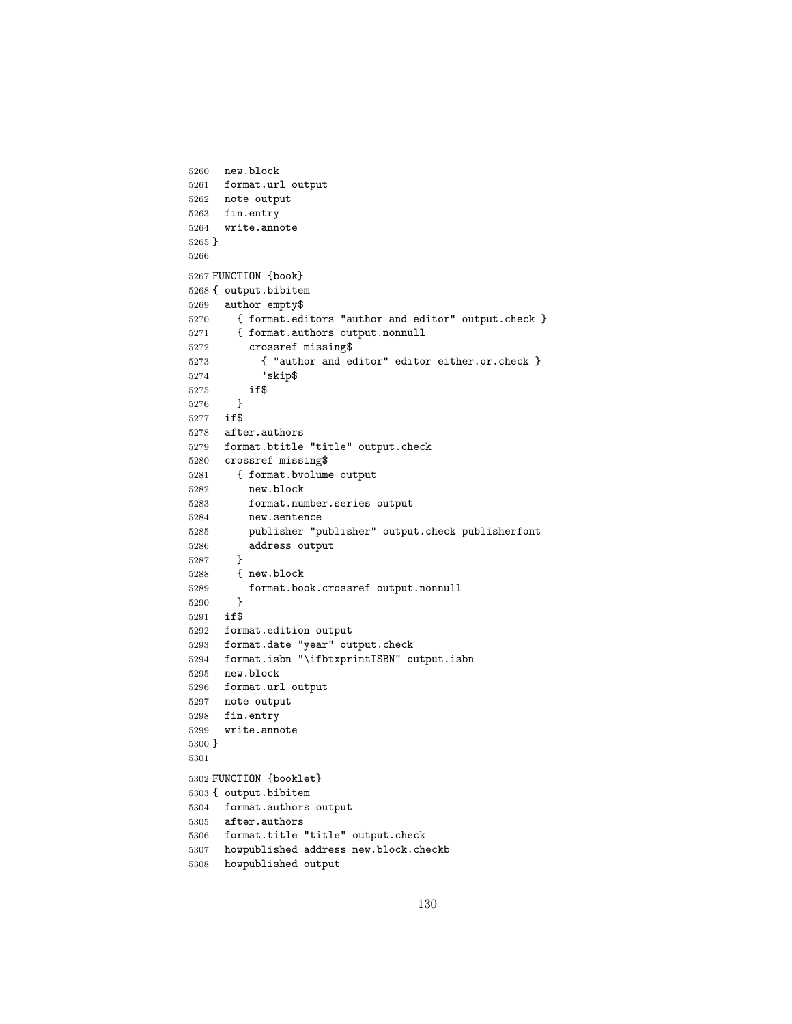```
5260 new.block
5261 format.url output
5262 note output
5263 fin.entry
5264 write.annote
5265 }
5266
5267 FUNCTION {book}
5268 { output.bibitem
5269 author empty$<br>5270 f format.ed
       5270 { format.editors "author and editor" output.check }
5271 { format.authors output.nonnull
5272 crossref missing$
5273 { "author and editor" editor either.or.check }
5274 'skip$
5275 if$
5276 }
5277 if$
5278 after.authors
5279 format.btitle "title" output.check
5280 crossref missing$
5281 { format.bvolume output
5282 new.block
5283 format.number.series output
5284 new.sentence
5285 publisher "publisher" output.check publisherfont
5286 address output
5287 }
5288 { new.block
5289 format.book.crossref output.nonnull
5290 }
5291 if$
5292 format.edition output
5293 format.date "year" output.check
5294 format.isbn "\ifbtxprintISBN" output.isbn
5295 new.block
5296 format.url output
5297 note output
5298 fin.entry
5299 write.annote
5300 }
5301
5302 FUNCTION {booklet}
5303 { output.bibitem
5304 format.authors output
5305 after.authors
5306 format.title "title" output.check
5307 howpublished address new.block.checkb
5308 howpublished output
```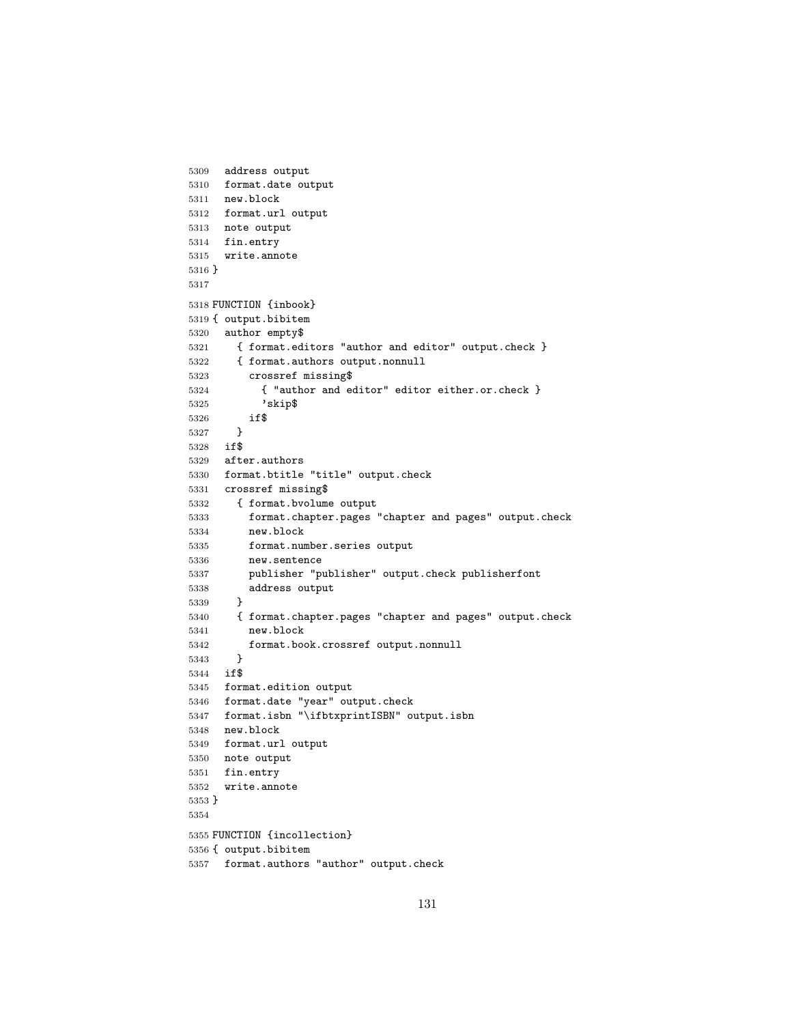```
5309 address output
5310 format.date output
5311 new.block
5312 format.url output
5313 note output
5314 fin.entry
5315 write.annote
5316 }
5317
5318 FUNCTION {inbook}
5319 { output.bibitem
5320 author empty$
5321 { format.editors "author and editor" output.check }
5322 { format.authors output.nonnull
5323 crossref missing$
5324 { "author and editor" editor either.or.check }
5325 'skip$
5326 if$
5327 }
5328 if$
5329 after.authors
5330 format.btitle "title" output.check
5331 crossref missing$
5332 { format.bvolume output
5333 format.chapter.pages "chapter and pages" output.check
5334 new.block
5335 format.number.series output
5336 new.sentence
5337 publisher "publisher" output.check publisherfont
5338 address output
5339 }
5340 { format.chapter.pages "chapter and pages" output.check
5341 new.block
5342 format.book.crossref output.nonnull
5343 }
5344 if$
5345 format.edition output
5346 format.date "year" output.check
5347 format.isbn "\ifbtxprintISBN" output.isbn
5348 new.block
5349 format.url output
5350 note output
5351 fin.entry
5352 write.annote
5353 }
5354
5355 FUNCTION {incollection}
5356 { output.bibitem
5357 format.authors "author" output.check
```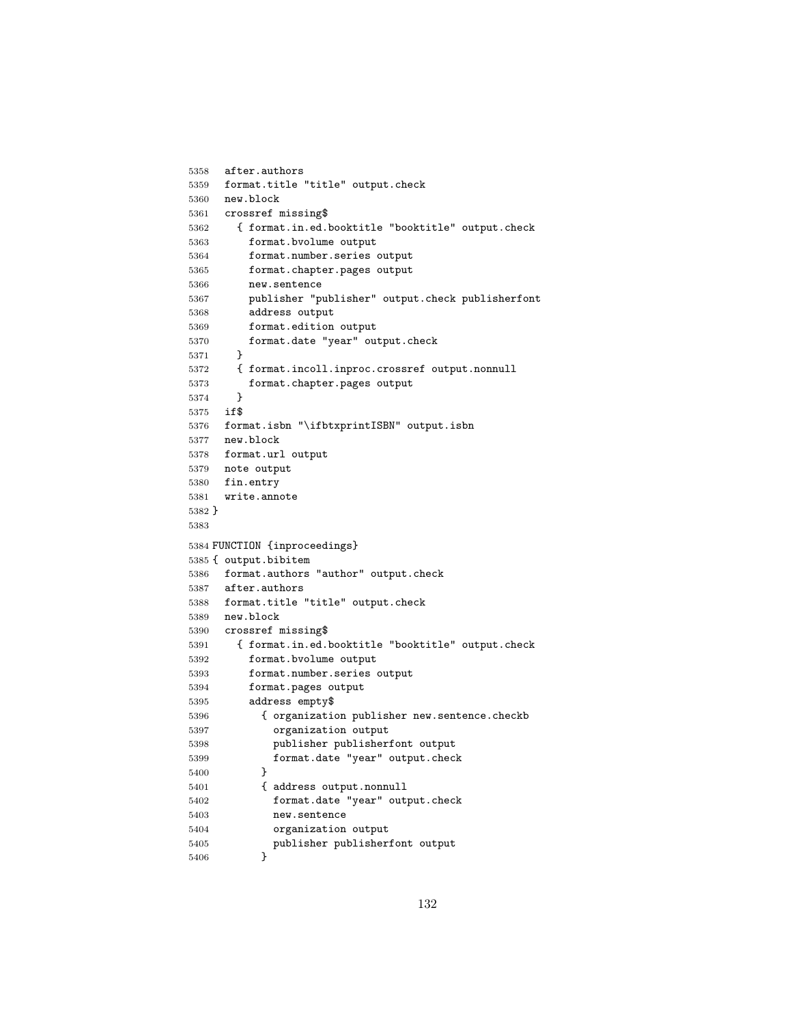```
5358 after.authors
5359 format.title "title" output.check
5360 new.block
5361 crossref missing$
5362 { format.in.ed.booktitle "booktitle" output.check
5363 format.bvolume output
5364 format.number.series output
5365 format.chapter.pages output
5366 new.sentence
5367 publisher "publisher" output.check publisherfont
5368 address output
5369 format.edition output
5370 format.date "year" output.check
5371 }
5372 { format.incoll.inproc.crossref output.nonnull
5373 format.chapter.pages output<br>5374 }
5374 }
5375 if$
5376 format.isbn "\ifbtxprintISBN" output.isbn
5377 new.block
5378 format.url output
5379 note output
5380 fin.entry
5381 write.annote
5382 }
5383
5384 FUNCTION {inproceedings}
5385 { output.bibitem
5386 format.authors "author" output.check
5387 after.authors
5388 format.title "title" output.check
5389 new.block
5390 crossref missing$
5391 { format.in.ed.booktitle "booktitle" output.check
5392 format.bvolume output
5393 format.number.series output
5394 format.pages output
5395 address empty$
5396 { organization publisher new.sentence.checkb
5397 organization output
5398 publisher publisherfont output
5399 format.date "year" output.check
5400 }
5401 { address output.nonnull
5402 format.date "year" output.check
5403 new.sentence
5404 organization output
5405 publisher publisherfont output
5406 }
```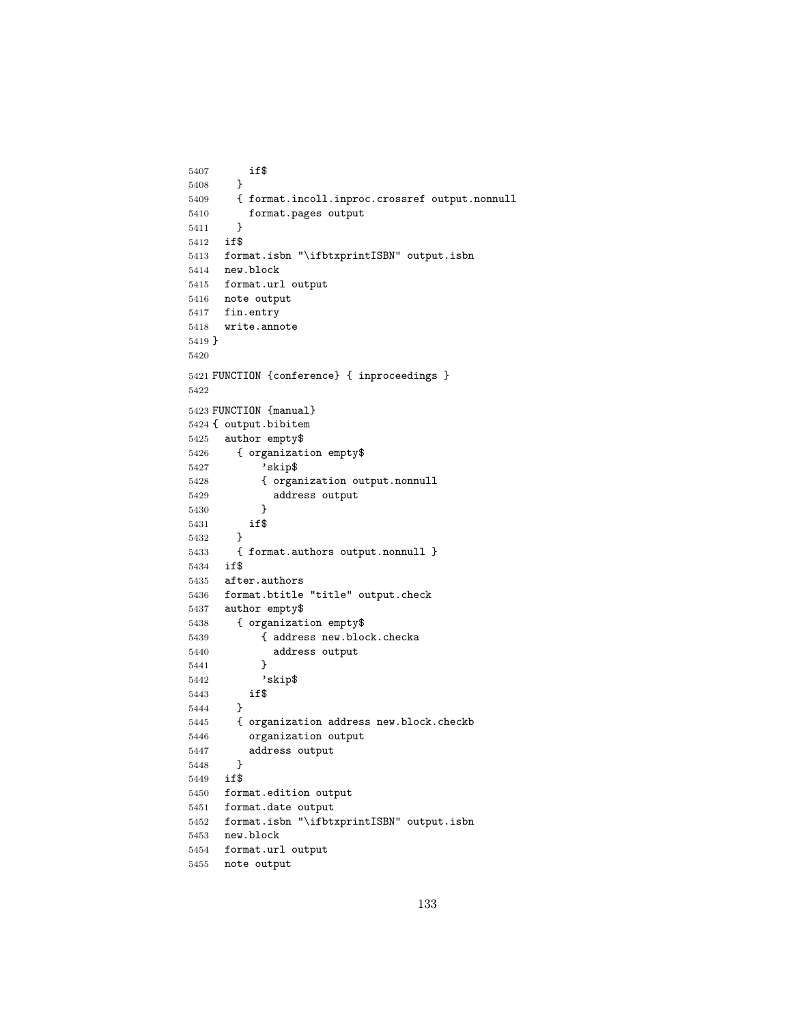```
5407 if$
5408 }
5409 { format.incoll.inproc.crossref output.nonnull
5410 format.pages output
5411 }
5412 if$
5413 format.isbn "\ifbtxprintISBN" output.isbn
5414 new.block
5415 format.url output
5416 note output
5417 fin.entry
5418 write.annote
5419 }
5420
5421 FUNCTION {conference} { inproceedings }
5422
5423 FUNCTION {manual}
5424 { output.bibitem
5425 author empty$
5426 { organization empty$
5427 'skip$
5428 { organization output.nonnull
5429 address output
5430 }
5431 if$
5432 }
5433 { format.authors output.nonnull }
5434 if$
5435 after.authors
5436 format.btitle "title" output.check
5437 author empty$
5438 { organization empty$
5439 { address new.block.checka
5440 address output
5441 }
5442 'skip$
5443 if$
5444 }
5445 { organization address new.block.checkb
5446 organization output
5447 address output
5448 }
5449 if$
5450 format.edition output
5451 format.date output
5452 format.isbn "\ifbtxprintISBN" output.isbn
5453 new.block
5454 format.url output
5455 note output
```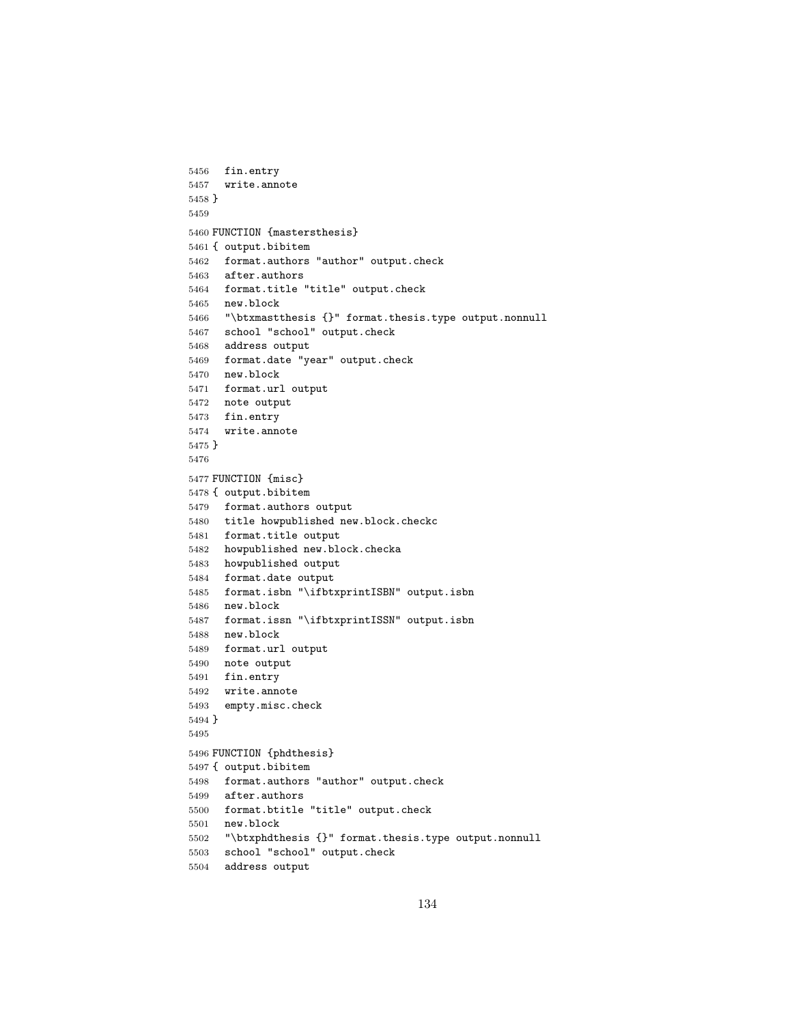```
5456 fin.entry
5457 write.annote
5458 }
5459
5460 FUNCTION {mastersthesis}
5461 { output.bibitem
5462 format.authors "author" output.check
5463 after.authors
5464 format.title "title" output.check
5465 new.block
5466 "\btxmastthesis {}" format.thesis.type output.nonnull
5467 school "school" output.check
5468 address output
5469 format.date "year" output.check
5470 new.block
5471 format.url output
5472 note output
5473 fin.entry
5474 write.annote
5475 }
5476
5477 FUNCTION {misc}
5478 { output.bibitem
5479 format.authors output
5480 title howpublished new.block.checkc
5481 format.title output
5482 howpublished new.block.checka
5483 howpublished output
5484 format.date output
5485 format.isbn "\ifbtxprintISBN" output.isbn
5486 new.block
5487 format.issn "\ifbtxprintISSN" output.isbn
5488 new.block
5489 format.url output
5490 note output
5491 fin.entry
5492 write.annote
5493 empty.misc.check
5494 }
5495
5496 FUNCTION {phdthesis}
5497 { output.bibitem
5498 format.authors "author" output.check
5499 after.authors
5500 format.btitle "title" output.check
5501 new.block
5502 "\btxphdthesis {}" format.thesis.type output.nonnull
5503 school "school" output.check
5504 address output
```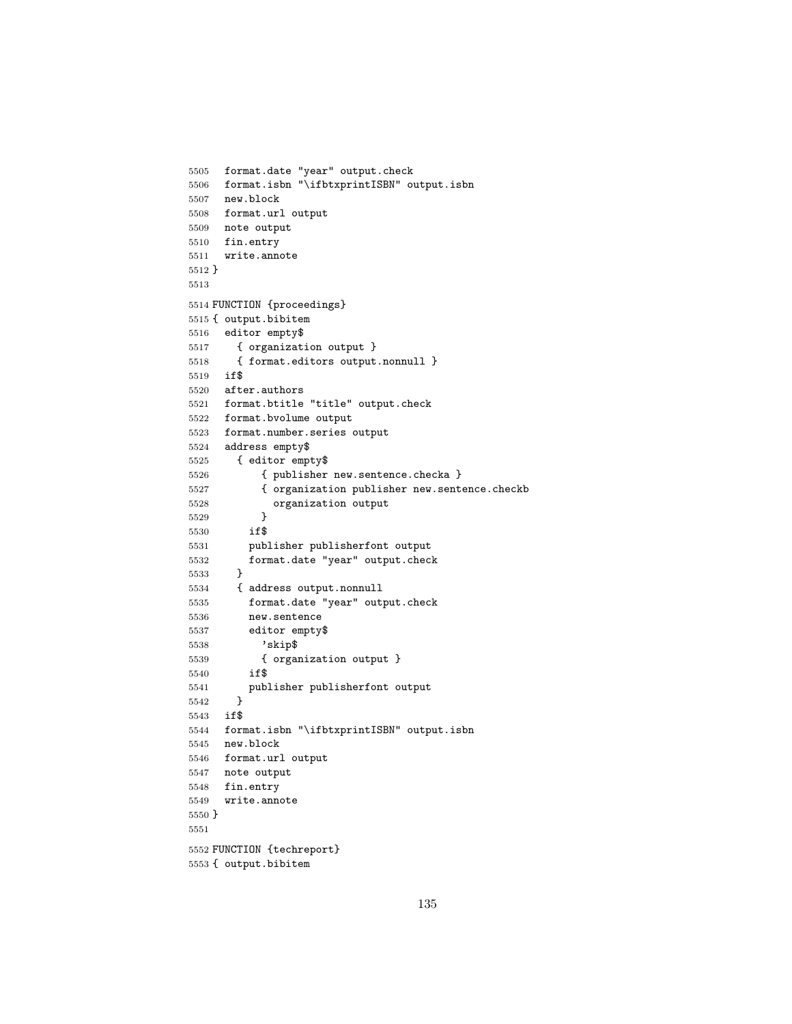```
5505 format.date "year" output.check
5506 format.isbn "\ifbtxprintISBN" output.isbn
5507 new.block
5508 format.url output
5509 note output
5510 fin.entry
5511 write.annote
5512 }
5513
5514 FUNCTION {proceedings}
5515 { output.bibitem
5516 editor empty$
5517 { organization output }
5518 { format.editors output.nonnull }
5519 if$
5520 after.authors
5521 format.btitle "title" output.check
5522 format.bvolume output
5523 format.number.series output
5524 address empty$
5525 { editor empty$
5526 { publisher new.sentence.checka }
5527 { organization publisher new.sentence.checkb
5528 organization output
5529 }
5530 if$
5531 publisher publisherfont output
5532 format.date "year" output.check
5533 }
5534 { address output.nonnull
5535 format.date "year" output.check
5536 new.sentence
5537 editor empty$
5538 'skip$
5539 { organization output }
5540 if$
5541 publisher publisherfont output
5542 }
5543 if$
5544 format.isbn "\ifbtxprintISBN" output.isbn
5545 new.block
5546 format.url output
5547 note output
5548 fin.entry
5549 write.annote
5550 }
5551
5552 FUNCTION {techreport}
```

```
5553 { output.bibitem
```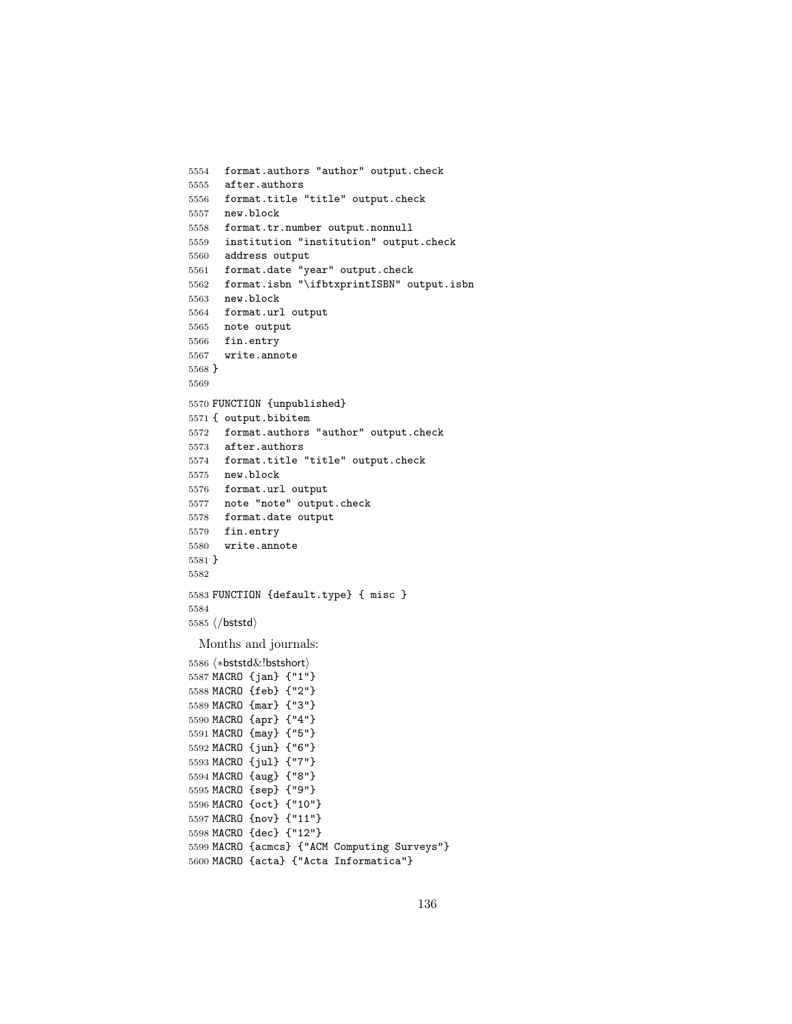```
5554 format.authors "author" output.check
5555 after.authors
5556 format.title "title" output.check
5557 new.block
5558 format.tr.number output.nonnull
5559 institution "institution" output.check
5560 address output
5561 format.date "year" output.check
5562 format.isbn "\ifbtxprintISBN" output.isbn
5563 new.block
5564 format.url output
5565 note output
5566 fin.entry
5567 write.annote
5568 }
5569
5570 FUNCTION {unpublished}
5571 { output.bibitem
5572 format.authors "author" output.check
5573 after.authors
5574 format.title "title" output.check
5575 new.block
5576 format.url output
5577 note "note" output.check
5578 format.date output
5579 fin.entry
5580 write.annote
5581 }
5582
5583 FUNCTION {default.type} { misc }
5584
5585 \langle/bststd\rangleMonths and journals:
5586 (*bststd&!bstshort)
5587 MACRO {jan} {"1"}
5588 MACRO {feb} {"2"}
5589 MACRO {mar} {"3"}
5590 MACRO {apr} {"4"}
5591 MACRO {may} {"5"}
5592 MACRO {jun} {"6"}
5593 MACRO {jul} {"7"}
5594 MACRO {aug} {"8"}
5595 MACRO {sep} {"9"}
5596 MACRO {oct} {"10"}
5597 MACRO {nov} {"11"}
5598 MACRO {dec} {"12"}
```
 MACRO {acmcs} {"ACM Computing Surveys"} MACRO {acta} {"Acta Informatica"}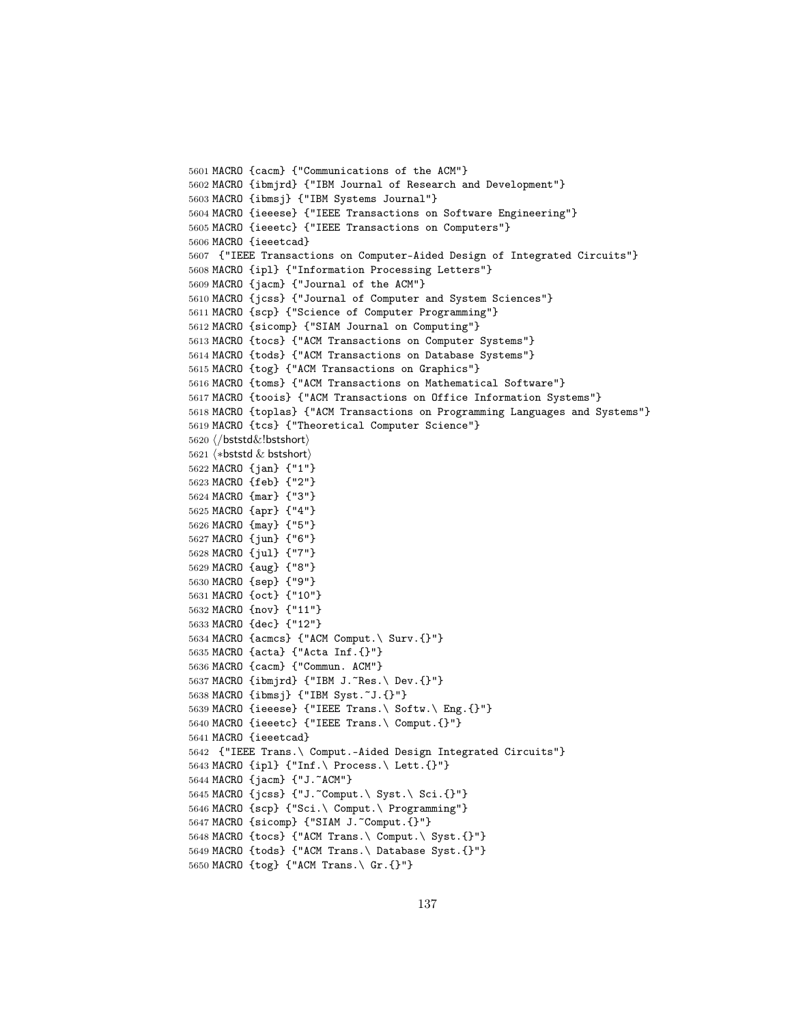```
5601 MACRO {cacm} {"Communications of the ACM"}
5602 MACRO {ibmjrd} {"IBM Journal of Research and Development"}
5603 MACRO {ibmsj} {"IBM Systems Journal"}
5604 MACRO {ieeese} {"IEEE Transactions on Software Engineering"}
5605 MACRO {ieeetc} {"IEEE Transactions on Computers"}
5606 MACRO {ieeetcad}
5607 {"IEEE Transactions on Computer-Aided Design of Integrated Circuits"}
5608 MACRO {ipl} {"Information Processing Letters"}
5609 MACRO {jacm} {"Journal of the ACM"}
5610 MACRO {jcss} {"Journal of Computer and System Sciences"}
5611 MACRO {scp} {"Science of Computer Programming"}
5612 MACRO {sicomp} {"SIAM Journal on Computing"}
5613 MACRO {tocs} {"ACM Transactions on Computer Systems"}
5614 MACRO {tods} {"ACM Transactions on Database Systems"}
5615 MACRO {tog} {"ACM Transactions on Graphics"}
5616 MACRO {toms} {"ACM Transactions on Mathematical Software"}
5617 MACRO {toois} {"ACM Transactions on Office Information Systems"}
5618 MACRO {toplas} {"ACM Transactions on Programming Languages and Systems"}
5619 MACRO {tcs} {"Theoretical Computer Science"}
5620 (/bststd&!bstshort)
5621 \langle *beststd & bestshort \rangle5622 MACRO {jan} {"1"}
5623 MACRO {feb} {"2"}
5624 MACRO {mar} {"3"}
5625 MACRO {apr} {"4"}
5626 MACRO {may} {"5"}
5627 MACRO {jun} {"6"}
5628 MACRO {jul} {"7"}
5629 MACRO {aug} {"8"}
5630 MACRO {sep} {"9"}
5631 MACRO {oct} {"10"}
5632 MACRO {nov} {"11"}
5633 MACRO {dec} {"12"}
5634 MACRO {acmcs} {"ACM Comput.\ Surv.{}"}
5635 MACRO {acta} {"Acta Inf.{}"}
5636 MACRO {cacm} {"Commun. ACM"}
5637 MACRO {ibmjrd} {"IBM J.~Res.\ Dev.{}"}
5638 MACRO {ibmsj} {"IBM Syst.~J.{}"}
5639 MACRO {ieeese} {"IEEE Trans.\ Softw.\ Eng.{}"}
5640 MACRO {ieeetc} {"IEEE Trans.\ Comput.{}"}
5641 MACRO {ieeetcad}
5642 {"IEEE Trans.\ Comput.-Aided Design Integrated Circuits"}
5643 MACRO {ipl} {"Inf.\ Process.\ Lett.{}"}
5644 MACRO {jacm} {"J.~ACM"}
5645 MACRO {jcss} {"J.~Comput.\ Syst.\ Sci.{}"}
5646 MACRO {scp} {"Sci.\ Comput.\ Programming"}
5647 MACRO {sicomp} {"SIAM J.~Comput.{}"}
5648 MACRO {tocs} {"ACM Trans.\ Comput.\ Syst.{}"}
5649 MACRO {tods} {"ACM Trans.\ Database Syst.{}"}
5650 MACRO {tog} {"ACM Trans.\ Gr.{}"}
```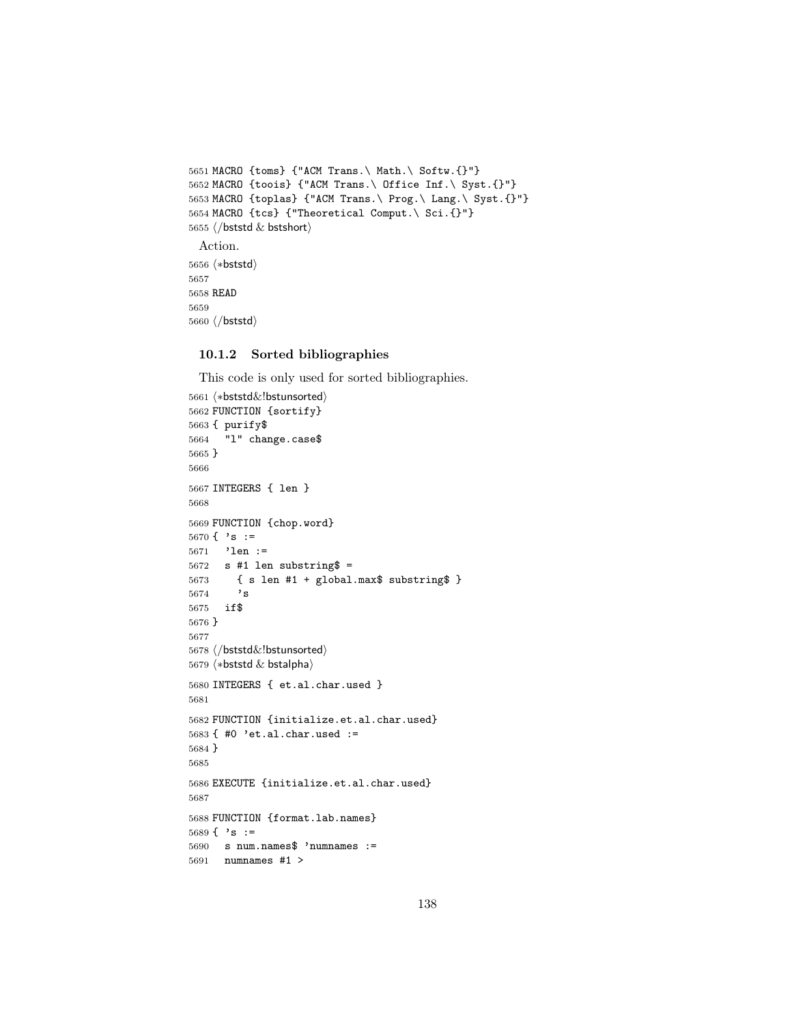```
5651 MACRO {toms} {"ACM Trans.\ Math.\ Softw.{}"}
5652 MACRO {toois} {"ACM Trans.\ Office Inf.\ Syst.{}"}
5653 MACRO {toplas} {"ACM Trans.\ Prog.\ Lang.\ Syst.{}"}
5654 MACRO {tcs} {"Theoretical Comput.\ Sci.{}"}
5655 \langle/bststd & bstshort\rangleAction.
5656 (*bststd)
5657
5658 READ
5659
```
## 10.1.2 Sorted bibliographies

5660  $\langle$ /bststd $\rangle$ 

This code is only used for sorted bibliographies.

```
5661 (*bststd&!bstunsorted)
5662 FUNCTION {sortify}
5663 { purify$
5664 "l" change.case$
5665 }
5666
5667 INTEGERS { len }
5668
5669 FUNCTION {chop.word}
5670 { 's :=5671 'len :=
5672 s #1 len substring =5673 { s len #1 + global.max$ substring$ }
5674 's
5675 if$
5676 }
5677
5678 (/bststd&!bstunsorted)
5679 \langle *beststd & bstalpha \rangle5680 INTEGERS { et.al.char.used }
5681
5682 FUNCTION {initialize.et.al.char.used}
5683 { #0 'et.al.char.used :=
5684 }
5685
5686 EXECUTE {initialize.et.al.char.used}
5687
5688 FUNCTION {format.lab.names}
5689 { 's :=
5690 s num.names$ 'numnames :=
5691 numnames #1 >
```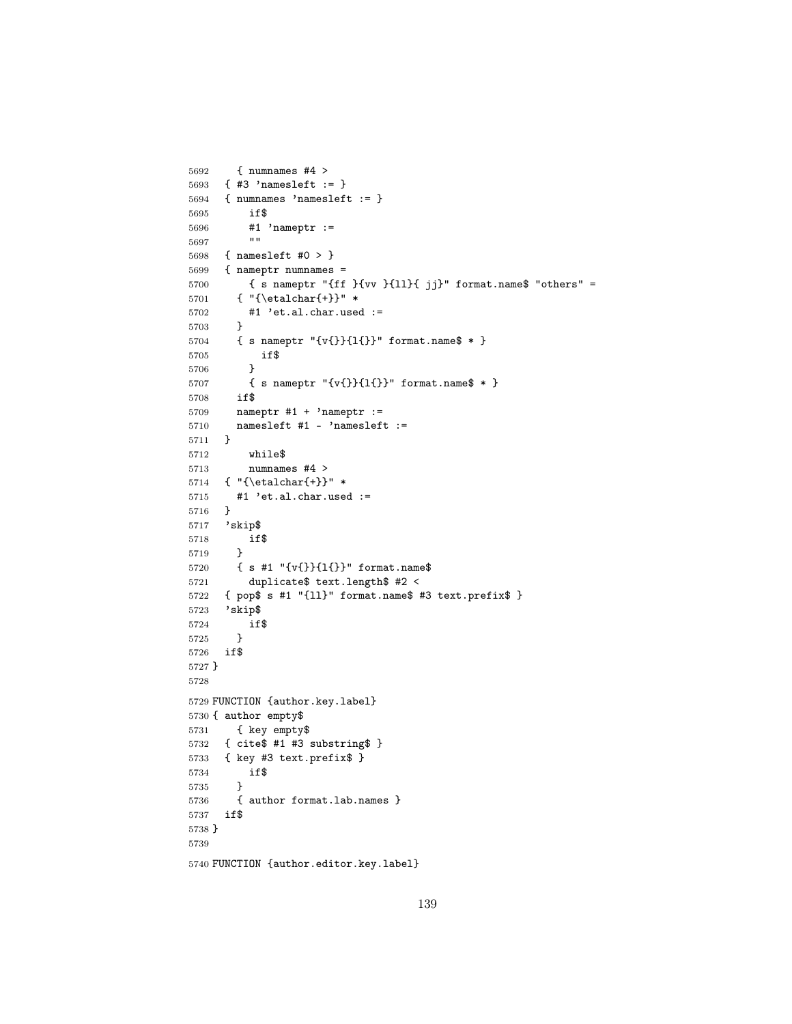```
5692 { numnames #4 >
5693 { #3 'namesleft := }
5694 { numnames 'namesleft := }
5695 if$
5696 #1 'nameptr :=<br>5697 ...56975698 { namesleft #0 > }
5699 { nameptr numnames =
5700 { s nameptr "{ff }{vv }{ll}{ jj}" format.name$ "others" =
5701 { "{\etalchar{+}}" *
5702 #1 'et.al.char.used :=
5703 }
5704 { s nameptr "{v{}}{l{}}" format.name$ * }
5705 if$
5706 }
5707 { s nameptr "{v{}}{1{}}" format.name$ * }<br>5708 if$
5708
5709 nameptr #1 + 'nameptr :=
5710 namesleft #1 - 'namesleft :=
5711 }
5712 while$
5713 numnames #4 >
5714 { "{\etalchar{+}}" *
5715 #1 'et.al.char.used :=
5716 }
5717 'skip$
5718 if$
5719 }
5720 { s #1 "{v{}}{l{}}" format.name$
5721 duplicate$ text.length$ #2 <
5722 { pop$ s #1 "{ll}" format.name$ #3 text.prefix$ }
5723 'skip$
5724 if$
5725 }
5726 if$
5727 }
5728
5729 FUNCTION {author.key.label}
5730 { author empty$
5731 { key empty$
5732 { cite$ #1 #3 substring$ }
5733 { key #3 text.prefix$ }
5734 if$
5735 }
5736 { author format.lab.names }
5737 if$
5738 }
5739
5740 FUNCTION {author.editor.key.label}
```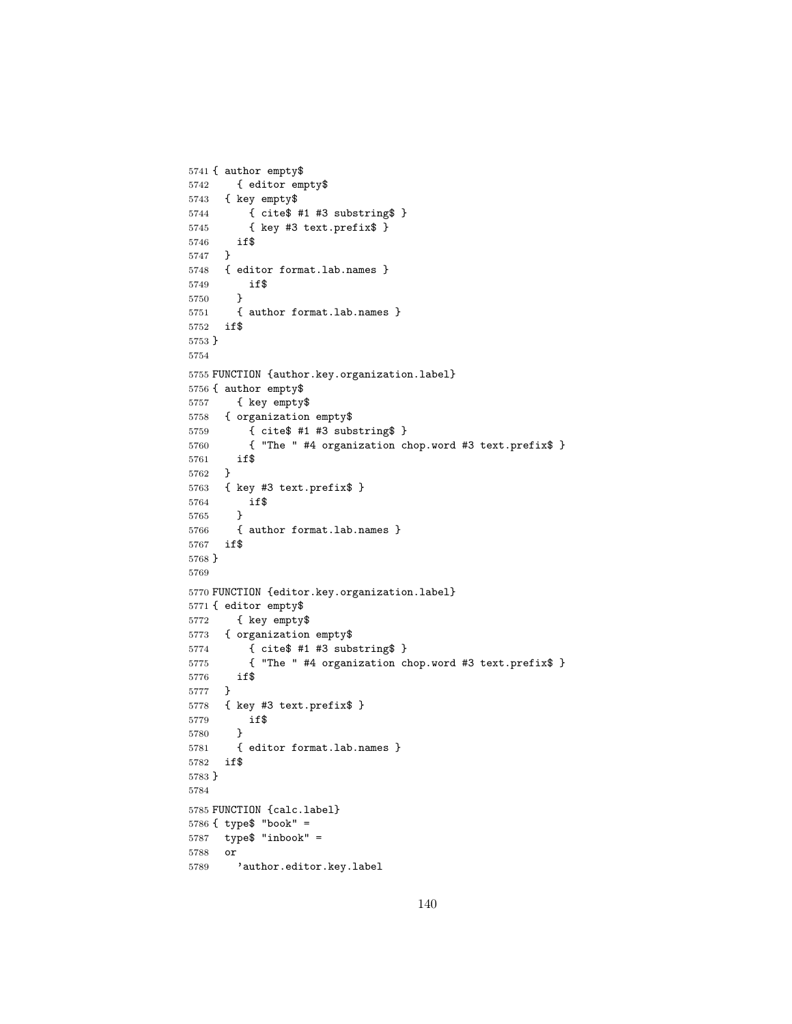```
5741 { author empty$
5742 { editor empty$
5743 { key empty$
5744 { cite$ #1 #3 substring$ }
5745 { key #3 text.prefix$ }
5746 if$
5747 }
5748 { editor format.lab.names }
5749 if$<br>5750 }
5750 }
5751 { author format.lab.names }
5752 if$
5753 }
5754
5755 FUNCTION {author.key.organization.label}
5756 { author empty$
5757 { key empty$
5758 { organization empty$
5759 { cite$ #1 #3 substring$ }
5760 { "The " #4 organization chop.word #3 text.prefix$ }
5761 if$
5762 }
5763 { key #3 text.prefix$ }
5764 if$
5765 }
5766 { author format.lab.names }
5767 if$
5768 }
5769
5770 FUNCTION {editor.key.organization.label}
5771 { editor empty$
5772 { key empty$
5773 { organization empty$
5774 { cite$ #1 #3 substring$ }
5775 { "The " #4 organization chop.word #3 text.prefix$ }
5776 if$
5777 }
5778 { key #3 text.prefix$ }
5779 if$
5780 }
5781 { editor format.lab.names }
5782 if$
5783 }
5784
5785 FUNCTION {calc.label}
5786 { type$ "book" =
5787 type$ "inbook" =
5788 or
5789 'author.editor.key.label
```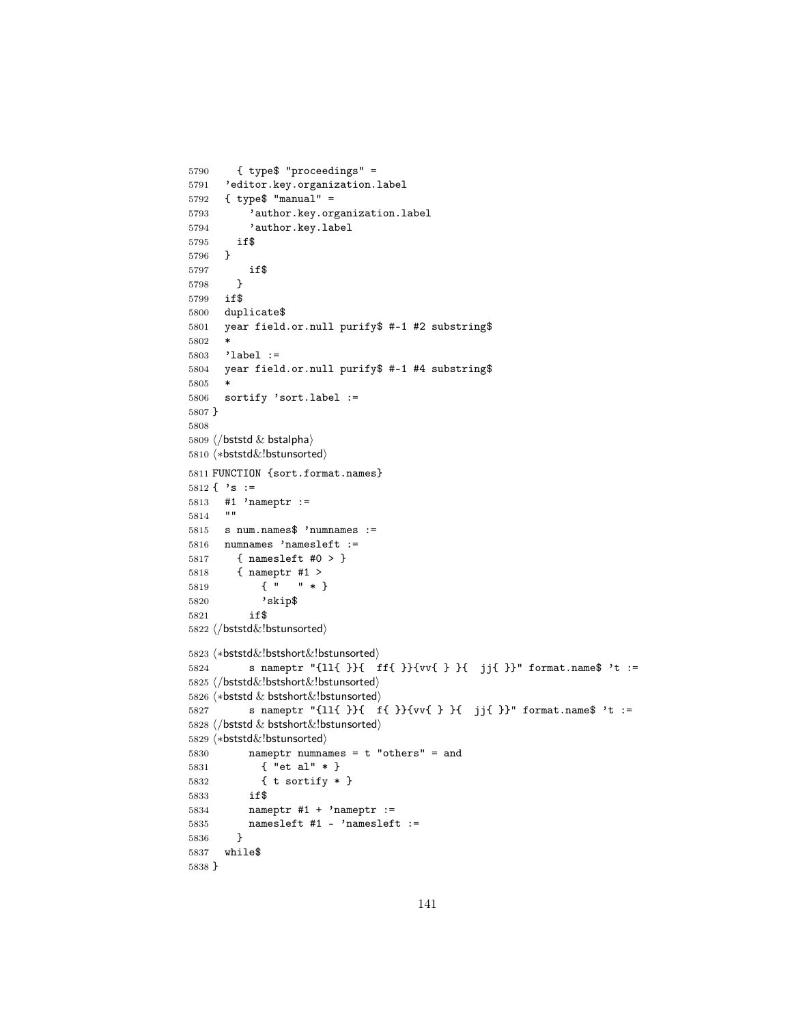```
5790 { type$ "proceedings" =
5791 'editor.key.organization.label
5792 { type$ "manual" =
5793 'author.key.organization.label
5794 'author.key.label
5795 if$
5796 }
5797 if$
5798 }
5799 if$
5800 duplicate$
5801 year field.or.null purify$ #-1 #2 substring$
5802\,5803 'label :=
5804 year field.or.null purify$ #-1 #4 substring$
5805 *<br>5806 $
     sortify 'sort.label :=
5807 }
5808
5809 \langle/bststd & bstalpha\rangle5810 (*bststd&!bstunsorted)
5811 FUNCTION {sort.format.names}
5812 \{\cdot\} s :=
5813 #1 'nameptr :=
5814 ""
5815 s num.names$ 'numnames :=
5816 numnames 'namesleft :=
5817 { namesleft #0 > }
5818 { nameptr #1 >
5819 { " " * }
5820 'skip$
5821 if$
5822 \langle/bststd&!bstunsorted)
5823 \∗bststd&!bstshort&!bstunsorted\
5824 s nameptr "{ll{ }}{ ff{ }}{vv{ } }{ jj{ }}" format.name$ 't :=
5825 \langle/bststd&!bstshort&!bstunsorted)
5826 \langle *beststd & bestshort&!bstunsorted \rangle5827 s nameptr "{ll{ }}{ f{ }}{vv{ } }{ jj{ }}" format.name$ 't :=
5828 (/bststd & bstshort&!bstunsorted)
5829 (*bststd&!bstunsorted)
5830 nameptr numnames = t "others" = and
5831 { "et al" * }
5832 { t sortify * }
5833 if$
5834 nameptr #1 + 'nameptr :=
5835 namesleft #1 - 'namesleft :=
5836 }
5837 while$
5838 }
```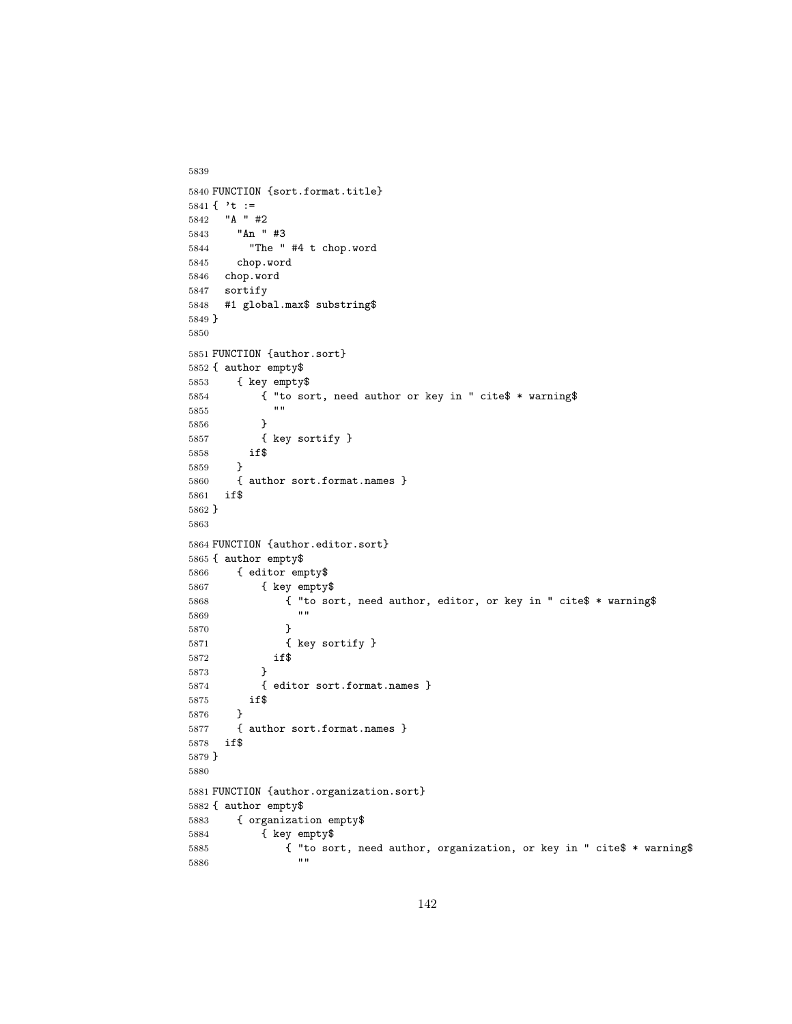```
5839
5840 FUNCTION {sort.format.title}
5841 { 't :=
5842 "A " #2
5843 "An " #3
5844 "The " #4 t chop.word
5845 chop.word
5846 chop.word
5847 sortify
5848 #1 global.max$ substring$
5849 }
5850
5851 FUNCTION {author.sort}
5852 { author empty$
5853 { key empty$
5854 { "to sort, need author or key in " cite$ * warning$
5855 ""
5856 }
5857 { key sortify }
5858 if$
5859 }
5860 { author sort.format.names }
5861 if$
5862 }
5863
5864 FUNCTION {author.editor.sort}
5865 { author empty$
5866 { editor empty$
5867 { key empty$
5868 { "to sort, need author, editor, or key in " cite$ * warning$
5869 ""
5870 }
5871 { key sortify }
5872 if$<br>5873 }
5873 }
5874 { editor sort.format.names }
5875 if$
5876 }
5877 { author sort.format.names }<br>5878 if$
5878
5879 }
5880
5881 FUNCTION {author.organization.sort}
5882 { author empty$
5883 { organization empty$
5884 { key empty$
5885 { "to sort, need author, organization, or key in " cite$ * warning$
5886
```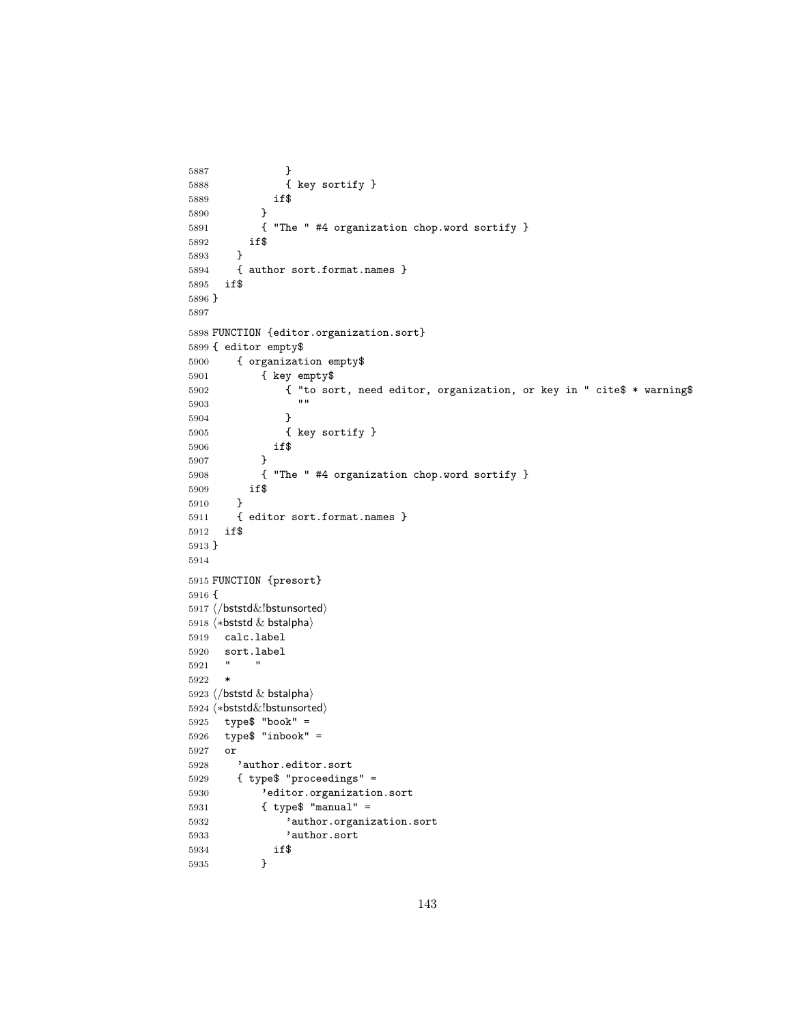```
5887 }
5888 { key sortify }
5889 if$
5890 }
5891 { "The " #4 organization chop.word sortify }
5892 if$
5893 }
5894 { author sort.format.names }<br>5895 if$
5895\,5896 }
5897
5898 FUNCTION {editor.organization.sort}
5899 { editor empty$
5900 { organization empty$
5901 { key empty$
5902 { "to sort, need editor, organization, or key in " cite$ * warning$
5903 ""
5904 \qquad \qquad \}5905 { key sortify }
5906 if$
5907 }
5908 { "The " #4 organization chop.word sortify }
5909 if$
5910 }
5911 { editor sort.format.names }
5912 if$
5913 }
5914
5915 FUNCTION {presort}
5916 {
5917 \langle/bststd&!bstunsorted)
5918 \langle *beststd & bstalpha \rangle5919 calc.label
5920 sort.label
5921 " "
5922 *
5923 \langle/bststd & bstalpha\rangle5924 \langle *beststd&!bstunsorted\rangle5925 type$ "book" =
5926 type$ "inbook" =
5927 or
5928 'author.editor.sort
5929 { type$ "proceedings" =
5930 'editor.organization.sort
5931 { type$ "manual" =
5932 'author.organization.sort
5933 'author.sort
5934 if$
5935 }
```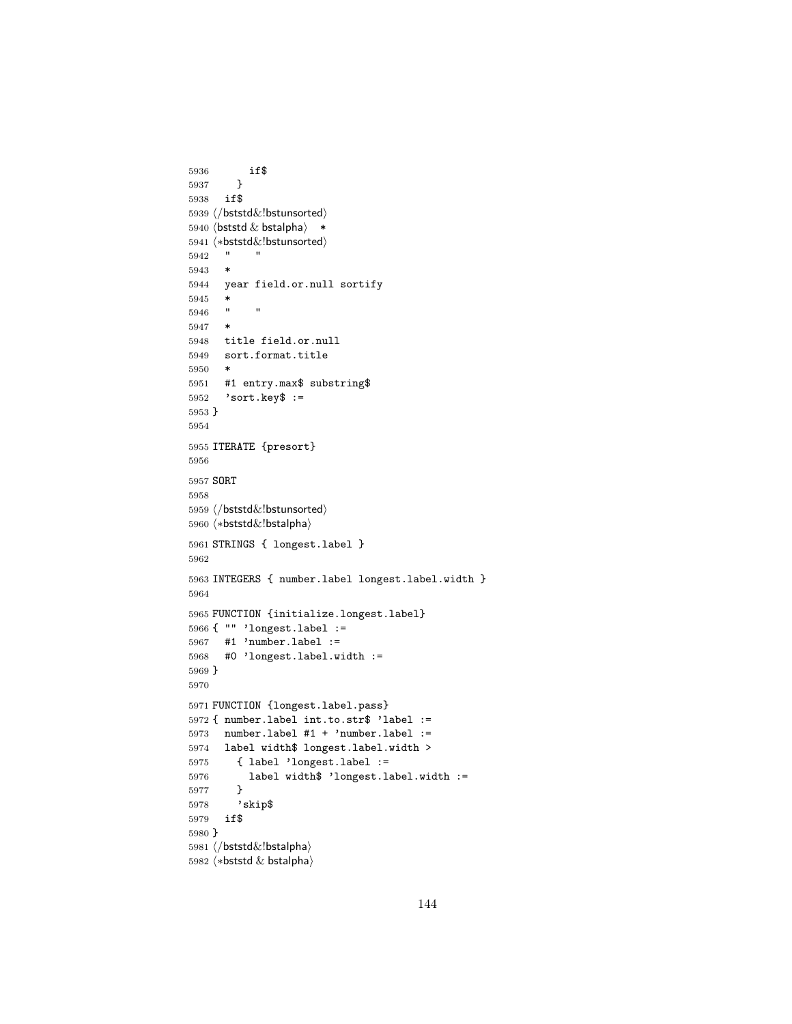```
5936 if$
5937 }
5938 if$
5939 \langle /bststd\&!bstunsorted\rangle5940 \langle bststd \& bstalpha\rangle *
5941 \langle *\text{bststd&!bstunsorted}\rangle5942 " "
5943 *
5944 year field.or.null sortify
5945 *
5946 " "
5947 *
5948 title field.or.null
5949 sort.format.title
5950 *
5951 #1 entry.max$ substring$<br>5952 'sort.key$ :=
      'sort.key$ :=
5953 }
5954
5955 ITERATE {presort}
5956
5957 SORT
5958
5959 \langle /bststd&!bstunsorted\rangle5960 (*bststd&!bstalpha)
5961 STRINGS { longest.label }
5962
5963 INTEGERS { number.label longest.label.width }
5964
5965 FUNCTION {initialize.longest.label}
5966 { "" 'longest.label :=
5967 #1 'number.label :=<br>5968 #0 'longest.label.w
     #0 'longest.label.width :=
5969 }
5970
5971 FUNCTION {longest.label.pass}
5972 { number.label int.to.str$ 'label :=
5973 number.label #1 + 'number.label :=
5974 label width$ longest.label.width >
5975 { label 'longest.label :=
5976 label width$ 'longest.label.width :=
5977 }
5978 'skip$
5979 if$
5980 }
5981 (/bststd&!bstalpha)
5982 \langle *beststd & bstalpha \rangle
```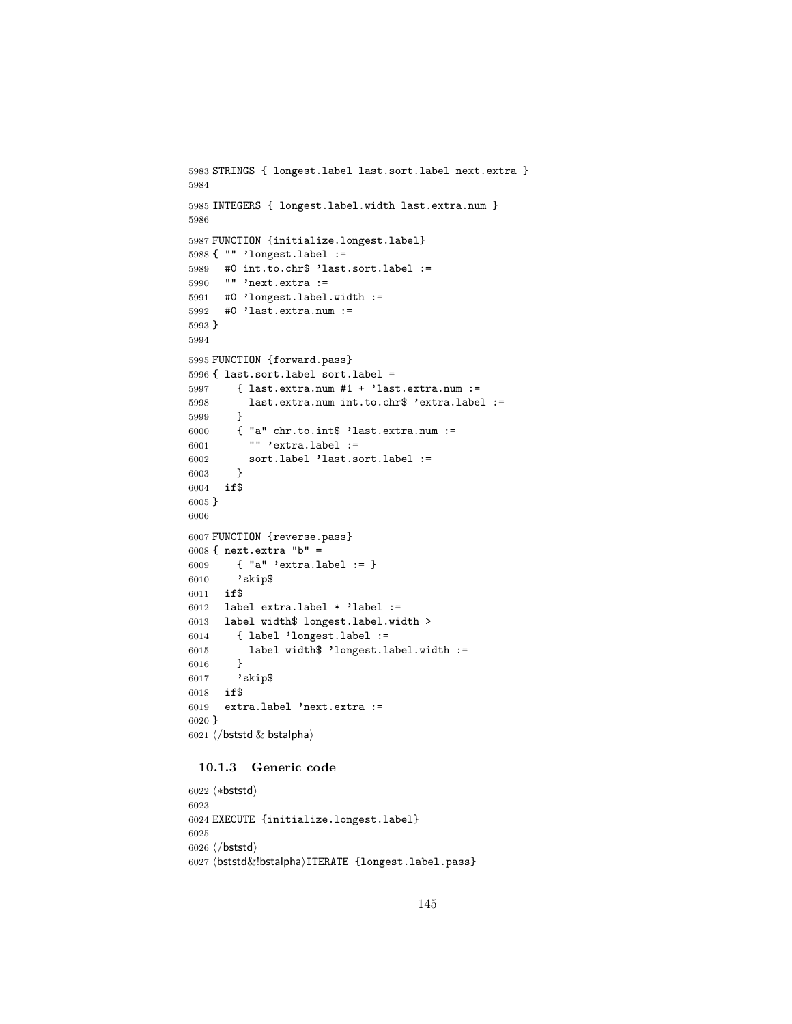```
5983 STRINGS { longest.label last.sort.label next.extra }
5984
5985 INTEGERS { longest.label.width last.extra.num }
5986
5987 FUNCTION {initialize.longest.label}
5988 { "" 'longest.label :=
5989 #0 int.to.chr$ 'last.sort.label :=
5990 "" 'next.extra :=
5991 #0 'longest.label.width :=
5992 #0 'last.extra.num :=
5993 }
5994
5995 FUNCTION {forward.pass}
5996 { last.sort.label sort.label =
5997 { last.extra.num #1 + 'last.extra.num :=
5998 last.extra.num int.to.chr$ 'extra.label :=
5999 }
6000 { "a" chr.to.int$ 'last.extra.num :=
6001 "" 'extra.label :=
6002 sort.label 'last.sort.label :=
6003 }
6004 if$
6005 }
6006
6007 FUNCTION {reverse.pass}
6008 { next.extra "b" =
6009 { "a" 'extra.label := }
6010 'skip$
6011 if$
6012 label extra.label * 'label :=
6013 label width$ longest.label.width >
6014 { label 'longest.label :=
6015 label width$ 'longest.label.width := 6016 }
6016 }
6017 'skip$
6018 if$
6019 extra.label 'next.extra :=
6020 }
6021 \langle/bststd & bstalpha\rangle
```
## 10.1.3 Generic code

```
6022 (*bststd)
6023
6024 EXECUTE {initialize.longest.label}
6025
6026 \langle/bststd\rangle6027 (bststd&!bstalpha)ITERATE {longest.label.pass}
```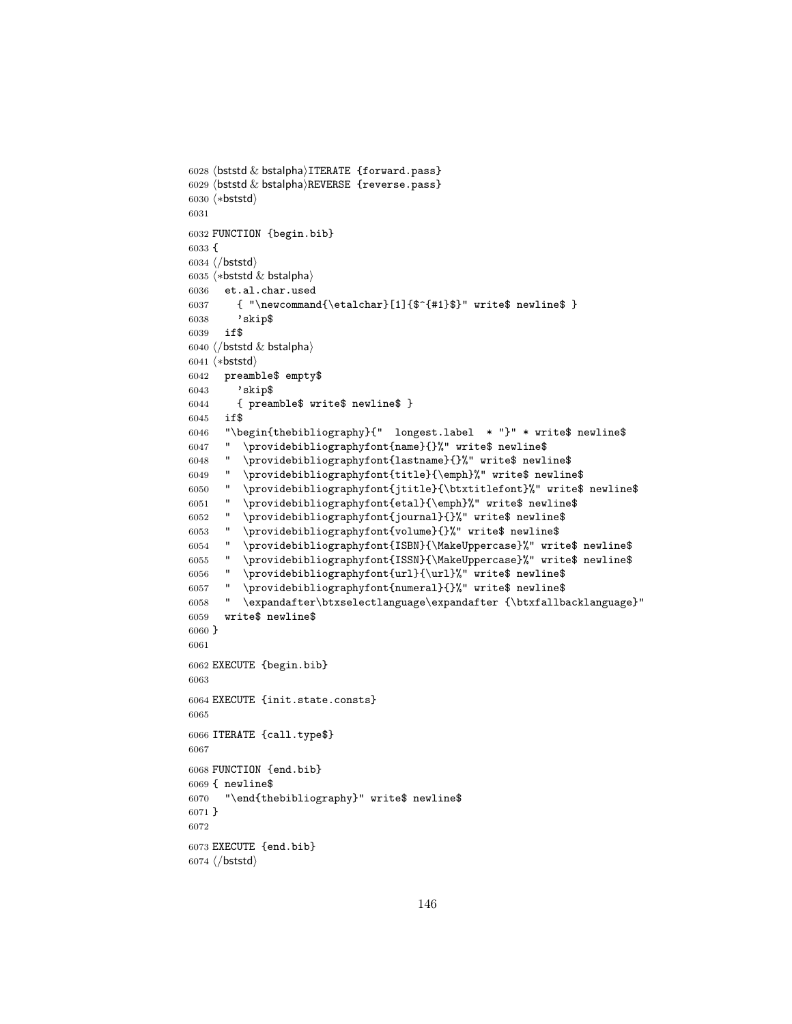```
6028 \langle bststd \& bstalpha\rangleITERATE {forward.pass}
6029 \langlebststd \& bstalpha\rangleREVERSE {reverse.pass}
6030 (*bststd)
6031
6032 FUNCTION {begin.bib}
6033 {
6034 \langle/bststd\rangle6035 \langle *beststd & bstalpha \rangle6036 et.al.char.used
6037 { "\newcommand{\etalchar}[1]{mathf-{#1}$}" write$ newline$ }<br>6038 <br>'skip$
        'skip$
6039 if$
6040 \langle/bststd & bstalpha\rangle6041 (*bststd)
6042 preamble$ empty$
6043 'skip$
6044 { preamble$ write$ newline$ }
6045 if$
6046 "\begin{thebibliography}{" longest.label * "}" * write$ newline$
6047 " \providebibliographyfont{name}{}%" write$ newline$
6048 " \providebibliographyfont{lastname}{}%" write$ newline$
6049 " \providebibliographyfont{title}{\emph}%" write$ newline$
6050 " \providebibliographyfont{jtitle}{\btxtitlefont}%" write$ newline$
6051 " \providebibliographyfont{etal}{\emph}%" write$ newline$
6052 " \providebibliographyfont{journal}{}%" write$ newline$
6053 " \providebibliographyfont{volume}{}%" write$ newline$
6054 " \providebibliographyfont{ISBN}{\MakeUppercase}%" write$ newline$
6055 " \providebibliographyfont{ISSN}{\MakeUppercase}%" write$ newline$
6056 " \providebibliographyfont{url}{\url}%" write$ newline$
6057 " \providebibliographyfont{numeral}{}%" write$ newline$
6058 " \expandafter\btxselectlanguage\expandafter {\btxfallbacklanguage}"
6059 write$ newline$
6060 }
6061
6062 EXECUTE {begin.bib}
6063
6064 EXECUTE {init.state.consts}
6065
6066 ITERATE {call.type$}
6067
6068 FUNCTION {end.bib}
6069 { newline$
6070 "\end{thebibliography}" write$ newline$
6071 }
6072
6073 EXECUTE {end.bib}
6074 \langle/bststd\rangle
```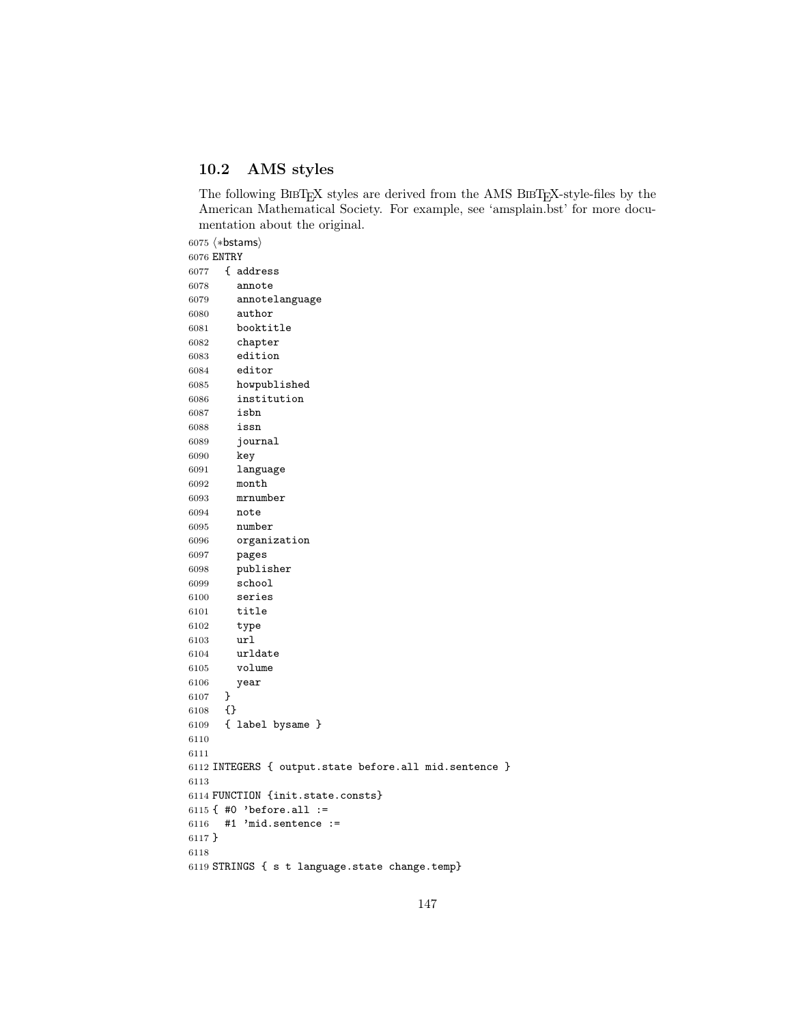## 10.2 AMS styles

The following BIBTEX styles are derived from the AMS BIBTEX-style-files by the American Mathematical Society. For example, see 'amsplain.bst' for more documentation about the original.

6075 (\*bstams) ENTRY { address annote annotelanguage author booktitle chapter edition editor howpublished institution isbn issn journal key language month mrnumber note number organization pages publisher school series title type url urldate volume year } {} { label bysame } INTEGERS { output.state before.all mid.sentence } FUNCTION {init.state.consts} { #0 'before.all := #1 'mid.sentence := } STRINGS { s t language.state change.temp}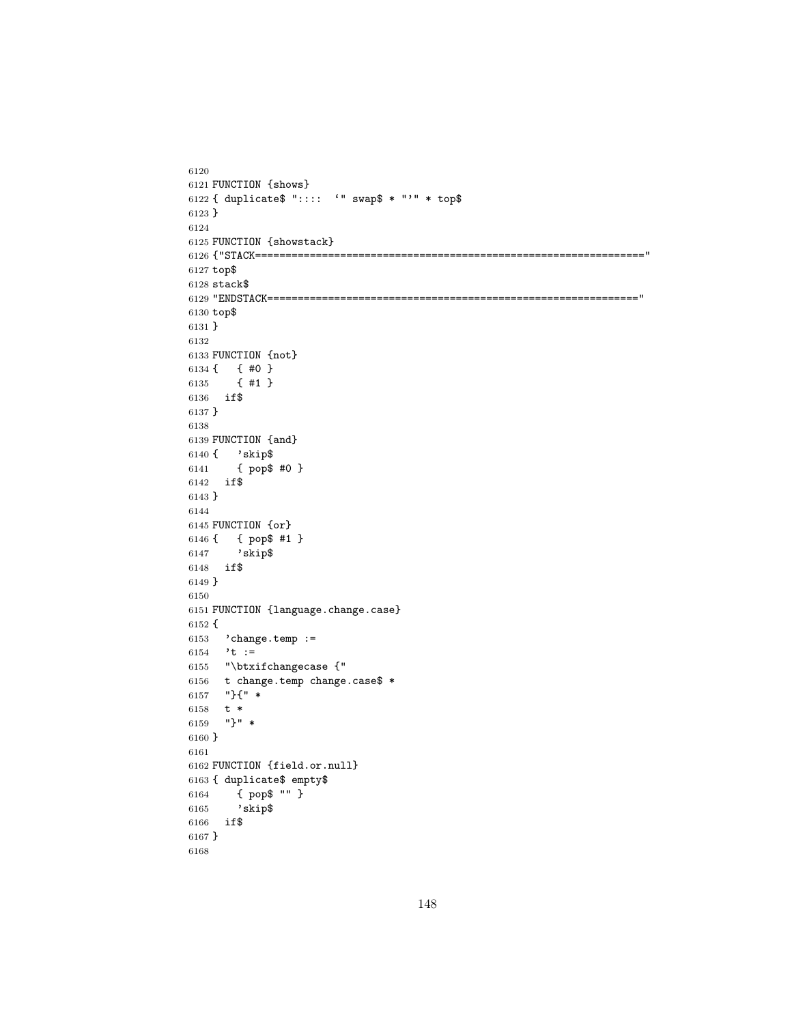```
6120
6121 FUNCTION {shows}
6122 { duplicate$ ":::: '" swap$ * "'" * top$
6123 }
6124
6125 FUNCTION {showstack}
6126 {"STACK================================================================"
6127 top$
6128 stack\6129 "ENDSTACK============================================================="
6130 top$
6131 }
6132
6133 FUNCTION {not}
6134 { \{ #0 }<br>6135 { #1 }
      6135 { #1 }
6136 if$
6137 }
6138
6139 FUNCTION {and}
6140 { 'skip$
6141 { pop$ #0 }
6142 if$
6143 }
6144
6145 FUNCTION {or}
6146 { { pop$ #1 }
6147 'skip$
6148 if$
6149 }
6150
6151 FUNCTION {language.change.case}
6152 {
6153 'change.temp :=
6154 't :=
6155 "\btxifchangecase {"
6156 t change.temp change.case$ *
6157 "}{" *
6158 t *
6159 "}" *
6160 }
6161
6162 FUNCTION {field.or.null}
6163 { duplicate$ empty$
6164 { pop$ "" }
6165 'skip$
6166 if$
6167 }
6168
```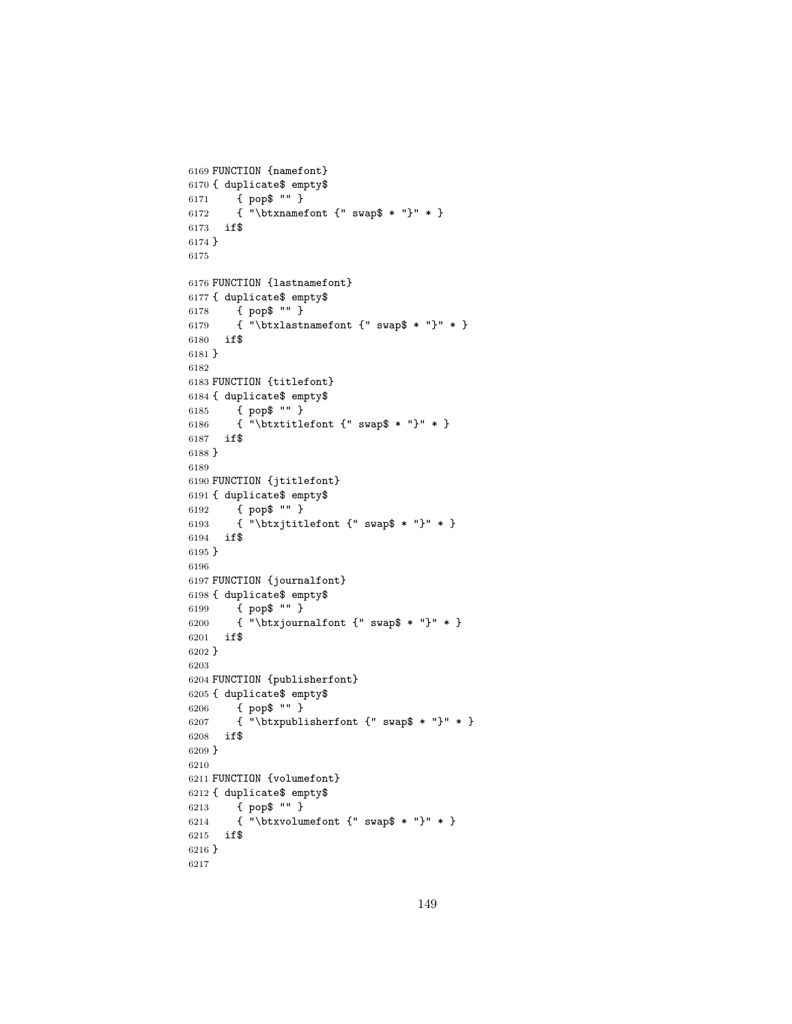```
6169 FUNCTION {namefont}
6170 { duplicate$ empty$
6171 { pop$ "" }
6172 { "\btxnamefont {" swap$ * "}" * }
6173 if$
6174 }
6175
6176 FUNCTION {lastnamefont}
6177 { duplicate$ empty$
6178 { pop$ "" }
6179 { "\btxlastnamefont {" swap$ * "}" * }
6180 if$
6181 }
6182
6183 FUNCTION {titlefont}
6184 { duplicate$ empty$
6185 { pop$ "" }
6186 { "\btxtitlefont {" swap$ * "}" * }
6187 if$
6188 }
6189
6190 FUNCTION {jtitlefont}
6191 { duplicate$ empty$
6192 { pop$ "" }
6193 { "\btxjtitlefont {" swap$ * "}" * }
6194 if$
6195 }
6196
6197 FUNCTION {journalfont}
6198 { duplicate$ empty$
6199 { pop$ "" }
6200 { "\btxjournalfont {" swap$ * "}" * }
6201 if$
6202 }
6203
6204 FUNCTION {publisherfont}
6205 { duplicate$ empty$
6206 { pop$ "" }
6207 { "\btxpublisherfont {" swap$ * "}" * }
6208 if$
6209 }
6210
6211 FUNCTION {volumefont}
6212 { duplicate$ empty$
6213 { pop$ "" }
6214 { "\btxvolumefont {" swap$ * "}" * }
6215 if$
6216 }
6217
```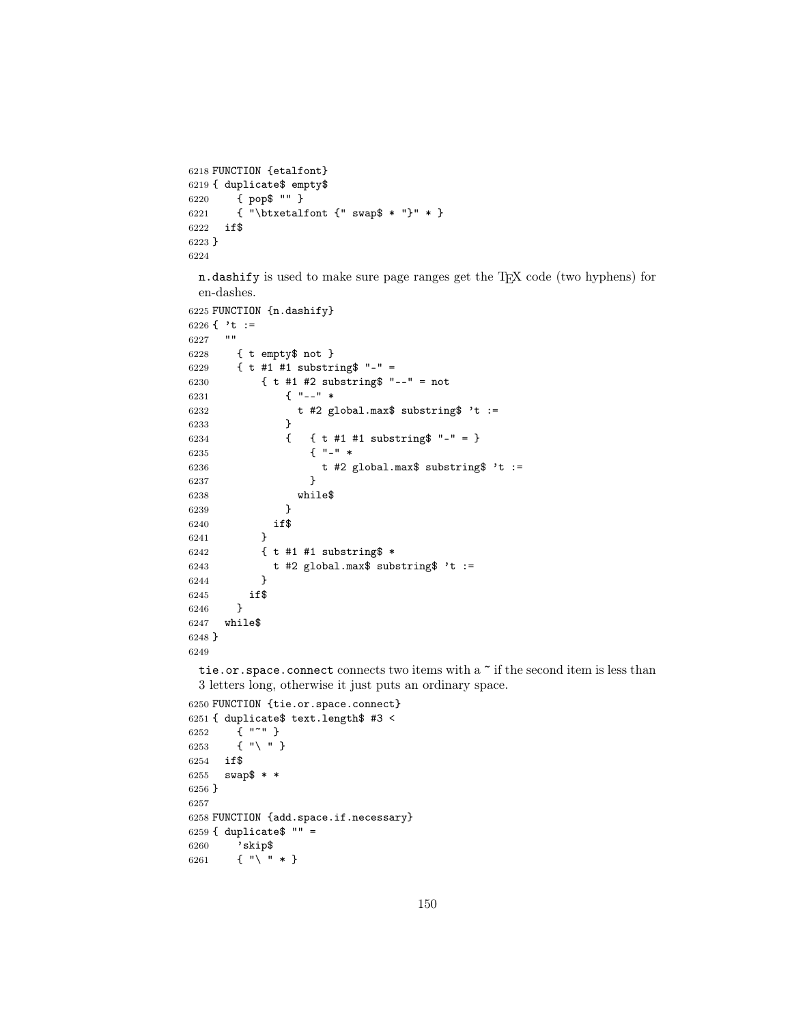```
6218 FUNCTION {etalfont}
6219 { duplicate$ empty$
6220 { pop$ "" }
6221 { "\btxetalfont {" swap$ * "}" * }
6222 if$
6223 }
6224
```
n.dashify is used to make sure page ranges get the TEX code (two hyphens) for en-dashes.

```
6225 FUNCTION {n.dashify}
6226 \{\cdot t : =6227
6228 { t empty$ not }
6229 { t #1 #1 substring$ "-" =
6230 { t #1 #2 substring$ "--" = not
6231 { "--" *
6232 t #2 global.max$ substring$ 't :=
6233 }
6234 { { t #1 #1 substring$ "-" = }
6235 { "-" *
6236 t #2 global.max$ substring$ 't :=
6237 }
6238 while$
6239 }
6240 if$
6241 }
6242 { t #1 #1 substring$ *
6243 t #2 global.max$ substring$ 't :=
6244 }
6245 if$
6246 }
6247 while$
6248 }
6249
```
tie.or.space.connect connects two items with a  $\tilde{ }$  if the second item is less than 3 letters long, otherwise it just puts an ordinary space.

```
6250 FUNCTION {tie.or.space.connect}
6251 { duplicate$ text.length$ #3 <
6252 { "~" }
6253 { "\ " }
6254 if$
6255 swap$ * *
6256 }
6257
6258 FUNCTION {add.space.if.necessary}
6259 { duplicate$ "" =
6260 'skip$
6261 \{ " \ \} " * \}
```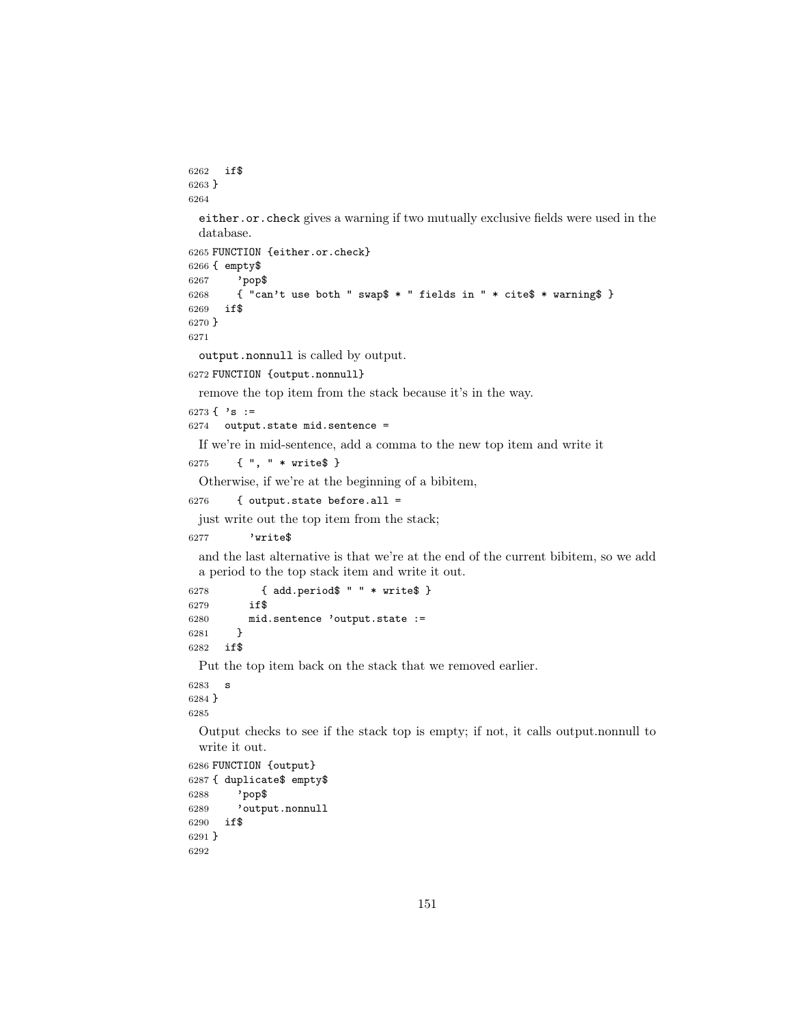```
6262 if$
6263 }
6264
 either.or.check gives a warning if two mutually exclusive fields were used in the
 database.
6265 FUNCTION {either.or.check}
6266 { empty$
6267 'pop$
6268 { "can't use both " swap$ * " fields in " * cite$ * warning$ }
6269 if$
6270 }
6271
 output.nonnull is called by output.
6272 FUNCTION {output.nonnull}
 remove the top item from the stack because it's in the way.
6273 \{ \cdot s \} :=
6274 output.state mid.sentence =
 If we're in mid-sentence, add a comma to the new top item and write it
6275 { ", " * write$ }
 Otherwise, if we're at the beginning of a bibitem,
6276 { output.state before.all =
 just write out the top item from the stack;
6277 'write$
 and the last alternative is that we're at the end of the current bibitem, so we add
 a period to the top stack item and write it out.
6278 { add.period$ " " * write$ }
6279 if$
6280 mid.sentence 'output.state := 6281 }
6281 }
6282 if$
 Put the top item back on the stack that we removed earlier.
6283 s
6284 }
6285
 Output checks to see if the stack top is empty; if not, it calls output.nonnull to
 write it out.
6286 FUNCTION {output}
6287 { duplicate$ empty$
6288 'pop$
6289 'output.nonnull
6290 if$
6291 }
6292
```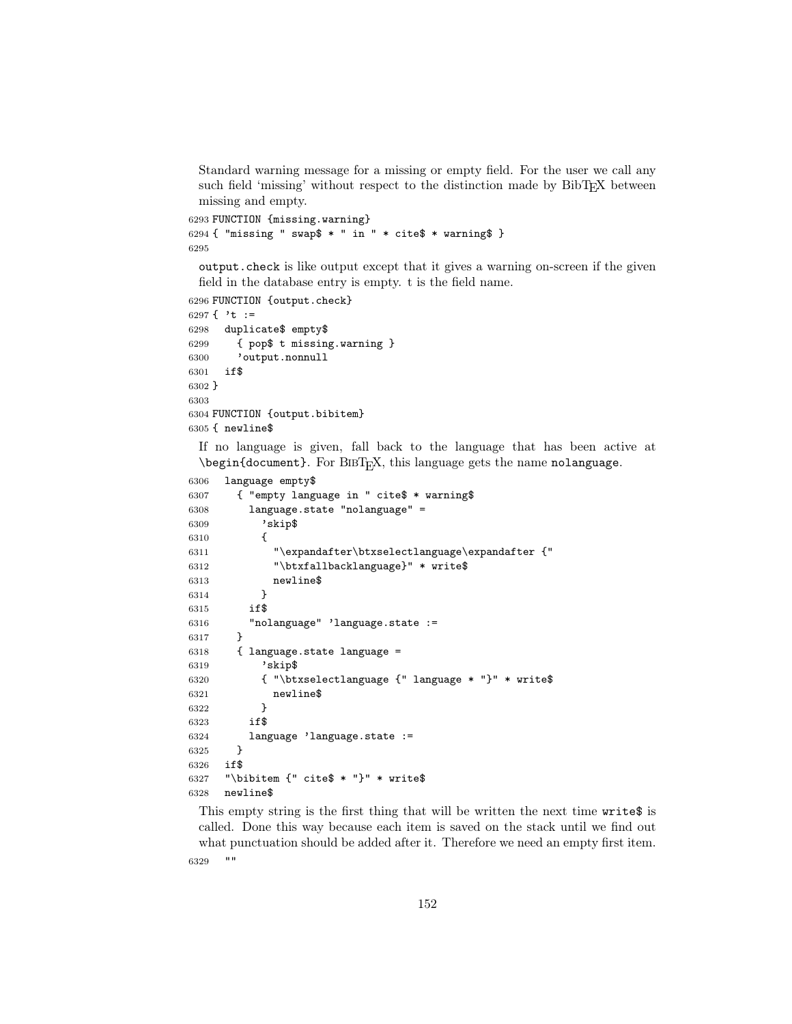Standard warning message for a missing or empty field. For the user we call any such field 'missing' without respect to the distinction made by BibT<sub>E</sub>X between missing and empty.

```
6293 FUNCTION {missing.warning}
6294 { "missing " swap$ * " in " * cite$ * warning$ }
6295
```
output.check is like output except that it gives a warning on-screen if the given field in the database entry is empty. t is the field name.

```
6296 FUNCTION {output.check}
6297 \{\cdot\} t :=
6298 duplicate$ empty$
6299 { pop$ t missing.warning }
6300 'output.nonnull
6301 if$
6302 }
6303
6304 FUNCTION {output.bibitem}
6305 { newline$
```
If no language is given, fall back to the language that has been active at \begin{document}. For BIBT<sub>E</sub>X, this language gets the name nolanguage.

```
6306 language empty$
6307 { "empty language in " cite$ * warning$
6308 language.state "nolanguage" =
6309 'skip$
6310 {
6311 "\expandafter\btxselectlanguage\expandafter {"
6312 "\btxfallbacklanguage}" * write$
6313 newline$
6314 }
6315 if$
6316 "nolanguage" 'language.state :=
6317 }
6318 { language.state language =
6319 'skip$
6320 { "\btxselectlanguage {" language * "}" * write$
6321 newline$
6322 }
6323 if$
6324 language 'language.state :=
6325 }
6326 if$
6327 "\bibitem {" cite$ * "}" * write$
6328 newline$
```
This empty string is the first thing that will be written the next time write\$ is called. Done this way because each item is saved on the stack until we find out what punctuation should be added after it. Therefore we need an empty first item.

""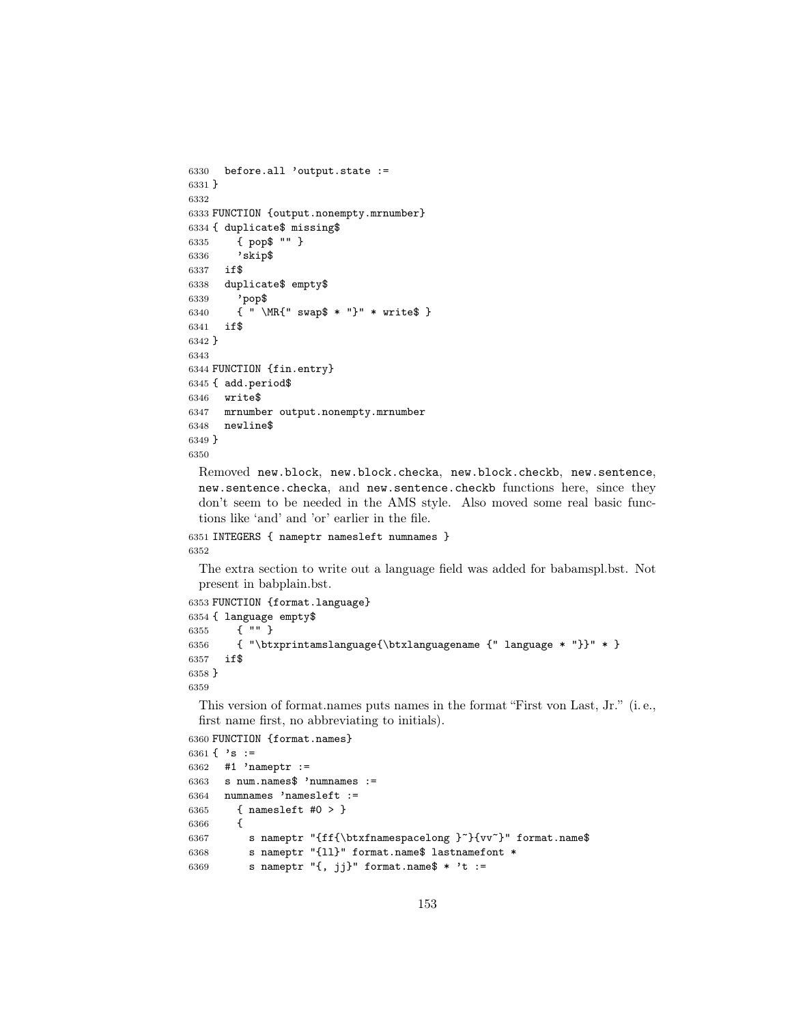```
6330 before.all 'output.state :=
6331 }
6332
6333 FUNCTION {output.nonempty.mrnumber}
6334 { duplicate$ missing$
6335 { pop$ "" }
6336 'skip$
6337 if$
6338 duplicate$ empty$
6339 'pop$
6340 { " \MR{" swap$ * "}" * write$ }
6341 if$
6342 }
6343
6344 FUNCTION {fin.entry}
6345 { add.period$
6346 write$
6347 mrnumber output.nonempty.mrnumber
6348 newline$
6349 }
6350
```
Removed new.block, new.block.checka, new.block.checkb, new.sentence, new.sentence.checka, and new.sentence.checkb functions here, since they don't seem to be needed in the AMS style. Also moved some real basic functions like 'and' and 'or' earlier in the file.

```
6351 INTEGERS { nameptr namesleft numnames }
6352
```
The extra section to write out a language field was added for babamspl.bst. Not present in babplain.bst.

```
6353 FUNCTION {format.language}
6354 { language empty$
6355 { "" }
6356 { "\btxprintamslanguage{\btxlanguagename {" language * "}}" * }
6357 if$
6358 }
6359
```
This version of format.names puts names in the format "First von Last, Jr." (i. e., first name first, no abbreviating to initials).

```
6360 FUNCTION {format.names}
```

```
6361 { 's :=6362 #1 'nameptr :=
6363 s num.names$ 'numnames :=
6364 numnames 'namesleft :=
6365 { namesleft #0 > }
6366 {
6367 s nameptr "{ff{\btxfnamespacelong }"}{vv"}" format.name$
6368 s nameptr "{ll}" format.name$ lastnamefont *
6369 s nameptr "\{, jj\}" format.name$ * 't :=
```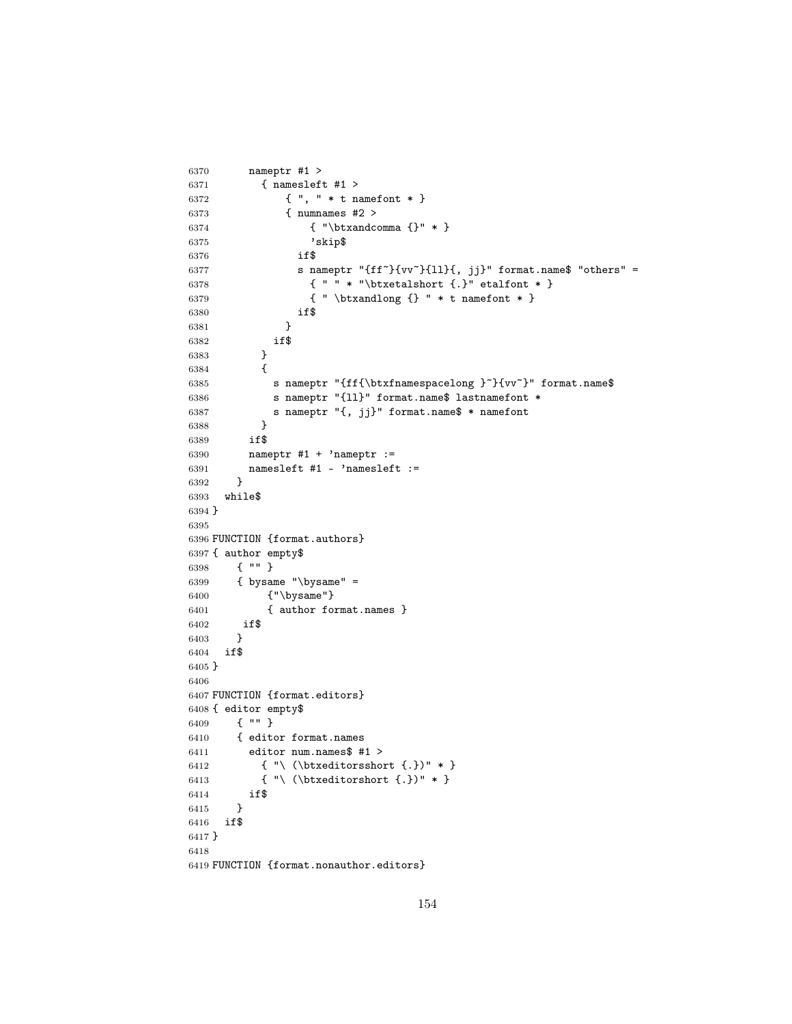```
6370 nameptr #1 >
6371 { namesleft #1 >
6372 { ", " * t namefont * }
6373 { numnames #2 >
6374 { "\btxandcomma {}" * }
6375 'skip$
6376 if$
6377 s nameptr "{ff<sup>~}{vv^}{11}{, jj}" format.name$ "others" =</sup>
6378 \{ " " * " \btxetalshort <math>\}" etalfont * }
6379 { " \btxandlong {} " * t namefont * }
6380 if$
6381 }
6382 if$<br>6383 }
6383 }
6384 {
6385 s nameptr "{ff{\btxfnamespacelong }~}{vv~}" format.name$
6386 s nameptr "{ll}" format.name$ lastnamefont *
6387 s nameptr "{, jj}" format.name$ * namefont
6388 }
6389 if$
6390 nameptr #1 + 'nameptr :=
6391 namesleft #1 - 'namesleft :=6392 }
6393 while$
6394 }
6395
6396 FUNCTION {format.authors}
6397 { author empty$
6398 { "" }
6399 { bysame "\bysame" =
6400 {"\bysame"}
6401 { author format.names }
6402 if$
6403 }
6404 if$
6405 }
6406
6407 FUNCTION {format.editors}
6408 { editor empty$
6409 { "" }
6410 { editor format.names
6411 editor num.names$ #1 >
6412 \{\n\ \ \{\ \}\ \{\ \ \ |\ \ \ \ \6413 { "\ (\btxeditorshort {.})" * }
6414 if$
6415 }
6416 if$
6417 }
6418
6419 FUNCTION {format.nonauthor.editors}
```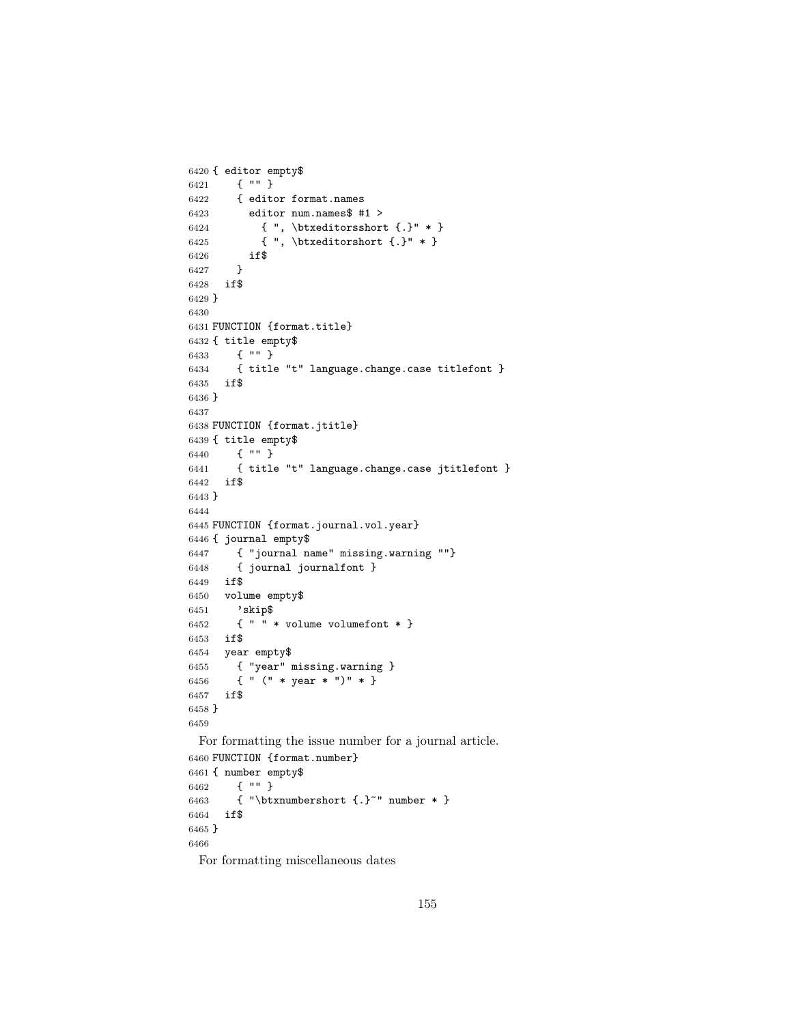```
6420 { editor empty$
6421 { "" }<br>6422 { edite
        6422 { editor format.names
6423 editor num.names$ #1 >
6424 \{ " , \bigl{ \hbox{\tt \char' {i}} \} \ast \}6425 { ", \hbox{\texttt{.}}" * }
6426 if$
6427 }
6428 if$
6429 }
6430
6431 FUNCTION {format.title}
6432 { title empty$
6433 { "" }
6434 { title "t" language.change.case titlefont }
6435 if$
6436 }
6437
6438 FUNCTION {format.jtitle}
6439 { title empty$
6440 { "" }
6441 { title "t" language.change.case jtitlefont }
6442 if$
6443 }
6444
6445 FUNCTION {format.journal.vol.year}
6446 { journal empty$
6447 { "journal name" missing.warning ""}
6448 { journal journalfont }
6449 if$
6450 volume empty$
6451 'skip$
6452 { " " * volume volumefont * }
6453 if$
6454 year empty$
6455 { "year" missing.warning }
6456 { " (" * year * ")" * }
6457 if$
6458 }
6459
 For formatting the issue number for a journal article.
6460 FUNCTION {format.number}
6461 { number empty$
6462 { "" }
6463 { "\btxnumbershort {.}~" number * }
6464 if$
6465 }
6466
```
For formatting miscellaneous dates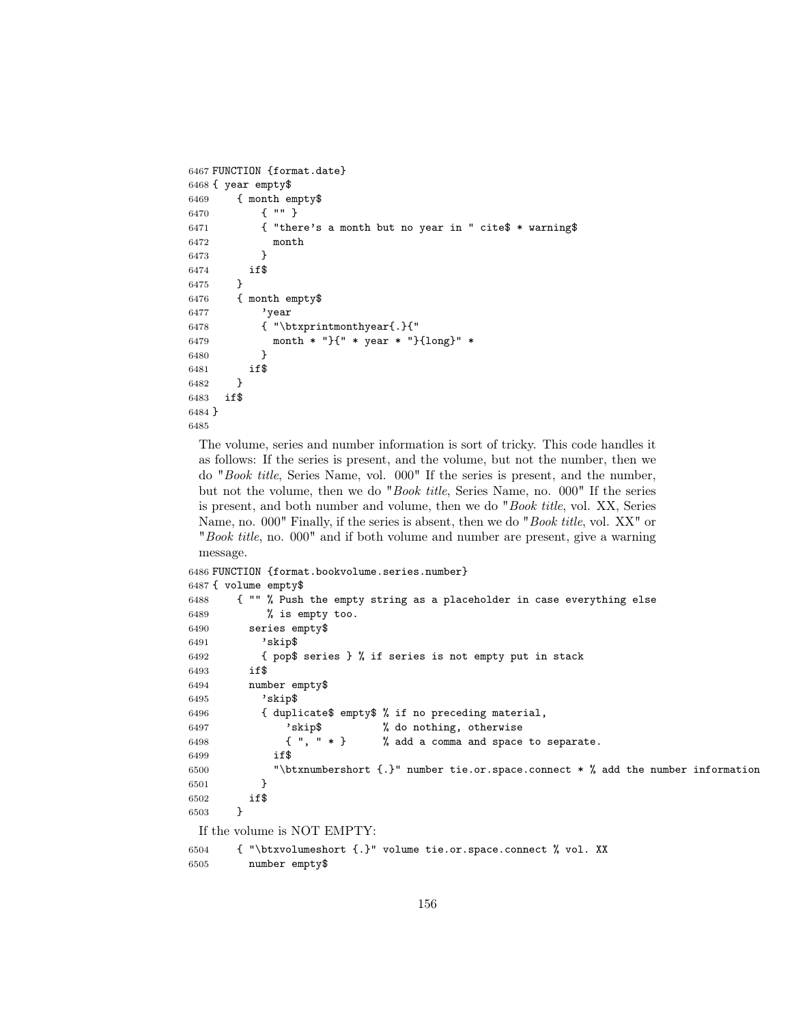```
6467 FUNCTION {format.date}
6468 { year empty$
6469 { month empty$
6470 { "" }
6471 { "there's a month but no year in " cite$ * warning$
6472 month
6473 }
6474 if$
6475 }
6476 { month empty$
6477 'year
6478 { "\btxprintmonthyear{.}{"
6479 month * "}{" * year * "}{long}" *
6480 }
6481 if$
6482 }
6483 if$
6484 }
6485
```
The volume, series and number information is sort of tricky. This code handles it as follows: If the series is present, and the volume, but not the number, then we do "Book title, Series Name, vol. 000" If the series is present, and the number, but not the volume, then we do "Book title, Series Name, no. 000" If the series is present, and both number and volume, then we do "Book title, vol. XX, Series Name, no. 000" Finally, if the series is absent, then we do "*Book title*, vol. XX" or "Book title, no. 000" and if both volume and number are present, give a warning message.

```
6486 FUNCTION {format.bookvolume.series.number}
6487 { volume empty$
6488 { "" % Push the empty string as a placeholder in case everything else
6489 % is empty too.
6490 series empty$
6491 'skip$
6492 { pop$ series } % if series is not empty put in stack
6493 if$
6494 number empty$
6495 'skip$
6496 { duplicate$ empty$ % if no preceding material,
6497 'skip$ % do nothing, otherwise
6498 \{ " , " * } \} % add a comma and space to separate.
6499 if$
6500 "\btxnumbershort {.}" number tie.or.space.connect * % add the number information
6501 }
6502 if$
6503 }
 If the volume is NOT EMPTY:
6504 { "\btxvolumeshort {.}" volume tie.or.space.connect % vol. XX
6505 number empty$
```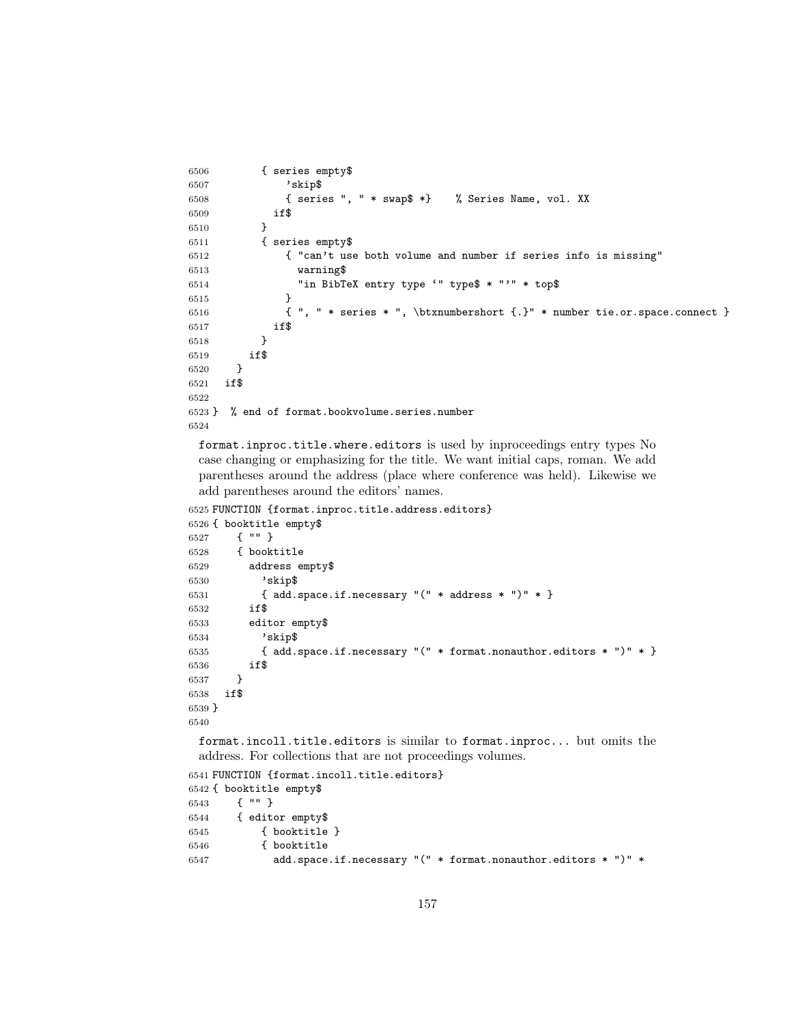```
6506 { series empty$
6507 'skip$
6508 { series ", " * swap$ *} % Series Name, vol. XX
6509 if$
6510 }
6511 { series empty$
6512 { "can't use both volume and number if series info is missing"
6513 warning$
6514 "in BibTeX entry type '" type$ * "'" * top$
6515 }
6516 { ", " * series * ", \btxnumbershort {.}" * number tie.or.space.connect }
6517 if $
6518 }
6519 if$
6520 }
6521 if$
6522
6523 } % end of format.bookvolume.series.number
6524
```
format.inproc.title.where.editors is used by inproceedings entry types No case changing or emphasizing for the title. We want initial caps, roman. We add parentheses around the address (place where conference was held). Likewise we add parentheses around the editors' names.

```
6525 FUNCTION {format.inproc.title.address.editors}
```

```
6526 { booktitle empty$
6527 { "" }
6528 { booktitle
6529 address empty$
6530 'skip$
6531 { add.space.if.necessary "(" * address * ")" * }
6532 if$
6533 editor empty$
6534 'skip$
6535 { add.space.if.necessary "(" * format.nonauthor.editors * ")" * }
6536 if$
6537 }
6538 if$
6539 }
6540
```
format.incoll.title.editors is similar to format.inproc... but omits the address. For collections that are not proceedings volumes.

```
6541 FUNCTION {format.incoll.title.editors}
6542 { booktitle empty$
6543 { "" }
6544 { editor empty$
6545 { booktitle }
6546 { booktitle
6547 add.space.if.necessary "(" * format.nonauthor.editors * ")" *
```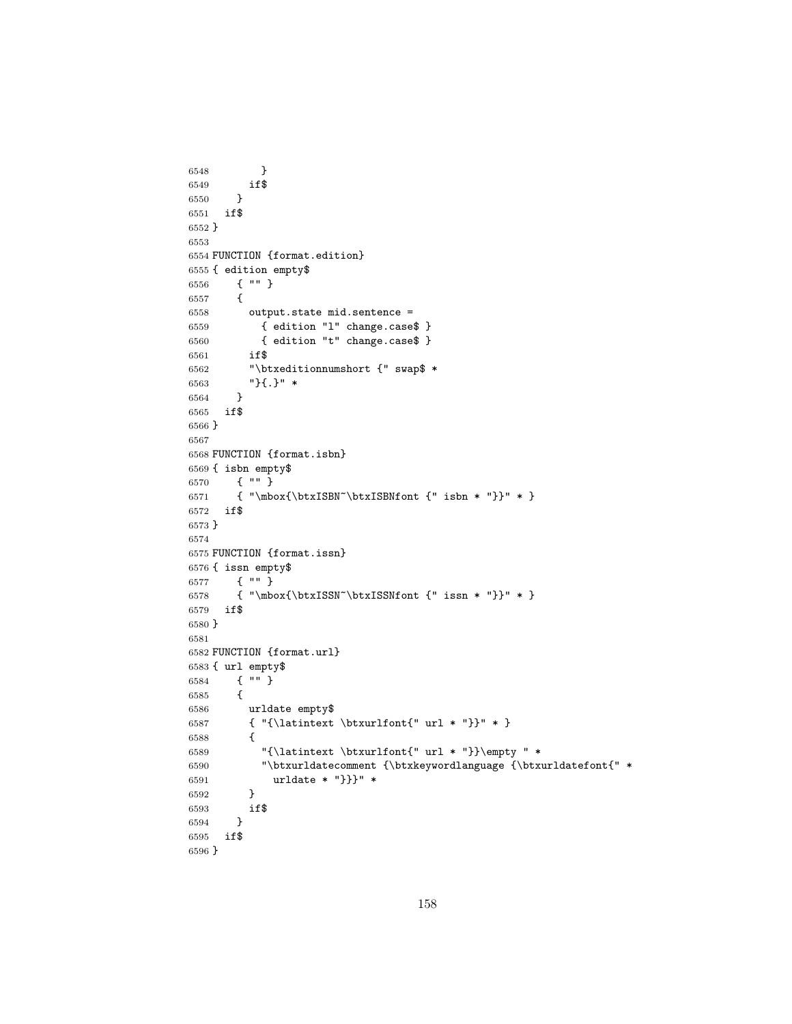```
6548 }
6549 if$
6550 }
6551 if$
6552 }
6553
6554 FUNCTION {format.edition}
6555 { edition empty$
6556 { "" }
6557 {
6558 output.state mid.sentence =
6559 { edition "l" change.case$ }
6560 { edition "t" change.case$ }
6561 if$
6562 "\btxeditionnumshort {" swap$ *
6563 " } { . } " *
6564 }
6565 if$
6566 }
6567
6568 FUNCTION {format.isbn}
6569 { isbn empty$
6570 { "" }
6571 { "\mbox{\btxISBN~\btxISBNfont {" isbn * "}}" * }
6572 if$
6573 }
6574
6575 FUNCTION {format.issn}
6576 { issn empty$
6577 { "" }
6578 { "\mbox{\btxISSN~\btxISSNfont {" issn * "}}" * }
6579 if$
6580 }
6581
6582 FUNCTION {format.url}
6583 { url empty$
6584 { "" }
6585 {
6586 urldate empty$
6587 { "{\latintext \btxurlfont{" url * "}}" * }
6588 {
6589 "{\latintext \btxurlfont{" url * "}}\empty " *
6590 "\btxurldatecomment {\btxkeywordlanguage {\btxurldatefont{" *
6591 urldate * "}}}" *
6592 }
6593 if$
6594 }
6595 if$
6596 }
```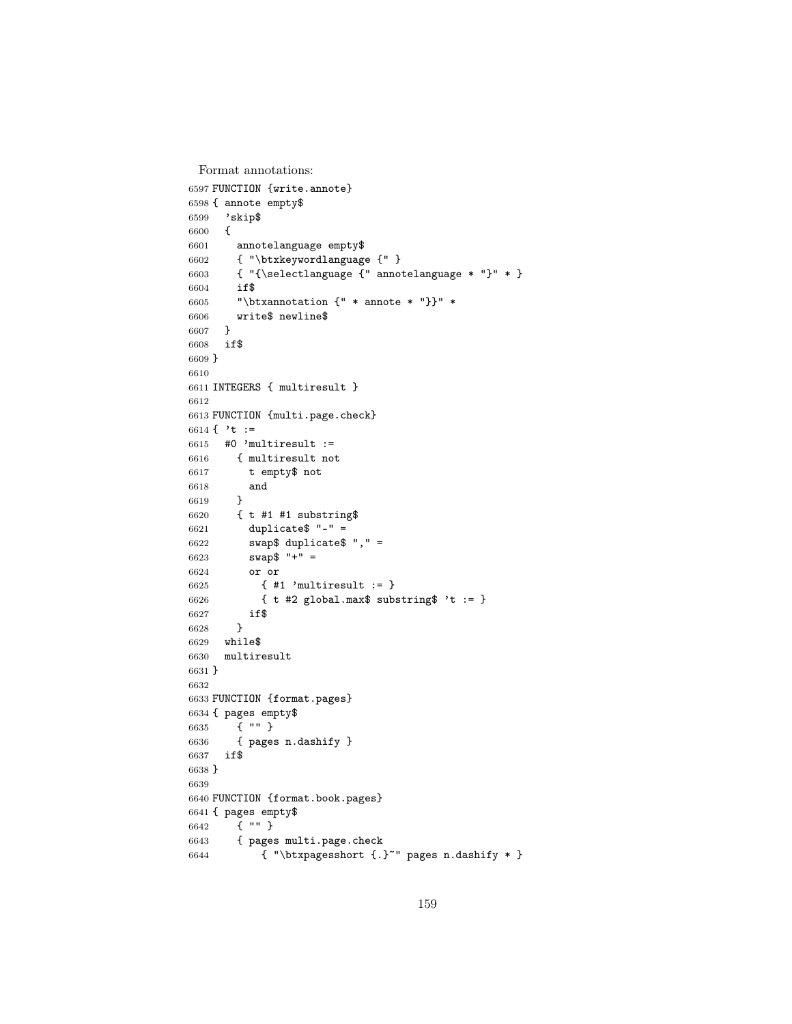```
Format annotations:
```

```
6597 FUNCTION {write.annote}
6598 { annote empty$
6599 'skip$
6600 {
6601 annotelanguage empty$
6602 { "\btxkeywordlanguage {" }
6603 { "{\selectlanguage {" annotelanguage * "}" * }
6604 if$
6605 "\btxannotation {" * annote * "}}" *
6606 write$ newline$
6607 }
6608 if$
6609 }
6610
6611 INTEGERS { multiresult }
6612
6613 FUNCTION {multi.page.check}
6614 { 't :=
6615 #0 'multiresult :=
6616 { multiresult not
6617 t empty$ not
6618 and
6619 }
6620 { t #1 #1 substring$
6621 duplicate$ "-" =
6622 swap$ duplicate$ "," =
6623 swap$ "+" =
6624 or or
6625 { #1 'multiresult := }
6626 { t #2 global.max$ substring$ 't := }
6627 if$
6628 }
6629 while$
     6630 multiresult
6631 }
6632
6633 FUNCTION {format.pages}
6634 { pages empty$
6635 { "" }
6636 { pages n.dashify }
6637 if$
6638 }
6639
6640 FUNCTION {format.book.pages}
6641 { pages empty$
6642 { "" }<br>6643 { pages
       6643 { pages multi.page.check
6644 { "\btxpagesshort {.}~" pages n.dashify * }
```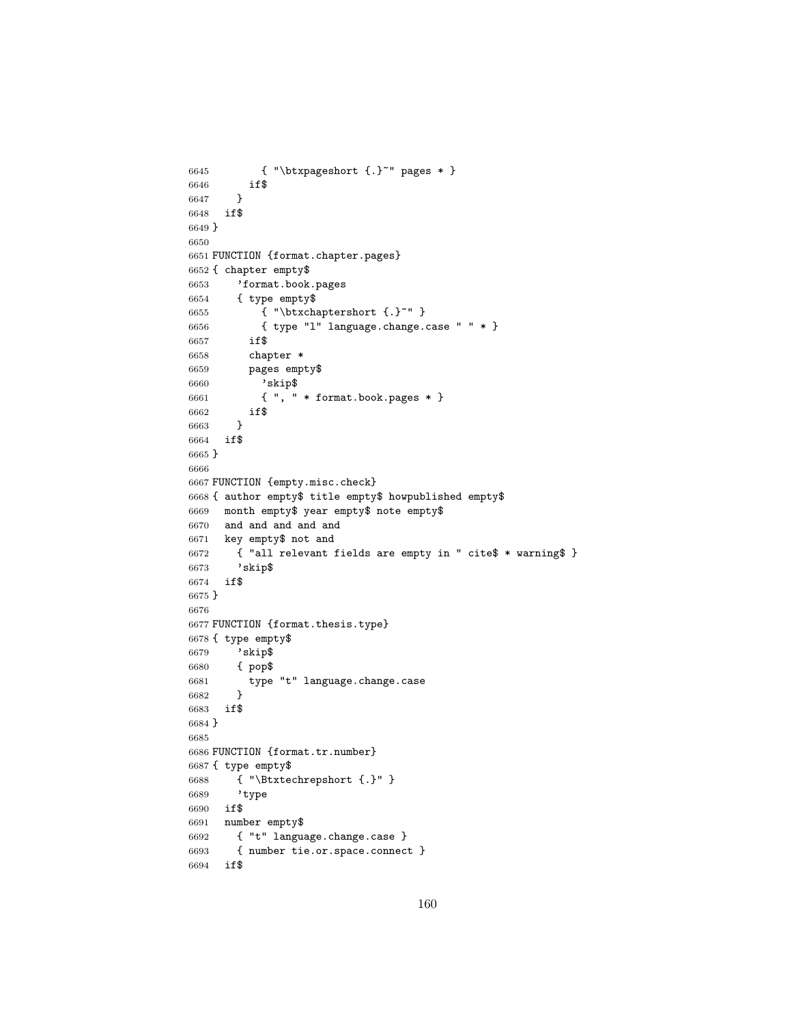```
6645 { "\btxpageshort {.}~" pages * }
6646 if$
6647 }
6648 if$
6649 }
6650
6651 FUNCTION {format.chapter.pages}
6652 { chapter empty$
6653 'format.book.pages
6654 { type empty$
6655 { "\btxchaptershort {.}~" }
6656 { type "l" language.change.case " " * }
6657 if$
6658 chapter *
6659 pages empty$
6660 'skip$<br>6661 f ", "
           { \t" , " * format-book pages * }6662 if$
6663 }
6664 if$
6665 }
6666
6667 FUNCTION {empty.misc.check}
6668 { author empty$ title empty$ howpublished empty$
6669 month empty$ year empty$ note empty$
6670 and and and and and
6671 key empty$ not and
6672 { "all relevant fields are empty in " cite$ * warning$ }
6673 'skip$
6674 if$
6675 }
6676
6677 FUNCTION {format.thesis.type}
6678 { type empty$
6679 'skip$
6680 { pop$
6681 type "t" language.change.case
6682 }
6683 if$
6684 }
6685
6686 FUNCTION {format.tr.number}
6687 { type empty$
6688 { "\Btxtechrepshort {.}" }
6689 'type
6690 if$
6691 number empty$
6692 { "t" language.change.case }
6693 { number tie.or.space.connect }
6694 if$
```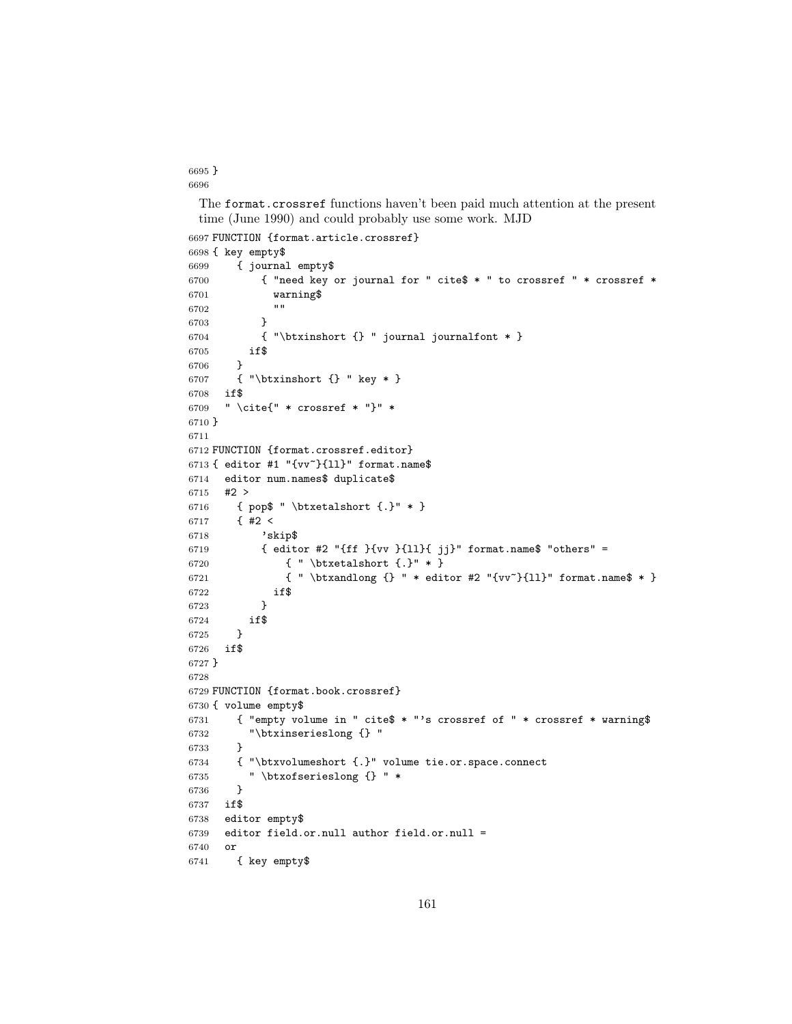} 

> The format.crossref functions haven't been paid much attention at the present time (June 1990) and could probably use some work. MJD

```
6697 FUNCTION {format.article.crossref}
6698 { key empty$
6699 { journal empty$
6700 { "need key or journal for " cite$ * " to crossref " * crossref *
6701 warning$
6702
6703 }
6704 { "\btxinshort {} " journal journalfont * }
6705 if$
6706 }
6707 { "\btxinshort {} " key * }
6708 if$
6709 " \cite{" * crossref * "}" *
6710 }
6711
6712 FUNCTION {format.crossref.editor}
6713 { editor #1 "{vv~}{ll}" format.name$
6714 editor num.names$ duplicate$
6715 #2 >
6716 { pop$ " \btxetalshort {.}" * }
6717 \{ 42 <6718 'skip$
6719 \{ editor #2 "\{ff \}{vv \{ \{ 11}\}{ jj\}" format.name$ "others" =
6720 { " \btxetalshort {.}" * }
6721 \{ " \bigl\} \text{ for all } r \in \{0, 1\} \} format.name$ * }
6722 if$
6723 }
6724 if$
6725 }
6726 if$
6727 }
6728
6729 FUNCTION {format.book.crossref}
6730 { volume empty$
6731 { "empty volume in " cite$ * "'s crossref of " * crossref * warning$
6732 "\btxinserieslong {} "
6733 }
6734 { "\btxvolumeshort {.}" volume tie.or.space.connect
6735 " \btxofserieslong {} " *
6736 }
6737 if$
6738 editor empty$
6739 editor field.or.null author field.or.null =
6740 or
6741 { key empty$
```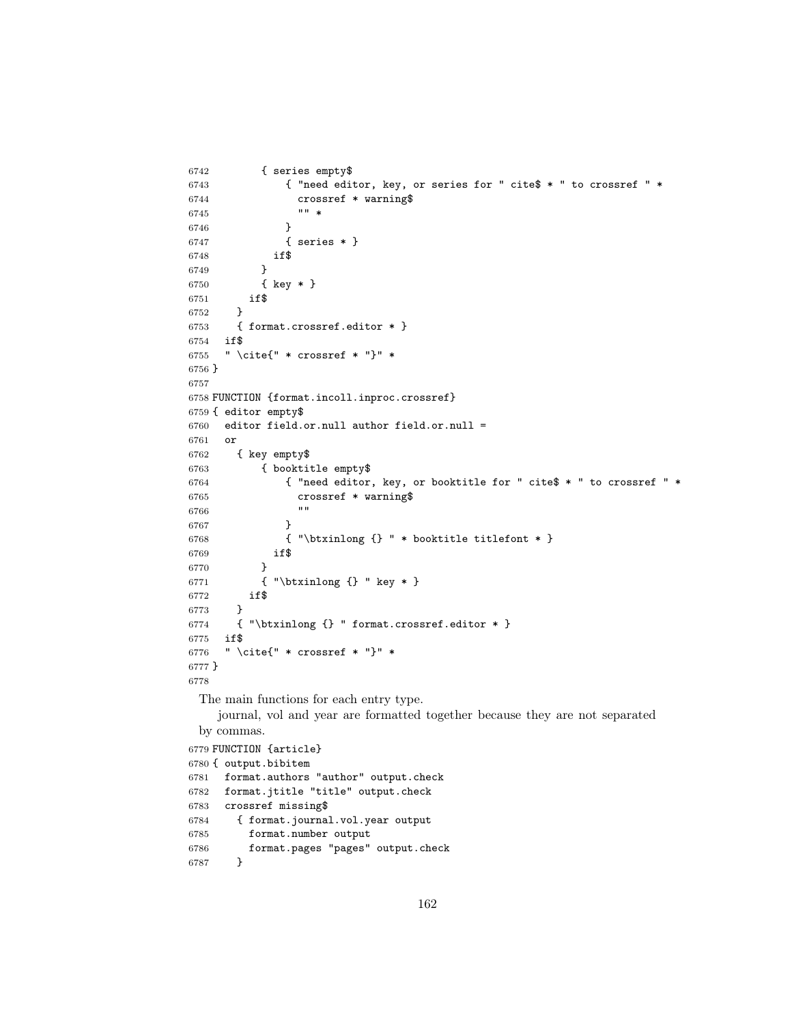```
6742 { series empty$
6743 { "need editor, key, or series for " cite$ * " to crossref " *
6744 crossref * warning$<br>6745 ... *
67456746 }
6747 { series * }
6748 if$
6749 }
6750 { key * }
6751 if$
6752 }
6753 { format.crossref.editor * }
6754 if$
6755 " \cite{" * crossref * "}" *
6756 }
6757
6758 FUNCTION {format.incoll.inproc.crossref}
6759 { editor empty$
6760 editor field.or.null author field.or.null =
6761 or
6762 { key empty$
6763 { booktitle empty$
6764 { "need editor, key, or booktitle for " cite$ * " to crossref " *
6765 crossref * warning$
6766 "" "
6767 }
6768 { "\btxinlong {} " * booktitle titlefont * }
6769 if$
6770 }
6771 { "\btxinlong {} " key * }
6772 if$
6773 }
6774 { "\btxinlong {} " format.crossref.editor * }
6775 if$
6776 " \cite{" * crossref * "}" *
6777 }
6778
 The main functions for each entry type.
    journal, vol and year are formatted together because they are not separated
 by commas.
6779 FUNCTION {article}
6780 { output.bibitem
6781 format.authors "author" output.check
6782 format.jtitle "title" output.check
6783 crossref missing$
6784 { format.journal.vol.year output
6785 format.number output
6786 format.pages "pages" output.check
6787 }
```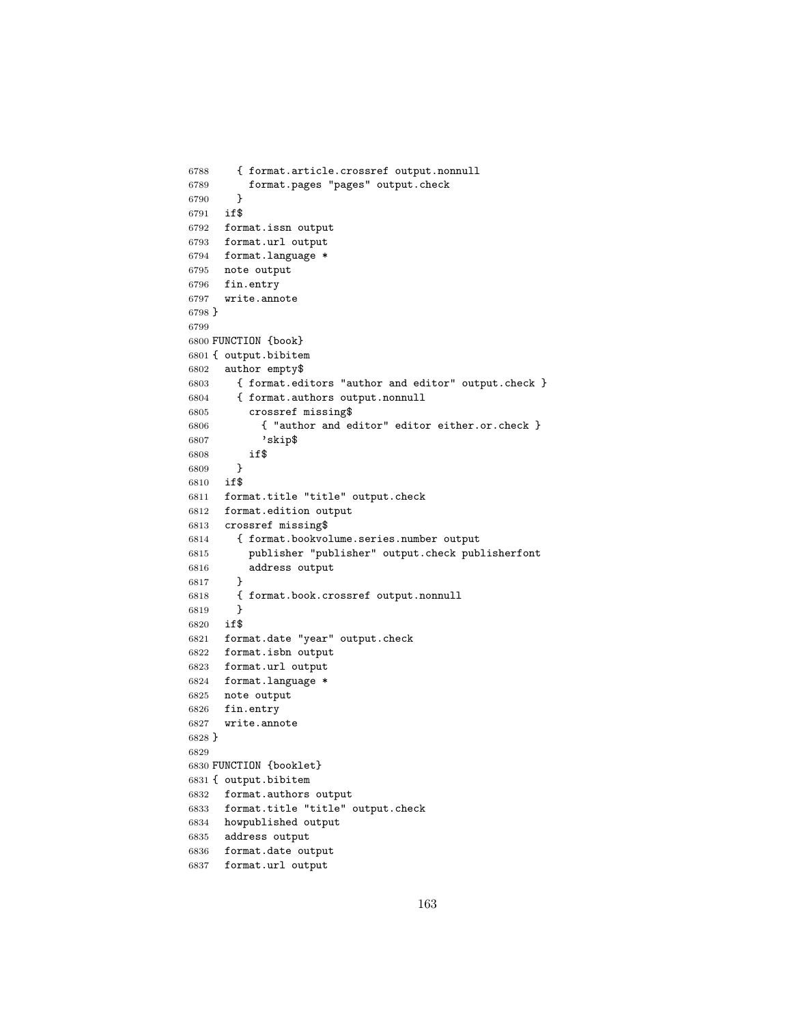```
6788 { format.article.crossref output.nonnull
6789 format.pages "pages" output.check
6790 }
6791 if$
6792 format.issn output
6793 format.url output
6794 format.language *
6795 note output
6796 fin.entry
6797 write.annote
6798 }
6799
6800 FUNCTION {book}
6801 { output.bibitem
6802 author empty$
6803 { format.editors "author and editor" output.check }<br>6804 { format.authors output.nonnull
        6804 { format.authors output.nonnull
6805 crossref missing$
6806 { "author and editor" editor either.or.check }
6807 'skip$
6808 if$<br>6809 }
6809 }
6810 if$
6811 format.title "title" output.check
6812 format.edition output
6813 crossref missing$
6814 { format.bookvolume.series.number output
6815 publisher "publisher" output.check publisherfont
6816 address output
6817 }
6818 { format.book.crossref output.nonnull
6819 }
6820 if$
6821 format.date "year" output.check
6822 format.isbn output
6823 format.url output
6824 format.language *
6825 note output
6826 fin.entry
6827 write.annote
6828 }
6829
6830 FUNCTION {booklet}
6831 { output.bibitem
6832 format.authors output
6833 format.title "title" output.check
6834 howpublished output
6835 address output
6836 format.date output
6837 format.url output
```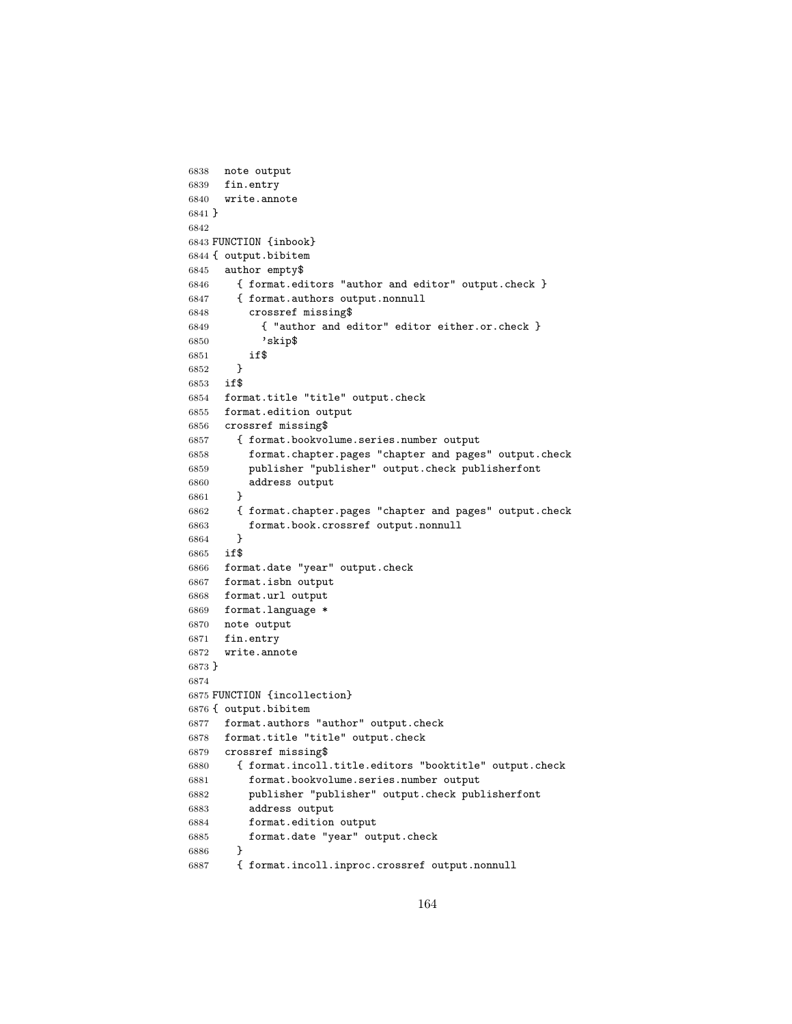```
6838 note output
6839 fin.entry
6840 write.annote
6841 }
6842
6843 FUNCTION {inbook}
6844 { output.bibitem
6845 author empty$
6846 { format.editors "author and editor" output.check }
6847 { format.authors output.nonnull
6848 crossref missing$
6849 { "author and editor" editor either.or.check }
6850 'skip$
6851 if$
6852 }
6853 if$
6854 format.title "title" output.check
6855 format.edition output
6856 crossref missing$
6857 { format.bookvolume.series.number output
6858 format.chapter.pages "chapter and pages" output.check
6859 publisher "publisher" output.check publisherfont
6860 address output
6861 }
6862 { format.chapter.pages "chapter and pages" output.check
6863 format.book.crossref output.nonnull
6864 }
6865 if$
6866 format.date "year" output.check
6867 format.isbn output
6868 format.url output
6869 format.language *
6870 note output
6871 fin.entry
6872 write.annote
6873 }
6874
6875 FUNCTION {incollection}
6876 { output.bibitem
6877 format.authors "author" output.check
6878 format.title "title" output.check
6879 crossref missing$
6880 { format.incoll.title.editors "booktitle" output.check
6881 format.bookvolume.series.number output
6882 publisher "publisher" output.check publisherfont
6883 address output
6884 format.edition output
6885 format.date "year" output.check
6886 }
6887 { format.incoll.inproc.crossref output.nonnull
```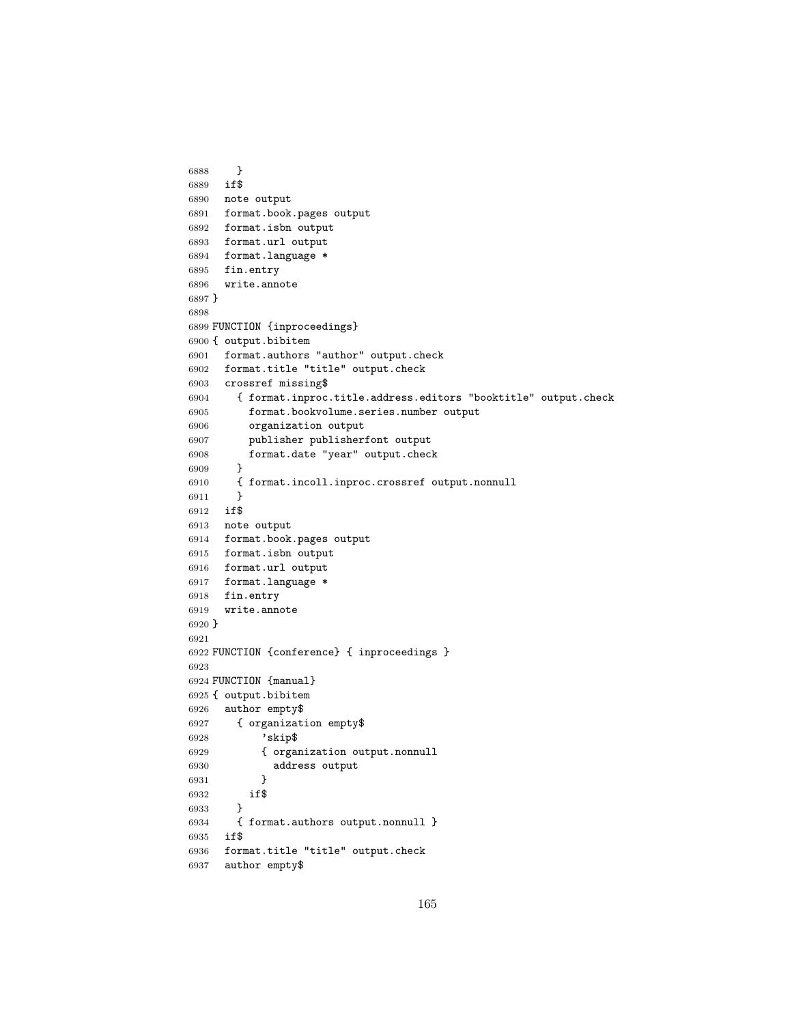```
6888 }
6889 if$
6890 note output
6891 format.book.pages output
6892 format.isbn output
6893 format.url output
6894 format.language *
6895 fin.entry
6896 write.annote
6897 }
6898
6899 FUNCTION {inproceedings}
6900 { output.bibitem
6901 format.authors "author" output.check
6902 format.title "title" output.check
6903 crossref missing$
6904 { format.inproc.title.address.editors "booktitle" output.check
6905 format.bookvolume.series.number output
6906 organization output
6907 publisher publisherfont output
6908 format.date "year" output.check<br>6909 }
6909
6910 { format.incoll.inproc.crossref output.nonnull
6911 }
6912 if$
6913 note output
6914 format.book.pages output
6915 format.isbn output
6916 format.url output
6917 format.language *
6918 fin.entry
6919 write.annote
6920 }
6921
6922 FUNCTION {conference} { inproceedings }
6923
6924 FUNCTION {manual}
6925 { output.bibitem
6926 author empty$
6927 { organization empty$
6928 'skip$
6929 { organization output.nonnull
6930 address output
6931 }
6932 if$
6933 }
6934 { format.authors output.nonnull }
6935 if$
6936 format.title "title" output.check
6937 author empty$
```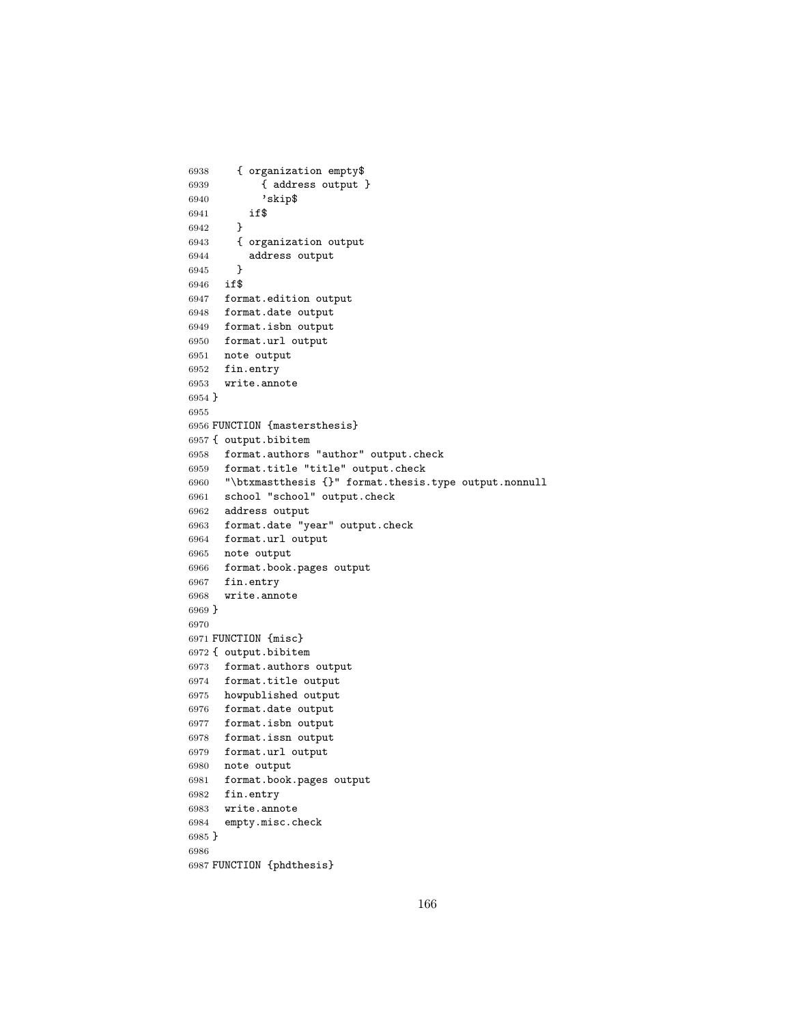```
6938 { organization empty$
6939 { address output }
6940 'skip$
6941 if$
6942 }
6943 { organization output
6944 address output
6945 }
6946 if$
6947 format.edition output
6948 format.date output
6949 format.isbn output
6950 format.url output
6951 note output
6952 fin.entry
6953 write.annote
6954 }
6955
6956 FUNCTION {mastersthesis}
6957 { output.bibitem
6958 format.authors "author" output.check
6959 format.title "title" output.check
6960 "\btxmastthesis {}" format.thesis.type output.nonnull
6961 school "school" output.check
6962 address output
6963 format.date "year" output.check
6964 format.url output
6965 note output
6966 format.book.pages output
6967 fin.entry
6968 write.annote
6969 }
6970
6971 FUNCTION {misc}
6972 { output.bibitem
6973 format.authors output
6974 format.title output
6975 howpublished output
6976 format.date output
6977 format.isbn output
6978 format.issn output
6979 format.url output
6980 note output
6981 format.book.pages output
6982 fin.entry
6983 write.annote
6984 empty.misc.check
6985 }
6986
6987 FUNCTION {phdthesis}
```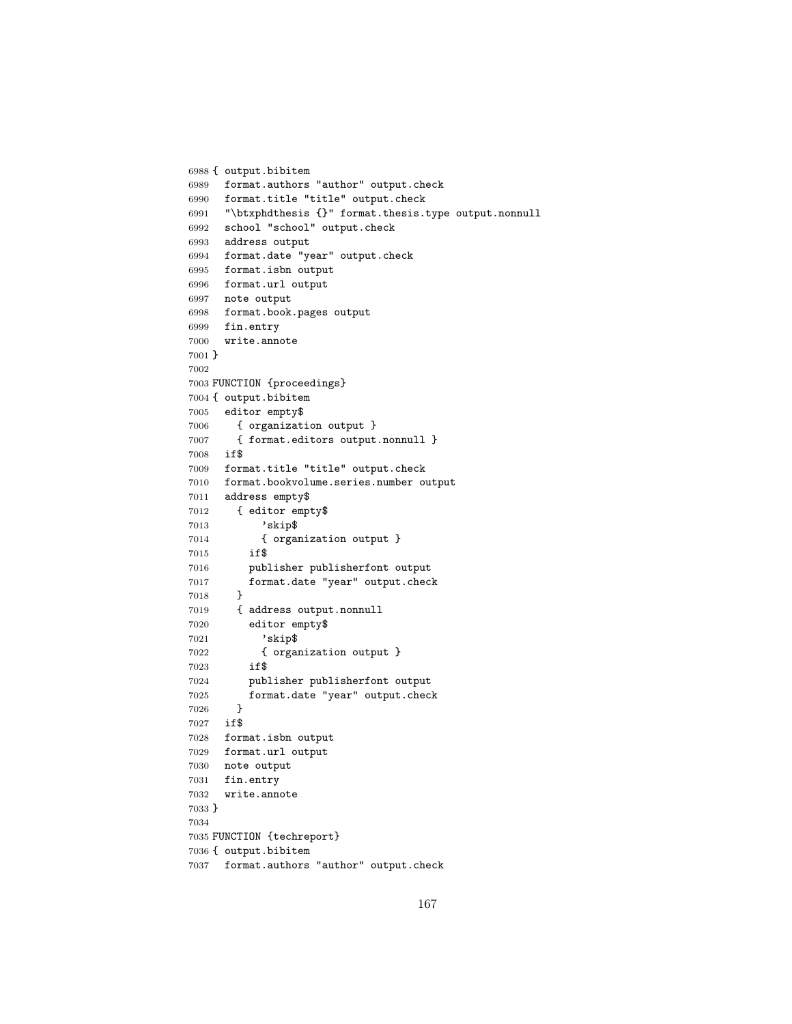```
6988 { output.bibitem
6989 format.authors "author" output.check
6990 format.title "title" output.check
6991 "\btxphdthesis {}" format.thesis.type output.nonnull
6992 school "school" output.check
6993 address output
6994 format.date "year" output.check
6995 format.isbn output
6996 format.url output
6997 note output
6998 format.book.pages output
6999 fin.entry
7000 write.annote
7001 }
7002
7003 FUNCTION {proceedings}
7004 { output.bibitem
7005 editor empty$
7006 { organization output }
7007 { format.editors output.nonnull }
7008 if$
7009 format.title "title" output.check
7010 format.bookvolume.series.number output
7011 address empty$
7012 { editor empty$
7013 'skip$
7014 { organization output }
7015 if$
7016 publisher publisherfont output
7017 format.date "year" output.check
7018 }
7019 { address output.nonnull
7020 editor empty$
7021 'skip$
7022 { organization output }
7023 if$
7024 publisher publisherfont output
7025 format.date "year" output.check
7026 }
7027 if$
7028 format.isbn output
7029 format.url output
7030 note output
7031 fin.entry
7032 write.annote
7033 }
7034
7035 FUNCTION {techreport}
7036 { output.bibitem
7037 format.authors "author" output.check
```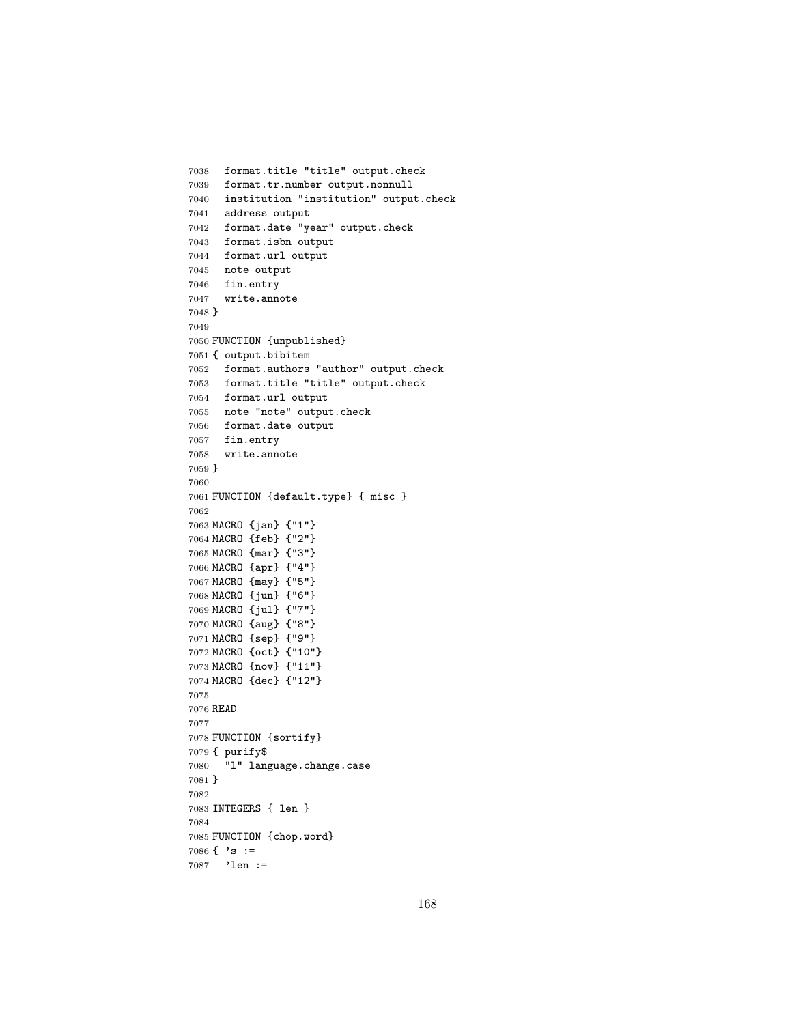```
7038 format.title "title" output.check
7039 format.tr.number output.nonnull
7040 institution "institution" output.check
7041 address output
7042 format.date "year" output.check
7043 format.isbn output
7044 format.url output
7045 note output
7046 fin.entry
7047 write.annote
7048 }
7049
7050 FUNCTION {unpublished}
7051 { output.bibitem
7052 format.authors "author" output.check
7053 format.title "title" output.check
7054 format.url output
7055 note "note" output.check
7056 format.date output
7057 fin.entry
7058 write.annote
7059 }
7060
7061 FUNCTION {default.type} { misc }
7062
7063 MACRO {jan} {"1"}
7064 MACRO {feb} {"2"}
7065 MACRO {mar} {"3"}
7066 MACRO {apr} {"4"}
7067 MACRO {may} {"5"}
7068 MACRO {jun} {"6"}
7069 MACRO {jul} {"7"}
7070 MACRO {aug} {"8"}
7071 MACRO {sep} {"9"}
7072 MACRO {oct} {"10"}
7073 MACRO {nov} {"11"}
7074 MACRO {dec} {"12"}
7075
7076 READ
7077
7078 FUNCTION {sortify}
7079 { purify$
7080 "l" language.change.case
7081 }
7082
7083 INTEGERS { len }
7084
7085 FUNCTION {chop.word}
7086 \{ \cdot s : =7087 'len :=
```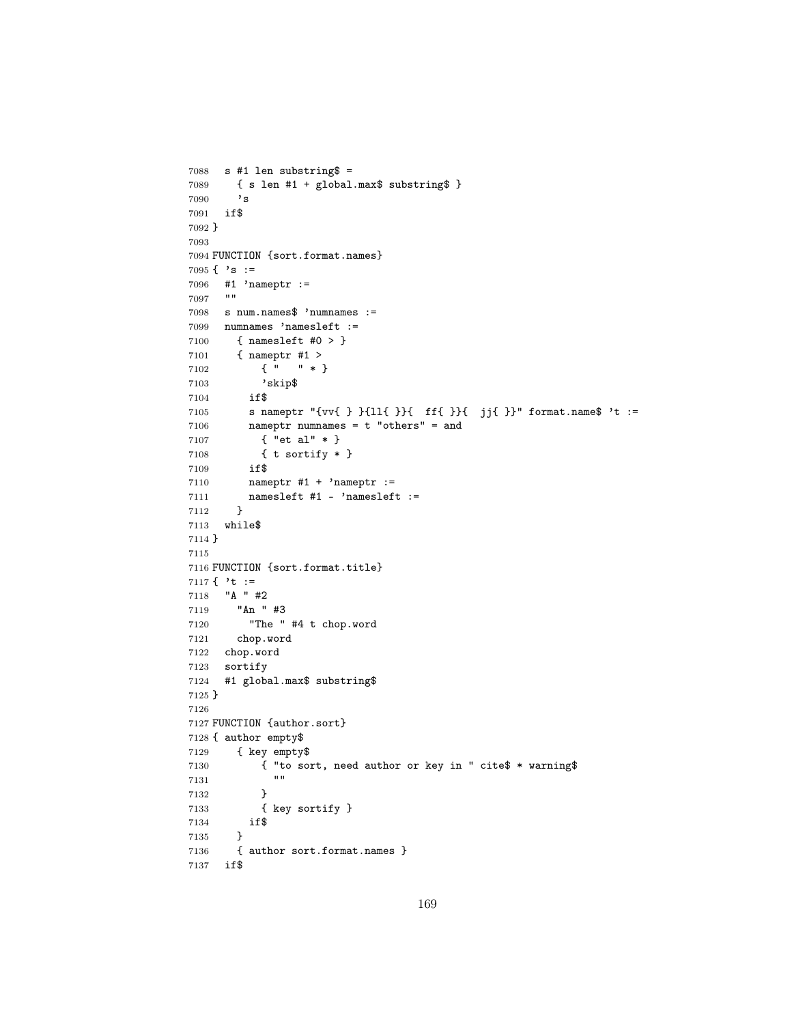```
7088 s #1 len substring$ =
7089 { s len #1 + global.max$ substring$ }
7090 's
7091 if$
7092 }
7093
7094 FUNCTION {sort.format.names}
7095 \{ \cdot s : =7096 #1 'nameptr :=
7097 ""
7098 s num.names$ 'numnames :=
7099 numnames 'namesleft :=
7100 { namesleft #0 > }
7101 { nameptr #1 >
7102 { " " * }
7103 'skip$<br>7104 if$
7104
7105 s nameptr "{vv{ } }{ll{ }}{ ff{ }}{ jj{ }}" format.name$ 't :=
7106 nameptr numnames = t "others" = and
7107 { "et al" * }
7108 { t sortify * }
7109 if$
7110 nameptr #1 + 'nameptr :=
7111 namesleft #1 - 'namesleft :=<br>7112 }
7112 }
7113 while$
7114 }
7115
7116 FUNCTION {sort.format.title}
7117 \{\cdot t :=7118 "A " #2
7119 "An " #3
7120 "The " #4 t chop.word
7121 chop.word
7122 chop.word
7123 sortify
7124 #1 global.max$ substring$
7125 }
7126
7127 FUNCTION {author.sort}
7128 { author empty$
7129 { key empty$
7130 { "to sort, need author or key in " cite$ * warning$
71317132 }
7133 { key sortify }
7134 if$<br>7135 }
7135 }
7136 { author sort.format.names }
7137 if$
```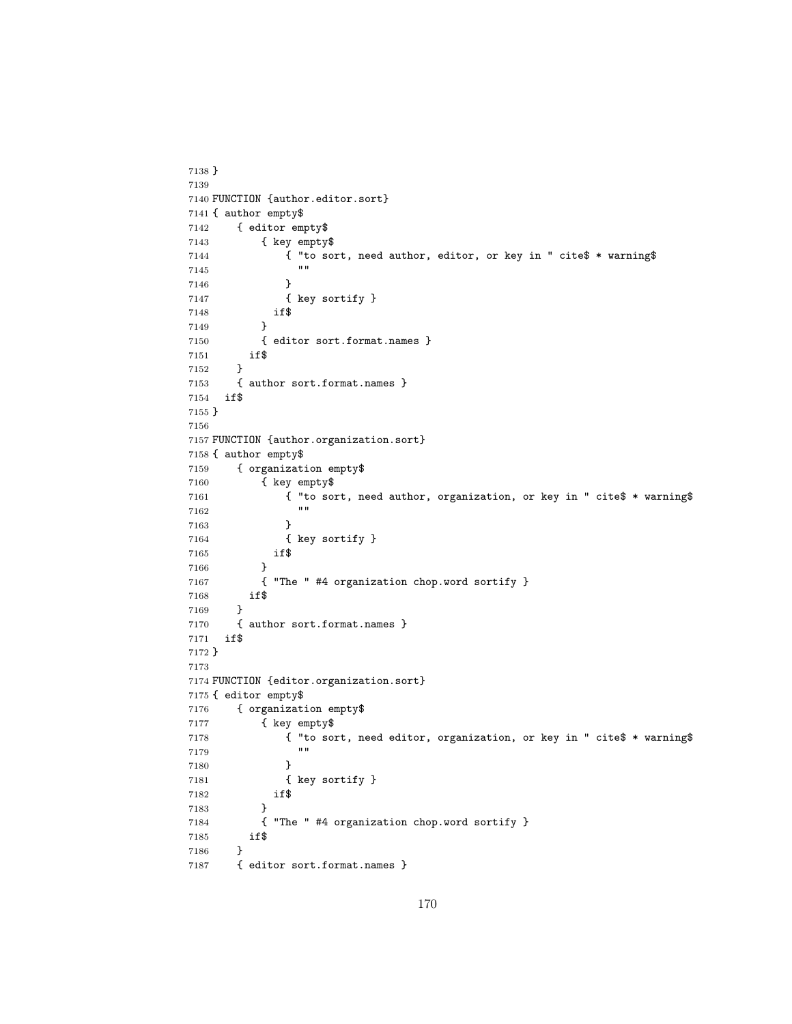```
7138 }
7139
7140 FUNCTION {author.editor.sort}
7141 { author empty$
7142 { editor empty$
7143 { key empty$
7144 { "to sort, need author, editor, or key in " cite$ * warning$
\begin{array}{ccc}\n 7145 & & \\
 7146 & & \end{array}7146 }
7147 { key sortify }
7148 if$
7149 }
7150 { editor sort.format.names }
7151 if$
7152 }
7153 { author sort.format.names }<br>7154 if$
     7154 if$
7155 }
7156
7157 FUNCTION {author.organization.sort}
7158 { author empty$
7159 { organization empty$
7160 { key empty$
7161 { "to sort, need author, organization, or key in " cite$ * warning$
71627163 }
7164 { key sortify }
7165 if$
7166 }
7167 { "The " #4 organization chop.word sortify }
7168 if$
7169 }
7170 { author sort.format.names }
7171 if$
7172 }
7173
7174 FUNCTION {editor.organization.sort}
7175 { editor empty$
7176 { organization empty$
7177 { key empty$
7178 { "to sort, need editor, organization, or key in " cite$ * warning$
7179 "" ""
7180 }
7181 { key sortify }
7182 if$
7183 }
7184 { "The " #4 organization chop.word sortify }
7185 if$
7186 }
7187 { editor sort.format.names }
```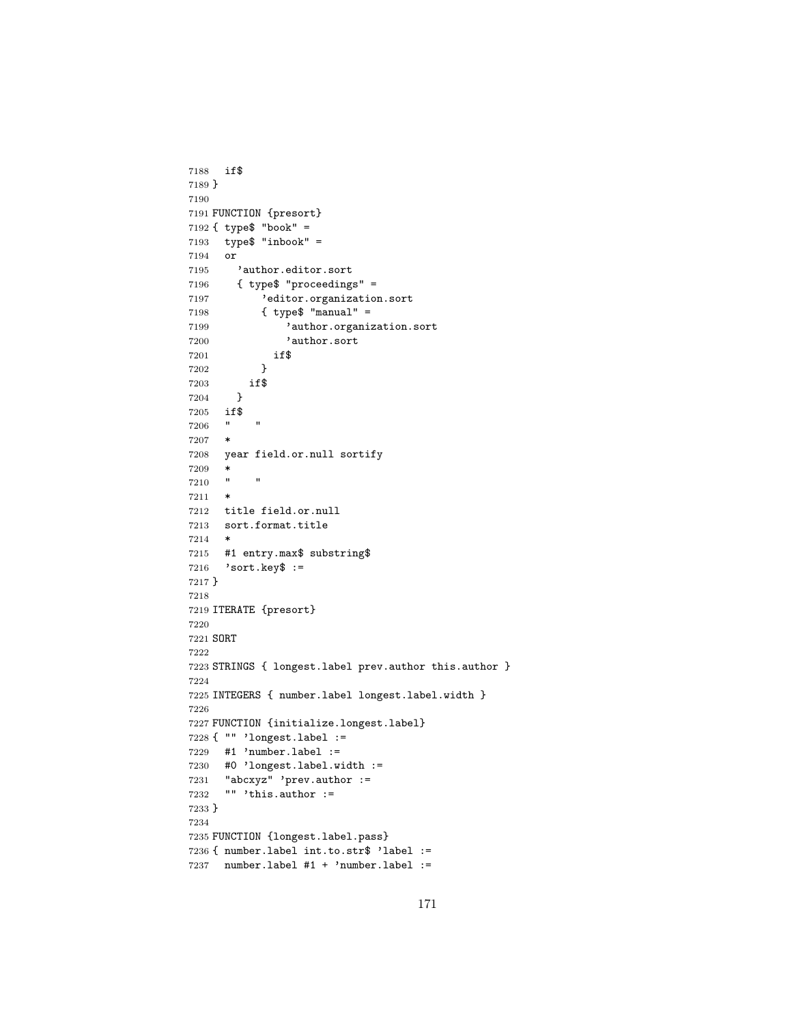```
7188 if$
7189 }
7190
7191 FUNCTION {presort}
7192 { type$ "book" =
7193 type$ "inbook" =
7194 or
7195 'author.editor.sort
7196 { type$ "proceedings" =
7197 'editor.organization.sort
7198 { type$ "manual" =
7199 'author.organization.sort
7200 'author.sort
7201 if$
7202 }<br>7203 if$
       if$<br>}
7204 }
7205 if$
7206 " "
7207 *
7208 year field.or.null sortify
7209 *
7210 " "
7211 *
7212 title field.or.null
7213 sort.format.title
7214 *
7215 #1 entry.max$ substring$
7216 'sort.key$ :=
7217 }
7218
7219 ITERATE {presort}
7220
7221 SORT
7222
7223 STRINGS { longest.label prev.author this.author }
7224
7225 INTEGERS { number.label longest.label.width }
7226
7227 FUNCTION {initialize.longest.label}
7228 { "" 'longest.label :=
7229 #1 'number.label :=
7230 #0 'longest.label.width :=
7231 "abcxyz" 'prev.author :=
7232 "" 'this.author :=
7233 }
7234
7235 FUNCTION {longest.label.pass}
7236 { number.label int.to.str$ 'label :=
7237 number.label #1 + 'number.label :=
```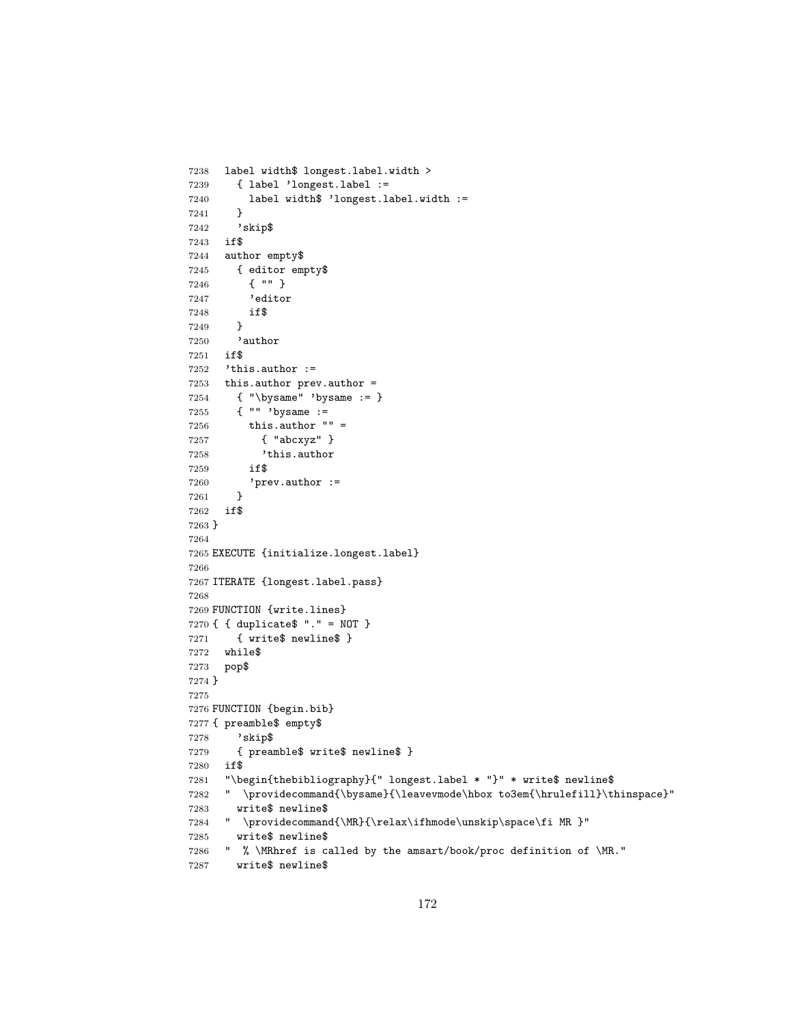```
7238 label width$ longest.label.width >
7239 { label 'longest.label :=
7240 label width$ 'longest.label.width :=
7241 }
7242 'skip$
7243 if$
7244 author empty$
7245 { editor empty$
7246 { "" }
7247 'editor
7248 if$
7249 }
7250 'author
7251 if$
7252 'this.author :=
7253 this.author prev.author = 7254 { "\bysame" 'bysame := \overline{ }7254 { "\bysame" 'bysame := }
7255 { "" 'bysame :=
7256 this.author "" =
7257 { "abcxyz" }
7258 'this.author
7259 if$
7260 'prev.author :=
7261 }
7262 if$
7263 }
7264
7265 EXECUTE {initialize.longest.label}
7266
7267 ITERATE {longest.label.pass}
7268
7269 FUNCTION {write.lines}
7270 { { duplicate$ "." = NOT }
7271 { write$ newline$ }
7272 while$
7273 pop$
7274 }
7275
7276 FUNCTION {begin.bib}
7277 { preamble$ empty$
7278 'skip$
7279 { preamble$ write$ newline$ }
7280 if$
7281 "\begin{thebibliography}{" longest.label * "}" * write$ newline$
7282 " \providecommand{\bysame}{\leavevmode\hbox to3em{\hrulefill}\thinspace}"
7283 write$ newline$
7284 " \providecommand{\MR}{\relax\ifhmode\unskip\space\fi MR }"
7285 write$ newline$
7286 " % \MRhref is called by the amsart/book/proc definition of \MR."
7287 write$ newline$
```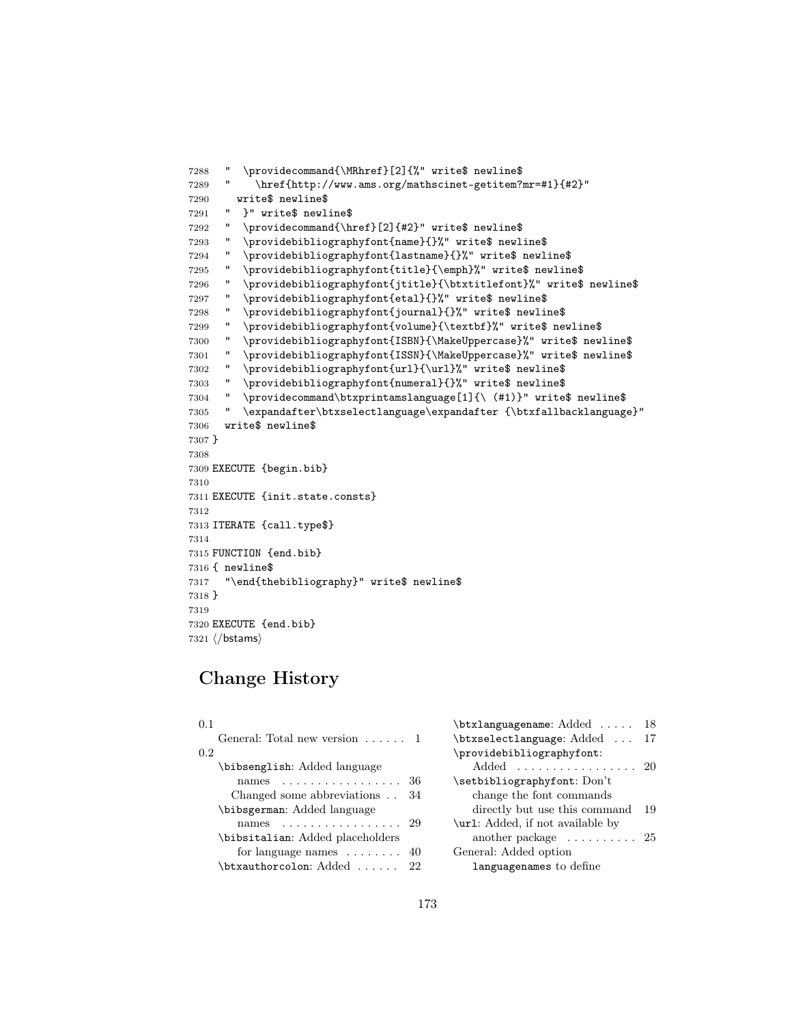```
7288 " \providecommand{\MRhref}[2]{%" write$ newline$
7289 " \href{http://www.ams.org/mathscinet-getitem?mr=#1}{#2}"
7290 write$ newline$
7291 " }" write$ newline$
7292 " \providecommand{\href}[2]{#2}" write$ newline$
7293 " \providebibliographyfont{name}{}%" write$ newline$
7294 " \providebibliographyfont{lastname}{}%" write$ newline$
7295 " \providebibliographyfont{title}{\emph}%" write$ newline$
7296 " \providebibliographyfont{jtitle}{\btxtitlefont}%" write$ newline$
7297 " \providebibliographyfont{etal}{}%" write$ newline$
7298 " \providebibliographyfont{journal}{}%" write$ newline$
7299 " \providebibliographyfont{volume}{\textbf}%" write$ newline$
7300 " \providebibliographyfont{ISBN}{\MakeUppercase}%" write$ newline$
7301 " \providebibliographyfont{ISSN}{\MakeUppercase}%" write$ newline$
7302 " \providebibliographyfont{url}{\url}%" write$ newline$
7303 " \providebibliographyfont{numeral}{}%" write$ newline$
7304 " \providecommand\btxprintamslanguage[1]{\ (#1)}" write$ newline$
7305 " \expandafter\btxselectlanguage\expandafter {\btxfallbacklanguage}"
7306 write$ newline$
7307 }
7308
7309 EXECUTE {begin.bib}
7310
7311 EXECUTE {init.state.consts}
7312
7313 ITERATE {call.type$}
7314
7315 FUNCTION {end.bib}
7316 { newline$
7317 "\end{thebibliography}" write$ newline$
7318 }
7319
7320 EXECUTE {end.bib}
7321 \langle/bstams\rangle
```
## Change History

| 0.1 |                                                                | \btxlanguagename: Added  18              |     |
|-----|----------------------------------------------------------------|------------------------------------------|-----|
|     | General: Total new version $\dots$ .                           | \btxselectlanguage: Added  17            |     |
| 0.2 |                                                                | \providebibliographyfont:                |     |
|     | \bibsenglish: Added language                                   | Added  20                                |     |
|     | names $36$                                                     | $\setminus$ setbibliographyfont: $Don't$ |     |
|     | Changed some abbreviations $\ldots$ 34                         | change the font commands                 |     |
|     | \bibsgerman: Added language                                    | directly but use this command            | -19 |
|     | names 29                                                       | \url: Added, if not available by         |     |
|     | \bibsitalian: Added placeholders                               | another package $\dots \dots \dots 25$   |     |
|     | for language names $\dots \dots 40$                            | General: Added option                    |     |
|     | $\texttt{\texttt{btxauthorcolon} Added } \dots \dots \quad 22$ | languagenames to define                  |     |
|     |                                                                |                                          |     |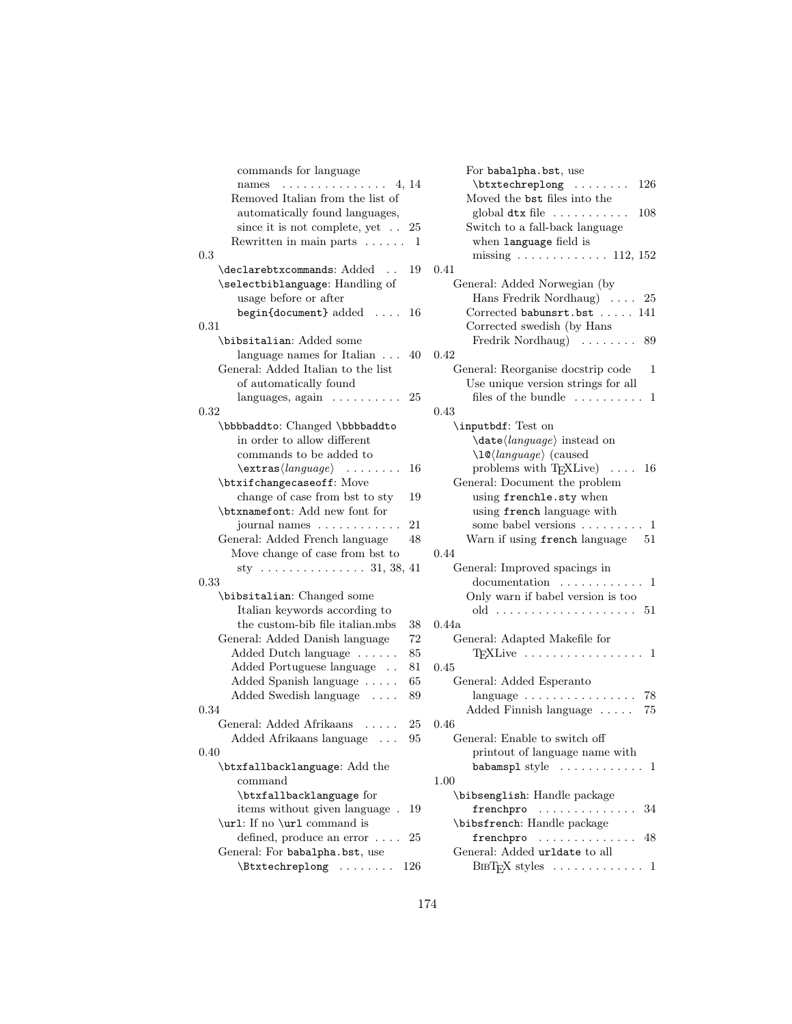| commands for language                              |
|----------------------------------------------------|
| . 4, 14<br>names                                   |
| Removed Italian from the list of                   |
| automatically found languages,                     |
| since it is not complete, yet<br>25                |
| Rewritten in main parts<br>1                       |
| 0.3                                                |
| \declarebtxcommands: Added<br>19                   |
| \selectbiblanguage: Handling of                    |
| usage before or after                              |
| begin{document} added<br>16                        |
| 0.31                                               |
| \bibsitalian: Added some                           |
| language names for Italian<br>40                   |
| General: Added Italian to the list                 |
| of automatically found                             |
| $languages, again \ldots \ldots$<br>25             |
| 0.32                                               |
| \bbbbaddto: Changed \bbbbaddto                     |
| in order to allow different                        |
| commands to be added to                            |
| $\texttt{\text{language}} \ \ldots \ \ldots$<br>16 |
| \btxifchangecaseoff: Move                          |
| change of case from bst to sty<br>19               |
| \btxnamefont: Add new font for                     |
| journal names<br>21                                |
| General: Added French language<br>48               |
| Move change of case from bst to                    |
| sty 31, 38, 41                                     |
| 0.33                                               |
| \bibsitalian: Changed some                         |
| Italian keywords according to                      |
| the custom-bib file italian.mbs<br>38              |
| General: Added Danish language<br>72               |
| Added Dutch language<br>85                         |
| Added Portuguese language<br>81                    |
| Added Spanish language<br>65                       |
| Added Swedish language<br>89                       |
| 0.34                                               |
| General: Added Afrikaans<br>25                     |
| Added Afrikaans language $\ldots$<br>95            |
| 0.40                                               |
| \btxfallbacklanguage: Add the                      |
| command                                            |
| \btxfallbacklanguage for                           |
| items without given language.<br>19                |
| \url: If no \url command is                        |
| defined, produce an error $\dots$ .<br>25          |
| General: For babalpha.bst, use                     |
| $\text{Extechreplong} \dots 126$                   |
|                                                    |

| For babalpha.bst, use                                        |
|--------------------------------------------------------------|
| $\h{\text{btxtechniplong}}$ 126                              |
| Moved the ${\tt bst}$ files into the                         |
| global $dtx$ file $\ldots \ldots \ldots 108$                 |
| Switch to a fall-back language                               |
| when language field is                                       |
| missing $\ldots \ldots \ldots \ldots 112, 152$               |
| 0.41                                                         |
| General: Added Norwegian (by                                 |
| Hans Fredrik Nordhaug)  25                                   |
| Corrected babunsrt.bst  141                                  |
| Corrected swedish (by Hans                                   |
| Fredrik Nordhaug) $\ldots \ldots \ldots$ 89                  |
| 0.42                                                         |
| General: Reorganise docstrip code<br>1                       |
| Use unique version strings for all                           |
| files of the bundle $\dots \dots \dots 1$                    |
| 0.43                                                         |
| \inputbdf: Test on                                           |
| $\langle language \rangle$ instead on                        |
| $\langle \log \langle \log \rangle \rangle$ (caused          |
| problems with $T_{F}XLive$ 16                                |
|                                                              |
| General: Document the problem                                |
| using frenchle.sty when                                      |
| using french language with                                   |
| some babel versions $\dots \dots \dots 1$                    |
| Warn if using french language 51                             |
| 0.44                                                         |
| General: Improved spacings in                                |
| $d$ ocumentation $\dots\dots\dots\dots$ 1                    |
| Only warn if babel version is too                            |
|                                                              |
| 0.44a                                                        |
| General: Adapted Makefile for                                |
| $T_F X$ Live $\ldots \ldots \ldots \ldots \ldots 1$          |
| 0.45                                                         |
| General: Added Esperanto                                     |
|                                                              |
| Added Finnish language  75                                   |
| $0.46\,$                                                     |
| General: Enable to switch off                                |
| printout of language name with                               |
| babamspl style<br>. 1                                        |
| 1.00                                                         |
| \bibsenglish: Handle package                                 |
| frenchpro<br>34                                              |
| \bibsfrench: Handle package                                  |
| frenchpro<br>48                                              |
| General: Added urldate to all                                |
| $\text{BIBT}_{F}X$ styles $\ldots \ldots \ldots \ldots$<br>1 |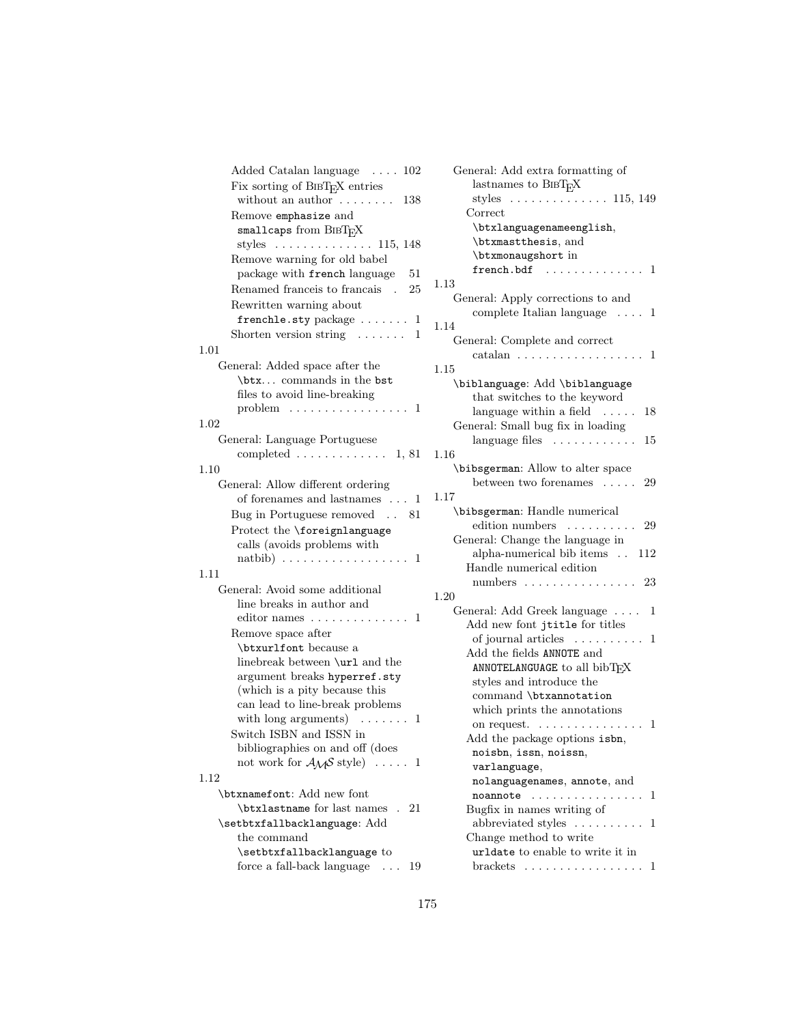| Added Catalan language  102                     |       |
|-------------------------------------------------|-------|
| Fix sorting of BIBTFX entries                   |       |
| without an author $\dots \dots$<br>138          |       |
| Remove emphasize and                            |       |
| smallcaps from BIBTFX                           |       |
| styles $\dots \dots \dots \dots \dots 115, 148$ |       |
| Remove warning for old babel                    |       |
| package with french language 51                 |       |
| Renamed france is to francais . 25              | 1.    |
| Rewritten warning about                         |       |
| frenchle.sty package $\dots \dots 1$            | 1.    |
| Shorten version string $\dots \dots 1$          |       |
| 1.01                                            |       |
| General: Added space after the                  | 1.    |
| \btx commands in the bst                        |       |
| files to avoid line-breaking                    |       |
| problem $\dots \dots \dots \dots \dots \dots$   |       |
| 1.02                                            |       |
| General: Language Portuguese                    |       |
| completed $\ldots \ldots \ldots \ldots 1, 81$   | 1.    |
| 1.10                                            |       |
| General: Allow different ordering               |       |
| of forenames and lastnames $\dots$ 1            | 1.    |
| Bug in Portuguese removed 81                    |       |
| Protect the <i>\foreignlanguage</i>             |       |
| calls (avoids problems with                     |       |
|                                                 |       |
| 1.11                                            |       |
| General: Avoid some additional                  |       |
| line breaks in author and                       | $1$ . |
| editor names $\dots \dots \dots \dots \dots 1$  |       |
| Remove space after                              |       |
| \btxurlfont because a                           |       |
| linebreak between \url and the                  |       |
| argument breaks hyperref.sty                    |       |
| (which is a pity because this                   |       |
| can lead to line-break problems                 |       |
| with long arguments) $\dots \dots$<br>1         |       |
| Switch ISBN and ISSN in                         |       |
| bibliographies on and off (does                 |       |
| not work for $A\mathcal{M}S$ style)  1          |       |
| 1.12                                            |       |
| \btxnamefont: Add new font                      |       |
| \btxlastname for last names . 21                |       |
| \setbtxfallbacklanguage: Add                    |       |
| the command                                     |       |
| \setbtxfallbacklanguage to                      |       |
|                                                 |       |

force a fall-back language . . . 19

| General: Add extra formatting of                            |
|-------------------------------------------------------------|
| lastnames to BIBTFX                                         |
| styles $\dots \dots \dots \dots \dots 115, 149$             |
| Correct                                                     |
| \btxlanguagenameenglish,                                    |
| \btxmastthesis, and                                         |
| \btxmonaugshort in                                          |
| french.bdf<br>1<br>$\overline{\phantom{a}}$ .<br>$\ldots$ . |
| .13                                                         |
| General: Apply corrections to and                           |
| complete Italian language<br>1                              |
| .14                                                         |
| General: Complete and correct                               |
| $\text{catalan} \dots \dots$<br>1                           |
| .15                                                         |
| \biblanguage: Add \biblanguage                              |
| that switches to the keyword                                |
| language within a field<br>$\ldots$<br>18                   |
| General: Small bug fix in loading                           |
| language files<br>15                                        |
| .16                                                         |
| \bibsgerman: Allow to alter space                           |
| between two forenames<br>29                                 |
| .17                                                         |
| \bibsgerman: Handle numerical                               |
| edition numbers<br>29                                       |
| General: Change the language in                             |
| alpha-numerical bib items<br>112                            |
| Handle numerical edition                                    |
| numbers<br>23                                               |
| .20                                                         |
| General: Add Greek language<br>1                            |
| Add new font jtitle for titles                              |
| of journal articles<br>$\sim$<br>1                          |
| Add the fields ANNOTE and                                   |
| ANNOTELANGUAGE to all bibTFX                                |
| styles and introduce the                                    |
| command \btxannotation                                      |
| which prints the annotations                                |
| on request.<br>1<br>$\ddot{\phantom{a}}$                    |
| Add the package options isbn,                               |
| noisbn, issn, noissn,                                       |
| varlanguage,                                                |
| nolanguagenames, annote, and                                |
| noannote<br>1<br>.                                          |
| Bugfix in names writing of                                  |
| abbreviated styles<br>1                                     |
| Change method to write                                      |
| urldate to enable to write it in                            |
| brackets $\dots \dots \dots \dots \dots \dots$<br>1         |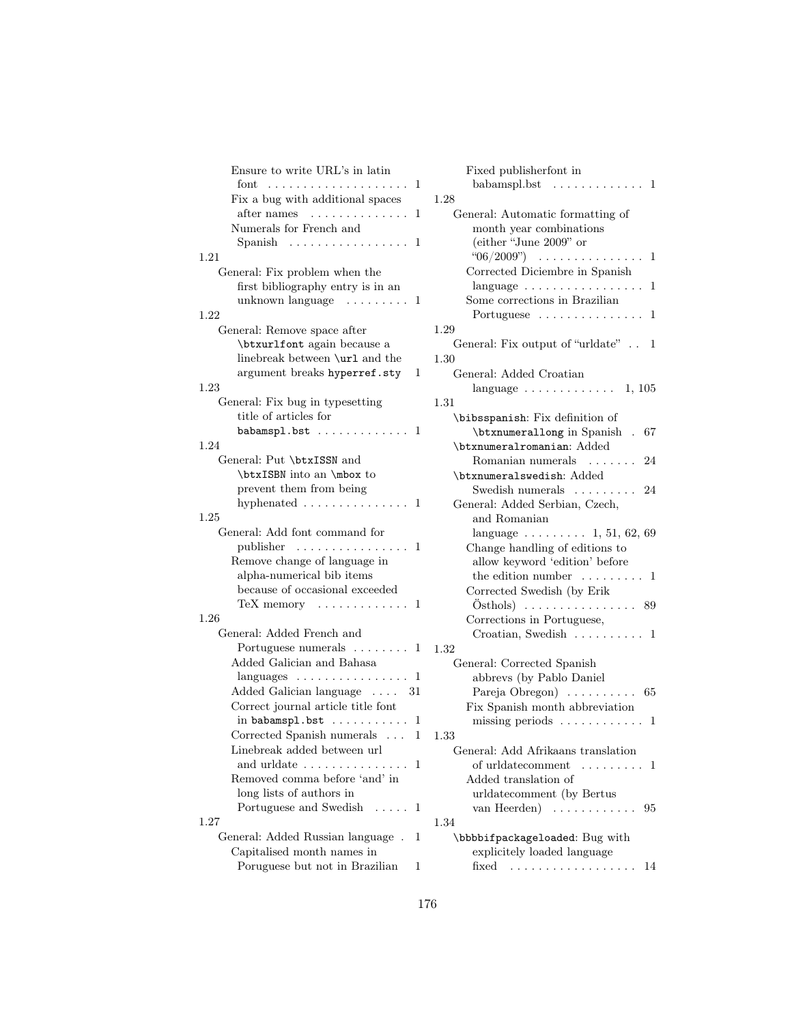| Ensure to write URL's in latin                                                                                                                                                                                                                                                                                                                                                                                                                      |        |
|-----------------------------------------------------------------------------------------------------------------------------------------------------------------------------------------------------------------------------------------------------------------------------------------------------------------------------------------------------------------------------------------------------------------------------------------------------|--------|
| $_{\rm font}$                                                                                                                                                                                                                                                                                                                                                                                                                                       | 1      |
| Fix a bug with additional spaces                                                                                                                                                                                                                                                                                                                                                                                                                    | 1      |
| after names<br>$\mathcal{L}^{(1)}\left( \mathcal{L}^{(1)}\left( \mathcal{L}^{(1)}\left( \mathcal{L}^{(1)}\left( \mathcal{L}^{(1)}\left( \mathcal{L}^{(1)}\left( \mathcal{L}^{(1)}\left( \mathcal{L}^{(1)}\right) \right) \right) \right) \right) \right) =\mathcal{L}^{(1)}\left( \mathcal{L}^{(1)}\left( \mathcal{L}^{(1)}\left( \mathcal{L}^{(1)}\left( \mathcal{L}^{(1)}\left( \mathcal{L}^{(1)}\right) \right) \right) \right) \right) \right)$ | 1      |
| Numerals for French and                                                                                                                                                                                                                                                                                                                                                                                                                             |        |
| Spanish $\ldots \ldots \ldots \ldots \ldots$                                                                                                                                                                                                                                                                                                                                                                                                        | 1      |
| 1.21                                                                                                                                                                                                                                                                                                                                                                                                                                                |        |
| General: Fix problem when the                                                                                                                                                                                                                                                                                                                                                                                                                       |        |
| first bibliography entry is in an                                                                                                                                                                                                                                                                                                                                                                                                                   |        |
| unknown language $\dots \dots$                                                                                                                                                                                                                                                                                                                                                                                                                      |        |
|                                                                                                                                                                                                                                                                                                                                                                                                                                                     | 1      |
| $1.22\,$                                                                                                                                                                                                                                                                                                                                                                                                                                            |        |
| General: Remove space after                                                                                                                                                                                                                                                                                                                                                                                                                         |        |
| \btxurlfont again because a                                                                                                                                                                                                                                                                                                                                                                                                                         |        |
| linebreak between \url and the                                                                                                                                                                                                                                                                                                                                                                                                                      |        |
| argument breaks hyperref.sty                                                                                                                                                                                                                                                                                                                                                                                                                        | 1      |
| 1.23                                                                                                                                                                                                                                                                                                                                                                                                                                                |        |
| General: Fix bug in typesetting                                                                                                                                                                                                                                                                                                                                                                                                                     |        |
| title of articles for                                                                                                                                                                                                                                                                                                                                                                                                                               |        |
| babamspl.bst<br>1                                                                                                                                                                                                                                                                                                                                                                                                                                   |        |
| 1.24                                                                                                                                                                                                                                                                                                                                                                                                                                                |        |
| General: Put \btxISSN and                                                                                                                                                                                                                                                                                                                                                                                                                           |        |
| \btxISBN into an \mbox to                                                                                                                                                                                                                                                                                                                                                                                                                           |        |
| prevent them from being                                                                                                                                                                                                                                                                                                                                                                                                                             |        |
| hyphenated $\ldots \ldots \ldots \ldots 1$                                                                                                                                                                                                                                                                                                                                                                                                          |        |
| 1.25                                                                                                                                                                                                                                                                                                                                                                                                                                                |        |
| General: Add font command for                                                                                                                                                                                                                                                                                                                                                                                                                       |        |
| publisher                                                                                                                                                                                                                                                                                                                                                                                                                                           | 1      |
| Remove change of language in                                                                                                                                                                                                                                                                                                                                                                                                                        |        |
| alpha-numerical bib items                                                                                                                                                                                                                                                                                                                                                                                                                           |        |
|                                                                                                                                                                                                                                                                                                                                                                                                                                                     |        |
| because of occasional exceeded                                                                                                                                                                                                                                                                                                                                                                                                                      |        |
| $TeX$ memory $\ldots \ldots \ldots$<br>1                                                                                                                                                                                                                                                                                                                                                                                                            |        |
| 1.26                                                                                                                                                                                                                                                                                                                                                                                                                                                |        |
| General: Added French and                                                                                                                                                                                                                                                                                                                                                                                                                           |        |
| Portuguese numerals $\dots \dots$<br>1                                                                                                                                                                                                                                                                                                                                                                                                              |        |
| Added Galician and Bahasa                                                                                                                                                                                                                                                                                                                                                                                                                           |        |
| $\ell$ anguages $\ldots \ldots \ldots \ldots$                                                                                                                                                                                                                                                                                                                                                                                                       | 1      |
| Added Galician language $\ldots$ 31                                                                                                                                                                                                                                                                                                                                                                                                                 |        |
| Correct journal article title font                                                                                                                                                                                                                                                                                                                                                                                                                  |        |
| in $b$ abamspl.bst $\ldots \ldots \ldots$                                                                                                                                                                                                                                                                                                                                                                                                           | 1      |
| Corrected Spanish numerals                                                                                                                                                                                                                                                                                                                                                                                                                          | 1<br>1 |
| Linebreak added between url                                                                                                                                                                                                                                                                                                                                                                                                                         |        |
| and urldate                                                                                                                                                                                                                                                                                                                                                                                                                                         | 1      |
| Removed comma before 'and' in                                                                                                                                                                                                                                                                                                                                                                                                                       |        |
| long lists of authors in                                                                                                                                                                                                                                                                                                                                                                                                                            |        |
| Portuguese and Swedish<br>1.1.1.1                                                                                                                                                                                                                                                                                                                                                                                                                   | 1      |
| 1.27                                                                                                                                                                                                                                                                                                                                                                                                                                                |        |
|                                                                                                                                                                                                                                                                                                                                                                                                                                                     |        |
| General: Added Russian language                                                                                                                                                                                                                                                                                                                                                                                                                     | 1      |
| Capitalised month names in                                                                                                                                                                                                                                                                                                                                                                                                                          |        |
| Poruguese but not in Brazilian                                                                                                                                                                                                                                                                                                                                                                                                                      | 1      |

| Fixed publisherfont in                           |
|--------------------------------------------------|
| babamspl.bst<br>. 1<br>$\overline{a}$            |
| 1.28                                             |
| General: Automatic formatting of                 |
| month year combinations                          |
| (either "June 2009" or                           |
| "06/2009")<br>1                                  |
| Corrected Diciembre in Spanish                   |
| 1<br>$language \ldots \ldots \ldots \ldots$      |
| Some corrections in Brazilian                    |
| Portuguese $\dots\dots\dots\dots\dots\dots$<br>1 |
| 1.29                                             |
| General: Fix output of "urldate"<br>1            |
| 1.30                                             |
| General: Added Croatian                          |
| language $\ldots \ldots \ldots \ldots 1, 105$    |
| 1.31                                             |
| \bibsspanish: Fix definition of                  |
| \btxnumerallong in Spanish . 67                  |
| \btxnumeralromanian: Added                       |
| Romanian numerals<br>24                          |
| \btxnumeralswedish: Added                        |
| Swedish numerals  24                             |
| General: Added Serbian, Czech,                   |
| and Romanian                                     |
| language $\ldots \ldots \ldots 1, 51, 62, 69$    |
| Change handling of editions to                   |
| allow keyword 'edition' before                   |
| the edition number<br>. 1                        |
| Corrected Swedish (by Erik                       |
|                                                  |
| Corrections in Portuguese,                       |
| Croatian, Swedish $\ldots \ldots \ldots 1$       |
| 1.32                                             |
| General: Corrected Spanish                       |
| abbrevs (by Pablo Daniel                         |
| Pareja Obregon) $\ldots \ldots \ldots 65$        |
| Fix Spanish month abbreviation                   |
| missing periods $\dots \dots \dots \dots 1$      |
| 1.33                                             |
| General: Add Afrikaans translation               |
| of urldatecomment<br>1<br>1.1.1.1.1              |
| Added translation of                             |
| urldatecomment (by Bertus                        |
| van Heerden)<br>95<br>.                          |
| 1.34                                             |
| \bbbbifpackageloaded: Bug with                   |
| explicitely loaded language                      |
| fixed<br>14<br>.                                 |
|                                                  |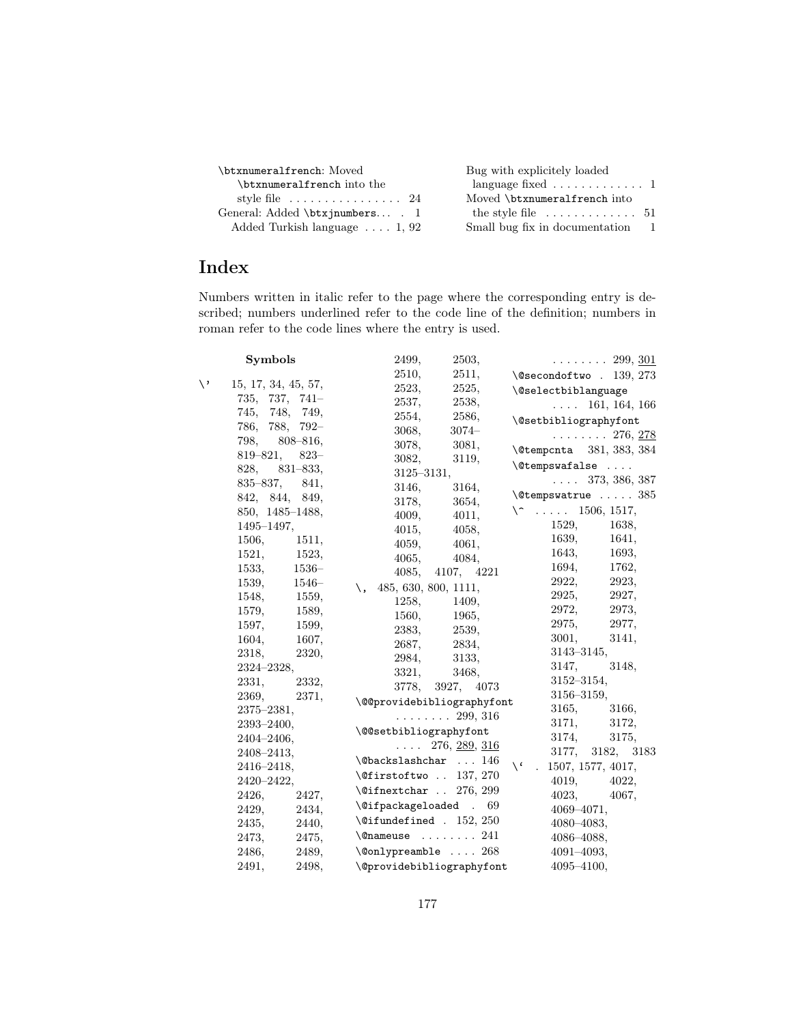| \btxnumeralfrench: Moved                      | Bug with explicitely loaded                       |
|-----------------------------------------------|---------------------------------------------------|
| \btxnumeralfrench into the                    | language fixed $\ldots \ldots \ldots \ldots 1$    |
| style file $\dots \dots \dots \dots \dots 24$ | Moved \btxnumeralfrench into                      |
| General: Added \btxjnumbers . 1               | the style file $\dots \dots \dots \dots \dots 51$ |
| Added Turkish language $\ldots$ 1, 92         | Small bug fix in documentation 1                  |

## Index

Numbers written in italic refer to the page where the corresponding entry is described; numbers underlined refer to the code line of the definition; numbers in roman refer to the code lines where the entry is used.

|    | <b>Symbols</b>      |         | 2499,                                           | 2503,                  |                                   | $\ldots \ldots 299, \underline{301}$ |
|----|---------------------|---------|-------------------------------------------------|------------------------|-----------------------------------|--------------------------------------|
|    |                     |         | 2510,                                           | 2511,                  | $\text{Qsecondoftwo}$ . 139, 273  |                                      |
| \' | 15, 17, 34, 45, 57, |         | 2523,                                           | 2525,                  | <i><b>\@selectbiblanguage</b></i> |                                      |
|    | $735, 737, 741-$    |         | 2537,                                           | 2538,                  |                                   | $\ldots$ 161, 164, 166               |
|    | 745, 748, 749,      |         | 2554,                                           | 2586,                  | \@setbibliographyfont             |                                      |
|    | 786, 788, 792-      |         | 3068,                                           | $3074-$                |                                   | $\ldots \ldots 276, \underline{278}$ |
|    | 798, 808-816,       |         | 3078,                                           | 3081,                  | \@tempcnta 381, 383, 384          |                                      |
|    | 819-821,            | $823 -$ | 3082,                                           | 3119,                  | $\setminus$ @tempswafalse         |                                      |
|    | 828, 831-833,       |         |                                                 | $3125 - 3131,$         |                                   | $\ldots$ 373, 386, 387               |
|    | 835–837,            | 841,    | 3146,                                           | 3164,                  |                                   |                                      |
|    | 842, 844, 849,      |         | 3178,                                           | 3654,                  | $\text{\textcircled{}}x$ 385      |                                      |
|    | 850, 1485–1488,     |         | 4009,                                           | 4011,                  | $\setminus$ 1506, 1517,           |                                      |
|    | 1495-1497,          |         | 4015,                                           | 4058,                  | 1529,                             | 1638,                                |
|    | 1506,               | 1511,   | 4059,                                           | 4061,                  | 1639,                             | 1641,                                |
|    | 1521,               | 1523,   | 4065,                                           | 4084,                  | 1643,                             | 1693,                                |
|    | 1533,               | $1536-$ | 4085,                                           | 4107, 4221             | 1694,                             | 1762,                                |
|    | 1539,               | $1546-$ | 485, 630, 800, 1111,<br>\.                      |                        | 2922,                             | 2923,                                |
|    | 1548,               | 1559,   | 1258.                                           | 1409,                  | 2925,                             | 2927,                                |
|    | 1579,               | 1589,   | 1560,                                           | 1965,                  | 2972,                             | 2973,                                |
|    | 1597,               | 1599,   | 2383,                                           | 2539,                  | 2975,                             | 2977,                                |
|    | 1604,               | 1607,   | 2687,                                           | 2834,                  | 3001,                             | 3141,                                |
|    | 2318,               | 2320,   | 2984,                                           | 3133,                  | $3143 - 3145$ ,                   |                                      |
|    | $2324 - 2328$ ,     |         | 3321,                                           | 3468,                  | 3147,                             | 3148,                                |
|    | 2331,               | 2332,   |                                                 | 3778, 3927, 4073       | $3152 - 3154,$                    |                                      |
|    | 2369,               | 2371,   | \@@providebibliographyfont                      |                        | $3156 - 3159$ ,                   |                                      |
|    | $2375 - 2381,$      |         |                                                 | . 299, 316             | 3165,                             | 3166,                                |
|    | $2393 - 2400,$      |         | \@@setbibliographyfont                          |                        | 3171, 3172,                       |                                      |
|    | $2404 - 2406,$      |         |                                                 | $\ldots$ 276, 289, 316 | 3174,                             | 3175,                                |
|    | 2408–2413,          |         | $\verb+\@backslash@s1+ ashchar  146$            |                        |                                   | 3177, 3182, 3183                     |
|    | $2416 - 2418,$      |         | $\leftarrow$ 137, 270                           |                        | $\sqrt{6}$<br>1507, 1577, 4017,   |                                      |
|    | 2420-2422,          |         | $\left\{ \text{Different} \right\}$ . 276, 299  |                        | 4019, 4022,                       |                                      |
|    | 2426,               | 2427,   |                                                 |                        | 4023, 4067,                       |                                      |
|    | 2429,               | 2434,   | \@ifpackageloaded . 69                          |                        | $4069 - 4071,$                    |                                      |
|    | 2435,               | 2440,   | $\text{\textbackslash}$ Cifundefined . 152, 250 |                        | $4080 - 4083,$                    |                                      |
|    | 2473,               | 2475,   | $\{\n$ onameuse  241                            |                        | $4086 - 4088$ ,                   |                                      |
|    | 2486,               | 2489,   | $\emptyset$ onlypreamble  268                   |                        | $4091 - 4093,$                    |                                      |
|    | 2491,               | 2498.   | \@providebibliographyfont                       |                        | $4095 - 4100,$                    |                                      |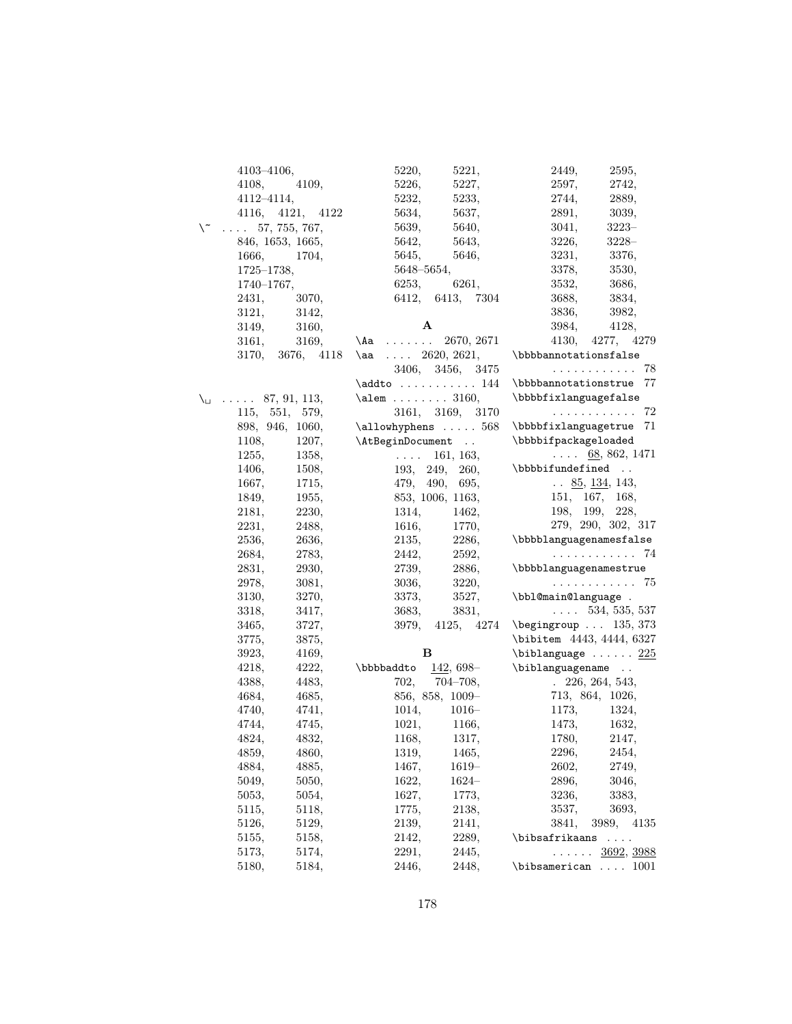|    | $4103 - 4106,$           |                        | 5220,                             | 5221,            | 2449,                                                                                    | 2595,                           |
|----|--------------------------|------------------------|-----------------------------------|------------------|------------------------------------------------------------------------------------------|---------------------------------|
|    | 4108,                    | 4109,                  | 5226,                             | 5227,            | 2597,                                                                                    | 2742,                           |
|    | $4112 - 4114,$           |                        | 5232,                             | 5233,            | 2744,                                                                                    | 2889,                           |
|    |                          | 4116, 4121, 4122       | 5634,                             | 5637,            | 2891,                                                                                    | 3039,                           |
| \~ |                          | $\ldots 57, 755, 767,$ | 5639,                             | 5640,            | 3041,                                                                                    | $3223-$                         |
|    |                          | 846, 1653, 1665,       | 5642,                             | 5643,            | 3226,                                                                                    | $3228-$                         |
|    | 1666,                    | 1704,                  | 5645,                             | 5646,            | 3231,                                                                                    | 3376,                           |
|    | $1725 - 1738,$           |                        | $5648 - 5654,$                    |                  | 3378,                                                                                    | 3530,                           |
|    | $1740 - 1767,$           |                        | 6253,                             | 6261,            | 3532,                                                                                    | 3686,                           |
|    | 2431,                    | 3070,                  |                                   | 6412, 6413, 7304 | 3688,                                                                                    | 3834,                           |
|    | 3121,                    | 3142,                  |                                   |                  | 3836,                                                                                    | 3982,                           |
|    | 3149,                    | 3160,                  | A                                 |                  | 3984,                                                                                    | 4128,                           |
|    | 3161,                    | 3169,                  | $\lambda$ a                       | 2670, 2671       | 4130,                                                                                    | 4277, 4279                      |
|    |                          |                        | 3170, 3676, 4118 \aa  2620, 2621, |                  | $\verb \bbbannotationstals  \label{thm:subspace}$                                        |                                 |
|    |                          |                        |                                   | 3406, 3456, 3475 |                                                                                          | . 78                            |
|    |                          |                        | $\addto \ldots \ldots 144$        |                  | \bbbbannotationstrue 77                                                                  |                                 |
|    | $\setminus$ 87, 91, 113, |                        | $\lambda$ 3160,                   |                  | \bbbbfixlanguagefalse                                                                    |                                 |
|    |                          | 115, 551, 579,         |                                   | 3161, 3169, 3170 |                                                                                          | . 72                            |
|    |                          | 898, 946, 1060,        | $\alpha$ 568                      |                  | \bbbbfixlanguagetrue 71                                                                  |                                 |
|    | 1108,                    | 1207,                  | \AtBeginDocument                  |                  | \bbbbifpackageloaded                                                                     |                                 |
|    | 1255,                    | 1358,                  | $\sim$ 10 $\sim$ 10 $\sim$        | 161, 163,        |                                                                                          | $\ldots$ 68, 862, 1471          |
|    | 1406,                    | 1508,                  |                                   | 193, 249, 260,   | \bbbbifundefined                                                                         |                                 |
|    | 1667,                    | 1715,                  |                                   | 479, 490, 695,   |                                                                                          | $\ldots \; 85, \, 134, \, 143,$ |
|    | 1849,                    | 1955,                  |                                   | 853, 1006, 1163, |                                                                                          | 151, 167, 168,                  |
|    | 2181,                    | 2230,                  | 1314,                             | 1462,            | 198, 199,                                                                                | 228,                            |
|    | 2231,                    | 2488,                  | 1616,                             | 1770,            |                                                                                          | 279, 290, 302, 317              |
|    | 2536,                    | 2636,                  | 2135,                             | 2286,            | \bbbblanguagenamesfalse                                                                  |                                 |
|    | 2684,                    | 2783,                  | 2442,                             | 2592,            |                                                                                          | . 74                            |
|    | 2831,                    | 2930,                  | 2739,                             | 2886,            | \bbbblanguagenamestrue                                                                   |                                 |
|    | 2978,                    | 3081,                  | 3036,                             | 3220,            |                                                                                          | . 75                            |
|    | 3130,                    | 3270,                  | 3373,                             | 3527,            | \bbl@main@language .                                                                     |                                 |
|    | 3318,                    | 3417,                  | 3683,                             | 3831,            | $\ldots$ 534, 535, 537                                                                   |                                 |
|    | 3465,                    | 3727,                  |                                   | 3979, 4125, 4274 | $\begin{bmatrix} \begin{array}{ccc} \text{begin} \text{array} \end{array} \end{bmatrix}$ |                                 |
|    | 3775,                    | 3875,                  |                                   |                  | \bibitem 4443, 4444, 6327                                                                |                                 |
|    | 3923,                    | 4169,                  | в                                 |                  | $\bb{1}$ biblanguage  225                                                                |                                 |
|    | 4218,                    | 4222,                  | \bbbbaddto                        | $142,698-$       | \biblanguagename                                                                         |                                 |
|    | 4388,                    | 4483,                  | 702,                              | $704 - 708,$     |                                                                                          | $. \ \ 226, 264, 543,$          |
|    | 4684,                    | 4685,                  |                                   | 856, 858, 1009-  |                                                                                          | 713, 864, 1026,                 |
|    | 4740,                    | 4741,                  | 1014,                             | $1016-$          |                                                                                          | 1173, 1324,                     |
|    | 4744,                    | 4745,                  |                                   | 1021, 1166,      |                                                                                          | 1473, 1632,                     |
|    | 4824,                    | 4832,                  | 1168,                             | 1317,            | 1780,                                                                                    | 2147,                           |
|    | 4859,                    | 4860,                  | 1319,                             | 1465,            | 2296,                                                                                    | 2454,                           |
|    | 4884,                    | 4885,                  | 1467,                             | $1619-$          | 2602,                                                                                    | 2749,                           |
|    | 5049,                    | 5050,                  | 1622,                             | $1624-$          | 2896,                                                                                    | 3046,                           |
|    | 5053,                    | 5054,                  | 1627,                             | 1773,            | 3236,                                                                                    | 3383,                           |
|    | 5115,                    | 5118,                  | 1775,                             | 2138,            | 3537,                                                                                    | 3693,                           |
|    | 5126,                    | 5129,                  | 2139,                             | 2141,            | 3841,                                                                                    | 3989,<br>4135                   |
|    | 5155,                    | 5158,                  | 2142,                             | 2289,            | \bibsafrikaans                                                                           | .                               |
|    | 5173,                    | 5174,                  | 2291,                             | 2445,            | .                                                                                        | 3692, 3988                      |
|    | 5180,                    | 5184,                  | 2446,                             | 2448,            | $\verb \bisamerican  \dots 1001 $                                                        |                                 |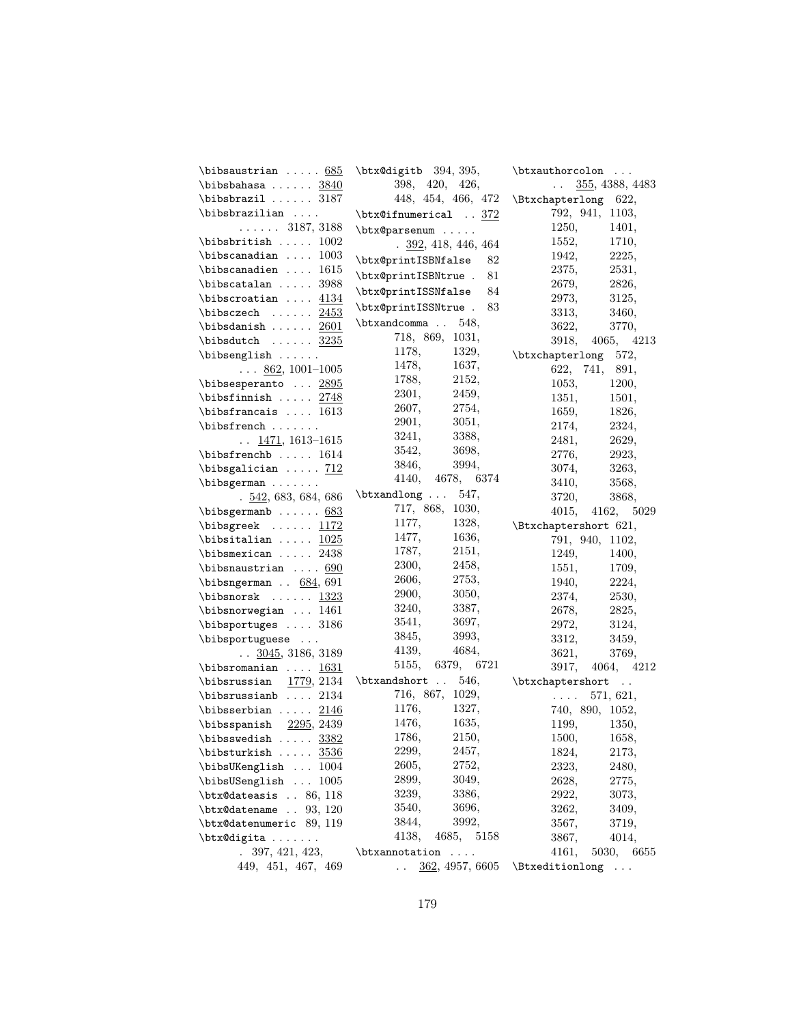| $\b$ ibsaustrian $685$                                     | \btx@digitb 394, 395,                           | \btxauthorcolon                               |
|------------------------------------------------------------|-------------------------------------------------|-----------------------------------------------|
| \bibsbahasa $3840$                                         | 398, 420, 426,                                  | 355, 4388, 4483<br>$\mathcal{L}(\mathcal{L})$ |
| $\big\{\big\}$                                             | 448, 454, 466, 472                              | \Btxchapterlong 622,                          |
| $\b$ ibsbrazilian                                          | $\texttt{obtx@ifnumerical} \dots \frac{372}{ }$ | 792, 941, 1103,                               |
| $\ldots \ldots 3187, 3188$                                 | \btx@parsenum                                   | 1250,<br>1401,                                |
| $\b$ ibsbritish  1002                                      | $. \underline{392}, 418, 446, 464$              | 1552,<br>1710,                                |
| $\big\{\big\}$ bibscanadian  1003                          | \btx@printISBNfalse<br>82                       | 1942,<br>2225,                                |
| $\big\{\big\}$ bibscanadien  1615                          | \btx@printISBNtrue .<br>81                      | 2375,<br>2531,                                |
| $\big\{$ ibscatalan  3988                                  |                                                 | 2679,<br>2826,                                |
| \bibscroatian $\ldots$ $4134$                              | \btx@printISSNfalse<br>84                       | 2973,<br>3125,                                |
| $\bbb{}$ ibsczech $2453$                                   | \btx@printISSNtrue .<br>83                      | 3313,<br>3460,                                |
| \bibsdanish $2601$                                         | \btxandcomma . 548,                             | 3622,<br>3770,                                |
| $\boldsymbol{\lambda} \ldots \ldots \frac{3235}{}$         | 718, 869, 1031,                                 | 3918, 4065, 4213                              |
| $\big\{\n  bibsenglish \ldots$                             | 1178,<br>1329,                                  | \btxchapterlong 572,                          |
| $\ldots$ 862, 1001-1005                                    | 1478,<br>1637,                                  | 622, 741, 891,                                |
| \bibsesperanto $2895$                                      | 2152,<br>1788,                                  | 1053,<br>1200,                                |
| $\boldsymbol{\lambda} \ldots \ 2748$                       | 2301,<br>2459,                                  | 1351,<br>1501,                                |
| $\big\{\big\}$ bibsfrancais  1613                          | 2607, 2754,                                     | 1659,<br>1826,                                |
| $\big\{\big\}$                                             | 2901,<br>3051,                                  | 2174,<br>2324,                                |
| $\ldots$ 1471, 1613–1615                                   | 3241,<br>3388,                                  | 2481,<br>2629,                                |
| $\big\{\big\}$                                             | 3542,<br>3698,                                  | 2776,<br>2923,                                |
| $\big\{\big\}$ $\big\{\big\}$                              | 3994,<br>3846,                                  | 3074,<br>3263,                                |
| $\big\{\n  bibsgerman \ldots$                              | 4140, 4678, 6374                                | 3410,<br>3568,                                |
| .542,683,684,686                                           | $\text{btxandlong} \dots 547,$                  | 3720,<br>3868,                                |
| $\big\{\n  bibsgermanb \ldots 683\n$                       | 717, 868, 1030,                                 | 4015, 4162, 5029                              |
| $\big\{\n  big \text{ } \ldots \text{ } \frac{1172}{1172}$ | 1177,<br>1328,                                  | \Btxchaptershort 621,                         |
| \bibsitalian $1025$                                        | 1477,<br>1636,                                  | 791, 940, 1102,                               |
| $\big\{\big\}$ bibsmexican  2438                           | 1787,<br>2151,                                  | 1249,<br>1400,                                |
| $\b$ ibsnaustrian $690$                                    | 2300,<br>2458,                                  | 1551,<br>1709,                                |
| $\big\{\big\}$ bibsngerman . $684, 691$                    | 2753,<br>2606,                                  | 1940,<br>2224,                                |
| \bibsnorsk $1323$                                          | 2900,<br>3050,                                  | 2374,<br>2530,                                |
| \bibsnorwegian  1461                                       | 3240,<br>3387,                                  | 2678,<br>2825,                                |
| $\big\$                                                    | 3541,<br>3697,                                  | 2972,<br>3124,                                |
| \bibsportuguese                                            | 3845,<br>3993,                                  | 3312,<br>3459,                                |
| $\ldots$ 3045, 3186, 3189                                  | 4139,<br>4684,                                  | 3621,<br>3769,                                |
| \bibsromanian $1631$                                       | 5155, 6379, 6721                                | 3917, 4064, 4212                              |
| $\bb{\b}$ ibsrussian 1779, 2134                            | $\text{btxandshort}$ . 546,                     | \btxchaptershort                              |
| $\big\{\big\}$                                             | 716, 867, 1029,                                 | $\ldots$ 571, 621,                            |
| \bibsserbian $\ldots$ 2146                                 | 1176,<br>1327,                                  | 740, 890, 1052,                               |
| $\bb{\b}$ ibsspanish $2295, 2439$                          | 1635,<br>1476,                                  | 1199, 1350,                                   |
| \bibsswedish $3382$                                        | 1786,<br>2150,                                  | 1500,<br>1658,                                |
| \bibsturkish $3536$                                        | 2299,<br>2457,                                  | 1824,<br>2173,                                |
| \bibsUKenglish  1004                                       | 2605,<br>2752,                                  | 2323,<br>2480,                                |
| \bibsUSenglish  1005                                       | 2899,<br>3049,                                  | 2628,<br>2775,                                |
| $\text{\textsf{dates}} \dots 86, 118$                      | 3239,<br>3386,                                  | 2922,<br>3073,                                |
| $\texttt{Outx@datename}$ $93, 120$                         | 3540,<br>3696,                                  | 3262,<br>3409,                                |
| \btx@datenumeric 89, 119                                   | 3844,<br>3992,                                  | 3567,<br>3719,                                |
| \btx@digita                                                | 4138,<br>4685,<br>5158                          | 3867,<br>4014,                                |
| 397, 421, 423,<br>$\ddot{\phantom{0}}$                     | \btxannotation<br>$\sim$ $\sim$ $\sim$ $\sim$   | 4161,<br>5030, 6655                           |
| 449, 451, 467, 469                                         | 362, 4957, 6605<br>$\ddot{\phantom{a}}$         | \Btxeditionlong<br>$\cdots$                   |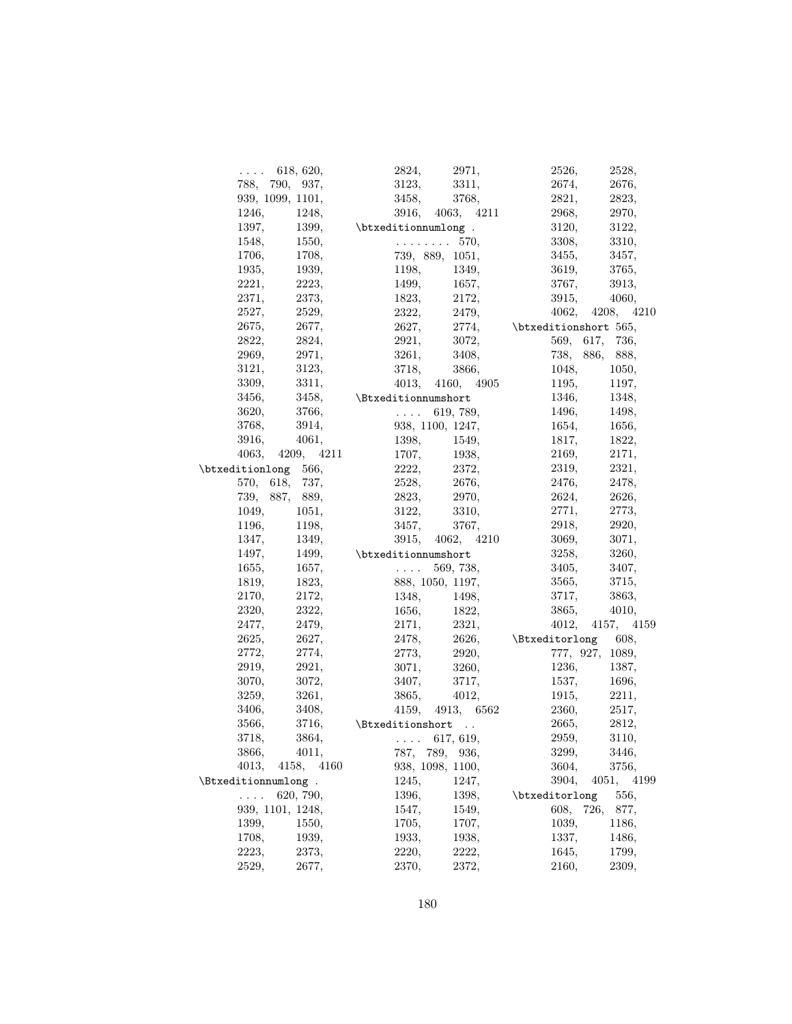| $\ldots$ 618, 620,   | 2971,<br>2824,                                                                  | 2526,<br>2528,                |
|----------------------|---------------------------------------------------------------------------------|-------------------------------|
| 788, 790, 937,       | 3311,<br>3123,                                                                  | 2674,<br>2676,                |
| 939, 1099, 1101,     | 3458,<br>3768,                                                                  | 2821,<br>2823,                |
| 1246,<br>1248,       | 3916, 4063, 4211                                                                | 2970,<br>2968,                |
| 1397,                | 1399, btxeditionnumlong.                                                        | 3120,<br>3122,                |
| 1548,<br>1550,       | $\ldots \ldots \ldots 570$                                                      | 3308,<br>3310,                |
| 1708,<br>1706,       | 739, 889, 1051,                                                                 | 3455,<br>3457,                |
| 1935,<br>1939,       | 1349,<br>1198,                                                                  | 3765,<br>3619,                |
| 2223,<br>2221,       | 1499,<br>1657,                                                                  | 3767,<br>3913,                |
| 2373,<br>2371,       | 1823,<br>2172,                                                                  | 3915,<br>4060,                |
| 2527,<br>2529,       | 2322,<br>2479,                                                                  | 4062, 4208, 4210              |
| 2675,<br>2677,       | 2627,                                                                           | $2774,$ \btxeditionshort 565, |
| 2822,<br>2824,       | 2921,<br>3072,                                                                  | 569, 617, 736,                |
| 2971,<br>2969,       | 3261,<br>3408,                                                                  | 738, 886,<br>888,             |
| 3121,<br>3123,       | 3718,<br>3866,                                                                  | 1048,<br>1050,                |
| 3309,<br>3311,       | 4013, 4160, 4905                                                                | 1195,<br>1197,                |
| 3456,                | 3458, \Btxeditionnumshort                                                       | 1346,<br>1348,                |
| 3620,<br>3766,       | $\mathbb{R}^2$ . In the $\mathbb{R}^2$<br>619, 789,                             | 1496,<br>1498,                |
| 3914,<br>3768,       | 938, 1100, 1247,                                                                | 1654,<br>1656,                |
| 3916,<br>4061,       | 1398,<br>1549,                                                                  | 1817,<br>1822,                |
| 4063, 4209, 4211     | 1707,<br>1938,                                                                  | 2169, 2171,                   |
| \btxeditionlong 566, | 2222,<br>2372,                                                                  | 2321,<br>2319,                |
| 570, 618, 737,       | 2528,<br>2676,                                                                  | 2476,<br>2478,                |
| 739, 887, 889,       | 2970,<br>2823,                                                                  | 2624,<br>2626,                |
| 1049,                | 3122,<br>3310,                                                                  | 2771,<br>2773,                |
| 1051,<br>1196,       | 3767,                                                                           | 2920,                         |
| 1198,                | 3457,                                                                           | 2918,                         |
| 1349,<br>1347,       | 3915, 4062, 4210                                                                | 3071,<br>3069,                |
| 1497,                | 1499, btxeditionnumshort                                                        | 3258,<br>3260,                |
| 1655,<br>1657,       | 569, 738,<br>$\mathcal{L}(\mathcal{L}(\mathcal{L},\mathcal{L}))$                | 3407,<br>3405,                |
| 1819,<br>1823,       | 888, 1050, 1197,                                                                | 3565,<br>3715,                |
| 2170,<br>2172,       | $\begin{array}{lll} 1348, & \quad & 1498, \\ 1656, & \quad & 1822, \end{array}$ | 3717,<br>3863,<br>3865,       |
| 2322,<br>2320,       |                                                                                 | 4010,                         |
| 2479,<br>2477,       | 2171,<br>2321,                                                                  | 4012, 4157, 4159              |
| 2625,<br>2627,       | 2478,                                                                           | 2626, \Btxeditorlong 608,     |
| 2772,<br>2774,       | 2920,<br>2773,                                                                  | 777, 927, 1089,               |
| 2919,<br>2921,       | 3071,<br>3260,                                                                  | 1236,<br>1387,                |
| 3072,<br>3070,       | 3407,<br>3717,                                                                  | 1537,<br>1696,                |
| 3261,<br>3259,       | 4012,<br>3865,                                                                  | 2211,<br>1915,                |
| 3408,<br>3406,       | 4159, 4913, 6562                                                                | 2360,<br>2517,                |
| 3566,<br>3716,       | \Btxeditionshort                                                                | 2665,<br>2812,                |
| 3864,<br>3718,       | $\ldots$ 617, 619,                                                              | 2959,<br>3110,                |
| 3866,<br>4011,       | 787, 789, 936,                                                                  | 3299,<br>3446,                |
| 4013,<br>4158, 4160  | 938, 1098, 1100,                                                                | 3604,<br>3756,                |
| \Btxeditionnumlong.  | 1245,<br>1247,                                                                  | 3904,<br>4051,<br>4199        |
| 620, 790,<br>.       | 1396,<br>1398,                                                                  | \btxeditorlong<br>556,        |
| 939, 1101, 1248,     | 1547,<br>1549,                                                                  | 726,<br>608,<br>877,          |
| 1399,<br>1550,       | 1705,<br>1707,                                                                  | 1039,<br>1186,                |
| 1708,<br>1939,       | 1933,<br>1938,                                                                  | 1337,<br>1486,                |
| 2223,<br>2373,       | 2220,<br>2222,                                                                  | 1799,<br>1645,                |
| 2529,<br>2677,       | 2370,<br>2372,                                                                  | 2160,<br>2309,                |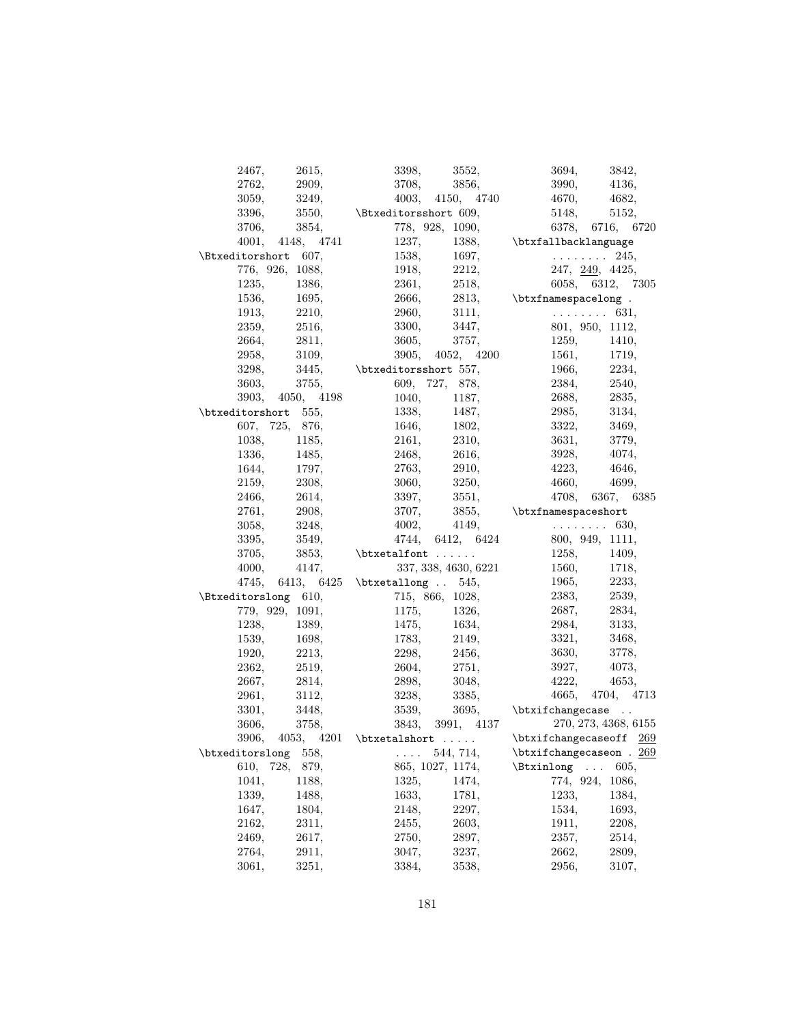| 2467,                        | 2615,                          |                                     | 3398, 3552,                                                                            | 3694, 3842,                                                                            |                      |
|------------------------------|--------------------------------|-------------------------------------|----------------------------------------------------------------------------------------|----------------------------------------------------------------------------------------|----------------------|
| 2762,                        | 2909,                          |                                     | 3708, 3856,                                                                            | 3990, 4136,                                                                            |                      |
| 3059,                        | 3249,                          |                                     | 4003, 4150, 4740                                                                       | 4670, 4682,                                                                            |                      |
| 3396,                        | 3550,                          | \Btxeditorsshort 609,               |                                                                                        | 5148, 5152,                                                                            |                      |
| 3706,                        | 3854,                          |                                     | 778, 928, 1090,                                                                        |                                                                                        | 6378, 6716, 6720     |
|                              | $4001, \quad 4148, \quad 4741$ |                                     |                                                                                        | 1237, 1388, \btxfallbacklanguage                                                       |                      |
| \Btxeditorshort 607,         |                                |                                     | 1538, 1697,                                                                            | . 245,                                                                                 |                      |
|                              | 776, 926, 1088,                |                                     | 1918, 2212,                                                                            | $247, \underline{249}, 4425,$                                                          |                      |
| 1235,                        | 1386,                          |                                     | 2361, 2518,                                                                            |                                                                                        | 6058, 6312, 7305     |
| 1536,                        | 1695,                          | 2666,                               |                                                                                        |                                                                                        |                      |
| 1913.                        | 2210,                          |                                     |                                                                                        | $2813,$ \btxfnamespacelong.                                                            |                      |
| 2359,                        | 2516,                          |                                     |                                                                                        |                                                                                        |                      |
|                              |                                |                                     | 3605, 3757,                                                                            |                                                                                        |                      |
| 2664,                        | 2811,                          |                                     |                                                                                        | 1259, 1410,                                                                            |                      |
| 2958,                        | 3109,                          |                                     | 3905, 4052, 4200                                                                       | 1561, 1719,                                                                            |                      |
| 3298,                        |                                | $3445,$ \btxeditorsshort 557,       |                                                                                        | 1966, 2234,                                                                            |                      |
| 3603,                        | 3755,                          |                                     | 609, 727, 878,                                                                         | $2384, 2540,$<br>$2688, 2835,$                                                         |                      |
|                              | 3903, 4050, 4198               |                                     | 1040, 1187,                                                                            | $2688,$ 2835,<br>2985, 3134,                                                           |                      |
| $\text{btxeditorshort}$ 555, |                                |                                     | 1338, 1487,                                                                            |                                                                                        |                      |
| 607, 725, 876,               |                                |                                     | 1646, 1802,                                                                            | 3322, 3469,                                                                            |                      |
| 1038,                        | 1185,                          |                                     | 2161, 2310,                                                                            | 3631, 3779,                                                                            |                      |
| 1336,                        | 1485,                          |                                     | 2468, 2616,                                                                            | 3928, 4074,                                                                            |                      |
| 1644,                        | 1797,                          |                                     |                                                                                        | 4223,                                                                                  | 4646,                |
| 2159,                        | 2308,                          |                                     | $2763, 2910,$<br>3060, $3250,$                                                         | 4660,                                                                                  | 4699,                |
| 2466,                        | 2614,                          |                                     | 3397, 3551,                                                                            |                                                                                        | 4708, 6367, 6385     |
| 2761,                        | 2908,                          |                                     |                                                                                        | 3707, 3855, \btxfnamespaceshort                                                        |                      |
| 3058,                        | 3248,                          |                                     |                                                                                        |                                                                                        |                      |
| 3395,                        | 3549,                          |                                     |                                                                                        | 4002, 4149, $\ldots$ 630, 4744, 6412, 6424 800, 949, 1111,                             |                      |
| 3705,                        |                                | $3853,$ $\text{alfont} \ldots$      |                                                                                        |                                                                                        |                      |
| 4000,                        | 4147,                          |                                     | 337, 338, 4630, 6221                                                                   | $\begin{array}{lll} 1258, & & 1409, \\ 1560, & & 1718, \\ 1965, & & 2233, \end{array}$ |                      |
|                              |                                | 4745, 6413, 6425 \btxetallong  545, |                                                                                        |                                                                                        |                      |
| \Btxeditorslong 610,         |                                |                                     | 715, 866, 1028,                                                                        | 2383, 2539,                                                                            |                      |
|                              | 779, 929, 1091,                |                                     | 1175, 1326,                                                                            | 2687, 2834,                                                                            |                      |
| 1238,                        | 1389,                          |                                     |                                                                                        | 2984, 3133,                                                                            |                      |
| 1539,                        | 1698,                          |                                     | 1475, 1634,                                                                            | 3321,                                                                                  |                      |
|                              |                                |                                     |                                                                                        | 3630,                                                                                  | 3468,<br>3778,       |
| 1920,<br>2362,               | 2213,<br>2519,                 |                                     | $\begin{array}{lll} 1783, & & 2149, \\ 2298, & & 2456, \\ 2604, & & 2751, \end{array}$ | 3927, 4073,                                                                            |                      |
|                              |                                |                                     | 2898, 3048,                                                                            | 4222, 4653,                                                                            |                      |
| 2667,                        | 2814,                          |                                     |                                                                                        |                                                                                        |                      |
| 2961,                        | 3112,                          |                                     | 3238, 3385,                                                                            |                                                                                        | 4665, 4704, 4713     |
| 3301.                        | 3448,                          |                                     |                                                                                        | $3539,$ $3695,$ $\text{changecase}$ .                                                  |                      |
| 3606,                        | 3758,                          |                                     | 3843, 3991, 4137                                                                       |                                                                                        | 270, 273, 4368, 6155 |
|                              |                                |                                     |                                                                                        | 3906, 4053, 4201 \btxetalshort  . \btxifchangecaseoff $\frac{269}{ }$                  |                      |
| \btxeditorslong              | 558,                           | .                                   | 544, 714,                                                                              | $\text{thangecaseon}$ . 269                                                            |                      |
| 610,<br>728,                 | 879,                           |                                     | 865, 1027, 1174,                                                                       | \Btxinlong<br>$\sim$                                                                   | 605,                 |
| 1041,                        | 1188,                          | 1325,                               | 1474.                                                                                  | 774, 924,                                                                              | 1086,                |
| 1339,                        | 1488,                          | 1633,                               | 1781,                                                                                  | 1233,                                                                                  | 1384,                |
| 1647,                        | 1804,                          | 2148,                               | 2297,                                                                                  | 1534,                                                                                  | 1693,                |
| 2162,                        | 2311,                          | 2455,                               | 2603,                                                                                  | 1911,                                                                                  | 2208,                |
| 2469,                        | 2617,                          | 2750,                               | 2897,                                                                                  | 2357,                                                                                  | 2514,                |
|                              |                                |                                     |                                                                                        |                                                                                        |                      |
| 2764,                        | 2911,                          | 3047,                               | 3237,                                                                                  | 2662,                                                                                  | 2809,                |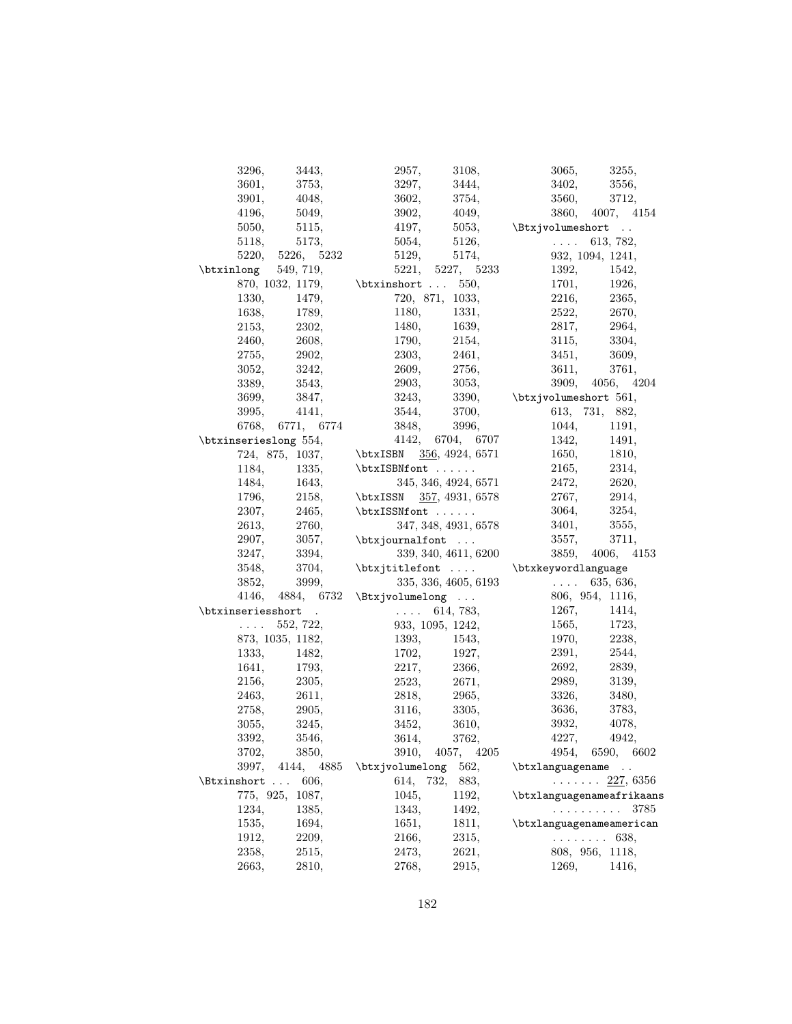| 3296,                                               | 3443,            | 2957,                    | 3108,                | 3065,                                      | 3255,                                  |
|-----------------------------------------------------|------------------|--------------------------|----------------------|--------------------------------------------|----------------------------------------|
| 3601,                                               | 3753,            | 3297,                    | 3444,                | 3402,                                      | 3556,                                  |
| 3901,                                               | 4048,            | 3602,                    | 3754,                | 3560,                                      | 3712,                                  |
| 4196,                                               | 5049,            | 3902,                    | 4049,                |                                            | 3860, 4007, 4154                       |
| 5050,                                               | 5115,            | 4197,                    | 5053,                | \Btxjvolumeshort                           |                                        |
| 5118,                                               | 5173,            | 5054,                    | 5126,                | $\mathbb{Z}^2$ . The set of $\mathbb{Z}^2$ | 613, 782,                              |
|                                                     | 5220, 5226, 5232 | 5129,                    | 5174,                |                                            | 932, 1094, 1241,                       |
| \btxinlong                                          | 549, 719,        |                          | 5221, 5227, 5233     | 1392,                                      | 1542,                                  |
|                                                     | 870, 1032, 1179, | $\text{btxinshort}$ 550, |                      | 1701,                                      | 1926,                                  |
| 1330.                                               | 1479,            |                          | 720, 871, 1033,      | 2216,                                      | 2365,                                  |
| 1638,                                               | 1789,            | 1180,                    | 1331.                | 2522,                                      | 2670,                                  |
| 2153,                                               | 2302,            | 1480,                    | 1639,                | 2817,                                      | 2964,                                  |
| 2460,                                               | 2608,            | 1790,                    | 2154,                | 3115,                                      | 3304,                                  |
| 2755,                                               | 2902,            | 2303,                    | 2461,                | 3451,                                      | 3609,                                  |
| 3052,                                               | 3242,            | 2609,                    | 2756,                | 3611,                                      | 3761,                                  |
| 3389,                                               | 3543,            | 2903,                    | 3053,                |                                            | 3909, 4056, 4204                       |
| 3699,                                               | 3847,            | 3243,                    | 3390,                | $\text{btxi}$ yolumeshort 561,             |                                        |
| 3995,                                               | 4141,            | 3544,                    | 3700,                |                                            | 613, 731, 882,                         |
| 6768.                                               | 6771, 6774       | 3848,                    | 3996,                | 1044,                                      | 1191,                                  |
| \btxinserieslong 554,                               |                  |                          | 4142, 6704, 6707     | 1342,                                      | 1491,                                  |
| 724, 875, 1037,                                     |                  | \btxISBN 356, 4924, 6571 |                      | 1650,                                      | 1810,                                  |
| 1184,                                               | 1335,            | \btxISBNfont             |                      | 2165,                                      | 2314,                                  |
| 1484,                                               | 1643,            |                          | 345, 346, 4924, 6571 | 2472,                                      | 2620,                                  |
| 1796,                                               | 2158,            | \btxISSN 357, 4931, 6578 |                      | 2767,                                      | 2914,                                  |
| 2307,                                               | 2465,            | \btxISSNfont             |                      | 3064,                                      | 3254,                                  |
| 2613,                                               | 2760,            |                          | 347, 348, 4931, 6578 | 3401,                                      | 3555,                                  |
| 2907,                                               | 3057,            | \btxjournalfont          |                      | 3557,                                      | 3711,                                  |
| 3247,                                               | 3394,            |                          | 339, 340, 4611, 6200 |                                            | 3859, 4006, 4153                       |
| 3548,                                               | 3704,            | \btxjtitlefont           |                      | \btxkeywordlanguage                        |                                        |
| 3852,                                               | 3999,            |                          | 335, 336, 4605, 6193 | $\mathbb{R}^n$ . In the $\mathbb{R}^n$     | 635, 636,                              |
| 4146,                                               | 4884, 6732       | $\text{U}\$              |                      |                                            | 806, 954, 1116,                        |
| \btxinseriesshort                                   | $\sim$           | $\sim 1.1$ and $\sim 10$ | 614, 783,            | 1267,                                      | 1414,                                  |
| $\mathcal{L}(\mathcal{L}(\mathcal{L},\mathcal{L}))$ | 552, 722,        |                          | 933, 1095, 1242,     | 1565,                                      | 1723,                                  |
| 873, 1035, 1182,                                    |                  | 1393,                    | 1543,                | 1970,                                      | 2238,                                  |
| 1333,                                               | 1482,            | 1702,                    | 1927,                | 2391,                                      | 2544,                                  |
| 1641,                                               | 1793,            | 2217,                    | 2366,                | 2692,                                      | 2839,                                  |
| 2156,                                               | 2305,            | 2523,                    | 2671,                | 2989,                                      | 3139,                                  |
| 2463,                                               | 2611,            | 2818,                    | 2965,                | 3326,                                      | 3480,                                  |
| 2758,                                               | 2905,            | 3116,                    | 3305,                | 3636,                                      | 3783,                                  |
| 3055,                                               | 3245,            | 3452,                    | 3610,                | 3932,                                      | 4078,                                  |
| 3392,                                               | 3546,            | 3614,                    | 3762,                | 4227,                                      | 4942,                                  |
| 3702,                                               | 3850,            |                          | 3910, 4057, 4205     |                                            | 4954, 6590, 6602                       |
| 3997,                                               | 4144, 4885       | \btxjvolumelong          | 562,                 | \btxlanguagename                           |                                        |
| $\text{Btxinshort}$ 606,                            |                  | 614, 732,                | 883,                 |                                            | $\ldots \ldots \frac{227}{560}$ , 6356 |
| 775, 925,                                           | 1087,            | 1045,                    | 1192,                | \btxlanguagenameafrikaans                  |                                        |
| 1234,                                               | 1385,            | 1343,                    | 1492,                |                                            | 3785<br>.                              |
| 1535,                                               | 1694,            | 1651,                    | 1811,                | \btxlanguagenameamerican                   |                                        |
| 1912,                                               | 2209,            | 2166,                    | 2315,                |                                            | $\ldots \ldots 638$                    |
| 2358,                                               | 2515,            | 2473,                    | 2621,                |                                            | 808, 956, 1118,                        |
| 2663,                                               | 2810,            | 2768,                    | 2915,                | 1269,                                      | 1416,                                  |
|                                                     |                  |                          |                      |                                            |                                        |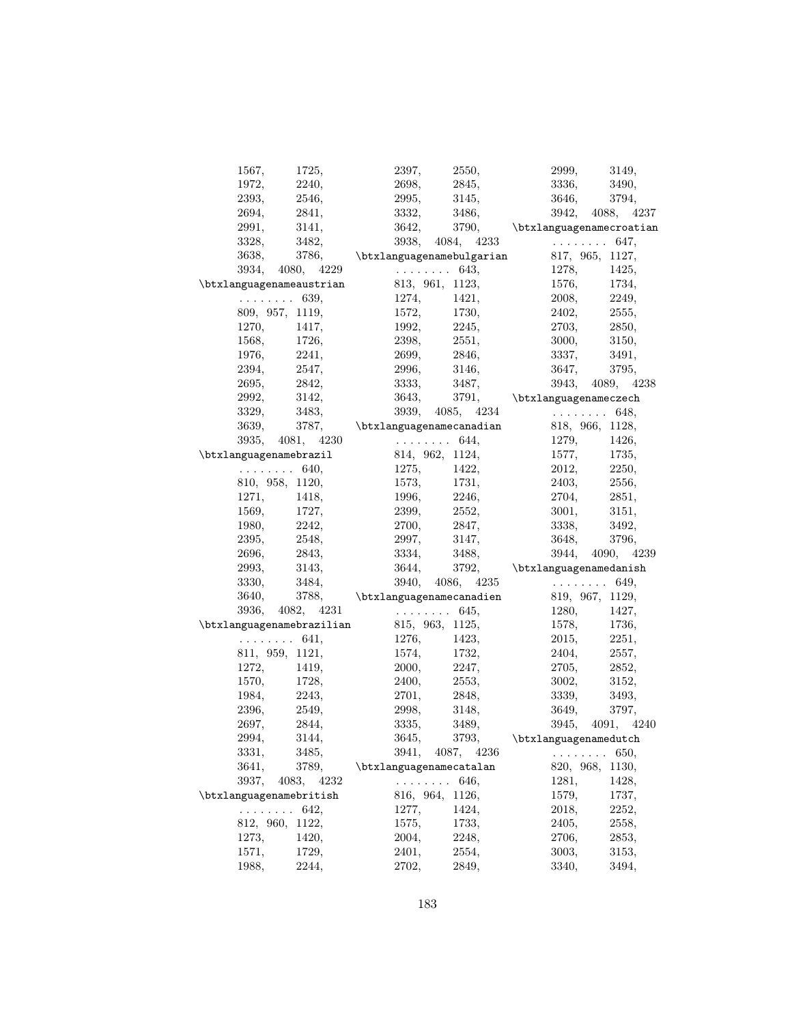| 1567,                   | 1725,                                                   | 2397,                   | 2550,               |       | 2999,                                                                                                                                                                                                              |                      | 3149, |
|-------------------------|---------------------------------------------------------|-------------------------|---------------------|-------|--------------------------------------------------------------------------------------------------------------------------------------------------------------------------------------------------------------------|----------------------|-------|
| 1972,                   | 2240,                                                   | 2698,                   |                     | 2845, | 3336,                                                                                                                                                                                                              |                      | 3490, |
| 2393,                   | 2546,                                                   | 2995,                   |                     | 3145, | 3646,                                                                                                                                                                                                              |                      | 3794, |
| 2694,                   | 2841,                                                   | 3332,                   | 3486,               |       |                                                                                                                                                                                                                    | 3942, 4088, 4237     |       |
| 2991,                   | 3141,                                                   | 3642,                   |                     |       | $3790,$ \btxlanguagenamecroatian                                                                                                                                                                                   |                      |       |
| 3328,                   | 3482,                                                   |                         |                     |       |                                                                                                                                                                                                                    |                      |       |
| 3638,                   |                                                         |                         |                     |       | $3482, \phantom{111}3938, \phantom{111}4084, \phantom{111}4233 \phantom{111} \ldots \phantom{111}3786, \phantom{1111} \mathtt{abxlanguagenamebulgarian} \phantom{1111}817, \phantom{1111}965, \phantom{1111}1117,$ |                      |       |
|                         | 3934, 4080, 4229                                        | $\ldots \ldots 643,$    |                     |       | 1278,                                                                                                                                                                                                              |                      | 1425, |
|                         | $\text{btxlanguagenameaustrian}$ 813, 961, 1123, 1576,  |                         |                     |       |                                                                                                                                                                                                                    |                      | 1734, |
|                         | $\ldots \ldots 639$                                     | 1274,                   |                     | 1421, | 2008,                                                                                                                                                                                                              |                      | 2249, |
|                         | 809, 957, 1119,                                         |                         | 1730,               |       | 2402,                                                                                                                                                                                                              |                      | 2555, |
| 1270,                   | 1417,                                                   | $1572,$<br>1992,        | 2245,               |       | 2703,                                                                                                                                                                                                              |                      | 2850, |
| 1568,                   | 1726,                                                   | 2398,                   | 2551,               |       | 3000,                                                                                                                                                                                                              |                      | 3150, |
| 1976,                   | 2241,                                                   | 2699,                   |                     |       | 2846, 3337,                                                                                                                                                                                                        |                      | 3491, |
|                         |                                                         |                         |                     |       |                                                                                                                                                                                                                    |                      |       |
| 2394,                   | 2547,                                                   | 2996,                   |                     |       | 3146,<br>3647,                                                                                                                                                                                                     |                      | 3795, |
| 2695,                   | 2842,                                                   | 3333,                   |                     | 3487, |                                                                                                                                                                                                                    | 3943, 4089, 4238     |       |
| 2992,                   | 3142,                                                   | 3643,                   |                     |       | $3791,$ \btxlanguagenameczech                                                                                                                                                                                      |                      |       |
| 3329,                   | 3483,                                                   |                         |                     |       | $3483, \qquad 3939, \quad 4085, \quad 4234 \qquad \qquad \qquad 648, \\ 3787, \qquad \texttt{btxlanguagenamecana} \\ 818, \quad 966, \quad 1128, \qquad \qquad$                                                    |                      |       |
| 3639,                   |                                                         |                         |                     |       | 1279,                                                                                                                                                                                                              |                      |       |
|                         | 3935, 4081, 4230                                        | $\cdots \cdots 644,$    |                     |       |                                                                                                                                                                                                                    |                      | 1426, |
|                         | $\text{btxlanguagenamebrazil}$ 814, 962, 1124, 1577,    |                         |                     |       |                                                                                                                                                                                                                    |                      | 1735, |
|                         | $\cdots \cdots$ 640, 1275,                              |                         | 1422,               |       | 2012,                                                                                                                                                                                                              |                      | 2250, |
|                         | 810, 958, 1120,                                         | 1573,                   | 1731,               |       | 2403,                                                                                                                                                                                                              |                      | 2556, |
| 1271,                   | 1418,                                                   | 1996,                   | 2246,               |       | 2704,                                                                                                                                                                                                              |                      | 2851, |
| 1569,                   | 1727,                                                   | 2399,                   | 2552,               |       | 3001,                                                                                                                                                                                                              |                      | 3151, |
| 1980,                   | 2242,                                                   | 2700,                   |                     |       | 2847,<br>3338,                                                                                                                                                                                                     |                      | 3492, |
| 2395,                   | 2548,                                                   | 2997,                   |                     |       | 3147,<br>3648,                                                                                                                                                                                                     |                      | 3796. |
| 2696,                   | 2843,                                                   | 3334,                   | 3488,               |       |                                                                                                                                                                                                                    | 3944, 4090, 4239     |       |
| 2993,                   | 3143,                                                   | 3644,                   |                     |       | $3792,$ \btxlanguagenamedanish                                                                                                                                                                                     |                      |       |
| 3330,                   | 3484,                                                   |                         |                     |       | $3484, \qquad 3940, \qquad 4086, \qquad 4235 \qquad \qquad \ldots \ldots \qquad 649,$ $3788, \qquad \texttt{\&\texttt{btxlanguagenamecanadien}} \qquad 819, \qquad 967, \qquad 1129,$                              |                      |       |
| 3640,                   |                                                         |                         |                     |       |                                                                                                                                                                                                                    |                      |       |
|                         | $3936, 4082, 4231$ 645,                                 |                         |                     |       | 1280,                                                                                                                                                                                                              |                      | 1427, |
|                         | $\text{btxlanguagenamebrazilian}$ 815, 963, 1125, 1578, |                         |                     |       |                                                                                                                                                                                                                    |                      | 1736, |
|                         | $\ldots \ldots 641,$                                    | 1276,                   | 1423,               |       | 2015,                                                                                                                                                                                                              |                      | 2251, |
|                         | 811, 959, 1121,                                         | 1574,                   | 1732,               |       | $\begin{array}{c} 2404, \\ 2705, \end{array}$                                                                                                                                                                      |                      | 2557, |
| 1272,                   | 1419,                                                   | 2000,                   | 2247,               |       |                                                                                                                                                                                                                    |                      | 2852, |
| 1570,                   | 1728,                                                   | 2400,                   | 2553,               |       | 3002,                                                                                                                                                                                                              |                      | 3152, |
| 1984,                   | 2243,                                                   | 2701,                   |                     | 2848, | 3339,                                                                                                                                                                                                              |                      | 3493, |
| 2396,                   | 2549,                                                   | 2998,                   |                     | 3148, | 3649,                                                                                                                                                                                                              |                      | 3797, |
| 2697,                   | 2844,                                                   | 3335,                   | 3489,               |       |                                                                                                                                                                                                                    | 3945, 4091, 4240     |       |
| 2994,                   | 3144,                                                   | 3645,                   | 3793,               |       | \btxlanguagenamedutch                                                                                                                                                                                              |                      |       |
| 3331,                   | 3485,                                                   |                         | 3941, 4087, 4236    |       |                                                                                                                                                                                                                    | $\ldots \ldots 650,$ |       |
| 3641,                   | 3789,                                                   | \btxlanguagenamecatalan |                     |       |                                                                                                                                                                                                                    | 820, 968, 1130,      |       |
| 3937,                   | 4083, 4232                                              |                         | $\ldots \ldots 646$ |       | 1281,                                                                                                                                                                                                              |                      | 1428, |
| \btxlanguagenamebritish |                                                         |                         | 816, 964, 1126,     |       | 1579,                                                                                                                                                                                                              |                      | 1737, |
|                         | . 642,                                                  | 1277,                   | 1424,               |       | 2018,                                                                                                                                                                                                              |                      | 2252, |
|                         | 812, 960, 1122,                                         | 1575,                   | 1733,               |       | 2405,                                                                                                                                                                                                              |                      | 2558, |
| 1273,                   | 1420,                                                   | 2004,                   | 2248,               |       | 2706,                                                                                                                                                                                                              |                      | 2853, |
| 1571,                   | 1729,                                                   | 2401,                   | 2554,               |       | 3003,                                                                                                                                                                                                              |                      | 3153, |
| 1988,                   | 2244,                                                   | 2702,                   | 2849,               |       | 3340,                                                                                                                                                                                                              |                      | 3494, |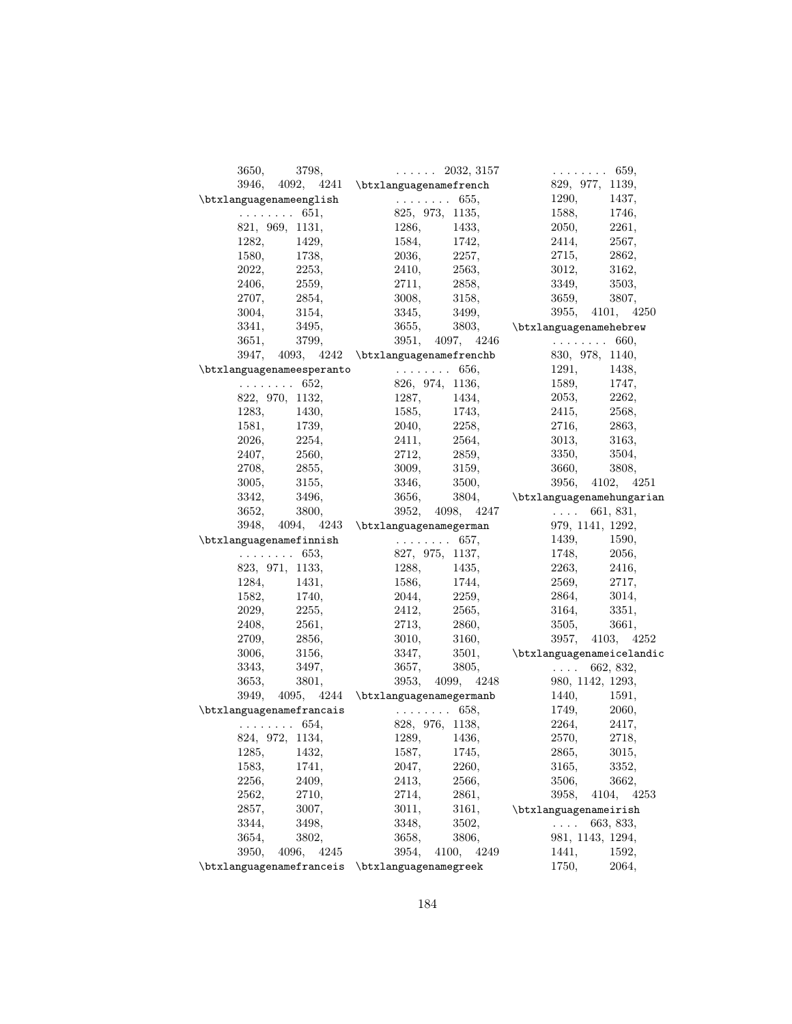| 3798,<br>3650,                                                             | $\cdots$ 2032, 3157                                                                    | $\ldots \ldots \ldots 659,$                                                                  |
|----------------------------------------------------------------------------|----------------------------------------------------------------------------------------|----------------------------------------------------------------------------------------------|
|                                                                            | 3946, 4092, 4241 \btxlanguagenamefrench                                                | 829, 977, 1139,                                                                              |
| \btxlanguagenameenglish                                                    | $\cdots \cdots \cdots 655,$                                                            | 1290,<br>1437,                                                                               |
|                                                                            | $\ldots \ldots 651,$ 825, 973, 1135,                                                   | 1588,<br>1746,                                                                               |
| 821, 969, 1131,                                                            | 1286, 1433,                                                                            | $2050,$<br>2261,                                                                             |
|                                                                            |                                                                                        | 2567,<br>2414,                                                                               |
| $\begin{array}{cc} 1282, & \quad 1429, \\ 1580, & \quad 1738, \end{array}$ | $1584,$ $1742,$<br>2036, $2257,$                                                       | 2715,<br>2862,                                                                               |
| 2022, 2253,                                                                | 2410, 2563,                                                                            | 3012,<br>3162,                                                                               |
| 2406, 2559,                                                                | 2711, 2858,                                                                            | 3349,<br>3503,                                                                               |
| 2854,<br>2707.                                                             | 3008, 3158,                                                                            | 3659,<br>3807,                                                                               |
| 3004,<br>3154,                                                             | 3345, 3499,                                                                            | 3955, 4101, 4250                                                                             |
| 3495,<br>3341,                                                             |                                                                                        | $3655, \qquad 3803, \qquad \texttt{\texttt{btxlanguagenamehebrew}}$                          |
|                                                                            |                                                                                        |                                                                                              |
|                                                                            |                                                                                        |                                                                                              |
| $\texttt{\texttt{btxlanguagenameesperanto}} \dots \dots \dots \ 656,$      |                                                                                        | 1291,<br>1438,                                                                               |
|                                                                            | $\ldots \ldots 652,$ 826, 974, 1136,                                                   | 1589,<br>1747,                                                                               |
| 822, 970, 1132,                                                            |                                                                                        | 2262,                                                                                        |
|                                                                            |                                                                                        | 2053, 2415,<br>2568,                                                                         |
| $1283, 1430,$<br>1581, 1739,                                               | $\begin{array}{ccc} 1287, & & 1434, \\ 1585, & & 1743, \\ 2040, & & 2258, \end{array}$ | 2716,<br>2863,                                                                               |
| 2026, 2254,                                                                | 2411, 2564,                                                                            | 3013,<br>3163,                                                                               |
| 2407, 2560,                                                                | 2712, 2859,                                                                            | 3350,<br>3504,                                                                               |
| 2708,<br>2855,                                                             | 3009, 3159,                                                                            | 3660,<br>3808,                                                                               |
| 3005,<br>3155,                                                             |                                                                                        | 3956, 4102, 4251                                                                             |
| 3342,<br>3496,                                                             | 3346, 3500,                                                                            |                                                                                              |
| 3652,<br>3800,                                                             | 3952, 4098, 4247                                                                       | $3656, 3804, \rightarrow 3804$<br>2052 $4008$ $4247$<br>2052 $661$ 221<br>$\ldots$ 661, 831, |
|                                                                            | 3948, 4094, 4243 \btxlanguagenamegerman 979, 1141, 1292,                               |                                                                                              |
| $\texttt{\texttt{btxlanguagenamefinnish}}$ 657,                            |                                                                                        | 1439, 1590,                                                                                  |
| $\ldots \ldots 653,$                                                       | 827, 975, 1137,                                                                        | 1748,<br>2056,                                                                               |
| 823, 971, 1133,                                                            |                                                                                        |                                                                                              |
| 1284, 1431,                                                                | $1288,$ $1435,$<br>1586, $1744,$                                                       | $2263,$ $2416,$<br>$2569,$ $2717,$<br>2717,                                                  |
| 1582, 1740,                                                                | 2044, 2259,                                                                            | 2864,<br>3014,                                                                               |
| 2029, 2255,                                                                | 2412, 2565,                                                                            | 3164,<br>3351,                                                                               |
| 2561,<br>2408,                                                             | 2713, 2860,                                                                            | 3505,<br>3661,                                                                               |
| 2709,<br>2856,                                                             |                                                                                        | 3957, 4103, 4252                                                                             |
| 3156,<br>3006,                                                             | 3010, 3160,                                                                            |                                                                                              |
| 3497,<br>3343.                                                             | 3657,<br>3805,                                                                         | 3347, 3501, \btxlanguagenameicelandic<br>$\ldots 662, 832,$                                  |
| 3653,<br>3801,                                                             |                                                                                        | 3953, 4099, 4248 980, 1142, 1293,                                                            |
|                                                                            | $3949, 4095, 4244 \text{butxlanguagenamegermanb}$ 1440,                                | 1591,                                                                                        |
| $\texttt{\texttt{btxlanguagenamefrancais}} \ldots \ldots \qquad 658,$      |                                                                                        | 1749,<br>2060,                                                                               |
| $\ldots \ldots \ldots 654,$                                                |                                                                                        |                                                                                              |
| 824, 972, 1134,                                                            | $\begin{array}{r} 828, \;\; 976, \;\; 1138, \\ 1289, \qquad \quad 1436, \end{array}$   | $2264,$ $2417,$<br>$2570,$ $2718,$                                                           |
|                                                                            |                                                                                        |                                                                                              |
| 1285,<br>1432,                                                             | 1587,<br>1745,                                                                         | 2865,<br>3015,<br>3352,                                                                      |
| 1741,<br>1583,                                                             | 2260,<br>2047,                                                                         | 3165,                                                                                        |
| 2256,<br>2409,                                                             | 2413,<br>2566,                                                                         | 3662,<br>3506,                                                                               |
| 2562,<br>2710,                                                             | 2714,<br>2861,                                                                         | 4104,<br>3958,<br>4253                                                                       |
| 2857,<br>3007,                                                             | 3161,<br>3011,                                                                         | \btxlanguagenameirish                                                                        |
| 3344,<br>3498,                                                             | 3348,<br>3502,                                                                         | 663, 833,<br>$\cdots$                                                                        |
| 3654,<br>3802,                                                             | 3806,<br>3658,<br>4100,                                                                | 981, 1143, 1294,                                                                             |
| 3950,<br>4096,<br>4245                                                     | 3954,<br>4249                                                                          | 1441,<br>1592,                                                                               |
| \btxlanguagenamefranceis                                                   | \btxlanguagenamegreek                                                                  | 2064,<br>1750,                                                                               |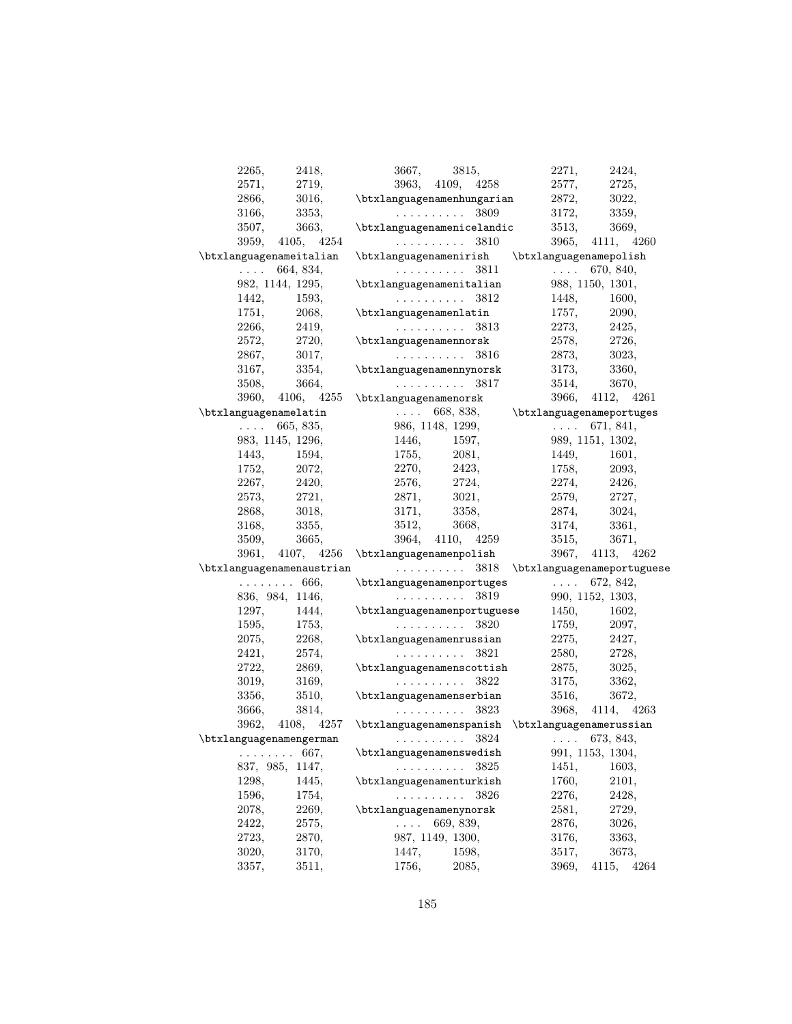| 2265,                   | 2418,               | 3667,<br>3815,                                                                                                                                                                                                                                                                                                                                        | 2271,<br>2424,                                           |
|-------------------------|---------------------|-------------------------------------------------------------------------------------------------------------------------------------------------------------------------------------------------------------------------------------------------------------------------------------------------------------------------------------------------------|----------------------------------------------------------|
| 2571,                   | 2719,               | 3963, 4109, 4258                                                                                                                                                                                                                                                                                                                                      | 2577,<br>2725,                                           |
| 2866,                   | 3016,               | \btxlanguagenamenhungarian                                                                                                                                                                                                                                                                                                                            | 2872,<br>3022,                                           |
| 3166,                   | 3353,               | 3809<br>.                                                                                                                                                                                                                                                                                                                                             | 3172,<br>3359,                                           |
| 3507,                   | 3663,               | \btxlanguagenamenicelandic                                                                                                                                                                                                                                                                                                                            | 3513,<br>3669,                                           |
| 3959,                   | 4105, 4254          | $\ldots \ldots \ldots 3810$                                                                                                                                                                                                                                                                                                                           | 3965, 4111, 4260                                         |
| \btxlanguagenameitalian |                     | \btxlanguagenamenirish                                                                                                                                                                                                                                                                                                                                | \btxlanguagenamepolish                                   |
|                         | $\ldots$ 664, 834,  | . 3811                                                                                                                                                                                                                                                                                                                                                | $\ldots$ 670, 840,                                       |
|                         | 982, 1144, 1295,    | \btxlanguagenamenitalian                                                                                                                                                                                                                                                                                                                              | 988, 1150, 1301,                                         |
| 1442,                   | 1593,               | $\ldots \ldots \ldots 3812$                                                                                                                                                                                                                                                                                                                           | 1448,<br>1600,                                           |
| 1751,                   | 2068,               | \btxlanguagenamenlatin                                                                                                                                                                                                                                                                                                                                | 1757,<br>2090,                                           |
| 2266,                   | 2419,               | . 3813                                                                                                                                                                                                                                                                                                                                                | 2273,<br>2425,                                           |
| 2572,                   | 2720,               | \btxlanguagenamennorsk                                                                                                                                                                                                                                                                                                                                | 2578,<br>2726,                                           |
| 2867,                   | 3017,               | $\ldots \ldots \ldots 3816$                                                                                                                                                                                                                                                                                                                           | 2873,<br>3023,                                           |
| 3167,                   | 3354,               | \btxlanguagenamennynorsk                                                                                                                                                                                                                                                                                                                              | 3173,<br>3360,                                           |
| 3508,                   | 3664,               | . 3817                                                                                                                                                                                                                                                                                                                                                | 3514,<br>3670,                                           |
| 3960,                   |                     |                                                                                                                                                                                                                                                                                                                                                       | 3966, 4112, 4261                                         |
| \btxlanguagenamelatin   |                     |                                                                                                                                                                                                                                                                                                                                                       | $\dots$ 668, 838, $\rightarrow$ \btxlanguagenameportuges |
|                         | $\ldots 665, 835,$  | 986, 1148, 1299,                                                                                                                                                                                                                                                                                                                                      | $\ldots$ 671, 841,                                       |
|                         | 983, 1145, 1296,    | 1446,<br>1597,                                                                                                                                                                                                                                                                                                                                        | 989, 1151, 1302,                                         |
| 1443,                   | 1594,               | 1755,<br>2081,                                                                                                                                                                                                                                                                                                                                        | 1449,<br>1601,                                           |
|                         | 1752, 2072,         | 2270,<br>2423,                                                                                                                                                                                                                                                                                                                                        | 1758,<br>2093,                                           |
| 2267,                   | 2420,               | 2576,<br>2724,                                                                                                                                                                                                                                                                                                                                        | 2274,<br>2426,                                           |
| 2573,                   | 2721,               | 3021,<br>2871,                                                                                                                                                                                                                                                                                                                                        | 2579,<br>2727,                                           |
| 2868,                   | 3018,               | 3358,<br>3171,                                                                                                                                                                                                                                                                                                                                        | 2874,<br>3024,                                           |
| 3168,                   | 3355,               | 3512,<br>3668,                                                                                                                                                                                                                                                                                                                                        | 3174,<br>3361,                                           |
| 3509,                   | 3665,               | 3964, 4110, 4259                                                                                                                                                                                                                                                                                                                                      | 3515,<br>3671,                                           |
|                         |                     |                                                                                                                                                                                                                                                                                                                                                       |                                                          |
|                         |                     |                                                                                                                                                                                                                                                                                                                                                       |                                                          |
|                         |                     | 3961, 4107, 4256 \btxlanguagenamenpolish                                                                                                                                                                                                                                                                                                              | 3967, 4113, 4262                                         |
|                         |                     | \btxlanguagenamenaustrian  3818 \btxlanguagenameportuguese                                                                                                                                                                                                                                                                                            |                                                          |
|                         | $\ldots \ldots 666$ |                                                                                                                                                                                                                                                                                                                                                       |                                                          |
|                         | 836, 984, 1146,     | $\text{btxlanguagenamenportuges}$ 672, 842,<br>3810 000 1152 1303<br>$\mathcal{L}^{\mathcal{L}}(\mathcal{L}^{\mathcal{L}}(\mathcal{L}^{\mathcal{L}}(\mathcal{L}^{\mathcal{L}}(\mathcal{L}^{\mathcal{L}}(\mathcal{L}^{\mathcal{L}}(\mathcal{L}^{\mathcal{L}}(\mathcal{L}^{\mathcal{L}}(\mathcal{L}^{\mathcal{L}}(\mathcal{L}^{\mathcal{L}})))$<br>3819 | 990, 1152, 1303,                                         |
| 1297,                   | 1444,               | $\texttt{btxlanguagenamenportuguese}$ 1450,                                                                                                                                                                                                                                                                                                           | 1602,                                                    |
| 1595,                   | 1753,               | $\ldots \ldots \ldots \quad 3820$                                                                                                                                                                                                                                                                                                                     | 1759,<br>2097,                                           |
| 2075,                   | 2268,               | \btxlanguagenamenrussian                                                                                                                                                                                                                                                                                                                              | 2275,<br>2427,                                           |
| 2421,                   | 2574,               | . 3821                                                                                                                                                                                                                                                                                                                                                | 2580,<br>2728,                                           |
| 2722,                   | 2869,               | \btxlanguagenamenscottish                                                                                                                                                                                                                                                                                                                             | 2875,<br>3025,                                           |
| 3019,                   | 3169,               | $\ldots \ldots \ldots \quad 3822$                                                                                                                                                                                                                                                                                                                     | 3175,<br>3362,                                           |
| 3356,                   | 3510,               | \btxlanguagenamenserbian                                                                                                                                                                                                                                                                                                                              | 3516,<br>3672,                                           |
| 3666,                   | 3814,               | .<br>3823                                                                                                                                                                                                                                                                                                                                             | 3968, 4114, 4263                                         |
| 3962.                   | 4108, 4257          | \btxlanguagenamenspanish \btxlanguagenamerussian                                                                                                                                                                                                                                                                                                      |                                                          |
| \btxlanguagenamengerman |                     | $\cdots \cdots \cdots \cdots 3824$                                                                                                                                                                                                                                                                                                                    | $\ldots 673, 843,$                                       |
| .                       | 667,                | \btxlanguagenamenswedish                                                                                                                                                                                                                                                                                                                              | 991, 1153, 1304,                                         |
| 837, 985,               | 1147,               | 3825<br>.                                                                                                                                                                                                                                                                                                                                             | 1451,<br>1603,                                           |
| 1298,                   | 1445,               | \btxlanguagenamenturkish                                                                                                                                                                                                                                                                                                                              | 1760,<br>2101,                                           |
| 1596,                   | 1754,               | 3826<br>.                                                                                                                                                                                                                                                                                                                                             | 2276,<br>2428,                                           |
| 2078,                   | 2269,               | \btxlanguagenamenynorsk                                                                                                                                                                                                                                                                                                                               | 2581,<br>2729,                                           |
| 2422,                   | 2575,               | 669, 839,<br>$\cdots$                                                                                                                                                                                                                                                                                                                                 | 2876,<br>3026,                                           |
| 2723,                   | 2870,               | 987, 1149, 1300,                                                                                                                                                                                                                                                                                                                                      | 3176,<br>3363,                                           |
| 3020,                   | 3170,               | 1447,<br>1598,                                                                                                                                                                                                                                                                                                                                        | 3673,<br>3517,                                           |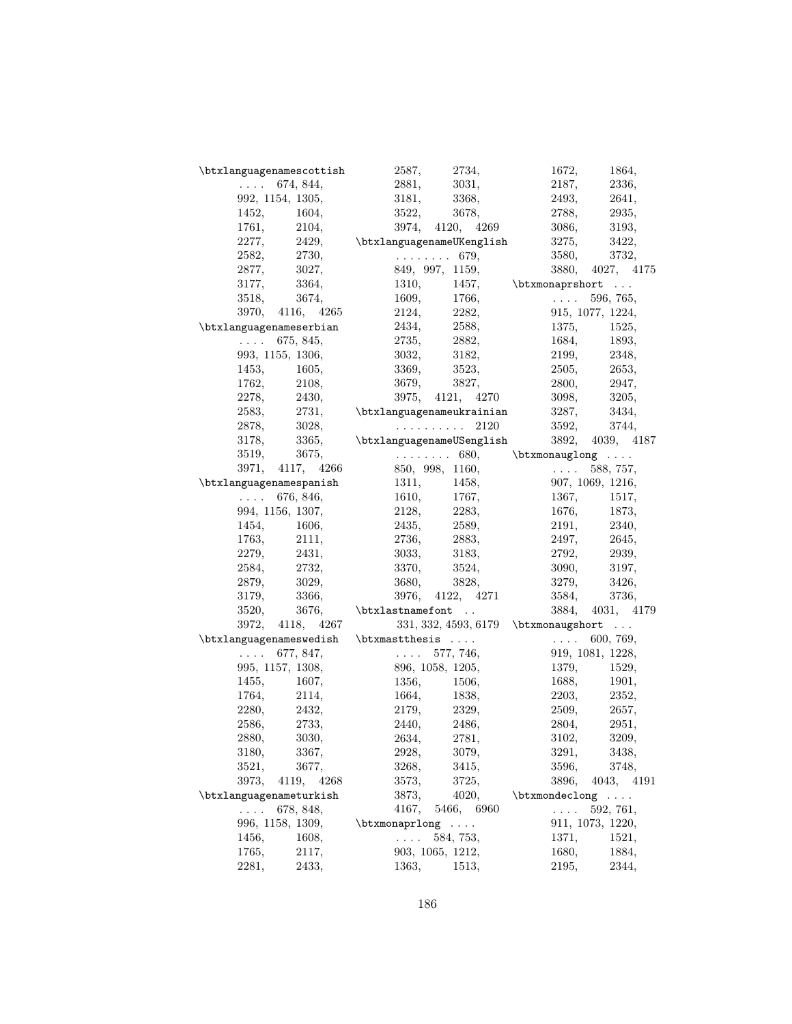| \btxlanguagenamescottish | 2587,<br>2734,                                           | 1672,<br>1864,                                                     |
|--------------------------|----------------------------------------------------------|--------------------------------------------------------------------|
| $\ldots$ 674, 844,       | 2881,<br>3031,                                           | 2187,<br>2336,                                                     |
| 992, 1154, 1305,         | 3181,<br>3368,                                           | 2493,<br>2641,                                                     |
| 1452,<br>1604,           | 3522,<br>3678,                                           | 2788,<br>2935,                                                     |
| 2104,<br>1761,           | 3974, 4120, 4269                                         | 3193,<br>3086,                                                     |
| 2277,<br>2429,           | \btxlanguagenameUKenglish                                | 3275,<br>3422,                                                     |
| 2730,<br>2582,           | $\ldots \ldots 679$                                      | 3580,<br>3732,                                                     |
| 2877,<br>3027,           | 849, 997, 1159,                                          | 3880, 4027, 4175                                                   |
| 3177,<br>3364,           | 1310,                                                    | 1457, \btxmonaprshort                                              |
| 3674,<br>3518,           | 1609,<br>1766,                                           | $\sim 1.1\, \mathrm{km}$<br>596, 765,                              |
| 3970, 4116, 4265         | 2124,<br>2282,                                           | 915, 1077, 1224,                                                   |
| \btxlanguagenameserbian  | 2434,<br>2588,                                           | 1375,<br>1525,                                                     |
| $\ldots$ 675, 845,       | 2735,<br>2882,                                           | 1684,<br>1893,                                                     |
| 993, 1155, 1306,         | 3032,<br>3182,                                           | 2199, 2348,                                                        |
| 1605,<br>1453,           | 3369,<br>3523,                                           | 2505,<br>2653,                                                     |
| 2108,<br>1762,           | 3679,<br>3827,                                           | 2800,<br>2947,                                                     |
| 2278,<br>2430,           | 3975, 4121, 4270                                         | 3098,<br>3205,                                                     |
| 2731,<br>2583,           |                                                          |                                                                    |
|                          | \btxlanguagenameukrainian<br>$\ldots \ldots \ldots 2120$ | 3287,<br>3434,                                                     |
| 2878,<br>3028,           |                                                          | 3592,<br>3744,                                                     |
| 3365,<br>3178,           | \btxlanguagenameUSenglish                                | 3892, 4039, 4187                                                   |
| 3519,<br>3675,           |                                                          | $\ldots \ldots 680,$ \btxmonauglong $\ldots$                       |
| 3971, 4117, 4266         | 850, 998, 1160,                                          | $\sim 1.1$ and $\sim 10$<br>588, 757,                              |
| \btxlanguagenamespanish  | 1311,<br>1458,                                           | 907, 1069, 1216,                                                   |
| $\ldots$ 676, 846,       | 1610,<br>1767,                                           | 1367,<br>1517,                                                     |
| 994, 1156, 1307,         | 2283,<br>2128,                                           | 1676,<br>1873,                                                     |
| 1454,<br>1606,           | 2435,<br>2589,                                           | 2191, 2340,                                                        |
| 1763,<br>2111,           | 2736,<br>2883,                                           | 2497,<br>2645,                                                     |
| 2279,<br>2431,           | 3033,<br>3183,                                           | 2792,<br>2939,                                                     |
| 2732,<br>2584,           | 3370,<br>3524,                                           | 3197,<br>3090,                                                     |
| 2879,<br>3029,           | 3680,<br>3828,                                           | 3279,<br>3426,                                                     |
| 3179,<br>3366,           | 3976, 4122, 4271                                         | 3584,<br>3736,                                                     |
| 3520,<br>3676,           | \btxlastnamefont                                         | 3884, 4031, 4179                                                   |
| 3972, 4118, 4267         |                                                          | $331, 332, 4593, 6179$ \btxmonaugshort                             |
| \btxlanguagenameswedish  | $\h{\text{btx}$ mast thesis                              | $\mathbf{1}$ . $\mathbf{1}$ . The set of $\mathbf{1}$<br>600, 769, |
| $\ldots$ 677, 847,       | $\ldots 577, 746,$                                       | 919, 1081, 1228,                                                   |
| 995, 1157, 1308,         | 896, 1058, 1205,                                         | 1379,<br>1529,                                                     |
| 1455,<br>1607,           | 1356,<br>1506.                                           | 1688,<br>1901,                                                     |
| 2114,<br>1764,           | 1664,<br>1838,                                           | 2203,<br>2352,                                                     |
| 2432,<br>2280,           | 2179,<br>2329,                                           | 2509,<br>2657,                                                     |
| 2733,<br>2586,           | 2486,<br>2440,                                           | 2804,<br>2951,                                                     |
| 3030,<br>2880,           | 2781,<br>2634,                                           | 3209,<br>3102,                                                     |
| 3180,<br>3367,           | 2928,<br>3079,                                           | 3291,<br>3438,                                                     |
| 3677,<br>3521,           | 3268,<br>3415,                                           | 3596,<br>3748,                                                     |
| 3973,<br>4119, 4268      | 3573,<br>3725,                                           | 3896,<br>4043, 4191                                                |
| \btxlanguagenameturkish  | 3873,<br>4020,                                           | $\text{btxmondeclong} \ldots$                                      |
| 678, 848,<br>$\cdots$    | 4167,<br>5466, 6960                                      | 592, 761,<br>$\cdots$                                              |
| 996, 1158, 1309,         | \btxmonaprlong<br>$\sim$ $\sim$ $\sim$ $\sim$            | 911, 1073, 1220,                                                   |
| 1456,<br>1608,           | 584, 753,<br>$\ldots$ .                                  | 1371,<br>1521,                                                     |
| 1765,<br>2117,           | 903, 1065, 1212,                                         | 1680,<br>1884,                                                     |
| 2281,<br>2433,           | 1513,<br>1363,                                           | 2344,<br>2195,                                                     |
|                          |                                                          |                                                                    |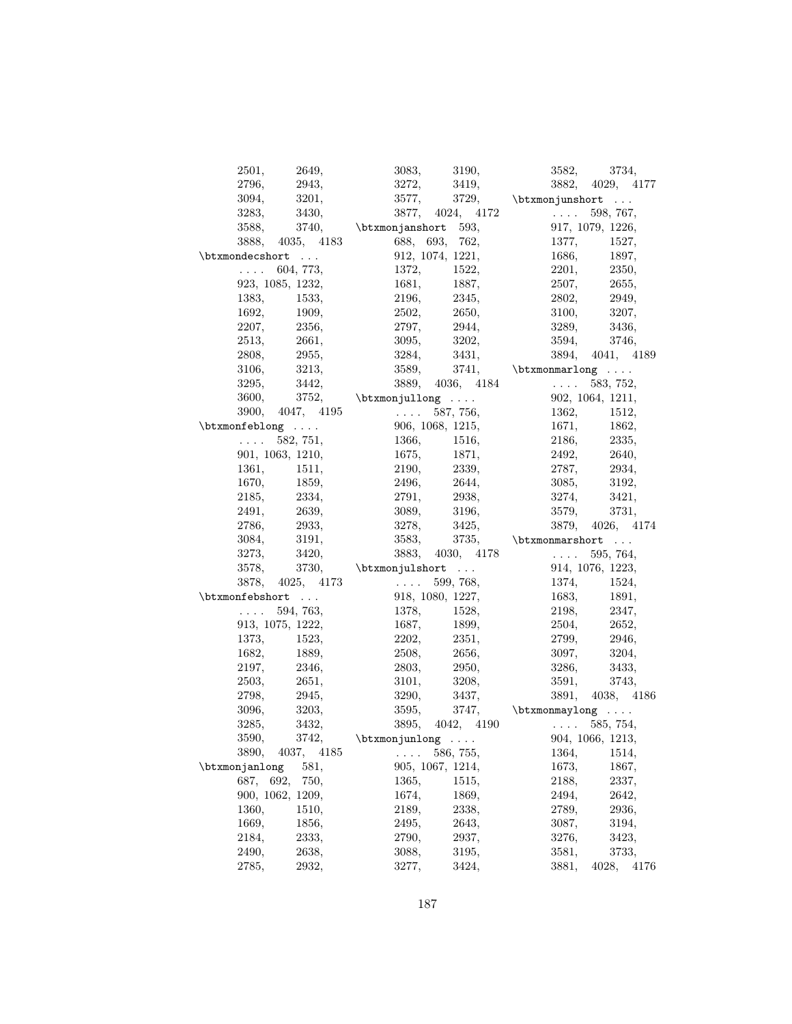| 2649,<br>2501,                | 3083, 3190,                                                                               | 3582, 3734,                                                                 |
|-------------------------------|-------------------------------------------------------------------------------------------|-----------------------------------------------------------------------------|
| 2943,<br>2796,                | 3272,<br>3419,                                                                            | 3882, 4029, 4177                                                            |
| 3201,<br>3094,                | 3577,                                                                                     | 3729, \btxmonjunshort                                                       |
| 3283.<br>3430,                | $3877, 4024, 4172$                                                                        | 598, 767,                                                                   |
| 3588,                         | $3740,$ \btxmonjanshort 593,                                                              | 917, 1079, 1226,                                                            |
| 3888, 4035, 4183              | 688, 693, 762,                                                                            | 1377, 1527,                                                                 |
| \btxmondecshort               | 912, 1074, 1221,                                                                          | 1686,<br>1897,                                                              |
| $\ldots$ 604, 773,            | 1372, 1522,                                                                               | 2350,<br>2201,                                                              |
| 923, 1085, 1232,              | 1681, 1887,                                                                               | 2507, 2655,                                                                 |
| 1383,<br>1533.                | 2196, 2345,                                                                               | 2802,<br>2949,                                                              |
| 1692,<br>1909,                | 2502, 2650,                                                                               | 3100,<br>3207,                                                              |
| 2207,<br>2356,                | 2944,<br>2797,                                                                            | 3289,<br>3436,                                                              |
| 2513,<br>2661,                | 3202,<br>3095,                                                                            | 3594, 3746,                                                                 |
| 2955,<br>2808,                | 3284, 3431,                                                                               | 3894, 4041, 4189                                                            |
| 3213,<br>3106,                |                                                                                           | 3589, 3741, $\text{binomial} \dots$                                         |
| 3442,<br>3295,                |                                                                                           | $3889, 4036, 4184$ $583, 752,$                                              |
| 3600,                         | $3752,$ \btxmonjullong                                                                    | 902, 1064, 1211,                                                            |
|                               |                                                                                           |                                                                             |
| $\text{btxmonfeblong} \ldots$ | $3900, 4047, 4195$ $587, 756,$<br>906, 1068, 1215,                                        | 1362, 1512,<br>1671,                                                        |
| $\ldots$ 582, 751,            | 1366, 1516,                                                                               | $\begin{array}{lll} 1671, \quad & 1862, \\ 2186, \quad & 2335, \end{array}$ |
| 901, 1063, 1210,              | 1675, 1871,                                                                               | 2492, 2640,                                                                 |
| 1361,<br>1511,                | 2190, 2339,                                                                               | 2787, 2934,                                                                 |
| 1670,<br>1859,                |                                                                                           | 3085,<br>3192,                                                              |
| 2334,<br>2185,                | 2496, 2644,<br>2791,                                                                      | 3421,                                                                       |
| 2639,                         | 2938, 3196,                                                                               | $3274,\,$                                                                   |
| 2491,<br>2933,                | 3089,<br>3278, 3425,                                                                      | 3579,<br>3731,                                                              |
| 2786,                         |                                                                                           | 3879, 4026, 4174                                                            |
| 3191,<br>3084,                | 3583,                                                                                     | 3735, $\verb \btxmonmarshort  $                                             |
| 3273,<br>3420,                |                                                                                           | 3883, 4030, 4178 $\ldots$ 595, 764,                                         |
| 3578,                         | 3730, \btxmonjulshort                                                                     | 914, 1076, 1223,                                                            |
|                               | $3878, 4025, 4173$ 599, 768,                                                              | 1374, 1524,                                                                 |
| \btxmonfebshort               | 918, 1080, 1227,                                                                          | 1683,<br>1891,                                                              |
| $\ldots 594, 763,$            | 1378, 1528,                                                                               | 2198, 2347,                                                                 |
| 913, 1075, 1222,              | 1687, 1899,                                                                               | 2504, 2652,                                                                 |
| 1373,<br>1523,                | 2202,<br>2351,                                                                            | 2799,<br>2946,                                                              |
| 1682,<br>1889,                | 2508,<br>2656,                                                                            | 3204,<br>3097,                                                              |
| 2197,<br>2346,                | $\begin{array}{ll} 2803, & \quad \  \  \, 2950, \\ 3101, & \quad \  \  3208, \end{array}$ | 3286,<br>3433,                                                              |
| 2503,<br>2651,                |                                                                                           | 3591,<br>3743,                                                              |
| 2945,<br>2798.                | $3290,$ $3437,$                                                                           | 3891, 4038, 4186                                                            |
| 3203,<br>3096.                | 3595,                                                                                     | 3747, $\verb \btxmonmaylong   $                                             |
| 3432,<br>3285,                |                                                                                           |                                                                             |
| 3590,<br>3742,                | btxmonjunlong  585, 754,<br>$585, 754, 904, 1066, 1213$                                   |                                                                             |
| 3890,<br>4037, 4185           | 586, 755,                                                                                 |                                                                             |
| 581,<br>\btxmonjanlong        | 905, 1067, 1214,                                                                          | 1673,<br>1867,                                                              |
| 687, 692,<br>750.             | 1365,<br>1515,                                                                            | 2188,<br>2337,                                                              |
| 900, 1062, 1209,              | 1674,<br>1869,                                                                            | 2642,<br>2494,                                                              |
| 1360,<br>1510,                | 2189,<br>2338,                                                                            | 2789,<br>2936,                                                              |
| 1669,<br>1856,                | 2495,<br>2643,                                                                            | 3087,<br>3194,                                                              |
| 2184,<br>2333,                |                                                                                           |                                                                             |
|                               | 2790,<br>2937,                                                                            | 3276,<br>3423,                                                              |
| 2490,<br>2638,                | 3195,<br>3088,                                                                            | 3581,<br>3733,                                                              |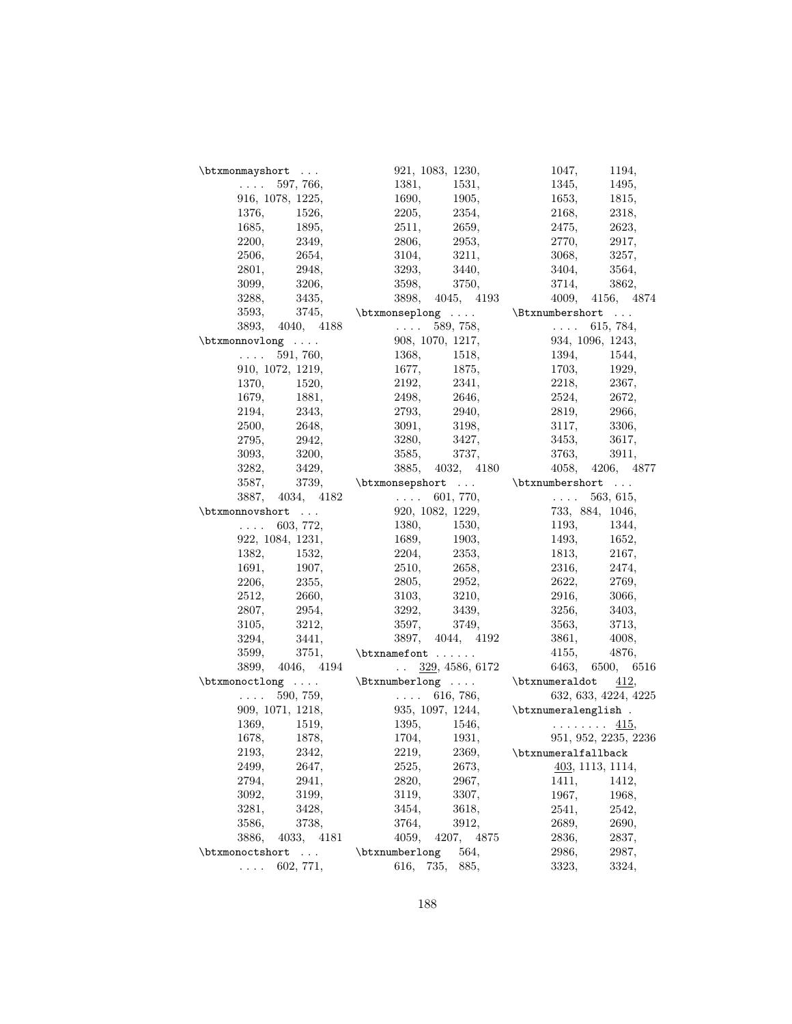| \btxmonmayshort                                               |                      |                                                                 | 921, 1083, 1230,                              | 1047,                                                                   | 1194,                                                                                |
|---------------------------------------------------------------|----------------------|-----------------------------------------------------------------|-----------------------------------------------|-------------------------------------------------------------------------|--------------------------------------------------------------------------------------|
| $\mathcal{L}^{\mathcal{L}}$ and $\mathcal{L}^{\mathcal{L}}$ . | 597, 766,            | 1381,                                                           | 1531,                                         |                                                                         | 1345, 1495,                                                                          |
|                                                               | 916, 1078, 1225,     | 1690,                                                           | 1905,                                         |                                                                         | 1653, 1815,                                                                          |
| 1376,                                                         | 1526,                | 2205,                                                           | 2354,                                         | 2168,                                                                   | 2318,                                                                                |
| 1685,                                                         | 1895,                | 2511,                                                           | 2659,                                         | 2475,                                                                   | 2623,                                                                                |
| 2200,                                                         | 2349,                | 2806,                                                           | 2953,                                         | 2770,                                                                   | 2917,                                                                                |
| 2506,                                                         | 2654,                | 3104,                                                           | $3211,$ $\,$                                  |                                                                         | 3068, 3257,                                                                          |
|                                                               | 2801, 2948,          | 3293,                                                           | 3440,                                         |                                                                         | 3404, 3564,                                                                          |
| 3099,                                                         | 3206,                | 3598,                                                           | 3750,                                         | 3714,                                                                   | 3862,                                                                                |
| 3288,                                                         | 3435,                |                                                                 | 3898, 4045, 4193                              |                                                                         | 4009, 4156, 4874                                                                     |
| 3593,                                                         |                      | 3745, $\verb \btxmonselplong  \verb \Btxnumbershort  $          |                                               |                                                                         |                                                                                      |
|                                                               | 3893, 4040, 4188     | $\ldots 589, 758,$                                              |                                               | $\mathcal{L}^{\text{max}}$ , where $\mathcal{L}^{\text{max}}$           | 615, 784,                                                                            |
| \btxmonnovlong                                                |                      |                                                                 | 908, 1070, 1217,                              |                                                                         | 934, 1096, 1243,                                                                     |
| $\mathcal{L}(\mathcal{L}(\mathcal{L},\mathcal{L}))$           | 591, 760,            | 1368,                                                           | 1518,                                         | 1394,                                                                   | 1544,                                                                                |
|                                                               | 910, 1072, 1219,     |                                                                 | 1677, 1875,                                   |                                                                         | 1703, 1929,                                                                          |
|                                                               | 1370, 1520,          | 2192,                                                           | 2341,                                         |                                                                         | 2218, 2367,                                                                          |
| $1679,\,$                                                     | 1881,                | 2498,                                                           |                                               |                                                                         |                                                                                      |
| 2194,                                                         | 2343,                | 2793,                                                           | $\begin{array}{c} 2646, \\ 2940, \end{array}$ |                                                                         | $\begin{array}{lll} 2524, \quad & 2672, \\ 2819, \quad & 2966, \end{array}$<br>2966, |
|                                                               | 2500, 2648,          |                                                                 | 3091, 3198,                                   |                                                                         | 3117, 3306,                                                                          |
| 2795,                                                         | 2942,                |                                                                 | 3280, 3427,                                   |                                                                         | 3453, 3617,                                                                          |
| 3093,                                                         | 3200,                |                                                                 | 3585, 3737,                                   | 3763,                                                                   | 3911,                                                                                |
| 3282,                                                         | 3429,                |                                                                 | 3885, 4032, 4180                              |                                                                         | 4058, 4206, 4877                                                                     |
| 3587,                                                         |                      | 3739, $\verb \btxmonsepshort  \verb \btxnumbershort  $          |                                               |                                                                         |                                                                                      |
|                                                               |                      | $\ldots$ 601, 770,                                              |                                               | $\mathcal{L}^{\text{max}}$ , where $\mathcal{L}^{\text{max}}$           | 563, 615,                                                                            |
| \btxmonnovshort                                               | 3887, 4034, 4182     |                                                                 | 920, 1082, 1229,                              |                                                                         | 733, 884, 1046,                                                                      |
| $\mathcal{L}(\mathcal{L}(\mathcal{L},\mathcal{L}))$           | 603, 772,            | 1380,                                                           | 1530,                                         | 1193,                                                                   | 1344,                                                                                |
|                                                               | 922, 1084, 1231,     |                                                                 | 1689, 1903,                                   |                                                                         | 1493, 1652,                                                                          |
| 1382,                                                         | 1532,                | 2204,                                                           | 2353,                                         |                                                                         |                                                                                      |
|                                                               |                      |                                                                 |                                               |                                                                         | 1813, 2167,                                                                          |
| 1691,                                                         | 1907,                | 2510,<br>2805,                                                  | $2658,\ 2952,$                                |                                                                         | $\begin{array}{ll} 2316, & \quad 2474, \\ 2622, & \quad 2769, \end{array}$           |
| 2206,                                                         | 2355,<br>2512, 2660, |                                                                 | 3103, 3210,                                   |                                                                         | 2916, 3066,                                                                          |
|                                                               |                      |                                                                 |                                               |                                                                         |                                                                                      |
| 2807,                                                         | 2954,                |                                                                 | 3292, 3439,                                   |                                                                         | 3256, 3403,                                                                          |
| 3105,                                                         | 3212,                |                                                                 | 3597, 3749,                                   | 3563,                                                                   | 3713,                                                                                |
| 3294,                                                         | 3441,                |                                                                 | 3897, 4044, 4192                              | 3861,                                                                   | 4008,                                                                                |
| 3599,                                                         | 3751,                | \btxnamefont                                                    |                                               | 4155,                                                                   | 4876,                                                                                |
|                                                               | 3899, 4046, 4194     |                                                                 | $\ldots$ 329, 4586, 6172                      |                                                                         | 6463, 6500, 6516                                                                     |
|                                                               |                      | $\label{lem:main}$ $\label{main}$ $\label{main}$ $\label{main}$ |                                               |                                                                         |                                                                                      |
| $\mathbf{1}$ . $\mathbf{1}$                                   | 590, 759,            | $\ldots$ 616, 786,                                              |                                               |                                                                         | 632, 633, 4224, 4225                                                                 |
|                                                               | 909, 1071, 1218,     |                                                                 |                                               | 935, 1097, 1244, $\verb \btnumeralength $ .                             |                                                                                      |
|                                                               | 1369, 1519,          |                                                                 |                                               | 1395, 1546, $\ldots$ 1546, $\frac{415}{1704}$ , 1931. 951, 952, 2235, 2 |                                                                                      |
| 1678,                                                         | 1878,                | 1704,                                                           | 1931,                                         |                                                                         | 951, 952, 2235, 2236                                                                 |
| 2193,                                                         | 2342,                | 2219,                                                           | 2369,                                         | \btxnumeralfallback                                                     |                                                                                      |
| 2499,                                                         | 2647,                | 2525,                                                           | 2673,                                         |                                                                         | 403, 1113, 1114,                                                                     |
| 2794,                                                         | 2941,                | 2820,                                                           | 2967,                                         | 1411,                                                                   | 1412,                                                                                |
| 3092,                                                         | 3199,                | 3119,                                                           | 3307,                                         | 1967,                                                                   | 1968,                                                                                |
| 3281,                                                         | 3428,                | 3454,                                                           | 3618,                                         | 2541,                                                                   | 2542,                                                                                |
| 3586,                                                         | 3738,                | 3764,                                                           | 3912,                                         | 2689,                                                                   | 2690,                                                                                |
| 3886,                                                         | 4033, 4181           | 4059,                                                           | 4207,<br>4875                                 | 2836,                                                                   | 2837,                                                                                |
| \btxmonoctshort                                               | $\mathbb{R}^2$       | \btxnumberlong                                                  | 564,                                          | 2986,                                                                   | 2987,                                                                                |
| $\cdots$ .                                                    | 602, 771,            | 616,                                                            | 735,<br>885,                                  | 3323,                                                                   | 3324,                                                                                |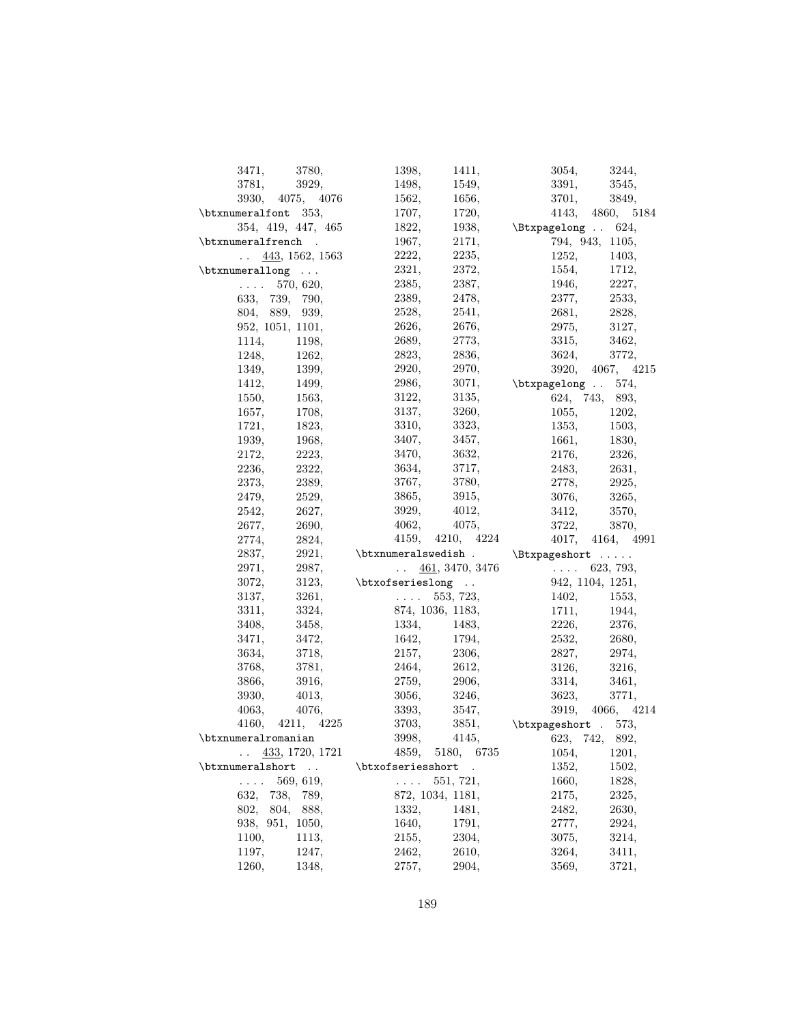| 3471,                                                                          | 3780,                    | 1398,                                                                          | 1411,                    | 3054,                        | 3244,            |
|--------------------------------------------------------------------------------|--------------------------|--------------------------------------------------------------------------------|--------------------------|------------------------------|------------------|
| 3781,                                                                          | 3929,                    | 1498,                                                                          | 1549,                    | 3391,                        | 3545,            |
|                                                                                | 3930, 4075, 4076         | 1562,                                                                          | 1656,                    | 3701,                        | 3849,            |
| \btxnumeralfont 353,                                                           |                          | 1707,                                                                          | 1720,                    |                              | 4143, 4860, 5184 |
|                                                                                | 354, 419, 447, 465       | 1822,                                                                          | 1938,                    | \Btxpagelong . 624,          |                  |
| \btxnumeralfrench .                                                            |                          | 1967,                                                                          | 2171,                    |                              | 794, 943, 1105,  |
|                                                                                | $\ldots$ 443, 1562, 1563 | 2222,                                                                          | 2235,                    | 1252,                        | 1403,            |
| $\text{btxnumerallong}$                                                        |                          | 2321,                                                                          | 2372,                    | 1554,                        | 1712,            |
|                                                                                | $\ldots$ 570, 620,       | 2385,                                                                          | 2387,                    | 1946,                        | 2227,            |
|                                                                                | 633, 739, 790,           | 2389,                                                                          | 2478,                    | 2377,                        | 2533,            |
|                                                                                | 804, 889, 939,           | 2528,                                                                          | 2541,                    |                              | 2681, 2828,      |
|                                                                                | 952, 1051, 1101,         | 2626.                                                                          | 2676,                    | 2975,                        | 3127,            |
|                                                                                |                          | 2689,                                                                          | 2773,                    | 3315,                        | 3462,            |
| 1114,                                                                          | 1198,                    |                                                                                |                          |                              |                  |
| 1248,                                                                          | 1262,                    | 2823,                                                                          | 2836,                    | 3624,                        | 3772,            |
| 1349,                                                                          | 1399,                    | 2920,                                                                          | 2970,                    |                              | 3920, 4067, 4215 |
| 1412,                                                                          | 1499,                    | 2986,                                                                          |                          | $3071,$ \btxpagelong . 574,  |                  |
| 1550,                                                                          | 1563,                    | 3122,                                                                          | 3135,                    |                              | 624, 743, 893,   |
| 1657,                                                                          | 1708,                    | 3137,                                                                          | 3260,                    | 1055,                        | 1202,            |
| 1721,                                                                          | 1823,                    | 3310,                                                                          | 3323,                    | 1353,                        | 1503,            |
| 1939,                                                                          | 1968,                    | 3407,                                                                          | 3457,                    | 1661,                        | 1830, 2326,      |
| 2172,                                                                          | 2223,                    | 3470,                                                                          | 3632,                    | 2176,                        |                  |
| 2236,                                                                          | 2322,                    | 3634,                                                                          | 3717,                    |                              | 2483, 2631,      |
| 2373.                                                                          | 2389,                    | 3767,                                                                          | 3780,                    |                              | 2778, 2925,      |
| 2479,                                                                          | 2529,                    | 3865,                                                                          | 3915,                    | 3076,                        | 3265,            |
|                                                                                | 2627,                    | 3929,                                                                          | 4012,                    | 3412,                        | 3570,            |
| 2542,                                                                          |                          |                                                                                |                          |                              |                  |
| 2677,                                                                          | 2690,                    | 4062,                                                                          | 4075,                    | 3722,                        | 3870,            |
| 2774,                                                                          |                          |                                                                                | 4159, 4210, 4224         |                              | 4017, 4164, 4991 |
|                                                                                | 2824,<br>2921,           |                                                                                |                          |                              |                  |
| 2837,<br>2971,                                                                 | 2987,                    | \btxnumeralswedish . \Btxpageshort                                             | $\ldots$ 461, 3470, 3476 | $\ldots$ 623, 793,           |                  |
| 3072,                                                                          |                          |                                                                                |                          |                              |                  |
| 3137,                                                                          | 3123,                    | \btxofserieslong                                                               |                          |                              | 942, 1104, 1251, |
|                                                                                | 3261,                    |                                                                                | $\ldots$ 553, 723,       | 1402,                        | 1553,            |
| 3311,                                                                          | 3324,                    |                                                                                | 874, 1036, 1183,         | 1711,                        |                  |
| 3408,                                                                          | 3458,                    | 1334,                                                                          | 1483,                    | 2226,                        | 1944,<br>2376,   |
| 3471,                                                                          | 3472,                    | 1642,                                                                          | 1794,                    |                              | 2532, 2680,      |
| 3634,                                                                          | 3718,                    | 2157,                                                                          | 2306,                    |                              | 2827, 2974,      |
| 3768,                                                                          | 3781,                    | 2464,                                                                          | 2612,                    | 3126,                        | 3216,            |
| 3866,                                                                          | 3916,                    | 2759,                                                                          | 2906,                    | 3314,                        | 3461,            |
| 3930,                                                                          | 4013,                    | 3056,                                                                          | 3246,                    | 3623,                        | 3771,            |
| 4063,                                                                          | 4076,                    | 3393,                                                                          | 3547,                    |                              | 3919, 4066, 4214 |
|                                                                                | 4160, 4211, 4225         | 3703,                                                                          |                          | $3851,$ \btxpageshort . 573, |                  |
| \btxnumeralromanian                                                            |                          | 3998,                                                                          |                          | $4145,$ $623, 742, 892,$     |                  |
| $\ddot{\phantom{0}}$                                                           | 433, 1720, 1721          |                                                                                | 4859, 5180,<br>6735      | 1054,                        | 1201,            |
| \btxnumeralshort                                                               |                          | \btxofseriesshort                                                              |                          | 1352,                        | 1502,            |
| $\mathcal{L}^{\text{L}}$ , $\mathcal{L}^{\text{L}}$ , $\mathcal{L}^{\text{L}}$ | 569, 619,                | $\mathcal{L}^{\text{L}}$ , $\mathcal{L}^{\text{L}}$ , $\mathcal{L}^{\text{L}}$ | 551, 721,                | 1660,                        | 1828,            |
| 632,                                                                           | 738, 789,                |                                                                                | 872, 1034, 1181,         | 2175,                        | 2325,            |
| 802,                                                                           | 804, 888,                | 1332,                                                                          | 1481,                    | 2482,                        | 2630,            |
| 938, 951,                                                                      | 1050,                    | 1640,                                                                          | 1791,                    | 2777,                        | 2924,            |
| 1100,                                                                          | 1113,                    | 2155,                                                                          | 2304,                    | 3075,                        | 3214,            |
| 1197,<br>1260,                                                                 | 1247,<br>1348,           | 2462,<br>2757,                                                                 | 2610,<br>2904,           | 3264,<br>3569,               | 3411,<br>3721,   |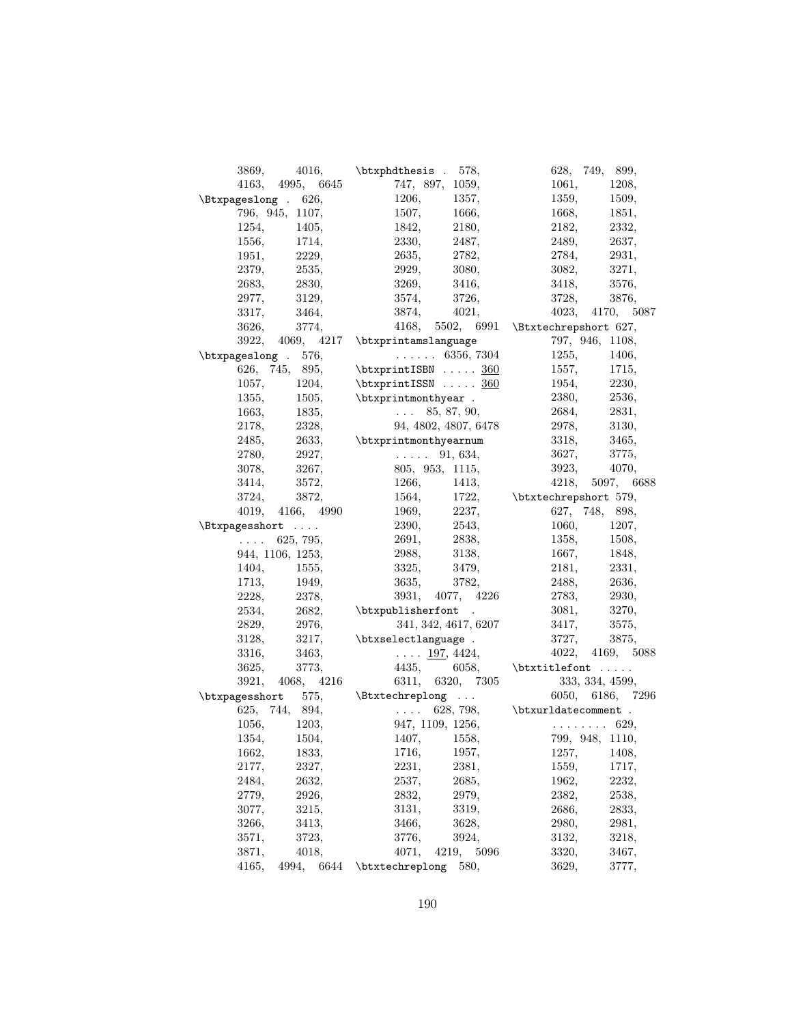| 3869,                         | $4016,$ \btxphdthesis . 578,                                                                  | 628, 749, 899,                                                                                                            |
|-------------------------------|-----------------------------------------------------------------------------------------------|---------------------------------------------------------------------------------------------------------------------------|
| 4163, 4995, 6645              | 747, 897, 1059,                                                                               | 1061, 1208,                                                                                                               |
| $\text{Etxpageslong}$ . 626,  | 1206,<br>1357,                                                                                | 1359, 1509,                                                                                                               |
| 796, 945, 1107,               | 1507, 1666,                                                                                   | 1668, 1851,                                                                                                               |
| 1254, 1405,                   |                                                                                               |                                                                                                                           |
| 1556,<br>1714,                | $\begin{array}{lll} 1842, \quad & 2180, \\ 2330, \quad & 2487, \end{array}$                   | $\begin{array}{lll} 2182, \quad & 2332, \\ 2489, \quad & 2637, \end{array}$<br>2637,                                      |
| 1951, 2229,                   | 2635, 2782,                                                                                   | 2784, 2931,                                                                                                               |
| 2535,<br>2379,                | 2929, 3080,                                                                                   | 3082, 3271,                                                                                                               |
| 2830,<br>2683,                | 3269, 3416,                                                                                   | 3418, 3576,                                                                                                               |
| 2977,<br>3129,                | 3726,<br>3574,                                                                                | 3728,<br>3876,                                                                                                            |
| 3317,<br>3464,                | 3874, 4021,                                                                                   | 4023, 4170, 5087                                                                                                          |
| 3626,<br>3774,                |                                                                                               | 4168, 5502, 6991 \Btxtechrepshort 627,                                                                                    |
|                               | $3922, 4069, 4217 \verb \btxprintamslanguage $                                                | 797, 946, 1108,                                                                                                           |
| $\text{btxpageslong}$ . 576,  | $\cdots$ 6356, 7304                                                                           | 1255,<br>1406,                                                                                                            |
|                               | 626, 745, 895, \btxprintISBN  360                                                             | 1557, 1715,                                                                                                               |
| 1057,                         | 1204, $\text{btxprintISSN} \dots \underline{360}$                                             | 1954, 2230,                                                                                                               |
| 1355,                         | $1505,$ \btxprintmonthyear.                                                                   | $2530, 2536,$<br>$2684, 2831$                                                                                             |
|                               |                                                                                               |                                                                                                                           |
| $1663, 1835,$<br>2178, 2328,  | $\frac{5}{94}$ $\frac{85}{180}$ , $\frac{87}{100}$ , $\frac{90}{100}$<br>94, 4802, 4807, 6478 | 2978, 3130,                                                                                                               |
|                               | 2485, $2633$ , $\btxprint$ monthyearnum                                                       | 3318, 3465,                                                                                                               |
| 2780,<br>2927,                | $\ldots$ 91, 634,                                                                             |                                                                                                                           |
| 3078,<br>3267,                |                                                                                               | 3627, 3775,                                                                                                               |
| 3572,<br>3414,                | 805, 953, 1115,                                                                               | 3923, 4070,<br>4218, 5097, 6688                                                                                           |
| 3724,                         |                                                                                               | $\begin{tabular}{llllll} 1266, & 1413, & 4218, & 5097, & 66 \\ 1564, & 1722, & \text{btxtechnepshort 579,} \end{tabular}$ |
| 3872,<br>4019, 4166, 4990     | 1969, 2237,                                                                                   | 627, 748, 898,                                                                                                            |
|                               | 2390, 2543,                                                                                   |                                                                                                                           |
| \Btxpagesshort                |                                                                                               | 1060, 1207,                                                                                                               |
| $\ldots$ 625, 795,            | 2691, 2838,                                                                                   | 1358, 1508,                                                                                                               |
| 944, 1106, 1253,              | 2988, 3138,                                                                                   | $1667, 1848,$<br>2181, 2331,                                                                                              |
| 1404, 1555,                   | $3325, 3479,$<br>$3635, 3782,$                                                                | $2181, 2331,$<br>$2488, 2636,$                                                                                            |
| 1713,<br>1949,<br>2228, 2378, |                                                                                               |                                                                                                                           |
|                               |                                                                                               | $3931, \quad 4077, \quad 4226 \qquad \qquad 2783, \qquad \quad 2930,$                                                     |
|                               |                                                                                               | 3081, 3270,                                                                                                               |
| 2829,<br>2976,                | 341, 342, 4617, 6207                                                                          | 3417,<br>3575,                                                                                                            |
| 3128,                         | $3217,$ \btxselectlanguage.                                                                   | 3727, 3875,                                                                                                               |
| 3316,<br>3463,                | $\ldots$ 197, 4424,                                                                           | 4022, 4169, 5088                                                                                                          |
| 3625,<br>3773,                |                                                                                               | 4435, $6058$ , $b$ txtitlefont                                                                                            |
|                               | 3921, 4068, 4216 6311, 6320, 7305                                                             | 333, 334, 4599,                                                                                                           |
|                               | $\texttt{btxpagesshort}$ 575, $\texttt{btxtechniplong}$                                       | 6050, 6186, 7296                                                                                                          |
| 625, 744, 894,                | $\ldots$ 628, 798, $\texttt{datecomment}$ .                                                   |                                                                                                                           |
| 1056, 1203,                   | 947, 1109, 1256, $\ldots$ 629,<br>1407, 1558, 799, 948, 1110,                                 |                                                                                                                           |
| 1354,<br>1504,                |                                                                                               | 799, 948, 1110,                                                                                                           |
| 1662,<br>1833,                | 1716,<br>1957,                                                                                | 1257,<br>1408,                                                                                                            |
| 2327,<br>2177,                | 2231,<br>2381,                                                                                | 1559,<br>1717,                                                                                                            |
| 2632,<br>2484,                | 2537,<br>2685,                                                                                | 1962,<br>2232,                                                                                                            |
| 2926,<br>2779,                | 2832,<br>2979,                                                                                | 2382,<br>2538,                                                                                                            |
| 3215,<br>3077,                | 3319,<br>3131,                                                                                | 2833,<br>2686,                                                                                                            |
| 3266,<br>3413,                | 3628,<br>3466,                                                                                | 2981,<br>2980,                                                                                                            |
| 3571,<br>3723,                | 3924,<br>3776,                                                                                | 3218,<br>3132,                                                                                                            |
| 3871,<br>4018,                | 4071,<br>4219,<br>5096                                                                        | 3320,<br>3467,                                                                                                            |
| 4165,<br>4994,<br>6644        | \btxtechreplong<br>580,                                                                       | 3629,<br>3777,                                                                                                            |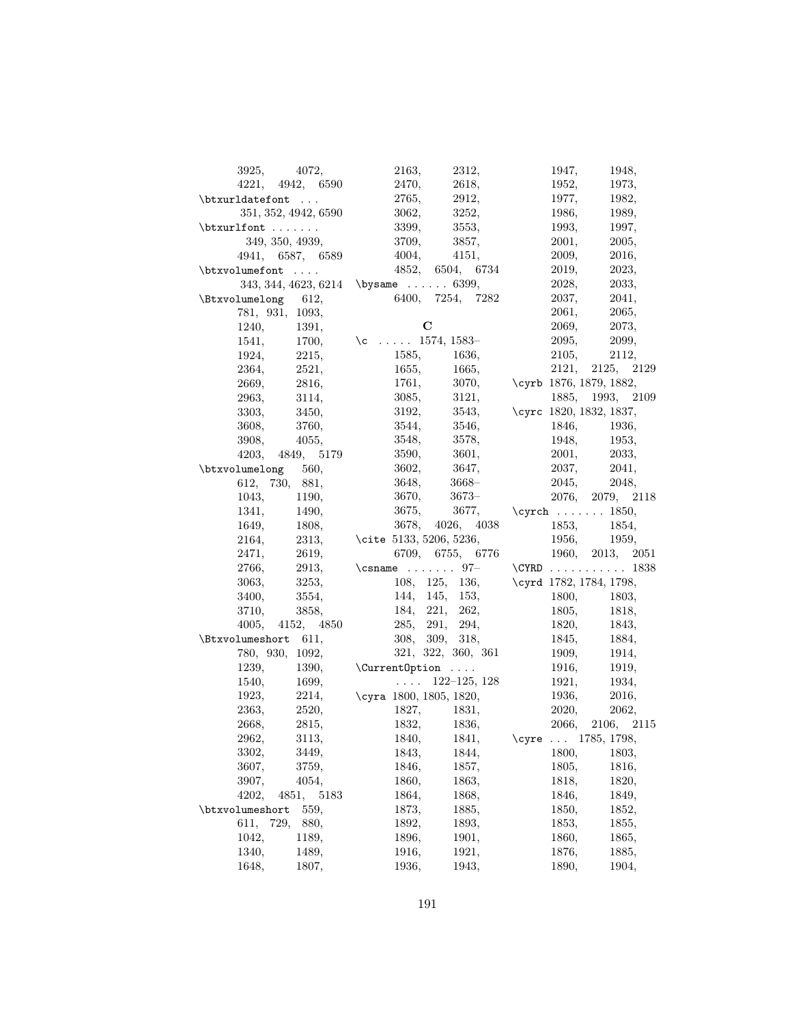| 3925, 4072,                | 2163,<br>2312,                        | 1947,<br>1948,                         |
|----------------------------|---------------------------------------|----------------------------------------|
| 4221, 4942, 6590           | 2470,<br>2618,                        | 1952,<br>1973,                         |
| \btxurldatefont            | 2912,<br>2765,                        | 1977,<br>1982,                         |
| 351, 352, 4942, 6590       | 3062,<br>3252,                        | 1986,<br>1989,                         |
| $\text{btxurlfont} \ldots$ | 3399,<br>3553,                        | 1993,<br>1997,                         |
| 349, 350, 4939,            | 3709,<br>3857,                        | 2001,<br>2005,                         |
| 4941, 6587, 6589           | 4004,<br>4151,                        | 2009,<br>2016,                         |
| $\text{butxvolume}$ font   | 4852, 6504, 6734                      | 2019,<br>2023,                         |
|                            | $343, 344, 4623, 6214$ \bysame  6399, | 2028,<br>2033,                         |
| \Btxvolumelong 612,        | 6400, 7254, 7282                      | 2037,<br>2041,                         |
| 781, 931, 1093,            |                                       | 2061,<br>2065,                         |
| 1240,<br>1391,             | $\mathbf C$                           | 2069,<br>2073,                         |
| 1541,<br>1700,             | \c $1574, 1583-$                      | 2095,<br>2099,                         |
| 2215,<br>1924,             | 1585,<br>1636,                        | 2105,<br>2112,                         |
| 2521,<br>2364,             | 1655,<br>1665,                        | 2121, 2125, 2129                       |
| 2669,<br>2816,             | 1761,                                 | 3070, \cyrb 1876, 1879, 1882,          |
| 3114,<br>2963,             | 3085,<br>3121,                        | 1885, 1993, 2109                       |
| 3303,<br>3450,             | 3192,                                 | 3543, \cyrc 1820, 1832, 1837,          |
| 3760,                      | 3546,<br>3544,                        |                                        |
| 3608,<br>3908,<br>4055,    | 3548,<br>3578,                        | 1846, 1936,<br>1948,                   |
|                            | 3590,<br>3601,                        | 1953,<br>2001, 2033,                   |
| 4203, 4849, 5179           |                                       | 2037,                                  |
| \btxvolumelong 560,        | 3602,<br>3647,                        | 2041,                                  |
| 612, 730, 881,             | 3648,<br>$3668-$                      | 2045,<br>2048,                         |
| 1043,<br>1190,             | 3670,<br>$3673-$                      | 2076, 2079, 2118                       |
| 1341,<br>1490,             | 3675,                                 | 3677, \cyrch  1850,                    |
| 1649,<br>1808,             | 3678, 4026, 4038                      | 1853, 1854,                            |
| 2164,<br>2313,             | \cite 5133, 5206, 5236,               | 1956, 1959,                            |
| 2619,<br>2471,             | 6709, 6755, 6776                      | 1960, 2013, 2051                       |
| 2766,<br>2913,             | \csname $97-$ \CYRD  1838             |                                        |
| 3253,<br>3063,             |                                       | 108, 125, 136, \cyrd 1782, 1784, 1798, |
| 3554,<br>3400,             | 144, 145, 153,                        | 1800, 1803,                            |
| 3710,<br>3858,             | 184, 221, 262,                        | 1805,<br>1818,                         |
| 4005, 4152, 4850           | 285, 291, 294,                        | 1820, 1843,                            |
| \Btxvolumeshort 611,       | 308, 309, 318,                        | 1845,<br>1884,                         |
| 780, 930, 1092,            | 321, 322, 360, 361                    | 1909,<br>1914,                         |
| 1239,<br>1390,             | \Current0ption                        | 1916,<br>1919,                         |
| 1540,<br>1699,             | $\ldots$ 122–125, 128                 | 1921,<br>1934,                         |
| 2214,<br>1923,             | \cyra 1800, 1805, 1820,               | 1936,<br>2016,                         |
| 2363,<br>2520,             | 1827,<br>1831,                        | 2020,<br>2062,                         |
| 2815,<br>2668,             | 1832,<br>1836,                        | 2066, 2106, 2115                       |
| 3113,<br>2962,             | 1840,<br>1841,                        | \cyre $1785, 1798,$                    |
| 3302,<br>3449,             | 1843,<br>1844,                        | 1800,<br>1803,                         |
| 3607,<br>3759,             | 1846,<br>1857,                        | 1805,<br>1816,                         |
| 3907,<br>4054,             | 1863,<br>1860,                        | 1818,<br>1820,                         |
| 4851,<br>4202,<br>5183     | 1864,<br>1868,                        | 1846,<br>1849,                         |
| \btxvolumeshort<br>559,    | 1873,<br>1885,                        | 1850,<br>1852,                         |
| 611,<br>729,<br>880,       | 1892,<br>1893,                        | 1853,<br>1855,                         |
| 1042,<br>1189,             | 1896,<br>1901,                        | 1860,<br>1865,                         |
| 1340,<br>1489,             | 1916,<br>1921,                        | 1876,<br>1885,                         |
| 1807,<br>1648,             | 1936,<br>1943,                        | 1890,<br>1904,                         |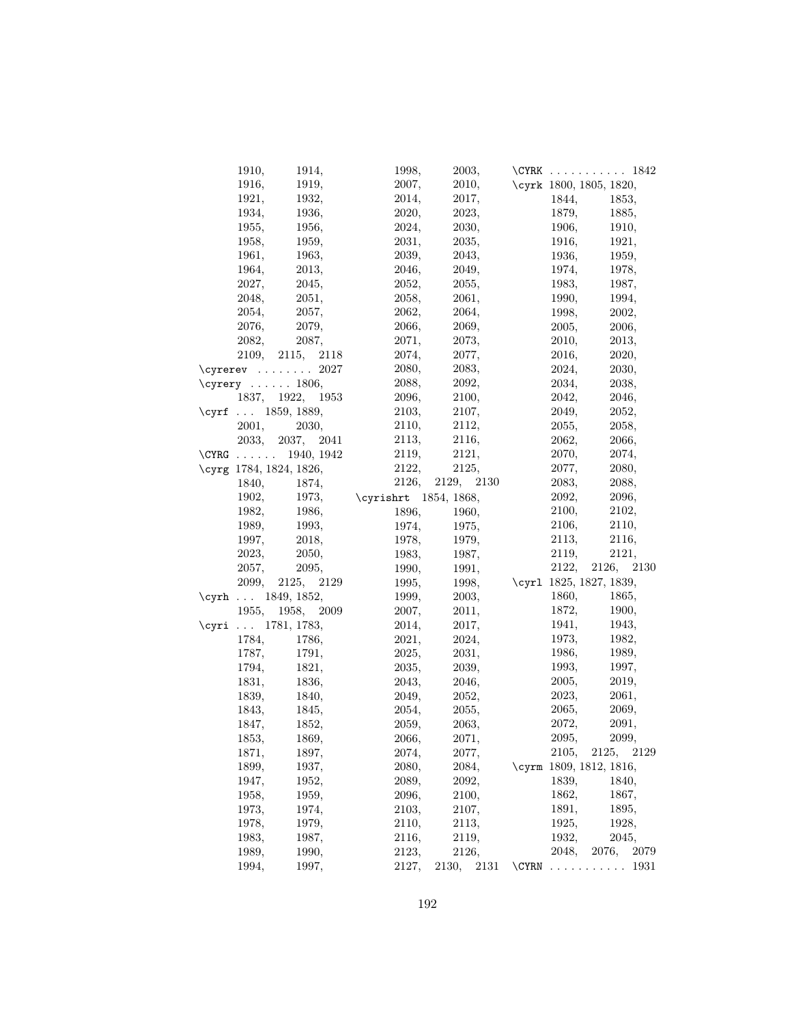| 1910,                   | 1914,            | 1998,                 | 2003,            |       |       | $\C{YRK}$ 1842          |
|-------------------------|------------------|-----------------------|------------------|-------|-------|-------------------------|
| 1916,                   | 1919,            | 2007,                 | 2010,            |       |       | \cyrk 1800, 1805, 1820, |
| 1921,                   | 1932,            | 2014,                 | 2017,            |       | 1844, | 1853,                   |
| 1934,                   | 1936,            | 2020,                 | 2023,            |       | 1879, | 1885,                   |
| 1955,                   | 1956,            | 2024,                 | 2030,            |       | 1906, | 1910,                   |
| 1958,                   | 1959,            | 2031,                 | 2035,            |       | 1916, | 1921,                   |
| 1961,                   | 1963,            | 2039,                 | 2043,            |       | 1936, | 1959,                   |
| 1964,                   | 2013,            | 2046,                 | 2049,            |       | 1974, | 1978,                   |
| 2027,                   | 2045,            | 2052,                 | 2055,            |       | 1983, | 1987,                   |
| 2048,                   | 2051,            | 2058,                 | 2061,            |       | 1990, | 1994,                   |
| 2054,                   | 2057,            | 2062,                 | 2064,            |       | 1998, | 2002,                   |
| 2076,                   | 2079,            | 2066,                 | 2069,            |       | 2005, | 2006,                   |
| 2082,                   | 2087,            | 2071,                 | 2073,            |       | 2010, | 2013,                   |
| 2109,                   | 2115, 2118       | 2074,                 | 2077,            |       | 2016, | 2020,                   |
| $\c{yrerev}$ 2027       |                  | 2080,                 | 2083,            |       | 2024, | 2030,                   |
| \cyrery $\dots 1806$ ,  |                  | 2088,                 | 2092,            |       | 2034, | 2038,                   |
|                         | 1837, 1922, 1953 | 2096,                 | 2100,            |       | 2042, | 2046,                   |
| \cyrf $1859, 1889,$     |                  | 2103,                 | 2107,            |       | 2049, | 2052,                   |
| 2001,                   | 2030,            | 2110,                 | 2112,            |       | 2055, | 2058,                   |
| 2033,                   | 2037, 2041       | 2113,                 | 2116,            |       | 2062, | 2066,                   |
| \CYRG 1940, 1942        |                  | 2119,                 | 2121,            |       | 2070, | 2074,                   |
| \cyrg 1784, 1824, 1826, |                  | 2122,                 | 2125,            |       | 2077, | 2080,                   |
| 1840,                   | 1874,            |                       | 2126, 2129, 2130 |       | 2083, | 2088,                   |
| 1902,                   | 1973,            | \cyrishrt 1854, 1868, |                  |       | 2092, | 2096,                   |
| 1982,                   | 1986,            | 1896,                 | 1960,            |       | 2100, | 2102,                   |
| 1989.                   | 1993,            | 1974,                 | 1975,            |       | 2106, | 2110,                   |
| 1997,                   | 2018,            | 1978,                 | 1979,            |       | 2113, | 2116,                   |
| 2023,                   | 2050,            | 1983,                 | 1987,            |       | 2119, | 2121,                   |
| 2057,                   | 2095,            | 1990,                 | 1991,            |       |       | 2122, 2126, 2130        |
| 2099,                   | 2125, 2129       | 1995,                 | 1998,            |       |       | \cyr1 1825, 1827, 1839, |
| \cyrh $1849, 1852,$     |                  | 1999,                 | 2003,            |       | 1860, | 1865,                   |
|                         | 1955, 1958, 2009 | 2007,                 | 2011,            |       | 1872, | 1900,                   |
| \cyri $1781, 1783,$     |                  | 2014,                 | 2017,            |       | 1941, | 1943,                   |
| 1784,                   | 1786,            | 2021,                 | 2024,            |       | 1973, | 1982,                   |
| 1787,                   | 1791,            | 2025,                 | 2031,            |       | 1986, | 1989,                   |
| 1794,                   | 1821,            | 2035,                 | 2039,            |       | 1993, | 1997,                   |
| 1831,                   | 1836,            | 2043,                 | 2046,            |       | 2005, | 2019,                   |
| 1839,                   | 1840,            | 2049,                 | 2052,            |       | 2023, | 2061,                   |
| 1843,                   | 1845,            | 2054,                 | 2055,            |       | 2065, | 2069,                   |
| 1847,                   | 1852,            | 2059,                 | 2063,            |       | 2072, | 2091,                   |
| 1853,                   | 1869,            | 2066,                 | 2071,            |       | 2095. | 2099,                   |
| 1871,                   | 1897,            | 2074,                 | 2077,            |       | 2105, | 2125,<br>2129           |
| 1899,                   | 1937,            | 2080,                 | 2084,            |       |       | \cyrm 1809, 1812, 1816, |
| 1947,                   | 1952,            | 2089,                 | 2092,            |       | 1839, | 1840,                   |
| 1958,                   | 1959,            | 2096,                 | 2100,            |       | 1862, | 1867,                   |
| 1973,                   | 1974,            | 2103,                 | 2107,            |       | 1891, | 1895,                   |
| 1978,                   | 1979,            | 2110,                 | 2113,            |       | 1925, | 1928,                   |
| 1983,                   | 1987,            | 2116,                 | 2119,            |       | 1932, | 2045,                   |
| 1989,                   | 1990,            | 2123,                 | 2126,            |       | 2048, | 2076,<br>2079           |
| 1994,                   | 1997,            | 2127,                 | 2130,<br>2131    | \CYRN |       | 1931                    |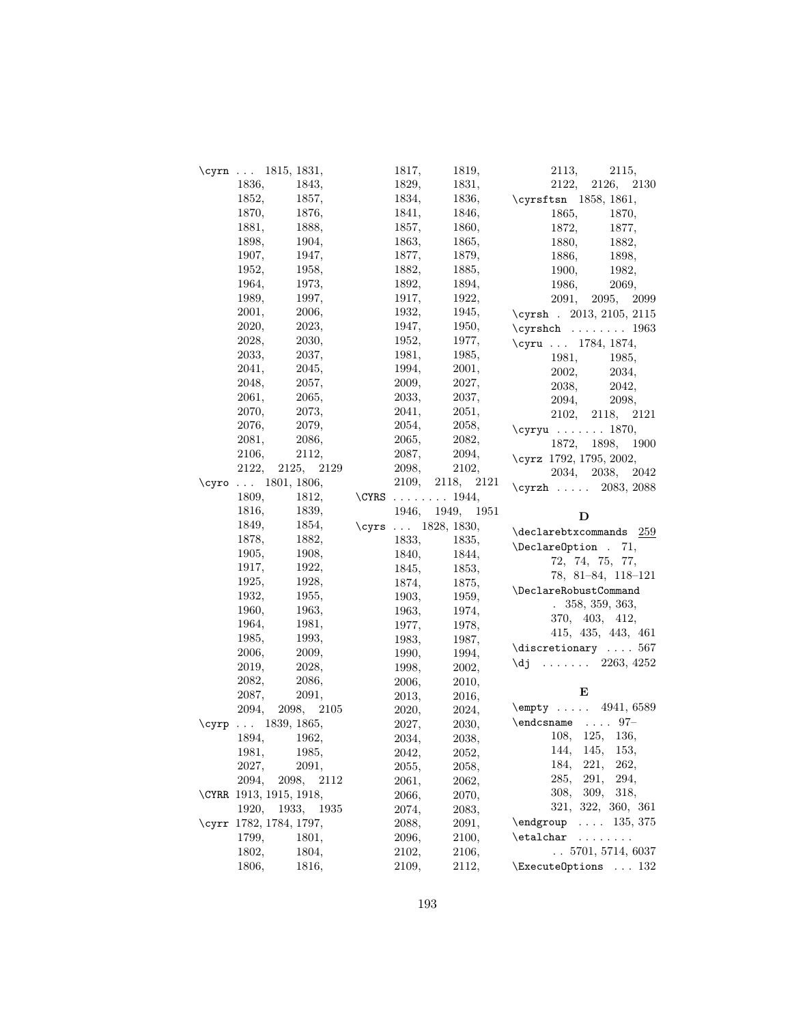| \cyrn $1815, 1831,$     |                | 1817, | 1819,                                    | 2113,<br>2115,                     |
|-------------------------|----------------|-------|------------------------------------------|------------------------------------|
| 1836,                   | 1843,          | 1829, | 1831,                                    | 2126,<br>2122,<br>2130             |
| 1852,                   | 1857,          | 1834, | 1836,                                    | \cyrsftsn 1858, 1861,              |
| 1870,                   | 1876,          | 1841, | 1846,                                    | 1865,<br>1870,                     |
| 1881,                   | 1888,          | 1857, | 1860,                                    | 1872,<br>1877,                     |
| 1898,                   | 1904,          | 1863, | 1865,                                    | 1880,<br>1882,                     |
| 1907,                   | 1947,          | 1877, | 1879,                                    | 1886,<br>1898,                     |
| 1952,                   | 1958,          | 1882, | 1885,                                    | 1900,<br>1982,                     |
| 1964,                   | 1973,          | 1892, | 1894,                                    | 2069,<br>1986,                     |
| 1989,                   | 1997,          | 1917, | 1922,                                    | 2091,<br>2095, 2099                |
| 2001,                   | 2006.          | 1932, | 1945,                                    | \cyrsh . 2013, 2105, 2115          |
| 2020,                   | 2023,          | 1947, | 1950,                                    | $\cyrshch$ 1963                    |
| 2028,                   | 2030,          | 1952, | 1977,                                    |                                    |
| 2033,                   | 2037,          | 1981, | 1985,                                    | \cyru  1784, 1874,                 |
| 2041,                   | 2045,          | 1994, | 2001,                                    | 1981,<br>1985,                     |
| 2048,                   | 2057,          | 2009, | 2027,                                    | 2002,<br>2034,                     |
| 2061,                   | 2065,          | 2033, | 2037,                                    | 2038,<br>2042,                     |
| 2070,                   | 2073,          | 2041, | 2051,                                    | 2094,<br>2098,                     |
| 2076,                   | 2079,          | 2054, | 2058,                                    | 2102, 2118, 2121                   |
|                         |                | 2065, | 2082,                                    | $\qquad \ldots \ldots 1870,$       |
| 2081,<br>2106,          | 2086,          | 2087, | 2094,                                    | 1872, 1898, 1900                   |
| 2122,                   | 2112,          | 2098, | 2102,                                    | \cyrz 1792, 1795, 2002,            |
|                         | 2125, 2129     |       |                                          | 2034, 2038, 2042                   |
| \cyro $1801, 1806,$     |                | 2109, | 2118, 2121                               | \cyrzh  2083, 2088                 |
| 1809,                   | 1812,<br>1839, |       | \CYRS $\ldots$ 1944,<br>1946, 1949, 1951 |                                    |
| 1816,                   |                |       |                                          |                                    |
|                         |                |       |                                          | D                                  |
| 1849,                   | 1854,          |       | \cyrs  1828, 1830,                       | $\texttt{declarebtxcommands}$ 259  |
| 1878,                   | 1882,          | 1833, | 1835,                                    | \DeclareOption . 71,               |
| 1905,                   | 1908,          | 1840, | 1844,                                    | 72, 74, 75, 77,                    |
| 1917,                   | 1922,          | 1845, | 1853,                                    | 78, 81-84, 118-121                 |
| 1925,                   | 1928,          | 1874, | 1875,                                    | \DeclareRobustCommand              |
| 1932,                   | 1955,          | 1903, | 1959,                                    | .358,359,363,                      |
| 1960,                   | 1963,          | 1963, | 1974,                                    |                                    |
| 1964,                   | 1981,          | 1977, | 1978,                                    | 370, 403, 412,                     |
| 1985,                   | 1993,          | 1983, | 1987,                                    | 415, 435, 443, 461                 |
| 2006,                   | 2009,          | 1990, | 1994,                                    | $\text{discretionary} \dots 567$   |
| 2019,                   | 2028,          | 1998, | 2002,                                    | $\text{d}j$ 2263, 4252             |
| 2082,                   | 2086,          | 2006, | 2010,                                    |                                    |
| 2087,                   | 2091,          | 2013, | 2016,                                    | Е                                  |
| 2094,                   | 2098, 2105     | 2020, | 2024,                                    | \empty  4941, 6589                 |
| \cyrp  1839, 1865,      |                | 2027, | 2030.                                    | $\end{math}$ 97-                   |
| 1894,                   | 1962,          | 2034, | 2038,                                    | 108, 125, 136,                     |
| 1981,                   | 1985,          | 2042, | 2052,                                    | 153,<br>144,<br>145,               |
| 2027,                   | 2091,          | 2055, | 2058,                                    | 221,<br>184,<br>262,               |
| 2094,<br>2098,          | 2112           | 2061, | 2062,                                    | 285,<br>291,<br>294,               |
| \CYRR 1913, 1915, 1918, |                | 2066, | 2070,                                    | 309,<br>318,<br>308,               |
| 1920,                   | 1933, 1935     | 2074, | 2083,                                    | 321, 322, 360, 361                 |
| \cyrr 1782, 1784, 1797, |                | 2088, | 2091,                                    | $\ldots$ 135, 375<br>$\end{group}$ |
| 1799,                   | 1801,          | 2096, | 2100,                                    | $\eta$<br>$\sim$                   |
| 1802,                   | 1804,          | 2102, | 2106,                                    | $\ldots 5701, 5714, 6037$          |
| 1806,                   | 1816,          | 2109, | 2112,                                    | $\text{ExecuteOptions} \dots 132$  |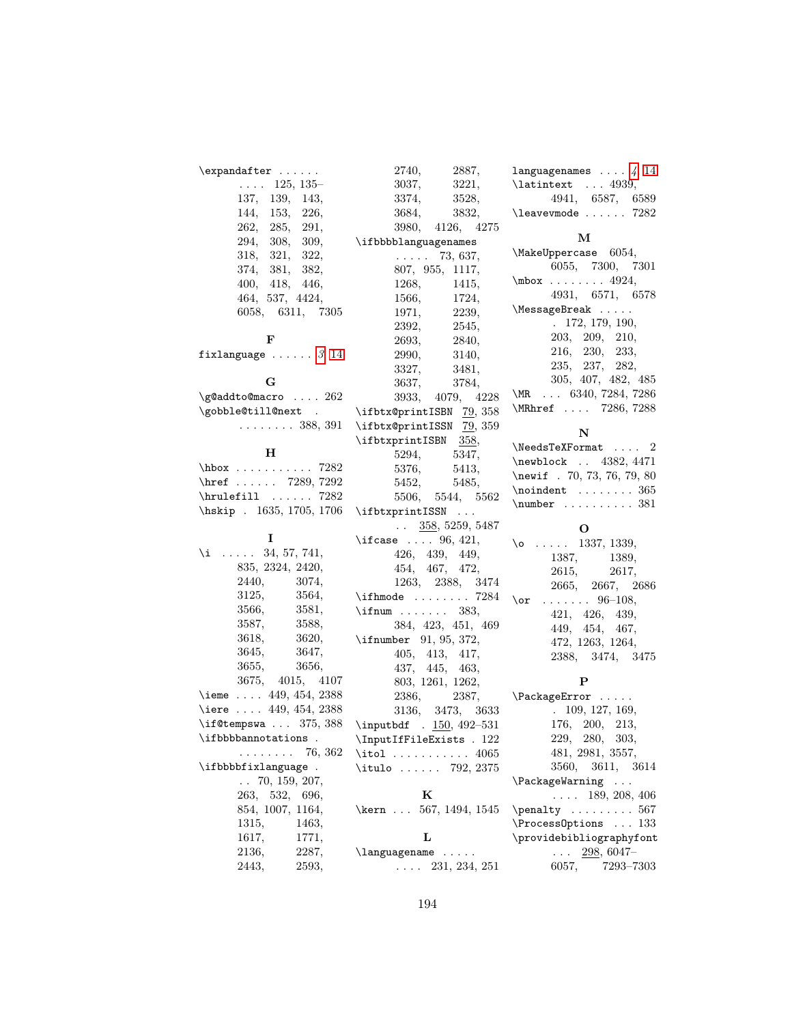| $\expandafter \ldots$                        | 2740,<br>2887,                                                           | languagenames $\ldots$ 4, 14                              |
|----------------------------------------------|--------------------------------------------------------------------------|-----------------------------------------------------------|
| $\ldots$ 125, 135-                           | 3037,<br>3221,                                                           | $\lambda$ 1 atintext  4939,                               |
| 137,<br>139,<br>143,                         | 3374,<br>3528,                                                           | 4941, 6587, 6589                                          |
| 144,<br>153,<br>226,                         | 3684,<br>3832,                                                           | $\lambda$ 282                                             |
| 262,<br>285,<br>291,                         | 3980,<br>4126, 4275                                                      |                                                           |
| 294, 308,<br>309,                            | \ifbbbblanguagenames                                                     | М                                                         |
| 318, 321,<br>322,                            | <b>Carlo Carlo</b><br>73, 637,                                           | $\mathrm{MakeUppercase}$ 6054,                            |
| 374, 381,<br>382,                            | 807, 955, 1117,                                                          | 6055, 7300, 7301                                          |
| 400, 418,<br>446,                            | 1268,<br>1415,                                                           | $\mbox{mbox} \ldots$ 4924,                                |
| 464, 537, 4424,                              | 1566,<br>1724,                                                           | 4931, 6571, 6578                                          |
| 6058, 6311, 7305                             | 2239,<br>1971,                                                           | \MessageBreak                                             |
|                                              | 2392,<br>2545,                                                           | 172, 179, 190,                                            |
| F                                            | 2693,<br>2840,                                                           | 203, 209, 210,                                            |
| fixlanguage $\ldots \ldots 3, 14$            | 2990,<br>3140,                                                           | 216, 230, 233,                                            |
|                                              | 3327,<br>3481,                                                           | 235, 237, 282,                                            |
| G                                            | 3637,<br>3784,                                                           | 305, 407, 482, 485                                        |
| \g@addto@macro  262                          | 3933,<br>4079, 4228                                                      | \MR $\ldots$ 6340, 7284, 7286                             |
| \gobble@till@next .                          | \ifbtx@printISBN 79, 358                                                 | \MRhref  7286, 7288                                       |
| $\ldots \ldots 388, 391$                     | \ifbtx@printISSN 79, 359                                                 |                                                           |
|                                              | \ifbtxprintISBN 358,                                                     | N                                                         |
| $\mathbf H$                                  |                                                                          | $\NeedsTeXFormat \dots 2$                                 |
| $hbox \ldots \ldots 7282$                    | 5294,<br>5347,<br>5376,                                                  | \newblock  4382, 4471                                     |
| \href  7289, 7292                            | 5413,                                                                    | \newif . 70, 73, 76, 79, 80                               |
| \hrulefill $\dots 7282$                      | 5452,<br>5485,<br>5506,<br>5544, 5562                                    | $\lambda$ 365                                             |
| \hskip . 1635, 1705, 1706                    |                                                                          | $\text{number} \ldots \ldots 381$                         |
|                                              | \ifbtxprintISSN                                                          |                                                           |
|                                              |                                                                          |                                                           |
|                                              | $\ldots$ 358, 5259, 5487                                                 | О                                                         |
| 1                                            | \ifcase $\ldots$ 96, 421,                                                | $\lozenge$ 1337, 1339,                                    |
|                                              | 426, 439, 449,                                                           | 1387,<br>1389,                                            |
| $\{i \dots 34, 57, 741,$<br>835, 2324, 2420, | 454, 467, 472,                                                           | 2615,<br>2617,                                            |
| 2440,<br>3074,                               | 1263, 2388, 3474                                                         | 2665, 2667, 2686                                          |
| 3125,<br>3564,                               | $\iinthmode$ 7284                                                        | $\ldots \ldots 96-108,$<br>$\sigma$                       |
| 3566,<br>3581,                               | \if num $\ldots$ 383,                                                    | 421, 426, 439,                                            |
| 3587,<br>3588,                               | 384, 423, 451, 469                                                       | 449, 454, 467,                                            |
| 3618,<br>3620,                               | \ifnumber $91, 95, 372,$                                                 | 472, 1263, 1264,                                          |
| 3645,<br>3647,                               | 405, 413, 417,                                                           | 2388, 3474, 3475                                          |
| 3655,<br>3656,                               | 437, 445, 463,                                                           |                                                           |
| 3675, 4015, 4107                             | 803, 1261, 1262,                                                         | P                                                         |
| \ieme $449, 454, 2388$                       | 2386,<br>2387,                                                           | \PackageError                                             |
| \iere $\ldots$ 449, 454, 2388                | 3136,<br>3473, 3633                                                      | 109, 127, 169,                                            |
| $\left\{ \right\}$ $375,388$                 | $\infty$ 150, 492-531                                                    | 176, 200, 213,                                            |
|                                              | \ifbbbbannotations . \InputIfFileExists . 122                            | 229, 280, 303,                                            |
| $\ldots \ldots \ldots$ 76, 362               | \itol $4065$                                                             | 481, 2981, 3557,                                          |
| \ifbbbbfixlanguage.                          | \itulo  792, 2375                                                        | 3560, 3611, 3614                                          |
| $\ldots$ 70, 159, 207,                       |                                                                          | \PackageWarning                                           |
| 263, 532, 696,                               | K                                                                        | $\ldots$ 189, 208, 406                                    |
| 854, 1007, 1164,                             | \kern  567, 1494, 1545                                                   | $\penalty \dots \dots 567$                                |
| 1315,<br>1463,                               |                                                                          | \ProcessOptions  133                                      |
| 1617,<br>1771,                               | L                                                                        | \providebibliographyfont                                  |
| 2136,<br>2287,<br>2443,<br>2593,             | $\lambda$<br>231, 234, 251<br>$\mathbb{Z}^2$ . The set of $\mathbb{Z}^2$ | $298,6047-$<br>$\sim$ $\sim$ $\sim$<br>6057,<br>7293-7303 |